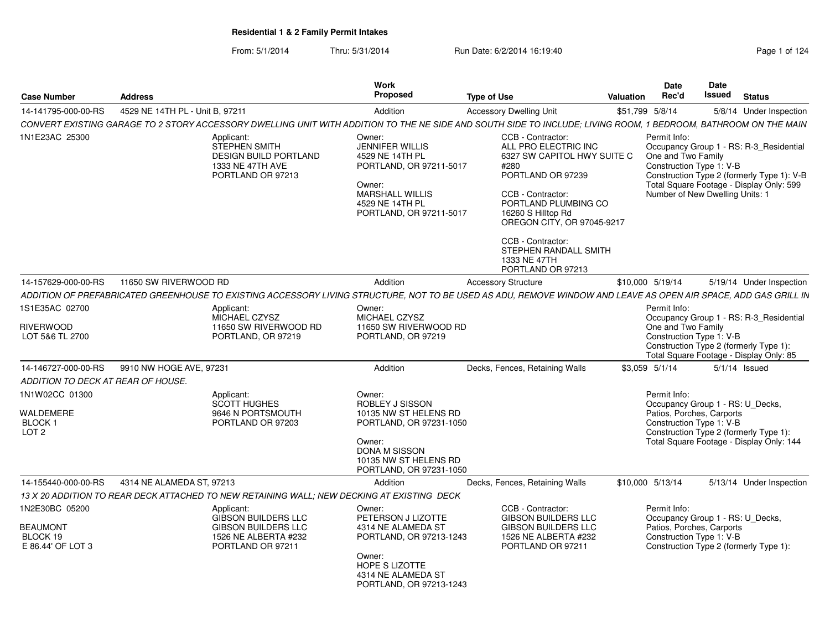From: 5/1/2014Thru: 5/31/2014 Run Date: 6/2/2014 16:19:40

| <b>Case Number</b>                                               | <b>Address</b>                  |                                                                                                                                                                 | Work<br>Proposed                                                                                                                                                    | <b>Type of Use</b>                                                                                                                                                                                     | Valuation | <b>Date</b><br>Rec'd                                                                                      | Date<br>Issued | <b>Status</b>                                                                                                                     |
|------------------------------------------------------------------|---------------------------------|-----------------------------------------------------------------------------------------------------------------------------------------------------------------|---------------------------------------------------------------------------------------------------------------------------------------------------------------------|--------------------------------------------------------------------------------------------------------------------------------------------------------------------------------------------------------|-----------|-----------------------------------------------------------------------------------------------------------|----------------|-----------------------------------------------------------------------------------------------------------------------------------|
| 14-141795-000-00-RS                                              | 4529 NE 14TH PL - Unit B, 97211 |                                                                                                                                                                 | Addition                                                                                                                                                            | <b>Accessory Dwelling Unit</b>                                                                                                                                                                         |           | \$51,799 5/8/14                                                                                           |                | 5/8/14 Under Inspection                                                                                                           |
|                                                                  |                                 | CONVERT EXISTING GARAGE TO 2 STORY ACCESSORY DWELLING UNIT WITH ADDITION TO THE NE SIDE AND SOUTH SIDE TO INCLUDE; LIVING ROOM, 1 BEDROOM, BATHROOM ON THE MAIN |                                                                                                                                                                     |                                                                                                                                                                                                        |           |                                                                                                           |                |                                                                                                                                   |
| 1N1E23AC 25300                                                   |                                 | Applicant:<br><b>STEPHEN SMITH</b><br><b>DESIGN BUILD PORTLAND</b><br>1333 NE 47TH AVE<br>PORTLAND OR 97213                                                     | Owner:<br><b>JENNIFER WILLIS</b><br>4529 NE 14TH PL<br>PORTLAND, OR 97211-5017<br>Owner:<br>MARSHALL WILLIS<br>4529 NE 14TH PL<br>PORTLAND, OR 97211-5017           | CCB - Contractor:<br>ALL PRO ELECTRIC INC<br>6327 SW CAPITOL HWY SUITE C<br>#280<br>PORTLAND OR 97239<br>CCB - Contractor:<br>PORTLAND PLUMBING CO<br>16260 S Hilltop Rd<br>OREGON CITY, OR 97045-9217 |           | Permit Info:<br>One and Two Family<br>Construction Type 1: V-B<br>Number of New Dwelling Units: 1         |                | Occupancy Group 1 - RS: R-3_Residential<br>Construction Type 2 (formerly Type 1): V-B<br>Total Square Footage - Display Only: 599 |
|                                                                  |                                 |                                                                                                                                                                 |                                                                                                                                                                     | CCB - Contractor:<br>STEPHEN RANDALL SMITH<br>1333 NE 47TH<br>PORTLAND OR 97213                                                                                                                        |           |                                                                                                           |                |                                                                                                                                   |
| 14-157629-000-00-RS                                              | 11650 SW RIVERWOOD RD           |                                                                                                                                                                 | Addition                                                                                                                                                            | <b>Accessory Structure</b>                                                                                                                                                                             |           | \$10.000 5/19/14                                                                                          |                | 5/19/14 Under Inspection                                                                                                          |
|                                                                  |                                 | ADDITION OF PREFABRICATED GREENHOUSE TO EXISTING ACCESSORY LIVING STRUCTURE, NOT TO BE USED AS ADU, REMOVE WINDOW AND LEAVE AS OPEN AIR SPACE, ADD GAS GRILL IN |                                                                                                                                                                     |                                                                                                                                                                                                        |           |                                                                                                           |                |                                                                                                                                   |
| 1S1E35AC 02700                                                   |                                 | Applicant:                                                                                                                                                      | Owner:                                                                                                                                                              |                                                                                                                                                                                                        |           | Permit Info:                                                                                              |                |                                                                                                                                   |
| <b>RIVERWOOD</b><br>LOT 5&6 TL 2700                              |                                 | MICHAEL CZYSZ<br>11650 SW RIVERWOOD RD<br>PORTLAND, OR 97219                                                                                                    | MICHAEL CZYSZ<br>11650 SW RIVERWOOD RD<br>PORTLAND, OR 97219                                                                                                        |                                                                                                                                                                                                        |           | One and Two Family<br>Construction Type 1: V-B                                                            |                | Occupancy Group 1 - RS: R-3_Residential<br>Construction Type 2 (formerly Type 1):<br>Total Square Footage - Display Only: 85      |
| 14-146727-000-00-RS                                              | 9910 NW HOGE AVE, 97231         |                                                                                                                                                                 | Addition                                                                                                                                                            | Decks, Fences, Retaining Walls                                                                                                                                                                         |           | \$3,059 5/1/14                                                                                            |                | $5/1/14$ Issued                                                                                                                   |
| ADDITION TO DECK AT REAR OF HOUSE.                               |                                 |                                                                                                                                                                 |                                                                                                                                                                     |                                                                                                                                                                                                        |           |                                                                                                           |                |                                                                                                                                   |
| 1N1W02CC 01300<br>WALDEMERE<br><b>BLOCK1</b><br>LOT <sub>2</sub> |                                 | Applicant:<br>SCOTT HUGHES<br>9646 N PORTSMOUTH<br>PORTLAND OR 97203                                                                                            | Owner:<br>ROBLEY J SISSON<br>10135 NW ST HELENS RD<br>PORTLAND, OR 97231-1050<br>Owner:<br><b>DONA M SISSON</b><br>10135 NW ST HELENS RD<br>PORTLAND, OR 97231-1050 |                                                                                                                                                                                                        |           | Permit Info:<br>Occupancy Group 1 - RS: U_Decks,<br>Patios, Porches, Carports<br>Construction Type 1: V-B |                | Construction Type 2 (formerly Type 1):<br>Total Square Footage - Display Only: 144                                                |
| 14-155440-000-00-RS                                              | 4314 NE ALAMEDA ST, 97213       |                                                                                                                                                                 | Addition                                                                                                                                                            | Decks, Fences, Retaining Walls                                                                                                                                                                         |           | \$10,000 5/13/14                                                                                          |                | 5/13/14 Under Inspection                                                                                                          |
|                                                                  |                                 | 13 X 20 ADDITION TO REAR DECK ATTACHED TO NEW RETAINING WALL: NEW DECKING AT EXISTING DECK                                                                      |                                                                                                                                                                     |                                                                                                                                                                                                        |           |                                                                                                           |                |                                                                                                                                   |
| 1N2E30BC 05200                                                   |                                 | Applicant:                                                                                                                                                      | Owner:                                                                                                                                                              | CCB - Contractor:                                                                                                                                                                                      |           | Permit Info:                                                                                              |                |                                                                                                                                   |
| <b>BEAUMONT</b><br>BLOCK 19<br>E 86.44' OF LOT 3                 |                                 | <b>GIBSON BUILDERS LLC</b><br><b>GIBSON BUILDERS LLC</b><br>1526 NE ALBERTA #232<br>PORTLAND OR 97211                                                           | PETERSON J LIZOTTE<br>4314 NE ALAMEDA ST<br>PORTLAND, OR 97213-1243<br>Owner:<br>HOPE S LIZOTTE<br>4314 NE ALAMEDA ST                                               | <b>GIBSON BUILDERS LLC</b><br><b>GIBSON BUILDERS LLC</b><br>1526 NE ALBERTA #232<br>PORTLAND OR 97211                                                                                                  |           | Occupancy Group 1 - RS: U_Decks,<br>Patios, Porches, Carports<br>Construction Type 1: V-B                 |                | Construction Type 2 (formerly Type 1):                                                                                            |

PORTLAND, OR 97213-1243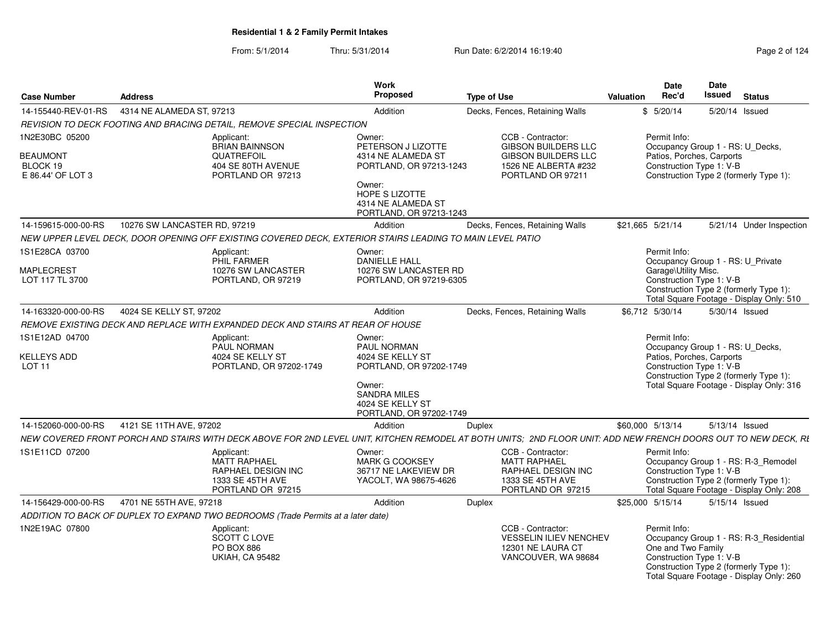|                                     |                                                |                                                                                                           | <b>Work</b>                                                                  |                                                                                                                                                                | <b>Date</b>                                                    | Date                                                                                                                          |
|-------------------------------------|------------------------------------------------|-----------------------------------------------------------------------------------------------------------|------------------------------------------------------------------------------|----------------------------------------------------------------------------------------------------------------------------------------------------------------|----------------------------------------------------------------|-------------------------------------------------------------------------------------------------------------------------------|
| <b>Case Number</b>                  | <b>Address</b>                                 |                                                                                                           | Propose                                                                      | <b>Type of Use</b>                                                                                                                                             | Rec'd<br>Valuation                                             | Issued<br><b>Status</b>                                                                                                       |
|                                     | 14-155440-REV-01-RS  4314 NE ALAMEDA ST, 97213 |                                                                                                           | Addition                                                                     | Decks, Fences, Retaining Walls                                                                                                                                 | \$5/20/14                                                      | 5/20/14 Issued                                                                                                                |
|                                     |                                                | REVISION TO DECK FOOTING AND BRACING DETAIL, REMOVE SPECIAL INSPECTION                                    |                                                                              |                                                                                                                                                                |                                                                |                                                                                                                               |
| 1N2E30BC 05200<br><b>BEAUMONT</b>   |                                                | Applicant:<br><b>BRIAN BAINNSON</b><br><b>QUATREFOIL</b>                                                  | Owner:<br>PETERSON J LIZOTTE<br>4314 NE ALAMEDA ST                           | CCB - Contractor:<br><b>GIBSON BUILDERS LLC</b><br><b>GIBSON BUILDERS LLC</b>                                                                                  | Permit Info:<br>Patios, Porches, Carports                      | Occupancy Group 1 - RS: U_Decks,                                                                                              |
| BLOCK 19<br>E 86.44' OF LOT 3       |                                                | 404 SE 80TH AVENUE<br>PORTLAND OR 97213                                                                   | PORTLAND, OR 97213-1243                                                      | 1526 NE ALBERTA #232<br>PORTLAND OR 97211                                                                                                                      | Construction Type 1: V-B                                       | Construction Type 2 (formerly Type 1):                                                                                        |
|                                     |                                                |                                                                                                           | Owner:<br>HOPE S LIZOTTE<br>4314 NE ALAMEDA ST<br>PORTLAND, OR 97213-1243    |                                                                                                                                                                |                                                                |                                                                                                                               |
| 14-159615-000-00-RS                 | 10276 SW LANCASTER RD, 97219                   |                                                                                                           | Addition                                                                     | Decks, Fences, Retaining Walls                                                                                                                                 | \$21,665 5/21/14                                               | 5/21/14 Under Inspection                                                                                                      |
|                                     |                                                | NEW UPPER LEVEL DECK, DOOR OPENING OFF EXISTING COVERED DECK, EXTERIOR STAIRS LEADING TO MAIN LEVEL PATIO |                                                                              |                                                                                                                                                                |                                                                |                                                                                                                               |
| 1S1E28CA 03700                      |                                                | Applicant:<br>PHIL FARMER                                                                                 | Owner:<br><b>DANIELLE HALL</b>                                               |                                                                                                                                                                | Permit Info:                                                   | Occupancy Group 1 - RS: U_Private                                                                                             |
| MAPLECREST<br>LOT 117 TL 3700       |                                                | 10276 SW LANCASTEF<br>PORTLAND, OR 97219                                                                  | 10276 SW LANCASTER RD<br>PORTLAND, OR 97219-6305                             |                                                                                                                                                                | Garage\Utility Misc.<br>Construction Type 1: V-B               | Construction Type 2 (formerly Type 1):<br>Total Square Footage - Display Only: 510                                            |
| 14-163320-000-00-RS                 | 4024 SE KELLY ST, 97202                        |                                                                                                           | Addition                                                                     | Decks, Fences, Retaining Walls                                                                                                                                 | \$6.712 5/30/14                                                | 5/30/14 Issued                                                                                                                |
|                                     |                                                | REMOVE EXISTING DECK AND REPLACE WITH EXPANDED DECK AND STAIRS AT REAR OF HOUSE                           |                                                                              |                                                                                                                                                                |                                                                |                                                                                                                               |
| 1S1E12AD 04700                      |                                                | Applicant:<br><b>PAUL NORMAN</b>                                                                          | Owner:<br><b>PAUL NORMAN</b>                                                 |                                                                                                                                                                | Permit Info:                                                   | Occupancy Group 1 - RS: U_Decks,                                                                                              |
| <b>KELLEYS ADD</b><br><b>LOT 11</b> |                                                | 4024 SE KELLY ST<br>PORTLAND, OR 97202-1749                                                               | 4024 SE KELLY ST<br>PORTLAND, OR 97202-1749                                  |                                                                                                                                                                | Patios, Porches, Carports<br>Construction Type 1: V-B          | Construction Type 2 (formerly Type 1):                                                                                        |
|                                     |                                                |                                                                                                           | Owner:<br><b>SANDRA MILES</b><br>4024 SE KELLY ST<br>PORTLAND, OR 97202-1749 |                                                                                                                                                                |                                                                | Total Square Footage - Display Only: 316                                                                                      |
|                                     | 14-152060-000-00-RS 4121 SE 11TH AVE, 97202    |                                                                                                           | Addition                                                                     | Duplex                                                                                                                                                         | \$60,000 5/13/14                                               | 5/13/14 Issued                                                                                                                |
|                                     |                                                |                                                                                                           |                                                                              | NEW COVERED FRONT PORCH AND STAIRS WITH DECK ABOVE FOR 2ND LEVEL UNIT, KITCHEN REMODEL AT BOTH UNITS; 2ND FLOOR UNIT: ADD NEW FRENCH DOORS OUT TO NEW DECK, RI |                                                                |                                                                                                                               |
| 1S1E11CD 07200                      |                                                | Applicant:<br>MATT RAPHAEL<br><b>RAPHAEL DESIGN INC</b><br>1333 SE 45TH AVE<br>PORTLAND OR 97215          | Owner:<br>MARK G COOKSEY<br>36717 NE LAKEVIEW DR<br>YACOLT, WA 98675-4626    | CCB - Contractor:<br><b>MATT RAPHAEL</b><br>RAPHAEL DESIGN INC<br>1333 SE 45TH AVE<br>PORTLAND OR 97215                                                        | Permit Info:<br>Construction Type 1: V-B                       | Occupancy Group 1 - RS: R-3_Remodel<br>Construction Type 2 (formerly Type 1):<br>Total Square Footage - Display Only: 208     |
|                                     | 14-156429-000-00-RS 4701 NE 55TH AVE, 97218    |                                                                                                           | Addition                                                                     | Duplex                                                                                                                                                         | \$25,000 5/15/14                                               | 5/15/14 Issued                                                                                                                |
|                                     |                                                | ADDITION TO BACK OF DUPLEX TO EXPAND TWO BEDROOMS (Trade Permits at a later date)                         |                                                                              |                                                                                                                                                                |                                                                |                                                                                                                               |
| 1N2E19AC 07800                      |                                                | Applicant:<br>SCOTT C LOVE<br>PO BOX 886<br><b>UKIAH, CA 95482</b>                                        |                                                                              | CCB - Contractor:<br><b>VESSELIN ILIEV NENCHEV</b><br>12301 NE LAURA CT<br>VANCOUVER, WA 98684                                                                 | Permit Info:<br>One and Two Family<br>Construction Type 1: V-B | Occupancy Group 1 - RS: R-3_Residential<br>Construction Type 2 (formerly Type 1):<br>Total Square Footage - Display Only: 260 |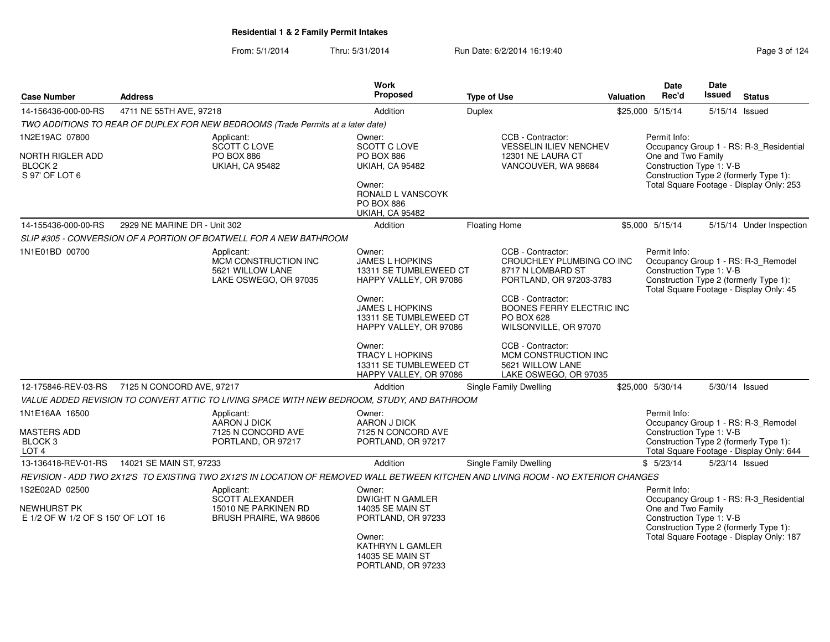| <b>Case Number</b>                                                             | <b>Address</b>               |                                                                                                                                    | <b>Work</b><br><b>Proposed</b>                                                                                                                                                                                   | <b>Type of Use</b>   |                                                                                                                                                                                                                                             | <b>Valuation</b> | <b>Date</b><br>Rec'd                                           | Date<br>Issued | <b>Status</b>                                                                                                                 |
|--------------------------------------------------------------------------------|------------------------------|------------------------------------------------------------------------------------------------------------------------------------|------------------------------------------------------------------------------------------------------------------------------------------------------------------------------------------------------------------|----------------------|---------------------------------------------------------------------------------------------------------------------------------------------------------------------------------------------------------------------------------------------|------------------|----------------------------------------------------------------|----------------|-------------------------------------------------------------------------------------------------------------------------------|
| 14-156436-000-00-RS                                                            | 4711 NE 55TH AVE, 97218      |                                                                                                                                    | Addition                                                                                                                                                                                                         | Duplex               |                                                                                                                                                                                                                                             |                  | \$25,000 5/15/14                                               |                | 5/15/14 Issued                                                                                                                |
|                                                                                |                              | TWO ADDITIONS TO REAR OF DUPLEX FOR NEW BEDROOMS (Trade Permits at a later date)                                                   |                                                                                                                                                                                                                  |                      |                                                                                                                                                                                                                                             |                  |                                                                |                |                                                                                                                               |
| 1N2E19AC 07800                                                                 |                              | Applicant:                                                                                                                         | Owner:                                                                                                                                                                                                           |                      | CCB - Contractor:                                                                                                                                                                                                                           |                  | Permit Info:                                                   |                |                                                                                                                               |
| <b>NORTH RIGLER ADD</b><br>BLOCK 2<br>S 97' OF LOT 6                           |                              | SCOTT C LOVE<br><b>PO BOX 886</b><br><b>UKIAH, CA 95482</b>                                                                        | SCOTT C LOVE<br><b>PO BOX 886</b><br><b>UKIAH, CA 95482</b><br>Owner:<br><b>RONALD L VANSCOYK</b><br><b>PO BOX 886</b><br><b>UKIAH, CA 95482</b>                                                                 |                      | <b>VESSELIN ILIEV NENCHEV</b><br>12301 NE LAURA CT<br>VANCOUVER, WA 98684                                                                                                                                                                   |                  | One and Two Family<br>Construction Type 1: V-B                 |                | Occupancy Group 1 - RS: R-3_Residential<br>Construction Type 2 (formerly Type 1):<br>Total Square Footage - Display Only: 253 |
| 14-155436-000-00-RS                                                            | 2929 NE MARINE DR - Unit 302 |                                                                                                                                    | Addition                                                                                                                                                                                                         | <b>Floating Home</b> |                                                                                                                                                                                                                                             |                  | \$5,000 5/15/14                                                |                | 5/15/14 Under Inspection                                                                                                      |
|                                                                                |                              | SLIP #305 - CONVERSION OF A PORTION OF BOATWELL FOR A NEW BATHROOM                                                                 |                                                                                                                                                                                                                  |                      |                                                                                                                                                                                                                                             |                  |                                                                |                |                                                                                                                               |
| 1N1E01BD 00700                                                                 |                              | Applicant:<br>MCM CONSTRUCTION INC<br>5621 WILLOW LANE<br>LAKE OSWEGO, OR 97035                                                    | Owner:<br><b>JAMES L HOPKINS</b><br>13311 SE TUMBLEWEED CT<br>HAPPY VALLEY, OR 97086<br>Owner:<br><b>JAMES L HOPKINS</b><br>13311 SE TUMBLEWEED CT<br>HAPPY VALLEY, OR 97086<br>Owner:<br><b>TRACY L HOPKINS</b> |                      | CCB - Contractor:<br>CROUCHLEY PLUMBING CO INC<br>8717 N LOMBARD ST<br>PORTLAND, OR 97203-3783<br>CCB - Contractor:<br>BOONES FERRY ELECTRIC INC<br><b>PO BOX 628</b><br>WILSONVILLE, OR 97070<br>CCB - Contractor:<br>MCM CONSTRUCTION INC |                  | Permit Info:<br>Construction Type 1: V-B                       |                | Occupancy Group 1 - RS: R-3_Remodel<br>Construction Type 2 (formerly Type 1):<br>Total Square Footage - Display Only: 45      |
|                                                                                |                              |                                                                                                                                    | 13311 SE TUMBLEWEED CT<br>HAPPY VALLEY, OR 97086                                                                                                                                                                 |                      | 5621 WILLOW LANE<br>LAKE OSWEGO, OR 97035                                                                                                                                                                                                   |                  |                                                                |                |                                                                                                                               |
| 12-175846-REV-03-RS                                                            | 7125 N CONCORD AVE, 97217    |                                                                                                                                    | Addition                                                                                                                                                                                                         |                      | Single Family Dwelling                                                                                                                                                                                                                      |                  | \$25,000 5/30/14                                               |                | 5/30/14 Issued                                                                                                                |
|                                                                                |                              | VALUE ADDED REVISION TO CONVERT ATTIC TO LIVING SPACE WITH NEW BEDROOM, STUDY, AND BATHROOM                                        |                                                                                                                                                                                                                  |                      |                                                                                                                                                                                                                                             |                  |                                                                |                |                                                                                                                               |
| 1N1E16AA 16500<br><b>MASTERS ADD</b><br>BLOCK <sub>3</sub><br>LOT <sub>4</sub> |                              | Applicant:<br>AARON J DICK<br>7125 N CONCORD AVE<br>PORTLAND, OR 97217                                                             | Owner:<br>AARON J DICK<br>7125 N CONCORD AVE<br>PORTLAND, OR 97217                                                                                                                                               |                      |                                                                                                                                                                                                                                             |                  | Permit Info:<br>Construction Type 1: V-B                       |                | Occupancy Group 1 - RS: R-3_Remodel<br>Construction Type 2 (formerly Type 1):<br>Total Square Footage - Display Only: 644     |
| 13-136418-REV-01-RS                                                            | 14021 SE MAIN ST, 97233      |                                                                                                                                    | Addition                                                                                                                                                                                                         |                      | Single Family Dwelling                                                                                                                                                                                                                      |                  | \$5/23/14                                                      |                | 5/23/14 Issued                                                                                                                |
|                                                                                |                              | REVISION - ADD TWO 2X12'S TO EXISTING TWO 2X12'S IN LOCATION OF REMOVED WALL BETWEEN KITCHEN AND LIVING ROOM - NO EXTERIOR CHANGES |                                                                                                                                                                                                                  |                      |                                                                                                                                                                                                                                             |                  |                                                                |                |                                                                                                                               |
| 1S2E02AD 02500<br><b>NEWHURST PK</b><br>E 1/2 OF W 1/2 OF S 150' OF LOT 16     |                              | Applicant:<br><b>SCOTT ALEXANDER</b><br>15010 NE PARKINEN RD<br>BRUSH PRAIRE, WA 98606                                             | Owner:<br><b>DWIGHT N GAMLER</b><br><b>14035 SE MAIN ST</b><br>PORTLAND, OR 97233<br>Owner:<br>KATHRYN L GAMLER<br><b>14035 SE MAIN ST</b><br>PORTLAND, OR 97233                                                 |                      |                                                                                                                                                                                                                                             |                  | Permit Info:<br>One and Two Family<br>Construction Type 1: V-B |                | Occupancy Group 1 - RS: R-3_Residential<br>Construction Type 2 (formerly Type 1):<br>Total Square Footage - Display Only: 187 |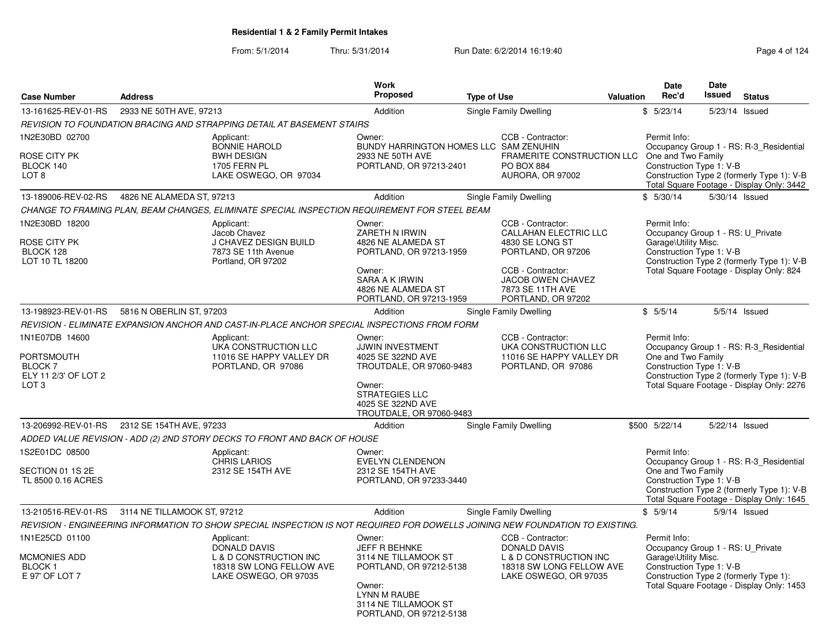| <b>Case Number</b>                                                                        | <b>Address</b>              |                                                                                                                               | <b>Work</b><br>Proposed                                                                                                                                         | <b>Type of Use</b>                                                                                                                                                             | Valuation | <b>Date</b><br>Rec'd                                                                                  | Date<br>Issued | <b>Status</b>                                                                                                                      |
|-------------------------------------------------------------------------------------------|-----------------------------|-------------------------------------------------------------------------------------------------------------------------------|-----------------------------------------------------------------------------------------------------------------------------------------------------------------|--------------------------------------------------------------------------------------------------------------------------------------------------------------------------------|-----------|-------------------------------------------------------------------------------------------------------|----------------|------------------------------------------------------------------------------------------------------------------------------------|
| 13-161625-REV-01-RS                                                                       | 2933 NE 50TH AVE, 97213     |                                                                                                                               | Addition                                                                                                                                                        | Single Family Dwelling                                                                                                                                                         |           | \$5/23/14                                                                                             | 5/23/14 Issued |                                                                                                                                    |
|                                                                                           |                             | REVISION TO FOUNDATION BRACING AND STRAPPING DETAIL AT BASEMENT STAIRS                                                        |                                                                                                                                                                 |                                                                                                                                                                                |           |                                                                                                       |                |                                                                                                                                    |
| 1N2E30BD 02700<br>ROSE CITY PK<br>BLOCK 140<br>LOT <sub>8</sub>                           |                             | Applicant:<br><b>BONNIE HAROLD</b><br><b>BWH DESIGN</b><br><b>1705 FERN PL</b><br>LAKE OSWEGO, OR 97034                       | Owner:<br>BUNDY HARRINGTON HOMES LLC SAM ZENUHIN<br>2933 NE 50TH AVE<br>PORTLAND, OR 97213-2401                                                                 | CCB - Contractor:<br>FRAMERITE CONSTRUCTION LLC<br><b>PO BOX 884</b><br>AURORA, OR 97002                                                                                       |           | Permit Info:<br>One and Two Family<br>Construction Type 1: V-B                                        |                | Occupancy Group 1 - RS: R-3 Residential<br>Construction Type 2 (formerly Type 1): V-B<br>Total Square Footage - Display Only: 3442 |
| 13-189006-REV-02-RS                                                                       | 4826 NE ALAMEDA ST, 97213   |                                                                                                                               | Addition                                                                                                                                                        | Single Family Dwelling                                                                                                                                                         |           | \$5/30/14                                                                                             | 5/30/14 Issued |                                                                                                                                    |
|                                                                                           |                             | CHANGE TO FRAMING PLAN. BEAM CHANGES. ELIMINATE SPECIAL INSPECTION REQUIREMENT FOR STEEL BEAM                                 |                                                                                                                                                                 |                                                                                                                                                                                |           |                                                                                                       |                |                                                                                                                                    |
| 1N2E30BD 18200<br>ROSE CITY PK<br>BLOCK 128<br>LOT 10 TL 18200                            |                             | Applicant:<br>Jacob Chavez<br>J CHAVEZ DESIGN BUILD<br>7873 SE 11th Avenue<br>Portland, OR 97202                              | Owner:<br>ZARETH N IRWIN<br>4826 NE ALAMEDA ST<br>PORTLAND, OR 97213-1959<br>Owner:<br>SARA A K IRWIN<br>4826 NE ALAMEDA ST<br>PORTLAND, OR 97213-1959          | CCB - Contractor:<br><b>CALLAHAN ELECTRIC LLC</b><br>4830 SE LONG ST<br>PORTLAND, OR 97206<br>CCB - Contractor:<br>JACOB OWEN CHAVEZ<br>7873 SE 11TH AVE<br>PORTLAND, OR 97202 |           | Permit Info:<br>Occupancy Group 1 - RS: U_Private<br>Garage\Utility Misc.<br>Construction Type 1: V-B |                | Construction Type 2 (formerly Type 1): V-B<br>Total Square Footage - Display Only: 824                                             |
| 13-198923-REV-01-RS                                                                       | 5816 N OBERLIN ST, 97203    |                                                                                                                               | Addition                                                                                                                                                        | Single Family Dwelling                                                                                                                                                         |           | \$5/5/14                                                                                              |                | $5/5/14$ Issued                                                                                                                    |
|                                                                                           |                             | REVISION - ELIMINATE EXPANSION ANCHOR AND CAST-IN-PLACE ANCHOR SPECIAL INSPECTIONS FROM FORM                                  |                                                                                                                                                                 |                                                                                                                                                                                |           |                                                                                                       |                |                                                                                                                                    |
| 1N1E07DB 14600<br>PORTSMOUTH<br><b>BLOCK7</b><br>ELY 11 2/3' OF LOT 2<br>LOT <sub>3</sub> |                             | Applicant:<br>UKA CONSTRUCTION LLC<br>11016 SE HAPPY VALLEY DR<br>PORTLAND, OR 97086                                          | Owner:<br>JJWIN INVESTMENT<br>4025 SE 322ND AVE<br>TROUTDALE, OR 97060-9483<br>Owner:<br><b>STRATEGIES LLC</b><br>4025 SE 322ND AVE<br>TROUTDALE, OR 97060-9483 | CCB - Contractor:<br>UKA CONSTRUCTION LLC<br>11016 SE HAPPY VALLEY DR<br>PORTLAND, OR 97086                                                                                    |           | Permit Info:<br>One and Two Family<br>Construction Type 1: V-B                                        |                | Occupancy Group 1 - RS: R-3_Residential<br>Construction Type 2 (formerly Type 1): V-B<br>Total Square Footage - Display Only: 2276 |
| 13-206992-REV-01-RS                                                                       | 2312 SE 154TH AVE, 97233    |                                                                                                                               | Addition                                                                                                                                                        | Single Family Dwelling                                                                                                                                                         |           | \$500 5/22/14                                                                                         | 5/22/14 Issued |                                                                                                                                    |
|                                                                                           |                             | ADDED VALUE REVISION - ADD (2) 2ND STORY DECKS TO FRONT AND BACK OF HOUSE                                                     |                                                                                                                                                                 |                                                                                                                                                                                |           |                                                                                                       |                |                                                                                                                                    |
| 1S2E01DC 08500<br>SECTION 01 1S 2E<br>TL 8500 0.16 ACRES                                  |                             | Applicant:<br><b>CHRIS LARIOS</b><br>2312 SE 154TH AVE                                                                        | Owner:<br><b>EVELYN CLENDENON</b><br>2312 SE 154TH AVE<br>PORTLAND, OR 97233-3440                                                                               |                                                                                                                                                                                |           | Permit Info:<br>One and Two Family<br>Construction Type 1: V-B                                        |                | Occupancy Group 1 - RS: R-3_Residential<br>Construction Type 2 (formerly Type 1): V-B<br>Total Square Footage - Display Only: 1645 |
| 13-210516-REV-01-RS                                                                       | 3114 NE TILLAMOOK ST, 97212 |                                                                                                                               | Addition                                                                                                                                                        | Single Family Dwelling                                                                                                                                                         |           | \$5/9/14                                                                                              |                | 5/9/14 Issued                                                                                                                      |
|                                                                                           |                             | REVISION - ENGINEERING INFORMATION TO SHOW SPECIAL INSPECTION IS NOT REQUIRED FOR DOWELLS JOINING NEW FOUNDATION TO EXISTING. |                                                                                                                                                                 |                                                                                                                                                                                |           |                                                                                                       |                |                                                                                                                                    |
| 1N1E25CD 01100<br>MCMONIES ADD<br><b>BLOCK1</b><br>E 97' OF LOT 7                         |                             | Applicant:<br><b>DONALD DAVIS</b><br>L & D CONSTRUCTION INC<br>18318 SW LONG FELLOW AVE<br>LAKE OSWEGO, OR 97035              | Owner:<br><b>JEFF R BEHNKE</b><br>3114 NE TILLAMOOK ST<br>PORTLAND, OR 97212-5138<br>Owner:<br>LYNN M RAUBE<br>3114 NE TILLAMOOK ST<br>PORTLAND, OR 97212-5138  | CCB - Contractor:<br><b>DONALD DAVIS</b><br>L & D CONSTRUCTION INC<br>18318 SW LONG FELLOW AVE<br>LAKE OSWEGO, OR 97035                                                        |           | Permit Info:<br>Occupancy Group 1 - RS: U Private<br>Garage\Utility Misc.<br>Construction Type 1: V-B |                | Construction Type 2 (formerly Type 1):<br>Total Square Footage - Display Only: 1453                                                |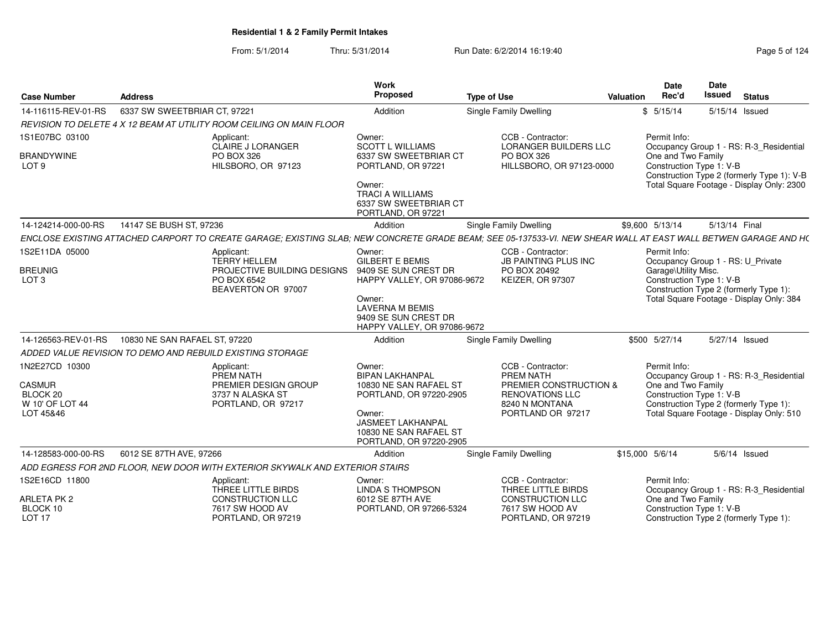| <b>Case Number</b>                                                   | <b>Address</b>                                                                                                                                                 | Work<br>Proposed                                                                                                                                                                 | <b>Type of Use</b>                                                                                                        | <b>Date</b><br>Rec'd<br>Valuation  | Date<br>Issued                                                     | <b>Status</b>                                                                         |
|----------------------------------------------------------------------|----------------------------------------------------------------------------------------------------------------------------------------------------------------|----------------------------------------------------------------------------------------------------------------------------------------------------------------------------------|---------------------------------------------------------------------------------------------------------------------------|------------------------------------|--------------------------------------------------------------------|---------------------------------------------------------------------------------------|
| 14-116115-REV-01-RS                                                  | 6337 SW SWEETBRIAR CT, 97221                                                                                                                                   | Addition                                                                                                                                                                         | <b>Single Family Dwelling</b>                                                                                             | \$5/15/14                          | 5/15/14 Issued                                                     |                                                                                       |
|                                                                      | REVISION TO DELETE 4 X 12 BEAM AT UTILITY ROOM CEILING ON MAIN FLOOR                                                                                           |                                                                                                                                                                                  |                                                                                                                           |                                    |                                                                    |                                                                                       |
| 1S1E07BC 03100                                                       | Applicant:                                                                                                                                                     | Owner:                                                                                                                                                                           | CCB - Contractor:                                                                                                         | Permit Info:                       |                                                                    |                                                                                       |
| <b>BRANDYWINE</b><br>LOT <sub>9</sub>                                | <b>CLAIRE J LORANGER</b><br>PO BOX 326<br>HILSBORO, OR 97123                                                                                                   | <b>SCOTT L WILLIAMS</b><br>6337 SW SWEETBRIAR CT<br>PORTLAND, OR 97221                                                                                                           | <b>LORANGER BUILDERS LLC</b><br>PO BOX 326<br>HILLSBORO, OR 97123-0000                                                    | One and Two Family                 | Construction Type 1: V-B                                           | Occupancy Group 1 - RS: R-3_Residential<br>Construction Type 2 (formerly Type 1): V-B |
|                                                                      |                                                                                                                                                                | Owner:<br><b>TRACI A WILLIAMS</b><br>6337 SW SWEETBRIAR CT<br>PORTLAND, OR 97221                                                                                                 |                                                                                                                           |                                    |                                                                    | Total Square Footage - Display Only: 2300                                             |
| 14-124214-000-00-RS                                                  | 14147 SE BUSH ST, 97236                                                                                                                                        | Addition                                                                                                                                                                         | <b>Single Family Dwelling</b>                                                                                             | \$9.600 5/13/14                    | 5/13/14 Final                                                      |                                                                                       |
|                                                                      | ENCLOSE EXISTING ATTACHED CARPORT TO CREATE GARAGE: EXISTING SLAB: NEW CONCRETE GRADE BEAM: SEE 05-137533-VI. NEW SHEAR WALL AT EAST WALL BETWEN GARAGE AND HO |                                                                                                                                                                                  |                                                                                                                           |                                    |                                                                    |                                                                                       |
| 1S2E11DA 05000                                                       | Applicant:<br><b>TERRY HELLEM</b>                                                                                                                              | Owner:<br><b>GILBERT E BEMIS</b>                                                                                                                                                 | CCB - Contractor:<br><b>JB PAINTING PLUS INC</b>                                                                          | Permit Info:                       | Occupancy Group 1 - RS: U Private                                  |                                                                                       |
| <b>BREUNIG</b><br>LOT <sub>3</sub>                                   | PROJECTIVE BUILDING DESIGNS<br>PO BOX 6542<br>BEAVERTON OR 97007                                                                                               | 9409 SE SUN CREST DR<br>HAPPY VALLEY, OR 97086-9672<br>Owner:<br><b>LAVERNA M BEMIS</b><br>9409 SE SUN CREST DR                                                                  | PO BOX 20492<br><b>KEIZER, OR 97307</b>                                                                                   | Garage\Utility Misc.               | Construction Type 1: V-B<br>Construction Type 2 (formerly Type 1): | Total Square Footage - Display Only: 384                                              |
| 14-126563-REV-01-RS                                                  | 10830 NE SAN RAFAEL ST. 97220                                                                                                                                  | HAPPY VALLEY, OR 97086-9672<br>Addition                                                                                                                                          | <b>Single Family Dwelling</b>                                                                                             | \$500 5/27/14                      | 5/27/14 Issued                                                     |                                                                                       |
|                                                                      |                                                                                                                                                                |                                                                                                                                                                                  |                                                                                                                           |                                    |                                                                    |                                                                                       |
|                                                                      | ADDED VALUE REVISION TO DEMO AND REBUILD EXISTING STORAGE                                                                                                      |                                                                                                                                                                                  |                                                                                                                           |                                    |                                                                    |                                                                                       |
| 1N2E27CD 10300<br>CASMUR<br>BLOCK 20<br>W 10' OF LOT 44<br>LOT 45&46 | Applicant:<br>PREM NATH<br>PREMIER DESIGN GROUP<br>3737 N ALASKA ST<br>PORTLAND, OR 97217                                                                      | Owner:<br><b>BIPAN LAKHANPAL</b><br>10830 NE SAN RAFAEL ST<br>PORTLAND, OR 97220-2905<br>Owner:<br><b>JASMEET LAKHANPAL</b><br>10830 NE SAN RAFAEL ST<br>PORTLAND, OR 97220-2905 | CCB - Contractor:<br>PREM NATH<br>PREMIER CONSTRUCTION &<br><b>RENOVATIONS LLC</b><br>8240 N MONTANA<br>PORTLAND OR 97217 | Permit Info:<br>One and Two Family | Construction Type 1: V-B<br>Construction Type 2 (formerly Type 1): | Occupancy Group 1 - RS: R-3_Residential<br>Total Square Footage - Display Only: 510   |
| 14-128583-000-00-RS                                                  | 6012 SE 87TH AVE, 97266                                                                                                                                        | Addition                                                                                                                                                                         | Single Family Dwelling                                                                                                    | \$15,000 5/6/14                    | $5/6/14$ Issued                                                    |                                                                                       |
|                                                                      | ADD EGRESS FOR 2ND FLOOR. NEW DOOR WITH EXTERIOR SKYWALK AND EXTERIOR STAIRS                                                                                   |                                                                                                                                                                                  |                                                                                                                           |                                    |                                                                    |                                                                                       |
| 1S2E16CD 11800                                                       | Applicant:<br>THREE LITTLE BIRDS                                                                                                                               | Owner:<br><b>LINDA S THOMPSON</b>                                                                                                                                                | CCB - Contractor:<br>THREE LITTLE BIRDS                                                                                   | Permit Info:                       |                                                                    | Occupancy Group 1 - RS: R-3_Residential                                               |
| <b>ARLETA PK2</b><br>BLOCK 10<br>LOT <sub>17</sub>                   | <b>CONSTRUCTION LLC</b><br>7617 SW HOOD AV<br>PORTLAND, OR 97219                                                                                               | 6012 SE 87TH AVE<br>PORTLAND, OR 97266-5324                                                                                                                                      | <b>CONSTRUCTION LLC</b><br>7617 SW HOOD AV<br>PORTLAND, OR 97219                                                          | One and Two Family                 | Construction Type 1: V-B<br>Construction Type 2 (formerly Type 1): |                                                                                       |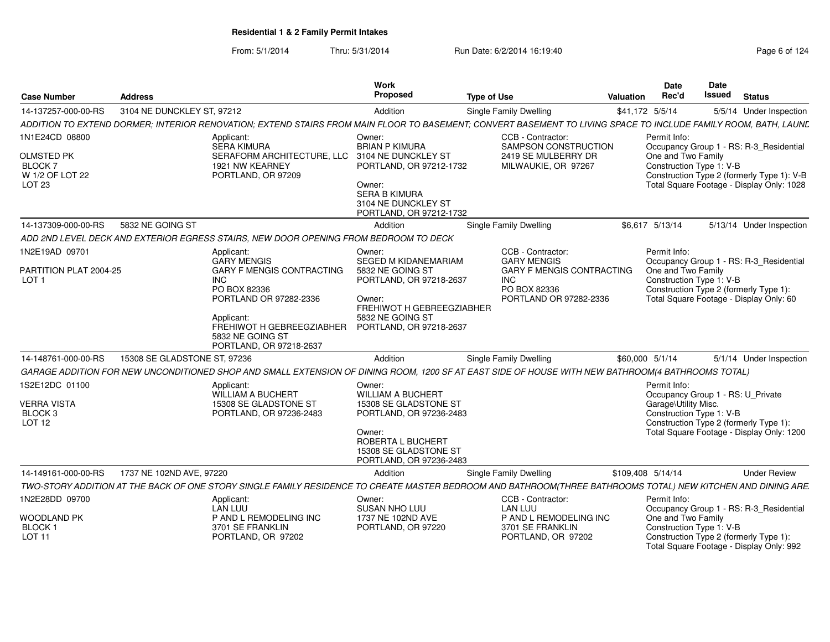| <b>Case Number</b>                                                              | <b>Address</b>               |                                                                                                                                                                              | Work<br>Proposed                                                                                                                                                          | <b>Type of Use</b> |                                                                                          | <b>Valuation</b> | <b>Date</b><br>Rec'd                 | Date<br><b>Issued</b>                                         | <b>Status</b>                                                                           |
|---------------------------------------------------------------------------------|------------------------------|------------------------------------------------------------------------------------------------------------------------------------------------------------------------------|---------------------------------------------------------------------------------------------------------------------------------------------------------------------------|--------------------|------------------------------------------------------------------------------------------|------------------|--------------------------------------|---------------------------------------------------------------|-----------------------------------------------------------------------------------------|
| 14-137257-000-00-RS                                                             | 3104 NE DUNCKLEY ST, 97212   |                                                                                                                                                                              | Addition                                                                                                                                                                  |                    | Single Family Dwelling                                                                   |                  | \$41,172 5/5/14                      |                                                               | 5/5/14 Under Inspection                                                                 |
|                                                                                 |                              | ADDITION TO EXTEND DORMER; INTERIOR RENOVATION; EXTEND STAIRS FROM MAIN FLOOR TO BASEMENT; CONVERT BASEMENT TO LIVING SPACE TO INCLUDE FAMILY ROOM, BATH, LAUNL              |                                                                                                                                                                           |                    |                                                                                          |                  |                                      |                                                               |                                                                                         |
| 1N1E24CD 08800                                                                  |                              | Applicant:<br><b>SERA KIMURA</b>                                                                                                                                             | Owner:<br><b>BRIAN P KIMURA</b>                                                                                                                                           |                    | CCB - Contractor:<br>SAMPSON CONSTRUCTION                                                |                  | Permit Info:                         |                                                               | Occupancy Group 1 - RS: R-3_Residential                                                 |
| <b>OLMSTED PK</b><br><b>BLOCK7</b><br>W 1/2 OF LOT 22<br>LOT <sub>23</sub>      |                              | SERAFORM ARCHITECTURE, LLC<br>1921 NW KEARNEY<br>PORTLAND, OR 97209                                                                                                          | 3104 NE DUNCKLEY ST<br>PORTLAND, OR 97212-1732<br>Owner:<br><b>SERA B KIMURA</b><br>3104 NE DUNCKLEY ST<br>PORTLAND, OR 97212-1732                                        |                    | 2419 SE MULBERRY DR<br>MILWAUKIE, OR 97267                                               |                  | One and Two Family                   | Construction Type 1: V-B                                      | Construction Type 2 (formerly Type 1): V-B<br>Total Square Footage - Display Only: 1028 |
| 14-137309-000-00-RS                                                             | 5832 NE GOING ST             |                                                                                                                                                                              | Addition                                                                                                                                                                  |                    | Single Family Dwelling                                                                   |                  | \$6,617 5/13/14                      |                                                               | 5/13/14 Under Inspection                                                                |
|                                                                                 |                              | ADD 2ND LEVEL DECK AND EXTERIOR EGRESS STAIRS. NEW DOOR OPENING FROM BEDROOM TO DECK                                                                                         |                                                                                                                                                                           |                    |                                                                                          |                  |                                      |                                                               |                                                                                         |
| 1N2E19AD 09701                                                                  |                              | Applicant:<br><b>GARY MENGIS</b>                                                                                                                                             | Owner:<br><b>SEGED M KIDANEMARIAM</b>                                                                                                                                     |                    | CCB - Contractor:<br><b>GARY MENGIS</b>                                                  |                  | Permit Info:                         |                                                               | Occupancy Group 1 - RS: R-3_Residential                                                 |
| PARTITION PLAT 2004-25<br>LOT <sub>1</sub>                                      |                              | <b>GARY F MENGIS CONTRACTING</b><br>INC.<br>PO BOX 82336<br>PORTLAND OR 97282-2336<br>Applicant:<br>FREHIWOT H GEBREEGZIABHER<br>5832 NE GOING ST<br>PORTLAND, OR 97218-2637 | 5832 NE GOING ST<br>PORTLAND, OR 97218-2637<br>Owner:<br>FREHIWOT H GEBREEGZIABHER<br>5832 NE GOING ST<br>PORTLAND, OR 97218-2637                                         |                    | <b>GARY F MENGIS CONTRACTING</b><br><b>INC</b><br>PO BOX 82336<br>PORTLAND OR 97282-2336 |                  | One and Two Family                   | Construction Type 1: V-B                                      | Construction Type 2 (formerly Type 1):<br>Total Square Footage - Display Only: 60       |
| 14-148761-000-00-RS                                                             | 15308 SE GLADSTONE ST, 97236 |                                                                                                                                                                              | Addition                                                                                                                                                                  |                    | <b>Single Family Dwelling</b>                                                            |                  | \$60,000 5/1/14                      |                                                               | 5/1/14 Under Inspection                                                                 |
|                                                                                 |                              | GARAGE ADDITION FOR NEW UNCONDITIONED SHOP AND SMALL EXTENSION OF DINING ROOM, 1200 SF AT EAST SIDE OF HOUSE WITH NEW BATHROOM(4 BATHROOMS TOTAL)                            |                                                                                                                                                                           |                    |                                                                                          |                  |                                      |                                                               |                                                                                         |
| 1S2E12DC 01100<br><b>VERRA VISTA</b><br>BLOCK <sub>3</sub><br>LOT <sub>12</sub> |                              | Applicant:<br>WILLIAM A BUCHERT<br>15308 SE GLADSTONE ST<br>PORTLAND, OR 97236-2483                                                                                          | Owner:<br><b>WILLIAM A BUCHERT</b><br>15308 SE GLADSTONE ST<br>PORTLAND, OR 97236-2483<br>Owner:<br>ROBERTA L BUCHERT<br>15308 SE GLADSTONE ST<br>PORTLAND, OR 97236-2483 |                    |                                                                                          |                  | Permit Info:<br>Garage\Utility Misc. | Occupancy Group 1 - RS: U Private<br>Construction Type 1: V-B | Construction Type 2 (formerly Type 1):<br>Total Square Footage - Display Only: 1200     |
| 14-149161-000-00-RS                                                             | 1737 NE 102ND AVE, 97220     |                                                                                                                                                                              | Addition                                                                                                                                                                  |                    | Single Family Dwelling                                                                   |                  | \$109,408 5/14/14                    |                                                               | <b>Under Review</b>                                                                     |
|                                                                                 |                              | TWO-STORY ADDITION AT THE BACK OF ONE STORY SINGLE FAMILY RESIDENCE TO CREATE MASTER BEDROOM AND BATHROOM(THREE BATHROOMS TOTAL) NEW KITCHEN AND DINING ARE.                 |                                                                                                                                                                           |                    |                                                                                          |                  |                                      |                                                               |                                                                                         |
| 1N2E28DD 09700                                                                  |                              | Applicant:<br><b>LAN LUU</b>                                                                                                                                                 | Owner:<br>SUSAN NHO LUU                                                                                                                                                   |                    | CCB - Contractor:<br><b>LAN LUU</b>                                                      |                  | Permit Info:                         |                                                               | Occupancy Group 1 - RS: R-3_Residential                                                 |
| <b>WOODLAND PK</b><br><b>BLOCK1</b><br><b>LOT 11</b>                            |                              | P AND L REMODELING INC<br>3701 SE FRANKLIN<br>PORTLAND, OR 97202                                                                                                             | 1737 NE 102ND AVE<br>PORTLAND, OR 97220                                                                                                                                   |                    | P AND L REMODELING INC<br>3701 SE FRANKLIN<br>PORTLAND, OR 97202                         |                  | One and Two Family                   | Construction Type 1: V-B                                      | Construction Type 2 (formerly Type 1):<br>Total Square Footage - Display Only: 992      |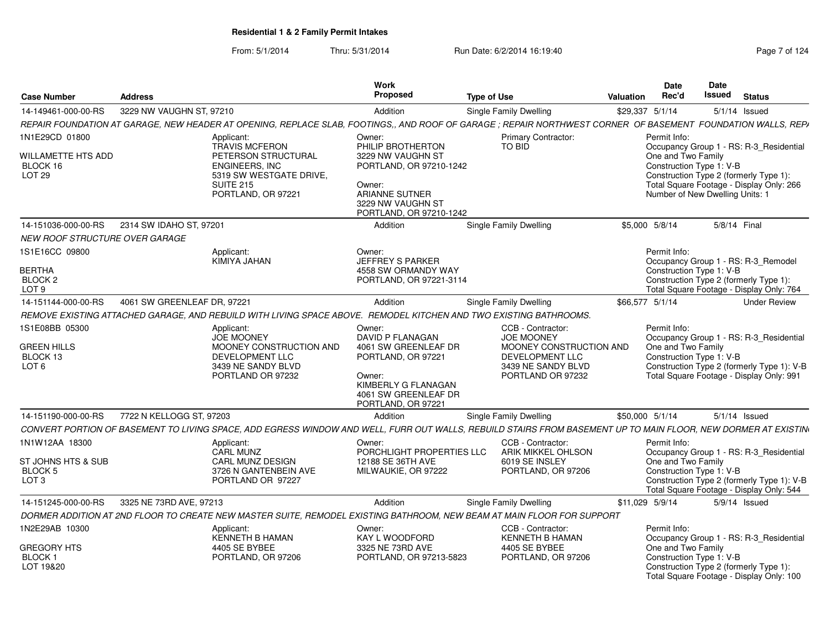| <b>Case Number</b>                                                         | <b>Address</b>              |                                                                                                                                                               | Work<br>Proposed                                                                                                                                               | <b>Type of Use</b> |                                                                                                                                 | <b>Valuation</b> | Date<br>Rec'd                                                                                                                                                                                                                      | Date<br><b>Issued</b> | <b>Status</b>   |                     |
|----------------------------------------------------------------------------|-----------------------------|---------------------------------------------------------------------------------------------------------------------------------------------------------------|----------------------------------------------------------------------------------------------------------------------------------------------------------------|--------------------|---------------------------------------------------------------------------------------------------------------------------------|------------------|------------------------------------------------------------------------------------------------------------------------------------------------------------------------------------------------------------------------------------|-----------------------|-----------------|---------------------|
| 14-149461-000-00-RS                                                        | 3229 NW VAUGHN ST, 97210    |                                                                                                                                                               | Addition                                                                                                                                                       |                    | <b>Single Family Dwelling</b>                                                                                                   | \$29,337 5/1/14  |                                                                                                                                                                                                                                    |                       | $5/1/14$ Issued |                     |
|                                                                            |                             | REPAIR FOUNDATION AT GARAGE, NEW HEADER AT OPENING, REPLACE SLAB, FOOTINGS,, AND ROOF OF GARAGE; REPAIR NORTHWEST CORNER OF BASEMENT FOUNDATION WALLS, REPA   |                                                                                                                                                                |                    |                                                                                                                                 |                  |                                                                                                                                                                                                                                    |                       |                 |                     |
| 1N1E29CD 01800<br>WILLAMETTE HTS ADD<br>BLOCK 16<br><b>LOT 29</b>          |                             | Applicant:<br><b>TRAVIS MCFERON</b><br>PETERSON STRUCTURAL<br><b>ENGINEERS, INC</b><br>5319 SW WESTGATE DRIVE,<br><b>SUITE 215</b><br>PORTLAND, OR 97221      | Owner:<br>PHILIP BROTHERTON<br>3229 NW VAUGHN ST<br>PORTLAND, OR 97210-1242<br>Owner:<br><b>ARIANNE SUTNER</b><br>3229 NW VAUGHN ST<br>PORTLAND, OR 97210-1242 |                    | <b>Primary Contractor:</b><br>TO BID                                                                                            |                  | Permit Info:<br>Occupancy Group 1 - RS: R-3_Residential<br>One and Two Family<br>Construction Type 1: V-B<br>Construction Type 2 (formerly Type 1):<br>Total Square Footage - Display Only: 266<br>Number of New Dwelling Units: 1 |                       |                 |                     |
| 14-151036-000-00-RS                                                        | 2314 SW IDAHO ST, 97201     |                                                                                                                                                               | Addition                                                                                                                                                       |                    | <b>Single Family Dwelling</b>                                                                                                   |                  | \$5,000 5/8/14                                                                                                                                                                                                                     |                       | 5/8/14 Final    |                     |
| NEW ROOF STRUCTURE OVER GARAGE                                             |                             |                                                                                                                                                               |                                                                                                                                                                |                    |                                                                                                                                 |                  |                                                                                                                                                                                                                                    |                       |                 |                     |
| 1S1E16CC 09800<br>BERTHA<br>BLOCK <sub>2</sub><br>LOT 9                    |                             | Applicant:<br>KIMIYA JAHAN                                                                                                                                    | Owner:<br><b>JEFFREY S PARKER</b><br>4558 SW ORMANDY WAY<br>PORTLAND, OR 97221-3114                                                                            |                    |                                                                                                                                 |                  | Permit Info:<br>Occupancy Group 1 - RS: R-3_Remodel<br>Construction Type 1: V-B<br>Construction Type 2 (formerly Type 1):<br>Total Square Footage - Display Only: 764                                                              |                       |                 |                     |
| 14-151144-000-00-RS                                                        | 4061 SW GREENLEAF DR, 97221 |                                                                                                                                                               | Addition                                                                                                                                                       |                    | Single Family Dwelling                                                                                                          | \$66,577 5/1/14  |                                                                                                                                                                                                                                    |                       |                 | <b>Under Review</b> |
|                                                                            |                             | REMOVE EXISTING ATTACHED GARAGE, AND REBUILD WITH LIVING SPACE ABOVE. REMODEL KITCHEN AND TWO EXISTING BATHROOMS.                                             |                                                                                                                                                                |                    |                                                                                                                                 |                  |                                                                                                                                                                                                                                    |                       |                 |                     |
| 1S1E08BB 05300<br><b>GREEN HILLS</b><br>BLOCK 13<br>LOT <sub>6</sub>       |                             | Applicant:<br><b>JOE MOONEY</b><br>MOONEY CONSTRUCTION AND<br>DEVELOPMENT LLC<br>3439 NE SANDY BLVD<br>PORTLAND OR 97232                                      | Owner:<br><b>DAVID P FLANAGAN</b><br>4061 SW GREENLEAF DR<br>PORTLAND, OR 97221<br>Owner:<br>KIMBERLY G FLANAGAN<br>4061 SW GREENLEAF DR<br>PORTLAND, OR 97221 |                    | CCB - Contractor:<br><b>JOE MOONEY</b><br>MOONEY CONSTRUCTION AND<br>DEVELOPMENT LLC<br>3439 NE SANDY BLVD<br>PORTLAND OR 97232 |                  | Permit Info:<br>Occupancy Group 1 - RS: R-3 Residential<br>One and Two Family<br>Construction Type 1: V-B<br>Construction Type 2 (formerly Type 1): V-B<br>Total Square Footage - Display Only: 991                                |                       |                 |                     |
| 14-151190-000-00-RS                                                        | 7722 N KELLOGG ST. 97203    |                                                                                                                                                               | Addition                                                                                                                                                       |                    | <b>Single Family Dwelling</b>                                                                                                   | \$50,000 5/1/14  |                                                                                                                                                                                                                                    |                       | $5/1/14$ Issued |                     |
|                                                                            |                             | CONVERT PORTION OF BASEMENT TO LIVING SPACE, ADD EGRESS WINDOW AND WELL, FURR OUT WALLS, REBUILD STAIRS FROM BASEMENT UP TO MAIN FLOOR, NEW DORMER AT EXISTIN |                                                                                                                                                                |                    |                                                                                                                                 |                  |                                                                                                                                                                                                                                    |                       |                 |                     |
| 1N1W12AA 18300<br>ST JOHNS HTS & SUB<br><b>BLOCK 5</b><br>LOT <sub>3</sub> |                             | Applicant:<br>CARL MUNZ<br><b>CARL MUNZ DESIGN</b><br>3726 N GANTENBEIN AVE<br>PORTLAND OR 97227                                                              | Owner:<br>PORCHLIGHT PROPERTIES LLC<br>12188 SE 36TH AVE<br>MILWAUKIE, OR 97222                                                                                |                    | CCB - Contractor:<br>ARIK MIKKEL OHLSON<br>6019 SE INSLEY<br>PORTLAND, OR 97206                                                 |                  | Permit Info:<br>Occupancy Group 1 - RS: R-3_Residential<br>One and Two Family<br>Construction Type 1: V-B<br>Construction Type 2 (formerly Type 1): V-B<br>Total Square Footage - Display Only: 544                                |                       |                 |                     |
| 14-151245-000-00-RS                                                        | 3325 NE 73RD AVE, 97213     |                                                                                                                                                               | Addition                                                                                                                                                       |                    | <b>Single Family Dwelling</b>                                                                                                   | \$11,029 5/9/14  |                                                                                                                                                                                                                                    |                       | 5/9/14 Issued   |                     |
|                                                                            |                             | DORMER ADDITION AT 2ND FLOOR TO CREATE NEW MASTER SUITE, REMODEL EXISTING BATHROOM, NEW BEAM AT MAIN FLOOR FOR SUPPORT                                        |                                                                                                                                                                |                    |                                                                                                                                 |                  |                                                                                                                                                                                                                                    |                       |                 |                     |
| 1N2E29AB 10300<br>GREGORY HTS<br>BLOCK 1<br>LOT 19&20                      |                             | Applicant:<br><b>KENNETH B HAMAN</b><br>4405 SE BYBEE<br>PORTLAND, OR 97206                                                                                   | Owner:<br>KAY L WOODFORD<br>3325 NE 73RD AVE<br>PORTLAND, OR 97213-5823                                                                                        |                    | CCB - Contractor:<br><b>KENNETH B HAMAN</b><br>4405 SE BYBEE<br>PORTLAND, OR 97206                                              |                  | Permit Info:<br>Occupancy Group 1 - RS: R-3_Residential<br>One and Two Family<br>Construction Type 1: V-B<br>Construction Type 2 (formerly Type 1):<br>Total Square Footage - Display Only: 100                                    |                       |                 |                     |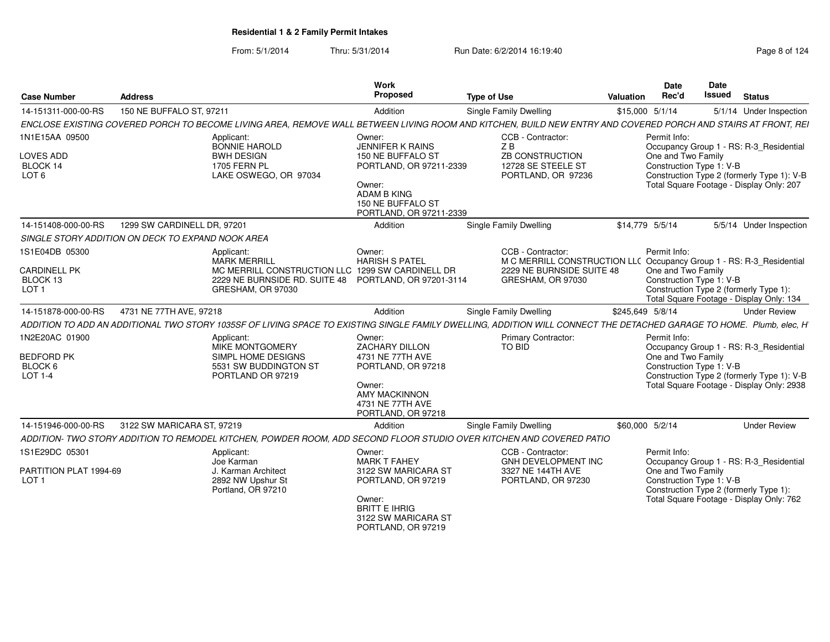| <b>Case Number</b>                                               | <b>Address</b>                                                                                                                                                       | <b>Work</b><br>Proposed                                                                                                                                           | <b>Type of Use</b>                                                                                                                          | <b>Valuation</b> | <b>Date</b><br>Rec'd                                           | <b>Date</b><br><b>Issued</b> | <b>Status</b>                                                                                                                      |
|------------------------------------------------------------------|----------------------------------------------------------------------------------------------------------------------------------------------------------------------|-------------------------------------------------------------------------------------------------------------------------------------------------------------------|---------------------------------------------------------------------------------------------------------------------------------------------|------------------|----------------------------------------------------------------|------------------------------|------------------------------------------------------------------------------------------------------------------------------------|
| 14-151311-000-00-RS                                              | 150 NE BUFFALO ST, 97211                                                                                                                                             | Addition                                                                                                                                                          | Single Family Dwelling                                                                                                                      |                  | \$15,000 5/1/14                                                |                              | 5/1/14 Under Inspection                                                                                                            |
|                                                                  | ENCLOSE EXISTING COVERED PORCH TO BECOME LIVING AREA, REMOVE WALL BETWEEN LIVING ROOM AND KITCHEN, BUILD NEW ENTRY AND COVERED PORCH AND STAIRS AT FRONT, REI        |                                                                                                                                                                   |                                                                                                                                             |                  |                                                                |                              |                                                                                                                                    |
| 1N1E15AA 09500<br>LOVES ADD<br>BLOCK 14<br>LOT <sub>6</sub>      | Applicant:<br><b>BONNIE HAROLD</b><br><b>BWH DESIGN</b><br><b>1705 FERN PL</b><br>LAKE OSWEGO, OR 97034                                                              | Owner:<br><b>JENNIFER K RAINS</b><br>150 NE BUFFALO ST<br>PORTLAND, OR 97211-2339<br>Owner:<br><b>ADAM B KING</b><br>150 NE BUFFALO ST<br>PORTLAND, OR 97211-2339 | CCB - Contractor:<br>ZB<br>ZB CONSTRUCTION<br>12728 SE STEELE ST<br>PORTLAND, OR 97236                                                      |                  | Permit Info:<br>One and Two Family<br>Construction Type 1: V-B |                              | Occupancy Group 1 - RS: R-3_Residential<br>Construction Type 2 (formerly Type 1): V-B<br>Total Square Footage - Display Only: 207  |
| 14-151408-000-00-RS                                              | 1299 SW CARDINELL DR, 97201                                                                                                                                          | Addition                                                                                                                                                          | Single Family Dwelling                                                                                                                      |                  | \$14,779 5/5/14                                                |                              | 5/5/14 Under Inspection                                                                                                            |
|                                                                  | SINGLE STORY ADDITION ON DECK TO EXPAND NOOK AREA                                                                                                                    |                                                                                                                                                                   |                                                                                                                                             |                  |                                                                |                              |                                                                                                                                    |
| 1S1E04DB 05300<br>CARDINELL PK<br>BLOCK 13<br>LOT <sub>1</sub>   | Applicant:<br><b>MARK MERRILL</b><br>MC MERRILL CONSTRUCTION LLC 1299 SW CARDINELL DR<br>2229 NE BURNSIDE RD. SUITE 48 PORTLAND, OR 97201-3114<br>GRESHAM, OR 97030  | Owner:<br><b>HARISH S PATEL</b>                                                                                                                                   | CCB - Contractor:<br>M C MERRILL CONSTRUCTION LLC Occupancy Group 1 - RS: R-3_Residential<br>2229 NE BURNSIDE SUITE 48<br>GRESHAM, OR 97030 |                  | Permit Info:<br>One and Two Family<br>Construction Type 1: V-B |                              | Construction Type 2 (formerly Type 1):<br>Total Square Footage - Display Only: 134                                                 |
| 14-151878-000-00-RS                                              | 4731 NE 77TH AVE, 97218                                                                                                                                              | Addition                                                                                                                                                          | Single Family Dwelling                                                                                                                      | \$245,649 5/8/14 |                                                                |                              | <b>Under Review</b>                                                                                                                |
|                                                                  | ADDITION TO ADD AN ADDITIONAL TWO STORY 1035SF OF LIVING SPACE TO EXISTING SINGLE FAMILY DWELLING. ADDITION WILL CONNECT THE DETACHED GARAGE TO HOME. Plumb, elec. H |                                                                                                                                                                   |                                                                                                                                             |                  |                                                                |                              |                                                                                                                                    |
| 1N2E20AC 01900<br><b>BEDFORD PK</b><br>BLOCK 6<br><b>LOT 1-4</b> | Applicant:<br><b>MIKE MONTGOMERY</b><br>SIMPL HOME DESIGNS<br>5531 SW BUDDINGTON ST<br>PORTLAND OR 97219                                                             | Owner:<br><b>ZACHARY DILLON</b><br>4731 NE 77TH AVE<br>PORTLAND, OR 97218<br>Owner:<br><b>AMY MACKINNON</b><br>4731 NE 77TH AVE<br>PORTLAND, OR 97218             | <b>Primary Contractor:</b><br><b>TO BID</b>                                                                                                 |                  | Permit Info:<br>One and Two Family<br>Construction Type 1: V-B |                              | Occupancy Group 1 - RS: R-3_Residential<br>Construction Type 2 (formerly Type 1): V-B<br>Total Square Footage - Display Only: 2938 |
| 14-151946-000-00-RS                                              | 3122 SW MARICARA ST, 97219                                                                                                                                           | Addition                                                                                                                                                          | Single Family Dwelling                                                                                                                      |                  | \$60,000 5/2/14                                                |                              | <b>Under Review</b>                                                                                                                |
|                                                                  | ADDITION- TWO STORY ADDITION TO REMODEL KITCHEN, POWDER ROOM, ADD SECOND FLOOR STUDIO OVER KITCHEN AND COVERED PATIO                                                 |                                                                                                                                                                   |                                                                                                                                             |                  |                                                                |                              |                                                                                                                                    |
| 1S1E29DC 05301<br>PARTITION PLAT 1994-69<br>LOT <sub>1</sub>     | Applicant:<br>Joe Karman<br>J. Karman Architect<br>2892 NW Upshur St                                                                                                 | Owner:<br><b>MARK T FAHEY</b><br>3122 SW MARICARA ST<br>PORTLAND, OR 97219                                                                                        | CCB - Contractor:<br>GNH DEVELOPMENT INC<br>3327 NE 144TH AVE<br>PORTLAND, OR 97230                                                         |                  | Permit Info:<br>One and Two Family<br>Construction Type 1: V-B |                              | Occupancy Group 1 - RS: R-3_Residential                                                                                            |
|                                                                  | Portland, OR 97210                                                                                                                                                   | Owner:<br><b>BRITT E IHRIG</b><br>3122 SW MARICARA ST<br>PORTLAND, OR 97219                                                                                       |                                                                                                                                             |                  |                                                                |                              | Construction Type 2 (formerly Type 1):<br>Total Square Footage - Display Only: 762                                                 |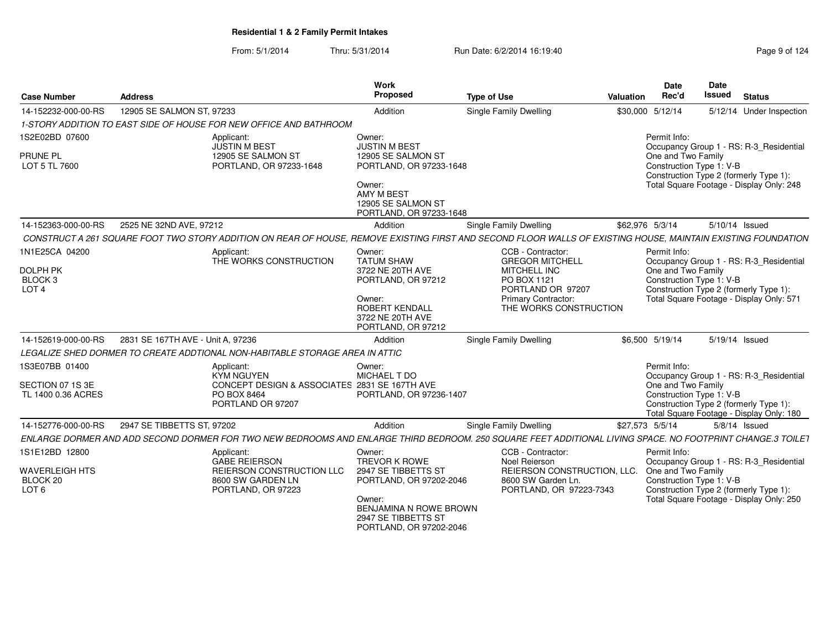#### From: 5/1/2014Thru: 5/31/2014 **Run Date: 6/2/2014 16:19:40 Page 9 of 1242** Pag

| <b>Case Number</b>                                                          | <b>Address</b>                    |                                                                                                                                                               | Work<br><b>Proposed</b>                                                                                                                                                | <b>Type of Use</b> |                                                                                                                                                                | Valuation        | <b>Date</b><br>Rec'd                                           | <b>Date</b><br><b>Issued</b> | <b>Status</b>                                                                                                                 |
|-----------------------------------------------------------------------------|-----------------------------------|---------------------------------------------------------------------------------------------------------------------------------------------------------------|------------------------------------------------------------------------------------------------------------------------------------------------------------------------|--------------------|----------------------------------------------------------------------------------------------------------------------------------------------------------------|------------------|----------------------------------------------------------------|------------------------------|-------------------------------------------------------------------------------------------------------------------------------|
| 14-152232-000-00-RS                                                         | 12905 SE SALMON ST, 97233         |                                                                                                                                                               | Addition                                                                                                                                                               |                    | Single Family Dwelling                                                                                                                                         | \$30,000 5/12/14 |                                                                |                              | 5/12/14 Under Inspection                                                                                                      |
|                                                                             |                                   | 1-STORY ADDITION TO EAST SIDE OF HOUSE FOR NEW OFFICE AND BATHROOM                                                                                            |                                                                                                                                                                        |                    |                                                                                                                                                                |                  |                                                                |                              |                                                                                                                               |
| 1S2E02BD 07600<br>PRUNE PL<br>LOT 5 TL 7600                                 |                                   | Applicant:<br><b>JUSTIN M BEST</b><br>12905 SE SALMON ST<br>PORTLAND, OR 97233-1648                                                                           | Owner:<br><b>JUSTIN M BEST</b><br>12905 SE SALMON ST<br>PORTLAND, OR 97233-1648<br>Owner:<br><b>AMY M BEST</b><br>12905 SE SALMON ST<br>PORTLAND, OR 97233-1648        |                    |                                                                                                                                                                |                  | Permit Info:<br>One and Two Family<br>Construction Type 1: V-B |                              | Occupancy Group 1 - RS: R-3_Residential<br>Construction Type 2 (formerly Type 1):<br>Total Square Footage - Display Only: 248 |
| 14-152363-000-00-RS                                                         | 2525 NE 32ND AVE, 97212           |                                                                                                                                                               | Addition                                                                                                                                                               |                    | <b>Single Family Dwelling</b>                                                                                                                                  | \$62.976 5/3/14  |                                                                |                              | 5/10/14 Issued                                                                                                                |
|                                                                             |                                   | CONSTRUCT A 261 SQUARE FOOT TWO STORY ADDITION ON REAR OF HOUSE, REMOVE EXISTING FIRST AND SECOND FLOOR WALLS OF EXISTING HOUSE, MAINTAIN EXISTING FOUNDATION |                                                                                                                                                                        |                    |                                                                                                                                                                |                  |                                                                |                              |                                                                                                                               |
| 1N1E25CA 04200<br><b>DOLPH PK</b><br>BLOCK <sub>3</sub><br>LOT <sub>4</sub> |                                   | Applicant:<br>THE WORKS CONSTRUCTION                                                                                                                          | Owner:<br><b>TATUM SHAW</b><br>3722 NE 20TH AVE<br>PORTLAND, OR 97212<br>Owner:<br><b>ROBERT KENDALL</b><br>3722 NE 20TH AVE<br>PORTLAND, OR 97212                     |                    | CCB - Contractor:<br><b>GREGOR MITCHELL</b><br><b>MITCHELL INC</b><br>PO BOX 1121<br>PORTLAND OR 97207<br><b>Primary Contractor:</b><br>THE WORKS CONSTRUCTION |                  | Permit Info:<br>One and Two Family<br>Construction Type 1: V-B |                              | Occupancy Group 1 - RS: R-3_Residential<br>Construction Type 2 (formerly Type 1):<br>Total Square Footage - Display Only: 571 |
| 14-152619-000-00-RS                                                         | 2831 SE 167TH AVE - Unit A. 97236 |                                                                                                                                                               | Addition                                                                                                                                                               |                    | Single Family Dwelling                                                                                                                                         |                  | \$6,500 5/19/14                                                |                              | 5/19/14 Issued                                                                                                                |
|                                                                             |                                   | LEGALIZE SHED DORMER TO CREATE ADDTIONAL NON-HABITABLE STORAGE AREA IN ATTIC                                                                                  |                                                                                                                                                                        |                    |                                                                                                                                                                |                  |                                                                |                              |                                                                                                                               |
| 1S3E07BB 01400<br>SECTION 07 1S 3E<br>TL 1400 0.36 ACRES                    |                                   | Applicant:<br>KYM NGUYEN<br>CONCEPT DESIGN & ASSOCIATES 2831 SE 167TH AVE<br><b>PO BOX 8464</b><br>PORTLAND OR 97207                                          | Owner:<br>MICHAEL T DO<br>PORTLAND, OR 97236-1407                                                                                                                      |                    |                                                                                                                                                                |                  | Permit Info:<br>One and Two Family<br>Construction Type 1: V-B |                              | Occupancy Group 1 - RS: R-3_Residential<br>Construction Type 2 (formerly Type 1):<br>Total Square Footage - Display Only: 180 |
| 14-152776-000-00-RS                                                         | 2947 SE TIBBETTS ST. 97202        |                                                                                                                                                               | Addition                                                                                                                                                               |                    | <b>Single Family Dwelling</b>                                                                                                                                  | \$27.573 5/5/14  |                                                                |                              | $5/8/14$ Issued                                                                                                               |
|                                                                             |                                   | ENLARGE DORMER AND ADD SECOND DORMER FOR TWO NEW BEDROOMS AND ENLARGE THIRD BEDROOM. 250 SQUARE FEET ADDITIONAL LIVING SPACE. NO FOOTPRINT CHANGE.3 TOILET    |                                                                                                                                                                        |                    |                                                                                                                                                                |                  |                                                                |                              |                                                                                                                               |
| 1S1E12BD 12800<br><b>WAVERLEIGH HTS</b><br>BLOCK 20<br>LOT <sub>6</sub>     |                                   | Applicant:<br><b>GABE REIERSON</b><br>REIERSON CONSTRUCTION LLC<br>8600 SW GARDEN LN<br>PORTLAND, OR 97223                                                    | Owner:<br><b>TREVOR K ROWE</b><br>2947 SE TIBBETTS ST<br>PORTLAND, OR 97202-2046<br>Owner:<br>BENJAMINA N ROWE BROWN<br>2947 SE TIBBETTS ST<br>PORTLAND, OR 97202-2046 |                    | CCB - Contractor:<br>Noel Reierson<br>REIERSON CONSTRUCTION, LLC.<br>8600 SW Garden Ln.<br>PORTLAND, OR 97223-7343                                             |                  | Permit Info:<br>One and Two Family<br>Construction Type 1: V-B |                              | Occupancy Group 1 - RS: R-3 Residential<br>Construction Type 2 (formerly Type 1):<br>Total Square Footage - Display Only: 250 |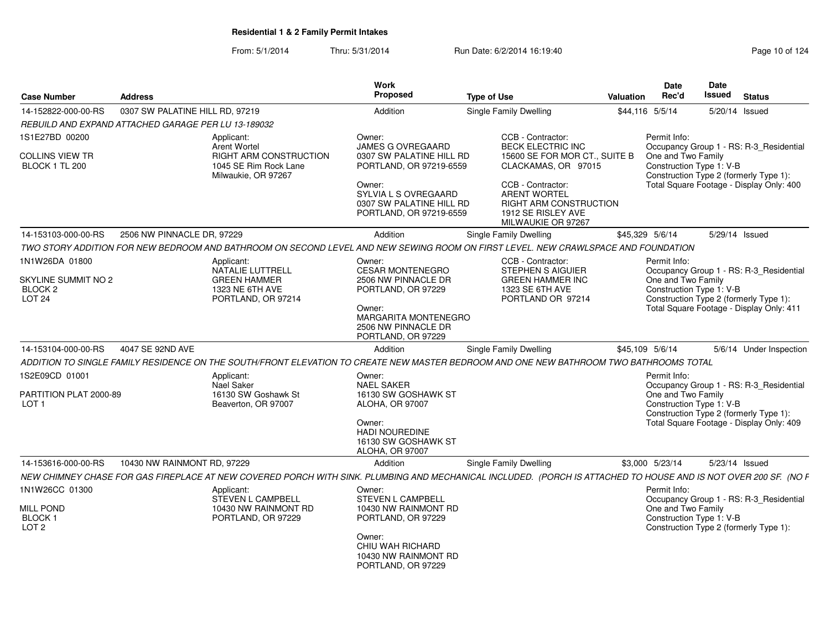| <b>Case Number</b>                                                    | <b>Address</b>                                      |                                                                               | <b>Work</b><br>Proposed                                                               | <b>Type of Use</b>                                                                                                                                              | <b>Valuation</b> | Date<br>Rec'd                                  | <b>Date</b><br><b>Issued</b> | <b>Status</b>                            |
|-----------------------------------------------------------------------|-----------------------------------------------------|-------------------------------------------------------------------------------|---------------------------------------------------------------------------------------|-----------------------------------------------------------------------------------------------------------------------------------------------------------------|------------------|------------------------------------------------|------------------------------|------------------------------------------|
| 14-152822-000-00-RS                                                   | 0307 SW PALATINE HILL RD, 97219                     |                                                                               | Addition                                                                              | <b>Single Family Dwelling</b>                                                                                                                                   | \$44,116 5/5/14  |                                                |                              | 5/20/14 Issued                           |
|                                                                       | REBUILD AND EXPAND ATTACHED GARAGE PER LU 13-189032 |                                                                               |                                                                                       |                                                                                                                                                                 |                  |                                                |                              |                                          |
| 1S1E27BD 00200                                                        | Applicant:                                          | <b>Arent Wortel</b>                                                           | Owner:<br><b>JAMES G OVREGAARD</b>                                                    | CCB - Contractor:<br><b>BECK ELECTRIC INC</b>                                                                                                                   |                  | Permit Info:                                   |                              | Occupancy Group 1 - RS: R-3_Residential  |
| <b>COLLINS VIEW TR</b><br>BLOCK 1 TL 200                              |                                                     | <b>RIGHT ARM CONSTRUCTION</b><br>1045 SE Rim Rock Lane<br>Milwaukie, OR 97267 | 0307 SW PALATINE HILL RD<br>PORTLAND, OR 97219-6559                                   | 15600 SE FOR MOR CT., SUITE B<br>CLACKAMAS, OR 97015                                                                                                            |                  | One and Two Family<br>Construction Type 1: V-B |                              | Construction Type 2 (formerly Type 1):   |
|                                                                       |                                                     |                                                                               | Owner:<br>SYLVIA L S OVREGAARD<br>0307 SW PALATINE HILL RD<br>PORTLAND, OR 97219-6559 | CCB - Contractor:<br><b>ARENT WORTEL</b><br><b>RIGHT ARM CONSTRUCTION</b><br>1912 SE RISLEY AVE<br>MILWAUKIE OR 97267                                           |                  |                                                |                              | Total Square Footage - Display Only: 400 |
| 14-153103-000-00-RS                                                   | 2506 NW PINNACLE DR, 97229                          |                                                                               | Addition                                                                              | <b>Single Family Dwelling</b>                                                                                                                                   | \$45,329 5/6/14  |                                                | 5/29/14 Issued               |                                          |
|                                                                       |                                                     |                                                                               |                                                                                       | TWO STORY ADDITION FOR NEW BEDROOM AND BATHROOM ON SECOND LEVEL AND NEW SEWING ROOM ON FIRST LEVEL. NEW CRAWLSPACE AND FOUNDATION                               |                  |                                                |                              |                                          |
| 1N1W26DA 01800                                                        | Applicant:                                          | NATALIE LUTTRELL                                                              | Owner:<br><b>CESAR MONTENEGRO</b>                                                     | CCB - Contractor:<br><b>STEPHEN S AIGUIER</b>                                                                                                                   |                  | Permit Info:                                   |                              | Occupancy Group 1 - RS: R-3_Residential  |
| <b>SKYLINE SUMMIT NO 2</b><br>BLOCK <sub>2</sub><br>LOT <sub>24</sub> |                                                     | <b>GREEN HAMMER</b><br>1323 NE 6TH AVE<br>PORTLAND, OR 97214                  | 2506 NW PINNACLE DR<br>PORTLAND, OR 97229                                             | <b>GREEN HAMMER INC</b><br>1323 SE 6TH AVE<br>PORTLAND OR 97214                                                                                                 |                  | One and Two Family<br>Construction Type 1: V-B |                              | Construction Type 2 (formerly Type 1):   |
|                                                                       |                                                     |                                                                               | Owner:<br><b>MARGARITA MONTENEGRO</b><br>2506 NW PINNACLE DR<br>PORTLAND, OR 97229    |                                                                                                                                                                 |                  |                                                |                              | Total Square Footage - Display Only: 411 |
| 14-153104-000-00-RS                                                   | 4047 SE 92ND AVE                                    |                                                                               | Addition                                                                              | Single Family Dwelling                                                                                                                                          | \$45,109 5/6/14  |                                                |                              | 5/6/14 Under Inspection                  |
|                                                                       |                                                     |                                                                               |                                                                                       | ADDITION TO SINGLE FAMILY RESIDENCE ON THE SOUTH/FRONT ELEVATION TO CREATE NEW MASTER BEDROOM AND ONE NEW BATHROOM TWO BATHROOMS TOTAL                          |                  |                                                |                              |                                          |
| 1S2E09CD 01001                                                        | Applicant:<br>Nael Saker                            |                                                                               | Owner:<br><b>NAEL SAKER</b>                                                           |                                                                                                                                                                 |                  | Permit Info:                                   |                              | Occupancy Group 1 - RS: R-3_Residential  |
| PARTITION PLAT 2000-89<br>LOT <sub>1</sub>                            |                                                     | 16130 SW Goshawk St<br>Beaverton, OR 97007                                    | 16130 SW GOSHAWK ST<br><b>ALOHA, OR 97007</b>                                         |                                                                                                                                                                 |                  | One and Two Family<br>Construction Type 1: V-B |                              | Construction Type 2 (formerly Type 1):   |
|                                                                       |                                                     |                                                                               | Owner:<br><b>HADI NOUREDINE</b><br>16130 SW GOSHAWK ST<br>ALOHA, OR 97007             |                                                                                                                                                                 |                  |                                                |                              | Total Square Footage - Display Only: 409 |
| 14-153616-000-00-RS                                                   | 10430 NW RAINMONT RD, 97229                         |                                                                               | Addition                                                                              | <b>Single Family Dwelling</b>                                                                                                                                   |                  | \$3,000 5/23/14                                |                              | 5/23/14 Issued                           |
|                                                                       |                                                     |                                                                               |                                                                                       | NEW CHIMNEY CHASE FOR GAS FIREPLACE AT NEW COVERED PORCH WITH SINK. PLUMBING AND MECHANICAL INCLUDED. (PORCH IS ATTACHED TO HOUSE AND IS NOT OVER 200 SF. (NO F |                  |                                                |                              |                                          |
| 1N1W26CC 01300                                                        | Applicant:                                          | STEVEN L CAMPBELL                                                             | Owner:<br><b>STEVEN L CAMPBELL</b>                                                    |                                                                                                                                                                 |                  | Permit Info:                                   |                              | Occupancy Group 1 - RS: R-3_Residential  |
| <b>MILL POND</b><br>BLOCK <sub>1</sub><br>LOT <sub>2</sub>            |                                                     | 10430 NW RAINMONT RD<br>PORTLAND, OR 97229                                    | 10430 NW RAINMONT RD<br>PORTLAND, OR 97229                                            |                                                                                                                                                                 |                  | One and Two Family<br>Construction Type 1: V-B |                              | Construction Type 2 (formerly Type 1):   |
|                                                                       |                                                     |                                                                               | Owner:<br>CHIU WAH RICHARD<br>10430 NW RAINMONT RD<br>PORTLAND, OR 97229              |                                                                                                                                                                 |                  |                                                |                              |                                          |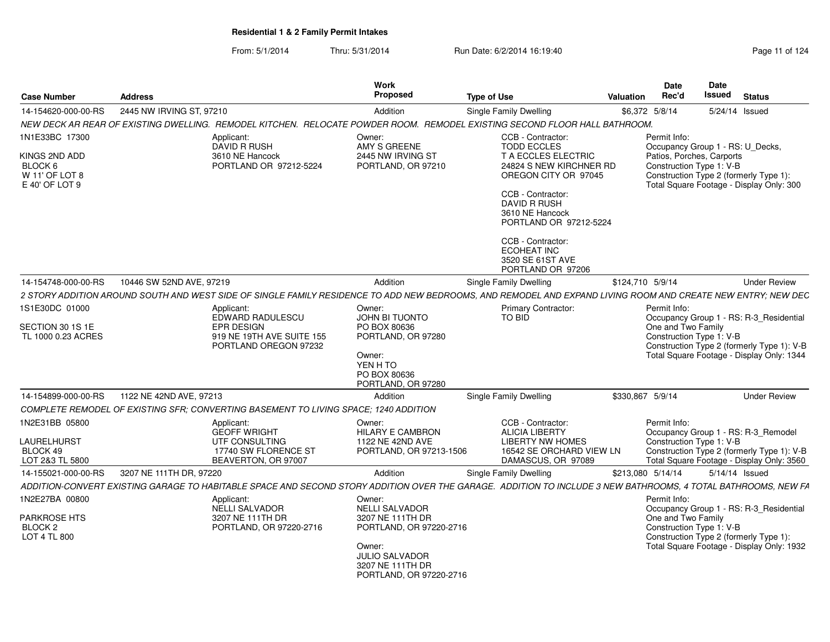NEW DECK AR REAR OF EXISTING DWELLING. REMODEL KITCHEN. RELOCATE POWDER ROOM. REMODEL EXISTING SECOND FLOOR HALL BATHROOM.

**S** Proposed

Applicant:

**Case Number**

1N1E33BC 17300

14-154620-000-00-RS

**Address**

From: 5/1/2014Thru: 5/31/2014 Run Date: 6/2/2014 16:19:40 Page 11 of 124

S 2445 NW IRVING ST, 97210 **Supple Addition** Single Family Dwelling 56,372 5/8/14 5/24/14 Issued

**Work** Proposed

Owner:

**Type of Use**

CCB - Contractor:

| KINGS 2ND ADD<br>BLOCK 6<br>W 11' OF LOT 8<br>E 40' OF LOT 9 | DAVID R RUSH<br>3610 NE Hancock<br>PORTLAND OR 97212-5224                                                                                                     | AMY S GREENE<br>2445 NW IRVING ST<br>PORTLAND, OR 97210                                        | <b>TODD ECCLES</b><br>T A ECCLES ELECTRIC<br>24824 S NEW KIRCHNER RD<br>OREGON CITY OR 97045<br>CCB - Contractor:<br><b>DAVID R RUSH</b><br>3610 NE Hancock<br>PORTLAND OR 97212-5224<br>CCB - Contractor:<br>ECOHEAT INC<br>3520 SE 61ST AVE<br>PORTLAND OR 97206 | Patios, Porches, Carports<br>Construction Type 1: V-B | Occupancy Group 1 - RS: U_Decks,<br>Construction Type 2 (formerly Type 1):<br>Total Square Footage - Display Only: 300 |
|--------------------------------------------------------------|---------------------------------------------------------------------------------------------------------------------------------------------------------------|------------------------------------------------------------------------------------------------|--------------------------------------------------------------------------------------------------------------------------------------------------------------------------------------------------------------------------------------------------------------------|-------------------------------------------------------|------------------------------------------------------------------------------------------------------------------------|
| 14-154748-000-00-RS                                          | 10446 SW 52ND AVE, 97219                                                                                                                                      | Addition                                                                                       | Single Family Dwelling                                                                                                                                                                                                                                             | \$124,710 5/9/14                                      | <b>Under Review</b>                                                                                                    |
|                                                              | 2 STORY ADDITION AROUND SOUTH AND WEST SIDE OF SINGLE FAMILY RESIDENCE TO ADD NEW BEDROOMS, AND REMODEL AND EXPAND LIVING ROOM AND CREATE NEW ENTRY; NEW DEC  |                                                                                                |                                                                                                                                                                                                                                                                    |                                                       |                                                                                                                        |
| 1S1E30DC 01000                                               | Applicant:<br>EDWARD RADULESCU                                                                                                                                | Owner:<br><b>JOHN BI TUONTO</b>                                                                | <b>Primary Contractor:</b><br>TO BID                                                                                                                                                                                                                               | Permit Info:                                          | Occupancy Group 1 - RS: R-3_Residential                                                                                |
| SECTION 30 1S 1E<br>TL 1000 0.23 ACRES                       | <b>EPR DESIGN</b><br>919 NE 19TH AVE SUITE 155<br>PORTLAND OREGON 97232                                                                                       | PO BOX 80636<br>PORTLAND, OR 97280<br>Owner:<br>YEN H TO<br>PO BOX 80636<br>PORTLAND, OR 97280 |                                                                                                                                                                                                                                                                    | One and Two Family<br>Construction Type 1: V-B        | Construction Type 2 (formerly Type 1): V-B<br>Total Square Footage - Display Only: 1344                                |
| 14-154899-000-00-RS                                          | 1122 NE 42ND AVE, 97213                                                                                                                                       | Addition                                                                                       | <b>Single Family Dwelling</b>                                                                                                                                                                                                                                      | \$330,867 5/9/14                                      | <b>Under Review</b>                                                                                                    |
|                                                              | COMPLETE REMODEL OF EXISTING SFR: CONVERTING BASEMENT TO LIVING SPACE: 1240 ADDITION                                                                          |                                                                                                |                                                                                                                                                                                                                                                                    |                                                       |                                                                                                                        |
| 1N2E31BB 05800                                               | Applicant:<br><b>GEOFF WRIGHT</b>                                                                                                                             | Owner:<br><b>HILARY E CAMBRON</b>                                                              | CCB - Contractor:<br><b>ALICIA LIBERTY</b>                                                                                                                                                                                                                         | Permit Info:                                          | Occupancy Group 1 - RS: R-3_Remodel                                                                                    |
| <b>LAURELHURST</b><br>BLOCK 49<br>LOT 2&3 TL 5800            | UTF CONSULTING<br>17740 SW FLORENCE ST<br>BEAVERTON, OR 97007                                                                                                 | 1122 NE 42ND AVE<br>PORTLAND, OR 97213-1506                                                    | <b>LIBERTY NW HOMES</b><br>16542 SE ORCHARD VIEW LN<br>DAMASCUS, OR 97089                                                                                                                                                                                          | Construction Type 1: V-B                              | Construction Type 2 (formerly Type 1): V-B<br>Total Square Footage - Display Only: 3560                                |
| 14-155021-000-00-RS                                          | 3207 NE 111TH DR. 97220                                                                                                                                       | Addition                                                                                       | Single Family Dwelling                                                                                                                                                                                                                                             | \$213,080 5/14/14                                     | 5/14/14 Issued                                                                                                         |
|                                                              | ADDITION-CONVERT EXISTING GARAGE TO HABITABLE SPACE AND SECOND STORY ADDITION OVER THE GARAGE. ADDITION TO INCLUDE 3 NEW BATHROOMS, 4 TOTAL BATHROOMS, NEW FA |                                                                                                |                                                                                                                                                                                                                                                                    |                                                       |                                                                                                                        |
| 1N2E27BA 00800                                               | Applicant:<br><b>NELLI SALVADOR</b>                                                                                                                           | Owner:<br><b>NELLI SALVADOR</b>                                                                |                                                                                                                                                                                                                                                                    | Permit Info:                                          | Occupancy Group 1 - RS: R-3 Residential                                                                                |
| <b>PARKROSE HTS</b><br>BLOCK 2<br>LOT 4 TL 800               | 3207 NE 111TH DR<br>PORTLAND, OR 97220-2716                                                                                                                   | 3207 NE 111TH DR<br>PORTLAND, OR 97220-2716                                                    |                                                                                                                                                                                                                                                                    | One and Two Family<br>Construction Type 1: V-B        | Construction Type 2 (formerly Type 1):                                                                                 |
|                                                              |                                                                                                                                                               | Owner:<br><b>JULIO SALVADOR</b><br>3207 NE 111TH DR                                            |                                                                                                                                                                                                                                                                    |                                                       | Total Square Footage - Display Only: 1932                                                                              |

PORTLAND, OR 97220-2716

**Status**

**DateIssued** 

**DateRec'd Issued**

Permit Info:

**Valuation**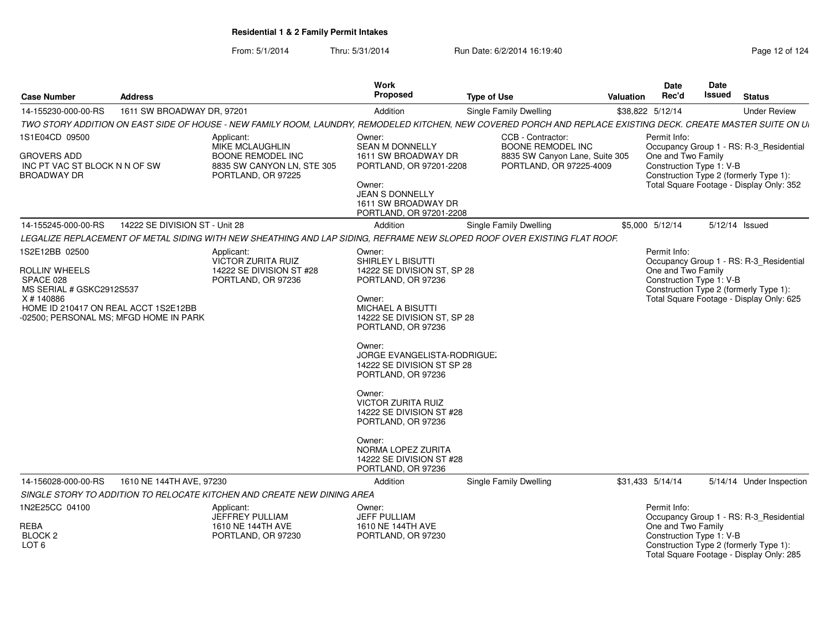| <b>Case Number</b>                                                                                                                                    | <b>Address</b>                 |                                                                                                                                                                | <b>Work</b><br>Proposed                                                                                                                                                                                                            | <b>Type of Use</b>                                        | Valuation | Date<br>Rec'd                                  | <b>Date</b><br><b>Issued</b> | <b>Status</b>                                                                      |
|-------------------------------------------------------------------------------------------------------------------------------------------------------|--------------------------------|----------------------------------------------------------------------------------------------------------------------------------------------------------------|------------------------------------------------------------------------------------------------------------------------------------------------------------------------------------------------------------------------------------|-----------------------------------------------------------|-----------|------------------------------------------------|------------------------------|------------------------------------------------------------------------------------|
| 14-155230-000-00-RS                                                                                                                                   | 1611 SW BROADWAY DR, 97201     |                                                                                                                                                                | Addition                                                                                                                                                                                                                           | Single Family Dwelling                                    |           | \$38,822 5/12/14                               |                              | <b>Under Review</b>                                                                |
|                                                                                                                                                       |                                | TWO STORY ADDITION ON EAST SIDE OF HOUSE - NEW FAMILY ROOM, LAUNDRY, REMODELED KITCHEN, NEW COVERED PORCH AND REPLACE EXISTING DECK. CREATE MASTER SUITE ON UI |                                                                                                                                                                                                                                    |                                                           |           |                                                |                              |                                                                                    |
| 1S1E04CD 09500                                                                                                                                        |                                | Applicant:<br>MIKE MCLAUGHLIN                                                                                                                                  | Owner:<br><b>SEAN M DONNELLY</b>                                                                                                                                                                                                   | CCB - Contractor:<br>BOONE REMODEL INC                    |           | Permit Info:                                   |                              | Occupancy Group 1 - RS: R-3 Residential                                            |
| <b>GROVERS ADD</b><br>INC PT VAC ST BLOCK N N OF SW<br><b>BROADWAY DR</b>                                                                             |                                | <b>BOONE REMODEL INC</b><br>8835 SW CANYON LN, STE 305<br>PORTLAND, OR 97225                                                                                   | 1611 SW BROADWAY DR<br>PORTLAND, OR 97201-2208                                                                                                                                                                                     | 8835 SW Canyon Lane, Suite 305<br>PORTLAND, OR 97225-4009 |           | One and Two Family<br>Construction Type 1: V-B |                              | Construction Type 2 (formerly Type 1):                                             |
|                                                                                                                                                       |                                |                                                                                                                                                                | Owner:<br><b>JEAN S DONNELLY</b><br>1611 SW BROADWAY DR<br>PORTLAND, OR 97201-2208                                                                                                                                                 |                                                           |           |                                                |                              | Total Square Footage - Display Only: 352                                           |
| 14-155245-000-00-RS                                                                                                                                   | 14222 SE DIVISION ST - Unit 28 |                                                                                                                                                                | Addition                                                                                                                                                                                                                           | <b>Single Family Dwelling</b>                             |           | \$5,000 5/12/14                                |                              | 5/12/14 Issued                                                                     |
|                                                                                                                                                       |                                | LEGALIZE REPLACEMENT OF METAL SIDING WITH NEW SHEATHING AND LAP SIDING, REFRAME NEW SLOPED ROOF OVER EXISTING FLAT ROOF.                                       |                                                                                                                                                                                                                                    |                                                           |           |                                                |                              |                                                                                    |
| 1S2E12BB 02500                                                                                                                                        |                                | Applicant:<br>VICTOR ZURITA RUIZ                                                                                                                               | Owner:<br>SHIRLEY L BISUTTI                                                                                                                                                                                                        |                                                           |           | Permit Info:                                   |                              | Occupancy Group 1 - RS: R-3_Residential                                            |
| ROLLIN' WHEELS<br>SPACE 028<br>MS SERIAL # GSKC2912S537<br>X#140886<br>HOME ID 210417 ON REAL ACCT 1S2E12BB<br>-02500; PERSONAL MS; MFGD HOME IN PARK |                                | 14222 SE DIVISION ST #28<br>PORTLAND, OR 97236                                                                                                                 | 14222 SE DIVISION ST, SP 28<br>PORTLAND, OR 97236<br>Owner:<br>MICHAEL A BISUTTI<br>14222 SE DIVISION ST, SP 28<br>PORTLAND, OR 97236<br>Owner:<br>JORGE EVANGELISTA-RODRIGUE.<br>14222 SE DIVISION ST SP 28<br>PORTLAND, OR 97236 |                                                           |           | One and Two Family<br>Construction Type 1: V-B |                              | Construction Type 2 (formerly Type 1):<br>Total Square Footage - Display Only: 625 |
|                                                                                                                                                       |                                |                                                                                                                                                                | Owner:<br><b>VICTOR ZURITA RUIZ</b><br>14222 SE DIVISION ST #28<br>PORTLAND, OR 97236                                                                                                                                              |                                                           |           |                                                |                              |                                                                                    |
|                                                                                                                                                       |                                |                                                                                                                                                                | Owner:<br>NORMA LOPEZ ZURITA<br>14222 SE DIVISION ST #28<br>PORTLAND, OR 97236                                                                                                                                                     |                                                           |           |                                                |                              |                                                                                    |
| 14-156028-000-00-RS                                                                                                                                   | 1610 NE 144TH AVE, 97230       |                                                                                                                                                                | Addition                                                                                                                                                                                                                           | <b>Single Family Dwelling</b>                             |           | \$31,433 5/14/14                               |                              | 5/14/14 Under Inspection                                                           |
|                                                                                                                                                       |                                | SINGLE STORY TO ADDITION TO RELOCATE KITCHEN AND CREATE NEW DINING AREA                                                                                        |                                                                                                                                                                                                                                    |                                                           |           |                                                |                              |                                                                                    |
| 1N2E25CC 04100                                                                                                                                        |                                | Applicant:<br>JEFFREY PULLIAM                                                                                                                                  | Owner:<br><b>JEFF PULLIAM</b>                                                                                                                                                                                                      |                                                           |           | Permit Info:                                   |                              | Occupancy Group 1 - RS: R-3_Residential                                            |
| REBA<br>BLOCK <sub>2</sub><br>LOT <sub>6</sub>                                                                                                        |                                | 1610 NE 144TH AVE<br>PORTLAND, OR 97230                                                                                                                        | 1610 NE 144TH AVE<br>PORTLAND, OR 97230                                                                                                                                                                                            |                                                           |           | One and Two Family<br>Construction Type 1: V-B |                              | Construction Type 2 (formerly Type 1):<br>Total Square Footage - Display Only: 285 |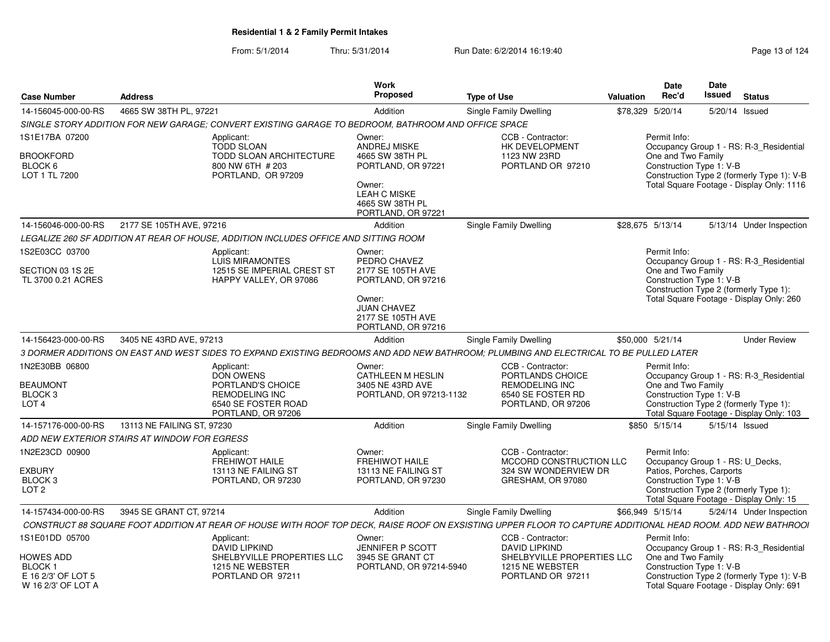|                                                                        |                            |                                                                                                                                                              | <b>Work</b>                                                                                              |                                                                    |                  |               | Date  | Date                                                  |                |                                                                                         |
|------------------------------------------------------------------------|----------------------------|--------------------------------------------------------------------------------------------------------------------------------------------------------------|----------------------------------------------------------------------------------------------------------|--------------------------------------------------------------------|------------------|---------------|-------|-------------------------------------------------------|----------------|-----------------------------------------------------------------------------------------|
| <b>Case Number</b>                                                     | <b>Address</b>             |                                                                                                                                                              | Proposed                                                                                                 | <b>Type of Use</b>                                                 | Valuation        |               | Rec'd | <b>Issued</b>                                         |                | <b>Status</b>                                                                           |
| 14-156045-000-00-RS                                                    | 4665 SW 38TH PL, 97221     |                                                                                                                                                              | Addition                                                                                                 | Single Family Dwelling                                             | \$78,329 5/20/14 |               |       | 5/20/14                                               | Issued         |                                                                                         |
|                                                                        |                            | SINGLE STORY ADDITION FOR NEW GARAGE: CONVERT EXISTING GARAGE TO BEDROOM. BATHROOM AND OFFICE SPACE                                                          |                                                                                                          |                                                                    |                  |               |       |                                                       |                |                                                                                         |
| 1S1E17BA 07200                                                         |                            | Applicant:<br><b>TODD SLOAN</b>                                                                                                                              | Owner:<br><b>ANDREJ MISKE</b>                                                                            | CCB - Contractor:<br>HK DEVELOPMENT                                |                  | Permit Info:  |       |                                                       |                | Occupancy Group 1 - RS: R-3_Residential                                                 |
| <b>BROOKFORD</b><br>BLOCK 6<br>LOT 1 TL 7200                           |                            | <b>TODD SLOAN ARCHITECTURE</b><br>800 NW 6TH # 203<br>PORTLAND, OR 97209                                                                                     | 4665 SW 38TH PL<br>PORTLAND, OR 97221<br>Owner:<br>LEAH C MISKE<br>4665 SW 38TH PL<br>PORTLAND, OR 97221 | 1123 NW 23RD<br>PORTLAND OR 97210                                  |                  |               |       | One and Two Family<br>Construction Type 1: V-B        |                | Construction Type 2 (formerly Type 1): V-B<br>Total Square Footage - Display Only: 1116 |
| 14-156046-000-00-RS                                                    | 2177 SE 105TH AVE, 97216   |                                                                                                                                                              | Addition                                                                                                 | Single Family Dwelling                                             | \$28.675 5/13/14 |               |       |                                                       |                | 5/13/14 Under Inspection                                                                |
|                                                                        |                            | LEGALIZE 260 SF ADDITION AT REAR OF HOUSE, ADDITION INCLUDES OFFICE AND SITTING ROOM                                                                         |                                                                                                          |                                                                    |                  |               |       |                                                       |                |                                                                                         |
| 1S2E03CC 03700                                                         |                            | Applicant:<br><b>LUIS MIRAMONTES</b>                                                                                                                         | Owner:<br>PEDRO CHAVEZ                                                                                   |                                                                    |                  | Permit Info:  |       |                                                       |                | Occupancy Group 1 - RS: R-3 Residential                                                 |
| SECTION 03 1S 2E<br>TL 3700 0.21 ACRES                                 |                            | 12515 SE IMPERIAL CREST ST<br>HAPPY VALLEY, OR 97086                                                                                                         | 2177 SE 105TH AVE<br>PORTLAND, OR 97216<br>Owner:                                                        |                                                                    |                  |               |       | One and Two Family<br>Construction Type 1: V-B        |                | Construction Type 2 (formerly Type 1):<br>Total Square Footage - Display Only: 260      |
|                                                                        |                            |                                                                                                                                                              | <b>JUAN CHAVEZ</b><br>2177 SE 105TH AVE<br>PORTLAND, OR 97216                                            |                                                                    |                  |               |       |                                                       |                |                                                                                         |
| 14-156423-000-00-RS                                                    | 3405 NE 43RD AVE, 97213    |                                                                                                                                                              | Addition                                                                                                 | Single Family Dwelling                                             | \$50,000 5/21/14 |               |       |                                                       |                | <b>Under Review</b>                                                                     |
|                                                                        |                            | 3 DORMER ADDITIONS ON EAST AND WEST SIDES TO EXPAND EXISTING BEDROOMS AND ADD NEW BATHROOM: PLUMBING AND ELECTRICAL TO BE PULLED LATER                       |                                                                                                          |                                                                    |                  |               |       |                                                       |                |                                                                                         |
| 1N2E30BB 06800<br><b>BEAUMONT</b>                                      |                            | Applicant:<br>DON OWENS<br>PORTLAND'S CHOICE                                                                                                                 | Owner:<br>CATHLEEN M HESLIN<br>3405 NE 43RD AVE                                                          | CCB - Contractor:<br>PORTLANDS CHOICE<br><b>REMODELING INC</b>     |                  | Permit Info:  |       | One and Two Family                                    |                | Occupancy Group 1 - RS: R-3_Residential                                                 |
| BLOCK <sub>3</sub><br>LOT <sub>4</sub>                                 |                            | <b>REMODELING INC</b><br>6540 SE FOSTER ROAD<br>PORTLAND, OR 97206                                                                                           | PORTLAND, OR 97213-1132                                                                                  | 6540 SE FOSTER RD<br>PORTLAND, OR 97206                            |                  |               |       | Construction Type 1: V-B                              |                | Construction Type 2 (formerly Type 1):<br>Total Square Footage - Display Only: 103      |
| 14-157176-000-00-RS                                                    | 13113 NE FAILING ST, 97230 |                                                                                                                                                              | Addition                                                                                                 | Single Family Dwelling                                             |                  | \$850 5/15/14 |       |                                                       | 5/15/14 Issued |                                                                                         |
| ADD NEW EXTERIOR STAIRS AT WINDOW FOR EGRESS                           |                            |                                                                                                                                                              |                                                                                                          |                                                                    |                  |               |       |                                                       |                |                                                                                         |
| 1N2E23CD 00900                                                         |                            | Applicant:<br><b>FREHIWOT HAILE</b>                                                                                                                          | Owner:<br><b>FREHIWOT HAILE</b>                                                                          | CCB - Contractor:<br>MCCORD CONSTRUCTION LLC                       |                  | Permit Info:  |       | Occupancy Group 1 - RS: U_Decks,                      |                |                                                                                         |
| <b>EXBURY</b><br><b>BLOCK3</b><br>LOT <sub>2</sub>                     |                            | 13113 NE FAILING ST<br>PORTLAND, OR 97230                                                                                                                    | 13113 NE FAILING ST<br>PORTLAND, OR 97230                                                                | 324 SW WONDERVIEW DR<br>GRESHAM, OR 97080                          |                  |               |       | Patios, Porches, Carports<br>Construction Type 1: V-B |                | Construction Type 2 (formerly Type 1):<br>Total Square Footage - Display Only: 15       |
| 14-157434-000-00-RS                                                    | 3945 SE GRANT CT, 97214    |                                                                                                                                                              | Addition                                                                                                 | Single Family Dwelling                                             | \$66,949 5/15/14 |               |       |                                                       |                | 5/24/14 Under Inspection                                                                |
|                                                                        |                            | CONSTRUCT 88 SQUARE FOOT ADDITION AT REAR OF HOUSE WITH ROOF TOP DECK, RAISE ROOF ON EXSISTING UPPER FLOOR TO CAPTURE ADDITIONAL HEAD ROOM. ADD NEW BATHROOI |                                                                                                          |                                                                    |                  |               |       |                                                       |                |                                                                                         |
| 1S1E01DD 05700                                                         |                            | Applicant:<br><b>DAVID LIPKIND</b>                                                                                                                           | Owner:<br><b>JENNIFER P SCOTT</b>                                                                        | CCB - Contractor:<br><b>DAVID LIPKIND</b>                          |                  | Permit Info:  |       |                                                       |                | Occupancy Group 1 - RS: R-3_Residential                                                 |
| HOWES ADD<br><b>BLOCK1</b><br>E 16 2/3' OF LOT 5<br>W 16 2/3' OF LOT A |                            | SHELBYVILLE PROPERTIES LLC<br>1215 NE WEBSTER<br>PORTLAND OR 97211                                                                                           | 3945 SE GRANT CT<br>PORTLAND, OR 97214-5940                                                              | SHELBYVILLE PROPERTIES LLC<br>1215 NE WEBSTER<br>PORTLAND OR 97211 |                  |               |       | One and Two Family<br>Construction Type 1: V-B        |                | Construction Type 2 (formerly Type 1): V-B<br>Total Square Footage - Display Only: 691  |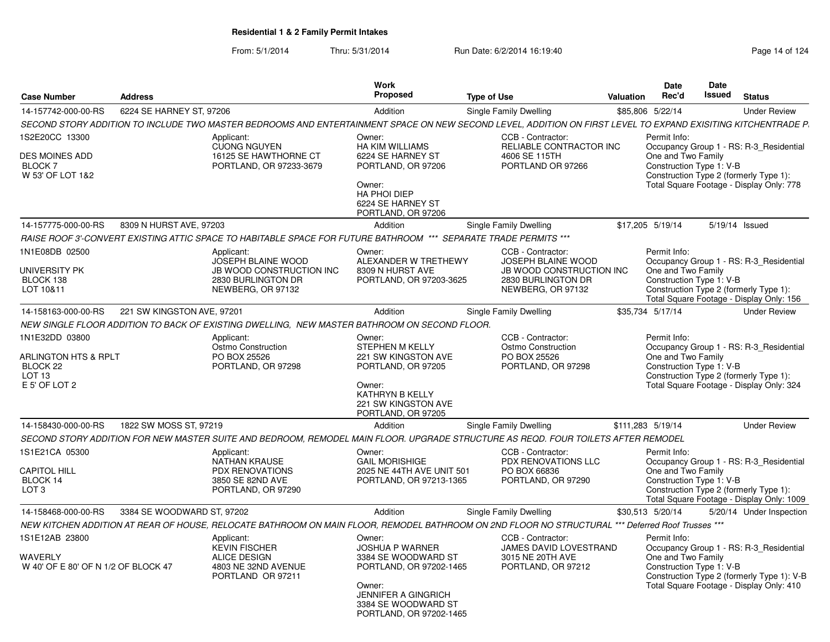| <b>Case Number</b>                                                                                  | <b>Address</b>                                                                                                                                                | <b>Work</b><br><b>Proposed</b>                                                                                                                                               | <b>Type of Use</b>                                                                                                           | <b>Valuation</b> | Date<br>Rec'd                                                  | <b>Date</b><br><b>Issued</b> | <b>Status</b>                                                                                                                     |
|-----------------------------------------------------------------------------------------------------|---------------------------------------------------------------------------------------------------------------------------------------------------------------|------------------------------------------------------------------------------------------------------------------------------------------------------------------------------|------------------------------------------------------------------------------------------------------------------------------|------------------|----------------------------------------------------------------|------------------------------|-----------------------------------------------------------------------------------------------------------------------------------|
| 14-157742-000-00-RS                                                                                 | 6224 SE HARNEY ST. 97206                                                                                                                                      | Addition                                                                                                                                                                     | Single Family Dwelling                                                                                                       |                  | \$85,806 5/22/14                                               |                              | <b>Under Review</b>                                                                                                               |
|                                                                                                     | SECOND STORY ADDITION TO INCLUDE TWO MASTER BEDROOMS AND ENTERTAINMENT SPACE ON NEW SECOND LEVEL, ADDITION ON FIRST LEVEL TO EXPAND EXISITING KITCHENTRADE P. |                                                                                                                                                                              |                                                                                                                              |                  |                                                                |                              |                                                                                                                                   |
| IS2E20CC 13300                                                                                      | Applicant:                                                                                                                                                    | Owner:                                                                                                                                                                       | CCB - Contractor:                                                                                                            |                  | Permit Info:                                                   |                              |                                                                                                                                   |
| DES MOINES ADD<br><b>BLOCK 7</b><br>W 53' OF LOT 1&2                                                | <b>CUONG NGUYEN</b><br>16125 SE HAWTHORNE CT<br>PORTLAND, OR 97233-3679                                                                                       | <b>HA KIM WILLIAMS</b><br>6224 SE HARNEY ST<br>PORTLAND, OR 97206<br>Owner:<br><b>HA PHOI DIEP</b><br>6224 SE HARNEY ST                                                      | RELIABLE CONTRACTOR INC<br>4606 SE 115TH<br>PORTLAND OR 97266                                                                |                  | One and Two Family<br>Construction Type 1: V-B                 |                              | Occupancy Group 1 - RS: R-3 Residential<br>Construction Type 2 (formerly Type 1):<br>Total Square Footage - Display Only: 778     |
|                                                                                                     |                                                                                                                                                               | PORTLAND, OR 97206                                                                                                                                                           |                                                                                                                              |                  |                                                                |                              |                                                                                                                                   |
| 14-157775-000-00-RS                                                                                 | 8309 N HURST AVE, 97203                                                                                                                                       | Addition                                                                                                                                                                     | Single Family Dwelling                                                                                                       |                  | \$17,205 5/19/14                                               |                              | 5/19/14 Issued                                                                                                                    |
|                                                                                                     | RAISE ROOF 3'-CONVERT EXISTING ATTIC SPACE TO HABITABLE SPACE FOR FUTURE BATHROOM *** SEPARATE TRADE PERMITS ***                                              |                                                                                                                                                                              |                                                                                                                              |                  |                                                                |                              |                                                                                                                                   |
| 1N1E08DB 02500<br>UNIVERSITY PK<br>BLOCK 138<br>LOT 10&11                                           | Applicant:<br>JOSEPH BLAINE WOOD<br><b>JB WOOD CONSTRUCTION INC</b><br>2830 BURLINGTON DR<br>NEWBERG, OR 97132                                                | Owner:<br>ALEXANDER W TRETHEWY<br>8309 N HURST AVE<br>PORTLAND, OR 97203-3625                                                                                                | CCB - Contractor:<br><b>JOSEPH BLAINE WOOD</b><br><b>JB WOOD CONSTRUCTION INC</b><br>2830 BURLINGTON DR<br>NEWBERG, OR 97132 |                  | Permit Info:<br>One and Two Family<br>Construction Type 1: V-B |                              | Occupancy Group 1 - RS: R-3 Residential<br>Construction Type 2 (formerly Type 1):<br>Total Square Footage - Display Only: 156     |
| 14-158163-000-00-RS                                                                                 | 221 SW KINGSTON AVE, 97201                                                                                                                                    | Addition                                                                                                                                                                     | Single Family Dwelling                                                                                                       |                  | \$35,734 5/17/14                                               |                              | <b>Under Review</b>                                                                                                               |
|                                                                                                     | NEW SINGLE FLOOR ADDITION TO BACK OF EXISTING DWELLING, NEW MASTER BATHROOM ON SECOND FLOOR.                                                                  |                                                                                                                                                                              |                                                                                                                              |                  |                                                                |                              |                                                                                                                                   |
| 1N1E32DD 03800<br>ARLINGTON HTS & RPLT<br>BLOCK <sub>22</sub><br>LOT <sub>13</sub><br>E 5' OF LOT 2 | Applicant:<br>Ostmo Construction<br>PO BOX 25526<br>PORTLAND, OR 97298                                                                                        | Owner:<br>STEPHEN M KELLY<br>221 SW KINGSTON AVE<br>PORTLAND, OR 97205<br>Owner:<br><b>KATHRYN B KELLY</b><br>221 SW KINGSTON AVE<br>PORTLAND, OR 97205                      | CCB - Contractor:<br>Ostmo Construction<br>PO BOX 25526<br>PORTLAND, OR 97298                                                |                  | Permit Info:<br>One and Two Family<br>Construction Type 1: V-B |                              | Occupancy Group 1 - RS: R-3 Residential<br>Construction Type 2 (formerly Type 1):<br>Total Square Footage - Display Only: 324     |
| 14-158430-000-00-RS                                                                                 | 1822 SW MOSS ST, 97219                                                                                                                                        | Addition                                                                                                                                                                     | <b>Single Family Dwelling</b>                                                                                                |                  | \$111,283 5/19/14                                              |                              | <b>Under Review</b>                                                                                                               |
|                                                                                                     | SECOND STORY ADDITION FOR NEW MASTER SUITE AND BEDROOM, REMODEL MAIN FLOOR. UPGRADE STRUCTURE AS REQD. FOUR TOILETS AFTER REMODEL                             |                                                                                                                                                                              |                                                                                                                              |                  |                                                                |                              |                                                                                                                                   |
| 1S1E21CA 05300<br><b>CAPITOL HILL</b><br>BLOCK 14<br>LOT <sub>3</sub>                               | Applicant:<br><b>NATHAN KRAUSE</b><br>PDX RENOVATIONS<br>3850 SE 82ND AVE<br>PORTLAND, OR 97290                                                               | Owner:<br><b>GAIL MORISHIGE</b><br>2025 NE 44TH AVE UNIT 501<br>PORTLAND, OR 97213-1365                                                                                      | CCB - Contractor:<br>PDX RENOVATIONS LLC<br>PO BOX 66836<br>PORTLAND, OR 97290                                               |                  | Permit Info:<br>One and Two Family<br>Construction Type 1: V-B |                              | Occupancy Group 1 - RS: R-3_Residential<br>Construction Type 2 (formerly Type 1):<br>Total Square Footage - Display Only: 1009    |
| 14-158468-000-00-RS                                                                                 | 3384 SE WOODWARD ST, 97202                                                                                                                                    | Addition                                                                                                                                                                     | Single Family Dwelling                                                                                                       |                  | \$30,513 5/20/14                                               |                              | 5/20/14 Under Inspection                                                                                                          |
|                                                                                                     | NEW KITCHEN ADDITION AT REAR OF HOUSE, RELOCATE BATHROOM ON MAIN FLOOR, REMODEL BATHROOM ON 2ND FLOOR NO STRUCTURAL *** Deferred Roof Trusses ***             |                                                                                                                                                                              |                                                                                                                              |                  |                                                                |                              |                                                                                                                                   |
| 1S1E12AB 23800<br>WAVERLY<br>W 40' OF E 80' OF N 1/2 OF BLOCK 47                                    | Applicant:<br><b>KEVIN FISCHER</b><br><b>ALICE DESIGN</b><br>4803 NE 32ND AVENUE<br>PORTLAND OR 97211                                                         | Owner:<br><b>JOSHUA P WARNER</b><br>3384 SE WOODWARD ST<br>PORTLAND, OR 97202-1465<br>Owner:<br><b>JENNIFER A GINGRICH</b><br>3384 SE WOODWARD ST<br>PORTLAND, OR 97202-1465 | CCB - Contractor:<br>JAMES DAVID LOVESTRAND<br>3015 NE 20TH AVE<br>PORTLAND, OR 97212                                        |                  | Permit Info:<br>One and Two Family<br>Construction Type 1: V-B |                              | Occupancy Group 1 - RS: R-3_Residential<br>Construction Type 2 (formerly Type 1): V-B<br>Total Square Footage - Display Only: 410 |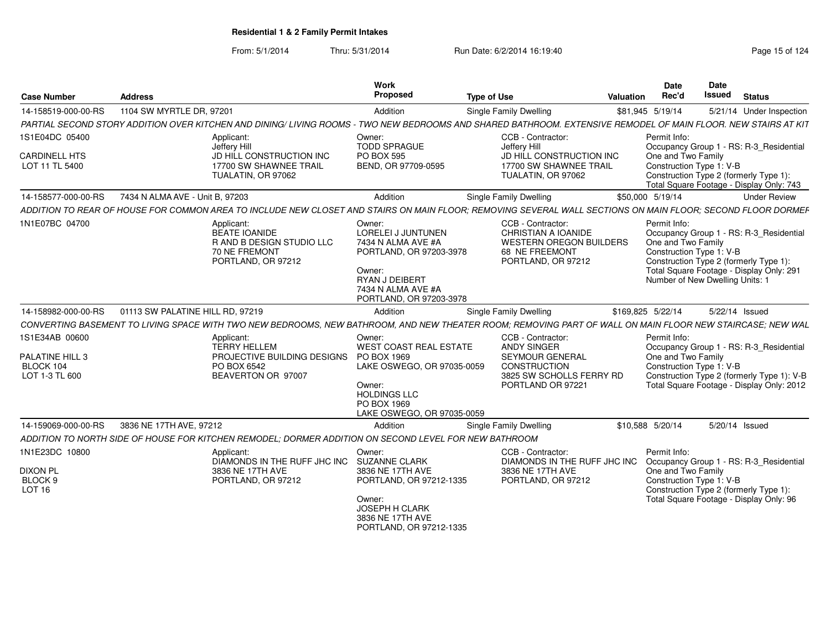From: 5/1/2014

Thru: 5/31/2014 Run Date: 6/2/2014 16:19:40

| <b>Case Number</b>                     | <b>Address</b>                   |                                                                                                       | Work<br>Proposed                                                                                                                                           | <b>Type of Use</b>                                                                                                                                             | Valuation         | Date<br>Rec'd                                                  | <b>Date</b><br><b>Issued</b>                                             | <b>Status</b>                                                                           |
|----------------------------------------|----------------------------------|-------------------------------------------------------------------------------------------------------|------------------------------------------------------------------------------------------------------------------------------------------------------------|----------------------------------------------------------------------------------------------------------------------------------------------------------------|-------------------|----------------------------------------------------------------|--------------------------------------------------------------------------|-----------------------------------------------------------------------------------------|
| 14-158519-000-00-RS                    | 1104 SW MYRTLE DR, 97201         |                                                                                                       | Addition                                                                                                                                                   | Single Family Dwelling                                                                                                                                         | \$81,945 5/19/14  |                                                                |                                                                          | 5/21/14 Under Inspection                                                                |
|                                        |                                  |                                                                                                       |                                                                                                                                                            | PARTIAL SECOND STORY ADDITION OVER KITCHEN AND DINING/ LIVING ROOMS - TWO NEW BEDROOMS AND SHARED BATHROOM. EXTENSIVE REMODEL OF MAIN FLOOR. NEW STAIRS AT KIT |                   |                                                                |                                                                          |                                                                                         |
| 1S1E04DC 05400                         |                                  | Applicant:                                                                                            | Owner:                                                                                                                                                     | CCB - Contractor:                                                                                                                                              |                   | Permit Info:                                                   |                                                                          |                                                                                         |
| <b>CARDINELL HTS</b><br>LOT 11 TL 5400 |                                  | Jeffery Hill<br>JD HILL CONSTRUCTION INC<br>17700 SW SHAWNEE TRAIL<br>TUALATIN, OR 97062              | <b>TODD SPRAGUE</b><br><b>PO BOX 595</b><br>BEND, OR 97709-0595                                                                                            | Jeffery Hill<br>JD HILL CONSTRUCTION INC<br>17700 SW SHAWNEE TRAIL<br>TUALATIN, OR 97062                                                                       |                   | One and Two Family<br>Construction Type 1: V-B                 | Construction Type 2 (formerly Type 1)                                    | Occupancy Group 1 - RS: R-3_Residential<br>Total Square Footage - Display Only: 743     |
| 14-158577-000-00-RS                    | 7434 N ALMA AVE - Unit B, 97203  |                                                                                                       | Addition                                                                                                                                                   | Single Family Dwelling                                                                                                                                         | \$50,000 5/19/14  |                                                                |                                                                          | <b>Under Review</b>                                                                     |
|                                        |                                  |                                                                                                       |                                                                                                                                                            | ADDITION TO REAR OF HOUSE FOR COMMON AREA TO INCLUDE NEW CLOSET AND STAIRS ON MAIN FLOOR: REMOVING SEVERAL WALL SECTIONS ON MAIN FLOOR: SECOND FLOOR DORMER    |                   |                                                                |                                                                          |                                                                                         |
| 1N1E07BC 04700                         |                                  | Applicant:<br>BEATE IOANIDE<br>R AND B DESIGN STUDIO LLC<br>70 NE FREMONT<br>PORTLAND, OR 97212       | Owner:<br>LORELEI J JUNTUNEN<br>7434 N ALMA AVE #A<br>PORTLAND, OR 97203-3978<br>Owner:<br>RYAN J DEIBERT<br>7434 N ALMA AVE #A<br>PORTLAND, OR 97203-3978 | CCB - Contractor:<br>CHRISTIAN A IOANIDE<br><b>WESTERN OREGON BUILDERS</b><br>68 NE FREEMONT<br>PORTLAND, OR 97212                                             |                   | Permit Info:<br>One and Two Family<br>Construction Type 1: V-B | Construction Type 2 (formerly Type 1)<br>Number of New Dwelling Units: 1 | Occupancy Group 1 - RS: R-3_Residential<br>Total Square Footage - Display Only: 291     |
| 14-158982-000-00-RS                    | 01113 SW PALATINE HILL RD, 97219 |                                                                                                       | Addition                                                                                                                                                   | <b>Single Family Dwelling</b>                                                                                                                                  | \$169,825 5/22/14 |                                                                | 5/22/14 Issued                                                           |                                                                                         |
|                                        |                                  |                                                                                                       |                                                                                                                                                            | CONVERTING BASEMENT TO LIVING SPACE WITH TWO NEW BEDROOMS, NEW BATHROOM, AND NEW THEATER ROOM; REMOVING PART OF WALL ON MAIN FLOOR NEW STAIRCASE; NEW WAL      |                   |                                                                |                                                                          |                                                                                         |
| 1S1E34AB 00600                         |                                  | Applicant:                                                                                            | Owner:                                                                                                                                                     | CCB - Contractor:                                                                                                                                              |                   | Permit Info:                                                   |                                                                          |                                                                                         |
| PALATINE HILL 3                        |                                  | <b>TERRY HELLEM</b><br>PROJECTIVE BUILDING DESIGNS PO BOX 1969                                        | WEST COAST REAL ESTATE                                                                                                                                     | <b>ANDY SINGER</b><br>SEYMOUR GENERAL                                                                                                                          |                   | One and Two Family                                             |                                                                          | Occupancy Group 1 - RS: R-3_Residential                                                 |
| BLOCK 104                              |                                  | PO BOX 6542                                                                                           | LAKE OSWEGO, OR 97035-0059                                                                                                                                 | CONSTRUCTION                                                                                                                                                   |                   | Construction Type 1: V-B                                       |                                                                          |                                                                                         |
| LOT 1-3 TL 600                         |                                  | BEAVERTON OR 97007                                                                                    | Owner:<br><b>HOLDINGS LLC</b><br>PO BOX 1969<br>LAKE OSWEGO, OR 97035-0059                                                                                 | 3825 SW SCHOLLS FERRY RD<br>PORTLAND OR 97221                                                                                                                  |                   |                                                                |                                                                          | Construction Type 2 (formerly Type 1): V-B<br>Total Square Footage - Display Only: 2012 |
| 14-159069-000-00-RS                    | 3836 NE 17TH AVE. 97212          |                                                                                                       | Addition                                                                                                                                                   | <b>Single Family Dwelling</b>                                                                                                                                  | \$10,588 5/20/14  |                                                                | 5/20/14 Issued                                                           |                                                                                         |
|                                        |                                  | ADDITION TO NORTH SIDE OF HOUSE FOR KITCHEN REMODEL: DORMER ADDITION ON SECOND LEVEL FOR NEW BATHROOM |                                                                                                                                                            |                                                                                                                                                                |                   |                                                                |                                                                          |                                                                                         |
| 1N1E23DC 10800                         |                                  | Applicant:<br>DIAMONDS IN THE RUFF JHC INC SUZANNE CLARK                                              | Owner:                                                                                                                                                     | CCB - Contractor:<br>DIAMONDS IN THE RUFF JHC INC                                                                                                              |                   | Permit Info:                                                   |                                                                          | Occupancy Group 1 - RS: R-3_Residential                                                 |
| <b>DIXON PL</b><br>BLOCK <sub>9</sub>  |                                  | 3836 NE 17TH AVE                                                                                      | 3836 NE 17TH AVE                                                                                                                                           | 3836 NE 17TH AVE                                                                                                                                               |                   | One and Two Family                                             |                                                                          |                                                                                         |
| <b>LOT 16</b>                          |                                  | PORTLAND, OR 97212                                                                                    | PORTLAND, OR 97212-1335                                                                                                                                    | PORTLAND, OR 97212                                                                                                                                             |                   | Construction Type 1: V-B                                       | Construction Type 2 (formerly Type 1)                                    |                                                                                         |
|                                        |                                  |                                                                                                       | Owner:<br>JOSEPH H CLARK<br>3836 NE 17TH AVE<br>PORTLAND, OR 97212-1335                                                                                    |                                                                                                                                                                |                   |                                                                |                                                                          | Total Square Footage - Display Only: 96                                                 |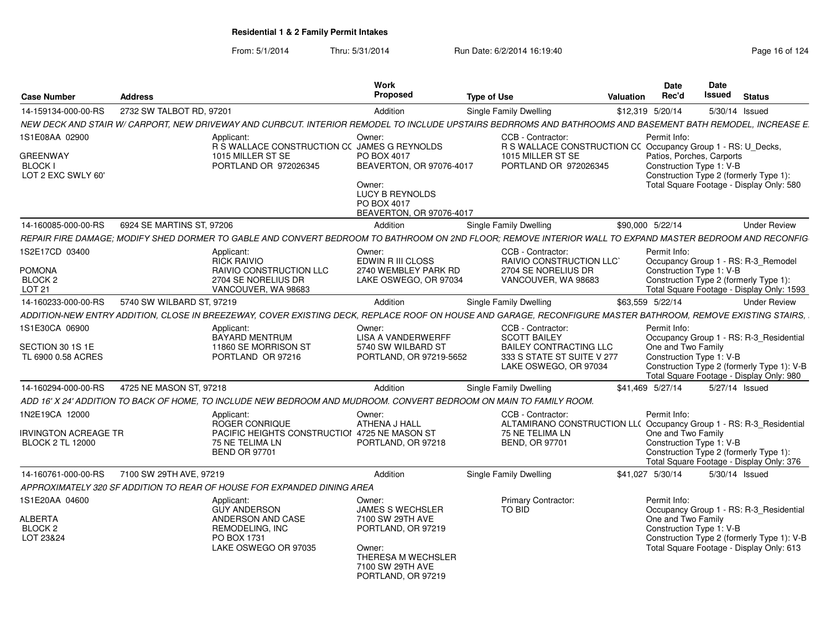| Case Number                                                            | <b>Address</b>                                                                                                                                               | Work<br><b>Proposed</b>                                                                 | <b>Type of Use</b>                                                                                                               | Date<br>Rec'd<br>Valuation         | Date<br>Issued                                                                                            | <b>Status</b>                                                                         |
|------------------------------------------------------------------------|--------------------------------------------------------------------------------------------------------------------------------------------------------------|-----------------------------------------------------------------------------------------|----------------------------------------------------------------------------------------------------------------------------------|------------------------------------|-----------------------------------------------------------------------------------------------------------|---------------------------------------------------------------------------------------|
| 14-159134-000-00-RS                                                    | 2732 SW TALBOT RD, 97201                                                                                                                                     | Addition                                                                                | Single Family Dwelling                                                                                                           | \$12,319 5/20/14                   | 5/30/14 Issued                                                                                            |                                                                                       |
|                                                                        | NEW DECK AND STAIR W/ CARPORT, NEW DRIVEWAY AND CURBCUT. INTERIOR REMODEL TO INCLUDE UPSTAIRS BEDRROMS AND BATHROOMS AND BASEMENT BATH REMODEL, INCREASE E.  |                                                                                         |                                                                                                                                  |                                    |                                                                                                           |                                                                                       |
| 1S1E08AA 02900                                                         | Applicant:                                                                                                                                                   | Owner:                                                                                  | CCB - Contractor:                                                                                                                | Permit Info:                       |                                                                                                           |                                                                                       |
| <b>GREENWAY</b><br><b>BLOCK I</b><br>LOT 2 EXC SWLY 60'                | 1015 MILLER ST SE<br>PORTLAND OR 972026345                                                                                                                   | R S WALLACE CONSTRUCTION CC JAMES G REYNOLDS<br>PO BOX 4017<br>BEAVERTON, OR 97076-4017 | R S WALLACE CONSTRUCTION CC Occupancy Group 1 - RS: U_Decks,<br>1015 MILLER ST SE<br>PORTLAND OR 972026345                       |                                    | Patios, Porches, Carports<br>Construction Type 1: V-B<br>Construction Type 2 (formerly Type 1):           |                                                                                       |
|                                                                        |                                                                                                                                                              | Owner:<br>LUCY B REYNOLDS<br>PO BOX 4017<br>BEAVERTON, OR 97076-4017                    |                                                                                                                                  |                                    | Total Square Footage - Display Only: 580                                                                  |                                                                                       |
| 14-160085-000-00-RS                                                    | 6924 SE MARTINS ST, 97206                                                                                                                                    | Addition                                                                                | <b>Single Family Dwelling</b>                                                                                                    | \$90,000 5/22/14                   |                                                                                                           | <b>Under Review</b>                                                                   |
|                                                                        | REPAIR FIRE DAMAGE: MODIFY SHED DORMER TO GABLE AND CONVERT BEDROOM TO BATHROOM ON 2ND FLOOR: REMOVE INTERIOR WALL TO EXPAND MASTER BEDROOM AND RECONFIG     |                                                                                         |                                                                                                                                  |                                    |                                                                                                           |                                                                                       |
| 1S2E17CD 03400<br><b>POMONA</b><br>BLOCK <sub>2</sub><br><b>LOT 21</b> | Applicant:<br>RICK RAIVIO<br><b>RAIVIO CONSTRUCTION LLC</b><br>2704 SE NORELIUS DR<br>VANCOUVER, WA 98683                                                    | Owner:<br>EDWIN R III CLOSS<br>2740 WEMBLEY PARK RD<br>LAKE OSWEGO, OR 97034            | CCB - Contractor:<br>RAIVIO CONSTRUCTION LLC'<br>2704 SE NORELIUS DR<br>VANCOUVER, WA 98683                                      | Permit Info:                       | Occupancy Group 1 - RS: R-3 Remodel<br>Construction Type 1: V-B<br>Construction Type 2 (formerly Type 1): |                                                                                       |
|                                                                        |                                                                                                                                                              |                                                                                         |                                                                                                                                  |                                    |                                                                                                           | Total Square Footage - Display Only: 1593                                             |
| 14-160233-000-00-RS                                                    | 5740 SW WILBARD ST, 97219                                                                                                                                    | Addition                                                                                | Single Family Dwelling                                                                                                           | \$63,559 5/22/14                   |                                                                                                           | <b>Under Review</b>                                                                   |
|                                                                        | ADDITION-NEW ENTRY ADDITION, CLOSE IN BREEZEWAY, COVER EXISTING DECK, REPLACE ROOF ON HOUSE AND GARAGE, RECONFIGURE MASTER BATHROOM, REMOVE EXISTING STAIRS, |                                                                                         |                                                                                                                                  |                                    |                                                                                                           |                                                                                       |
| 1S1E30CA 06900<br>SECTION 30 1S 1E<br>TL 6900 0.58 ACRES               | Applicant:<br>BAYARD MENTRUM<br>11860 SE MORRISON ST<br>PORTLAND OR 97216                                                                                    | Owner:<br><b>LISA A VANDERWERFF</b><br>5740 SW WILBARD ST<br>PORTLAND, OR 97219-5652    | CCB - Contractor:<br><b>SCOTT BAILEY</b><br><b>BAILEY CONTRACTING LLC</b><br>333 S STATE ST SUITE V 277<br>LAKE OSWEGO, OR 97034 | Permit Info:<br>One and Two Family | Construction Type 1: V-B<br>Total Square Footage - Display Only: 980                                      | Occupancy Group 1 - RS: R-3 Residential<br>Construction Type 2 (formerly Type 1): V-B |
| 14-160294-000-00-RS                                                    | 4725 NE MASON ST. 97218                                                                                                                                      | Addition                                                                                | Single Family Dwelling                                                                                                           | \$41,469 5/27/14                   | 5/27/14 Issued                                                                                            |                                                                                       |
|                                                                        | ADD 16' X 24' ADDITION TO BACK OF HOME. TO INCLUDE NEW BEDROOM AND MUDROOM. CONVERT BEDROOM ON MAIN TO FAMILY ROOM.                                          |                                                                                         |                                                                                                                                  |                                    |                                                                                                           |                                                                                       |
| 1N2E19CA 12000                                                         | Applicant:<br>ROGER CONRIQUE                                                                                                                                 | Owner:<br>ATHENA J HALL                                                                 | CCB - Contractor:<br>ALTAMIRANO CONSTRUCTION LL( Occupancy Group 1 - RS: R-3 Residential                                         | Permit Info:                       |                                                                                                           |                                                                                       |
| <b>IRVINGTON ACREAGE TR</b><br><b>BLOCK 2 TL 12000</b>                 | 75 NE TELIMA LN<br><b>BEND OR 97701</b>                                                                                                                      | PACIFIC HEIGHTS CONSTRUCTION 4725 NE MASON ST<br>PORTLAND, OR 97218                     | 75 NE TELIMA LN<br><b>BEND, OR 97701</b>                                                                                         | One and Two Family                 | Construction Type 1: V-B<br>Construction Type 2 (formerly Type 1):                                        | Total Square Footage - Display Only: 376                                              |
| 14-160761-000-00-RS                                                    | 7100 SW 29TH AVE, 97219                                                                                                                                      | Addition                                                                                | Single Family Dwelling                                                                                                           | \$41,027 5/30/14                   | 5/30/14 Issued                                                                                            |                                                                                       |
|                                                                        | APPROXIMATELY 320 SF ADDITION TO REAR OF HOUSE FOR EXPANDED DINING AREA                                                                                      |                                                                                         |                                                                                                                                  |                                    |                                                                                                           |                                                                                       |
| 1S1E20AA 04600                                                         | Applicant:<br><b>GUY ANDERSON</b>                                                                                                                            | Owner:<br><b>JAMES S WECHSLER</b>                                                       | <b>Primary Contractor:</b><br>TO BID                                                                                             | Permit Info:                       |                                                                                                           | Occupancy Group 1 - RS: R-3 Residential                                               |
| <b>ALBERTA</b><br>BLOCK <sub>2</sub><br>LOT 23&24                      | ANDERSON AND CASE<br>REMODELING, INC<br>PO BOX 1731<br>LAKE OSWEGO OR 97035                                                                                  | 7100 SW 29TH AVE<br>PORTLAND, OR 97219<br>Owner:<br>THERESA M WECHSLER                  |                                                                                                                                  | One and Two Family                 | Construction Type 1: V-B<br>Total Square Footage - Display Only: 613                                      | Construction Type 2 (formerly Type 1): V-B                                            |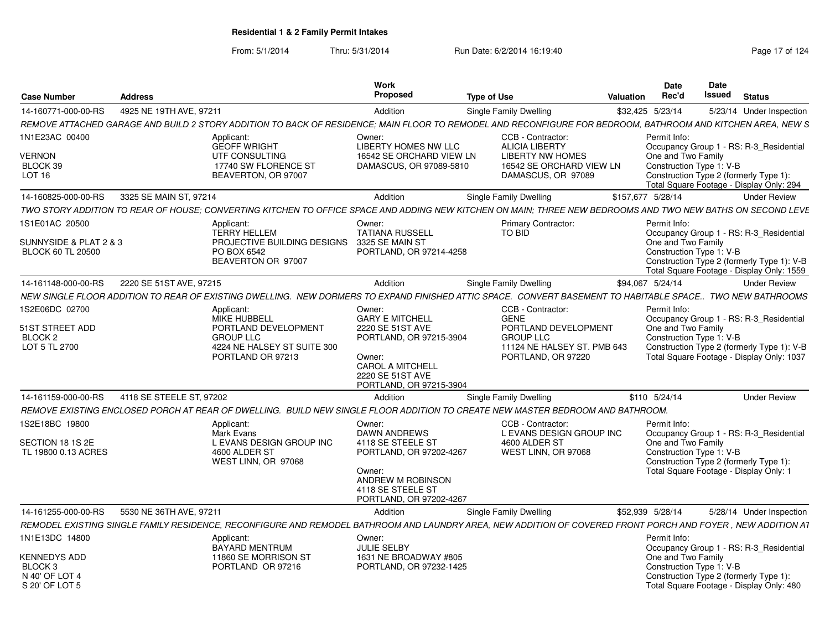| <b>Case Number</b>                                                 | <b>Address</b>           |                                                                                                                                                              | Work<br>Proposed                                                                                                            | <b>Type of Use</b>                                   | Valuation         | <b>Date</b><br>Rec'd                           | Date<br><b>Issued</b><br><b>Status</b>                                                  |
|--------------------------------------------------------------------|--------------------------|--------------------------------------------------------------------------------------------------------------------------------------------------------------|-----------------------------------------------------------------------------------------------------------------------------|------------------------------------------------------|-------------------|------------------------------------------------|-----------------------------------------------------------------------------------------|
| 14-160771-000-00-RS                                                | 4925 NE 19TH AVE, 97211  |                                                                                                                                                              | Addition                                                                                                                    | Single Family Dwelling                               | \$32,425 5/23/14  |                                                | 5/23/14 Under Inspection                                                                |
|                                                                    |                          | REMOVE ATTACHED GARAGE AND BUILD 2 STORY ADDITION TO BACK OF RESIDENCE; MAIN FLOOR TO REMODEL AND RECONFIGURE FOR BEDROOM, BATHROOM AND KITCHEN AREA, NEW S  |                                                                                                                             |                                                      |                   |                                                |                                                                                         |
| 1N1E23AC 00400                                                     |                          | Applicant:<br><b>GEOFF WRIGHT</b>                                                                                                                            | Owner:<br><b>LIBERTY HOMES NW LLC</b>                                                                                       | CCB - Contractor:<br><b>ALICIA LIBERTY</b>           |                   | Permit Info:                                   | Occupancy Group 1 - RS: R-3_Residential                                                 |
| <b>VERNON</b><br>BLOCK 39                                          |                          | UTF CONSULTING<br>17740 SW FLORENCE ST                                                                                                                       | 16542 SE ORCHARD VIEW LN<br>DAMASCUS, OR 97089-5810                                                                         | <b>I IRERTY NW HOMES</b><br>16542 SE ORCHARD VIEW LN |                   | One and Two Family<br>Construction Type 1: V-B |                                                                                         |
| <b>LOT 16</b>                                                      |                          | BEAVERTON, OR 97007                                                                                                                                          |                                                                                                                             | DAMASCUS, OR 97089                                   |                   |                                                | Construction Type 2 (formerly Type 1):<br>Total Square Footage - Display Only: 294      |
| 14-160825-000-00-RS                                                | 3325 SE MAIN ST, 97214   |                                                                                                                                                              | Addition                                                                                                                    | Single Family Dwelling                               | \$157,677 5/28/14 |                                                | <b>Under Review</b>                                                                     |
|                                                                    |                          | TWO STORY ADDITION TO REAR OF HOUSE; CONVERTING KITCHEN TO OFFICE SPACE AND ADDING NEW KITCHEN ON MAIN; THREE NEW BEDROOMS AND TWO NEW BATHS ON SECOND LEVE  |                                                                                                                             |                                                      |                   |                                                |                                                                                         |
| 1S1E01AC 20500                                                     |                          | Applicant:<br><b>TERRY HELLEM</b>                                                                                                                            | Owner:<br><b>TATIANA RUSSELL</b>                                                                                            | <b>Primary Contractor:</b><br>TO BID                 |                   | Permit Info:                                   | Occupancy Group 1 - RS: R-3 Residential                                                 |
| SUNNYSIDE & PLAT 2 & 3<br><b>BLOCK 60 TL 20500</b>                 |                          | PROJECTIVE BUILDING DESIGNS 3325 SE MAIN ST<br>PO BOX 6542<br>BEAVERTON OR 97007                                                                             | PORTLAND, OR 97214-4258                                                                                                     |                                                      |                   | One and Two Family<br>Construction Type 1: V-B | Construction Type 2 (formerly Type 1): V-B<br>Total Square Footage - Display Only: 1559 |
| 14-161148-000-00-RS 2220 SE 51ST AVE, 97215                        |                          |                                                                                                                                                              | Addition                                                                                                                    | <b>Single Family Dwelling</b>                        | \$94,067 5/24/14  |                                                | <b>Under Review</b>                                                                     |
|                                                                    |                          | NEW SINGLE FLOOR ADDITION TO REAR OF EXISTING DWELLING. NEW DORMERS TO EXPAND FINISHED ATTIC SPACE. CONVERT BASEMENT TO HABITABLE SPACE TWO NEW BATHROOMS    |                                                                                                                             |                                                      |                   |                                                |                                                                                         |
| 1S2E06DC 02700                                                     |                          | Applicant:                                                                                                                                                   | Owner:                                                                                                                      | CCB - Contractor:                                    |                   | Permit Info:                                   |                                                                                         |
|                                                                    |                          | MIKE HUBBELL                                                                                                                                                 | <b>GARY E MITCHELL</b>                                                                                                      | GENE                                                 |                   |                                                | Occupancy Group 1 - RS: R-3_Residential                                                 |
| 51ST STREET ADD<br>BLOCK <sub>2</sub>                              |                          | PORTLAND DEVELOPMENT<br><b>GROUP LLC</b>                                                                                                                     | 2220 SE 51ST AVE<br>PORTLAND, OR 97215-3904                                                                                 | PORTLAND DEVELOPMENT<br><b>GROUP LLC</b>             |                   | One and Two Family<br>Construction Type 1: V-B |                                                                                         |
| LOT 5 TL 2700                                                      |                          | 4224 NE HALSEY ST SUITE 300<br>PORTLAND OR 97213                                                                                                             | Owner:<br><b>CAROL A MITCHELL</b><br>2220 SE 51ST AVE<br>PORTLAND, OR 97215-3904                                            | 11124 NE HALSEY ST. PMB 643<br>PORTLAND, OR 97220    |                   |                                                | Construction Type 2 (formerly Type 1): V-B<br>Total Square Footage - Display Only: 1037 |
| 14-161159-000-00-RS                                                | 4118 SE STEELE ST, 97202 |                                                                                                                                                              | Addition                                                                                                                    | Single Family Dwelling                               | \$110 5/24/14     |                                                | <b>Under Review</b>                                                                     |
|                                                                    |                          | REMOVE EXISTING ENCLOSED PORCH AT REAR OF DWELLING. BUILD NEW SINGLE FLOOR ADDITION TO CREATE NEW MASTER BEDROOM AND BATHROOM.                               |                                                                                                                             |                                                      |                   |                                                |                                                                                         |
| 1S2E18BC 19800                                                     |                          | Applicant:<br>Mark Evans                                                                                                                                     | Owner:<br><b>DAWN ANDREWS</b>                                                                                               | CCB - Contractor:<br>L EVANS DESIGN GROUP INC        |                   | Permit Info:                                   | Occupancy Group 1 - RS: R-3_Residential                                                 |
| SECTION 18 1S 2E<br>TL 19800 0.13 ACRES                            |                          | L EVANS DESIGN GROUP INC<br>4600 ALDER ST<br>WEST LINN, OR 97068                                                                                             | 4118 SE STEELE ST<br>PORTLAND, OR 97202-4267<br>Owner:<br>ANDREW M ROBINSON<br>4118 SE STEELE ST<br>PORTLAND, OR 97202-4267 | 4600 ALDER ST<br>WEST LINN, OR 97068                 |                   | One and Two Family<br>Construction Type 1: V-B | Construction Type 2 (formerly Type 1):<br>Total Square Footage - Display Only: 1        |
| 14-161255-000-00-RS                                                | 5530 NE 36TH AVE, 97211  |                                                                                                                                                              | Addition                                                                                                                    | Single Family Dwelling                               | \$52.939 5/28/14  |                                                | 5/28/14 Under Inspection                                                                |
|                                                                    |                          | REMODEL EXISTING SINGLE FAMILY RESIDENCE. RECONFIGURE AND REMODEL BATHROOM AND LAUNDRY AREA. NEW ADDITION OF COVERED FRONT PORCH AND FOYER . NEW ADDITION AT |                                                                                                                             |                                                      |                   |                                                |                                                                                         |
| 1N1E13DC 14800                                                     |                          | Applicant:<br>BAYARD MENTRUM                                                                                                                                 | Owner:<br><b>JULIE SELBY</b>                                                                                                |                                                      |                   | Permit Info:                                   | Occupancy Group 1 - RS: R-3_Residential                                                 |
| <b>KENNEDYS ADD</b><br>BLOCK 3<br>N 40' OF LOT 4<br>S 20' OF LOT 5 |                          | 11860 SE MORRISON ST<br>PORTLAND OR 97216                                                                                                                    | 1631 NE BROADWAY #805<br>PORTLAND, OR 97232-1425                                                                            |                                                      |                   | One and Two Family<br>Construction Type 1: V-B | Construction Type 2 (formerly Type 1):<br>Total Square Footage - Display Only: 480      |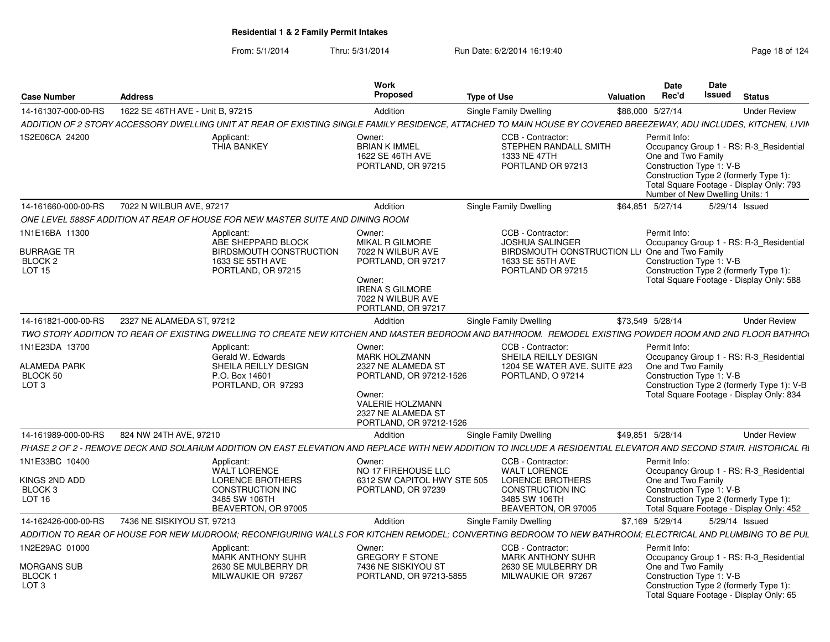| <b>Case Number</b>                                                         | <b>Address</b>                                                                                                                                                     | Work<br>Proposed                                                                                                                                                      | <b>Type of Use</b><br>Valuation                                                                                                        | <b>Date</b><br>Rec'd               | <b>Date</b><br><b>Issued</b>                                | <b>Status</b>                                                                                                                     |
|----------------------------------------------------------------------------|--------------------------------------------------------------------------------------------------------------------------------------------------------------------|-----------------------------------------------------------------------------------------------------------------------------------------------------------------------|----------------------------------------------------------------------------------------------------------------------------------------|------------------------------------|-------------------------------------------------------------|-----------------------------------------------------------------------------------------------------------------------------------|
| 14-161307-000-00-RS                                                        | 1622 SE 46TH AVE - Unit B. 97215                                                                                                                                   | Addition                                                                                                                                                              | Single Family Dwelling                                                                                                                 | \$88,000 5/27/14                   |                                                             | <b>Under Review</b>                                                                                                               |
|                                                                            | ADDITION OF 2 STORY ACCESSORY DWELLING UNIT AT REAR OF EXISTING SINGLE FAMILY RESIDENCE. ATTACHED TO MAIN HOUSE BY COVERED BREEZEWAY, ADU INCLUDES, KITCHEN, LIVIN |                                                                                                                                                                       |                                                                                                                                        |                                    |                                                             |                                                                                                                                   |
| 1S2E06CA 24200                                                             | Applicant:<br><b>THIA BANKEY</b>                                                                                                                                   | Owner:<br><b>BRIAN K IMMEL</b><br>1622 SE 46TH AVE<br>PORTLAND, OR 97215                                                                                              | CCB - Contractor:<br>STEPHEN RANDALL SMITH<br>1333 NE 47TH<br>PORTLAND OR 97213                                                        | Permit Info:<br>One and Two Family | Construction Type 1: V-B<br>Number of New Dwelling Units: 1 | Occupancy Group 1 - RS: R-3_Residential<br>Construction Type 2 (formerly Type 1):<br>Total Square Footage - Display Only: 793     |
| 14-161660-000-00-RS                                                        | 7022 N WILBUR AVE, 97217                                                                                                                                           | Addition                                                                                                                                                              | Single Family Dwelling                                                                                                                 | \$64,851 5/27/14                   |                                                             | 5/29/14 Issued                                                                                                                    |
|                                                                            | ONE LEVEL 588SF ADDITION AT REAR OF HOUSE FOR NEW MASTER SUITE AND DINING ROOM                                                                                     |                                                                                                                                                                       |                                                                                                                                        |                                    |                                                             |                                                                                                                                   |
| 1N1E16BA 11300<br><b>BURRAGE TR</b><br>BLOCK <sub>2</sub><br><b>LOT 15</b> | Applicant:<br>ABE SHEPPARD BLOCK<br>BIRDSMOUTH CONSTRUCTION<br>1633 SE 55TH AVE<br>PORTLAND, OR 97215                                                              | Owner:<br><b>MIKAL R GILMORE</b><br>7022 N WILBUR AVE<br>PORTLAND, OR 97217<br>Owner:<br><b>IRENA S GILMORE</b><br>7022 N WILBUR AVE<br>PORTLAND, OR 97217            | CCB - Contractor:<br><b>JOSHUA SALINGER</b><br>BIRDSMOUTH CONSTRUCTION LLI One and Two Family<br>1633 SE 55TH AVE<br>PORTLAND OR 97215 | Permit Info:                       | Construction Type 1: V-B                                    | Occupancy Group 1 - RS: R-3_Residential<br>Construction Type 2 (formerly Type 1):<br>Total Square Footage - Display Only: 588     |
| 14-161821-000-00-RS                                                        | 2327 NE ALAMEDA ST, 97212                                                                                                                                          | Addition                                                                                                                                                              | Single Family Dwelling                                                                                                                 | \$73,549 5/28/14                   |                                                             | <b>Under Review</b>                                                                                                               |
|                                                                            | TWO STORY ADDITION TO REAR OF EXISTING DWELLING TO CREATE NEW KITCHEN AND MASTER BEDROOM AND BATHROOM. REMODEL EXISTING POWDER ROOM AND 2ND FLOOR BATHROO          |                                                                                                                                                                       |                                                                                                                                        |                                    |                                                             |                                                                                                                                   |
| 1N1E23DA 13700<br>ALAMEDA PARK<br>BLOCK 50<br>LOT <sub>3</sub>             | Applicant:<br>Gerald W. Edwards<br>SHEILA REILLY DESIGN<br>P.O. Box 14601<br>PORTLAND, OR 97293                                                                    | Owner:<br><b>MARK HOLZMANN</b><br>2327 NE ALAMEDA ST<br>PORTLAND, OR 97212-1526<br>Owner:<br><b>VALERIE HOLZMANN</b><br>2327 NE ALAMEDA ST<br>PORTLAND, OR 97212-1526 | CCB - Contractor:<br>SHEILA REILLY DESIGN<br>1204 SE WATER AVE. SUITE #23<br>PORTLAND, O 97214                                         | Permit Info:<br>One and Two Family | Construction Type 1: V-B                                    | Occupancy Group 1 - RS: R-3 Residential<br>Construction Type 2 (formerly Type 1): V-B<br>Total Square Footage - Display Only: 834 |
| 14-161989-000-00-RS                                                        | 824 NW 24TH AVE, 97210                                                                                                                                             | Addition                                                                                                                                                              | Single Family Dwelling                                                                                                                 | \$49,851 5/28/14                   |                                                             | <b>Under Review</b>                                                                                                               |
|                                                                            | PHASE 2 OF 2 - REMOVE DECK AND SOLARIUM ADDITION ON EAST ELEVATION AND REPLACE WITH NEW ADDITION TO INCLUDE A RESIDENTIAL ELEVATOR AND SECOND STAIR. HISTORICAL RI |                                                                                                                                                                       |                                                                                                                                        |                                    |                                                             |                                                                                                                                   |
| 1N1E33BC 10400<br>KINGS 2ND ADD<br>BLOCK <sub>3</sub><br>LOT <sub>16</sub> | Applicant:<br><b>WALT LORENCE</b><br><b>LORENCE BROTHERS</b><br><b>CONSTRUCTION INC</b><br>3485 SW 106TH<br>BEAVERTON, OR 97005                                    | Owner:<br>NO 17 FIREHOUSE LLC<br>6312 SW CAPITOL HWY STE 505<br>PORTLAND, OR 97239                                                                                    | CCB - Contractor:<br><b>WALT LORENCE</b><br><b>LORENCE BROTHERS</b><br><b>CONSTRUCTION INC</b><br>3485 SW 106TH<br>BEAVERTON, OR 97005 | Permit Info:<br>One and Two Family | Construction Type 1: V-B                                    | Occupancy Group 1 - RS: R-3 Residential<br>Construction Type 2 (formerly Type 1):<br>Total Square Footage - Display Only: 452     |
| 14-162426-000-00-RS                                                        | 7436 NE SISKIYOU ST, 97213                                                                                                                                         | Addition                                                                                                                                                              | Single Family Dwelling                                                                                                                 | \$7,169 5/29/14                    |                                                             | 5/29/14 Issued                                                                                                                    |
|                                                                            | ADDITION TO REAR OF HOUSE FOR NEW MUDROOM: RECONFIGURING WALLS FOR KITCHEN REMODEL: CONVERTING BEDROOM TO NEW BATHROOM: ELECTRICAL AND PLUMBING TO BE PUL          |                                                                                                                                                                       |                                                                                                                                        |                                    |                                                             |                                                                                                                                   |
| 1N2E29AC 01000<br>MORGANS SUB<br><b>BLOCK1</b><br>LOT <sub>3</sub>         | Applicant:<br>MARK ANTHONY SUHR<br>2630 SE MULBERRY DR<br>MILWAUKIE OR 97267                                                                                       | Owner:<br><b>GREGORY F STONE</b><br>7436 NE SISKIYOU ST<br>PORTLAND, OR 97213-5855                                                                                    | CCB - Contractor:<br><b>MARK ANTHONY SUHR</b><br>2630 SE MULBERRY DR<br>MILWAUKIE OR 97267                                             | Permit Info:<br>One and Two Family | Construction Type 1: V-B                                    | Occupancy Group 1 - RS: R-3 Residential<br>Construction Type 2 (formerly Type 1):<br>Total Square Footage - Display Only: 65      |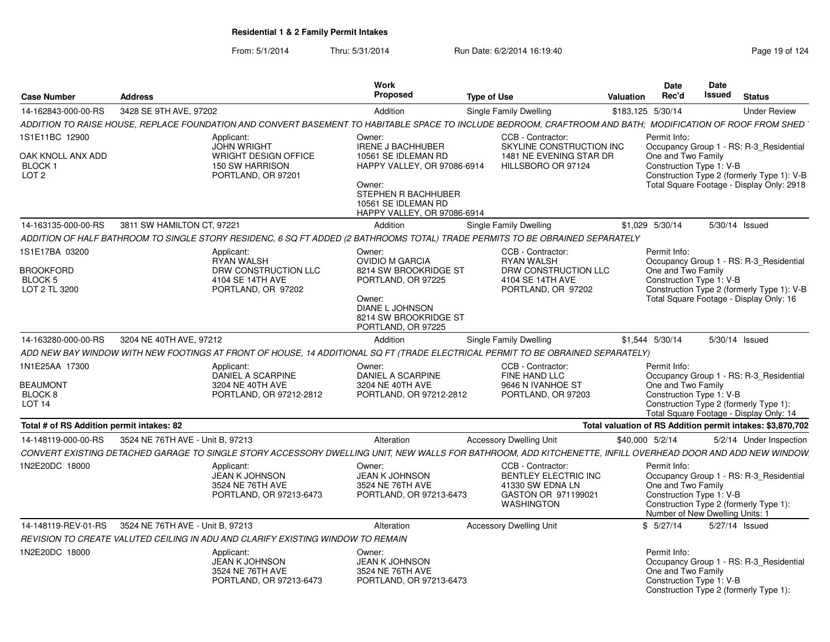|                                                      |                            |                                                                                    | Work                                                                                |                                                                                                                                                            | Date                               | <b>Date</b>                                                                                                                                      |
|------------------------------------------------------|----------------------------|------------------------------------------------------------------------------------|-------------------------------------------------------------------------------------|------------------------------------------------------------------------------------------------------------------------------------------------------------|------------------------------------|--------------------------------------------------------------------------------------------------------------------------------------------------|
| <b>Case Number</b>                                   | <b>Address</b>             |                                                                                    | Proposed                                                                            | <b>Type of Use</b>                                                                                                                                         | Rec'd<br>Valuation                 | Issued<br>Status                                                                                                                                 |
| 14-162843-000-00-RS                                  | 3428 SE 9TH AVE, 97202     |                                                                                    | Addition                                                                            | <b>Single Family Dwelling</b>                                                                                                                              | \$183,125 5/30/14                  | <b>Under Review</b>                                                                                                                              |
|                                                      |                            |                                                                                    |                                                                                     | ADDITION TO RAISE HOUSE, REPLACE FOUNDATION AND CONVERT BASEMENT TO HABITABLE SPACE TO INCLUDE BEDROOM, CRAFTROOM AND BATH; MODIFICATION OF ROOF FROM SHED |                                    |                                                                                                                                                  |
| 1S1E11BC 12900<br>OAK KNOLL ANX ADD                  |                            | Applicant:<br><b>JOHN WRIGHT</b><br>WRIGHT DESIGN OFFICE                           | Owner:<br><b>IRENE J BACHHUBER</b><br>10561 SE IDLEMAN RD                           | CCB - Contractor:<br>SKYLINE CONSTRUCTION INC<br>1481 NE EVENING STAR DR                                                                                   | Permit Info:<br>One and Two Family | Occupancy Group 1 - RS: R-3_Residential                                                                                                          |
| <b>BLOCK1</b><br>LOT <sub>2</sub>                    |                            | 150 SW HARRISON<br>PORTLAND, OR 97201                                              | HAPPY VALLEY, OR 97086-6914                                                         | HILLSBORO OR 97124                                                                                                                                         |                                    | Construction Type 1: V-B<br>Construction Type 2 (formerly Type 1): V-B                                                                           |
|                                                      |                            |                                                                                    | Owner:<br>STEPHEN R BACHHUBER<br>10561 SE IDLEMAN RD<br>HAPPY VALLEY, OR 97086-6914 |                                                                                                                                                            |                                    | Total Square Footage - Display Only: 2918                                                                                                        |
| 14-163135-000-00-RS                                  | 3811 SW HAMILTON CT, 97221 |                                                                                    | Addition                                                                            | <b>Single Family Dwelling</b>                                                                                                                              | \$1,029 5/30/14                    | 5/30/14 Issued                                                                                                                                   |
|                                                      |                            |                                                                                    |                                                                                     | ADDITION OF HALF BATHROOM TO SINGLE STORY RESIDENC, 6 SQ FT ADDED (2 BATHROOMS TOTAL) TRADE PERMITS TO BE OBRAINED SEPARATELY                              |                                    |                                                                                                                                                  |
| S1E17BA 03200                                        |                            | Applicant:<br>RYAN WALSH                                                           | Owner:<br><b>OVIDIO M GARCIA</b>                                                    | CCB - Contractor:<br><b>RYAN WALSH</b>                                                                                                                     | Permit Info:                       | Occupancy Group 1 - RS: R-3 Residential                                                                                                          |
| <b>BROOKFORD</b>                                     |                            | DRW CONSTRUCTION LLC                                                               | 8214 SW BROOKRIDGE ST                                                               | DRW CONSTRUCTION LLC                                                                                                                                       | One and Two Family                 |                                                                                                                                                  |
| BLOCK 5<br>LOT 2 TL 3200                             |                            | 4104 SE 14TH AVE<br>PORTLAND, OR 97202                                             | PORTLAND, OR 97225                                                                  | 4104 SE 14TH AVE<br>PORTLAND, OR 97202                                                                                                                     |                                    | Construction Type 1: V-B                                                                                                                         |
|                                                      |                            |                                                                                    | Owner:                                                                              |                                                                                                                                                            |                                    | Construction Type 2 (formerly Type 1): V-B<br>Total Square Footage - Display Only: 16                                                            |
|                                                      |                            |                                                                                    | DIANE L JOHNSON<br>8214 SW BROOKRIDGE ST                                            |                                                                                                                                                            |                                    |                                                                                                                                                  |
|                                                      |                            |                                                                                    | PORTLAND, OR 97225                                                                  |                                                                                                                                                            |                                    |                                                                                                                                                  |
| 14-163280-000-00-RS 3204 NE 40TH AVE, 97212          |                            |                                                                                    | Addition                                                                            | <b>Single Family Dwelling</b>                                                                                                                              | \$1,544 5/30/14                    | 5/30/14 Issued                                                                                                                                   |
|                                                      |                            |                                                                                    |                                                                                     | ADD NEW BAY WINDOW WITH NEW FOOTINGS AT FRONT OF HOUSE, 14 ADDITIONAL SQ FT (TRADE ELECTRICAL PERMIT TO BE OBRAINED SEPARATELY)                            |                                    |                                                                                                                                                  |
| 1N1E25AA 17300                                       |                            | Applicant:<br>DANIEL A SCARPINE                                                    | Owner:<br><b>DANIEL A SCARPINE</b>                                                  | CCB - Contractor:<br>FINE HAND LLC                                                                                                                         | Permit Info:                       | Occupancy Group 1 - RS: R-3_Residential                                                                                                          |
| <b>BEAUMONT</b>                                      |                            | 3204 NE 40TH AVE                                                                   | 3204 NE 40TH AVE                                                                    | 9646 N IVANHOE ST                                                                                                                                          | One and Two Family                 |                                                                                                                                                  |
| BLOCK 8<br><b>LOT 14</b>                             |                            | PORTLAND, OR 97212-2812                                                            | PORTLAND, OR 97212-2812                                                             | PORTLAND, OR 97203                                                                                                                                         |                                    | Construction Type 1: V-B<br>Construction Type 2 (formerly Type 1):                                                                               |
|                                                      |                            |                                                                                    |                                                                                     |                                                                                                                                                            |                                    | Total Square Footage - Display Only: 14                                                                                                          |
| Total # of RS Addition permit intakes: 82            |                            |                                                                                    |                                                                                     |                                                                                                                                                            |                                    | Total valuation of RS Addition permit intakes: \$3,870,702                                                                                       |
| 14-148119-000-00-RS 3524 NE 76TH AVE - Unit B, 97213 |                            |                                                                                    | Alteration                                                                          | <b>Accessory Dwelling Unit</b>                                                                                                                             | \$40,000 5/2/14                    | 5/2/14 Under Inspection                                                                                                                          |
|                                                      |                            |                                                                                    |                                                                                     | CONVERT EXISTING DETACHED GARAGE TO SINGLE STORY ACCESSORY DWELLING UNIT. NEW WALLS FOR BATHROOM. ADD KITCHENETTE. INFILL OVERHEAD DOOR AND ADD NEW WINDOW |                                    |                                                                                                                                                  |
| 1N2E20DC 18000                                       |                            | Applicant:<br><b>JEAN K JOHNSON</b><br>3524 NE 76TH AVE<br>PORTLAND, OR 97213-6473 | Owner:<br>JEAN K JOHNSON<br>3524 NE 76TH AVE<br>PORTLAND, OR 97213-6473             | CCB - Contractor:<br>BENTLEY ELECTRIC INC<br>41330 SW EDNA LN<br>GASTON OR 971199021<br>WASHINGTON                                                         | Permit Info:<br>One and Two Family | Occupancy Group 1 - RS: R-3 Residential<br>Construction Type 1: V-B<br>Construction Type 2 (formerly Type 1):<br>Number of New Dwelling Units: 1 |
| 14-148119-REV-01-RS 3524 NE 76TH AVE - Unit B, 97213 |                            |                                                                                    | Alteration                                                                          | <b>Accessory Dwelling Unit</b>                                                                                                                             | \$5/27/14                          | 5/27/14 Issued                                                                                                                                   |
|                                                      |                            | REVISION TO CREATE VALUTED CEILING IN ADU AND CLARIFY EXISTING WINDOW TO REMAIN    |                                                                                     |                                                                                                                                                            |                                    |                                                                                                                                                  |
| 1N2E20DC 18000                                       |                            | Applicant:                                                                         | Owner:                                                                              |                                                                                                                                                            | Permit Info:                       |                                                                                                                                                  |
|                                                      |                            | <b>JEAN K JOHNSON</b><br>3524 NE 76TH AVE<br>PORTLAND, OR 97213-6473               | <b>JEAN K JOHNSON</b><br>3524 NE 76TH AVE<br>PORTLAND, OR 97213-6473                |                                                                                                                                                            | One and Two Family                 | Occupancy Group 1 - RS: R-3 Residential<br>Construction Type 1: V-B<br>Construction Type 2 (formerly Type 1):                                    |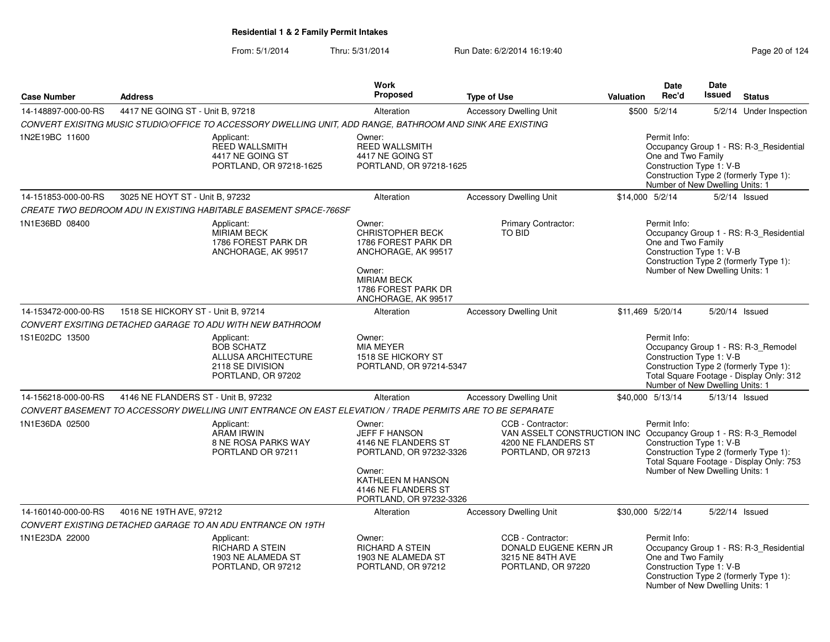|                     |                                                                                                            | Work                                                                                                                                                       |                                                                                                                                   |                 | <b>Date</b>                        | Date                                                        |                                                                                                                           |
|---------------------|------------------------------------------------------------------------------------------------------------|------------------------------------------------------------------------------------------------------------------------------------------------------------|-----------------------------------------------------------------------------------------------------------------------------------|-----------------|------------------------------------|-------------------------------------------------------------|---------------------------------------------------------------------------------------------------------------------------|
| <b>Case Number</b>  | <b>Address</b>                                                                                             | <b>Proposed</b>                                                                                                                                            | <b>Type of Use</b>                                                                                                                | Valuation       | Rec'd                              | <b>Issued</b>                                               | <b>Status</b>                                                                                                             |
| 14-148897-000-00-RS | 4417 NE GOING ST - Unit B. 97218                                                                           | Alteration                                                                                                                                                 | <b>Accessory Dwelling Unit</b>                                                                                                    |                 | \$500 5/2/14                       |                                                             | 5/2/14 Under Inspection                                                                                                   |
|                     | CONVERT EXISITNG MUSIC STUDIO/OFFICE TO ACCESSORY DWELLING UNIT, ADD RANGE, BATHROOM AND SINK ARE EXISTING |                                                                                                                                                            |                                                                                                                                   |                 |                                    |                                                             |                                                                                                                           |
| 1N2E19BC 11600      | Applicant:<br><b>REED WALLSMITH</b><br>4417 NE GOING ST<br>PORTLAND, OR 97218-1625                         | Owner:<br><b>REED WALLSMITH</b><br>4417 NE GOING ST<br>PORTLAND, OR 97218-1625                                                                             |                                                                                                                                   |                 | Permit Info:<br>One and Two Family | Construction Type 1: V-B<br>Number of New Dwelling Units: 1 | Occupancy Group 1 - RS: R-3_Residential<br>Construction Type 2 (formerly Type 1):                                         |
| 14-151853-000-00-RS | 3025 NE HOYT ST - Unit B, 97232                                                                            | Alteration                                                                                                                                                 | <b>Accessory Dwelling Unit</b>                                                                                                    | \$14,000 5/2/14 |                                    |                                                             | $5/2/14$ Issued                                                                                                           |
|                     | CREATE TWO BEDROOM ADU IN EXISTING HABITABLE BASEMENT SPACE-766SF                                          |                                                                                                                                                            |                                                                                                                                   |                 |                                    |                                                             |                                                                                                                           |
| 1N1E36BD 08400      | Applicant:<br><b>MIRIAM BECK</b><br>1786 FOREST PARK DR<br>ANCHORAGE, AK 99517                             | Owner:<br>CHRISTOPHER BECK<br>1786 FOREST PARK DR<br>ANCHORAGE, AK 99517<br>Owner:<br><b>MIRIAM BECK</b><br>1786 FOREST PARK DR<br>ANCHORAGE, AK 99517     | Primary Contractor:<br>TO BID                                                                                                     |                 | Permit Info:<br>One and Two Family | Construction Type 1: V-B<br>Number of New Dwelling Units: 1 | Occupancy Group 1 - RS: R-3_Residential<br>Construction Type 2 (formerly Type 1):                                         |
| 14-153472-000-00-RS | 1518 SE HICKORY ST - Unit B, 97214                                                                         | Alteration                                                                                                                                                 | <b>Accessory Dwelling Unit</b>                                                                                                    |                 | \$11.469 5/20/14                   |                                                             | 5/20/14 Issued                                                                                                            |
|                     | CONVERT EXSITING DETACHED GARAGE TO ADU WITH NEW BATHROOM                                                  |                                                                                                                                                            |                                                                                                                                   |                 |                                    |                                                             |                                                                                                                           |
| 1S1E02DC 13500      | Applicant:<br><b>BOB SCHATZ</b><br>ALLUSA ARCHITECTURE<br>2118 SE DIVISION<br>PORTLAND, OR 97202           | Owner:<br><b>MIA MEYER</b><br>1518 SE HICKORY ST<br>PORTLAND, OR 97214-5347                                                                                |                                                                                                                                   |                 | Permit Info:                       | Construction Type 1: V-B<br>Number of New Dwelling Units: 1 | Occupancy Group 1 - RS: R-3_Remodel<br>Construction Type 2 (formerly Type 1):<br>Total Square Footage - Display Only: 312 |
| 14-156218-000-00-RS | 4146 NE FLANDERS ST - Unit B, 97232                                                                        | Alteration                                                                                                                                                 | <b>Accessory Dwelling Unit</b>                                                                                                    |                 | \$40,000 5/13/14                   |                                                             | 5/13/14 Issued                                                                                                            |
|                     | CONVERT BASEMENT TO ACCESSORY DWELLING UNIT ENTRANCE ON EAST ELEVATION / TRADE PERMITS ARE TO BE SEPARATE  |                                                                                                                                                            |                                                                                                                                   |                 |                                    |                                                             |                                                                                                                           |
| 1N1E36DA 02500      | Applicant:<br>ARAM IRWIN<br>8 NE ROSA PARKS WAY<br>PORTLAND OR 97211                                       | Owner:<br>JEFF F HANSON<br>4146 NE FLANDERS ST<br>PORTLAND, OR 97232-3326<br>Owner:<br>KATHLEEN M HANSON<br>4146 NE FLANDERS ST<br>PORTLAND, OR 97232-3326 | CCB - Contractor:<br>VAN ASSELT CONSTRUCTION INC Occupancy Group 1 - RS: R-3_Remodel<br>4200 NE FLANDERS ST<br>PORTLAND, OR 97213 |                 | Permit Info:                       | Construction Type 1: V-B<br>Number of New Dwelling Units: 1 | Construction Type 2 (formerly Type 1):<br>Total Square Footage - Display Only: 753                                        |
| 14-160140-000-00-RS | 4016 NE 19TH AVE, 97212                                                                                    | Alteration                                                                                                                                                 | <b>Accessory Dwelling Unit</b>                                                                                                    |                 | \$30,000 5/22/14                   |                                                             | 5/22/14 Issued                                                                                                            |
|                     | CONVERT EXISTING DETACHED GARAGE TO AN ADU ENTRANCE ON 19TH                                                |                                                                                                                                                            |                                                                                                                                   |                 |                                    |                                                             |                                                                                                                           |
| 1N1E23DA 22000      | Applicant:<br>RICHARD A STEIN<br>1903 NE ALAMEDA ST<br>PORTLAND, OR 97212                                  | Owner:<br><b>RICHARD A STEIN</b><br>1903 NE ALAMEDA ST<br>PORTLAND, OR 97212                                                                               | CCB - Contractor:<br>DONALD EUGENE KERN JR<br>3215 NE 84TH AVE<br>PORTLAND, OR 97220                                              |                 | Permit Info:<br>One and Two Family | Construction Type 1: V-B<br>Number of New Dwelling Units: 1 | Occupancy Group 1 - RS: R-3_Residential<br>Construction Type 2 (formerly Type 1):                                         |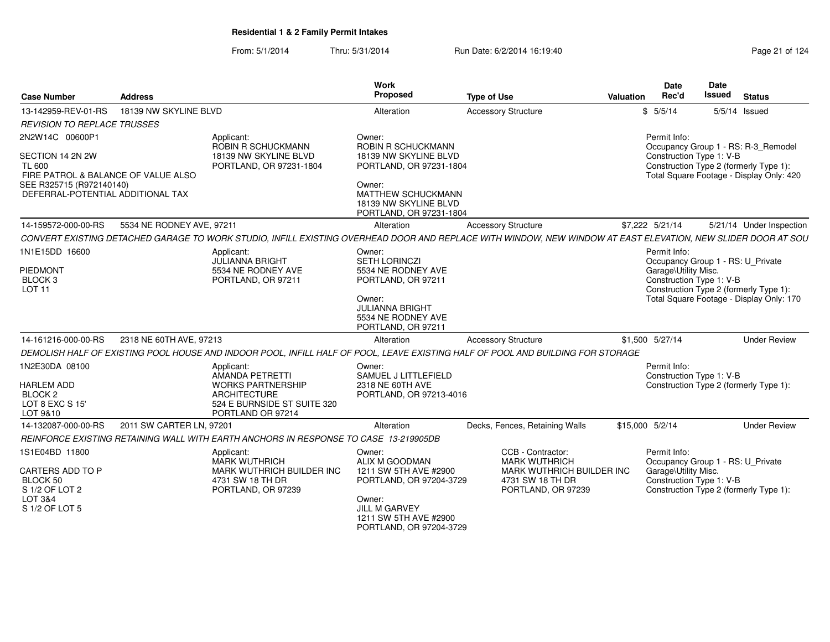From: 5/1/2014Thru: 5/31/2014 Run Date: 6/2/2014 16:19:40

| <b>Case Number</b>                                                                                                                                           | <b>Address</b>            |                                                                                                                                      | <b>Work</b><br>Proposed                                                                                                                          | <b>Type of Use</b>                                                                                                                                           | Valuation       | <b>Date</b><br>Rec'd                                                                                  | Date<br><b>Issued</b> | <b>Status</b>                                                                                                             |
|--------------------------------------------------------------------------------------------------------------------------------------------------------------|---------------------------|--------------------------------------------------------------------------------------------------------------------------------------|--------------------------------------------------------------------------------------------------------------------------------------------------|--------------------------------------------------------------------------------------------------------------------------------------------------------------|-----------------|-------------------------------------------------------------------------------------------------------|-----------------------|---------------------------------------------------------------------------------------------------------------------------|
| 13-142959-REV-01-RS                                                                                                                                          | 18139 NW SKYLINE BLVD     |                                                                                                                                      | Alteration                                                                                                                                       | <b>Accessory Structure</b>                                                                                                                                   |                 | \$5/5/14                                                                                              |                       | $5/5/14$ Issued                                                                                                           |
| <b>REVISION TO REPLACE TRUSSES</b>                                                                                                                           |                           |                                                                                                                                      |                                                                                                                                                  |                                                                                                                                                              |                 |                                                                                                       |                       |                                                                                                                           |
| 2N2W14C 00600P1<br>SECTION 14 2N 2W<br><b>TL 600</b><br>FIRE PATROL & BALANCE OF VALUE ALSO<br>SEE R325715 (R972140140)<br>DEFERRAL-POTENTIAL ADDITIONAL TAX |                           | Applicant:<br>ROBIN R SCHUCKMANN<br>18139 NW SKYLINE BLVD<br>PORTLAND, OR 97231-1804                                                 | Owner:<br>ROBIN R SCHUCKMANN<br>18139 NW SKYLINE BLVD<br>PORTLAND, OR 97231-1804<br>Owner:<br><b>MATTHEW SCHUCKMANN</b><br>18139 NW SKYLINE BLVD |                                                                                                                                                              |                 | Permit Info:<br>Construction Type 1: V-B                                                              |                       | Occupancy Group 1 - RS: R-3_Remodel<br>Construction Type 2 (formerly Type 1):<br>Total Square Footage - Display Only: 420 |
| 14-159572-000-00-RS                                                                                                                                          | 5534 NE RODNEY AVE, 97211 |                                                                                                                                      | PORTLAND, OR 97231-1804<br>Alteration                                                                                                            | <b>Accessory Structure</b>                                                                                                                                   |                 | \$7,222 5/21/14                                                                                       |                       | 5/21/14 Under Inspection                                                                                                  |
|                                                                                                                                                              |                           |                                                                                                                                      |                                                                                                                                                  | CONVERT EXISTING DETACHED GARAGE TO WORK STUDIO, INFILL EXISTING OVERHEAD DOOR AND REPLACE WITH WINDOW, NEW WINDOW AT EAST ELEVATION, NEW SLIDER DOOR AT SOU |                 |                                                                                                       |                       |                                                                                                                           |
| 1N1E15DD 16600                                                                                                                                               |                           | Applicant:<br><b>JULIANNA BRIGHT</b>                                                                                                 | Owner:<br><b>SETH LORINCZI</b>                                                                                                                   |                                                                                                                                                              |                 | Permit Info:<br>Occupancy Group 1 - RS: U_Private                                                     |                       |                                                                                                                           |
| PIEDMONT<br>BLOCK <sub>3</sub><br><b>LOT 11</b>                                                                                                              |                           | 5534 NE RODNEY AVE<br>PORTLAND, OR 97211                                                                                             | 5534 NE RODNEY AVE<br>PORTLAND, OR 97211<br>Owner:<br><b>JULIANNA BRIGHT</b><br>5534 NE RODNEY AVE<br>PORTLAND, OR 97211                         |                                                                                                                                                              |                 | Garage\Utility Misc.<br>Construction Type 1: V-B                                                      |                       | Construction Type 2 (formerly Type 1):<br>Total Square Footage - Display Only: 170                                        |
| 14-161216-000-00-RS                                                                                                                                          | 2318 NE 60TH AVE, 97213   |                                                                                                                                      | Alteration                                                                                                                                       | <b>Accessory Structure</b>                                                                                                                                   |                 | \$1,500 5/27/14                                                                                       |                       | <b>Under Review</b>                                                                                                       |
|                                                                                                                                                              |                           |                                                                                                                                      |                                                                                                                                                  | DEMOLISH HALF OF EXISTING POOL HOUSE AND INDOOR POOL, INFILL HALF OF POOL, LEAVE EXISTING HALF OF POOL AND BUILDING FOR STORAGE                              |                 |                                                                                                       |                       |                                                                                                                           |
| 1N2E30DA 08100<br><b>HARLEM ADD</b><br>BLOCK <sub>2</sub><br>LOT 8 EXC S 15'<br>LOT 9&10                                                                     |                           | Applicant:<br>AMANDA PETRETTI<br><b>WORKS PARTNERSHIP</b><br><b>ARCHITECTURE</b><br>524 E BURNSIDE ST SUITE 320<br>PORTLAND OR 97214 | Owner:<br>SAMUEL J LITTLEFIELD<br>2318 NE 60TH AVE<br>PORTLAND, OR 97213-4016                                                                    |                                                                                                                                                              |                 | Permit Info:<br>Construction Type 1: V-B                                                              |                       | Construction Type 2 (formerly Type 1):                                                                                    |
| 14-132087-000-00-RS                                                                                                                                          | 2011 SW CARTER LN, 97201  |                                                                                                                                      | Alteration                                                                                                                                       | Decks, Fences, Retaining Walls                                                                                                                               | \$15,000 5/2/14 |                                                                                                       |                       | <b>Under Review</b>                                                                                                       |
|                                                                                                                                                              |                           | REINFORCE EXISTING RETAINING WALL WITH EARTH ANCHORS IN RESPONSE TO CASE 13-219905DB                                                 |                                                                                                                                                  |                                                                                                                                                              |                 |                                                                                                       |                       |                                                                                                                           |
| 1S1E04BD 11800<br>CARTERS ADD TO P<br>BLOCK 50<br>S 1/2 OF LOT 2<br>LOT 3&4<br>S 1/2 OF LOT 5                                                                |                           | Applicant:<br><b>MARK WUTHRICH</b><br>MARK WUTHRICH BUILDER INC<br>4731 SW 18 TH DR<br>PORTLAND, OR 97239                            | Owner:<br>ALIX M GOODMAN<br>1211 SW 5TH AVE #2900<br>PORTLAND, OR 97204-3729<br>Owner:<br><b>JILL M GARVEY</b><br>1211 SW 5TH AVE #2900          | CCB - Contractor:<br><b>MARK WUTHRICH</b><br>MARK WUTHRICH BUILDER INC<br>4731 SW 18 TH DR<br>PORTLAND, OR 97239                                             |                 | Permit Info:<br>Occupancy Group 1 - RS: U_Private<br>Garage\Utility Misc.<br>Construction Type 1: V-B |                       | Construction Type 2 (formerly Type 1):                                                                                    |

PORTLAND, OR 97204-3729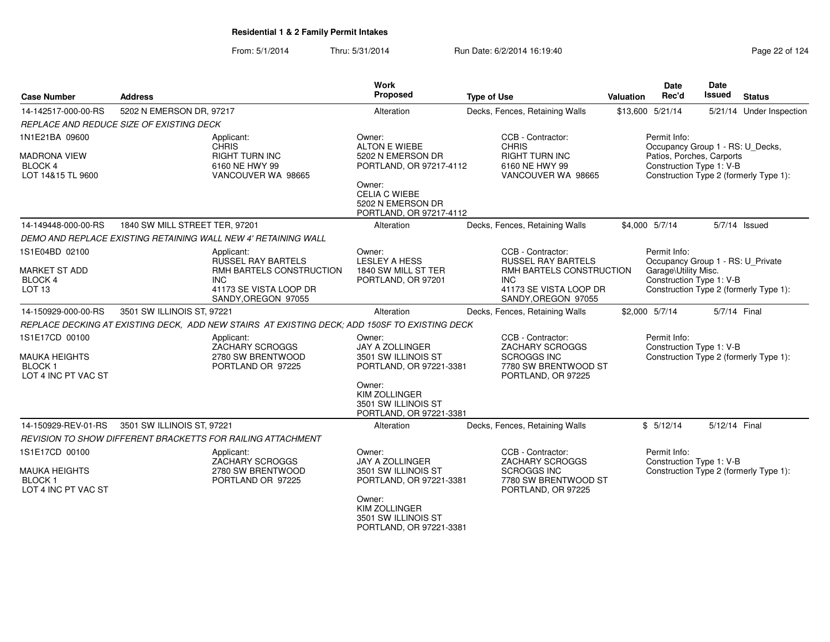From: 5/1/2014Thru: 5/31/2014 Run Date: 6/2/2014 16:19:40

| <b>Case Number</b>                                                       | <b>Address</b>                                                                                | Work<br>Proposed                                                                   | <b>Type of Use</b>                                                                                       | Valuation | Date<br>Rec'd                                                                 | <b>Date</b><br><b>Issued</b> | <b>Status</b>                          |
|--------------------------------------------------------------------------|-----------------------------------------------------------------------------------------------|------------------------------------------------------------------------------------|----------------------------------------------------------------------------------------------------------|-----------|-------------------------------------------------------------------------------|------------------------------|----------------------------------------|
| 14-142517-000-00-RS                                                      | 5202 N EMERSON DR, 97217                                                                      | Alteration                                                                         | Decks, Fences, Retaining Walls                                                                           |           | \$13,600 5/21/14                                                              |                              | 5/21/14 Under Inspection               |
|                                                                          | REPLACE AND REDUCE SIZE OF EXISTING DECK                                                      |                                                                                    |                                                                                                          |           |                                                                               |                              |                                        |
| 1N1E21BA 09600<br><b>MADRONA VIEW</b>                                    | Applicant:<br><b>CHRIS</b><br><b>RIGHT TURN INC</b>                                           | Owner:<br><b>ALTON E WIEBE</b><br>5202 N EMERSON DR                                | CCB - Contractor:<br><b>CHRIS</b><br>RIGHT TURN INC                                                      |           | Permit Info:<br>Occupancy Group 1 - RS: U Decks,<br>Patios, Porches, Carports |                              |                                        |
| <b>BLOCK 4</b><br>LOT 14&15 TL 9600                                      | 6160 NE HWY 99<br>VANCOUVER WA 98665                                                          | PORTLAND, OR 97217-4112<br>Owner:                                                  | 6160 NE HWY 99<br>VANCOUVER WA 98665                                                                     |           | Construction Type 1: V-B                                                      |                              | Construction Type 2 (formerly Type 1): |
|                                                                          |                                                                                               | <b>CELIA C WIEBE</b><br>5202 N EMERSON DR<br>PORTLAND, OR 97217-4112               |                                                                                                          |           |                                                                               |                              |                                        |
| 14-149448-000-00-RS                                                      | 1840 SW MILL STREET TER, 97201                                                                | Alteration                                                                         | Decks, Fences, Retaining Walls                                                                           |           | \$4,000 5/7/14                                                                |                              | 5/7/14 Issued                          |
|                                                                          | DEMO AND REPLACE EXISTING RETAINING WALL NEW 4' RETAINING WALL                                |                                                                                    |                                                                                                          |           |                                                                               |                              |                                        |
| 1S1E04BD 02100                                                           | Applicant:<br><b>RUSSEL RAY BARTELS</b>                                                       | Owner:<br><b>LESLEY A HESS</b>                                                     | CCB - Contractor:<br><b>RUSSEL RAY BARTELS</b>                                                           |           | Permit Info:<br>Occupancy Group 1 - RS: U_Private                             |                              |                                        |
| <b>MARKET ST ADD</b>                                                     | RMH BARTELS CONSTRUCTION                                                                      | 1840 SW MILL ST TER                                                                | RMH BARTELS CONSTRUCTION<br>INC.                                                                         |           | Garage\Utility Misc.                                                          |                              |                                        |
| <b>BLOCK 4</b><br>LOT <sub>13</sub>                                      | INC.<br>41173 SE VISTA LOOP DR<br>SANDY, OREGON 97055                                         | PORTLAND, OR 97201                                                                 | 41173 SE VISTA LOOP DR<br>SANDY, OREGON 97055                                                            |           | Construction Type 1: V-B                                                      |                              | Construction Type 2 (formerly Type 1): |
| 14-150929-000-00-RS                                                      | 3501 SW ILLINOIS ST, 97221                                                                    | Alteration                                                                         | Decks, Fences, Retaining Walls                                                                           |           | \$2,000 5/7/14                                                                | 5/7/14 Final                 |                                        |
|                                                                          | REPLACE DECKING AT EXISTING DECK, ADD NEW STAIRS AT EXISTING DECK; ADD 150SF TO EXISTING DECK |                                                                                    |                                                                                                          |           |                                                                               |                              |                                        |
| 1S1E17CD 00100<br><b>MAUKA HEIGHTS</b><br>BLOCK 1<br>LOT 4 INC PT VAC ST | Applicant:<br><b>ZACHARY SCROGGS</b><br>2780 SW BRENTWOOD<br>PORTLAND OR 97225                | Owner:<br><b>JAY A ZOLLINGER</b><br>3501 SW ILLINOIS ST<br>PORTLAND, OR 97221-3381 | CCB - Contractor:<br>ZACHARY SCROGGS<br><b>SCROGGS INC</b><br>7780 SW BRENTWOOD ST<br>PORTLAND, OR 97225 |           | Permit Info:<br>Construction Type 1: V-B                                      |                              | Construction Type 2 (formerly Type 1): |
|                                                                          |                                                                                               | Owner:<br><b>KIM ZOLLINGER</b><br>3501 SW ILLINOIS ST<br>PORTLAND, OR 97221-3381   |                                                                                                          |           |                                                                               |                              |                                        |
| 14-150929-REV-01-RS                                                      | 3501 SW ILLINOIS ST, 97221                                                                    | Alteration                                                                         | Decks, Fences, Retaining Walls                                                                           |           | \$5/12/14                                                                     | 5/12/14 Final                |                                        |
|                                                                          | REVISION TO SHOW DIFFERENT BRACKETTS FOR RAILING ATTACHMENT                                   |                                                                                    |                                                                                                          |           |                                                                               |                              |                                        |
| 1S1E17CD 00100                                                           | Applicant:<br>ZACHARY SCROGGS                                                                 | Owner:<br>JAY A ZOLLINGER                                                          | CCB - Contractor:<br>ZACHARY SCROGGS                                                                     |           | Permit Info:<br>Construction Type 1: V-B                                      |                              |                                        |
| MAUKA HEIGHTS<br><b>BLOCK1</b><br>LOT 4 INC PT VAC ST                    | 2780 SW BRENTWOOD<br>PORTLAND OR 97225                                                        | 3501 SW ILLINOIS ST<br>PORTLAND, OR 97221-3381                                     | <b>SCROGGS INC</b><br>7780 SW BRENTWOOD ST<br>PORTLAND, OR 97225                                         |           |                                                                               |                              | Construction Type 2 (formerly Type 1): |
|                                                                          |                                                                                               | Owner:<br><b>KIM ZOLLINGER</b><br>3501 SW ILLINOIS ST                              |                                                                                                          |           |                                                                               |                              |                                        |

PORTLAND, OR 97221-3381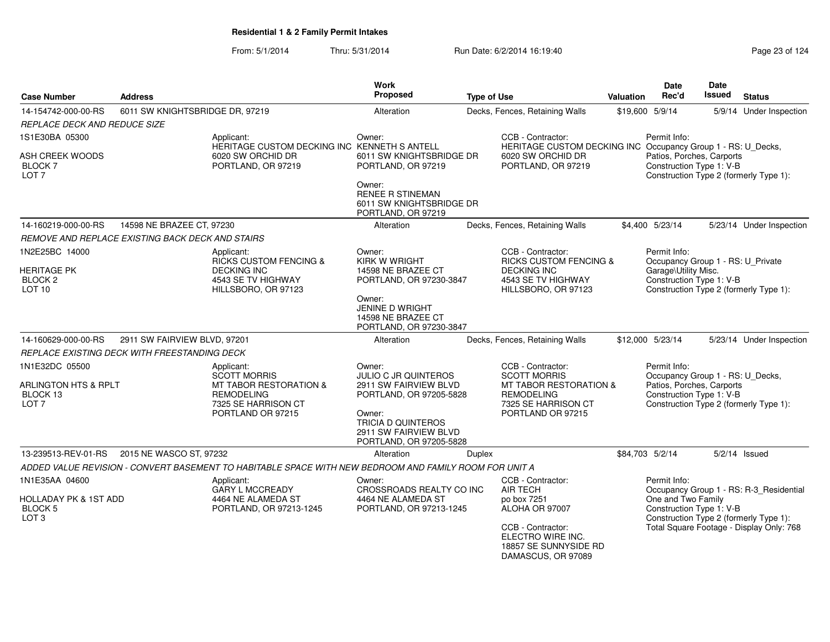| <b>Case Number</b>                                                     | <b>Address</b>                                   |                                                                                                        | <b>Work</b><br><b>Proposed</b>                                                          | <b>Type of Use</b> |                                                                                       | <b>Valuation</b> | Date<br>Rec'd                                                                            | Date<br>Issued | <b>Status</b>                            |
|------------------------------------------------------------------------|--------------------------------------------------|--------------------------------------------------------------------------------------------------------|-----------------------------------------------------------------------------------------|--------------------|---------------------------------------------------------------------------------------|------------------|------------------------------------------------------------------------------------------|----------------|------------------------------------------|
| 14-154742-000-00-RS                                                    | 6011 SW KNIGHTSBRIDGE DR, 97219                  |                                                                                                        | Alteration                                                                              |                    | Decks, Fences, Retaining Walls                                                        |                  | \$19,600 5/9/14                                                                          |                | 5/9/14 Under Inspection                  |
| REPLACE DECK AND REDUCE SIZE                                           |                                                  |                                                                                                        |                                                                                         |                    |                                                                                       |                  |                                                                                          |                |                                          |
| 1S1E30BA 05300                                                         |                                                  | Applicant:<br>HERITAGE CUSTOM DECKING INC KENNETH S ANTELL                                             | Owner:                                                                                  |                    | CCB - Contractor:<br>HERITAGE CUSTOM DECKING INC Occupancy Group 1 - RS: U_Decks,     |                  | Permit Info:                                                                             |                |                                          |
| ASH CREEK WOODS<br>BLOCK 7<br>LOT 7                                    |                                                  | 6020 SW ORCHID DR<br>PORTLAND, OR 97219                                                                | 6011 SW KNIGHTSBRIDGE DR<br>PORTLAND, OR 97219                                          |                    | 6020 SW ORCHID DR<br>PORTLAND, OR 97219                                               |                  | Patios, Porches, Carports<br>Construction Type 1: V-B                                    |                | Construction Type 2 (formerly Type 1):   |
|                                                                        |                                                  |                                                                                                        | Owner:<br><b>RENEE R STINEMAN</b><br>6011 SW KNIGHTSBRIDGE DR<br>PORTLAND, OR 97219     |                    |                                                                                       |                  |                                                                                          |                |                                          |
| 14-160219-000-00-RS                                                    | 14598 NE BRAZEE CT, 97230                        |                                                                                                        | Alteration                                                                              |                    | Decks, Fences, Retaining Walls                                                        |                  | \$4,400 5/23/14                                                                          |                | 5/23/14 Under Inspection                 |
|                                                                        | REMOVE AND REPLACE EXISTING BACK DECK AND STAIRS |                                                                                                        |                                                                                         |                    |                                                                                       |                  |                                                                                          |                |                                          |
| 1N2E25BC 14000<br><b>HERITAGE PK</b>                                   |                                                  | Applicant:<br><b>RICKS CUSTOM FENCING &amp;</b><br><b>DECKING INC</b>                                  | Owner:<br><b>KIRK W WRIGHT</b><br>14598 NE BRAZEE CT                                    |                    | CCB - Contractor:<br><b>RICKS CUSTOM FENCING &amp;</b><br><b>DECKING INC</b>          |                  | Permit Info:<br>Occupancy Group 1 - RS: U_Private<br>Garage\Utility Misc.                |                |                                          |
| BLOCK <sub>2</sub><br>LOT <sub>10</sub>                                |                                                  | 4543 SE TV HIGHWAY<br>HILLSBORO, OR 97123                                                              | PORTLAND, OR 97230-3847                                                                 |                    | 4543 SE TV HIGHWAY<br>HILLSBORO, OR 97123                                             |                  | Construction Type 1: V-B                                                                 |                | Construction Type 2 (formerly Type 1):   |
|                                                                        |                                                  |                                                                                                        | Owner:<br><b>JENINE D WRIGHT</b><br>14598 NE BRAZEE CT<br>PORTLAND, OR 97230-3847       |                    |                                                                                       |                  |                                                                                          |                |                                          |
| 14-160629-000-00-RS                                                    | 2911 SW FAIRVIEW BLVD, 97201                     |                                                                                                        | Alteration                                                                              |                    | Decks, Fences, Retaining Walls                                                        |                  | \$12,000 5/23/14                                                                         |                | 5/23/14 Under Inspection                 |
|                                                                        | REPLACE EXISTING DECK WITH FREESTANDING DECK     |                                                                                                        |                                                                                         |                    |                                                                                       |                  |                                                                                          |                |                                          |
| 1N1E32DC 05500                                                         |                                                  | Applicant:<br><b>SCOTT MORRIS</b>                                                                      | Owner:<br><b>JULIO C JR QUINTEROS</b>                                                   |                    | CCB - Contractor:<br><b>SCOTT MORRIS</b>                                              |                  | Permit Info:<br>Occupancy Group 1 - RS: U_Decks,                                         |                |                                          |
| ARLINGTON HTS & RPLT<br>BLOCK 13<br>LOT <sub>7</sub>                   |                                                  | MT TABOR RESTORATION &<br><b>REMODELING</b><br>7325 SE HARRISON CT                                     | 2911 SW FAIRVIEW BLVD<br>PORTLAND, OR 97205-5828                                        |                    | MT TABOR RESTORATION &<br><b>REMODELING</b><br>7325 SE HARRISON CT                    |                  | Patios, Porches, Carports<br>Construction Type 1: V-B                                    |                | Construction Type 2 (formerly Type 1):   |
|                                                                        |                                                  | PORTLAND OR 97215                                                                                      | Owner:<br><b>TRICIA D QUINTEROS</b><br>2911 SW FAIRVIEW BLVD<br>PORTLAND, OR 97205-5828 |                    | PORTLAND OR 97215                                                                     |                  |                                                                                          |                |                                          |
| 13-239513-REV-01-RS                                                    | 2015 NE WASCO ST, 97232                          |                                                                                                        | Alteration                                                                              | Duplex             |                                                                                       |                  | \$84,703 5/2/14                                                                          |                | $5/2/14$ Issued                          |
|                                                                        |                                                  | ADDED VALUE REVISION - CONVERT BASEMENT TO HABITABLE SPACE WITH NEW BEDROOM AND FAMILY ROOM FOR UNIT A |                                                                                         |                    |                                                                                       |                  |                                                                                          |                |                                          |
| 1N1E35AA 04600                                                         |                                                  | Applicant:<br><b>GARY L MCCREADY</b>                                                                   | Owner:<br>CROSSROADS REALTY CO INC                                                      |                    | CCB - Contractor:<br><b>AIR TECH</b>                                                  |                  | Permit Info:                                                                             |                | Occupancy Group 1 - RS: R-3_Residential  |
| <b>HOLLADAY PK &amp; 1ST ADD</b><br><b>BLOCK 5</b><br>LOT <sub>3</sub> | 4464 NE ALAMEDA ST<br>PORTLAND, OR 97213-1245    |                                                                                                        | 4464 NE ALAMEDA ST<br>PORTLAND, OR 97213-1245                                           |                    | po box 7251<br>ALOHA OR 97007                                                         |                  | One and Two Family<br>Construction Type 1: V-B<br>Construction Type 2 (formerly Type 1): |                |                                          |
|                                                                        |                                                  |                                                                                                        |                                                                                         |                    | CCB - Contractor:<br>ELECTRO WIRE INC.<br>18857 SE SUNNYSIDE RD<br>DAMASCUS, OR 97089 |                  |                                                                                          |                | Total Square Footage - Display Only: 768 |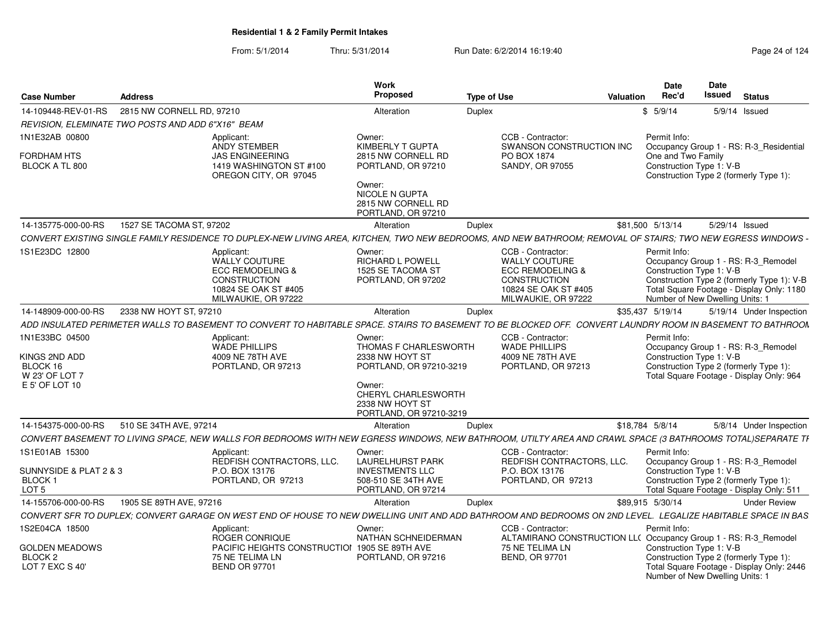| <b>Case Number</b>                                                              | <b>Address</b>                                                                                                                                               | Work<br>Proposed                                                                                                        | <b>Type of Use</b>                                                                                                                      | Date<br>Rec'd<br><b>Valuation</b>              | Date<br>Issued<br><b>Status</b>                                                                                                                                   |
|---------------------------------------------------------------------------------|--------------------------------------------------------------------------------------------------------------------------------------------------------------|-------------------------------------------------------------------------------------------------------------------------|-----------------------------------------------------------------------------------------------------------------------------------------|------------------------------------------------|-------------------------------------------------------------------------------------------------------------------------------------------------------------------|
| 14-109448-REV-01-RS                                                             | 2815 NW CORNELL RD, 97210                                                                                                                                    | Alteration                                                                                                              | Duplex                                                                                                                                  | \$5/9/14                                       | 5/9/14 Issued                                                                                                                                                     |
|                                                                                 | REVISION, ELEMINATE TWO POSTS AND ADD 6"X16" BEAM                                                                                                            |                                                                                                                         |                                                                                                                                         |                                                |                                                                                                                                                                   |
| 1N1E32AB 00800                                                                  | Applicant:<br>ANDY STEMBER                                                                                                                                   | Owner:<br>KIMBERLY T GUPTA                                                                                              | CCB - Contractor:<br>SWANSON CONSTRUCTION INC                                                                                           | Permit Info:                                   | Occupancy Group 1 - RS: R-3_Residential                                                                                                                           |
| <b>FORDHAM HTS</b><br>BLOCK A TL 800                                            | <b>JAS ENGINEERING</b><br>1419 WASHINGTON ST #100<br>OREGON CITY, OR 97045                                                                                   | 2815 NW CORNELL RD<br>PORTLAND, OR 97210<br>Owner:<br><b>NICOLE N GUPTA</b><br>2815 NW CORNELL RD<br>PORTLAND, OR 97210 | PO BOX 1874<br>SANDY, OR 97055                                                                                                          | One and Two Family<br>Construction Type 1: V-B | Construction Type 2 (formerly Type 1):                                                                                                                            |
| 14-135775-000-00-RS                                                             | 1527 SE TACOMA ST, 97202                                                                                                                                     | Alteration                                                                                                              | <b>Duplex</b>                                                                                                                           | \$81,500 5/13/14                               | 5/29/14 Issued                                                                                                                                                    |
|                                                                                 | CONVERT EXISTING SINGLE FAMILY RESIDENCE TO DUPLEX-NEW LIVING AREA, KITCHEN, TWO NEW BEDROOMS, AND NEW BATHROOM; REMOVAL OF STAIRS; TWO NEW EGRESS WINDOWS - |                                                                                                                         |                                                                                                                                         |                                                |                                                                                                                                                                   |
| 1S1E23DC 12800                                                                  | Applicant:<br><b>WALLY COUTURE</b><br><b>ECC REMODELING &amp;</b><br>CONSTRUCTION<br>10824 SE OAK ST #405<br>MILWAUKIE, OR 97222                             | Owner:<br><b>RICHARD L POWELL</b><br>1525 SE TACOMA ST<br>PORTLAND, OR 97202                                            | CCB - Contractor:<br><b>WALLY COUTURE</b><br><b>ECC REMODELING &amp;</b><br>CONSTRUCTION<br>10824 SE OAK ST #405<br>MILWAUKIE, OR 97222 | Permit Info:<br>Construction Type 1: V-B       | Occupancy Group 1 - RS: R-3_Remodel<br>Construction Type 2 (formerly Type 1): V-B<br>Total Square Footage - Display Only: 1180<br>Number of New Dwelling Units: 1 |
| 14-148909-000-00-RS                                                             | 2338 NW HOYT ST, 97210                                                                                                                                       | Alteration                                                                                                              | Duplex                                                                                                                                  | \$35,437 5/19/14                               | 5/19/14 Under Inspection                                                                                                                                          |
|                                                                                 | ADD INSULATED PERIMETER WALLS TO BASEMENT TO CONVERT TO HABITABLE SPACE. STAIRS TO BASEMENT TO BE BLOCKED OFF. CONVERT LAUNDRY ROOM IN BASEMENT TO BATHROON  |                                                                                                                         |                                                                                                                                         |                                                |                                                                                                                                                                   |
| 1N1E33BC 04500<br>KINGS 2ND ADD<br>BLOCK 16<br>W 23' OF LOT 7<br>E 5' OF LOT 10 | Applicant:<br><b>WADE PHILLIPS</b><br>4009 NE 78TH AVE<br>PORTLAND, OR 97213                                                                                 | Owner:<br><b>THOMAS F CHARLESWORTH</b><br>2338 NW HOYT ST<br>PORTLAND, OR 97210-3219<br>Owner:<br>CHERYL CHARLESWORTH   | CCB - Contractor:<br><b>WADE PHILLIPS</b><br>4009 NE 78TH AVE<br>PORTLAND, OR 97213                                                     | Permit Info:<br>Construction Type 1: V-B       | Occupancy Group 1 - RS: R-3_Remodel<br>Construction Type 2 (formerly Type 1):<br>Total Square Footage - Display Only: 964                                         |
|                                                                                 |                                                                                                                                                              | 2338 NW HOYT ST<br>PORTLAND, OR 97210-3219                                                                              |                                                                                                                                         |                                                |                                                                                                                                                                   |
| 14-154375-000-00-RS                                                             | 510 SE 34TH AVE, 97214                                                                                                                                       | Alteration                                                                                                              | <b>Duplex</b>                                                                                                                           | \$18,784 5/8/14                                | 5/8/14 Under Inspection                                                                                                                                           |
|                                                                                 | CONVERT BASEMENT TO LIVING SPACE, NEW WALLS FOR BEDROOMS WITH NEW EGRESS WINDOWS, NEW BATHROOM, UTILTY AREA AND CRAWL SPACE (3 BATHROOMS TOTAL)SEPARATE TI   |                                                                                                                         |                                                                                                                                         |                                                |                                                                                                                                                                   |
| 1S1E01AB 15300                                                                  | Applicant:<br>REDFISH CONTRACTORS, LLC.<br>P.O. BOX 13176                                                                                                    | Owner:<br><b>LAURELHURST PARK</b>                                                                                       | CCB - Contractor:<br>REDFISH CONTRACTORS, LLC.                                                                                          | Permit Info:<br>Construction Type 1: V-B       | Occupancy Group 1 - RS: R-3 Remodel                                                                                                                               |
| SUNNYSIDE & PLAT 2 & 3<br>BLOCK 1<br>LOT <sub>5</sub>                           | PORTLAND, OR 97213                                                                                                                                           | <b>INVESTMENTS LLC</b><br>508-510 SE 34TH AVE<br>PORTLAND, OR 97214                                                     | P.O. BOX 13176<br>PORTLAND, OR 97213                                                                                                    |                                                | Construction Type 2 (formerly Type 1):<br>Total Square Footage - Display Only: 511                                                                                |
| 14-155706-000-00-RS                                                             | 1905 SE 89TH AVE, 97216                                                                                                                                      | Alteration                                                                                                              | Duplex                                                                                                                                  | \$89,915 5/30/14                               | <b>Under Review</b>                                                                                                                                               |
|                                                                                 | CONVERT SFR TO DUPLEX; CONVERT GARAGE ON WEST END OF HOUSE TO NEW DWELLING UNIT AND ADD BATHROOM AND BEDROOMS ON 2ND LEVEL. LEGALIZE HABITABLE SPACE IN BAS  |                                                                                                                         |                                                                                                                                         |                                                |                                                                                                                                                                   |
| 1S2E04CA 18500<br><b>GOLDEN MEADOWS</b>                                         | Applicant:<br>ROGER CONRIQUE<br>PACIFIC HEIGHTS CONSTRUCTION 1905 SE 89TH AVE                                                                                | Owner:<br>NATHAN SCHNEIDERMAN                                                                                           | CCB - Contractor:<br>ALTAMIRANO CONSTRUCTION LL( Occupancy Group 1 - RS: R-3_Remodel<br>75 NE TELIMA LN                                 | Permit Info:<br>Construction Type 1: V-B       |                                                                                                                                                                   |
| BLOCK <sub>2</sub><br>LOT 7 EXC S 40'                                           | 75 NE TELIMA LN<br><b>BEND OR 97701</b>                                                                                                                      | PORTLAND, OR 97216                                                                                                      | <b>BEND, OR 97701</b>                                                                                                                   |                                                | Construction Type 2 (formerly Type 1):<br>Total Square Footage - Display Only: 2446<br>Number of New Dwelling Units: 1                                            |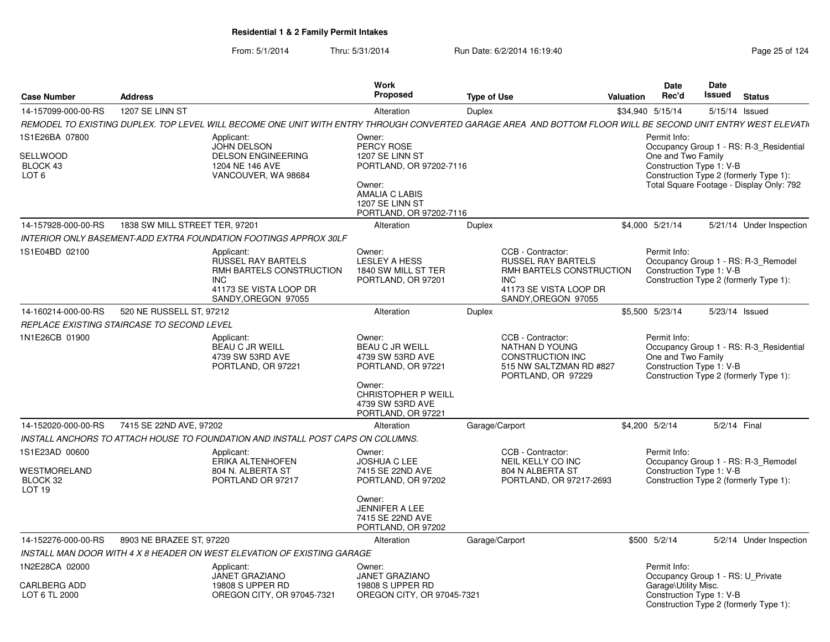|                                                                 |                                |                                                                                                                                                             | <b>Work</b>                                                                                                                                                  |                    |                                                                                                                                           |           | Date                                                                                                  | <b>Date</b>   |                                                                                                                               |
|-----------------------------------------------------------------|--------------------------------|-------------------------------------------------------------------------------------------------------------------------------------------------------------|--------------------------------------------------------------------------------------------------------------------------------------------------------------|--------------------|-------------------------------------------------------------------------------------------------------------------------------------------|-----------|-------------------------------------------------------------------------------------------------------|---------------|-------------------------------------------------------------------------------------------------------------------------------|
| <b>Case Number</b>                                              | <b>Address</b>                 |                                                                                                                                                             | <b>Proposed</b>                                                                                                                                              | <b>Type of Use</b> |                                                                                                                                           | Valuation | Rec'd                                                                                                 | <b>Issued</b> | <b>Status</b>                                                                                                                 |
| 14-157099-000-00-RS                                             | 1207 SE LINN ST                |                                                                                                                                                             | Alteration                                                                                                                                                   | <b>Duplex</b>      |                                                                                                                                           |           | \$34,940 5/15/14                                                                                      |               | 5/15/14 Issued                                                                                                                |
|                                                                 |                                | REMODEL TO EXISTING DUPLEX. TOP LEVEL WILL BECOME ONE UNIT WITH ENTRY THROUGH CONVERTED GARAGE AREA AND BOTTOM FLOOR WILL BE SECOND UNIT ENTRY WEST ELEVATI |                                                                                                                                                              |                    |                                                                                                                                           |           |                                                                                                       |               |                                                                                                                               |
| 1S1E26BA 07800<br>SELLWOOD<br>BLOCK 43<br>LOT <sub>6</sub>      |                                | Applicant:<br><b>JOHN DELSON</b><br><b>DELSON ENGINEERING</b><br>1204 NE 146 AVE<br>VANCOUVER, WA 98684                                                     | Owner:<br>PERCY ROSE<br>1207 SE LINN ST<br>PORTLAND, OR 97202-7116<br>Owner:<br><b>AMALIA C LABIS</b><br>1207 SE LINN ST<br>PORTLAND, OR 97202-7116          |                    |                                                                                                                                           |           | Permit Info:<br>One and Two Family<br>Construction Type 1: V-B                                        |               | Occupancy Group 1 - RS: R-3 Residential<br>Construction Type 2 (formerly Type 1):<br>Total Square Footage - Display Only: 792 |
| 14-157928-000-00-RS                                             | 1838 SW MILL STREET TER, 97201 |                                                                                                                                                             | Alteration                                                                                                                                                   | <b>Duplex</b>      |                                                                                                                                           |           | \$4,000 5/21/14                                                                                       |               | 5/21/14 Under Inspection                                                                                                      |
|                                                                 |                                | INTERIOR ONLY BASEMENT-ADD EXTRA FOUNDATION FOOTINGS APPROX 30LF                                                                                            |                                                                                                                                                              |                    |                                                                                                                                           |           |                                                                                                       |               |                                                                                                                               |
| 1S1E04BD 02100                                                  |                                | Applicant:<br><b>RUSSEL RAY BARTELS</b><br>RMH BARTELS CONSTRUCTION<br><b>INC</b><br>41173 SE VISTA LOOP DR<br>SANDY, OREGON 97055                          | Owner:<br><b>LESLEY A HESS</b><br>1840 SW MILL ST TER<br>PORTLAND, OR 97201                                                                                  |                    | CCB - Contractor:<br><b>RUSSEL RAY BARTELS</b><br>RMH BARTELS CONSTRUCTION<br><b>INC</b><br>41173 SE VISTA LOOP DR<br>SANDY, OREGON 97055 |           | Permit Info:<br>Construction Type 1: V-B                                                              |               | Occupancy Group 1 - RS: R-3 Remodel<br>Construction Type 2 (formerly Type 1):                                                 |
| 14-160214-000-00-RS                                             | 520 NE RUSSELL ST, 97212       |                                                                                                                                                             | Alteration                                                                                                                                                   | <b>Duplex</b>      |                                                                                                                                           |           | \$5,500 5/23/14                                                                                       |               | 5/23/14 Issued                                                                                                                |
| REPLACE EXISTING STAIRCASE TO SECOND LEVEL                      |                                |                                                                                                                                                             |                                                                                                                                                              |                    |                                                                                                                                           |           |                                                                                                       |               |                                                                                                                               |
| 1N1E26CB 01900                                                  |                                | Applicant:<br><b>BEAU C JR WEILL</b><br>4739 SW 53RD AVE<br>PORTLAND, OR 97221                                                                              | Owner:<br><b>BEAU C JR WEILL</b><br>4739 SW 53RD AVE<br>PORTLAND, OR 97221<br>Owner:<br><b>CHRISTOPHER P WEILL</b><br>4739 SW 53RD AVE<br>PORTLAND, OR 97221 |                    | CCB - Contractor:<br>NATHAN D YOUNG<br><b>CONSTRUCTION INC</b><br>515 NW SALTZMAN RD #827<br>PORTLAND, OR 97229                           |           | Permit Info:<br>One and Two Family<br>Construction Type 1: V-B                                        |               | Occupancy Group 1 - RS: R-3 Residential<br>Construction Type 2 (formerly Type 1):                                             |
| 14-152020-000-00-RS                                             | 7415 SE 22ND AVE, 97202        |                                                                                                                                                             | Alteration                                                                                                                                                   | Garage/Carport     |                                                                                                                                           |           | \$4,200 5/2/14                                                                                        | 5/2/14 Final  |                                                                                                                               |
|                                                                 |                                | INSTALL ANCHORS TO ATTACH HOUSE TO FOUNDATION AND INSTALL POST CAPS ON COLUMNS.                                                                             |                                                                                                                                                              |                    |                                                                                                                                           |           |                                                                                                       |               |                                                                                                                               |
| 1S1E23AD 00600<br>WESTMORELAND<br>BLOCK 32<br>LOT <sub>19</sub> |                                | Applicant:<br>ERIKA ALTENHOFEN<br>804 N. ALBERTA ST<br>PORTLAND OR 97217                                                                                    | Owner:<br><b>JOSHUA C LEE</b><br>7415 SE 22ND AVE<br>PORTLAND, OR 97202<br>Owner:<br><b>JENNIFER A LEE</b>                                                   |                    | CCB - Contractor:<br><b>NEIL KELLY CO INC</b><br>804 N ALBERTA ST<br>PORTLAND, OR 97217-2693                                              |           | Permit Info:<br>Construction Type 1: V-B                                                              |               | Occupancy Group 1 - RS: R-3_Remodel<br>Construction Type 2 (formerly Type 1):                                                 |
|                                                                 |                                |                                                                                                                                                             | 7415 SE 22ND AVE<br>PORTLAND, OR 97202                                                                                                                       |                    |                                                                                                                                           |           |                                                                                                       |               |                                                                                                                               |
| 14-152276-000-00-RS                                             | 8903 NE BRAZEE ST, 97220       |                                                                                                                                                             | Alteration                                                                                                                                                   | Garage/Carport     |                                                                                                                                           |           | \$500 5/2/14                                                                                          |               | 5/2/14 Under Inspection                                                                                                       |
|                                                                 |                                | INSTALL MAN DOOR WITH 4 X 8 HEADER ON WEST ELEVATION OF EXISTING GARAGE                                                                                     |                                                                                                                                                              |                    |                                                                                                                                           |           |                                                                                                       |               |                                                                                                                               |
| 1N2E28CA 02000<br><b>CARLBERG ADD</b><br>LOT 6 TL 2000          |                                | Applicant:<br><b>JANET GRAZIANO</b><br>19808 S UPPER RD<br>OREGON CITY, OR 97045-7321                                                                       | Owner:<br>JANET GRAZIANO<br>19808 S UPPER RD<br>OREGON CITY, OR 97045-7321                                                                                   |                    |                                                                                                                                           |           | Permit Info:<br>Occupancy Group 1 - RS: U_Private<br>Garage\Utility Misc.<br>Construction Type 1: V-B |               | Construction Type 2 (formerly Type 1):                                                                                        |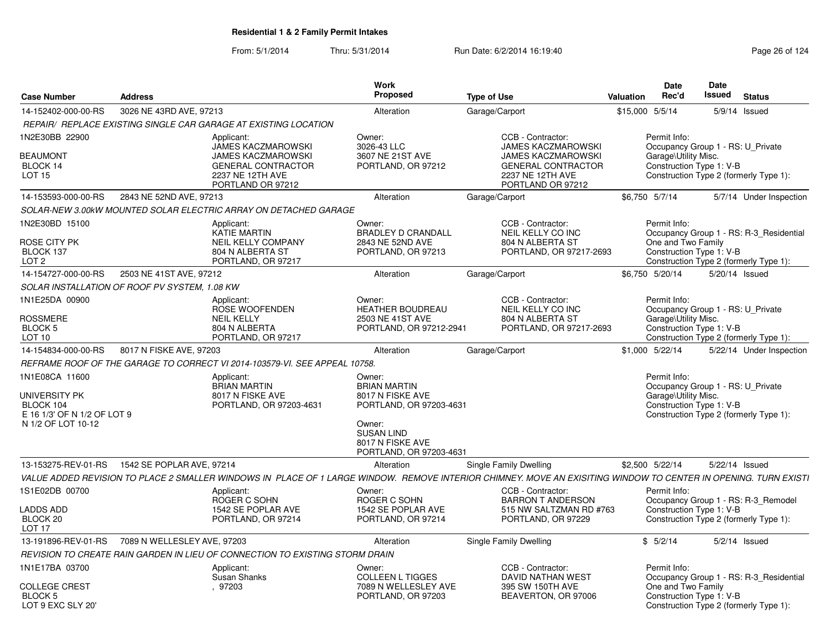| <b>Case Number</b>                                              | <b>Address</b>                                                                                                                                                    | Work<br>Proposed                                                              | <b>Type of Use</b>                                                                              | Date<br>Rec'd<br>Valuation                                     | <b>Date</b><br>Issued<br><b>Status</b>                                            |
|-----------------------------------------------------------------|-------------------------------------------------------------------------------------------------------------------------------------------------------------------|-------------------------------------------------------------------------------|-------------------------------------------------------------------------------------------------|----------------------------------------------------------------|-----------------------------------------------------------------------------------|
| 14-152402-000-00-RS                                             | 3026 NE 43RD AVE, 97213                                                                                                                                           | Alteration                                                                    | Garage/Carport                                                                                  | \$15,000 5/5/14                                                | 5/9/14 Issued                                                                     |
|                                                                 | REPAIR/ REPLACE EXISTING SINGLE CAR GARAGE AT EXISTING LOCATION                                                                                                   |                                                                               |                                                                                                 |                                                                |                                                                                   |
| 1N2E30BB 22900                                                  | Applicant:<br>JAMES KACZMAROWSKI                                                                                                                                  | Owner:<br>3026-43 LLC                                                         | CCB - Contractor:<br>JAMES KACZMAROWSKI                                                         | Permit Info:                                                   | Occupancy Group 1 - RS: U_Private                                                 |
| <b>BEAUMONT</b><br>BLOCK 14<br><b>LOT 15</b>                    | <b>JAMES KACZMAROWSKI</b><br><b>GENERAL CONTRACTOR</b><br>2237 NE 12TH AVE<br>PORTLAND OR 97212                                                                   | 3607 NE 21ST AVE<br>PORTLAND, OR 97212                                        | <b>JAMES KACZMAROWSKI</b><br><b>GENERAL CONTRACTOR</b><br>2237 NE 12TH AVE<br>PORTLAND OR 97212 | Garage\Utility Misc.<br>Construction Type 1: V-B               | Construction Type 2 (formerly Type 1):                                            |
| 14-153593-000-00-RS                                             | 2843 NE 52ND AVE, 97213                                                                                                                                           | Alteration                                                                    | Garage/Carport                                                                                  | \$6,750 5/7/14                                                 | 5/7/14 Under Inspection                                                           |
|                                                                 | SOLAR-NEW 3.00kW MOUNTED SOLAR ELECTRIC ARRAY ON DETACHED GARAGE                                                                                                  |                                                                               |                                                                                                 |                                                                |                                                                                   |
| 1N2E30BD 15100<br>ROSE CITY PK<br>BLOCK 137<br>LOT <sub>2</sub> | Applicant:<br><b>KATIE MARTIN</b><br><b>NEIL KELLY COMPANY</b><br>804 N ALBERTA ST<br>PORTLAND, OR 97217                                                          | Owner:<br><b>BRADLEY D CRANDALL</b><br>2843 NE 52ND AVE<br>PORTLAND, OR 97213 | CCB - Contractor:<br><b>NEIL KELLY CO INC</b><br>804 N ALBERTA ST<br>PORTLAND, OR 97217-2693    | Permit Info:<br>One and Two Family<br>Construction Type 1: V-B | Occupancy Group 1 - RS: R-3 Residential<br>Construction Type 2 (formerly Type 1): |
| 14-154727-000-00-RS                                             | 2503 NE 41ST AVE, 97212                                                                                                                                           | Alteration                                                                    | Garage/Carport                                                                                  | \$6,750 5/20/14                                                | 5/20/14 Issued                                                                    |
|                                                                 | SOLAR INSTALLATION OF ROOF PV SYSTEM, 1.08 KW                                                                                                                     |                                                                               |                                                                                                 |                                                                |                                                                                   |
| 1N1E25DA 00900                                                  | Applicant:<br><b>ROSE WOOFENDEN</b>                                                                                                                               | Owner:<br><b>HEATHER BOUDREAU</b>                                             | CCB - Contractor:<br>NEIL KELLY CO INC                                                          | Permit Info:                                                   | Occupancy Group 1 - RS: U Private                                                 |
| <b>ROSSMERE</b><br>BLOCK <sub>5</sub><br>LOT <sub>10</sub>      | <b>NEIL KELLY</b><br>804 N ALBERTA<br>PORTLAND, OR 97217                                                                                                          | 2503 NE 41ST AVE<br>PORTLAND, OR 97212-2941                                   | 804 N ALBERTA ST<br>PORTLAND, OR 97217-2693                                                     | Garage\Utility Misc.<br>Construction Type 1: V-B               | Construction Type 2 (formerly Type 1):                                            |
| 14-154834-000-00-RS                                             | 8017 N FISKE AVE, 97203                                                                                                                                           | Alteration                                                                    | Garage/Carport                                                                                  | \$1,000 5/22/14                                                | 5/22/14 Under Inspection                                                          |
|                                                                 | REFRAME ROOF OF THE GARAGE TO CORRECT VI 2014-103579-VI. SEE APPEAL 10758.                                                                                        |                                                                               |                                                                                                 |                                                                |                                                                                   |
| 1N1E08CA 11600                                                  | Applicant:<br><b>BRIAN MARTIN</b>                                                                                                                                 | Owner:<br><b>BRIAN MARTIN</b>                                                 |                                                                                                 | Permit Info:                                                   | Occupancy Group 1 - RS: U_Private                                                 |
| UNIVERSITY PK<br>BLOCK 104<br>E 16 1/3' OF N 1/2 OF LOT 9       | 8017 N FISKE AVE<br>PORTLAND, OR 97203-4631                                                                                                                       | 8017 N FISKE AVE<br>PORTLAND, OR 97203-4631                                   |                                                                                                 | Garage\Utility Misc.<br>Construction Type 1: V-B               | Construction Type 2 (formerly Type 1):                                            |
| N 1/2 OF LOT 10-12                                              |                                                                                                                                                                   | Owner:<br><b>SUSAN LIND</b><br>8017 N FISKE AVE<br>PORTLAND, OR 97203-4631    |                                                                                                 |                                                                |                                                                                   |
| 13-153275-REV-01-RS                                             | 1542 SE POPLAR AVE, 97214                                                                                                                                         | Alteration                                                                    | Single Family Dwelling                                                                          | \$2,500 5/22/14                                                | 5/22/14 Issued                                                                    |
|                                                                 | VALUE ADDED REVISION TO PLACE 2 SMALLER WINDOWS IN  PLACE OF 1 LARGE WINDOW.  REMOVE INTERIOR CHIMNEY. MOVE AN EXISITING WINDOW TO CENTER IN OPENING. TURN EXISTI |                                                                               |                                                                                                 |                                                                |                                                                                   |
| 1S1E02DB 00700                                                  | Applicant:<br>ROGER C SOHN                                                                                                                                        | Owner:<br>ROGER C SOHN                                                        | CCB - Contractor:<br><b>BARRON T ANDERSON</b>                                                   | Permit Info:                                                   | Occupancy Group 1 - RS: R-3 Remodel                                               |
| <b>LADDS ADD</b><br>BLOCK 20<br>LOT <sub>17</sub>               | 1542 SE POPLAR AVE<br>PORTLAND, OR 97214                                                                                                                          | 1542 SE POPLAR AVE<br>PORTLAND, OR 97214                                      | 515 NW SALTZMAN RD #763<br>PORTLAND, OR 97229                                                   | Construction Type 1: V-B                                       | Construction Type 2 (formerly Type 1):                                            |
| 13-191896-REV-01-RS                                             | 7089 N WELLESLEY AVE, 97203                                                                                                                                       | Alteration                                                                    | Single Family Dwelling                                                                          | \$5/2/14                                                       | $5/2/14$ Issued                                                                   |
|                                                                 | REVISION TO CREATE RAIN GARDEN IN LIEU OF CONNECTION TO EXISTING STORM DRAIN                                                                                      |                                                                               |                                                                                                 |                                                                |                                                                                   |
| 1N1E17BA 03700                                                  | Applicant:<br>Susan Shanks                                                                                                                                        | Owner:<br><b>COLLEEN L TIGGES</b>                                             | CCB - Contractor:<br><b>DAVID NATHAN WEST</b>                                                   | Permit Info:                                                   | Occupancy Group 1 - RS: R-3_Residential                                           |
| <b>COLLEGE CREST</b><br>BLOCK 5<br>LOT 9 EXC SLY 20'            | , 97203                                                                                                                                                           | 7089 N WELLESLEY AVE<br>PORTLAND, OR 97203                                    | 395 SW 150TH AVE<br>BEAVERTON, OR 97006                                                         | One and Two Family<br>Construction Type 1: V-B                 | Construction Type 2 (formerly Type 1):                                            |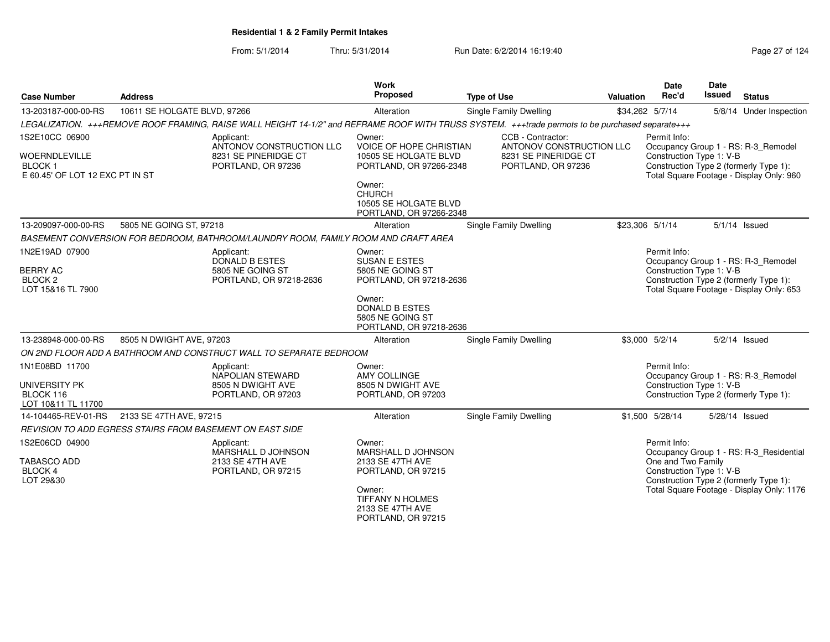| <b>Case Number</b>                                                       | <b>Address</b>               |                                                                                                                                                  | Work<br>Proposed                                                               | <b>Type of Use</b>                            | <b>Valuation</b> | <b>Date</b><br>Rec'd                           | <b>Date</b><br>Issued | <b>Status</b>                                                                      |
|--------------------------------------------------------------------------|------------------------------|--------------------------------------------------------------------------------------------------------------------------------------------------|--------------------------------------------------------------------------------|-----------------------------------------------|------------------|------------------------------------------------|-----------------------|------------------------------------------------------------------------------------|
| 13-203187-000-00-RS                                                      | 10611 SE HOLGATE BLVD, 97266 |                                                                                                                                                  | Alteration                                                                     | Single Family Dwelling                        |                  | \$34,262 5/7/14                                |                       | 5/8/14 Under Inspection                                                            |
|                                                                          |                              | LEGALIZATION. +++REMOVE ROOF FRAMING, RAISE WALL HEIGHT 14-1/2" and REFRAME ROOF WITH TRUSS SYSTEM. +++trade permots to be purchased separate+++ |                                                                                |                                               |                  |                                                |                       |                                                                                    |
| 1S2E10CC 06900                                                           |                              | Applicant:<br>ANTONOV CONSTRUCTION LLC                                                                                                           | Owner:<br>VOICE OF HOPE CHRISTIAN                                              | CCB - Contractor:<br>ANTONOV CONSTRUCTION LLC |                  | Permit Info:                                   |                       | Occupancy Group 1 - RS: R-3_Remodel                                                |
| <b>WOERNDLEVILLE</b><br><b>BLOCK1</b><br>E 60.45' OF LOT 12 EXC PT IN ST |                              | 8231 SE PINERIDGE CT<br>PORTLAND, OR 97236                                                                                                       | 10505 SE HOLGATE BLVD<br>PORTLAND, OR 97266-2348                               | 8231 SE PINERIDGE CT<br>PORTLAND, OR 97236    |                  | Construction Type 1: V-B                       |                       | Construction Type 2 (formerly Type 1):<br>Total Square Footage - Display Only: 960 |
|                                                                          |                              |                                                                                                                                                  | Owner:<br><b>CHURCH</b><br>10505 SE HOLGATE BLVD<br>PORTLAND, OR 97266-2348    |                                               |                  |                                                |                       |                                                                                    |
| 13-209097-000-00-RS                                                      | 5805 NE GOING ST, 97218      |                                                                                                                                                  | Alteration                                                                     | Single Family Dwelling                        |                  | \$23,306 5/1/14                                |                       | $5/1/14$ Issued                                                                    |
|                                                                          |                              | BASEMENT CONVERSION FOR BEDROOM, BATHROOM/LAUNDRY ROOM, FAMILY ROOM AND CRAFT AREA                                                               |                                                                                |                                               |                  |                                                |                       |                                                                                    |
| 1N2E19AD 07900                                                           |                              | Applicant:<br>DONALD B ESTES                                                                                                                     | Owner:<br><b>SUSAN E ESTES</b>                                                 |                                               |                  | Permit Info:                                   |                       | Occupancy Group 1 - RS: R-3 Remodel                                                |
| <b>BERRY AC</b><br>BLOCK <sub>2</sub><br>LOT 15&16 TL 7900               |                              | 5805 NE GOING ST<br>PORTLAND, OR 97218-2636                                                                                                      | 5805 NE GOING ST<br>PORTLAND, OR 97218-2636                                    |                                               |                  | Construction Type 1: V-B                       |                       | Construction Type 2 (formerly Type 1):<br>Total Square Footage - Display Only: 653 |
|                                                                          |                              |                                                                                                                                                  | Owner:<br><b>DONALD B ESTES</b><br>5805 NE GOING ST<br>PORTLAND, OR 97218-2636 |                                               |                  |                                                |                       |                                                                                    |
| 13-238948-000-00-RS                                                      | 8505 N DWIGHT AVE, 97203     |                                                                                                                                                  | Alteration                                                                     | Single Family Dwelling                        |                  | \$3,000 5/2/14                                 |                       | $5/2/14$ Issued                                                                    |
|                                                                          |                              | ON 2ND FLOOR ADD A BATHROOM AND CONSTRUCT WALL TO SEPARATE BEDROOM                                                                               |                                                                                |                                               |                  |                                                |                       |                                                                                    |
| 1N1E08BD 11700                                                           |                              | Applicant:<br>NAPOLIAN STEWARD                                                                                                                   | Owner:<br>AMY COLLINGE                                                         |                                               |                  | Permit Info:                                   |                       | Occupancy Group 1 - RS: R-3 Remodel                                                |
| UNIVERSITY PK<br>BLOCK 116<br>LOT 10&11 TL 11700                         |                              | 8505 N DWIGHT AVE<br>PORTLAND, OR 97203                                                                                                          | 8505 N DWIGHT AVE<br>PORTLAND, OR 97203                                        |                                               |                  | Construction Type 1: V-B                       |                       | Construction Type 2 (formerly Type 1):                                             |
| 14-104465-REV-01-RS                                                      | 2133 SE 47TH AVE, 97215      |                                                                                                                                                  | Alteration                                                                     | Single Family Dwelling                        |                  | \$1,500 5/28/14                                | 5/28/14 Issued        |                                                                                    |
|                                                                          |                              | <b>REVISION TO ADD EGRESS STAIRS FROM BASEMENT ON EAST SIDE</b>                                                                                  |                                                                                |                                               |                  |                                                |                       |                                                                                    |
| 1S2E06CD 04900                                                           |                              | Applicant:<br>MARSHALL D JOHNSON                                                                                                                 | Owner:<br>MARSHALL D JOHNSON                                                   |                                               |                  | Permit Info:                                   |                       | Occupancy Group 1 - RS: R-3_Residential                                            |
| <b>TABASCO ADD</b><br>BLOCK 4<br>LOT 29&30                               |                              | 2133 SE 47TH AVE<br>PORTLAND, OR 97215                                                                                                           | 2133 SE 47TH AVE<br>PORTLAND, OR 97215                                         |                                               |                  | One and Two Family<br>Construction Type 1: V-B |                       | Construction Type 2 (formerly Type 1):                                             |
|                                                                          |                              |                                                                                                                                                  | Owner:<br><b>TIFFANY N HOLMES</b><br>2133 SE 47TH AVE<br>PORTLAND, OR 97215    |                                               |                  |                                                |                       | Total Square Footage - Display Only: 1176                                          |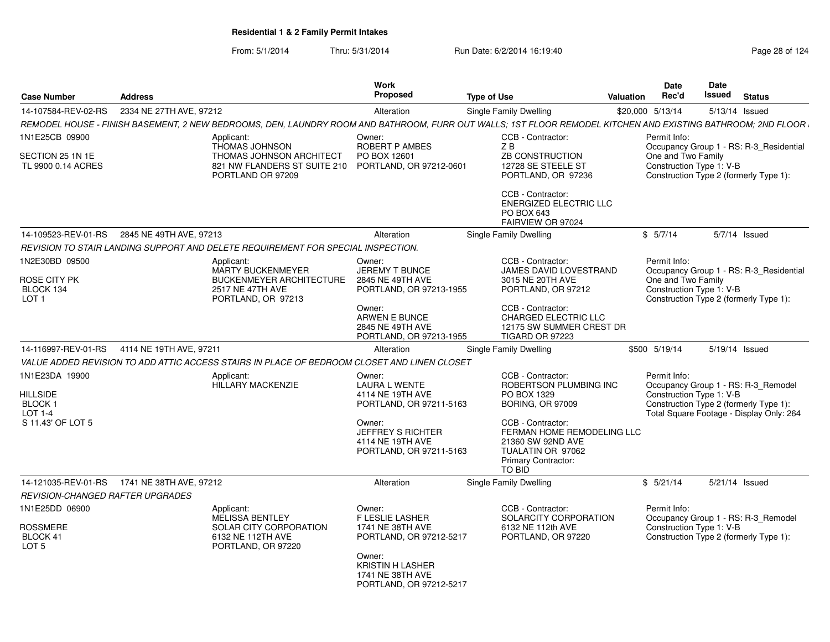#### From: 5/1/2014Thru: 5/31/2014 **Run Date: 6/2/2014 16:19:40 Research 2010** Page 28 of 124

| <b>Case Number</b>                                   | <b>Address</b>                                                                              |                                                                                                       | Work<br>Proposed                                                                  | <b>Type of Use</b>                                                                                                                                            | <b>Valuation</b> | <b>Date</b><br>Rec'd | Date<br>Issued                                                     | <b>Status</b> |                                          |
|------------------------------------------------------|---------------------------------------------------------------------------------------------|-------------------------------------------------------------------------------------------------------|-----------------------------------------------------------------------------------|---------------------------------------------------------------------------------------------------------------------------------------------------------------|------------------|----------------------|--------------------------------------------------------------------|---------------|------------------------------------------|
| 14-107584-REV-02-RS                                  | 2334 NE 27TH AVE, 97212                                                                     |                                                                                                       | Alteration                                                                        | Single Family Dwelling                                                                                                                                        |                  | \$20,000 5/13/14     | 5/13/14 Issued                                                     |               |                                          |
|                                                      |                                                                                             |                                                                                                       |                                                                                   | REMODEL HOUSE - FINISH BASEMENT, 2 NEW BEDROOMS, DEN, LAUNDRY ROOM AND BATHROOM, FURR OUT WALLS; 1ST FLOOR REMODEL KITCHEN AND EXISTING BATHROOM; 2ND FLOOR I |                  |                      |                                                                    |               |                                          |
| 1N1E25CB 09900                                       | Applicant:                                                                                  | <b>THOMAS JOHNSON</b>                                                                                 | Owner:<br><b>ROBERT P AMBES</b>                                                   | CCB - Contractor:<br>ZB                                                                                                                                       |                  | Permit Info:         |                                                                    |               | Occupancy Group 1 - RS: R-3 Residential  |
| SECTION 25 1N 1E<br>TL 9900 0.14 ACRES               |                                                                                             | THOMAS JOHNSON ARCHITECT<br>821 NW FLANDERS ST SUITE 210 PORTLAND, OR 97212-0601<br>PORTLAND OR 97209 | PO BOX 12601                                                                      | ZB CONSTRUCTION<br>12728 SE STEELE ST<br>PORTLAND, OR 97236                                                                                                   |                  | One and Two Family   | Construction Type 1: V-B<br>Construction Type 2 (formerly Type 1): |               |                                          |
|                                                      |                                                                                             |                                                                                                       |                                                                                   | CCB - Contractor:<br><b>ENERGIZED ELECTRIC LLC</b><br>PO BOX 643<br>FAIRVIEW OR 97024                                                                         |                  |                      |                                                                    |               |                                          |
| 14-109523-REV-01-RS                                  | 2845 NE 49TH AVE, 97213                                                                     |                                                                                                       | Alteration                                                                        | <b>Single Family Dwelling</b>                                                                                                                                 |                  | \$5/7/14             |                                                                    | 5/7/14 Issued |                                          |
|                                                      | REVISION TO STAIR LANDING SUPPORT AND DELETE REQUIREMENT FOR SPECIAL INSPECTION.            |                                                                                                       |                                                                                   |                                                                                                                                                               |                  |                      |                                                                    |               |                                          |
| 1N2E30BD 09500                                       | Applicant:                                                                                  | <b>MARTY BUCKENMEYER</b>                                                                              | Owner:<br><b>JEREMY T BUNCE</b>                                                   | CCB - Contractor:<br>JAMES DAVID LOVESTRAND                                                                                                                   |                  | Permit Info:         |                                                                    |               | Occupancy Group 1 - RS: R-3 Residential  |
| <b>ROSE CITY PK</b><br>BLOCK 134<br>LOT <sub>1</sub> |                                                                                             | <b>BUCKENMEYER ARCHITECTURE</b><br>2517 NE 47TH AVE<br>PORTLAND, OR 97213                             | 2845 NE 49TH AVE<br>PORTLAND, OR 97213-1955                                       | 3015 NE 20TH AVE<br>PORTLAND, OR 97212                                                                                                                        |                  | One and Two Family   | Construction Type 1: V-B<br>Construction Type 2 (formerly Type 1): |               |                                          |
|                                                      |                                                                                             |                                                                                                       | Owner:<br>ARWEN E BUNCE<br>2845 NE 49TH AVE<br>PORTLAND, OR 97213-1955            | CCB - Contractor:<br><b>CHARGED ELECTRIC LLC</b><br>12175 SW SUMMER CREST DR<br>TIGARD OR 97223                                                               |                  |                      |                                                                    |               |                                          |
|                                                      | 14-116997-REV-01-RS 4114 NE 19TH AVE, 97211                                                 |                                                                                                       | Alteration                                                                        | Single Family Dwelling                                                                                                                                        |                  | \$500 5/19/14        | 5/19/14 Issued                                                     |               |                                          |
|                                                      | VALUE ADDED REVISION TO ADD ATTIC ACCESS STAIRS IN PLACE OF BEDROOM CLOSET AND LINEN CLOSET |                                                                                                       |                                                                                   |                                                                                                                                                               |                  |                      |                                                                    |               |                                          |
| 1N1E23DA 19900                                       | Applicant:                                                                                  |                                                                                                       | Owner:                                                                            | CCB - Contractor:                                                                                                                                             |                  | Permit Info:         |                                                                    |               |                                          |
|                                                      |                                                                                             | HILLARY MACKENZIE                                                                                     | <b>LAURA L WENTE</b>                                                              | ROBERTSON PLUMBING INC                                                                                                                                        |                  |                      | Occupancy Group 1 - RS: R-3 Remodel                                |               |                                          |
| <b>HILLSIDE</b><br>BLOCK <sub>1</sub>                |                                                                                             |                                                                                                       | 4114 NE 19TH AVE<br>PORTLAND, OR 97211-5163                                       | PO BOX 1329<br><b>BORING, OR 97009</b>                                                                                                                        |                  |                      | Construction Type 1: V-B<br>Construction Type 2 (formerly Type 1): |               |                                          |
| LOT 1-4                                              |                                                                                             |                                                                                                       |                                                                                   |                                                                                                                                                               |                  |                      |                                                                    |               | Total Square Footage - Display Only: 264 |
| S 11.43' OF LOT 5                                    |                                                                                             |                                                                                                       | Owner:<br><b>JEFFREY S RICHTER</b><br>4114 NE 19TH AVE<br>PORTLAND, OR 97211-5163 | CCB - Contractor:<br>FERMAN HOME REMODELING LLC<br>21360 SW 92ND AVE<br>TUALATIN OR 97062<br><b>Primary Contractor:</b><br>TO BID                             |                  |                      |                                                                    |               |                                          |
|                                                      |                                                                                             |                                                                                                       | Alteration                                                                        | Single Family Dwelling                                                                                                                                        |                  | \$5/21/14            | 5/21/14 Issued                                                     |               |                                          |
| <b>REVISION-CHANGED RAFTER UPGRADES</b>              |                                                                                             |                                                                                                       |                                                                                   |                                                                                                                                                               |                  |                      |                                                                    |               |                                          |
| 1N1E25DD 06900                                       | Applicant:                                                                                  | <b>MELISSA BENTLEY</b>                                                                                | Owner:<br>F LESLIE LASHER                                                         | CCB - Contractor:<br>SOLARCITY CORPORATION                                                                                                                    |                  | Permit Info:         | Occupancy Group 1 - RS: R-3 Remodel                                |               |                                          |
| <b>ROSSMERE</b><br>BLOCK 41<br>LOT <sub>5</sub>      |                                                                                             | <b>SOLAR CITY CORPORATION</b><br>6132 NE 112TH AVE<br>PORTLAND, OR 97220                              | 1741 NE 38TH AVE<br>PORTLAND, OR 97212-5217                                       | 6132 NE 112th AVE<br>PORTLAND, OR 97220                                                                                                                       |                  |                      | Construction Type 1: V-B<br>Construction Type 2 (formerly Type 1): |               |                                          |
|                                                      |                                                                                             |                                                                                                       | Owner:<br><b>KRISTIN H LASHER</b><br>1741 NE 38TH AVE<br>PORTLAND, OR 97212-5217  |                                                                                                                                                               |                  |                      |                                                                    |               |                                          |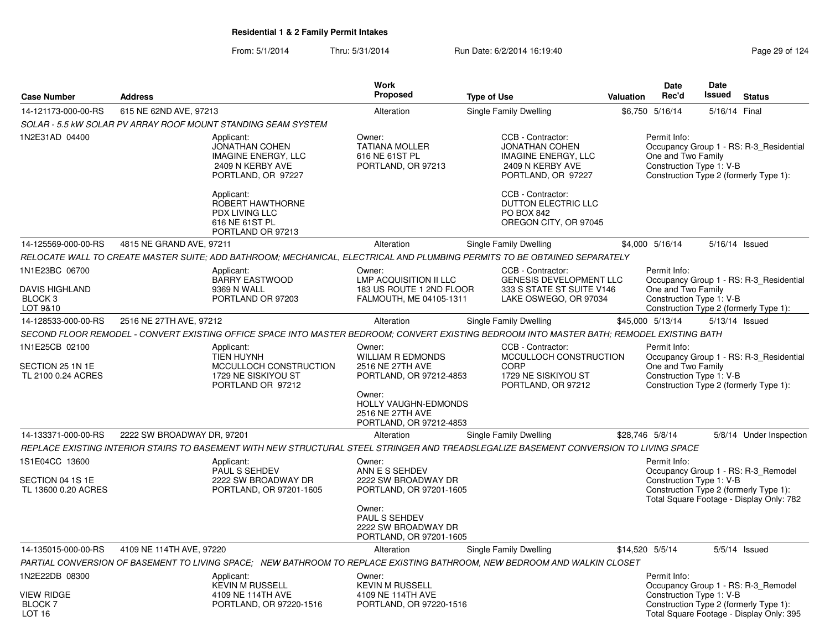|                                                                           |                            |                                                                                                       | <b>Work</b>                                                                                    |                                                                                                                                            |           | Date                                                           | <b>Date</b>   |                                                                                    |
|---------------------------------------------------------------------------|----------------------------|-------------------------------------------------------------------------------------------------------|------------------------------------------------------------------------------------------------|--------------------------------------------------------------------------------------------------------------------------------------------|-----------|----------------------------------------------------------------|---------------|------------------------------------------------------------------------------------|
| <b>Case Number</b>                                                        | <b>Address</b>             |                                                                                                       | <b>Proposed</b>                                                                                | <b>Type of Use</b>                                                                                                                         | Valuation | Rec'd                                                          | <b>Issued</b> | <b>Status</b>                                                                      |
| 14-121173-000-00-RS                                                       | 615 NE 62ND AVE, 97213     |                                                                                                       | Alteration                                                                                     | Single Family Dwelling                                                                                                                     |           | \$6,750 5/16/14                                                | 5/16/14 Final |                                                                                    |
|                                                                           |                            | SOLAR - 5.5 KW SOLAR PV ARRAY ROOF MOUNT STANDING SEAM SYSTEM                                         |                                                                                                |                                                                                                                                            |           |                                                                |               |                                                                                    |
| 1N2E31AD 04400                                                            |                            | Applicant:<br><b>JONATHAN COHEN</b><br>IMAGINE ENERGY, LLC<br>2409 N KERBY AVE<br>PORTLAND, OR 97227  | Owner:<br><b>TATIANA MOLLER</b><br>616 NE 61ST PL<br>PORTLAND, OR 97213                        | CCB - Contractor:<br><b>JONATHAN COHEN</b><br>IMAGINE ENERGY, LLC<br>2409 N KERBY AVE<br>PORTLAND, OR 97227                                |           | Permit Info:<br>One and Two Family<br>Construction Type 1: V-B |               | Occupancy Group 1 - RS: R-3_Residential<br>Construction Type 2 (formerly Type 1):  |
|                                                                           |                            | Applicant:<br>ROBERT HAWTHORNE<br>PDX LIVING LLC<br>616 NE 61ST PL<br>PORTLAND OR 97213               |                                                                                                | CCB - Contractor:<br>DUTTON ELECTRIC LLC<br>PO BOX 842<br>OREGON CITY, OR 97045                                                            |           |                                                                |               |                                                                                    |
| 14-125569-000-00-RS                                                       | 4815 NE GRAND AVE, 97211   |                                                                                                       | Alteration                                                                                     | Single Family Dwelling                                                                                                                     |           | \$4,000 5/16/14                                                |               | 5/16/14 Issued                                                                     |
|                                                                           |                            |                                                                                                       |                                                                                                | RELOCATE WALL TO CREATE MASTER SUITE; ADD BATHROOM; MECHANICAL, ELECTRICAL AND PLUMBING PERMITS TO BE OBTAINED SEPARATELY                  |           |                                                                |               |                                                                                    |
| 1N1E23BC 06700<br><b>DAVIS HIGHLAND</b><br>BLOCK <sub>3</sub><br>LOT 9&10 |                            | Applicant:<br><b>BARRY EASTWOOD</b><br>9369 N WALL<br>PORTLAND OR 97203                               | Owner:<br><b>LMP ACQUISITION II LLC</b><br>183 US ROUTE 1 2ND FLOOR<br>FALMOUTH, ME 04105-1311 | CCB - Contractor:<br><b>GENESIS DEVELOPMENT LLC</b><br>333 S STATE ST SUITE V146<br>LAKE OSWEGO, OR 97034                                  |           | Permit Info:<br>One and Two Family<br>Construction Type 1: V-B |               | Occupancy Group 1 - RS: R-3 Residential<br>Construction Type 2 (formerly Type 1):  |
| 14-128533-000-00-RS                                                       | 2516 NE 27TH AVE, 97212    |                                                                                                       | Alteration                                                                                     | Single Family Dwelling                                                                                                                     |           | \$45,000 5/13/14                                               |               | 5/13/14 Issued                                                                     |
|                                                                           |                            |                                                                                                       |                                                                                                | SECOND FLOOR REMODEL - CONVERT EXISTING OFFICE SPACE INTO MASTER BEDROOM; CONVERT EXISTING BEDROOM INTO MASTER BATH; REMODEL EXISTING BATH |           |                                                                |               |                                                                                    |
| 1N1E25CB 02100<br>SECTION 25 1N 1E<br>TL 2100 0.24 ACRES                  |                            | Applicant:<br><b>TIEN HUYNH</b><br>MCCULLOCH CONSTRUCTION<br>1729 NE SISKIYOU ST<br>PORTLAND OR 97212 | Owner:<br><b>WILLIAM R EDMONDS</b><br>2516 NE 27TH AVE<br>PORTLAND, OR 97212-4853              | CCB - Contractor:<br>MCCULLOCH CONSTRUCTION<br>CORP<br>1729 NE SISKIYOU ST<br>PORTLAND, OR 97212                                           |           | Permit Info:<br>One and Two Family<br>Construction Type 1: V-B |               | Occupancy Group 1 - RS: R-3 Residential<br>Construction Type 2 (formerly Type 1):  |
|                                                                           |                            |                                                                                                       | Owner:<br>HOLLY VAUGHN-EDMONDS<br>2516 NE 27TH AVE<br>PORTLAND, OR 97212-4853                  |                                                                                                                                            |           |                                                                |               |                                                                                    |
| 14-133371-000-00-RS                                                       | 2222 SW BROADWAY DR, 97201 |                                                                                                       | Alteration                                                                                     | Single Family Dwelling                                                                                                                     |           | \$28,746 5/8/14                                                |               | 5/8/14 Under Inspection                                                            |
|                                                                           |                            |                                                                                                       |                                                                                                | REPLACE EXISTING INTERIOR STAIRS TO BASEMENT WITH NEW STRUCTURAL STEEL STRINGER AND TREADSLEGALIZE BASEMENT CONVERSION TO LIVING SPACE     |           |                                                                |               |                                                                                    |
| 1S1E04CC 13600<br>SECTION 04 1S 1E                                        |                            | Applicant:<br>PAUL S SEHDEV<br>2222 SW BROADWAY DR                                                    | Owner:<br>ANN E S SEHDEV<br>2222 SW BROADWAY DR                                                |                                                                                                                                            |           | Permit Info:<br>Construction Type 1: V-B                       |               | Occupancy Group 1 - RS: R-3_Remodel                                                |
| TL 13600 0.20 ACRES                                                       |                            | PORTLAND, OR 97201-1605                                                                               | PORTLAND, OR 97201-1605                                                                        |                                                                                                                                            |           |                                                                |               | Construction Type 2 (formerly Type 1):<br>Total Square Footage - Display Only: 782 |
|                                                                           |                            |                                                                                                       | Owner:<br><b>PAUL S SEHDEV</b><br>2222 SW BROADWAY DR<br>PORTLAND, OR 97201-1605               |                                                                                                                                            |           |                                                                |               |                                                                                    |
| 14-135015-000-00-RS                                                       | 4109 NE 114TH AVE, 97220   |                                                                                                       | Alteration                                                                                     | Single Family Dwelling                                                                                                                     |           | \$14,520 5/5/14                                                |               | $5/5/14$ Issued                                                                    |
|                                                                           |                            |                                                                                                       |                                                                                                | PARTIAL CONVERSION OF BASEMENT TO LIVING SPACE; NEW BATHROOM TO REPLACE EXISTING BATHROOM, NEW BEDROOM AND WALKIN CLOSET                   |           |                                                                |               |                                                                                    |
| 1N2E22DB 08300                                                            |                            | Applicant:<br><b>KEVIN M RUSSELL</b>                                                                  | Owner:<br><b>KEVIN M RUSSELL</b>                                                               |                                                                                                                                            |           | Permit Info:                                                   |               | Occupancy Group 1 - RS: R-3_Remodel                                                |
| <b>VIEW RIDGE</b><br><b>BLOCK7</b><br>LOT <sub>16</sub>                   |                            | 4109 NE 114TH AVE<br>PORTLAND, OR 97220-1516                                                          | 4109 NE 114TH AVE<br>PORTLAND, OR 97220-1516                                                   |                                                                                                                                            |           | Construction Type 1: V-B                                       |               | Construction Type 2 (formerly Type 1):<br>Total Square Footage - Display Only: 395 |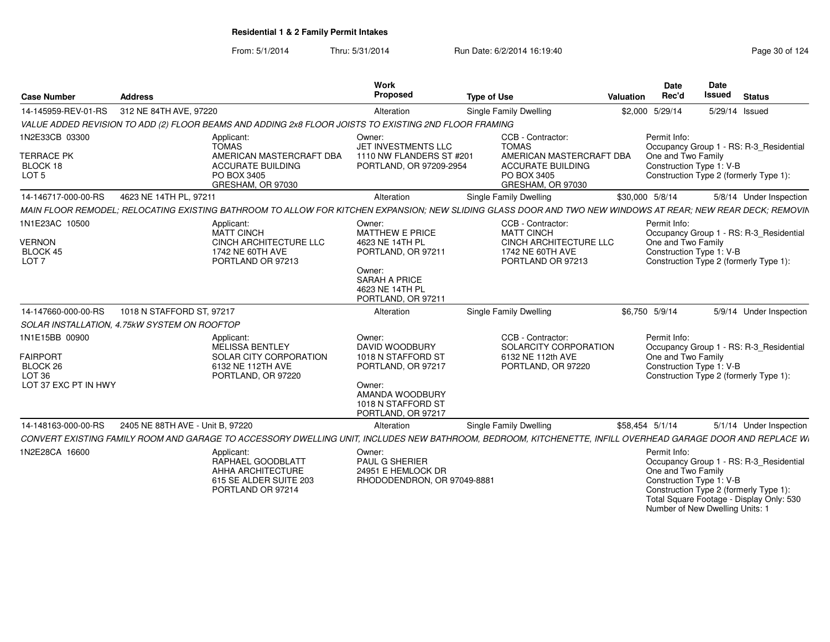From: 5/1/2014Thru: 5/31/2014 Run Date: 6/2/2014 16:19:40

| <b>Case Number</b>                                                                         | <b>Address</b>                                                                                                                                              | <b>Work</b><br>Proposed                                                                                                                              | <b>Type of Use</b>                                                                                                            | Valuation | <b>Date</b><br>Rec'd               | <b>Date</b><br>Issued    | <b>Status</b>                                                                                                               |
|--------------------------------------------------------------------------------------------|-------------------------------------------------------------------------------------------------------------------------------------------------------------|------------------------------------------------------------------------------------------------------------------------------------------------------|-------------------------------------------------------------------------------------------------------------------------------|-----------|------------------------------------|--------------------------|-----------------------------------------------------------------------------------------------------------------------------|
| 14-145959-REV-01-RS                                                                        | 312 NE 84TH AVE, 97220                                                                                                                                      | Alteration                                                                                                                                           | <b>Single Family Dwelling</b>                                                                                                 |           | \$2,000 5/29/14                    |                          | 5/29/14 Issued                                                                                                              |
|                                                                                            | VALUE ADDED REVISION TO ADD (2) FLOOR BEAMS AND ADDING 2x8 FLOOR JOISTS TO EXISTING 2ND FLOOR FRAMING                                                       |                                                                                                                                                      |                                                                                                                               |           |                                    |                          |                                                                                                                             |
| 1N2E33CB 03300<br><b>TERRACE PK</b><br>BLOCK 18<br>LOT <sub>5</sub>                        | Applicant:<br><b>TOMAS</b><br>AMERICAN MASTERCRAFT DBA<br><b>ACCURATE BUILDING</b><br>PO BOX 3405<br>GRESHAM, OR 97030                                      | Owner:<br>JET INVESTMENTS LLC<br>1110 NW FLANDERS ST #201<br>PORTLAND, OR 97209-2954                                                                 | CCB - Contractor:<br><b>TOMAS</b><br>AMERICAN MASTERCRAFT DBA<br><b>ACCURATE BUILDING</b><br>PO BOX 3405<br>GRESHAM, OR 97030 |           | Permit Info:<br>One and Two Family | Construction Type 1: V-B | Occupancy Group 1 - RS: R-3_Residential<br>Construction Type 2 (formerly Type 1):                                           |
| 14-146717-000-00-RS                                                                        | 4623 NE 14TH PL, 97211                                                                                                                                      | Alteration                                                                                                                                           | Single Family Dwelling                                                                                                        |           | \$30,000 5/8/14                    |                          | 5/8/14 Under Inspection                                                                                                     |
|                                                                                            | MAIN FLOOR REMODEL: RELOCATING EXISTING BATHROOM TO ALLOW FOR KITCHEN EXPANSION: NEW SLIDING GLASS DOOR AND TWO NEW WINDOWS AT REAR: NEW REAR DECK: REMOVIN |                                                                                                                                                      |                                                                                                                               |           |                                    |                          |                                                                                                                             |
| 1N1E23AC 10500<br><b>VERNON</b><br>BLOCK 45<br>LOT <sub>7</sub>                            | Applicant:<br><b>MATT CINCH</b><br>CINCH ARCHITECTURE LLC<br>1742 NE 60TH AVE<br>PORTLAND OR 97213                                                          | Owner:<br><b>MATTHEW E PRICE</b><br>4623 NE 14TH PL<br>PORTLAND, OR 97211<br>Owner:<br><b>SARAH A PRICE</b><br>4623 NE 14TH PL<br>PORTLAND, OR 97211 | CCB - Contractor:<br><b>MATT CINCH</b><br><b>CINCH ARCHITECTURE LLC</b><br>1742 NE 60TH AVE<br>PORTLAND OR 97213              |           | Permit Info:<br>One and Two Family | Construction Type 1: V-B | Occupancy Group 1 - RS: R-3_Residential<br>Construction Type 2 (formerly Type 1):                                           |
| 14-147660-000-00-RS                                                                        | 1018 N STAFFORD ST, 97217                                                                                                                                   | Alteration                                                                                                                                           | <b>Single Family Dwelling</b>                                                                                                 |           | \$6,750 5/9/14                     |                          | 5/9/14 Under Inspection                                                                                                     |
|                                                                                            | SOLAR INSTALLATION, 4.75kW SYSTEM ON ROOFTOP                                                                                                                |                                                                                                                                                      |                                                                                                                               |           |                                    |                          |                                                                                                                             |
| 1N1E15BB 00900<br><b>FAIRPORT</b><br>BLOCK 26<br>LOT <sub>36</sub><br>LOT 37 EXC PT IN HWY | Applicant:<br><b>MELISSA BENTLEY</b><br>SOLAR CITY CORPORATION<br>6132 NE 112TH AVE<br>PORTLAND, OR 97220                                                   | Owner:<br>DAVID WOODBURY<br>1018 N STAFFORD ST<br>PORTLAND, OR 97217<br>Owner:<br>AMANDA WOODBURY<br>1018 N STAFFORD ST<br>PORTLAND, OR 97217        | CCB - Contractor:<br>SOLARCITY CORPORATION<br>6132 NE 112th AVE<br>PORTLAND, OR 97220                                         |           | Permit Info:<br>One and Two Family | Construction Type 1: V-B | Occupancy Group 1 - RS: R-3_Residential<br>Construction Type 2 (formerly Type 1):                                           |
| 14-148163-000-00-RS                                                                        | 2405 NE 88TH AVE - Unit B. 97220                                                                                                                            | Alteration                                                                                                                                           | Single Family Dwelling                                                                                                        |           | \$58.454 5/1/14                    |                          | 5/1/14 Under Inspection                                                                                                     |
|                                                                                            | CONVERT EXISTING FAMILY ROOM AND GARAGE TO ACCESSORY DWELLING UNIT, INCLUDES NEW BATHROOM, BEDROOM, KITCHENETTE, INFILL OVERHEAD GARAGE DOOR AND REPLACE WI |                                                                                                                                                      |                                                                                                                               |           |                                    |                          |                                                                                                                             |
| 1N2E28CA 16600                                                                             | Applicant:<br>RAPHAEL GOODBLATT<br>AHHA ARCHITECTURE<br>615 SE ALDER SUITE 203<br>PORTLAND OR 97214                                                         | Owner:<br><b>PAUL G SHERIER</b><br>24951 E HEMLOCK DR<br>RHODODENDRON, OR 97049-888                                                                  |                                                                                                                               |           | Permit Info:<br>One and Two Family | Construction Type 1: V-B | Occupancy Group 1 - RS: R-3 Residential<br>Construction Type 2 (formerly Type 1):<br>Total Caugro Footago Dieplay Ophy: 520 |

Total Square Footage - Display Only: 530 Number of New Dwelling Units: 1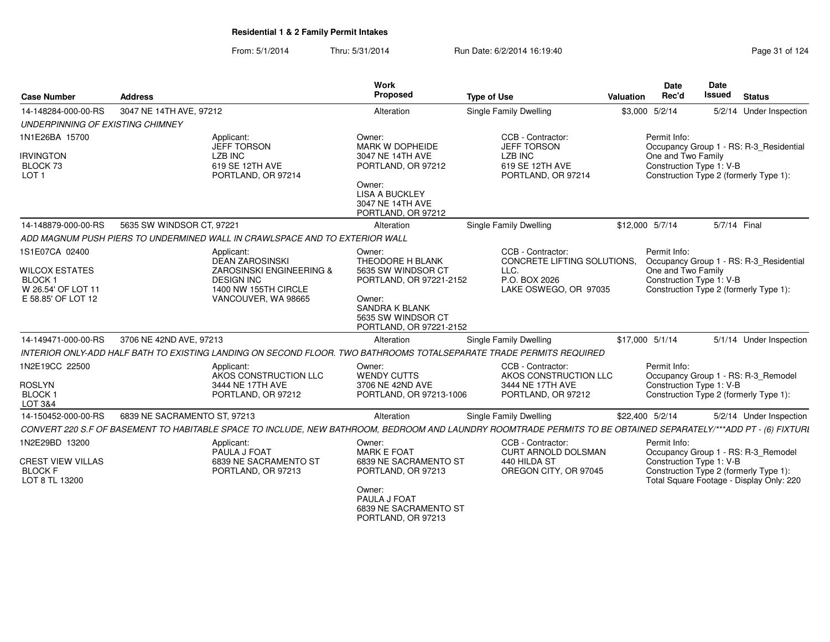| Page 31 of 124 |  |
|----------------|--|
|----------------|--|

| <b>Case Number</b>                                           | <b>Address</b>                                                                                                                                                   | <b>Work</b><br><b>Proposed</b>                                                   | <b>Type of Use</b>                                      | Valuation | Date<br>Rec'd      | Date<br><b>Issued</b>    | <b>Status</b>                                                                      |
|--------------------------------------------------------------|------------------------------------------------------------------------------------------------------------------------------------------------------------------|----------------------------------------------------------------------------------|---------------------------------------------------------|-----------|--------------------|--------------------------|------------------------------------------------------------------------------------|
| 14-148284-000-00-RS                                          | 3047 NE 14TH AVE, 97212                                                                                                                                          | Alteration                                                                       | <b>Single Family Dwelling</b>                           |           | \$3,000 5/2/14     |                          | 5/2/14 Under Inspection                                                            |
| UNDERPINNING OF EXISTING CHIMNEY                             |                                                                                                                                                                  |                                                                                  |                                                         |           |                    |                          |                                                                                    |
| 1N1E26BA 15700                                               | Applicant:<br><b>JEFF TORSON</b>                                                                                                                                 | Owner:<br>MARK W DOPHEIDE                                                        | CCB - Contractor:<br><b>JEFF TORSON</b>                 |           | Permit Info:       |                          | Occupancy Group 1 - RS: R-3_Residential                                            |
| <b>IRVINGTON</b><br>BLOCK 73<br>LOT <sub>1</sub>             | <b>LZB INC</b><br>619 SE 12TH AVE<br>PORTLAND, OR 97214                                                                                                          | 3047 NE 14TH AVE<br>PORTLAND, OR 97212                                           | <b>LZB INC</b><br>619 SE 12TH AVE<br>PORTLAND, OR 97214 |           | One and Two Family | Construction Type 1: V-B | Construction Type 2 (formerly Type 1):                                             |
|                                                              |                                                                                                                                                                  | Owner:<br><b>LISA A BUCKLEY</b><br>3047 NE 14TH AVE<br>PORTLAND, OR 97212        |                                                         |           |                    |                          |                                                                                    |
| 14-148879-000-00-RS                                          | 5635 SW WINDSOR CT, 97221                                                                                                                                        | Alteration                                                                       | <b>Single Family Dwelling</b>                           |           | \$12,000 5/7/14    | 5/7/14 Final             |                                                                                    |
|                                                              | ADD MAGNUM PUSH PIERS TO UNDERMINED WALL IN CRAWLSPACE AND TO EXTERIOR WALL                                                                                      |                                                                                  |                                                         |           |                    |                          |                                                                                    |
| 1S1E07CA 02400                                               | Applicant:<br><b>DEAN ZAROSINSKI</b>                                                                                                                             | Owner:<br>THEODORE H BLANK                                                       | CCB - Contractor:<br>CONCRETE LIFTING SOLUTIONS.        |           | Permit Info:       |                          | Occupancy Group 1 - RS: R-3 Residential                                            |
| <b>WILCOX ESTATES</b><br><b>BLOCK1</b><br>W 26.54' OF LOT 11 | ZAROSINSKI ENGINEERING &<br><b>DESIGN INC</b><br>1400 NW 155TH CIRCLE                                                                                            | 5635 SW WINDSOR CT<br>PORTLAND, OR 97221-2152                                    | LLC.<br>P.O. BOX 2026<br>LAKE OSWEGO, OR 97035          |           | One and Two Family | Construction Type 1: V-B | Construction Type 2 (formerly Type 1):                                             |
| E 58.85' OF LOT 12                                           | VANCOUVER, WA 98665                                                                                                                                              | Owner:<br><b>SANDRA K BLANK</b><br>5635 SW WINDSOR CT<br>PORTLAND, OR 97221-2152 |                                                         |           |                    |                          |                                                                                    |
| 14-149471-000-00-RS                                          | 3706 NE 42ND AVE, 97213                                                                                                                                          | Alteration                                                                       | Single Family Dwelling                                  |           | \$17,000 5/1/14    |                          | 5/1/14 Under Inspection                                                            |
|                                                              | INTERIOR ONLY-ADD HALF BATH TO EXISTING LANDING ON SECOND FLOOR. TWO BATHROOMS TOTALSEPARATE TRADE PERMITS REQUIRED                                              |                                                                                  |                                                         |           |                    |                          |                                                                                    |
| 1N2E19CC 22500                                               | Applicant:<br>AKOS CONSTRUCTION LLC                                                                                                                              | Owner:<br><b>WENDY CUTTS</b>                                                     | CCB - Contractor:<br>AKOS CONSTRUCTION LLC              |           | Permit Info:       |                          | Occupancy Group 1 - RS: R-3_Remodel                                                |
| <b>ROSLYN</b><br><b>BLOCK1</b><br>LOT 3&4                    | 3444 NE 17TH AVE<br>PORTLAND, OR 97212                                                                                                                           | 3706 NE 42ND AVE<br>PORTLAND, OR 97213-1006                                      | 3444 NE 17TH AVE<br>PORTLAND, OR 97212                  |           |                    | Construction Type 1: V-B | Construction Type 2 (formerly Type 1):                                             |
| 14-150452-000-00-RS                                          | 6839 NE SACRAMENTO ST, 97213                                                                                                                                     | Alteration                                                                       | Single Family Dwelling                                  |           | \$22,400 5/2/14    |                          | 5/2/14 Under Inspection                                                            |
|                                                              | CONVERT 220 S.F OF BASEMENT TO HABITABLE SPACE TO INCLUDE, NEW BATHROOM, BEDROOM AND LAUNDRY ROOMTRADE PERMITS TO BE OBTAINED SEPARATELY/***ADD PT - (6) FIXTURI |                                                                                  |                                                         |           |                    |                          |                                                                                    |
| 1N2E29BD 13200                                               | Applicant:<br>PAULA J FOAT                                                                                                                                       | Owner:<br><b>MARK E FOAT</b>                                                     | CCB - Contractor:<br><b>CURT ARNOLD DOLSMAN</b>         |           | Permit Info:       |                          | Occupancy Group 1 - RS: R-3_Remodel                                                |
| <b>CREST VIEW VILLAS</b><br><b>BLOCK F</b><br>LOT 8 TL 13200 | 6839 NE SACRAMENTO ST<br>PORTLAND, OR 97213                                                                                                                      | 6839 NE SACRAMENTO ST<br>PORTLAND, OR 97213                                      | 440 HILDA ST<br>OREGON CITY, OR 97045                   |           |                    | Construction Type 1: V-B | Construction Type 2 (formerly Type 1):<br>Total Square Footage - Display Only: 220 |
|                                                              |                                                                                                                                                                  | Owner:<br>PAULA J FOAT<br>6839 NE SACRAMENTO ST<br>PORTLAND, OR 97213            |                                                         |           |                    |                          |                                                                                    |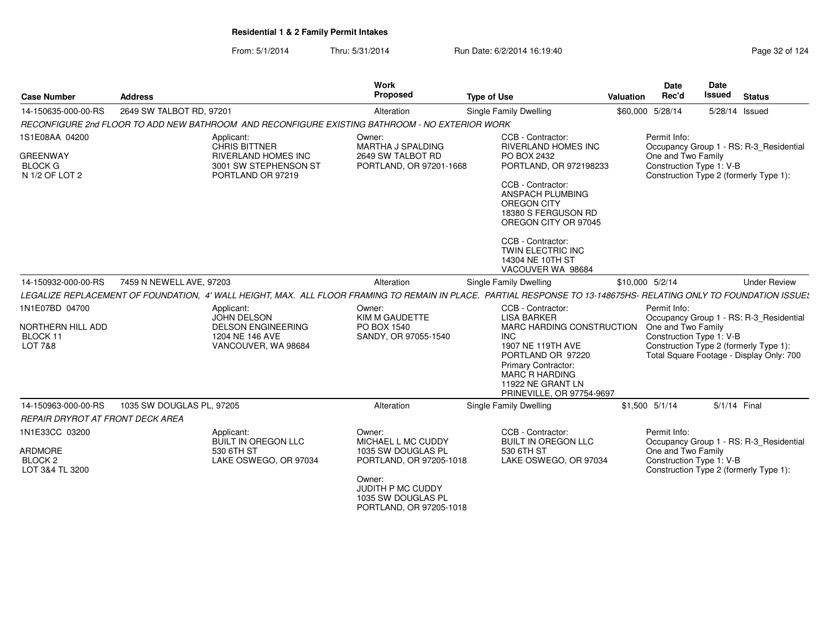| Page 32 of 124 |  |  |  |  |
|----------------|--|--|--|--|
|----------------|--|--|--|--|

| <b>Case Number</b>                                                    | <b>Address</b>                                                                                                                                                     | Work<br><b>Proposed</b>                                                                                                                                       | <b>Type of Use</b>                                                                                                                                                                                                                        | Valuation | <b>Date</b><br>Rec'd               | Date<br><b>Issued</b>                                                                                                                                     | <b>Status</b>       |
|-----------------------------------------------------------------------|--------------------------------------------------------------------------------------------------------------------------------------------------------------------|---------------------------------------------------------------------------------------------------------------------------------------------------------------|-------------------------------------------------------------------------------------------------------------------------------------------------------------------------------------------------------------------------------------------|-----------|------------------------------------|-----------------------------------------------------------------------------------------------------------------------------------------------------------|---------------------|
| 14-150635-000-00-RS                                                   | 2649 SW TALBOT RD, 97201                                                                                                                                           | Alteration                                                                                                                                                    | <b>Single Family Dwelling</b>                                                                                                                                                                                                             |           | \$60,000 5/28/14                   | 5/28/14 Issued                                                                                                                                            |                     |
|                                                                       | RECONFIGURE 2nd FLOOR TO ADD NEW BATHROOM AND RECONFIGURE EXISTING BATHROOM - NO EXTERIOR WORK                                                                     |                                                                                                                                                               |                                                                                                                                                                                                                                           |           |                                    |                                                                                                                                                           |                     |
| 1S1E08AA 04200<br><b>GREENWAY</b><br><b>BLOCK G</b><br>N 1/2 OF LOT 2 | Applicant:<br><b>CHRIS BITTNER</b><br><b>RIVERLAND HOMES INC</b><br>3001 SW STEPHENSON ST<br>PORTLAND OR 97219                                                     | Owner:<br><b>MARTHA J SPALDING</b><br>2649 SW TALBOT RD<br>PORTLAND, OR 97201-1668                                                                            | CCB - Contractor:<br><b>RIVERLAND HOMES INC</b><br>PO BOX 2432<br>PORTLAND, OR 972198233<br>CCB - Contractor:<br>ANSPACH PLUMBING<br>OREGON CITY<br>18380 S FERGUSON RD<br>OREGON CITY OR 97045<br>CCB - Contractor:<br>TWIN ELECTRIC INC |           | Permit Info:<br>One and Two Family | Occupancy Group 1 - RS: R-3 Residential<br>Construction Type 1: V-B<br>Construction Type 2 (formerly Type 1):                                             |                     |
| 14-150932-000-00-RS                                                   | 7459 N NEWELL AVE, 97203                                                                                                                                           | Alteration                                                                                                                                                    | 14304 NE 10TH ST<br>VACOUVER WA 98684<br>Single Family Dwelling                                                                                                                                                                           |           | \$10,000 5/2/14                    |                                                                                                                                                           | <b>Under Review</b> |
|                                                                       | LEGALIZE REPLACEMENT OF FOUNDATION, 4' WALL HEIGHT, MAX. ALL FLOOR FRAMING TO REMAIN IN PLACE. PARTIAL RESPONSE TO 13-148675HS- RELATING ONLY TO FOUNDATION ISSUES |                                                                                                                                                               |                                                                                                                                                                                                                                           |           |                                    |                                                                                                                                                           |                     |
| 1N1E07BD 04700<br>NORTHERN HILL ADD<br>BLOCK 11<br>LOT 7&8            | Applicant:<br><b>JOHN DELSON</b><br><b>DELSON ENGINEERING</b><br>1204 NE 146 AVE<br>VANCOUVER, WA 98684                                                            | Owner:<br>KIM M GAUDETTE<br>PO BOX 1540<br>SANDY, OR 97055-1540                                                                                               | CCB - Contractor:<br><b>LISA BARKER</b><br>MARC HARDING CONSTRUCTION<br><b>INC</b><br>1907 NE 119TH AVE<br>PORTLAND OR 97220<br><b>Primary Contractor:</b><br><b>MARC R HARDING</b><br>11922 NE GRANT LN<br>PRINEVILLE, OR 97754-9697     |           | Permit Info:<br>One and Two Family | Occupancy Group 1 - RS: R-3 Residential<br>Construction Type 1: V-B<br>Construction Type 2 (formerly Type 1):<br>Total Square Footage - Display Only: 700 |                     |
| 14-150963-000-00-RS                                                   | 1035 SW DOUGLAS PL, 97205                                                                                                                                          | Alteration                                                                                                                                                    | Single Family Dwelling                                                                                                                                                                                                                    |           | $$1,500$ $5/1/14$                  | 5/1/14 Final                                                                                                                                              |                     |
| <b>REPAIR DRYROT AT FRONT DECK AREA</b>                               |                                                                                                                                                                    |                                                                                                                                                               |                                                                                                                                                                                                                                           |           |                                    |                                                                                                                                                           |                     |
| 1N1E33CC 03200<br>ARDMORE<br>BLOCK 2<br>LOT 3&4 TL 3200               | Applicant:<br><b>BUILT IN OREGON LLC</b><br>530 6TH ST<br>LAKE OSWEGO, OR 97034                                                                                    | Owner:<br>MICHAEL L MC CUDDY<br>1035 SW DOUGLAS PL<br>PORTLAND, OR 97205-1018<br>Owner:<br>JUDITH P MC CUDDY<br>1035 SW DOUGLAS PL<br>PORTLAND, OR 97205-1018 | CCB - Contractor:<br><b>BUILT IN OREGON LLC</b><br>530 6TH ST<br>LAKE OSWEGO, OR 97034                                                                                                                                                    |           | Permit Info:<br>One and Two Family | Occupancy Group 1 - RS: R-3 Residential<br>Construction Type 1: V-B<br>Construction Type 2 (formerly Type 1):                                             |                     |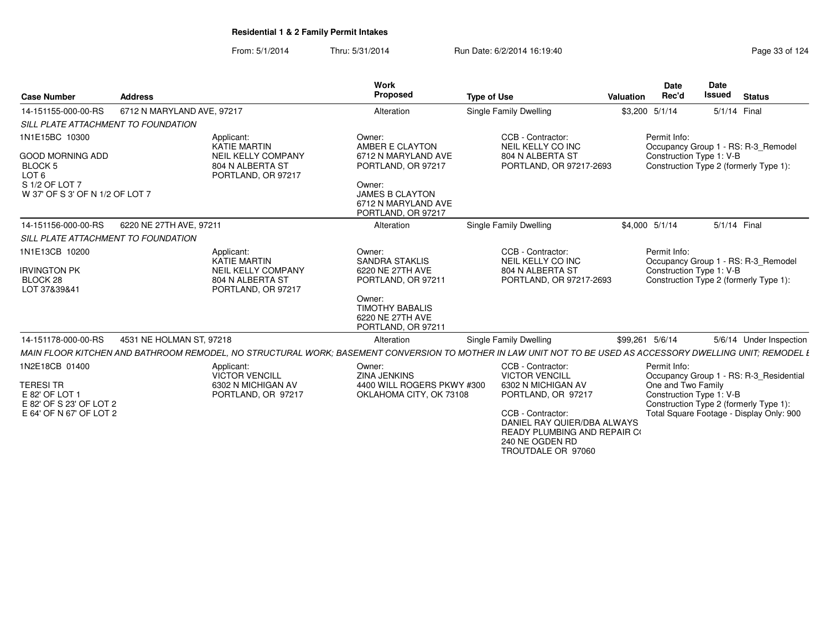| <b>Case Number</b>                                            | <b>Address</b>             |                                                                     | Work<br><b>Proposed</b>                                                                                                                                     | <b>Type of Use</b>                                                                                                               | Valuation | <b>Date</b><br>Rec'd | <b>Date</b><br><b>Issued</b> | <b>Status</b>                            |
|---------------------------------------------------------------|----------------------------|---------------------------------------------------------------------|-------------------------------------------------------------------------------------------------------------------------------------------------------------|----------------------------------------------------------------------------------------------------------------------------------|-----------|----------------------|------------------------------|------------------------------------------|
| 14-151155-000-00-RS                                           | 6712 N MARYLAND AVE, 97217 |                                                                     | Alteration                                                                                                                                                  | Single Family Dwelling                                                                                                           |           | \$3,200 5/1/14       |                              | 5/1/14 Final                             |
| SILL PLATE ATTACHMENT TO FOUNDATION                           |                            |                                                                     |                                                                                                                                                             |                                                                                                                                  |           |                      |                              |                                          |
| 1N1E15BC 10300                                                |                            | Applicant:<br><b>KATIE MARTIN</b>                                   | Owner:<br>AMBER E CLAYTON                                                                                                                                   | CCB - Contractor:<br>NEIL KELLY CO INC                                                                                           |           | Permit Info:         |                              | Occupancy Group 1 - RS: R-3 Remodel      |
| <b>GOOD MORNING ADD</b><br><b>BLOCK 5</b><br>LOT <sub>6</sub> |                            | <b>NEIL KELLY COMPANY</b><br>804 N ALBERTA ST<br>PORTLAND, OR 97217 | 6712 N MARYLAND AVE<br>PORTLAND, OR 97217                                                                                                                   | 804 N ALBERTA ST<br>PORTLAND, OR 97217-2693                                                                                      |           |                      | Construction Type 1: V-B     | Construction Type 2 (formerly Type 1):   |
| S 1/2 OF LOT 7<br>W 37' OF S 3' OF N 1/2 OF LOT 7             |                            |                                                                     | Owner:<br><b>JAMES B CLAYTON</b><br>6712 N MARYLAND AVE<br>PORTLAND, OR 97217                                                                               |                                                                                                                                  |           |                      |                              |                                          |
| 14-151156-000-00-RS                                           | 6220 NE 27TH AVE, 97211    |                                                                     | Alteration                                                                                                                                                  | Single Family Dwelling                                                                                                           |           | \$4,000 5/1/14       |                              | 5/1/14 Final                             |
| SILL PLATE ATTACHMENT TO FOUNDATION                           |                            |                                                                     |                                                                                                                                                             |                                                                                                                                  |           |                      |                              |                                          |
| 1N1E13CB 10200                                                |                            | Applicant:<br><b>KATIE MARTIN</b><br><b>NEIL KELLY COMPANY</b>      | Owner:<br><b>SANDRA STAKLIS</b><br>6220 NE 27TH AVE                                                                                                         | CCB - Contractor:<br>NEIL KELLY CO INC<br>804 N ALBERTA ST                                                                       |           | Permit Info:         |                              | Occupancy Group 1 - RS: R-3 Remodel      |
| <b>IRVINGTON PK</b><br>BLOCK 28<br>LOT 37&39&41               |                            | 804 N ALBERTA ST<br>PORTLAND, OR 97217                              | PORTLAND, OR 97211                                                                                                                                          | PORTLAND, OR 97217-2693                                                                                                          |           |                      | Construction Type 1: V-B     | Construction Type 2 (formerly Type 1):   |
|                                                               |                            |                                                                     | Owner:<br><b>TIMOTHY BABALIS</b><br>6220 NE 27TH AVE<br>PORTLAND, OR 97211                                                                                  |                                                                                                                                  |           |                      |                              |                                          |
| 14-151178-000-00-RS                                           | 4531 NE HOLMAN ST, 97218   |                                                                     | Alteration                                                                                                                                                  | Single Family Dwelling                                                                                                           |           | \$99,261 5/6/14      |                              | 5/6/14 Under Inspection                  |
|                                                               |                            |                                                                     | MAIN FLOOR KITCHEN AND BATHROOM REMODEL, NO STRUCTURAL WORK; BASEMENT CONVERSION TO MOTHER IN LAW UNIT NOT TO BE USED AS ACCESSORY DWELLING UNIT; REMODEL L |                                                                                                                                  |           |                      |                              |                                          |
| 1N2E18CB 01400                                                |                            | Applicant:<br><b>VICTOR VENCILL</b>                                 | Owner:<br><b>ZINA JENKINS</b>                                                                                                                               | CCB - Contractor:<br><b>VICTOR VENCILL</b>                                                                                       |           | Permit Info:         |                              | Occupancy Group 1 - RS: R-3 Residential  |
| <b>TERESI TR</b><br>E 82' OF LOT 1<br>E 82' OF S 23' OF LOT 2 |                            | 6302 N MICHIGAN AV<br>PORTLAND, OR 97217                            | 4400 WILL ROGERS PKWY #300<br>OKLAHOMA CITY, OK 73108                                                                                                       | 6302 N MICHIGAN AV<br>PORTLAND, OR 97217                                                                                         |           | One and Two Family   | Construction Type 1: V-B     | Construction Type 2 (formerly Type 1):   |
| E 64' OF N 67' OF LOT 2                                       |                            |                                                                     |                                                                                                                                                             | CCB - Contractor:<br>DANIEL RAY QUIER/DBA ALWAYS<br><b>READY PLUMBING AND REPAIR CO</b><br>240 NE OGDEN RD<br>TROUTDALE OR 97060 |           |                      |                              | Total Square Footage - Display Only: 900 |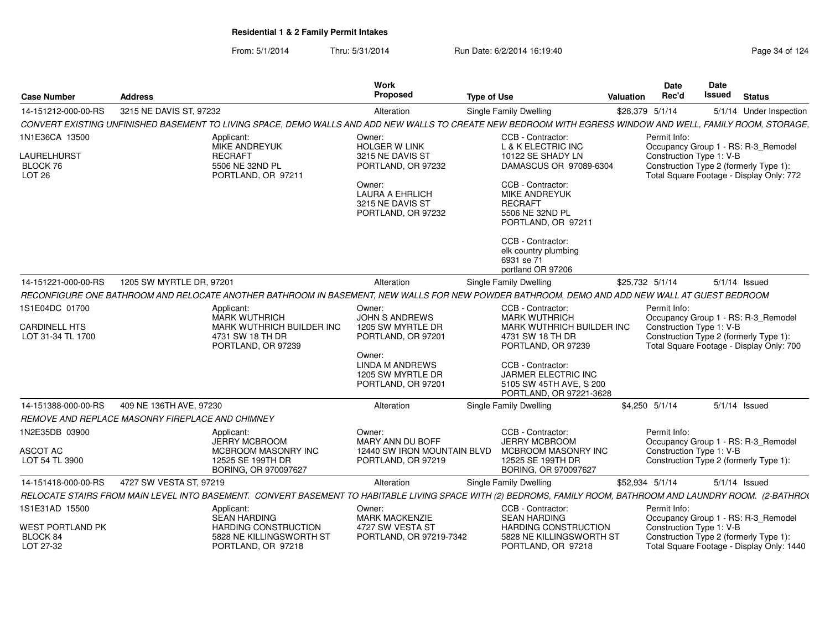| <b>Case Number</b>                               | <b>Address</b>                                                                                                                                                 | Work<br><b>Proposed</b>                                                    | <b>Type of Use</b>                                                                             | <b>Valuation</b> | <b>Date</b><br>Rec'd                     | Date<br><b>Issued</b> | <b>Status</b>                                                                       |
|--------------------------------------------------|----------------------------------------------------------------------------------------------------------------------------------------------------------------|----------------------------------------------------------------------------|------------------------------------------------------------------------------------------------|------------------|------------------------------------------|-----------------------|-------------------------------------------------------------------------------------|
| 14-151212-000-00-RS                              | 3215 NE DAVIS ST, 97232                                                                                                                                        | Alteration                                                                 | Single Family Dwelling                                                                         | \$28,379 5/1/14  |                                          |                       | 5/1/14 Under Inspection                                                             |
|                                                  | CONVERT EXISTING UNFINISHED BASEMENT TO LIVING SPACE, DEMO WALLS AND ADD NEW WALLS TO CREATE NEW BEDROOM WITH EGRESS WINDOW AND WELL, FAMILY ROOM, STORAGE,    |                                                                            |                                                                                                |                  |                                          |                       |                                                                                     |
| 1N1E36CA 13500                                   | Applicant:<br><b>MIKE ANDREYUK</b>                                                                                                                             | Owner:<br><b>HOLGER W LINK</b>                                             | CCB - Contractor:<br>L & K ELECTRIC INC                                                        |                  | Permit Info:                             |                       | Occupancy Group 1 - RS: R-3_Remodel                                                 |
| LAURELHURST<br>BLOCK 76<br><b>LOT 26</b>         | <b>RECRAFT</b><br>5506 NE 32ND PL<br>PORTLAND, OR 97211                                                                                                        | 3215 NE DAVIS ST<br>PORTLAND, OR 97232                                     | 10122 SE SHADY LN<br>DAMASCUS OR 97089-6304                                                    |                  | Construction Type 1: V-B                 |                       | Construction Type 2 (formerly Type 1):<br>Total Square Footage - Display Only: 772  |
|                                                  |                                                                                                                                                                | Owner:<br><b>LAURA A EHRLICH</b><br>3215 NE DAVIS ST<br>PORTLAND, OR 97232 | CCB - Contractor:<br>MIKE ANDREYUK<br><b>RECRAFT</b><br>5506 NE 32ND PL<br>PORTLAND, OR 97211  |                  |                                          |                       |                                                                                     |
|                                                  |                                                                                                                                                                |                                                                            | CCB - Contractor:<br>elk country plumbing<br>6931 se 71<br>portland OR 97206                   |                  |                                          |                       |                                                                                     |
| 14-151221-000-00-RS                              | 1205 SW MYRTLE DR, 97201                                                                                                                                       | Alteration                                                                 | Single Family Dwelling                                                                         | \$25,732 5/1/14  |                                          |                       | $5/1/14$ Issued                                                                     |
|                                                  | RECONFIGURE ONE BATHROOM AND RELOCATE ANOTHER BATHROOM IN BASEMENT, NEW WALLS FOR NEW POWDER BATHROOM, DEMO AND ADD NEW WALL AT GUEST BEDROOM                  |                                                                            |                                                                                                |                  |                                          |                       |                                                                                     |
| 1S1E04DC 01700<br>CARDINELL HTS                  | Applicant:<br><b>MARK WUTHRICH</b><br>MARK WUTHRICH BUILDER INC                                                                                                | Owner:<br>JOHN S ANDREWS<br>1205 SW MYRTLE DR                              | CCB - Contractor:<br><b>MARK WUTHRICH</b><br>MARK WUTHRICH BUILDER INC                         |                  | Permit Info:<br>Construction Type 1: V-B |                       | Occupancy Group 1 - RS: R-3_Remodel                                                 |
| LOT 31-34 TL 1700                                | 4731 SW 18 TH DR<br>PORTLAND, OR 97239                                                                                                                         | PORTLAND, OR 97201<br>Owner:                                               | 4731 SW 18 TH DR<br>PORTLAND, OR 97239                                                         |                  |                                          |                       | Construction Type 2 (formerly Type 1):<br>Total Square Footage - Display Only: 700  |
|                                                  |                                                                                                                                                                | <b>LINDA M ANDREWS</b><br>1205 SW MYRTLE DR<br>PORTLAND, OR 97201          | CCB - Contractor:<br>JARMER ELECTRIC INC<br>5105 SW 45TH AVE, S 200<br>PORTLAND, OR 97221-3628 |                  |                                          |                       |                                                                                     |
| 14-151388-000-00-RS                              | 409 NE 136TH AVE, 97230                                                                                                                                        | Alteration                                                                 | Single Family Dwelling                                                                         |                  | \$4.250 5/1/14                           |                       | $5/1/14$ Issued                                                                     |
|                                                  | <b>REMOVE AND REPLACE MASONRY FIREPLACE AND CHIMNEY</b>                                                                                                        |                                                                            |                                                                                                |                  |                                          |                       |                                                                                     |
| 1N2E35DB 03900                                   | Applicant:<br><b>JERRY MCBROOM</b>                                                                                                                             | Owner:<br>MARY ANN DU BOFF                                                 | CCB - Contractor:<br><b>JERRY MCBROOM</b>                                                      |                  | Permit Info:                             |                       | Occupancy Group 1 - RS: R-3_Remodel                                                 |
| <b>ASCOT AC</b><br>LOT 54 TL 3900                | MCBROOM MASONRY INC<br>12525 SE 199TH DR<br>BORING, OR 970097627                                                                                               | 12440 SW IRON MOUNTAIN BLVD<br>PORTLAND, OR 97219                          | MCBROOM MASONRY INC<br>12525 SE 199TH DR<br>BORING, OR 970097627                               |                  | Construction Type 1: V-B                 |                       | Construction Type 2 (formerly Type 1):                                              |
| 14-151418-000-00-RS                              | 4727 SW VESTA ST, 97219                                                                                                                                        | Alteration                                                                 | Single Family Dwelling                                                                         | \$52,934 5/1/14  |                                          |                       | $5/1/14$ Issued                                                                     |
|                                                  | RELOCATE STAIRS FROM MAIN LEVEL INTO BASEMENT. CONVERT BASEMENT TO HABITABLE LIVING SPACE WITH (2) BEDROMS, FAMILY ROOM, BATHROOM AND LAUNDRY ROOM. (2-BATHROU |                                                                            |                                                                                                |                  |                                          |                       |                                                                                     |
| 1S1E31AD 15500                                   | Applicant:<br><b>SEAN HARDING</b>                                                                                                                              | Owner:<br><b>MARK MACKENZIE</b>                                            | CCB - Contractor:<br><b>SEAN HARDING</b>                                                       |                  | Permit Info:                             |                       | Occupancy Group 1 - RS: R-3_Remodel                                                 |
| <b>WEST PORTLAND PK</b><br>BLOCK 84<br>LOT 27-32 | HARDING CONSTRUCTION<br>5828 NE KILLINGSWORTH ST<br>PORTLAND, OR 97218                                                                                         | 4727 SW VESTA ST<br>PORTLAND, OR 97219-7342                                | <b>HARDING CONSTRUCTION</b><br>5828 NE KILLINGSWORTH ST<br>PORTLAND, OR 97218                  |                  | Construction Type 1: V-B                 |                       | Construction Type 2 (formerly Type 1):<br>Total Square Footage - Display Only: 1440 |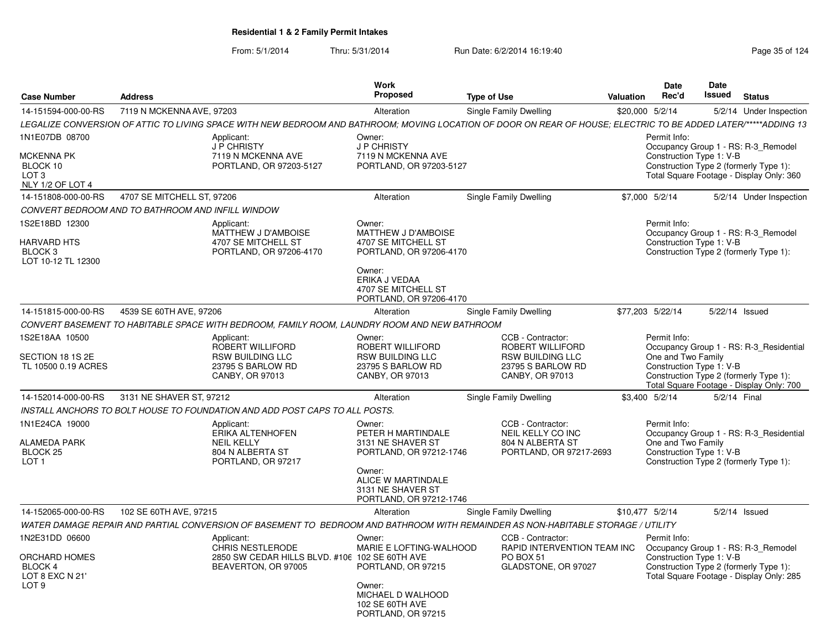| <b>Case Number</b>                                                                              | <b>Address</b>             |                                                                                                                                                                 | <b>Work</b><br>Proposed                                                                                   | <b>Type of Use</b>                                                                                              | <b>Valuation</b> | Date<br>Rec'd                                                  | Date<br><b>Issued</b> | <b>Status</b>                                                                                                                 |
|-------------------------------------------------------------------------------------------------|----------------------------|-----------------------------------------------------------------------------------------------------------------------------------------------------------------|-----------------------------------------------------------------------------------------------------------|-----------------------------------------------------------------------------------------------------------------|------------------|----------------------------------------------------------------|-----------------------|-------------------------------------------------------------------------------------------------------------------------------|
| 14-151594-000-00-RS                                                                             | 7119 N MCKENNA AVE, 97203  |                                                                                                                                                                 | Alteration                                                                                                | Single Family Dwelling                                                                                          | \$20,000 5/2/14  |                                                                |                       | 5/2/14 Under Inspection                                                                                                       |
|                                                                                                 |                            | LEGALIZE CONVERSION OF ATTIC TO LIVING SPACE WITH NEW BEDROOM AND BATHROOM: MOVING LOCATION OF DOOR ON REAR OF HOUSE; ELECTRIC TO BE ADDED LATER/*****ADDING 13 |                                                                                                           |                                                                                                                 |                  |                                                                |                       |                                                                                                                               |
| 1N1E07DB 08700<br><b>MCKENNA PK</b><br>BLOCK 10<br>LOT <sub>3</sub><br>NLY 1/2 OF LOT 4         |                            | Applicant:<br>J P CHRISTY<br>7119 N MCKENNA AVE<br>PORTLAND, OR 97203-5127                                                                                      | Owner:<br><b>J P CHRISTY</b><br>7119 N MCKENNA AVE<br>PORTLAND, OR 97203-5127                             |                                                                                                                 |                  | Permit Info:<br>Construction Type 1: V-B                       |                       | Occupancy Group 1 - RS: R-3_Remodel<br>Construction Type 2 (formerly Type 1):<br>Total Square Footage - Display Only: 360     |
| 14-151808-000-00-RS                                                                             | 4707 SE MITCHELL ST, 97206 |                                                                                                                                                                 | Alteration                                                                                                | Single Family Dwelling                                                                                          | \$7,000 5/2/14   |                                                                |                       | 5/2/14 Under Inspection                                                                                                       |
| CONVERT BEDROOM AND TO BATHROOM AND INFILL WINDOW                                               |                            |                                                                                                                                                                 |                                                                                                           |                                                                                                                 |                  |                                                                |                       |                                                                                                                               |
| 1S2E18BD 12300<br><b>HARVARD HTS</b><br>BLOCK <sub>3</sub><br>LOT 10-12 TL 12300                |                            | Applicant:<br>MATTHEW J D'AMBOISE<br>4707 SE MITCHELL ST<br>PORTLAND, OR 97206-4170                                                                             | Owner:<br>MATTHEW J D'AMBOISE<br>4707 SE MITCHELL ST<br>PORTLAND, OR 97206-4170<br>Owner:                 |                                                                                                                 |                  | Permit Info:<br>Construction Type 1: V-B                       |                       | Occupancy Group 1 - RS: R-3_Remodel<br>Construction Type 2 (formerly Type 1):                                                 |
|                                                                                                 |                            |                                                                                                                                                                 | ERIKA J VEDAA<br>4707 SE MITCHELL ST<br>PORTLAND, OR 97206-4170                                           |                                                                                                                 |                  |                                                                |                       |                                                                                                                               |
| 14-151815-000-00-RS                                                                             | 4539 SE 60TH AVE, 97206    |                                                                                                                                                                 | Alteration                                                                                                | Single Family Dwelling                                                                                          | \$77,203 5/22/14 |                                                                |                       | 5/22/14 Issued                                                                                                                |
|                                                                                                 |                            | CONVERT BASEMENT TO HABITABLE SPACE WITH BEDROOM, FAMILY ROOM, LAUNDRY ROOM AND NEW BATHROOM                                                                    |                                                                                                           |                                                                                                                 |                  |                                                                |                       |                                                                                                                               |
| 1S2E18AA 10500<br>SECTION 18 1S 2E<br>TL 10500 0.19 ACRES                                       |                            | Applicant:<br>ROBERT WILLIFORD<br><b>RSW BUILDING LLC</b><br>23795 S BARLOW RD<br>CANBY, OR 97013                                                               | Owner:<br>ROBERT WILLIFORD<br><b>RSW BUILDING LLC</b><br>23795 S BARLOW RD<br>CANBY, OR 97013             | CCB - Contractor:<br><b>ROBERT WILLIFORD</b><br><b>RSW BUILDING LLC</b><br>23795 S BARLOW RD<br>CANBY, OR 97013 |                  | Permit Info:<br>One and Two Family<br>Construction Type 1: V-B |                       | Occupancy Group 1 - RS: R-3_Residential<br>Construction Type 2 (formerly Type 1):<br>Total Square Footage - Display Only: 700 |
| 14-152014-000-00-RS                                                                             | 3131 NE SHAVER ST, 97212   |                                                                                                                                                                 | Alteration                                                                                                | <b>Single Family Dwelling</b>                                                                                   | \$3,400 5/2/14   |                                                                | 5/2/14 Final          |                                                                                                                               |
|                                                                                                 |                            | INSTALL ANCHORS TO BOLT HOUSE TO FOUNDATION AND ADD POST CAPS TO ALL POSTS.                                                                                     |                                                                                                           |                                                                                                                 |                  |                                                                |                       |                                                                                                                               |
| 1N1E24CA 19000<br><b>ALAMEDA PARK</b><br>BLOCK <sub>25</sub><br>LOT <sub>1</sub>                |                            | Applicant:<br><b>ERIKA ALTENHOFEN</b><br><b>NEIL KELLY</b><br>804 N ALBERTA ST<br>PORTLAND, OR 97217                                                            | Owner:<br>PETER H MARTINDALE<br>3131 NE SHAVER ST<br>PORTLAND, OR 97212-1746                              | CCB - Contractor:<br><b>NEIL KELLY CO INC</b><br>804 N ALBERTA ST<br>PORTLAND, OR 97217-2693                    |                  | Permit Info:<br>One and Two Family<br>Construction Type 1: V-B |                       | Occupancy Group 1 - RS: R-3 Residential<br>Construction Type 2 (formerly Type 1):                                             |
|                                                                                                 |                            |                                                                                                                                                                 | Owner:<br>ALICE W MARTINDALE<br>3131 NE SHAVER ST<br>PORTLAND, OR 97212-1746                              |                                                                                                                 |                  |                                                                |                       |                                                                                                                               |
| 14-152065-000-00-RS                                                                             | 102 SE 60TH AVE, 97215     |                                                                                                                                                                 | Alteration                                                                                                | Single Family Dwelling                                                                                          | \$10,477 5/2/14  |                                                                |                       | $5/2/14$ Issued                                                                                                               |
|                                                                                                 |                            | WATER DAMAGE REPAIR AND PARTIAL CONVERSION OF BASEMENT TO BEDROOM AND BATHROOM WITH REMAINDER AS NON-HABITABLE STORAGE / UTILITY                                |                                                                                                           |                                                                                                                 |                  |                                                                |                       |                                                                                                                               |
| 1N2E31DD 06600<br><b>ORCHARD HOMES</b><br><b>BLOCK 4</b><br>LOT 8 EXC N 21'<br>LOT <sub>9</sub> |                            | Applicant:<br><b>CHRIS NESTLERODE</b><br>2850 SW CEDAR HILLS BLVD, #106 102 SE 60TH AVE<br>BEAVERTON, OR 97005                                                  | Owner:<br>MARIE E LOFTING-WALHOOD<br>PORTLAND, OR 97215<br>Owner:<br>MICHAEL D WALHOOD<br>102 SE 60TH AVE | CCB - Contractor:<br>RAPID INTERVENTION TEAM INC<br>PO BOX 51<br>GLADSTONE, OR 97027                            |                  | Permit Info:<br>Construction Type 1: V-B                       |                       | Occupancy Group 1 - RS: R-3_Remodel<br>Construction Type 2 (formerly Type 1):<br>Total Square Footage - Display Only: 285     |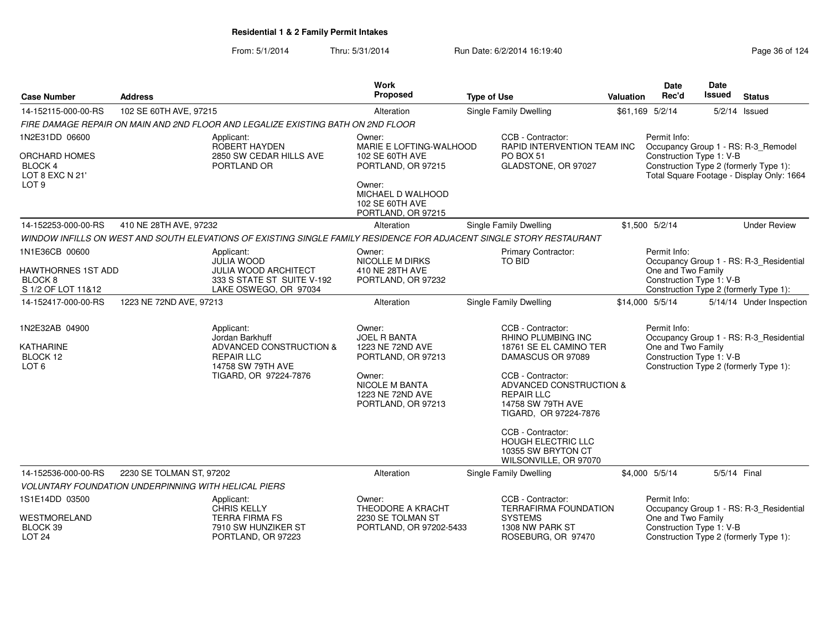| <b>Case Number</b>                                                   | <b>Address</b>                                                                             |                                                                                                                      | Work<br>Proposed                                                          | <b>Type of Use</b>                                                                                                                                             |                                                                                               | Valuation                                                                                | Date<br>Rec'd                                                                                                                                                          | Date<br><b>Issued</b> | <b>Status</b>                           |
|----------------------------------------------------------------------|--------------------------------------------------------------------------------------------|----------------------------------------------------------------------------------------------------------------------|---------------------------------------------------------------------------|----------------------------------------------------------------------------------------------------------------------------------------------------------------|-----------------------------------------------------------------------------------------------|------------------------------------------------------------------------------------------|------------------------------------------------------------------------------------------------------------------------------------------------------------------------|-----------------------|-----------------------------------------|
| 14-152115-000-00-RS                                                  | 102 SE 60TH AVE, 97215                                                                     |                                                                                                                      | Alteration                                                                | <b>Single Family Dwelling</b>                                                                                                                                  |                                                                                               |                                                                                          | \$61,169 5/2/14                                                                                                                                                        |                       | $5/2/14$ Issued                         |
|                                                                      |                                                                                            | FIRE DAMAGE REPAIR ON MAIN AND 2ND FLOOR AND LEGALIZE EXISTING BATH ON 2ND FLOOR                                     |                                                                           |                                                                                                                                                                |                                                                                               |                                                                                          |                                                                                                                                                                        |                       |                                         |
| 1N2E31DD 06600                                                       |                                                                                            | Applicant:<br>ROBERT HAYDEN<br>2850 SW CEDAR HILLS AVE<br>PORTLAND OR                                                | Owner:<br>MARIE E LOFTING-WALHOOD                                         |                                                                                                                                                                | CCB - Contractor:<br>RAPID INTERVENTION TEAM INC<br>PO BOX 51<br>GLADSTONE, OR 97027          |                                                                                          | Permit Info:<br>Occupancy Group 1 - RS: R-3_Remodel<br>Construction Type 1: V-B<br>Construction Type 2 (formerly Type 1):<br>Total Square Footage - Display Only: 1664 |                       |                                         |
| ORCHARD HOMES<br>BLOCK 4<br>LOT 8 EXC N 21'                          |                                                                                            |                                                                                                                      | 102 SE 60TH AVE<br>PORTLAND, OR 97215                                     |                                                                                                                                                                |                                                                                               |                                                                                          |                                                                                                                                                                        |                       |                                         |
| LOT 9                                                                |                                                                                            |                                                                                                                      | Owner:<br>MICHAEL D WALHOOD<br>102 SE 60TH AVE<br>PORTLAND, OR 97215      |                                                                                                                                                                |                                                                                               |                                                                                          |                                                                                                                                                                        |                       |                                         |
| 410 NE 28TH AVE, 97232<br>14-152253-000-00-RS                        |                                                                                            |                                                                                                                      | Single Family Dwelling<br>Alteration                                      |                                                                                                                                                                |                                                                                               | \$1,500 5/2/14                                                                           |                                                                                                                                                                        |                       | <b>Under Review</b>                     |
|                                                                      |                                                                                            | WINDOW INFILLS ON WEST AND SOUTH ELEVATIONS OF EXISTING SINGLE FAMILY RESIDENCE FOR ADJACENT SINGLE STORY RESTAURANT |                                                                           |                                                                                                                                                                |                                                                                               |                                                                                          |                                                                                                                                                                        |                       |                                         |
| 1N1E36CB 00600                                                       |                                                                                            | Applicant:<br><b>JULIA WOOD</b>                                                                                      | Owner:<br>NICOLLE M DIRKS                                                 | <b>Primary Contractor:</b><br><b>TO BID</b>                                                                                                                    |                                                                                               |                                                                                          | Permit Info:                                                                                                                                                           |                       |                                         |
| HAWTHORNES 1ST ADD                                                   |                                                                                            | <b>JULIA WOOD ARCHITECT</b>                                                                                          | 410 NE 28TH AVE                                                           |                                                                                                                                                                |                                                                                               |                                                                                          | Occupancy Group 1 - RS: R-3_Residential<br>One and Two Family                                                                                                          |                       |                                         |
| BLOCK 8                                                              |                                                                                            | 333 S STATE ST SUITE V-192                                                                                           | PORTLAND, OR 97232                                                        |                                                                                                                                                                |                                                                                               | Construction Type 1: V-B<br>Construction Type 2 (formerly Type 1):                       |                                                                                                                                                                        |                       |                                         |
| S 1/2 OF LOT 11&12<br>1223 NE 72ND AVE, 97213<br>14-152417-000-00-RS |                                                                                            | LAKE OSWEGO, OR 97034                                                                                                | Alteration                                                                | Single Family Dwelling                                                                                                                                         |                                                                                               | \$14,000 5/5/14                                                                          |                                                                                                                                                                        |                       | 5/14/14 Under Inspection                |
|                                                                      |                                                                                            |                                                                                                                      |                                                                           |                                                                                                                                                                |                                                                                               |                                                                                          |                                                                                                                                                                        |                       |                                         |
| 1N2E32AB 04900                                                       |                                                                                            | Applicant:<br>Jordan Barkhuff                                                                                        | Owner:<br><b>JOEL R BANTA</b>                                             |                                                                                                                                                                | CCB - Contractor:<br>RHINO PLUMBING INC                                                       |                                                                                          | Permit Info:                                                                                                                                                           |                       | Occupancy Group 1 - RS: R-3_Residential |
| KATHARINE<br>BLOCK 12                                                | ADVANCED CONSTRUCTION &<br><b>REPAIR LLC</b><br>14758 SW 79TH AVE<br>TIGARD, OR 97224-7876 |                                                                                                                      | 1223 NE 72ND AVE<br>PORTLAND, OR 97213                                    | 18761 SE EL CAMINO TER<br>DAMASCUS OR 97089<br>CCB - Contractor:<br>ADVANCED CONSTRUCTION &<br><b>REPAIR LLC</b><br>14758 SW 79TH AVE<br>TIGARD, OR 97224-7876 |                                                                                               | One and Two Family<br>Construction Type 1: V-B<br>Construction Type 2 (formerly Type 1): |                                                                                                                                                                        |                       |                                         |
| LOT <sub>6</sub>                                                     |                                                                                            |                                                                                                                      | Owner:<br><b>NICOLE M BANTA</b><br>1223 NE 72ND AVE<br>PORTLAND, OR 97213 |                                                                                                                                                                |                                                                                               |                                                                                          |                                                                                                                                                                        |                       |                                         |
|                                                                      |                                                                                            |                                                                                                                      |                                                                           |                                                                                                                                                                | CCB - Contractor:<br><b>HOUGH ELECTRIC LLC</b><br>10355 SW BRYTON CT<br>WILSONVILLE, OR 97070 |                                                                                          |                                                                                                                                                                        |                       |                                         |
| 14-152536-000-00-RS<br>2230 SE TOLMAN ST, 97202                      |                                                                                            |                                                                                                                      | Alteration                                                                |                                                                                                                                                                | Single Family Dwelling                                                                        |                                                                                          | \$4,000 5/5/14                                                                                                                                                         | 5/5/14 Final          |                                         |
|                                                                      | <b>VOLUNTARY FOUNDATION UNDERPINNING WITH HELICAL PIERS</b>                                |                                                                                                                      |                                                                           |                                                                                                                                                                |                                                                                               |                                                                                          |                                                                                                                                                                        |                       |                                         |
| 1S1E14DD 03500                                                       |                                                                                            | Applicant:<br><b>CHRIS KELLY</b>                                                                                     | Owner:<br>THEODORE A KRACHT                                               | CCB - Contractor:<br><b>TERRAFIRMA FOUNDATION</b><br><b>SYSTEMS</b><br>1308 NW PARK ST<br>ROSEBURG, OR 97470                                                   |                                                                                               |                                                                                          | Permit Info:                                                                                                                                                           |                       | Occupancy Group 1 - RS: R-3_Residential |
| WESTMORELAND<br>BLOCK 39<br><b>LOT 24</b>                            |                                                                                            | <b>TERRA FIRMA FS</b><br>7910 SW HUNZIKER ST<br>PORTLAND, OR 97223                                                   | 2230 SE TOLMAN ST<br>PORTLAND, OR 97202-5433                              |                                                                                                                                                                |                                                                                               |                                                                                          | One and Two Family<br>Construction Type 1: V-B<br>Construction Type 2 (formerly Type 1):                                                                               |                       |                                         |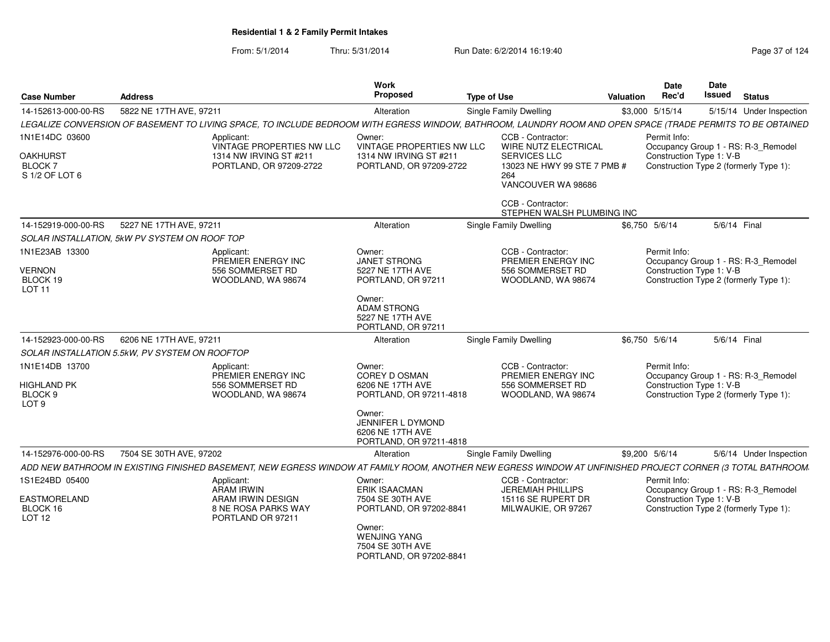| <b>Case Number</b>                                               | <b>Address</b>                                                                                                                                              | Work<br>Proposed                                                                                                                                              | <b>Type of Use</b>                                                                         | Valuation | <b>Date</b><br>Rec'd                     | Date<br>Issued | <b>Status</b>                                                                 |
|------------------------------------------------------------------|-------------------------------------------------------------------------------------------------------------------------------------------------------------|---------------------------------------------------------------------------------------------------------------------------------------------------------------|--------------------------------------------------------------------------------------------|-----------|------------------------------------------|----------------|-------------------------------------------------------------------------------|
| 14-152613-000-00-RS                                              | 5822 NE 17TH AVE, 97211                                                                                                                                     | Alteration                                                                                                                                                    | <b>Single Family Dwelling</b>                                                              |           | \$3,000 5/15/14                          |                | 5/15/14 Under Inspection                                                      |
|                                                                  | LEGALIZE CONVERSION OF BASEMENT TO LIVING SPACE, TO INCLUDE BEDROOM WITH EGRESS WINDOW, BATHROOM, LAUNDRY ROOM AND OPEN SPACE (TRADE PERMITS TO BE OBTAINED |                                                                                                                                                               |                                                                                            |           |                                          |                |                                                                               |
| 1N1E14DC 03600                                                   | Applicant:<br>VINTAGE PROPERTIES NW LLC                                                                                                                     | Owner:<br>VINTAGE PROPERTIES NW LLC                                                                                                                           | CCB - Contractor:<br>WIRE NUTZ ELECTRICAL                                                  |           | Permit Info:                             |                | Occupancy Group 1 - RS: R-3_Remodel                                           |
| OAKHURST<br>BLOCK 7<br>S 1/2 OF LOT 6                            | 1314 NW IRVING ST #211<br>PORTLAND, OR 97209-2722                                                                                                           | 1314 NW IRVING ST #211<br>PORTLAND, OR 97209-2722                                                                                                             | <b>SERVICES LLC</b><br>13023 NE HWY 99 STE 7 PMB #<br>264<br>VANCOUVER WA 98686            |           | Construction Type 1: V-B                 |                | Construction Type 2 (formerly Type 1):                                        |
|                                                                  |                                                                                                                                                             |                                                                                                                                                               | CCB - Contractor:<br>STEPHEN WALSH PLUMBING INC                                            |           |                                          |                |                                                                               |
| 14-152919-000-00-RS                                              | 5227 NE 17TH AVE, 97211                                                                                                                                     | Alteration                                                                                                                                                    | Single Family Dwelling                                                                     |           | \$6,750 5/6/14                           | 5/6/14 Final   |                                                                               |
|                                                                  | SOLAR INSTALLATION, 5kW PV SYSTEM ON ROOF TOP                                                                                                               |                                                                                                                                                               |                                                                                            |           |                                          |                |                                                                               |
| 1N1E23AB 13300<br><b>VERNON</b><br>BLOCK 19<br>LOT <sub>11</sub> | Applicant:<br>PREMIER ENERGY INC<br>556 SOMMERSET RD<br>WOODLAND, WA 98674                                                                                  | Owner:<br><b>JANET STRONG</b><br>5227 NE 17TH AVE<br>PORTLAND, OR 97211                                                                                       | CCB - Contractor:<br>PREMIER ENERGY INC<br>556 SOMMERSET RD<br>WOODLAND, WA 98674          |           | Permit Info:<br>Construction Type 1: V-B |                | Occupancy Group 1 - RS: R-3_Remodel<br>Construction Type 2 (formerly Type 1): |
|                                                                  |                                                                                                                                                             | Owner:<br><b>ADAM STRONG</b><br>5227 NE 17TH AVE<br>PORTLAND, OR 97211                                                                                        |                                                                                            |           |                                          |                |                                                                               |
| 14-152923-000-00-RS                                              | 6206 NE 17TH AVE, 97211                                                                                                                                     | Alteration                                                                                                                                                    | <b>Single Family Dwelling</b>                                                              |           | \$6,750 5/6/14                           | 5/6/14 Final   |                                                                               |
|                                                                  | SOLAR INSTALLATION 5.5kW, PV SYSTEM ON ROOFTOP                                                                                                              |                                                                                                                                                               |                                                                                            |           |                                          |                |                                                                               |
| 1N1E14DB 13700<br>HIGHLAND PK<br>BLOCK 9<br>LOT <sub>9</sub>     | Applicant:<br>PREMIER ENERGY INC<br>556 SOMMERSET RD<br>WOODLAND, WA 98674                                                                                  | Owner:<br>COREY D OSMAN<br>6206 NE 17TH AVE<br>PORTLAND, OR 97211-4818                                                                                        | CCB - Contractor:<br>PREMIER ENERGY INC<br>556 SOMMERSET RD<br>WOODLAND, WA 98674          |           | Permit Info:<br>Construction Type 1: V-B |                | Occupancy Group 1 - RS: R-3_Remodel<br>Construction Type 2 (formerly Type 1): |
|                                                                  |                                                                                                                                                             | Owner:<br>JENNIFER L DYMOND<br>6206 NE 17TH AVE<br>PORTLAND, OR 97211-4818                                                                                    |                                                                                            |           |                                          |                |                                                                               |
| 14-152976-000-00-RS                                              | 7504 SE 30TH AVE, 97202                                                                                                                                     | Alteration                                                                                                                                                    | Single Family Dwelling                                                                     |           | \$9,200 5/6/14                           |                | 5/6/14 Under Inspection                                                       |
|                                                                  | ADD NEW BATHROOM IN EXISTING FINISHED BASEMENT, NEW EGRESS WINDOW AT FAMILY ROOM, ANOTHER NEW EGRESS WINDOW AT UNFINISHED PROJECT CORNER (3 TOTAL BATHROOM  |                                                                                                                                                               |                                                                                            |           |                                          |                |                                                                               |
| 1S1E24BD 05400<br>EASTMORELAND<br>BLOCK 16<br>LOT <sub>12</sub>  | Applicant:<br>ARAM IRWIN<br>ARAM IRWIN DESIGN<br>8 NE ROSA PARKS WAY<br>PORTLAND OR 97211                                                                   | Owner:<br><b>ERIK ISAACMAN</b><br>7504 SE 30TH AVE<br>PORTLAND, OR 97202-8841<br>Owner:<br><b>WENJING YANG</b><br>7504 SE 30TH AVE<br>PORTLAND, OR 97202-8841 | CCB - Contractor:<br><b>JEREMIAH PHILLIPS</b><br>15116 SE RUPERT DR<br>MILWAUKIE, OR 97267 |           | Permit Info:<br>Construction Type 1: V-B |                | Occupancy Group 1 - RS: R-3_Remodel<br>Construction Type 2 (formerly Type 1): |
|                                                                  |                                                                                                                                                             |                                                                                                                                                               |                                                                                            |           |                                          |                |                                                                               |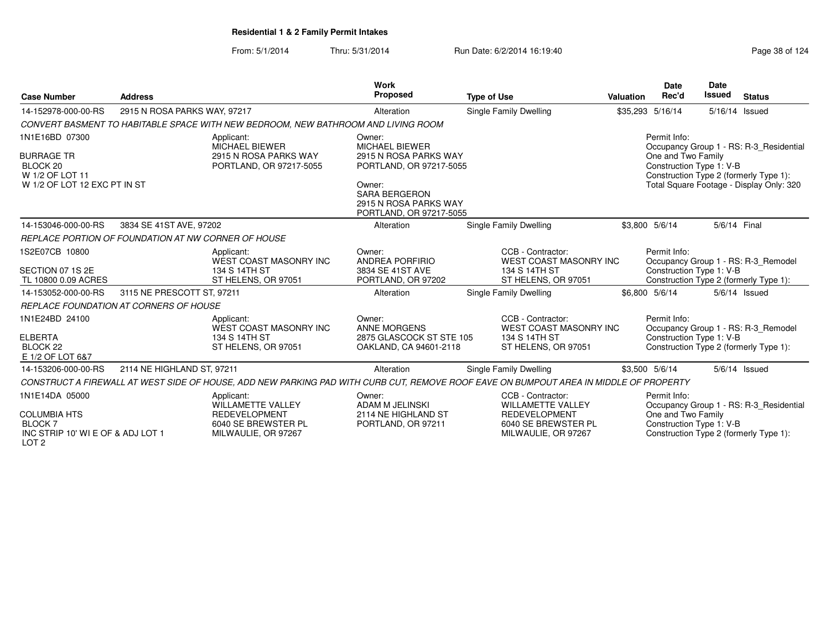| <b>Case Number</b>                                                                                              | <b>Address</b>                                      |                                                                                                                                       | Work<br>Proposed                                                                                                                                                          | <b>Type of Use</b>                                                                                                  | Valuation | <b>Date</b><br>Rec'd                                           | <b>Date</b><br><b>Issued</b> | <b>Status</b>                                                                                                                 |
|-----------------------------------------------------------------------------------------------------------------|-----------------------------------------------------|---------------------------------------------------------------------------------------------------------------------------------------|---------------------------------------------------------------------------------------------------------------------------------------------------------------------------|---------------------------------------------------------------------------------------------------------------------|-----------|----------------------------------------------------------------|------------------------------|-------------------------------------------------------------------------------------------------------------------------------|
| 14-152978-000-00-RS                                                                                             | 2915 N ROSA PARKS WAY, 97217                        |                                                                                                                                       | Alteration                                                                                                                                                                | Single Family Dwelling                                                                                              |           | \$35,293 5/16/14                                               |                              | 5/16/14 Issued                                                                                                                |
|                                                                                                                 |                                                     | CONVERT BASMENT TO HABITABLE SPACE WITH NEW BEDROOM, NEW BATHROOM AND LIVING ROOM                                                     |                                                                                                                                                                           |                                                                                                                     |           |                                                                |                              |                                                                                                                               |
| 1N1E16BD 07300<br><b>BURRAGE TR</b><br>BLOCK 20<br>W 1/2 OF LOT 11<br>W 1/2 OF LOT 12 EXC PT IN ST              |                                                     | Applicant:<br><b>MICHAEL BIEWER</b><br>2915 N ROSA PARKS WAY<br>PORTLAND, OR 97217-5055                                               | Owner:<br><b>MICHAEL BIEWER</b><br>2915 N ROSA PARKS WAY<br>PORTLAND, OR 97217-5055<br>Owner:<br><b>SARA BERGERON</b><br>2915 N ROSA PARKS WAY<br>PORTLAND, OR 97217-5055 |                                                                                                                     |           | Permit Info:<br>One and Two Family<br>Construction Type 1: V-B |                              | Occupancy Group 1 - RS: R-3 Residential<br>Construction Type 2 (formerly Type 1):<br>Total Square Footage - Display Only: 320 |
| 14-153046-000-00-RS                                                                                             | 3834 SE 41ST AVE, 97202                             |                                                                                                                                       | Alteration                                                                                                                                                                | Single Family Dwelling                                                                                              |           | \$3.800 5/6/14                                                 | 5/6/14 Final                 |                                                                                                                               |
|                                                                                                                 | REPLACE PORTION OF FOUNDATION AT NW CORNER OF HOUSE |                                                                                                                                       |                                                                                                                                                                           |                                                                                                                     |           |                                                                |                              |                                                                                                                               |
| 1S2E07CB 10800<br>SECTION 07 1S 2E<br>TL 10800 0.09 ACRES                                                       |                                                     | Applicant:<br>WEST COAST MASONRY INC<br>134 S 14TH ST<br>ST HELENS, OR 97051                                                          | Owner:<br>ANDREA PORFIRIO<br>3834 SE 41ST AVE<br>PORTLAND, OR 97202                                                                                                       | CCB - Contractor:<br><b>WEST COAST MASONRY INC</b><br>134 S 14TH ST<br>ST HELENS, OR 97051                          |           | Permit Info:<br>Construction Type 1: V-B                       |                              | Occupancy Group 1 - RS: R-3_Remodel<br>Construction Type 2 (formerly Type 1):                                                 |
| 14-153052-000-00-RS                                                                                             | 3115 NE PRESCOTT ST, 97211                          |                                                                                                                                       | Alteration                                                                                                                                                                | Single Family Dwelling                                                                                              |           | \$6.800 5/6/14                                                 |                              | $5/6/14$ Issued                                                                                                               |
|                                                                                                                 | <b>REPLACE FOUNDATION AT CORNERS OF HOUSE</b>       |                                                                                                                                       |                                                                                                                                                                           |                                                                                                                     |           |                                                                |                              |                                                                                                                               |
| 1N1E24BD 24100<br><b>ELBERTA</b><br>BLOCK <sub>22</sub><br>E 1/2 OF LOT 6&7                                     |                                                     | Applicant:<br>WEST COAST MASONRY INC<br>134 S 14TH ST<br>ST HELENS, OR 97051                                                          | Owner:<br>ANNE MORGENS<br>2875 GLASCOCK ST STE 105<br>OAKLAND, CA 94601-2118                                                                                              | CCB - Contractor:<br><b>WEST COAST MASONRY INC</b><br>134 S 14TH ST<br>ST HELENS, OR 97051                          |           | Permit Info:<br>Construction Type 1: V-B                       |                              | Occupancy Group 1 - RS: R-3_Remodel<br>Construction Type 2 (formerly Type 1):                                                 |
| 14-153206-000-00-RS                                                                                             | 2114 NE HIGHLAND ST, 97211                          |                                                                                                                                       | Alteration                                                                                                                                                                | Single Family Dwelling                                                                                              |           | \$3,500 5/6/14                                                 |                              | $5/6/14$ Issued                                                                                                               |
|                                                                                                                 |                                                     | CONSTRUCT A FIREWALL AT WEST SIDE OF HOUSE, ADD NEW PARKING PAD WITH CURB CUT, REMOVE ROOF EAVE ON BUMPOUT AREA IN MIDDLE OF PROPERTY |                                                                                                                                                                           |                                                                                                                     |           |                                                                |                              |                                                                                                                               |
| 1N1E14DA 05000<br><b>COLUMBIA HTS</b><br><b>BLOCK7</b><br>INC STRIP 10' WI E OF & ADJ LOT 1<br>LOT <sub>2</sub> |                                                     | Applicant:<br><b>WILLAMETTE VALLEY</b><br><b>REDEVELOPMENT</b><br>6040 SE BREWSTER PL<br>MILWAULIE, OR 97267                          | Owner:<br>ADAM M JELINSKI<br>2114 NE HIGHLAND ST<br>PORTLAND, OR 97211                                                                                                    | CCB - Contractor:<br><b>WILLAMETTE VALLEY</b><br><b>REDEVELOPMENT</b><br>6040 SE BREWSTER PL<br>MILWAULIE, OR 97267 |           | Permit Info:<br>One and Two Family<br>Construction Type 1: V-B |                              | Occupancy Group 1 - RS: R-3_Residential<br>Construction Type 2 (formerly Type 1):                                             |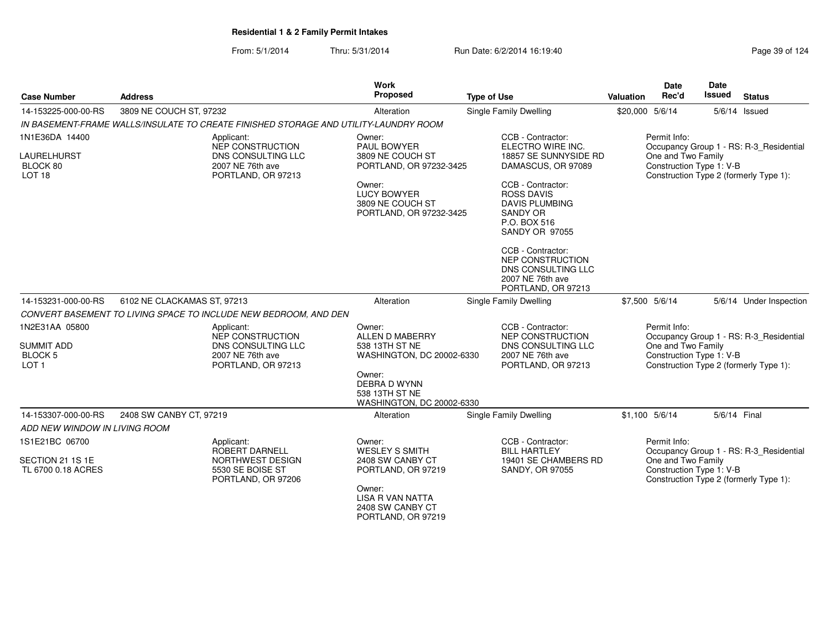| <b>Case Number</b>                                      | <b>Address</b>                                                                       | Work<br>Proposed                                                                                                      | <b>Type of Use</b>                                                                                                          | <b>Date</b><br>Rec'd<br>Valuation              | <b>Date</b><br><b>Issued</b><br><b>Status</b> |
|---------------------------------------------------------|--------------------------------------------------------------------------------------|-----------------------------------------------------------------------------------------------------------------------|-----------------------------------------------------------------------------------------------------------------------------|------------------------------------------------|-----------------------------------------------|
| 14-153225-000-00-RS                                     | Single Family Dwelling<br>3809 NE COUCH ST, 97232<br>Alteration                      |                                                                                                                       |                                                                                                                             | \$20,000 5/6/14                                | 5/6/14 Issued                                 |
|                                                         | IN BASEMENT-FRAME WALLS/INSULATE TO CREATE FINISHED STORAGE AND UTILITY-LAUNDRY ROOM |                                                                                                                       |                                                                                                                             |                                                |                                               |
| 1N1E36DA 14400                                          | Applicant:<br>NEP CONSTRUCTION                                                       | Owner:<br>PAUL BOWYER                                                                                                 | CCB - Contractor:<br>ELECTRO WIRE INC.                                                                                      | Permit Info:                                   | Occupancy Group 1 - RS: R-3_Residential       |
| <b>LAURELHURST</b><br>BLOCK 80<br>LOT <sub>18</sub>     | DNS CONSULTING LLC<br>2007 NE 76th ave<br>PORTLAND, OR 97213                         | 3809 NE COUCH ST<br>PORTLAND, OR 97232-3425                                                                           | 18857 SE SUNNYSIDE RD<br>DAMASCUS, OR 97089                                                                                 | One and Two Family<br>Construction Type 1: V-B | Construction Type 2 (formerly Type 1):        |
|                                                         |                                                                                      | Owner:<br><b>LUCY BOWYER</b><br>3809 NE COUCH ST<br>PORTLAND, OR 97232-3425                                           | CCB - Contractor:<br><b>ROSS DAVIS</b><br><b>DAVIS PLUMBING</b><br><b>SANDY OR</b><br>P.O. BOX 516<br><b>SANDY OR 97055</b> |                                                |                                               |
|                                                         |                                                                                      |                                                                                                                       | CCB - Contractor:<br><b>NEP CONSTRUCTION</b><br>DNS CONSULTING LLC<br>2007 NE 76th ave<br>PORTLAND, OR 97213                |                                                |                                               |
| 14-153231-000-00-RS                                     | 6102 NE CLACKAMAS ST, 97213                                                          | Alteration                                                                                                            | Single Family Dwelling                                                                                                      | \$7,500 5/6/14                                 | 5/6/14 Under Inspection                       |
|                                                         | CONVERT BASEMENT TO LIVING SPACE TO INCLUDE NEW BEDROOM, AND DEN                     |                                                                                                                       |                                                                                                                             |                                                |                                               |
| 1N2E31AA 05800                                          | Applicant:<br>NEP CONSTRUCTION                                                       | Owner:<br>ALLEN D MABERRY                                                                                             | CCB - Contractor:<br>NEP CONSTRUCTION                                                                                       | Permit Info:                                   | Occupancy Group 1 - RS: R-3_Residential       |
| <b>SUMMIT ADD</b><br><b>BLOCK 5</b><br>LOT <sub>1</sub> | DNS CONSULTING LLC<br>2007 NE 76th ave<br>PORTLAND, OR 97213                         | 538 13TH ST NE<br>WASHINGTON, DC 20002-6330                                                                           | DNS CONSULTING LLC<br>2007 NE 76th ave<br>PORTLAND, OR 97213                                                                | One and Two Family<br>Construction Type 1: V-B | Construction Type 2 (formerly Type 1):        |
|                                                         |                                                                                      | Owner:<br><b>DEBRA D WYNN</b><br>538 13TH ST NE<br>WASHINGTON, DC 20002-6330                                          |                                                                                                                             |                                                |                                               |
| 14-153307-000-00-RS                                     | 2408 SW CANBY CT, 97219                                                              | Alteration                                                                                                            | <b>Single Family Dwelling</b>                                                                                               | \$1,100 5/6/14                                 | 5/6/14 Final                                  |
| ADD NEW WINDOW IN LIVING ROOM                           |                                                                                      |                                                                                                                       |                                                                                                                             |                                                |                                               |
| 1S1E21BC 06700                                          | Applicant:<br>ROBERT DARNELL                                                         | Owner:<br><b>WESLEY S SMITH</b>                                                                                       | CCB - Contractor:<br><b>BILL HARTLEY</b>                                                                                    | Permit Info:                                   | Occupancy Group 1 - RS: R-3_Residential       |
| SECTION 21 1S 1E<br>TL 6700 0.18 ACRES                  | NORTHWEST DESIGN<br>5530 SE BOISE ST<br>PORTLAND, OR 97206                           | 2408 SW CANBY CT<br>PORTLAND, OR 97219<br>Owner:<br><b>LISA R VAN NATTA</b><br>2408 SW CANBY CT<br>PORTLAND, OR 97219 | 19401 SE CHAMBERS RD<br>SANDY, OR 97055                                                                                     | One and Two Family<br>Construction Type 1: V-B | Construction Type 2 (formerly Type 1):        |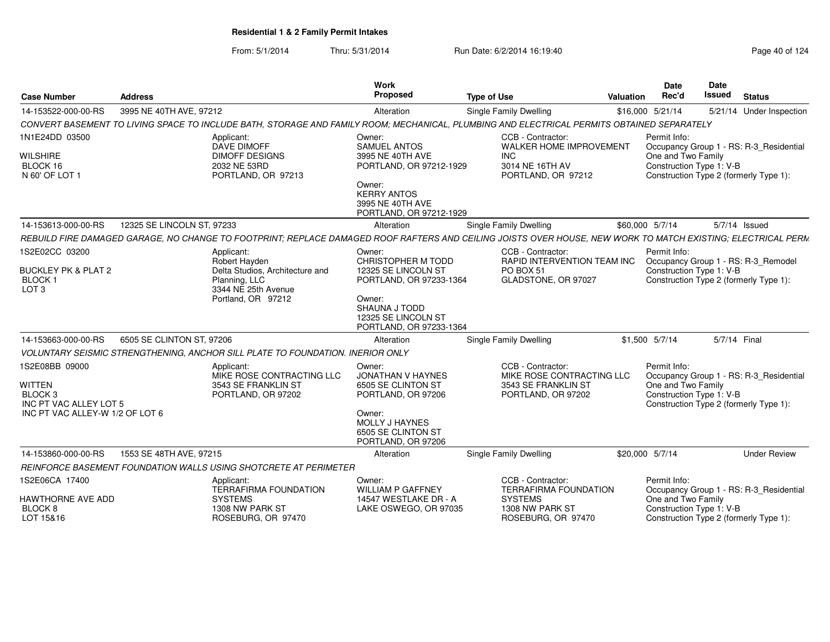| <b>Case Number</b>                                                                                                 | <b>Address</b>                                                                                        | Work<br>Proposed                                                                                                                                                                               | <b>Type of Use</b>                                                           | Date<br>Rec'd<br>Valuation                   | <b>Date</b><br>Issued<br><b>Status</b>                                                                                              |
|--------------------------------------------------------------------------------------------------------------------|-------------------------------------------------------------------------------------------------------|------------------------------------------------------------------------------------------------------------------------------------------------------------------------------------------------|------------------------------------------------------------------------------|----------------------------------------------|-------------------------------------------------------------------------------------------------------------------------------------|
| 14-153522-000-00-RS                                                                                                | 3995 NE 40TH AVE, 97212                                                                               | Alteration                                                                                                                                                                                     | Single Family Dwelling                                                       | \$16,000 5/21/14                             | 5/21/14 Under Inspection                                                                                                            |
|                                                                                                                    |                                                                                                       | CONVERT BASEMENT TO LIVING SPACE TO INCLUDE BATH, STORAGE AND FAMILY ROOM; MECHANICAL, PLUMBING AND ELECTRICAL PERMITS OBTAINED SEPARATELY                                                     |                                                                              |                                              |                                                                                                                                     |
| 1N1E24DD 03500<br><b>WILSHIRE</b><br>BLOCK 16<br>N 60' OF LOT 1                                                    | Applicant:<br><b>DAVE DIMOFF</b><br><b>DIMOFF DESIGNS</b><br>2032 NE 53RD<br>PORTLAND, OR 97213       | Owner:<br>SAMUEL ANTOS<br>3995 NE 40TH AVE<br>PORTLAND, OR 97212-1929<br>Owner:<br><b>KERRY ANTOS</b><br>3995 NE 40TH AVE<br>PORTLAND, OR 97212-1929                                           | CCB - Contractor:<br><b>INC</b><br>3014 NE 16TH AV<br>PORTLAND, OR 97212     | Permit Info:<br>WALKER HOME IMPROVEMENT      | Occupancy Group 1 - RS: R-3_Residential<br>One and Two Family<br>Construction Type 1: V-B<br>Construction Type 2 (formerly Type 1): |
| 14-153613-000-00-RS                                                                                                | 12325 SE LINCOLN ST, 97233                                                                            | Alteration                                                                                                                                                                                     | Single Family Dwelling                                                       | \$60,000 5/7/14                              | 5/7/14 Issued                                                                                                                       |
|                                                                                                                    |                                                                                                       | REBUILD FIRE DAMAGED GARAGE, NO CHANGE TO FOOTPRINT; REPLACE DAMAGED ROOF RAFTERS AND CEILING JOISTS OVER HOUSE, NEW WORK TO MATCH EXISTING; ELECTRICAL PERM                                   |                                                                              |                                              |                                                                                                                                     |
| 1S2E02CC 03200<br><b>BUCKLEY PK &amp; PLAT 2</b><br><b>BLOCK1</b><br>LOT <sub>3</sub>                              | Applicant:<br>Robert Hayden<br>Planning, LLC<br>3344 NE 25th Avenue<br>Portland, OR 97212             | Owner:<br>CHRISTOPHER M TODD<br>Delta Studios, Architecture and<br>12325 SE LINCOLN ST<br>PORTLAND, OR 97233-1364<br>Owner:<br>SHAUNA J TODD<br>12325 SE LINCOLN ST<br>PORTLAND, OR 97233-1364 | CCB - Contractor:<br>PO BOX 51<br>GLADSTONE, OR 97027                        | Permit Info:<br>RAPID INTERVENTION TEAM INC  | Occupancy Group 1 - RS: R-3_Remodel<br>Construction Type 1: V-B<br>Construction Type 2 (formerly Type 1):                           |
| 14-153663-000-00-RS                                                                                                | 6505 SE CLINTON ST, 97206                                                                             | Alteration                                                                                                                                                                                     | <b>Single Family Dwelling</b>                                                | $$1,500$ $5/7/14$                            | 5/7/14 Final                                                                                                                        |
|                                                                                                                    | VOLUNTARY SEISMIC STRENGTHENING, ANCHOR SILL PLATE TO FOUNDATION. INERIOR ONLY                        |                                                                                                                                                                                                |                                                                              |                                              |                                                                                                                                     |
| 1S2E08BB 09000<br><b>WITTEN</b><br>BLOCK <sub>3</sub><br>INC PT VAC ALLEY LOT 5<br>INC PT VAC ALLEY-W 1/2 OF LOT 6 | Applicant:<br>3543 SE FRANKLIN ST<br>PORTLAND, OR 97202                                               | Owner:<br>MIKE ROSE CONTRACTING LLC<br>JONATHAN V HAYNES<br>6505 SE CLINTON ST<br>PORTLAND, OR 97206<br>Owner:<br>MOLLY J HAYNES<br>6505 SE CLINTON ST<br>PORTLAND, OR 97206                   | CCB - Contractor:<br>3543 SE FRANKLIN ST<br>PORTLAND, OR 97202               | Permit Info:<br>MIKE ROSE CONTRACTING LLC    | Occupancy Group 1 - RS: R-3_Residential<br>One and Two Family<br>Construction Type 1: V-B<br>Construction Type 2 (formerly Type 1): |
| 14-153860-000-00-RS                                                                                                | 1553 SE 48TH AVE, 97215                                                                               | Alteration                                                                                                                                                                                     | Single Family Dwelling                                                       | \$20,000 5/7/14                              | <b>Under Review</b>                                                                                                                 |
|                                                                                                                    | REINFORCE BASEMENT FOUNDATION WALLS USING SHOTCRETE AT PERIMETER                                      |                                                                                                                                                                                                |                                                                              |                                              |                                                                                                                                     |
| 1S2E06CA 17400<br>HAWTHORNE AVE ADD<br>BLOCK 8<br>LOT 15&16                                                        | Applicant:<br><b>TERRAFIRMA FOUNDATION</b><br><b>SYSTEMS</b><br>1308 NW PARK ST<br>ROSEBURG, OR 97470 | Owner:<br><b>WILLIAM P GAFFNEY</b><br>14547 WESTLAKE DR - A<br>LAKE OSWEGO, OR 97035                                                                                                           | CCB - Contractor:<br><b>SYSTEMS</b><br>1308 NW PARK ST<br>ROSEBURG, OR 97470 | Permit Info:<br><b>TERRAFIRMA FOUNDATION</b> | Occupancy Group 1 - RS: R-3_Residential<br>One and Two Family<br>Construction Type 1: V-B<br>Construction Type 2 (formerly Type 1): |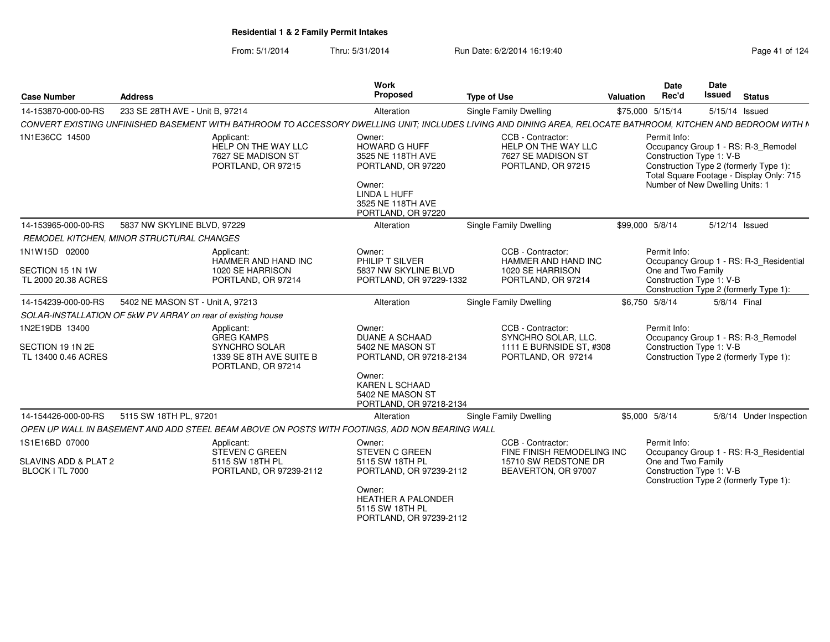| <b>Case Number</b>                                        | <b>Address</b>                                                                                                                                                | Work<br>Proposed                                                                                                                        | <b>Type of Use</b>                                                                         | Date<br>Rec'd<br>Valuation | <b>Date</b><br><b>Issued</b><br><b>Status</b>                                                                                                                                            |
|-----------------------------------------------------------|---------------------------------------------------------------------------------------------------------------------------------------------------------------|-----------------------------------------------------------------------------------------------------------------------------------------|--------------------------------------------------------------------------------------------|----------------------------|------------------------------------------------------------------------------------------------------------------------------------------------------------------------------------------|
| 14-153870-000-00-RS                                       | 233 SE 28TH AVE - Unit B, 97214                                                                                                                               | Alteration                                                                                                                              | Single Family Dwelling                                                                     | \$75,000 5/15/14           | 5/15/14 Issued                                                                                                                                                                           |
|                                                           | CONVERT EXISTING UNFINISHED BASEMENT WITH BATHROOM TO ACCESSORY DWELLING UNIT; INCLUDES LIVING AND DINING AREA, RELOCATE BATHROOM, KITCHEN AND BEDROOM WITH N |                                                                                                                                         |                                                                                            |                            |                                                                                                                                                                                          |
| 1N1E36CC 14500                                            | Applicant:<br>HELP ON THE WAY LLC<br>7627 SE MADISON ST<br>PORTLAND, OR 97215                                                                                 | Owner:<br>HOWARD G HUFF<br>3525 NE 118TH AVE<br>PORTLAND, OR 97220<br>Owner:<br>LINDA L HUFF<br>3525 NE 118TH AVE<br>PORTLAND, OR 97220 | CCB - Contractor:<br>HELP ON THE WAY LLC<br>7627 SE MADISON ST<br>PORTLAND, OR 97215       | Permit Info:               | Occupancy Group 1 - RS: R-3 Remodel<br>Construction Type 1: V-B<br>Construction Type 2 (formerly Type 1):<br>Total Square Footage - Display Only: 715<br>Number of New Dwelling Units: 1 |
| 14-153965-000-00-RS                                       | 5837 NW SKYLINE BLVD, 97229                                                                                                                                   | Alteration                                                                                                                              | <b>Single Family Dwelling</b>                                                              | \$99,000 5/8/14            | 5/12/14 Issued                                                                                                                                                                           |
|                                                           | <b>REMODEL KITCHEN, MINOR STRUCTURAL CHANGES</b>                                                                                                              |                                                                                                                                         |                                                                                            |                            |                                                                                                                                                                                          |
| 1N1W15D 02000                                             | Applicant:<br>HAMMER AND HAND INC                                                                                                                             | Owner:<br>PHILIP T SILVER                                                                                                               | CCB - Contractor:<br><b>HAMMER AND HAND INC</b>                                            | Permit Info:               | Occupancy Group 1 - RS: R-3_Residential                                                                                                                                                  |
| SECTION 15 1N 1W<br>TL 2000 20.38 ACRES                   | 1020 SE HARRISON<br>PORTLAND, OR 97214                                                                                                                        | 5837 NW SKYLINE BLVD<br>PORTLAND, OR 97229-1332                                                                                         | 1020 SE HARRISON<br>PORTLAND, OR 97214                                                     | One and Two Family         | Construction Type 1: V-B<br>Construction Type 2 (formerly Type 1):                                                                                                                       |
| 14-154239-000-00-RS                                       | 5402 NE MASON ST - Unit A. 97213                                                                                                                              | Alteration                                                                                                                              | Single Family Dwelling                                                                     | \$6.750 5/8/14             | 5/8/14 Final                                                                                                                                                                             |
|                                                           | SOLAR-INSTALLATION OF 5kW PV ARRAY on rear of existing house                                                                                                  |                                                                                                                                         |                                                                                            |                            |                                                                                                                                                                                          |
| 1N2E19DB 13400<br>SECTION 19 1N 2E<br>TL 13400 0.46 ACRES | Applicant:<br><b>GREG KAMPS</b><br>SYNCHRO SOLAR<br>1339 SE 8TH AVE SUITE B<br>PORTLAND, OR 97214                                                             | Owner:<br><b>DUANE A SCHAAD</b><br>5402 NE MASON ST<br>PORTLAND, OR 97218-2134                                                          | CCB - Contractor:<br>SYNCHRO SOLAR, LLC.<br>1111 E BURNSIDE ST. #308<br>PORTLAND, OR 97214 | Permit Info:               | Occupancy Group 1 - RS: R-3_Remodel<br>Construction Type 1: V-B<br>Construction Type 2 (formerly Type 1):                                                                                |
|                                                           |                                                                                                                                                               | Owner:<br><b>KAREN L SCHAAD</b><br>5402 NE MASON ST<br>PORTLAND, OR 97218-2134                                                          |                                                                                            |                            |                                                                                                                                                                                          |
| 14-154426-000-00-RS                                       | 5115 SW 18TH PL, 97201                                                                                                                                        | Alteration                                                                                                                              | Single Family Dwelling                                                                     | \$5,000 5/8/14             | 5/8/14 Under Inspection                                                                                                                                                                  |
|                                                           | OPEN UP WALL IN BASEMENT AND ADD STEEL BEAM ABOVE ON POSTS WITH FOOTINGS, ADD NON BEARING WALL                                                                |                                                                                                                                         |                                                                                            |                            |                                                                                                                                                                                          |
| 1S1E16BD 07000                                            | Applicant:<br><b>STEVEN C GREEN</b>                                                                                                                           | Owner:<br><b>STEVEN C GREEN</b>                                                                                                         | CCB - Contractor:<br>FINE FINISH REMODELING INC                                            | Permit Info:               | Occupancy Group 1 - RS: R-3 Residential                                                                                                                                                  |
| SLAVINS ADD & PLAT 2<br>BLOCK I TL 7000                   | 5115 SW 18TH PL<br>PORTLAND, OR 97239-2112                                                                                                                    | 5115 SW 18TH PL<br>PORTLAND, OR 97239-2112                                                                                              | 15710 SW REDSTONE DR<br>BEAVERTON, OR 97007                                                | One and Two Family         | Construction Type 1: V-B<br>Construction Type 2 (formerly Type 1):                                                                                                                       |
|                                                           |                                                                                                                                                               | Owner:<br>HEATHER A PALONDER<br>5115 SW 18TH PL<br>PORTLAND, OR 97239-2112                                                              |                                                                                            |                            |                                                                                                                                                                                          |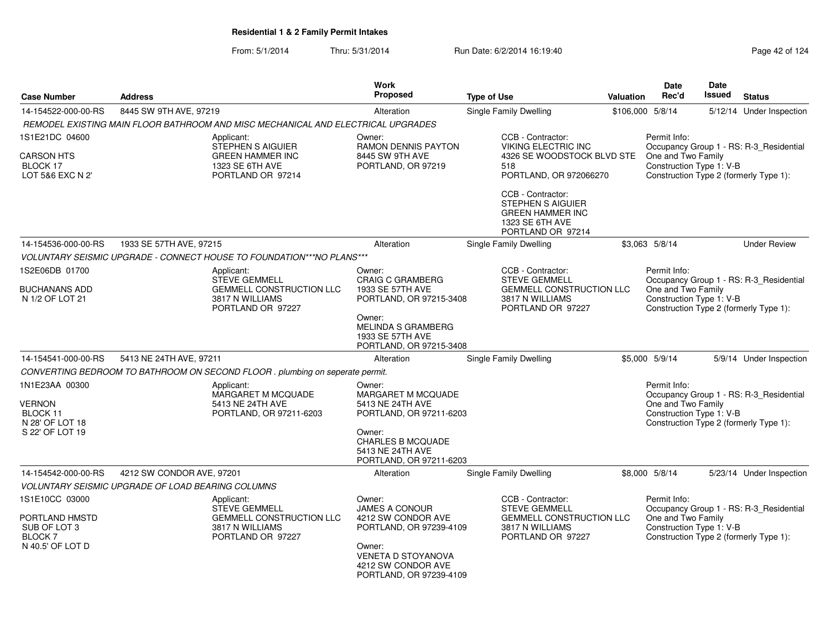| <b>Case Number</b>                                                  | <b>Address</b>                                                                   | Work<br>Proposed                                                                   | <b>Type of Use</b>                                                                                        | <b>Valuation</b> | Date<br>Rec'd                                  | <b>Date</b><br><b>Issued</b> | <b>Status</b>                           |
|---------------------------------------------------------------------|----------------------------------------------------------------------------------|------------------------------------------------------------------------------------|-----------------------------------------------------------------------------------------------------------|------------------|------------------------------------------------|------------------------------|-----------------------------------------|
| 14-154522-000-00-RS                                                 | 8445 SW 9TH AVE, 97219                                                           | Alteration                                                                         | Single Family Dwelling                                                                                    | \$106,000 5/8/14 |                                                |                              | 5/12/14 Under Inspection                |
|                                                                     | REMODEL EXISTING MAIN FLOOR BATHROOM AND MISC MECHANICAL AND ELECTRICAL UPGRADES |                                                                                    |                                                                                                           |                  |                                                |                              |                                         |
| 1S1E21DC 04600                                                      | Applicant:<br>STEPHEN S AIGUIER                                                  | Owner:<br>RAMON DENNIS PAYTON                                                      | CCB - Contractor:<br><b>VIKING ELECTRIC INC</b>                                                           |                  | Permit Info:                                   |                              | Occupancy Group 1 - RS: R-3_Residential |
| <b>CARSON HTS</b><br>BLOCK 17<br>LOT 5&6 EXC N 2'                   | <b>GREEN HAMMER INC</b><br>1323 SE 6TH AVE<br>PORTLAND OR 97214                  | 8445 SW 9TH AVE<br>PORTLAND, OR 97219                                              | 4326 SE WOODSTOCK BLVD STE<br>518<br>PORTLAND, OR 972066270                                               |                  | One and Two Family<br>Construction Type 1: V-B |                              | Construction Type 2 (formerly Type 1):  |
|                                                                     |                                                                                  |                                                                                    | CCB - Contractor:<br>STEPHEN S AIGUIER<br><b>GREEN HAMMER INC</b><br>1323 SE 6TH AVE<br>PORTLAND OR 97214 |                  |                                                |                              |                                         |
| 14-154536-000-00-RS                                                 | 1933 SE 57TH AVE, 97215                                                          | Alteration                                                                         | Single Family Dwelling                                                                                    |                  | \$3.063 5/8/14                                 |                              | <b>Under Review</b>                     |
|                                                                     | VOLUNTARY SEISMIC UPGRADE - CONNECT HOUSE TO FOUNDATION***NO PLANS***            |                                                                                    |                                                                                                           |                  |                                                |                              |                                         |
| 1S2E06DB 01700<br><b>BUCHANANS ADD</b>                              | Applicant:<br><b>STEVE GEMMELL</b><br><b>GEMMELL CONSTRUCTION LLC</b>            | Owner:<br><b>CRAIG C GRAMBERG</b><br>1933 SE 57TH AVE                              | CCB - Contractor:<br><b>STEVE GEMMELL</b><br><b>GEMMELL CONSTRUCTION LLC</b>                              |                  | Permit Info:<br>One and Two Family             |                              | Occupancy Group 1 - RS: R-3_Residential |
| N 1/2 OF LOT 21                                                     | 3817 N WILLIAMS<br>PORTLAND OR 97227                                             | PORTLAND, OR 97215-3408                                                            | 3817 N WILLIAMS<br>PORTLAND OR 97227                                                                      |                  | Construction Type 1: V-B                       |                              | Construction Type 2 (formerly Type 1):  |
|                                                                     |                                                                                  | Owner:<br><b>MELINDA S GRAMBERG</b><br>1933 SE 57TH AVE<br>PORTLAND, OR 97215-3408 |                                                                                                           |                  |                                                |                              |                                         |
| 14-154541-000-00-RS                                                 | 5413 NE 24TH AVE, 97211                                                          | Alteration                                                                         | Single Family Dwelling                                                                                    |                  | \$5,000 5/9/14                                 |                              | 5/9/14 Under Inspection                 |
|                                                                     | CONVERTING BEDROOM TO BATHROOM ON SECOND FLOOR . plumbing on seperate permit.    |                                                                                    |                                                                                                           |                  |                                                |                              |                                         |
| 1N1E23AA 00300                                                      | Applicant:<br><b>MARGARET M MCQUADE</b>                                          | Owner:<br><b>MARGARET M MCQUADE</b>                                                |                                                                                                           |                  | Permit Info:                                   |                              | Occupancy Group 1 - RS: R-3_Residential |
| <b>VERNON</b><br>BLOCK 11<br>N 28' OF LOT 18                        | 5413 NE 24TH AVE<br>PORTLAND, OR 97211-6203                                      | 5413 NE 24TH AVE<br>PORTLAND, OR 97211-6203                                        |                                                                                                           |                  | One and Two Family<br>Construction Type 1: V-B |                              | Construction Type 2 (formerly Type 1):  |
| S 22' OF LOT 19                                                     |                                                                                  | Owner:<br><b>CHARLES B MCQUADE</b><br>5413 NE 24TH AVE<br>PORTLAND, OR 97211-6203  |                                                                                                           |                  |                                                |                              |                                         |
| 14-154542-000-00-RS                                                 | 4212 SW CONDOR AVE, 97201                                                        | Alteration                                                                         | Single Family Dwelling                                                                                    |                  | \$8,000 5/8/14                                 |                              | 5/23/14 Under Inspection                |
|                                                                     | <b>VOLUNTARY SEISMIC UPGRADE OF LOAD BEARING COLUMNS</b>                         |                                                                                    |                                                                                                           |                  |                                                |                              |                                         |
| 1S1E10CC 03000                                                      | Applicant:<br><b>STEVE GEMMELL</b>                                               | Owner:<br><b>JAMES A CONOUR</b>                                                    | CCB - Contractor:<br><b>STEVE GEMMELL</b>                                                                 |                  | Permit Info:                                   |                              | Occupancy Group 1 - RS: R-3_Residential |
| PORTLAND HMSTD<br>SUB OF LOT 3<br><b>BLOCK7</b><br>N 40.5' OF LOT D | <b>GEMMELL CONSTRUCTION LLC</b><br>3817 N WILLIAMS<br>PORTLAND OR 97227          | 4212 SW CONDOR AVE<br>PORTLAND, OR 97239-4109<br>Owner:                            | <b>GEMMELL CONSTRUCTION LLC</b><br>3817 N WILLIAMS<br>PORTLAND OR 97227                                   |                  | One and Two Family<br>Construction Type 1: V-B |                              | Construction Type 2 (formerly Type 1):  |
|                                                                     |                                                                                  | <b>VENETA D STOYANOVA</b><br>4212 SW CONDOR AVE<br>PORTLAND, OR 97239-4109         |                                                                                                           |                  |                                                |                              |                                         |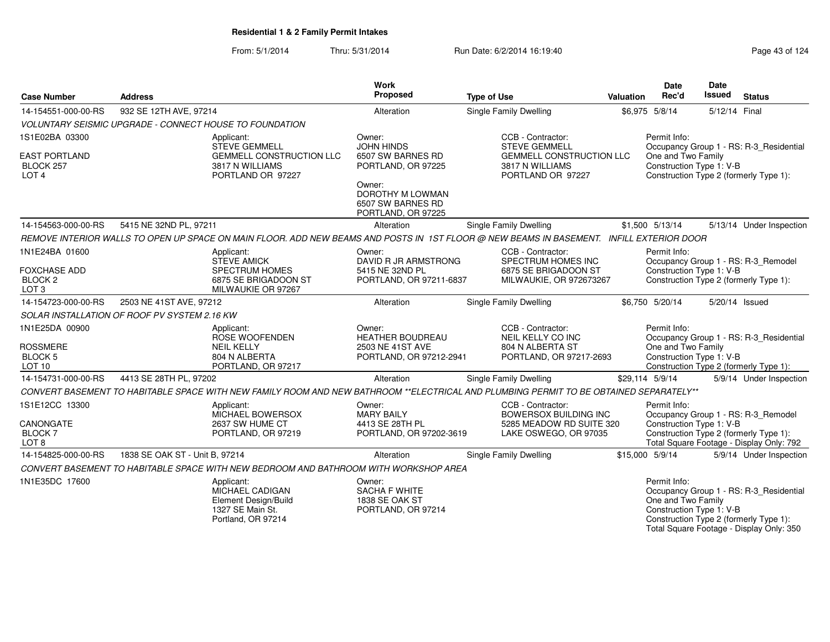| <b>Case Number</b>                                            | <b>Address</b>                                                                                                                           | <b>Work</b><br>Proposed                                               | <b>Type of Use</b>                                                            | <b>Valuation</b> | <b>Date</b><br>Rec'd                                           | <b>Date</b><br>Issued | <b>Status</b>                                                                                                                 |
|---------------------------------------------------------------|------------------------------------------------------------------------------------------------------------------------------------------|-----------------------------------------------------------------------|-------------------------------------------------------------------------------|------------------|----------------------------------------------------------------|-----------------------|-------------------------------------------------------------------------------------------------------------------------------|
| 14-154551-000-00-RS                                           | 932 SE 12TH AVE, 97214                                                                                                                   | Alteration                                                            | Single Family Dwelling                                                        |                  | \$6,975 5/8/14                                                 | 5/12/14 Final         |                                                                                                                               |
|                                                               | VOLUNTARY SEISMIC UPGRADE - CONNECT HOUSE TO FOUNDATION                                                                                  |                                                                       |                                                                               |                  |                                                                |                       |                                                                                                                               |
| 1S1E02BA 03300                                                | Applicant:<br><b>STEVE GEMMELL</b>                                                                                                       | Owner:<br><b>JOHN HINDS</b>                                           | CCB - Contractor:<br><b>STEVE GEMMELL</b>                                     |                  | Permit Info:                                                   |                       | Occupancy Group 1 - RS: R-3_Residential                                                                                       |
| <b>EAST PORTLAND</b><br>BLOCK 257<br>LOT <sub>4</sub>         | <b>GEMMELL CONSTRUCTION LLC</b><br>3817 N WILLIAMS<br>PORTLAND OR 97227                                                                  | 6507 SW BARNES RD<br>PORTLAND, OR 97225                               | <b>GEMMELL CONSTRUCTION LLC</b><br>3817 N WILLIAMS<br>PORTLAND OR 97227       |                  | One and Two Family<br>Construction Type 1: V-B                 |                       | Construction Type 2 (formerly Type 1):                                                                                        |
|                                                               |                                                                                                                                          | Owner:<br>DOROTHY M LOWMAN<br>6507 SW BARNES RD<br>PORTLAND, OR 97225 |                                                                               |                  |                                                                |                       |                                                                                                                               |
| 14-154563-000-00-RS                                           | 5415 NE 32ND PL, 97211                                                                                                                   | Alteration                                                            | <b>Single Family Dwelling</b>                                                 |                  | \$1,500 5/13/14                                                |                       | 5/13/14 Under Inspection                                                                                                      |
|                                                               | REMOVE INTERIOR WALLS TO OPEN UP SPACE ON MAIN FLOOR. ADD NEW BEAMS AND POSTS IN 1ST FLOOR @ NEW BEAMS IN BASEMENT. INFILL EXTERIOR DOOR |                                                                       |                                                                               |                  |                                                                |                       |                                                                                                                               |
| 1N1E24BA 01600                                                | Applicant:<br><b>STEVE AMICK</b>                                                                                                         | Owner:<br>DAVID R JR ARMSTRONG                                        | CCB - Contractor:<br>SPECTRUM HOMES INC                                       |                  | Permit Info:                                                   |                       | Occupancy Group 1 - RS: R-3_Remodel                                                                                           |
| <b>FOXCHASE ADD</b><br>BLOCK <sub>2</sub><br>LOT <sub>3</sub> | <b>SPECTRUM HOMES</b><br>6875 SE BRIGADOON ST<br>MILWAUKIE OR 97267                                                                      | 5415 NE 32ND PL<br>PORTLAND, OR 97211-6837                            | 6875 SE BRIGADOON ST<br>MILWAUKIE, OR 972673267                               |                  | Construction Type 1: V-B                                       |                       | Construction Type 2 (formerly Type 1):                                                                                        |
| 14-154723-000-00-RS                                           | 2503 NE 41ST AVE, 97212                                                                                                                  | Alteration                                                            | Single Family Dwelling                                                        |                  | \$6,750 5/20/14                                                |                       | 5/20/14 Issued                                                                                                                |
|                                                               | SOLAR INSTALLATION OF ROOF PV SYSTEM 2.16 KW                                                                                             |                                                                       |                                                                               |                  |                                                                |                       |                                                                                                                               |
| 1N1E25DA 00900                                                | Applicant:<br>ROSE WOOFENDEN                                                                                                             | Owner:<br><b>HEATHER BOUDREAU</b>                                     | CCB - Contractor:<br>NEIL KELLY CO INC                                        |                  | Permit Info:                                                   |                       | Occupancy Group 1 - RS: R-3 Residential                                                                                       |
| <b>ROSSMERE</b><br><b>BLOCK 5</b><br>LOT <sub>10</sub>        | <b>NEIL KELLY</b><br>804 N ALBERTA<br>PORTLAND, OR 97217                                                                                 | 2503 NE 41ST AVE<br>PORTLAND, OR 97212-2941                           | 804 N ALBERTA ST<br>PORTLAND, OR 97217-2693                                   |                  | One and Two Family<br>Construction Type 1: V-B                 |                       | Construction Type 2 (formerly Type 1):                                                                                        |
| 14-154731-000-00-RS                                           | 4413 SE 28TH PL, 97202                                                                                                                   | Alteration                                                            | <b>Single Family Dwelling</b>                                                 |                  | \$29,114 5/9/14                                                |                       | 5/9/14 Under Inspection                                                                                                       |
|                                                               | CONVERT BASEMENT TO HABITABLE SPACE WITH NEW FAMILY ROOM AND NEW BATHROOM **ELECTRICAL AND PLUMBING PERMIT TO BE OBTAINED SEPARATELY**   |                                                                       |                                                                               |                  |                                                                |                       |                                                                                                                               |
| 1S1E12CC 13300<br>CANONGATE                                   | Applicant:<br>MICHAEL BOWERSOX<br>2637 SW HUME CT                                                                                        | Owner:<br><b>MARY BAILY</b><br>4413 SE 28TH PL                        | CCB - Contractor:<br><b>BOWERSOX BUILDING INC</b><br>5285 MEADOW RD SUITE 320 |                  | Permit Info:<br>Construction Type 1: V-B                       |                       | Occupancy Group 1 - RS: R-3_Remodel                                                                                           |
| <b>BLOCK7</b><br>LOT <sub>8</sub>                             | PORTLAND, OR 97219                                                                                                                       | PORTLAND, OR 97202-3619                                               | LAKE OSWEGO, OR 97035                                                         |                  |                                                                |                       | Construction Type 2 (formerly Type 1):<br>Total Square Footage - Display Only: 792                                            |
| 14-154825-000-00-RS                                           | 1838 SE OAK ST - Unit B, 97214                                                                                                           | Alteration                                                            | Single Family Dwelling                                                        |                  | \$15,000 5/9/14                                                |                       | 5/9/14 Under Inspection                                                                                                       |
|                                                               | CONVERT BASEMENT TO HABITABLE SPACE WITH NEW BEDROOM AND BATHROOM WITH WORKSHOP AREA                                                     |                                                                       |                                                                               |                  |                                                                |                       |                                                                                                                               |
| 1N1E35DC 17600                                                | Applicant:<br>MICHAEL CADIGAN<br>Element Design/Build<br>1327 SE Main St.<br>Portland, OR 97214                                          | Owner:<br>SACHA F WHITE<br>1838 SE OAK ST<br>PORTLAND, OR 97214       |                                                                               |                  | Permit Info:<br>One and Two Family<br>Construction Type 1: V-B |                       | Occupancy Group 1 - RS: R-3_Residential<br>Construction Type 2 (formerly Type 1):<br>Total Square Footage - Display Only: 350 |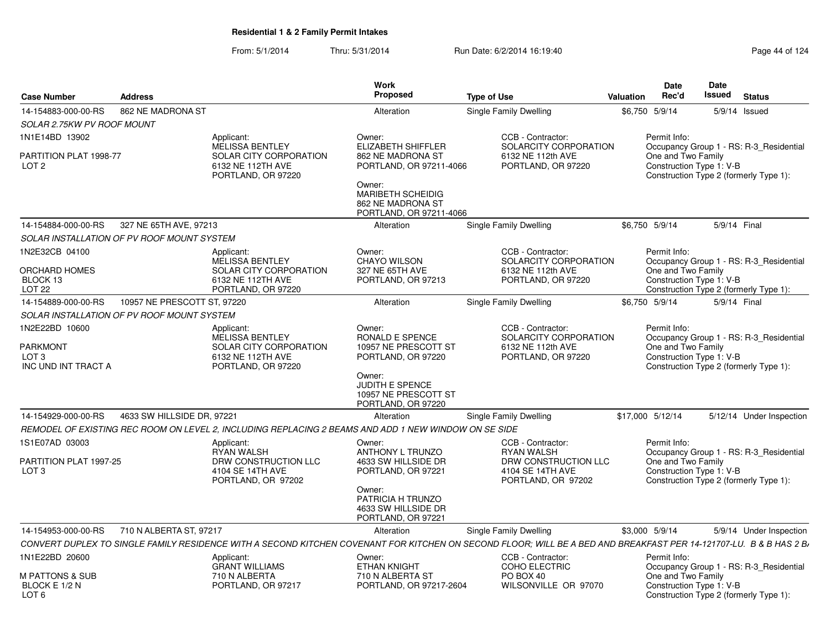| <b>Case Number</b>                                           | <b>Address</b>                             |                                                                                                      | <b>Work</b><br>Proposed                                                        | <b>Type of Use</b>                                                                                                                                                 | Valuation | Date<br>Rec'd                      | Date<br>Issued<br><b>Status</b>                                                                               |
|--------------------------------------------------------------|--------------------------------------------|------------------------------------------------------------------------------------------------------|--------------------------------------------------------------------------------|--------------------------------------------------------------------------------------------------------------------------------------------------------------------|-----------|------------------------------------|---------------------------------------------------------------------------------------------------------------|
| 14-154883-000-00-RS                                          | 862 NE MADRONA ST                          |                                                                                                      | Alteration                                                                     | Single Family Dwelling                                                                                                                                             |           | \$6,750 5/9/14                     | 5/9/14 Issued                                                                                                 |
| SOLAR 2.75KW PV ROOF MOUNT                                   |                                            |                                                                                                      |                                                                                |                                                                                                                                                                    |           |                                    |                                                                                                               |
| 1N1E14BD 13902<br>PARTITION PLAT 1998-77<br>LOT <sub>2</sub> |                                            | Applicant:<br>MELISSA BENTLEY<br>SOLAR CITY CORPORATION<br>6132 NE 112TH AVE                         | Owner:<br>ELIZABETH SHIFFLER<br>862 NE MADRONA ST<br>PORTLAND, OR 97211-4066   | CCB - Contractor:<br>SOLARCITY CORPORATION<br>6132 NE 112th AVE<br>PORTLAND, OR 97220                                                                              |           | Permit Info:<br>One and Two Family | Occupancy Group 1 - RS: R-3_Residential<br>Construction Type 1: V-B                                           |
|                                                              |                                            | PORTLAND, OR 97220                                                                                   | Owner:<br>MARIBETH SCHEIDIG<br>862 NE MADRONA ST<br>PORTLAND, OR 97211-4066    |                                                                                                                                                                    |           |                                    | Construction Type 2 (formerly Type 1):                                                                        |
| 14-154884-000-00-RS                                          | 327 NE 65TH AVE, 97213                     |                                                                                                      | Alteration                                                                     | Single Family Dwelling                                                                                                                                             |           | \$6,750 5/9/14                     | 5/9/14 Final                                                                                                  |
|                                                              | SOLAR INSTALLATION OF PV ROOF MOUNT SYSTEM |                                                                                                      |                                                                                |                                                                                                                                                                    |           |                                    |                                                                                                               |
| 1N2E32CB 04100                                               |                                            | Applicant:                                                                                           | Owner:                                                                         | CCB - Contractor:                                                                                                                                                  |           | Permit Info:                       |                                                                                                               |
| ORCHARD HOMES<br>BLOCK 13<br><b>LOT 22</b>                   |                                            | MELISSA BENTLEY<br>SOLAR CITY CORPORATION<br>6132 NE 112TH AVE<br>PORTLAND, OR 97220                 | <b>CHAYO WILSON</b><br>327 NE 65TH AVE<br>PORTLAND, OR 97213                   | SOLARCITY CORPORATION<br>6132 NE 112th AVE<br>PORTLAND, OR 97220                                                                                                   |           | One and Two Family                 | Occupancy Group 1 - RS: R-3 Residential<br>Construction Type 1: V-B<br>Construction Type 2 (formerly Type 1): |
| 14-154889-000-00-RS                                          | 10957 NE PRESCOTT ST, 97220                |                                                                                                      | Alteration                                                                     | Single Family Dwelling                                                                                                                                             |           | \$6,750 5/9/14                     | 5/9/14 Final                                                                                                  |
|                                                              | SOLAR INSTALLATION OF PV ROOF MOUNT SYSTEM |                                                                                                      |                                                                                |                                                                                                                                                                    |           |                                    |                                                                                                               |
| 1N2E22BD 10600                                               |                                            | Applicant:                                                                                           | Owner:                                                                         | CCB - Contractor:                                                                                                                                                  |           | Permit Info:                       |                                                                                                               |
| <b>PARKMONT</b><br>LOT <sub>3</sub><br>INC UND INT TRACT A   |                                            | MELISSA BENTLEY<br>SOLAR CITY CORPORATION<br>6132 NE 112TH AVE<br>PORTLAND, OR 97220                 | RONALD E SPENCE<br>10957 NE PRESCOTT ST<br>PORTLAND, OR 97220                  | SOLARCITY CORPORATION<br>6132 NE 112th AVE<br>PORTLAND, OR 97220                                                                                                   |           | One and Two Family                 | Occupancy Group 1 - RS: R-3_Residential<br>Construction Type 1: V-B<br>Construction Type 2 (formerly Type 1): |
|                                                              |                                            |                                                                                                      | Owner:<br><b>JUDITH E SPENCE</b><br>10957 NE PRESCOTT ST<br>PORTLAND, OR 97220 |                                                                                                                                                                    |           |                                    |                                                                                                               |
| 14-154929-000-00-RS                                          | 4633 SW HILLSIDE DR. 97221                 |                                                                                                      | Alteration                                                                     | Single Family Dwelling                                                                                                                                             |           | \$17,000 5/12/14                   | 5/12/14 Under Inspection                                                                                      |
|                                                              |                                            | REMODEL OF EXISTING REC ROOM ON LEVEL 2, INCLUDING REPLACING 2 BEAMS AND ADD 1 NEW WINDOW ON SE SIDE |                                                                                |                                                                                                                                                                    |           |                                    |                                                                                                               |
| 1S1E07AD 03003                                               |                                            | Applicant:                                                                                           | Owner:                                                                         | CCB - Contractor:                                                                                                                                                  |           | Permit Info:                       |                                                                                                               |
| PARTITION PLAT 1997-25<br>LOT <sub>3</sub>                   |                                            | <b>RYAN WALSH</b><br>DRW CONSTRUCTION LLC<br>4104 SE 14TH AVE<br>PORTLAND, OR 97202                  | ANTHONY L TRUNZO<br>4633 SW HILLSIDE DR<br>PORTLAND, OR 97221                  | <b>RYAN WALSH</b><br>DRW CONSTRUCTION LLC<br>4104 SE 14TH AVE<br>PORTLAND, OR 97202                                                                                |           | One and Two Family                 | Occupancy Group 1 - RS: R-3_Residential<br>Construction Type 1: V-B<br>Construction Type 2 (formerly Type 1): |
|                                                              |                                            |                                                                                                      | Owner:<br>PATRICIA H TRUNZO<br>4633 SW HILLSIDE DR<br>PORTLAND, OR 97221       |                                                                                                                                                                    |           |                                    |                                                                                                               |
| 14-154953-000-00-RS                                          | 710 N ALBERTA ST, 97217                    |                                                                                                      | Alteration                                                                     | Single Family Dwelling                                                                                                                                             |           | \$3,000 5/9/14                     | 5/9/14 Under Inspection                                                                                       |
|                                                              |                                            |                                                                                                      |                                                                                | CONVERT DUPLEX TO SINGLE FAMILY RESIDENCE WITH A SECOND KITCHEN COVENANT FOR KITCHEN ON SECOND FLOOR; WILL BE A BED AND BREAKFAST PER 14-121707-LU. B & B HAS 2 B, |           |                                    |                                                                                                               |
| 1N1E22BD 20600                                               |                                            | Applicant:<br><b>GRANT WILLIAMS</b>                                                                  | Owner:<br><b>ETHAN KNIGHT</b>                                                  | CCB - Contractor:<br><b>COHO ELECTRIC</b>                                                                                                                          |           | Permit Info:                       | Occupancy Group 1 - RS: R-3_Residential                                                                       |
| <b>M PATTONS &amp; SUB</b><br>BLOCK E 1/2 N<br>LOT 6         |                                            | 710 N ALBERTA<br>PORTLAND, OR 97217                                                                  | 710 N ALBERTA ST<br>PORTLAND, OR 97217-2604                                    | PO BOX 40<br>WILSONVILLE OR 97070                                                                                                                                  |           | One and Two Family                 | Construction Type 1: V-B<br>Construction Type 2 (formerly Type 1):                                            |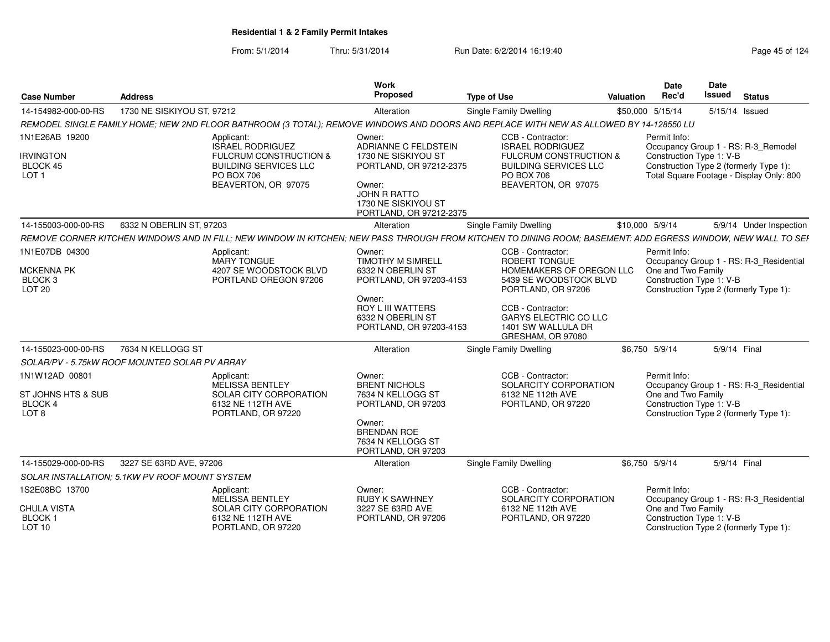| <b>Case Number</b>                                                         | <b>Address</b>             |                                                                                                                                                 | Work<br><b>Proposed</b>                                                                                                                                      | <b>Type of Use</b>                                                                                                                                           | <b>Valuation</b> | <b>Date</b><br>Rec'd               | Date<br>Issued                                                                                                                                        | <b>Status</b>  |                         |
|----------------------------------------------------------------------------|----------------------------|-------------------------------------------------------------------------------------------------------------------------------------------------|--------------------------------------------------------------------------------------------------------------------------------------------------------------|--------------------------------------------------------------------------------------------------------------------------------------------------------------|------------------|------------------------------------|-------------------------------------------------------------------------------------------------------------------------------------------------------|----------------|-------------------------|
| 14-154982-000-00-RS                                                        | 1730 NE SISKIYOU ST, 97212 |                                                                                                                                                 | Alteration                                                                                                                                                   | Single Family Dwelling                                                                                                                                       |                  | \$50,000 5/15/14                   |                                                                                                                                                       | 5/15/14 Issued |                         |
|                                                                            |                            |                                                                                                                                                 |                                                                                                                                                              | REMODEL SINGLE FAMILY HOME; NEW 2ND FLOOR BATHROOM (3 TOTAL); REMOVE WINDOWS AND DOORS AND REPLACE WITH NEW AS ALLOWED BY 14-128550 LU                       |                  |                                    |                                                                                                                                                       |                |                         |
| 1N1E26AB 19200<br><b>IRVINGTON</b><br><b>BLOCK 45</b><br>LOT <sub>1</sub>  |                            | Applicant:<br><b>ISRAEL RODRIGUEZ</b><br><b>FULCRUM CONSTRUCTION &amp;</b><br><b>BUILDING SERVICES LLC</b><br>PO BOX 706<br>BEAVERTON, OR 97075 | Owner:<br>ADRIANNE C FELDSTEIN<br>1730 NE SISKIYOU ST<br>PORTLAND, OR 97212-2375<br>Owner:<br>JOHN R RATTO<br>1730 NE SISKIYOU ST<br>PORTLAND, OR 97212-2375 | CCB - Contractor:<br><b>ISRAEL RODRIGUEZ</b><br><b>FULCRUM CONSTRUCTION &amp;</b><br><b>BUILDING SERVICES LLC</b><br>PO BOX 706<br>BEAVERTON, OR 97075       |                  | Permit Info:                       | Occupancy Group 1 - RS: R-3_Remodel<br>Construction Type 1: V-B<br>Construction Type 2 (formerly Type 1):<br>Total Square Footage - Display Only: 800 |                |                         |
| 14-155003-000-00-RS                                                        | 6332 N OBERLIN ST, 97203   |                                                                                                                                                 | Alteration                                                                                                                                                   | Single Family Dwelling                                                                                                                                       |                  | \$10,000 5/9/14                    |                                                                                                                                                       |                | 5/9/14 Under Inspection |
|                                                                            |                            |                                                                                                                                                 |                                                                                                                                                              | REMOVE CORNER KITCHEN WINDOWS AND IN FILL; NEW WINDOW IN KITCHEN; NEW PASS THROUGH FROM KITCHEN TO DINING ROOM; BASEMENT: ADD EGRESS WINDOW, NEW WALL TO SEH |                  |                                    |                                                                                                                                                       |                |                         |
| 1N1E07DB 04300<br><b>MCKENNA PK</b><br>BLOCK <sub>3</sub><br><b>LOT 20</b> |                            | Applicant:<br><b>MARY TONGUE</b><br>4207 SE WOODSTOCK BLVD<br>PORTLAND OREGON 97206                                                             | Owner:<br><b>TIMOTHY M SIMRELL</b><br>6332 N OBERLIN ST<br>PORTLAND, OR 97203-4153<br>Owner:<br><b>ROY L III WATTERS</b>                                     | CCB - Contractor:<br><b>ROBERT TONGUE</b><br>HOMEMAKERS OF OREGON LLC<br>5439 SE WOODSTOCK BLVD<br>PORTLAND, OR 97206<br>CCB - Contractor:                   |                  | Permit Info:<br>One and Two Family | Occupancy Group 1 - RS: R-3 Residential<br>Construction Type 1: V-B<br>Construction Type 2 (formerly Type 1):                                         |                |                         |
|                                                                            |                            |                                                                                                                                                 | 6332 N OBERLIN ST<br>PORTLAND, OR 97203-4153                                                                                                                 | <b>GARYS ELECTRIC CO LLC</b><br>1401 SW WALLULA DR<br>GRESHAM, OR 97080                                                                                      |                  |                                    |                                                                                                                                                       |                |                         |
| 14-155023-000-00-RS                                                        | 7634 N KELLOGG ST          |                                                                                                                                                 | Alteration                                                                                                                                                   | Single Family Dwelling                                                                                                                                       |                  | \$6,750 5/9/14                     |                                                                                                                                                       | 5/9/14 Final   |                         |
| SOLAR/PV - 5.75kW ROOF MOUNTED SOLAR PV ARRAY                              |                            |                                                                                                                                                 |                                                                                                                                                              |                                                                                                                                                              |                  |                                    |                                                                                                                                                       |                |                         |
| 1N1W12AD 00801<br>ST JOHNS HTS & SUB<br>BLOCK 4<br>LOT <sub>8</sub>        |                            | Applicant:<br><b>MELISSA BENTLEY</b><br>SOLAR CITY CORPORATION<br>6132 NE 112TH AVE<br>PORTLAND, OR 97220                                       | Owner:<br><b>BRENT NICHOLS</b><br>7634 N KELLOGG ST<br>PORTLAND, OR 97203<br>Owner:<br><b>BRENDAN ROE</b><br>7634 N KELLOGG ST<br>PORTLAND, OR 97203         | CCB - Contractor:<br>SOLARCITY CORPORATION<br>6132 NE 112th AVE<br>PORTLAND, OR 97220                                                                        |                  | Permit Info:<br>One and Two Family | Occupancy Group 1 - RS: R-3_Residential<br>Construction Type 1: V-B<br>Construction Type 2 (formerly Type 1):                                         |                |                         |
| 14-155029-000-00-RS                                                        | 3227 SE 63RD AVE, 97206    |                                                                                                                                                 | Alteration                                                                                                                                                   | Single Family Dwelling                                                                                                                                       |                  | \$6,750 5/9/14                     |                                                                                                                                                       | 5/9/14 Final   |                         |
| SOLAR INSTALLATION: 5.1KW PV ROOF MOUNT SYSTEM                             |                            |                                                                                                                                                 |                                                                                                                                                              |                                                                                                                                                              |                  |                                    |                                                                                                                                                       |                |                         |
| 1S2E08BC 13700<br>CHULA VISTA<br>BLOCK <sub>1</sub><br><b>LOT 10</b>       |                            | Applicant:<br>MELISSA BENTLEY<br>SOLAR CITY CORPORATION<br>6132 NE 112TH AVE<br>PORTLAND, OR 97220                                              | Owner:<br><b>RUBY K SAWHNEY</b><br>3227 SE 63RD AVE<br>PORTLAND, OR 97206                                                                                    | CCB - Contractor:<br>SOLARCITY CORPORATION<br>6132 NE 112th AVE<br>PORTLAND, OR 97220                                                                        |                  | Permit Info:<br>One and Two Family | Occupancy Group 1 - RS: R-3 Residential<br>Construction Type 1: V-B<br>Construction Type 2 (formerly Type 1):                                         |                |                         |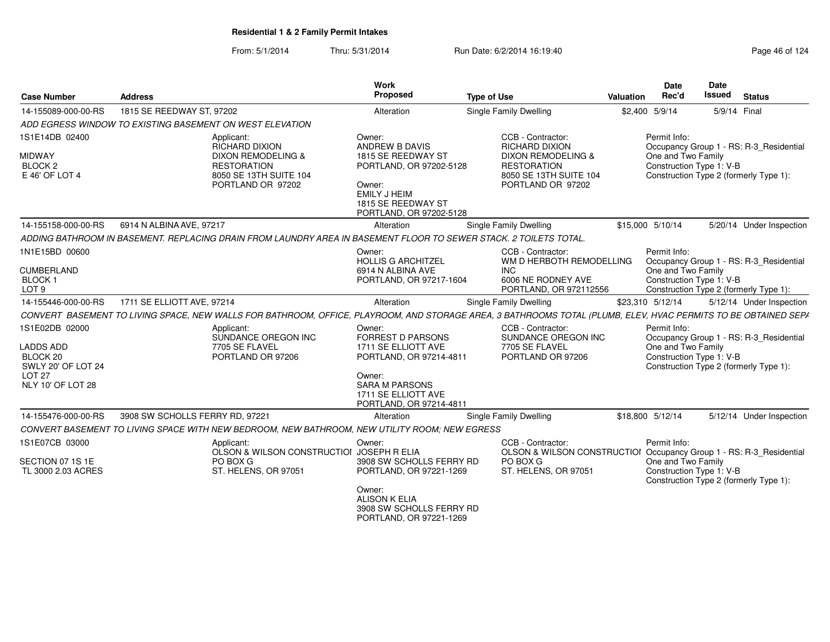| <b>Case Number</b>                                                                                      | <b>Address</b>                                                                                                                                                 | Work<br>Proposed                                                                                                                                                          | <b>Type of Use</b>                                                                                                                               | <b>Valuation</b> | <b>Date</b><br>Rec'd                                           | <b>Date</b><br><b>Issued</b> | <b>Status</b>                                                                     |
|---------------------------------------------------------------------------------------------------------|----------------------------------------------------------------------------------------------------------------------------------------------------------------|---------------------------------------------------------------------------------------------------------------------------------------------------------------------------|--------------------------------------------------------------------------------------------------------------------------------------------------|------------------|----------------------------------------------------------------|------------------------------|-----------------------------------------------------------------------------------|
| 14-155089-000-00-RS                                                                                     | 1815 SE REEDWAY ST, 97202                                                                                                                                      | Alteration                                                                                                                                                                | <b>Single Family Dwelling</b>                                                                                                                    |                  | \$2,400 5/9/14                                                 | 5/9/14 Final                 |                                                                                   |
|                                                                                                         | ADD EGRESS WINDOW TO EXISTING BASEMENT ON WEST ELEVATION                                                                                                       |                                                                                                                                                                           |                                                                                                                                                  |                  |                                                                |                              |                                                                                   |
| 1S1E14DB 02400<br><b>MIDWAY</b><br>BLOCK <sub>2</sub><br>E 46' OF LOT 4                                 | Applicant:<br><b>RICHARD DIXION</b><br><b>DIXON REMODELING &amp;</b><br><b>RESTORATION</b><br>8050 SE 13TH SUITE 104<br>PORTLAND OR 97202                      | Owner:<br>ANDREW B DAVIS<br>1815 SE REEDWAY ST<br>PORTLAND, OR 97202-5128<br>Owner:<br><b>EMILY J HEIM</b><br>1815 SE REEDWAY ST<br>PORTLAND, OR 97202-5128               | CCB - Contractor:<br><b>RICHARD DIXION</b><br><b>DIXON REMODELING &amp;</b><br><b>RESTORATION</b><br>8050 SE 13TH SUITE 104<br>PORTLAND OR 97202 |                  | Permit Info:<br>One and Two Family<br>Construction Type 1: V-B |                              | Occupancy Group 1 - RS: R-3_Residential<br>Construction Type 2 (formerly Type 1): |
| 14-155158-000-00-RS                                                                                     | 6914 N ALBINA AVE, 97217                                                                                                                                       | Alteration                                                                                                                                                                | Single Family Dwelling                                                                                                                           |                  | \$15,000 5/10/14                                               |                              | 5/20/14 Under Inspection                                                          |
|                                                                                                         | ADDING BATHROOM IN BASEMENT. REPLACING DRAIN FROM LAUNDRY AREA IN BASEMENT FLOOR TO SEWER STACK. 2 TOILETS TOTAL.                                              |                                                                                                                                                                           |                                                                                                                                                  |                  |                                                                |                              |                                                                                   |
| 1N1E15BD 00600<br><b>CUMBERLAND</b>                                                                     |                                                                                                                                                                | Owner:<br><b>HOLLIS G ARCHITZEL</b><br>6914 N ALBINA AVE                                                                                                                  | CCB - Contractor:<br>WM D HERBOTH REMODELLING<br><b>INC</b>                                                                                      |                  | Permit Info:<br>One and Two Family                             |                              | Occupancy Group 1 - RS: R-3_Residential                                           |
| <b>BLOCK1</b><br>LOT <sub>9</sub>                                                                       |                                                                                                                                                                | PORTLAND, OR 97217-1604                                                                                                                                                   | 6006 NE RODNEY AVE<br>PORTLAND, OR 972112556                                                                                                     |                  | Construction Type 1: V-B                                       |                              | Construction Type 2 (formerly Type 1):                                            |
| 14-155446-000-00-RS                                                                                     | 1711 SE ELLIOTT AVE, 97214                                                                                                                                     | Alteration                                                                                                                                                                | Single Family Dwelling                                                                                                                           |                  | \$23,310 5/12/14                                               |                              | 5/12/14 Under Inspection                                                          |
|                                                                                                         | CONVERT BASEMENT TO LIVING SPACE, NEW WALLS FOR BATHROOM, OFFICE, PLAYROOM, AND STORAGE AREA, 3 BATHROOMS TOTAL (PLUMB, ELEV, HVAC PERMITS TO BE OBTAINED SEPA |                                                                                                                                                                           |                                                                                                                                                  |                  |                                                                |                              |                                                                                   |
| 1S1E02DB 02000<br>LADDS ADD<br>BLOCK 20<br>SWLY 20' OF LOT 24<br>LOT <sub>27</sub><br>NLY 10' OF LOT 28 | Applicant:<br>SUNDANCE OREGON INC<br>7705 SE FLAVEL<br>PORTLAND OR 97206                                                                                       | Owner:<br><b>FORREST D PARSONS</b><br>1711 SE ELLIOTT AVE<br>PORTLAND, OR 97214-4811<br>Owner:<br><b>SARA M PARSONS</b><br>1711 SE ELLIOTT AVE<br>PORTLAND, OR 97214-4811 | CCB - Contractor:<br>SUNDANCE OREGON INC<br>7705 SE FLAVEL<br>PORTLAND OR 97206                                                                  |                  | Permit Info:<br>One and Two Family<br>Construction Type 1: V-B |                              | Occupancy Group 1 - RS: R-3_Residential<br>Construction Type 2 (formerly Type 1): |
| 14-155476-000-00-RS                                                                                     | 3908 SW SCHOLLS FERRY RD, 97221                                                                                                                                | Alteration                                                                                                                                                                | Single Family Dwelling                                                                                                                           |                  | \$18,800 5/12/14                                               |                              | 5/12/14 Under Inspection                                                          |
|                                                                                                         | CONVERT BASEMENT TO LIVING SPACE WITH NEW BEDROOM, NEW BATHROOM, NEW UTILITY ROOM; NEW EGRESS                                                                  |                                                                                                                                                                           |                                                                                                                                                  |                  |                                                                |                              |                                                                                   |
| 1S1E07CB 03000<br>SECTION 07 1S 1E<br>TL 3000 2.03 ACRES                                                | Applicant:<br>OLSON & WILSON CONSTRUCTIOI JOSEPH R ELIA<br>PO BOX G<br>ST. HELENS, OR 97051                                                                    | Owner:<br>3908 SW SCHOLLS FERRY RD<br>PORTLAND, OR 97221-1269<br>Owner:<br><b>ALISON K ELIA</b><br>3908 SW SCHOLLS FERRY RD<br>PORTLAND, OR 97221-1269                    | CCB - Contractor:<br>OLSON & WILSON CONSTRUCTIOI Occupancy Group 1 - RS: R-3_Residential<br>PO BOX G<br>ST. HELENS, OR 97051                     |                  | Permit Info:<br>One and Two Family<br>Construction Type 1: V-B |                              | Construction Type 2 (formerly Type 1):                                            |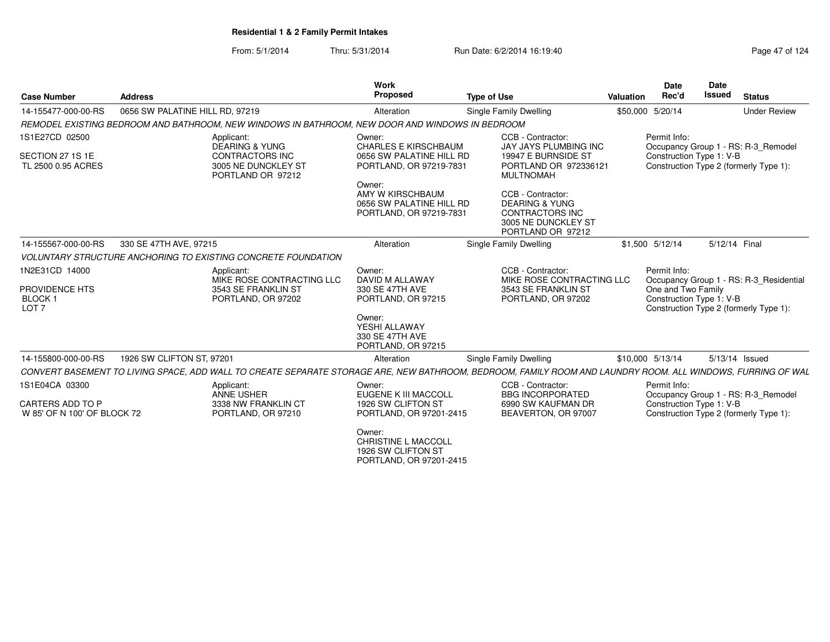From: 5/1/2014Thru: 5/31/2014 Run Date: 6/2/2014 16:19:40

| <b>Case Number</b>                                                       | <b>Address</b>                  |                                                                                                                                                             | <b>Work</b><br><b>Proposed</b>                                                                                                                                                    | <b>Type of Use</b>                                                                                                                                                                                | Valuation | <b>Date</b><br>Rec'd                                           | Date<br><b>Issued</b> | <b>Status</b>                                                                     |
|--------------------------------------------------------------------------|---------------------------------|-------------------------------------------------------------------------------------------------------------------------------------------------------------|-----------------------------------------------------------------------------------------------------------------------------------------------------------------------------------|---------------------------------------------------------------------------------------------------------------------------------------------------------------------------------------------------|-----------|----------------------------------------------------------------|-----------------------|-----------------------------------------------------------------------------------|
| 14-155477-000-00-RS                                                      | 0656 SW PALATINE HILL RD, 97219 |                                                                                                                                                             | Alteration                                                                                                                                                                        | Single Family Dwelling                                                                                                                                                                            |           | \$50,000 5/20/14                                               |                       | <b>Under Review</b>                                                               |
|                                                                          |                                 | REMODEL EXISTING BEDROOM AND BATHROOM, NEW WINDOWS IN BATHROOM, NEW DOOR AND WINDOWS IN BEDROOM                                                             |                                                                                                                                                                                   |                                                                                                                                                                                                   |           |                                                                |                       |                                                                                   |
| 1S1E27CD 02500<br>SECTION 27 1S 1E<br>TL 2500 0.95 ACRES                 |                                 | Applicant:<br><b>DEARING &amp; YUNG</b><br>CONTRACTORS INC<br>3005 NE DUNCKLEY ST<br>PORTLAND OR 97212                                                      | Owner:<br><b>CHARLES E KIRSCHBAUM</b><br>0656 SW PALATINE HILL RD<br>PORTLAND, OR 97219-7831<br>Owner:<br>AMY W KIRSCHBAUM<br>0656 SW PALATINE HILL RD<br>PORTLAND, OR 97219-7831 | CCB - Contractor:<br><b>JAY JAYS PLUMBING INC</b><br>19947 E BURNSIDE ST<br>PORTLAND OR 972336121<br><b>MULTNOMAH</b><br>CCB - Contractor:<br><b>DEARING &amp; YUNG</b><br><b>CONTRACTORS INC</b> |           | Permit Info:<br>Construction Type 1: V-B                       |                       | Occupancy Group 1 - RS: R-3_Remodel<br>Construction Type 2 (formerly Type 1):     |
|                                                                          |                                 |                                                                                                                                                             |                                                                                                                                                                                   | 3005 NE DUNCKLEY ST<br>PORTLAND OR 97212                                                                                                                                                          |           |                                                                |                       |                                                                                   |
| 14-155567-000-00-RS                                                      | 330 SE 47TH AVE, 97215          |                                                                                                                                                             | Alteration                                                                                                                                                                        | Single Family Dwelling                                                                                                                                                                            |           | \$1,500 5/12/14                                                | 5/12/14 Final         |                                                                                   |
|                                                                          |                                 | VOLUNTARY STRUCTURE ANCHORING TO EXISTING CONCRETE FOUNDATION                                                                                               |                                                                                                                                                                                   |                                                                                                                                                                                                   |           |                                                                |                       |                                                                                   |
| 1N2E31CD 14000<br>PROVIDENCE HTS<br><b>BLOCK1</b><br>LOT <sub>7</sub>    |                                 | Applicant:<br>MIKE ROSE CONTRACTING LLC<br>3543 SE FRANKLIN ST<br>PORTLAND, OR 97202                                                                        | Owner:<br>DAVID M ALLAWAY<br>330 SE 47TH AVE<br>PORTLAND, OR 97215<br>Owner:<br>YESHI ALLAWAY<br>330 SE 47TH AVE<br>PORTLAND, OR 97215                                            | CCB - Contractor:<br>MIKE ROSE CONTRACTING LLC<br>3543 SE FRANKLIN ST<br>PORTLAND, OR 97202                                                                                                       |           | Permit Info:<br>One and Two Family<br>Construction Type 1: V-B |                       | Occupancy Group 1 - RS: R-3_Residential<br>Construction Type 2 (formerly Type 1): |
| 14-155800-000-00-RS                                                      | 1926 SW CLIFTON ST, 97201       |                                                                                                                                                             | Alteration                                                                                                                                                                        | Single Family Dwelling                                                                                                                                                                            |           | \$10,000 5/13/14                                               |                       | 5/13/14 Issued                                                                    |
|                                                                          |                                 | CONVERT BASEMENT TO LIVING SPACE, ADD WALL TO CREATE SEPARATE STORAGE ARE, NEW BATHROOM, BEDROOM, FAMILY ROOM AND LAUNDRY ROOM. ALL WINDOWS, FURRING OF WAL |                                                                                                                                                                                   |                                                                                                                                                                                                   |           |                                                                |                       |                                                                                   |
| 1S1E04CA 03300<br><b>CARTERS ADD TO P</b><br>W 85' OF N 100' OF BLOCK 72 |                                 | Applicant:<br>ANNE USHER<br>3338 NW FRANKLIN CT<br>PORTLAND, OR 97210                                                                                       | Owner:<br>EUGENE K III MACCOLL<br>1926 SW CLIFTON ST<br>PORTLAND, OR 97201-2415                                                                                                   | CCB - Contractor:<br><b>BBG INCORPORATED</b><br>6990 SW KAUFMAN DR<br>BEAVERTON, OR 97007                                                                                                         |           | Permit Info:<br>Construction Type 1: V-B                       |                       | Occupancy Group 1 - RS: R-3 Remodel<br>Construction Type 2 (formerly Type 1):     |
|                                                                          |                                 |                                                                                                                                                             | Owner:<br><b>CHRISTINE L MACCOLL</b>                                                                                                                                              |                                                                                                                                                                                                   |           |                                                                |                       |                                                                                   |

1926 SW CLIFTON STPORTLAND, OR 97201-2415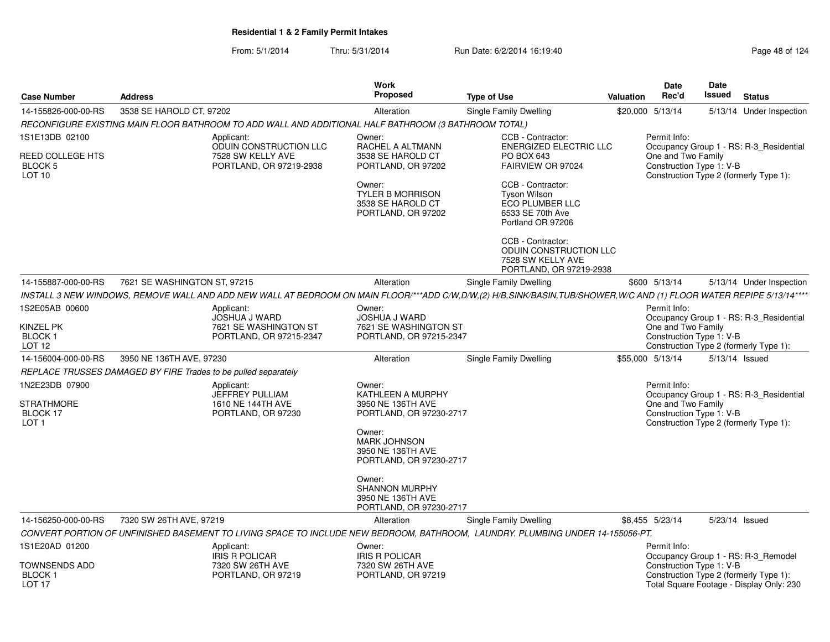|                                                                           |                                                                                                      |                                                                        | <b>Work</b><br><b>Proposed</b>                                                  |                                                                                                                                                                      |           | Date<br>Rec'd                                                                                            | <b>Date</b><br>Issued |                                          |
|---------------------------------------------------------------------------|------------------------------------------------------------------------------------------------------|------------------------------------------------------------------------|---------------------------------------------------------------------------------|----------------------------------------------------------------------------------------------------------------------------------------------------------------------|-----------|----------------------------------------------------------------------------------------------------------|-----------------------|------------------------------------------|
| <b>Case Number</b>                                                        | <b>Address</b>                                                                                       |                                                                        |                                                                                 | <b>Type of Use</b>                                                                                                                                                   | Valuation |                                                                                                          |                       | <b>Status</b>                            |
| 14-155826-000-00-RS                                                       | 3538 SE HAROLD CT, 97202                                                                             |                                                                        | Alteration                                                                      | Single Family Dwelling                                                                                                                                               |           | \$20,000 5/13/14                                                                                         |                       | 5/13/14 Under Inspection                 |
|                                                                           | RECONFIGURE EXISTING MAIN FLOOR BATHROOM TO ADD WALL AND ADDITIONAL HALF BATHROOM (3 BATHROOM TOTAL) |                                                                        |                                                                                 |                                                                                                                                                                      |           |                                                                                                          |                       |                                          |
| 1S1E13DB 02100<br>REED COLLEGE HTS<br><b>BLOCK 5</b><br>LOT <sub>10</sub> | Applicant:                                                                                           | ODUIN CONSTRUCTION LLC<br>7528 SW KELLY AVE<br>PORTLAND, OR 97219-2938 | Owner:<br>RACHEL A ALTMANN<br>3538 SE HAROLD CT<br>PORTLAND, OR 97202           | CCB - Contractor:<br><b>ENERGIZED ELECTRIC LLC</b><br>PO BOX 643<br>FAIRVIEW OR 97024                                                                                |           | Permit Info:<br>One and Two Family<br>Construction Type 1: V-B<br>Construction Type 2 (formerly Type 1): |                       | Occupancy Group 1 - RS: R-3_Residential  |
|                                                                           |                                                                                                      |                                                                        | Owner:<br><b>TYLER B MORRISON</b><br>3538 SE HAROLD CT<br>PORTLAND, OR 97202    | CCB - Contractor:<br><b>Tyson Wilson</b><br><b>ECO PLUMBER LLC</b><br>6533 SE 70th Ave<br>Portland OR 97206                                                          |           |                                                                                                          |                       |                                          |
|                                                                           |                                                                                                      |                                                                        |                                                                                 | CCB - Contractor:<br>ODUIN CONSTRUCTION LLC<br>7528 SW KELLY AVE<br>PORTLAND, OR 97219-2938                                                                          |           |                                                                                                          |                       |                                          |
| 14-155887-000-00-RS                                                       | 7621 SE WASHINGTON ST, 97215                                                                         |                                                                        | Alteration                                                                      | Single Family Dwelling                                                                                                                                               |           | \$600 5/13/14                                                                                            |                       | 5/13/14 Under Inspection                 |
|                                                                           |                                                                                                      |                                                                        |                                                                                 | INSTALL 3 NEW WINDOWS, REMOVE WALL AND ADD NEW WALL AT BEDROOM ON MAIN FLOOR/***ADD C/W,D/W,(2) H/B,SINK/BASIN,TUB/SHOWER,W/C AND (1) FLOOR WATER REPIPE 5/13/14**** |           |                                                                                                          |                       |                                          |
| 1S2E05AB 00600<br>KINZEL PK                                               | Applicant:                                                                                           | JOSHUA J WARD<br>7621 SE WASHINGTON ST                                 | Owner:<br><b>JOSHUA J WARD</b><br>7621 SE WASHINGTON ST                         |                                                                                                                                                                      |           | Permit Info:<br>One and Two Family                                                                       |                       | Occupancy Group 1 - RS: R-3_Residential  |
| <b>BLOCK1</b><br>LOT <sub>12</sub>                                        |                                                                                                      | PORTLAND, OR 97215-2347                                                | PORTLAND, OR 97215-2347                                                         |                                                                                                                                                                      |           | Construction Type 1: V-B<br>Construction Type 2 (formerly Type 1):                                       |                       |                                          |
| 14-156004-000-00-RS                                                       | 3950 NE 136TH AVE, 97230                                                                             |                                                                        | Alteration                                                                      | Single Family Dwelling                                                                                                                                               |           | \$55,000 5/13/14                                                                                         | 5/13/14 Issued        |                                          |
|                                                                           | REPLACE TRUSSES DAMAGED BY FIRE Trades to be pulled separately                                       |                                                                        |                                                                                 |                                                                                                                                                                      |           |                                                                                                          |                       |                                          |
| 1N2E23DB 07900<br><b>STRATHMORE</b><br>BLOCK 17                           | Applicant:                                                                                           | JEFFREY PULLIAM<br>1610 NE 144TH AVE<br>PORTLAND, OR 97230             | Owner:<br>KATHLEEN A MURPHY<br>3950 NE 136TH AVE<br>PORTLAND, OR 97230-2717     |                                                                                                                                                                      |           | Permit Info:<br>One and Two Family<br>Construction Type 1: V-B                                           |                       | Occupancy Group 1 - RS: R-3_Residential  |
| LOT <sub>1</sub>                                                          |                                                                                                      |                                                                        | Owner:<br><b>MARK JOHNSON</b><br>3950 NE 136TH AVE<br>PORTLAND, OR 97230-2717   |                                                                                                                                                                      |           | Construction Type 2 (formerly Type 1):                                                                   |                       |                                          |
|                                                                           |                                                                                                      |                                                                        | Owner:<br><b>SHANNON MURPHY</b><br>3950 NE 136TH AVE<br>PORTLAND, OR 97230-2717 |                                                                                                                                                                      |           |                                                                                                          |                       |                                          |
| 14-156250-000-00-RS                                                       | 7320 SW 26TH AVE, 97219                                                                              |                                                                        | Alteration                                                                      | Single Family Dwelling                                                                                                                                               |           | \$8,455 5/23/14                                                                                          | 5/23/14 Issued        |                                          |
|                                                                           |                                                                                                      |                                                                        |                                                                                 | CONVERT PORTION OF UNFINISHED BASEMENT TO LIVING SPACE TO INCLUDE NEW BEDROOM, BATHROOM, LAUNDRY. PLUMBING UNDER 14-155056-PT.                                       |           |                                                                                                          |                       |                                          |
| 1S1E20AD 01200                                                            | Applicant:                                                                                           | <b>IRIS R POLICAR</b>                                                  | Owner:<br><b>IRIS R POLICAR</b>                                                 |                                                                                                                                                                      |           | Permit Info:                                                                                             |                       | Occupancy Group 1 - RS: R-3_Remodel      |
| <b>TOWNSENDS ADD</b><br><b>BLOCK1</b><br>LOT <sub>17</sub>                |                                                                                                      | 7320 SW 26TH AVE<br>PORTLAND, OR 97219                                 | 7320 SW 26TH AVE<br>PORTLAND, OR 97219                                          |                                                                                                                                                                      |           | Construction Type 1: V-B<br>Construction Type 2 (formerly Type 1):                                       |                       | Total Square Footage - Display Only: 230 |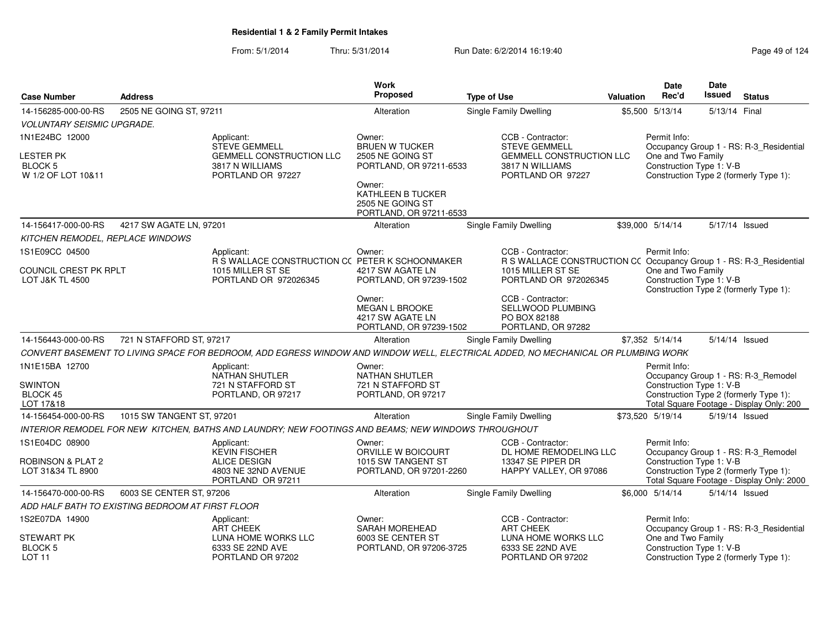|                                   |                                                  |                                                                                                                                   | Work                                         |                                                                                          |                  | <b>Date</b>                                    | <b>Date</b>    |                                                                                     |
|-----------------------------------|--------------------------------------------------|-----------------------------------------------------------------------------------------------------------------------------------|----------------------------------------------|------------------------------------------------------------------------------------------|------------------|------------------------------------------------|----------------|-------------------------------------------------------------------------------------|
| <b>Case Number</b>                | <b>Address</b>                                   |                                                                                                                                   | <b>Proposed</b>                              | <b>Type of Use</b>                                                                       | <b>Valuation</b> | Rec'd                                          | <b>Issued</b>  | <b>Status</b>                                                                       |
| 14-156285-000-00-RS               | 2505 NE GOING ST, 97211                          |                                                                                                                                   | Alteration                                   | Single Family Dwelling                                                                   |                  | \$5,500 5/13/14                                | 5/13/14 Final  |                                                                                     |
| <b>VOLUNTARY SEISMIC UPGRADE.</b> |                                                  |                                                                                                                                   |                                              |                                                                                          |                  |                                                |                |                                                                                     |
| 1N1E24BC 12000                    |                                                  | Applicant:<br>STEVE GEMMELL                                                                                                       | Owner:<br><b>BRUEN W TUCKER</b>              | CCB - Contractor:<br><b>STEVE GEMMELL</b>                                                |                  | Permit Info:                                   |                | Occupancy Group 1 - RS: R-3_Residential                                             |
| <b>LESTER PK</b>                  |                                                  | <b>GEMMELL CONSTRUCTION LLC</b>                                                                                                   | 2505 NE GOING ST                             | <b>GEMMELL CONSTRUCTION LLC</b>                                                          |                  | One and Two Family                             |                |                                                                                     |
| BLOCK 5                           |                                                  | 3817 N WILLIAMS                                                                                                                   | PORTLAND, OR 97211-6533                      | 3817 N WILLIAMS                                                                          |                  | Construction Type 1: V-B                       |                |                                                                                     |
| W 1/2 OF LOT 10&11                |                                                  | PORTLAND OR 97227                                                                                                                 | Owner:                                       | PORTLAND OR 97227                                                                        |                  |                                                |                | Construction Type 2 (formerly Type 1):                                              |
|                                   |                                                  |                                                                                                                                   | KATHLEEN B TUCKER                            |                                                                                          |                  |                                                |                |                                                                                     |
|                                   |                                                  |                                                                                                                                   | 2505 NE GOING ST<br>PORTLAND, OR 97211-6533  |                                                                                          |                  |                                                |                |                                                                                     |
| 14-156417-000-00-RS               | 4217 SW AGATE LN, 97201                          |                                                                                                                                   | Alteration                                   | Single Family Dwelling                                                                   |                  | \$39,000 5/14/14                               | 5/17/14 Issued |                                                                                     |
| KITCHEN REMODEL, REPLACE WINDOWS  |                                                  |                                                                                                                                   |                                              |                                                                                          |                  |                                                |                |                                                                                     |
| 1S1E09CC 04500                    |                                                  | Applicant:                                                                                                                        | Owner:                                       | CCB - Contractor:                                                                        |                  | Permit Info:                                   |                |                                                                                     |
| COUNCIL CREST PK RPLT             |                                                  | R S WALLACE CONSTRUCTION CC PETER K SCHOONMAKER<br>1015 MILLER ST SE                                                              | 4217 SW AGATE LN                             | R S WALLACE CONSTRUCTION CC Occupancy Group 1 - RS: R-3_Residential<br>1015 MILLER ST SE |                  | One and Two Family                             |                |                                                                                     |
| <b>LOT J&amp;K TL 4500</b>        |                                                  | PORTLAND OR 972026345                                                                                                             | PORTLAND, OR 97239-1502                      | PORTLAND OR 972026345                                                                    |                  | Construction Type 1: V-B                       |                |                                                                                     |
|                                   |                                                  |                                                                                                                                   |                                              |                                                                                          |                  |                                                |                | Construction Type 2 (formerly Type 1):                                              |
|                                   |                                                  |                                                                                                                                   | Owner:<br>MEGAN L BROOKE                     | CCB - Contractor:<br>SELLWOOD PLUMBING                                                   |                  |                                                |                |                                                                                     |
|                                   |                                                  |                                                                                                                                   | 4217 SW AGATE LN                             | PO BOX 82188                                                                             |                  |                                                |                |                                                                                     |
|                                   |                                                  |                                                                                                                                   | PORTLAND, OR 97239-1502                      | PORTLAND, OR 97282                                                                       |                  |                                                |                |                                                                                     |
| 14-156443-000-00-RS               | 721 N STAFFORD ST, 97217                         |                                                                                                                                   | Alteration                                   | Single Family Dwelling                                                                   |                  | \$7,352 5/14/14                                |                | 5/14/14 Issued                                                                      |
|                                   |                                                  | CONVERT BASEMENT TO LIVING SPACE FOR BEDROOM, ADD EGRESS WINDOW AND WINDOW WELL, ELECTRICAL ADDED, NO MECHANICAL OR PLUMBING WORK |                                              |                                                                                          |                  |                                                |                |                                                                                     |
| 1N1E15BA 12700                    |                                                  | Applicant:<br><b>NATHAN SHUTLER</b>                                                                                               | Owner:<br><b>NATHAN SHUTLER</b>              |                                                                                          |                  | Permit Info:                                   |                | Occupancy Group 1 - RS: R-3_Remodel                                                 |
| <b>SWINTON</b>                    |                                                  | 721 N STAFFORD ST                                                                                                                 | 721 N STAFFORD ST                            |                                                                                          |                  | Construction Type 1: V-B                       |                |                                                                                     |
| <b>BLOCK 45</b>                   |                                                  | PORTLAND, OR 97217                                                                                                                | PORTLAND, OR 97217                           |                                                                                          |                  |                                                |                | Construction Type 2 (formerly Type 1):                                              |
| LOT 17&18                         |                                                  |                                                                                                                                   |                                              |                                                                                          |                  |                                                |                | Total Square Footage - Display Only: 200                                            |
| 14-156454-000-00-RS               | 1015 SW TANGENT ST, 97201                        |                                                                                                                                   | Alteration                                   | Single Family Dwelling                                                                   |                  | \$73,520 5/19/14                               | 5/19/14 Issued |                                                                                     |
|                                   |                                                  | INTERIOR REMODEL FOR NEW KITCHEN, BATHS AND LAUNDRY; NEW FOOTINGS AND BEAMS; NEW WINDOWS THROUGHOUT                               |                                              |                                                                                          |                  |                                                |                |                                                                                     |
| 1S1E04DC 08900                    |                                                  | Applicant:<br><b>KEVIN FISCHER</b>                                                                                                | Owner:<br>ORVILLE W BOICOURT                 | CCB - Contractor:<br>DL HOME REMODELING LLC                                              |                  | Permit Info:                                   |                | Occupancy Group 1 - RS: R-3_Remodel                                                 |
| ROBINSON & PLAT 2                 |                                                  | <b>ALICE DESIGN</b>                                                                                                               | 1015 SW TANGENT ST                           | 13347 SE PIPER DR                                                                        |                  | Construction Type 1: V-B                       |                |                                                                                     |
| LOT 31&34 TL 8900                 |                                                  | 4803 NE 32ND AVENUE<br>PORTLAND OR 97211                                                                                          | PORTLAND, OR 97201-2260                      | HAPPY VALLEY, OR 97086                                                                   |                  |                                                |                | Construction Type 2 (formerly Type 1):<br>Total Square Footage - Display Only: 2000 |
| 14-156470-000-00-RS               | 6003 SE CENTER ST, 97206                         |                                                                                                                                   | Alteration                                   | Single Family Dwelling                                                                   |                  | \$6,000 5/14/14                                |                | 5/14/14 Issued                                                                      |
|                                   | ADD HALF BATH TO EXISTING BEDROOM AT FIRST FLOOR |                                                                                                                                   |                                              |                                                                                          |                  |                                                |                |                                                                                     |
| 1S2E07DA 14900                    |                                                  | Applicant:                                                                                                                        | Owner:                                       | CCB - Contractor:                                                                        |                  | Permit Info:                                   |                |                                                                                     |
|                                   |                                                  | <b>ART CHEEK</b>                                                                                                                  | SARAH MOREHEAD                               | <b>ART CHEEK</b>                                                                         |                  |                                                |                | Occupancy Group 1 - RS: R-3_Residential                                             |
| STEWART PK<br>BLOCK <sub>5</sub>  |                                                  | LUNA HOME WORKS LLC<br>6333 SE 22ND AVE                                                                                           | 6003 SE CENTER ST<br>PORTLAND, OR 97206-3725 | LUNA HOME WORKS LLC<br>6333 SE 22ND AVE                                                  |                  | One and Two Family<br>Construction Type 1: V-B |                |                                                                                     |
| <b>LOT 11</b>                     |                                                  | PORTLAND OR 97202                                                                                                                 |                                              | PORTLAND OR 97202                                                                        |                  |                                                |                | Construction Type 2 (formerly Type 1):                                              |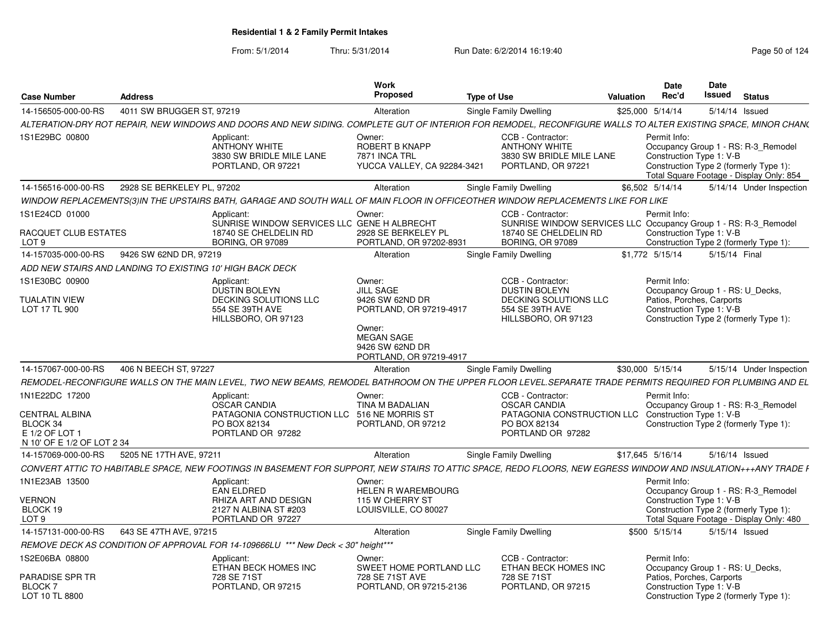| <b>Case Number</b>                                                                | <b>Address</b>             |                                                                                                                                                                | Work<br>Proposed                                                          | <b>Type of Use</b> |                                                                                             | <b>Valuation</b> | Date<br>Rec'd    | Date<br>Issued<br><b>Status</b>                                                                                                                       |
|-----------------------------------------------------------------------------------|----------------------------|----------------------------------------------------------------------------------------------------------------------------------------------------------------|---------------------------------------------------------------------------|--------------------|---------------------------------------------------------------------------------------------|------------------|------------------|-------------------------------------------------------------------------------------------------------------------------------------------------------|
| 14-156505-000-00-RS                                                               | 4011 SW BRUGGER ST, 97219  |                                                                                                                                                                | Alteration                                                                |                    | Single Family Dwelling                                                                      |                  | \$25,000 5/14/14 | 5/14/14 Issued                                                                                                                                        |
|                                                                                   |                            | ALTERATION-DRY ROT REPAIR, NEW WINDOWS AND DOORS AND NEW SIDING. COMPLETE GUT OF INTERIOR FOR REMODEL, RECONFIGURE WALLS TO ALTER EXISTING SPACE, MINOR CHAN(  |                                                                           |                    |                                                                                             |                  |                  |                                                                                                                                                       |
| 1S1E29BC 00800                                                                    |                            | Applicant:<br><b>ANTHONY WHITE</b><br>3830 SW BRIDLE MILE LANE<br>PORTLAND, OR 97221                                                                           | Owner:<br>ROBERT B KNAPP<br>7871 INCA TRL<br>YUCCA VALLEY, CA 92284-3421  |                    | CCB - Contractor:<br><b>ANTHONY WHITE</b><br>3830 SW BRIDLE MILE LANE<br>PORTLAND, OR 97221 |                  | Permit Info:     | Occupancy Group 1 - RS: R-3_Remodel<br>Construction Type 1: V-B<br>Construction Type 2 (formerly Type 1):<br>Total Square Footage - Display Only: 854 |
| 14-156516-000-00-RS                                                               | 2928 SE BERKELEY PL, 97202 |                                                                                                                                                                | Alteration                                                                |                    | Single Family Dwelling                                                                      |                  | \$6,502 5/14/14  | 5/14/14 Under Inspection                                                                                                                              |
|                                                                                   |                            | WINDOW REPLACEMENTS(3)IN THE UPSTAIRS BATH, GARAGE AND SOUTH WALL OF MAIN FLOOR IN OFFICEOTHER WINDOW REPLACEMENTS LIKE FOR LIKE                               |                                                                           |                    |                                                                                             |                  |                  |                                                                                                                                                       |
| 1S1E24CD 01000<br>RACQUET CLUB ESTATES                                            |                            | Applicant:<br>SUNRISE WINDOW SERVICES LLC GENE H ALBRECHT<br>18740 SE CHELDELIN RD                                                                             | Owner:<br>2928 SE BERKELEY PL                                             |                    | CCB - Contractor:<br>18740 SE CHELDELIN RD                                                  |                  | Permit Info:     | SUNRISE WINDOW SERVICES LLC Occupancy Group 1 - RS: R-3_Remodel<br>Construction Type 1: V-B                                                           |
| LOT 9                                                                             |                            | <b>BORING, OR 97089</b>                                                                                                                                        | PORTLAND, OR 97202-8931                                                   |                    | <b>BORING, OR 97089</b>                                                                     |                  |                  | Construction Type 2 (formerly Type 1):                                                                                                                |
| 14-157035-000-00-RS                                                               | 9426 SW 62ND DR, 97219     |                                                                                                                                                                | Alteration                                                                |                    | Single Family Dwelling                                                                      |                  | \$1,772 5/15/14  | 5/15/14 Final                                                                                                                                         |
| ADD NEW STAIRS AND LANDING TO EXISTING 10' HIGH BACK DECK                         |                            |                                                                                                                                                                |                                                                           |                    |                                                                                             |                  |                  |                                                                                                                                                       |
| 1S1E30BC 00900<br><b>TUALATIN VIEW</b>                                            |                            | Applicant:<br><b>DUSTIN BOLEYN</b><br>DECKING SOLUTIONS LLC                                                                                                    | Owner:<br><b>JILL SAGE</b><br>9426 SW 62ND DR                             |                    | CCB - Contractor:<br><b>DUSTIN BOLEYN</b><br>DECKING SOLUTIONS LLC                          |                  | Permit Info:     | Occupancy Group 1 - RS: U Decks,<br>Patios, Porches, Carports                                                                                         |
| LOT 17 TL 900                                                                     |                            | 554 SE 39TH AVE<br>HILLSBORO, OR 97123                                                                                                                         | PORTLAND, OR 97219-4917                                                   |                    | 554 SE 39TH AVE<br>HILLSBORO, OR 97123                                                      |                  |                  | Construction Type 1: V-B<br>Construction Type 2 (formerly Type 1):                                                                                    |
|                                                                                   |                            |                                                                                                                                                                | Owner:<br><b>MEGAN SAGE</b><br>9426 SW 62ND DR<br>PORTLAND, OR 97219-4917 |                    |                                                                                             |                  |                  |                                                                                                                                                       |
| 14-157067-000-00-RS                                                               | 406 N BEECH ST, 97227      |                                                                                                                                                                | Alteration                                                                |                    | Single Family Dwelling                                                                      |                  | \$30,000 5/15/14 | 5/15/14 Under Inspection                                                                                                                              |
|                                                                                   |                            | REMODEL-RECONFIGURE WALLS ON THE MAIN LEVEL, TWO NEW BEAMS, REMODEL BATHROOM ON THE UPPER FLOOR LEVEL.SEPARATE TRADE PERMITS REQUIRED FOR PLUMBING AND EL      |                                                                           |                    |                                                                                             |                  |                  |                                                                                                                                                       |
| 1N1E22DC 17200                                                                    |                            | Applicant:<br><b>OSCAR CANDIA</b>                                                                                                                              | Owner:<br>TINA M BADALIAN                                                 |                    | CCB - Contractor:<br><b>OSCAR CANDIA</b>                                                    |                  | Permit Info:     | Occupancy Group 1 - RS: R-3_Remodel                                                                                                                   |
| <b>CENTRAL ALBINA</b><br>BLOCK 34<br>E 1/2 OF LOT 1<br>N 10' OF E 1/2 OF LOT 2 34 |                            | PATAGONIA CONSTRUCTION LLC 516 NE MORRIS ST<br>PO BOX 82134<br>PORTLAND OR 97282                                                                               | PORTLAND, OR 97212                                                        |                    | PATAGONIA CONSTRUCTION LLC<br>PO BOX 82134<br>PORTLAND OR 97282                             |                  |                  | Construction Type 1: V-B<br>Construction Type 2 (formerly Type 1):                                                                                    |
| 14-157069-000-00-RS                                                               | 5205 NE 17TH AVE, 97211    |                                                                                                                                                                | Alteration                                                                |                    | <b>Single Family Dwelling</b>                                                               |                  | \$17,645 5/16/14 | 5/16/14 Issued                                                                                                                                        |
|                                                                                   |                            | CONVERT ATTIC TO HABITABLE SPACE, NEW FOOTINGS IN BASEMENT FOR SUPPORT, NEW STAIRS TO ATTIC SPACE, REDO FLOORS, NEW EGRESS WINDOW AND INSULATION+++ANY TRADE F |                                                                           |                    |                                                                                             |                  |                  |                                                                                                                                                       |
| 1N1E23AB 13500                                                                    |                            | Applicant:                                                                                                                                                     | Owner:                                                                    |                    |                                                                                             |                  | Permit Info:     |                                                                                                                                                       |
| <b>VERNON</b>                                                                     |                            | <b>EAN ELDRED</b><br>RHIZA ART AND DESIGN                                                                                                                      | <b>HELEN R WAREMBOURG</b><br>115 W CHERRY ST                              |                    |                                                                                             |                  |                  | Occupancy Group 1 - RS: R-3 Remodel<br>Construction Type 1: V-B                                                                                       |
| BLOCK 19                                                                          |                            | 2127 N ALBINA ST #203                                                                                                                                          | LOUISVILLE, CO 80027                                                      |                    |                                                                                             |                  |                  | Construction Type 2 (formerly Type 1):                                                                                                                |
| LOT <sub>9</sub>                                                                  |                            | PORTLAND OR 97227                                                                                                                                              |                                                                           |                    |                                                                                             |                  |                  | Total Square Footage - Display Only: 480                                                                                                              |
| 14-157131-000-00-RS                                                               | 643 SE 47TH AVE, 97215     |                                                                                                                                                                | Alteration                                                                |                    | Single Family Dwelling                                                                      |                  | \$500 5/15/14    | 5/15/14 Issued                                                                                                                                        |
|                                                                                   |                            | REMOVE DECK AS CONDITION OF APPROVAL FOR 14-109666LU *** New Deck < 30" height***                                                                              |                                                                           |                    |                                                                                             |                  |                  |                                                                                                                                                       |
| 1S2E06BA 08800                                                                    |                            | Applicant:<br>ETHAN BECK HOMES INC                                                                                                                             | Owner:<br>SWEET HOME PORTLAND LLC                                         |                    | CCB - Contractor:<br>ETHAN BECK HOMES INC                                                   |                  | Permit Info:     | Occupancy Group 1 - RS: U Decks,                                                                                                                      |
| PARADISE SPR TR<br><b>BLOCK7</b><br>LOT 10 TL 8800                                |                            | 728 SE 71ST<br>PORTLAND, OR 97215                                                                                                                              | 728 SE 71ST AVE<br>PORTLAND, OR 97215-2136                                |                    | 728 SE 71ST<br>PORTLAND, OR 97215                                                           |                  |                  | Patios, Porches, Carports<br>Construction Type 1: V-B<br>Construction Type 2 (formerly Type 1):                                                       |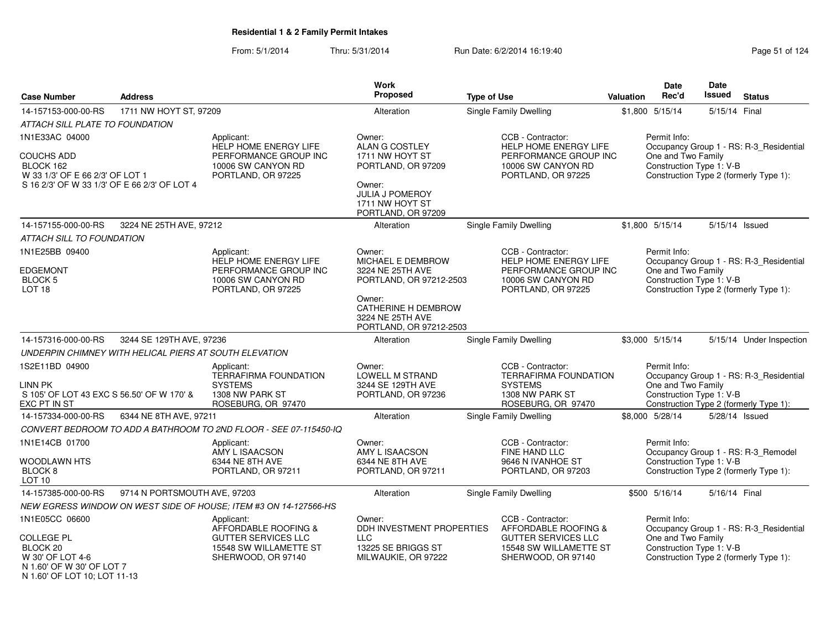From: 5/1/2014Thru: 5/31/2014 Run Date: 6/2/2014 16:19:40

| <b>Case Number</b>                                                                                                | <b>Address</b>                                         |                                                                                           | Work<br><b>Proposed</b>                                                                                            | <b>Type of Use</b>                                                                               | <b>Valuation</b> | <b>Date</b><br>Rec'd                                           | Date<br><b>Issued</b> | <b>Status</b>                           |
|-------------------------------------------------------------------------------------------------------------------|--------------------------------------------------------|-------------------------------------------------------------------------------------------|--------------------------------------------------------------------------------------------------------------------|--------------------------------------------------------------------------------------------------|------------------|----------------------------------------------------------------|-----------------------|-----------------------------------------|
| 14-157153-000-00-RS                                                                                               | 1711 NW HOYT ST, 97209                                 |                                                                                           | Alteration                                                                                                         | Single Family Dwelling                                                                           |                  | \$1,800 5/15/14                                                | 5/15/14 Final         |                                         |
| ATTACH SILL PLATE TO FOUNDATION                                                                                   |                                                        |                                                                                           |                                                                                                                    |                                                                                                  |                  |                                                                |                       |                                         |
| 1N1E33AC 04000                                                                                                    |                                                        | Applicant:<br><b>HELP HOME ENERGY LIFE</b>                                                | Owner:<br>ALAN G COSTLEY                                                                                           | CCB - Contractor:<br><b>HELP HOME ENERGY LIFE</b>                                                |                  | Permit Info:                                                   |                       | Occupancy Group 1 - RS: R-3_Residential |
| <b>COUCHS ADD</b><br>BLOCK 162<br>W 33 1/3' OF E 66 2/3' OF LOT 1<br>S 16 2/3' OF W 33 1/3' OF E 66 2/3' OF LOT 4 |                                                        | PERFORMANCE GROUP INC<br>10006 SW CANYON RD<br>PORTLAND, OR 97225                         | 1711 NW HOYT ST<br>PORTLAND, OR 97209<br>Owner:<br><b>JULIA J POMEROY</b><br>1711 NW HOYT ST<br>PORTLAND, OR 97209 | PERFORMANCE GROUP INC<br>10006 SW CANYON RD<br>PORTLAND, OR 97225                                |                  | One and Two Family<br>Construction Type 1: V-B                 |                       | Construction Type 2 (formerly Type 1):  |
| 14-157155-000-00-RS                                                                                               | 3224 NE 25TH AVE, 97212                                |                                                                                           | Alteration                                                                                                         | <b>Single Family Dwelling</b>                                                                    |                  | \$1,800 5/15/14                                                |                       | 5/15/14 Issued                          |
| ATTACH SILL TO FOUNDATION                                                                                         |                                                        |                                                                                           |                                                                                                                    |                                                                                                  |                  |                                                                |                       |                                         |
| 1N1E25BB 09400<br><b>EDGEMONT</b><br><b>BLOCK 5</b>                                                               |                                                        | Applicant:<br><b>HELP HOME ENERGY LIFE</b><br>PERFORMANCE GROUP INC<br>10006 SW CANYON RD | Owner:<br>MICHAEL E DEMBROW<br>3224 NE 25TH AVE<br>PORTLAND, OR 97212-2503                                         | CCB - Contractor:<br><b>HELP HOME ENERGY LIFE</b><br>PERFORMANCE GROUP INC<br>10006 SW CANYON RD |                  | Permit Info:<br>One and Two Family<br>Construction Type 1: V-B |                       | Occupancy Group 1 - RS: R-3 Residential |
| LOT <sub>18</sub>                                                                                                 |                                                        | PORTLAND, OR 97225                                                                        | Owner:                                                                                                             | PORTLAND, OR 97225                                                                               |                  |                                                                |                       | Construction Type 2 (formerly Type 1):  |
|                                                                                                                   |                                                        |                                                                                           | CATHERINE H DEMBROW<br>3224 NE 25TH AVE<br>PORTLAND, OR 97212-2503                                                 |                                                                                                  |                  |                                                                |                       |                                         |
| 14-157316-000-00-RS                                                                                               | 3244 SE 129TH AVE, 97236                               |                                                                                           | Alteration                                                                                                         | Single Family Dwelling                                                                           |                  | \$3,000 5/15/14                                                |                       | 5/15/14 Under Inspection                |
|                                                                                                                   | UNDERPIN CHIMNEY WITH HELICAL PIERS AT SOUTH ELEVATION |                                                                                           |                                                                                                                    |                                                                                                  |                  |                                                                |                       |                                         |
| 1S2E11BD 04900                                                                                                    |                                                        | Applicant:<br><b>TERRAFIRMA FOUNDATION</b>                                                | Owner:<br>LOWELL M STRAND                                                                                          | CCB - Contractor:<br>TERRAFIRMA FOUNDATION                                                       |                  | Permit Info:                                                   |                       | Occupancy Group 1 - RS: R-3_Residential |
| LINN PK<br>S 105' OF LOT 43 EXC S 56.50' OF W 170' &<br>EXC PT IN ST                                              |                                                        | <b>SYSTEMS</b><br>1308 NW PARK ST<br>ROSEBURG, OR 97470                                   | 3244 SE 129TH AVE<br>PORTLAND, OR 97236                                                                            | <b>SYSTEMS</b><br>1308 NW PARK ST<br>ROSEBURG, OR 97470                                          |                  | One and Two Family<br>Construction Type 1: V-B                 |                       | Construction Type 2 (formerly Type 1):  |
| 14-157334-000-00-RS                                                                                               | 6344 NE 8TH AVE, 97211                                 |                                                                                           | Alteration                                                                                                         | <b>Single Family Dwelling</b>                                                                    |                  | \$8,000 5/28/14                                                |                       | 5/28/14 Issued                          |
|                                                                                                                   |                                                        | CONVERT BEDROOM TO ADD A BATHROOM TO 2ND FLOOR - SEE 07-115450-IQ                         |                                                                                                                    |                                                                                                  |                  |                                                                |                       |                                         |
| 1N1E14CB 01700                                                                                                    |                                                        | Applicant:<br>AMY L ISAACSON                                                              | Owner:<br>AMY L ISAACSON                                                                                           | CCB - Contractor:<br>FINE HAND LLC                                                               |                  | Permit Info:                                                   |                       | Occupancy Group 1 - RS: R-3 Remodel     |
| WOODLAWN HTS<br>BLOCK <sub>8</sub><br>LOT <sub>10</sub>                                                           |                                                        | 6344 NE 8TH AVE<br>PORTLAND, OR 97211                                                     | 6344 NE 8TH AVE<br>PORTLAND, OR 97211                                                                              | 9646 N IVANHOE ST<br>PORTLAND, OR 97203                                                          |                  | Construction Type 1: V-B                                       |                       | Construction Type 2 (formerly Type 1):  |
| 14-157385-000-00-RS                                                                                               | 9714 N PORTSMOUTH AVE, 97203                           |                                                                                           | Alteration                                                                                                         | Single Family Dwelling                                                                           |                  | \$500 5/16/14                                                  | 5/16/14 Final         |                                         |
|                                                                                                                   |                                                        | NEW EGRESS WINDOW ON WEST SIDE OF HOUSE; ITEM #3 ON 14-127566-HS                          |                                                                                                                    |                                                                                                  |                  |                                                                |                       |                                         |
| 1N1E05CC 06600                                                                                                    |                                                        | Applicant:<br>AFFORDABLE ROOFING &                                                        | Owner:<br>DDH INVESTMENT PROPERTIES                                                                                | CCB - Contractor:<br>AFFORDABLE ROOFING &                                                        |                  | Permit Info:                                                   |                       | Occupancy Group 1 - RS: R-3_Residential |
| <b>COLLEGE PL</b><br>BLOCK <sub>20</sub><br>W 30' OF LOT 4-6<br>N 1.60' OF W 30' OF LOT 7                         |                                                        | <b>GUTTER SERVICES LLC</b><br>15548 SW WILLAMETTE ST<br>SHERWOOD, OR 97140                | <b>LLC</b><br>13225 SE BRIGGS ST<br>MILWAUKIE, OR 97222                                                            | <b>GUTTER SERVICES LLC</b><br>15548 SW WILLAMETTE ST<br>SHERWOOD, OR 97140                       |                  | One and Two Family<br>Construction Type 1: V-B                 |                       | Construction Type 2 (formerly Type 1):  |

N 1.60' OF LOT 10; LOT 11-13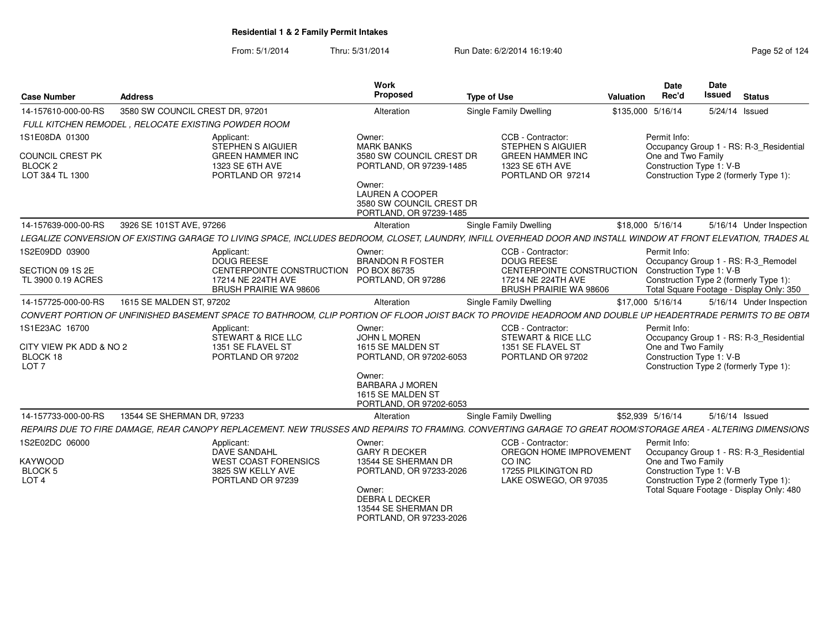| <b>Case Number</b>                                                                 | <b>Address</b>                                       |                                                                                                                                                                  | Work<br>Proposed                                                                                                                                                       | <b>Type of Use</b> |                                                                                                                            | Valuation         | <b>Date</b><br>Rec'd                                           | <b>Date</b><br><b>Issued</b> | <b>Status</b>                                                                                                                 |
|------------------------------------------------------------------------------------|------------------------------------------------------|------------------------------------------------------------------------------------------------------------------------------------------------------------------|------------------------------------------------------------------------------------------------------------------------------------------------------------------------|--------------------|----------------------------------------------------------------------------------------------------------------------------|-------------------|----------------------------------------------------------------|------------------------------|-------------------------------------------------------------------------------------------------------------------------------|
| 14-157610-000-00-RS                                                                | 3580 SW COUNCIL CREST DR. 97201                      |                                                                                                                                                                  | Alteration                                                                                                                                                             |                    | Single Family Dwelling                                                                                                     | \$135,000 5/16/14 |                                                                |                              | 5/24/14 Issued                                                                                                                |
|                                                                                    | FULL KITCHEN REMODEL . RELOCATE EXISTING POWDER ROOM |                                                                                                                                                                  |                                                                                                                                                                        |                    |                                                                                                                            |                   |                                                                |                              |                                                                                                                               |
| 1S1E08DA 01300<br><b>COUNCIL CREST PK</b><br>BLOCK <sub>2</sub><br>LOT 3&4 TL 1300 |                                                      | Applicant:<br><b>STEPHEN S AIGUIER</b><br><b>GREEN HAMMER INC</b><br>1323 SE 6TH AVE<br>PORTLAND OR 97214                                                        | Owner:<br><b>MARK BANKS</b><br>3580 SW COUNCIL CREST DR<br>PORTLAND, OR 97239-1485<br>Owner:<br>LAUREN A COOPER<br>3580 SW COUNCIL CREST DR<br>PORTLAND, OR 97239-1485 |                    | CCB - Contractor:<br><b>STEPHEN S AIGUIER</b><br><b>GREEN HAMMER INC</b><br>1323 SE 6TH AVE<br>PORTLAND OR 97214           |                   | Permit Info:<br>One and Two Family<br>Construction Type 1: V-B |                              | Occupancy Group 1 - RS: R-3 Residential<br>Construction Type 2 (formerly Type 1):                                             |
| 14-157639-000-00-RS                                                                | 3926 SE 101ST AVE, 97266                             |                                                                                                                                                                  | Alteration                                                                                                                                                             |                    | Single Family Dwelling                                                                                                     |                   | \$18,000 5/16/14                                               |                              | 5/16/14 Under Inspection                                                                                                      |
|                                                                                    |                                                      | LEGALIZE CONVERSION OF EXISTING GARAGE TO LIVING SPACE, INCLUDES BEDROOM, CLOSET, LAUNDRY, INFILL OVERHEAD DOOR AND INSTALL WINDOW AT FRONT ELEVATION, TRADES AL |                                                                                                                                                                        |                    |                                                                                                                            |                   |                                                                |                              |                                                                                                                               |
| 1S2E09DD 03900<br>SECTION 09 1S 2E<br>TL 3900 0.19 ACRES                           |                                                      | Applicant:<br>DOUG REESE<br>CENTERPOINTE CONSTRUCTION PO BOX 86735<br>17214 NE 224TH AVE<br><b>BRUSH PRAIRIE WA 98606</b>                                        | Owner:<br><b>BRANDON R FOSTER</b><br>PORTLAND, OR 97286                                                                                                                |                    | CCB - Contractor:<br><b>DOUG REESE</b><br>CENTERPOINTE CONSTRUCTION<br>17214 NE 224TH AVE<br><b>BRUSH PRAIRIE WA 98606</b> |                   | Permit Info:<br>Construction Type 1: V-B                       |                              | Occupancy Group 1 - RS: R-3_Remodel<br>Construction Type 2 (formerly Type 1):<br>Total Square Footage - Display Only: 350     |
| 14-157725-000-00-RS                                                                | 1615 SE MALDEN ST. 97202                             |                                                                                                                                                                  | Alteration                                                                                                                                                             |                    | Single Family Dwelling                                                                                                     |                   | \$17,000 5/16/14                                               |                              | 5/16/14 Under Inspection                                                                                                      |
|                                                                                    |                                                      | CONVERT PORTION OF UNFINISHED BASEMENT SPACE TO BATHROOM. CLIP PORTION OF FLOOR JOIST BACK TO PROVIDE HEADROOM AND DOUBLE UP HEADERTRADE PERMITS TO BE OBTA      |                                                                                                                                                                        |                    |                                                                                                                            |                   |                                                                |                              |                                                                                                                               |
| 1S1E23AC 16700<br>CITY VIEW PK ADD & NO 2<br>BLOCK 18<br>LOT <sub>7</sub>          |                                                      | Applicant:<br>STEWART & RICE LLC<br>1351 SE FLAVEL ST<br>PORTLAND OR 97202                                                                                       | Owner:<br><b>JOHN L MOREN</b><br>1615 SE MALDEN ST<br>PORTLAND, OR 97202-6053<br>Owner:<br><b>BARBARA J MOREN</b><br>1615 SE MALDEN ST<br>PORTLAND, OR 97202-6053      |                    | CCB - Contractor:<br>STEWART & RICE LLC<br>1351 SE FLAVEL ST<br>PORTLAND OR 97202                                          |                   | Permit Info:<br>One and Two Family<br>Construction Type 1: V-B |                              | Occupancy Group 1 - RS: R-3_Residential<br>Construction Type 2 (formerly Type 1):                                             |
| 14-157733-000-00-RS                                                                | 13544 SE SHERMAN DR. 97233                           |                                                                                                                                                                  | Alteration                                                                                                                                                             |                    | Single Family Dwelling                                                                                                     |                   | \$52,939 5/16/14                                               |                              | 5/16/14 Issued                                                                                                                |
|                                                                                    |                                                      | REPAIRS DUE TO FIRE DAMAGE, REAR CANOPY REPLACEMENT. NEW TRUSSES AND REPAIRS TO FRAMING. CONVERTING GARAGE TO GREAT ROOM/STORAGE AREA - ALTERING DIMENSIONS      |                                                                                                                                                                        |                    |                                                                                                                            |                   |                                                                |                              |                                                                                                                               |
| 1S2E02DC 06000<br><b>KAYWOOD</b><br><b>BLOCK 5</b><br>LOT <sub>4</sub>             |                                                      | Applicant:<br>DAVE SANDAHL<br><b>WEST COAST FORENSICS</b><br>3825 SW KELLY AVE<br>PORTLAND OR 97239                                                              | Owner:<br><b>GARY R DECKER</b><br>13544 SE SHERMAN DR<br>PORTLAND, OR 97233-2026<br>Owner:<br>DEBRA L DECKER<br>13544 SE SHERMAN DR<br>PORTLAND, OR 97233-2026         |                    | CCB - Contractor:<br>OREGON HOME IMPROVEMENT<br>CO INC<br>17255 PILKINGTON RD<br>LAKE OSWEGO, OR 97035                     |                   | Permit Info:<br>One and Two Family<br>Construction Type 1: V-B |                              | Occupancy Group 1 - RS: R-3 Residential<br>Construction Type 2 (formerly Type 1):<br>Total Square Footage - Display Only: 480 |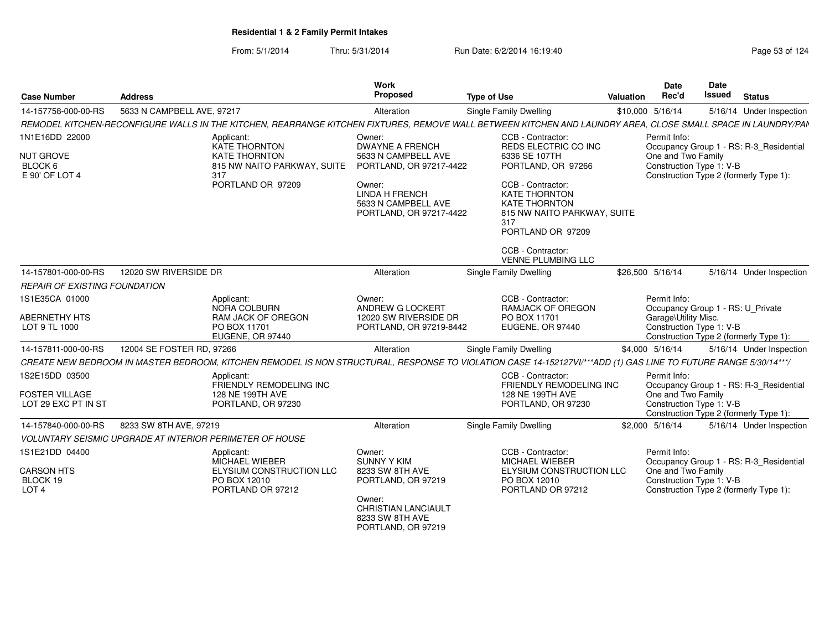| <b>Case Number</b>                                | <b>Address</b>             |                                                                                                                                                                 | Work<br>Proposed                                                                  | <b>Type of Use</b>                                                                                                           | <b>Valuation</b> | Date<br>Rec'd                                     | Date<br><b>Issued</b> | <b>Status</b>                           |
|---------------------------------------------------|----------------------------|-----------------------------------------------------------------------------------------------------------------------------------------------------------------|-----------------------------------------------------------------------------------|------------------------------------------------------------------------------------------------------------------------------|------------------|---------------------------------------------------|-----------------------|-----------------------------------------|
| 14-157758-000-00-RS                               | 5633 N CAMPBELL AVE, 97217 |                                                                                                                                                                 | Alteration                                                                        | <b>Single Family Dwelling</b>                                                                                                |                  | \$10,000 5/16/14                                  |                       | 5/16/14 Under Inspection                |
|                                                   |                            | REMODEL KITCHEN-RECONFIGURE WALLS IN THE KITCHEN, REARRANGE KITCHEN FIXTURES, REMOVE WALL BETWEEN KITCHEN AND LAUNDRY AREA, CLOSE SMALL SPACE IN LAUNDRY/PAN    |                                                                                   |                                                                                                                              |                  |                                                   |                       |                                         |
| 1N1E16DD 22000                                    |                            | Applicant:<br><b>KATE THORNTON</b>                                                                                                                              | Owner:<br><b>DWAYNE A FRENCH</b>                                                  | CCB - Contractor:<br>REDS ELECTRIC CO INC                                                                                    |                  | Permit Info:                                      |                       | Occupancy Group 1 - RS: R-3_Residential |
| <b>NUT GROVE</b><br>BLOCK 6<br>E 90' OF LOT 4     |                            | <b>KATE THORNTON</b><br>815 NW NAITO PARKWAY, SUITE<br>317                                                                                                      | 5633 N CAMPBELL AVE<br>PORTLAND, OR 97217-4422                                    | 6336 SE 107TH<br>PORTLAND, OR 97266                                                                                          |                  | One and Two Family<br>Construction Type 1: V-B    |                       | Construction Type 2 (formerly Type 1):  |
|                                                   |                            | PORTLAND OR 97209                                                                                                                                               | Owner:<br><b>LINDA H FRENCH</b><br>5633 N CAMPBELL AVE<br>PORTLAND, OR 97217-4422 | CCB - Contractor:<br><b>KATE THORNTON</b><br><b>KATE THORNTON</b><br>815 NW NAITO PARKWAY, SUITE<br>317<br>PORTLAND OR 97209 |                  |                                                   |                       |                                         |
|                                                   |                            |                                                                                                                                                                 |                                                                                   | CCB - Contractor:<br>VENNE PLUMBING LLC                                                                                      |                  |                                                   |                       |                                         |
| 14-157801-000-00-RS                               | 12020 SW RIVERSIDE DR      |                                                                                                                                                                 | Alteration                                                                        | Single Family Dwelling                                                                                                       |                  | \$26,500 5/16/14                                  |                       | 5/16/14 Under Inspection                |
| <b>REPAIR OF EXISTING FOUNDATION</b>              |                            |                                                                                                                                                                 |                                                                                   |                                                                                                                              |                  |                                                   |                       |                                         |
| 1S1E35CA 01000                                    |                            | Applicant:<br>NORA COLBURN                                                                                                                                      | Owner:<br>ANDREW G LOCKERT                                                        | CCB - Contractor:<br><b>RAMJACK OF OREGON</b>                                                                                |                  | Permit Info:<br>Occupancy Group 1 - RS: U_Private |                       |                                         |
| <b>ABERNETHY HTS</b><br>LOT 9 TL 1000             |                            | <b>RAM JACK OF OREGON</b><br>PO BOX 11701<br>EUGENE, OR 97440                                                                                                   | 12020 SW RIVERSIDE DR<br>PORTLAND, OR 97219-8442                                  | PO BOX 11701<br>EUGENE, OR 97440                                                                                             |                  | Garage\Utility Misc.<br>Construction Type 1: V-B  |                       | Construction Type 2 (formerly Type 1):  |
| 14-157811-000-00-RS                               | 12004 SE FOSTER RD, 97266  |                                                                                                                                                                 | Alteration                                                                        | Single Family Dwelling                                                                                                       |                  | \$4,000 5/16/14                                   |                       | 5/16/14 Under Inspection                |
|                                                   |                            | CREATE NEW BEDROOM IN MASTER BEDROOM, KITCHEN REMODEL IS NON STRUCTURAL, RESPONSE TO VIOLATION CASE 14-152127VI/***ADD (1) GAS LINE TO FUTURE RANGE 5/30/14***/ |                                                                                   |                                                                                                                              |                  |                                                   |                       |                                         |
| 1S2E15DD 03500                                    |                            | Applicant:<br>FRIENDLY REMODELING INC                                                                                                                           |                                                                                   | CCB - Contractor:<br><b>FRIENDLY REMODELING INC</b>                                                                          |                  | Permit Info:                                      |                       | Occupancy Group 1 - RS: R-3_Residential |
| <b>FOSTER VILLAGE</b><br>LOT 29 EXC PT IN ST      |                            | 128 NE 199TH AVE<br>PORTLAND, OR 97230                                                                                                                          |                                                                                   | 128 NE 199TH AVE<br>PORTLAND, OR 97230                                                                                       |                  | One and Two Family<br>Construction Type 1: V-B    |                       | Construction Type 2 (formerly Type 1):  |
| 14-157840-000-00-RS                               | 8233 SW 8TH AVE, 97219     |                                                                                                                                                                 | Alteration                                                                        | <b>Single Family Dwelling</b>                                                                                                |                  | \$2,000 5/16/14                                   |                       | 5/16/14 Under Inspection                |
|                                                   |                            | <b>VOLUNTARY SEISMIC UPGRADE AT INTERIOR PERIMETER OF HOUSE</b>                                                                                                 |                                                                                   |                                                                                                                              |                  |                                                   |                       |                                         |
| 1S1E21DD 04400                                    |                            | Applicant:<br><b>MICHAEL WIEBER</b>                                                                                                                             | Owner:<br><b>SUNNY Y KIM</b>                                                      | CCB - Contractor:<br>MICHAEL WIEBER                                                                                          |                  | Permit Info:                                      |                       | Occupancy Group 1 - RS: R-3_Residential |
| <b>CARSON HTS</b><br>BLOCK 19<br>LOT <sub>4</sub> |                            | ELYSIUM CONSTRUCTION LLC<br>PO BOX 12010<br>PORTLAND OR 97212                                                                                                   | 8233 SW 8TH AVE<br>PORTLAND, OR 97219                                             | ELYSIUM CONSTRUCTION LLC<br>PO BOX 12010<br>PORTLAND OR 97212                                                                |                  | One and Two Family<br>Construction Type 1: V-B    |                       | Construction Type 2 (formerly Type 1):  |
|                                                   |                            |                                                                                                                                                                 | Owner:<br>CHRISTIAN LANCIAULT<br>8233 SW 8TH AVE<br>PORTLAND, OR 97219            |                                                                                                                              |                  |                                                   |                       |                                         |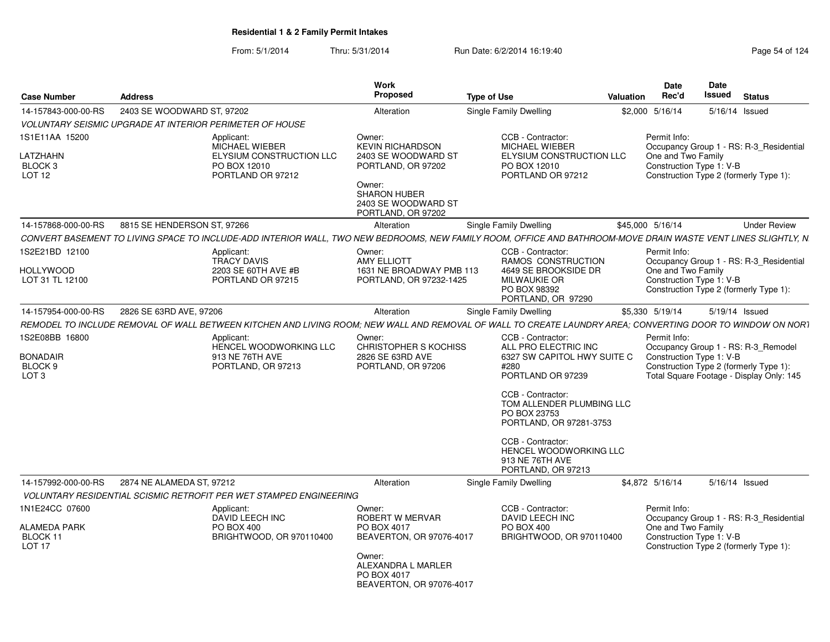| <b>Case Number</b>                                                          | <b>Address</b>                                                                                                                                                | Work<br>Proposed                                                                                                                                             | <b>Type of Use</b><br>Valuation                                                                                                                                                                                                                                      | <b>Date</b><br>Rec'd               | Date<br><b>Issued</b>                                              | <b>Status</b>                                                                   |
|-----------------------------------------------------------------------------|---------------------------------------------------------------------------------------------------------------------------------------------------------------|--------------------------------------------------------------------------------------------------------------------------------------------------------------|----------------------------------------------------------------------------------------------------------------------------------------------------------------------------------------------------------------------------------------------------------------------|------------------------------------|--------------------------------------------------------------------|---------------------------------------------------------------------------------|
| 14-157843-000-00-RS                                                         | 2403 SE WOODWARD ST, 97202                                                                                                                                    | Alteration                                                                                                                                                   | Single Family Dwelling                                                                                                                                                                                                                                               | \$2,000 5/16/14                    | 5/16/14 Issued                                                     |                                                                                 |
|                                                                             | <b>VOLUNTARY SEISMIC UPGRADE AT INTERIOR PERIMETER OF HOUSE</b>                                                                                               |                                                                                                                                                              |                                                                                                                                                                                                                                                                      |                                    |                                                                    |                                                                                 |
| 1S1E11AA 15200<br>LATZHAHN<br>BLOCK <sub>3</sub><br>LOT 12                  | Applicant:<br>MICHAEL WIEBER<br>ELYSIUM CONSTRUCTION LLC<br>PO BOX 12010<br>PORTLAND OR 97212                                                                 | Owner:<br><b>KEVIN RICHARDSON</b><br>2403 SE WOODWARD ST<br>PORTLAND, OR 97202<br>Owner:<br><b>SHARON HUBER</b><br>2403 SE WOODWARD ST<br>PORTLAND, OR 97202 | CCB - Contractor:<br>MICHAEL WIEBER<br>ELYSIUM CONSTRUCTION LLC<br>PO BOX 12010<br>PORTLAND OR 97212                                                                                                                                                                 | Permit Info:<br>One and Two Family | Construction Type 1: V-B<br>Construction Type 2 (formerly Type 1): | Occupancy Group 1 - RS: R-3_Residential                                         |
| 14-157868-000-00-RS                                                         | 8815 SE HENDERSON ST. 97266                                                                                                                                   | Alteration                                                                                                                                                   | <b>Single Family Dwelling</b>                                                                                                                                                                                                                                        | \$45,000 5/16/14                   |                                                                    | <b>Under Review</b>                                                             |
|                                                                             | CONVERT BASEMENT TO LIVING SPACE TO INCLUDE-ADD INTERIOR WALL. TWO NEW BEDROOMS. NEW FAMILY ROOM. OFFICE AND BATHROOM-MOVE DRAIN WASTE VENT LINES SLIGHTLY. N |                                                                                                                                                              |                                                                                                                                                                                                                                                                      |                                    |                                                                    |                                                                                 |
| 1S2E21BD 12100<br><b>HOLLYWOOD</b><br>LOT 31 TL 12100                       | Applicant:<br><b>TRACY DAVIS</b><br>2203 SE 60TH AVE #B<br>PORTLAND OR 97215                                                                                  | Owner:<br><b>AMY ELLIOTT</b><br>1631 NE BROADWAY PMB 113<br>PORTLAND, OR 97232-1425                                                                          | CCB - Contractor:<br>RAMOS CONSTRUCTION<br>4649 SE BROOKSIDE DR<br><b>MILWAUKIE OR</b><br>PO BOX 98392<br>PORTLAND, OR 97290                                                                                                                                         | Permit Info:<br>One and Two Family | Construction Type 1: V-B<br>Construction Type 2 (formerly Type 1): | Occupancy Group 1 - RS: R-3 Residential                                         |
| 14-157954-000-00-RS                                                         | 2826 SE 63RD AVE, 97206                                                                                                                                       | Alteration                                                                                                                                                   | Single Family Dwelling                                                                                                                                                                                                                                               | \$5,330 5/19/14                    | 5/19/14 Issued                                                     |                                                                                 |
|                                                                             | REMODEL TO INCLUDE REMOVAL OF WALL BETWEEN KITCHEN AND LIVING ROOM: NEW WALL AND REMOVAL OF WALL TO CREATE LAUNDRY AREA: CONVERTING DOOR TO WINDOW ON NORT    |                                                                                                                                                              |                                                                                                                                                                                                                                                                      |                                    |                                                                    |                                                                                 |
| 1S2E08BB 16800<br><b>BONADAIR</b><br>BLOCK <sub>9</sub><br>LOT <sub>3</sub> | Applicant:<br>HENCEL WOODWORKING LLC<br>913 NE 76TH AVE<br>PORTLAND, OR 97213                                                                                 | Owner:<br><b>CHRISTOPHER S KOCHISS</b><br>2826 SE 63RD AVE<br>PORTLAND, OR 97206                                                                             | CCB - Contractor:<br>ALL PRO ELECTRIC INC<br>6327 SW CAPITOL HWY SUITE C<br>#280<br>PORTLAND OR 97239<br>CCB - Contractor:<br>TOM ALLENDER PLUMBING LLC<br>PO BOX 23753<br>PORTLAND, OR 97281-3753<br>CCB - Contractor:<br>HENCEL WOODWORKING LLC<br>913 NE 76TH AVE | Permit Info:                       | Construction Type 1: V-B<br>Construction Type 2 (formerly Type 1): | Occupancy Group 1 - RS: R-3_Remodel<br>Total Square Footage - Display Only: 145 |
|                                                                             |                                                                                                                                                               |                                                                                                                                                              | PORTLAND, OR 97213                                                                                                                                                                                                                                                   |                                    |                                                                    |                                                                                 |
| 14-157992-000-00-RS                                                         | 2874 NE ALAMEDA ST, 97212                                                                                                                                     | Alteration                                                                                                                                                   | Single Family Dwelling                                                                                                                                                                                                                                               | \$4,872 5/16/14                    | 5/16/14 Issued                                                     |                                                                                 |
|                                                                             | <b>VOLUNTARY RESIDENTIAL SCISMIC RETROFIT PER WET STAMPED ENGINEERING</b>                                                                                     |                                                                                                                                                              |                                                                                                                                                                                                                                                                      |                                    |                                                                    |                                                                                 |
| 1N1E24CC 07600<br><b>ALAMEDA PARK</b><br>BLOCK 11<br>LOT <sub>17</sub>      | Applicant:<br><b>DAVID LEECH INC</b><br>PO BOX 400<br>BRIGHTWOOD, OR 970110400                                                                                | Owner:<br>ROBERT W MERVAR<br>PO BOX 4017<br>BEAVERTON, OR 97076-4017                                                                                         | CCB - Contractor:<br>DAVID LEECH INC<br>PO BOX 400<br>BRIGHTWOOD, OR 970110400                                                                                                                                                                                       | Permit Info:<br>One and Two Family | Construction Type 1: V-B<br>Construction Type 2 (formerly Type 1): | Occupancy Group 1 - RS: R-3 Residential                                         |
|                                                                             |                                                                                                                                                               | Owner:<br>ALEXANDRA L MARLER<br>PO BOX 4017<br>BEAVERTON, OR 97076-4017                                                                                      |                                                                                                                                                                                                                                                                      |                                    |                                                                    |                                                                                 |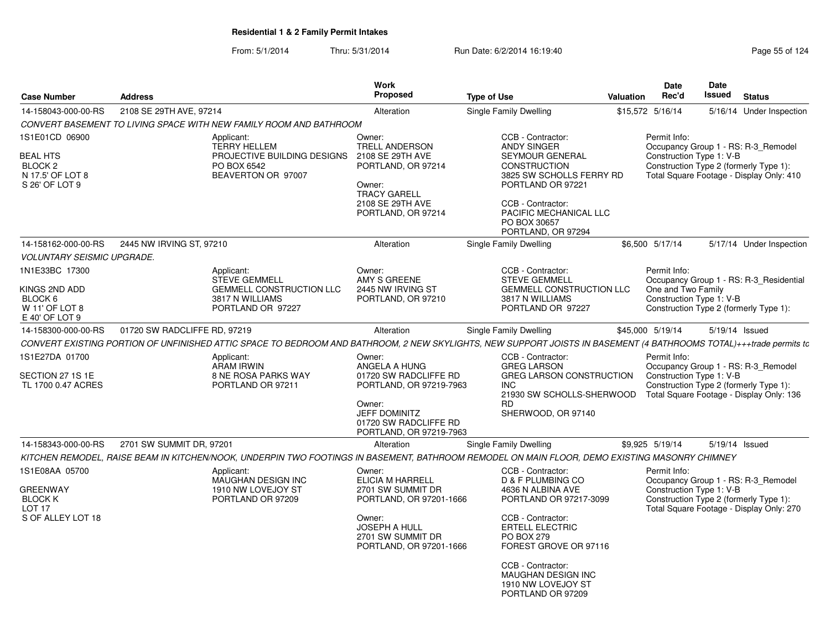| <b>Case Number</b>                                                                            | <b>Address</b>               |                                                                                                                                                                    | Work<br>Proposed                                                                                                                                                    | <b>Type of Use</b>                                                                                                                                                                                                                                             | <b>Valuation</b> | <b>Date</b><br>Rec'd                     | Date<br>Issued | <b>Status</b>                                                                                                             |
|-----------------------------------------------------------------------------------------------|------------------------------|--------------------------------------------------------------------------------------------------------------------------------------------------------------------|---------------------------------------------------------------------------------------------------------------------------------------------------------------------|----------------------------------------------------------------------------------------------------------------------------------------------------------------------------------------------------------------------------------------------------------------|------------------|------------------------------------------|----------------|---------------------------------------------------------------------------------------------------------------------------|
| 14-158043-000-00-RS                                                                           | 2108 SE 29TH AVE, 97214      |                                                                                                                                                                    | Alteration                                                                                                                                                          | Single Family Dwelling                                                                                                                                                                                                                                         |                  | \$15,572 5/16/14                         |                | 5/16/14 Under Inspection                                                                                                  |
|                                                                                               |                              | CONVERT BASEMENT TO LIVING SPACE WITH NEW FAMILY ROOM AND BATHROOM                                                                                                 |                                                                                                                                                                     |                                                                                                                                                                                                                                                                |                  |                                          |                |                                                                                                                           |
| 1S1E01CD 06900<br><b>BEAL HTS</b><br>BLOCK <sub>2</sub><br>N 17.5' OF LOT 8<br>S 26' OF LOT 9 |                              | Applicant:<br><b>TERRY HELLEM</b><br>PROJECTIVE BUILDING DESIGNS<br>PO BOX 6542<br>BEAVERTON OR 97007                                                              | Owner:<br>TRELL ANDERSON<br>2108 SE 29TH AVE<br>PORTLAND, OR 97214<br>Owner:<br><b>TRACY GARELL</b><br>2108 SE 29TH AVE<br>PORTLAND, OR 97214                       | CCB - Contractor:<br><b>ANDY SINGER</b><br>SEYMOUR GENERAL<br><b>CONSTRUCTION</b><br>3825 SW SCHOLLS FERRY RD<br>PORTLAND OR 97221<br>CCB - Contractor:<br>PACIFIC MECHANICAL LLC<br>PO BOX 30657<br>PORTLAND, OR 97294                                        |                  | Permit Info:<br>Construction Type 1: V-B |                | Occupancy Group 1 - RS: R-3_Remodel<br>Construction Type 2 (formerly Type 1):<br>Total Square Footage - Display Only: 410 |
| 14-158162-000-00-RS                                                                           | 2445 NW IRVING ST, 97210     |                                                                                                                                                                    | Alteration                                                                                                                                                          | <b>Single Family Dwelling</b>                                                                                                                                                                                                                                  |                  | \$6,500 5/17/14                          |                | 5/17/14 Under Inspection                                                                                                  |
| <b>VOLUNTARY SEISMIC UPGRADE.</b>                                                             |                              |                                                                                                                                                                    |                                                                                                                                                                     |                                                                                                                                                                                                                                                                |                  |                                          |                |                                                                                                                           |
| 1N1E33BC 17300<br>KINGS 2ND ADD                                                               |                              | Applicant:<br><b>STEVE GEMMELL</b><br>GEMMELL CONSTRUCTION LLC                                                                                                     | Owner:<br>AMY S GREENE<br>2445 NW IRVING ST                                                                                                                         | CCB - Contractor:<br><b>STEVE GEMMELL</b><br>GEMMELL CONSTRUCTION LLC                                                                                                                                                                                          |                  | Permit Info:<br>One and Two Family       |                | Occupancy Group 1 - RS: R-3_Residential                                                                                   |
| BLOCK 6<br>W 11' OF LOT 8<br>E 40' OF LOT 9                                                   |                              | 3817 N WILLIAMS<br>PORTLAND OR 97227                                                                                                                               | PORTLAND, OR 97210                                                                                                                                                  | 3817 N WILLIAMS<br>PORTLAND OR 97227                                                                                                                                                                                                                           |                  | Construction Type 1: V-B                 |                | Construction Type 2 (formerly Type 1):                                                                                    |
| 14-158300-000-00-RS                                                                           | 01720 SW RADCLIFFE RD, 97219 |                                                                                                                                                                    | Alteration                                                                                                                                                          | Single Family Dwelling                                                                                                                                                                                                                                         |                  | \$45,000 5/19/14                         |                | 5/19/14 Issued                                                                                                            |
|                                                                                               |                              | CONVERT EXISTING PORTION OF UNFINISHED ATTIC SPACE TO BEDROOM AND BATHROOM, 2 NEW SKYLIGHTS, NEW SUPPORT JOISTS IN BASEMENT (4 BATHROOMS TOTAL)+++trade permits to |                                                                                                                                                                     |                                                                                                                                                                                                                                                                |                  |                                          |                |                                                                                                                           |
| 1S1E27DA 01700<br>SECTION 27 1S 1E<br>TL 1700 0.47 ACRES                                      |                              | Applicant:<br><b>ARAM IRWIN</b><br><b>8 NE ROSA PARKS WAY</b><br>PORTLAND OR 97211                                                                                 | Owner:<br>ANGELA A HUNG<br>01720 SW RADCLIFFE RD<br>PORTLAND, OR 97219-7963<br>Owner:<br><b>JEFF DOMINITZ</b><br>01720 SW RADCLIFFE RD<br>PORTLAND, OR 97219-7963   | CCB - Contractor:<br><b>GREG LARSON</b><br><b>GREG LARSON CONSTRUCTION</b><br><b>INC</b><br>21930 SW SCHOLLS-SHERWOOD<br><b>RD</b><br>SHERWOOD, OR 97140                                                                                                       |                  | Permit Info:<br>Construction Type 1: V-B |                | Occupancy Group 1 - RS: R-3_Remodel<br>Construction Type 2 (formerly Type 1):<br>Total Square Footage - Display Only: 136 |
| 14-158343-000-00-RS                                                                           | 2701 SW SUMMIT DR, 97201     |                                                                                                                                                                    | Alteration                                                                                                                                                          | Single Family Dwelling                                                                                                                                                                                                                                         |                  | \$9,925 5/19/14                          |                | 5/19/14 Issued                                                                                                            |
|                                                                                               |                              | KITCHEN REMODEL, RAISE BEAM IN KITCHEN/NOOK, UNDERPIN TWO FOOTINGS IN BASEMENT, BATHROOM REMODEL ON MAIN FLOOR, DEMO EXISTING MASONRY CHIMNEY                      |                                                                                                                                                                     |                                                                                                                                                                                                                                                                |                  |                                          |                |                                                                                                                           |
| 1S1E08AA 05700<br><b>GREENWAY</b><br><b>BLOCK K</b><br><b>LOT 17</b><br>S OF ALLEY LOT 18     |                              | Applicant:<br><b>MAUGHAN DESIGN INC</b><br>1910 NW LOVEJOY ST<br>PORTLAND OR 97209                                                                                 | Owner:<br><b>ELICIA M HARRELL</b><br>2701 SW SUMMIT DR<br>PORTLAND, OR 97201-1666<br>Owner:<br><b>JOSEPH A HULL</b><br>2701 SW SUMMIT DR<br>PORTLAND, OR 97201-1666 | CCB - Contractor:<br><b>D &amp; F PLUMBING CO</b><br>4636 N ALBINA AVE<br>PORTLAND OR 97217-3099<br>CCB - Contractor:<br><b>ERTELL ELECTRIC</b><br>PO BOX 279<br>FOREST GROVE OR 97116<br>CCB - Contractor:<br><b>MAUGHAN DESIGN INC</b><br>1910 NW LOVEJOY ST |                  | Permit Info:<br>Construction Type 1: V-B |                | Occupancy Group 1 - RS: R-3 Remodel<br>Construction Type 2 (formerly Type 1):<br>Total Square Footage - Display Only: 270 |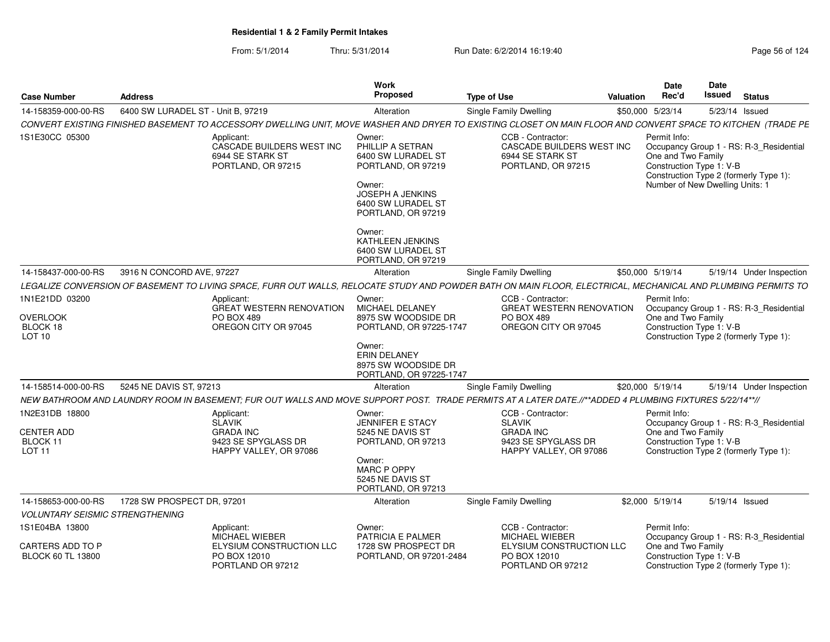| <b>Case Number</b>                                                 | <b>Address</b>                     |                                                                                                                                                               | Work<br>Proposed                                                                                                                                        | <b>Type of Use</b>         |                                                                                          | <b>Valuation</b> | <b>Date</b><br>Rec'd                                                                              | <b>Date</b><br>Issued | <b>Status</b>                                                                     |
|--------------------------------------------------------------------|------------------------------------|---------------------------------------------------------------------------------------------------------------------------------------------------------------|---------------------------------------------------------------------------------------------------------------------------------------------------------|----------------------------|------------------------------------------------------------------------------------------|------------------|---------------------------------------------------------------------------------------------------|-----------------------|-----------------------------------------------------------------------------------|
| 14-158359-000-00-RS                                                | 6400 SW LURADEL ST - Unit B, 97219 |                                                                                                                                                               | Alteration                                                                                                                                              | Single Family Dwelling     |                                                                                          |                  | \$50,000 5/23/14                                                                                  | 5/23/14 Issued        |                                                                                   |
|                                                                    |                                    | CONVERT EXISTING FINISHED BASEMENT TO ACCESSORY DWELLING UNIT, MOVE WASHER AND DRYER TO EXISTING CLOSET ON MAIN FLOOR AND CONVERT SPACE TO KITCHEN (TRADE PE  |                                                                                                                                                         |                            |                                                                                          |                  |                                                                                                   |                       |                                                                                   |
| 1S1E30CC 05300                                                     |                                    | Applicant:<br>CASCADE BUILDERS WEST INC<br>6944 SE STARK ST<br>PORTLAND, OR 97215                                                                             | Owner:<br>PHILLIP A SETRAN<br>6400 SW LURADEL ST<br>PORTLAND, OR 97219<br>Owner:<br>JOSEPH A JENKINS<br>6400 SW LURADEL ST<br>PORTLAND, OR 97219        |                            | CCB - Contractor:<br>CASCADE BUILDERS WEST INC<br>6944 SE STARK ST<br>PORTLAND, OR 97215 |                  | Permit Info:<br>One and Two Family<br>Construction Type 1: V-B<br>Number of New Dwelling Units: 1 |                       | Occupancy Group 1 - RS: R-3_Residential<br>Construction Type 2 (formerly Type 1): |
|                                                                    |                                    |                                                                                                                                                               | Owner:<br>KATHLEEN JENKINS<br>6400 SW LURADEL ST<br>PORTLAND, OR 97219                                                                                  |                            |                                                                                          |                  |                                                                                                   |                       |                                                                                   |
| 14-158437-000-00-RS                                                | 3916 N CONCORD AVE, 97227          |                                                                                                                                                               | Alteration                                                                                                                                              | Single Family Dwelling     |                                                                                          |                  | \$50,000 5/19/14                                                                                  |                       | 5/19/14 Under Inspection                                                          |
|                                                                    |                                    | LEGALIZE CONVERSION OF BASEMENT TO LIVING SPACE, FURR OUT WALLS, RELOCATE STUDY AND POWDER BATH ON MAIN FLOOR, ELECTRICAL, MECHANICAL AND PLUMBING PERMITS TO |                                                                                                                                                         |                            |                                                                                          |                  |                                                                                                   |                       |                                                                                   |
| 1N1E21DD 03200<br><b>OVERLOOK</b><br>BLOCK 18<br>LOT <sub>10</sub> |                                    | Applicant:<br><b>GREAT WESTERN RENOVATION</b><br><b>PO BOX 489</b><br>OREGON CITY OR 97045                                                                    | Owner:<br>MICHAEL DELANEY<br>8975 SW WOODSIDE DR<br>PORTLAND, OR 97225-1747<br>Owner:<br>ERIN DELANEY<br>8975 SW WOODSIDE DR<br>PORTLAND, OR 97225-1747 | <b>PO BOX 489</b>          | CCB - Contractor:<br><b>GREAT WESTERN RENOVATION</b><br>OREGON CITY OR 97045             |                  | Permit Info:<br>One and Two Family<br>Construction Type 1: V-B                                    |                       | Occupancy Group 1 - RS: R-3 Residential<br>Construction Type 2 (formerly Type 1): |
| 14-158514-000-00-RS                                                | 5245 NE DAVIS ST, 97213            |                                                                                                                                                               | Alteration                                                                                                                                              | Single Family Dwelling     |                                                                                          |                  | \$20,000 5/19/14                                                                                  |                       | 5/19/14 Under Inspection                                                          |
|                                                                    |                                    | NEW BATHROOM AND LAUNDRY ROOM IN BASEMENT; FUR OUT WALLS AND MOVE SUPPORT POST. TRADE PERMITS AT A LATER DATE.//**ADDED 4 PLUMBING FIXTURES 5/22/14**//       |                                                                                                                                                         |                            |                                                                                          |                  |                                                                                                   |                       |                                                                                   |
| 1N2E31DB 18800<br>CENTER ADD<br>BLOCK 11<br>LOT <sub>11</sub>      |                                    | Applicant:<br><b>SLAVIK</b><br><b>GRADA INC</b><br>9423 SE SPYGLASS DR<br>HAPPY VALLEY, OR 97086                                                              | Owner:<br>JENNIFER E STACY<br>5245 NE DAVIS ST<br>PORTLAND, OR 97213<br>Owner:<br><b>MARC P OPPY</b><br>5245 NE DAVIS ST<br>PORTLAND, OR 97213          | SLAVIK<br><b>GRADA INC</b> | CCB - Contractor:<br>9423 SE SPYGLASS DR<br>HAPPY VALLEY, OR 97086                       |                  | Permit Info:<br>One and Two Family<br>Construction Type 1: V-B                                    |                       | Occupancy Group 1 - RS: R-3_Residential<br>Construction Type 2 (formerly Type 1): |
| 14-158653-000-00-RS                                                | 1728 SW PROSPECT DR, 97201         |                                                                                                                                                               | Alteration                                                                                                                                              | Single Family Dwelling     |                                                                                          |                  | \$2,000 5/19/14                                                                                   | 5/19/14 Issued        |                                                                                   |
| <b>VOLUNTARY SEISMIC STRENGTHENING</b>                             |                                    |                                                                                                                                                               |                                                                                                                                                         |                            |                                                                                          |                  |                                                                                                   |                       |                                                                                   |
| 1S1E04BA 13800                                                     |                                    | Applicant:<br>MICHAEL WIEBER                                                                                                                                  | Owner:<br>PATRICIA E PALMER                                                                                                                             |                            | CCB - Contractor:<br>MICHAEL WIEBER                                                      |                  | Permit Info:                                                                                      |                       | Occupancy Group 1 - RS: R-3_Residential                                           |
| CARTERS ADD TO P<br><b>BLOCK 60 TL 13800</b>                       |                                    | ELYSIUM CONSTRUCTION LLC<br>PO BOX 12010<br>PORTLAND OR 97212                                                                                                 | 1728 SW PROSPECT DR<br>PORTLAND, OR 97201-2484                                                                                                          |                            | ELYSIUM CONSTRUCTION LLC<br>PO BOX 12010<br>PORTLAND OR 97212                            |                  | One and Two Family<br>Construction Type 1: V-B                                                    |                       | Construction Type 2 (formerly Type 1):                                            |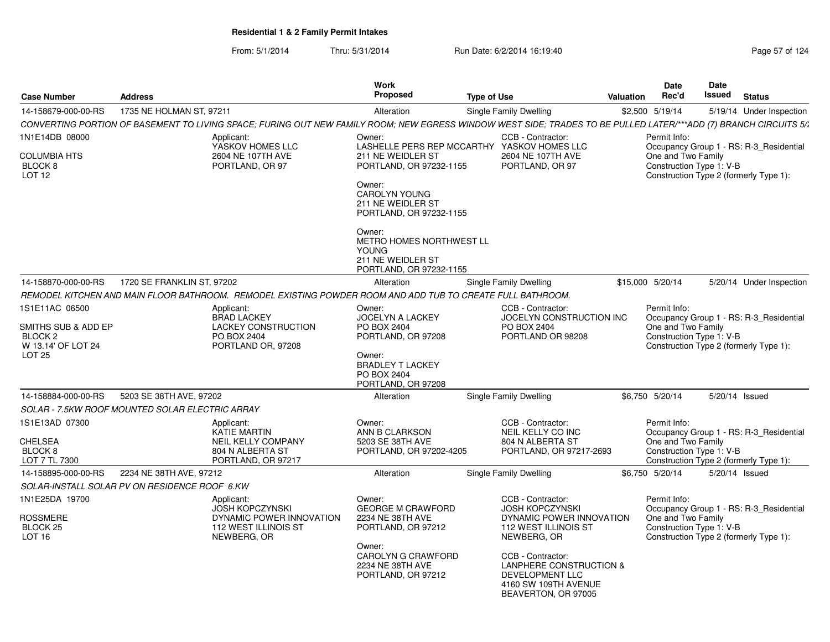| <b>Case Number</b>                                                                          | <b>Address</b>                                  |                                                                                                                                                                   | <b>Work</b><br><b>Proposed</b>                                                                                                                                                          | <b>Type of Use</b> |                                                                                                                                                                                                                                                    | <b>Valuation</b> | <b>Date</b><br>Rec'd                                           | <b>Date</b><br>Issued | <b>Status</b>                                                                     |
|---------------------------------------------------------------------------------------------|-------------------------------------------------|-------------------------------------------------------------------------------------------------------------------------------------------------------------------|-----------------------------------------------------------------------------------------------------------------------------------------------------------------------------------------|--------------------|----------------------------------------------------------------------------------------------------------------------------------------------------------------------------------------------------------------------------------------------------|------------------|----------------------------------------------------------------|-----------------------|-----------------------------------------------------------------------------------|
| 14-158679-000-00-RS                                                                         | 1735 NE HOLMAN ST, 97211                        |                                                                                                                                                                   | Alteration                                                                                                                                                                              |                    | Single Family Dwelling                                                                                                                                                                                                                             |                  | \$2,500 5/19/14                                                |                       | 5/19/14 Under Inspection                                                          |
|                                                                                             |                                                 | CONVERTING PORTION OF BASEMENT TO LIVING SPACE; FURING OUT NEW FAMILY ROOM; NEW EGRESS WINDOW WEST SIDE; TRADES TO BE PULLED LATER/***ADD (7) BRANCH CIRCUITS 5/1 |                                                                                                                                                                                         |                    |                                                                                                                                                                                                                                                    |                  |                                                                |                       |                                                                                   |
| 1N1E14DB 08000<br><b>COLUMBIA HTS</b><br>BLOCK 8<br>LOT <sub>12</sub>                       |                                                 | Applicant:<br>YASKOV HOMES LLC<br>2604 NE 107TH AVE<br>PORTLAND, OR 97                                                                                            | Owner:<br>LASHELLE PERS REP MCCARTHY YASKOV HOMES LLC<br>211 NE WEIDLER ST<br>PORTLAND, OR 97232-1155<br>Owner:<br><b>CAROLYN YOUNG</b><br>211 NE WEIDLER ST<br>PORTLAND, OR 97232-1155 |                    | CCB - Contractor:<br>2604 NE 107TH AVE<br>PORTLAND, OR 97                                                                                                                                                                                          |                  | Permit Info:<br>One and Two Family<br>Construction Type 1: V-B |                       | Occupancy Group 1 - RS: R-3_Residential<br>Construction Type 2 (formerly Type 1): |
|                                                                                             |                                                 |                                                                                                                                                                   | Owner:<br>METRO HOMES NORTHWEST LL<br><b>YOUNG</b><br>211 NE WEIDLER ST<br>PORTLAND, OR 97232-1155                                                                                      |                    |                                                                                                                                                                                                                                                    |                  |                                                                |                       |                                                                                   |
| 14-158870-000-00-RS                                                                         | 1720 SE FRANKLIN ST, 97202                      |                                                                                                                                                                   | Alteration                                                                                                                                                                              |                    | <b>Single Family Dwelling</b>                                                                                                                                                                                                                      |                  | \$15,000 5/20/14                                               |                       | 5/20/14 Under Inspection                                                          |
|                                                                                             |                                                 | REMODEL KITCHEN AND MAIN FLOOR BATHROOM. REMODEL EXISTING POWDER ROOM AND ADD TUB TO CREATE FULL BATHROOM.                                                        |                                                                                                                                                                                         |                    |                                                                                                                                                                                                                                                    |                  |                                                                |                       |                                                                                   |
| 1S1E11AC 06500<br>SMITHS SUB & ADD EP<br>BLOCK <sub>2</sub><br>W 13.14' OF LOT 24<br>LOT 25 |                                                 | Applicant:<br><b>BRAD LACKEY</b><br><b>LACKEY CONSTRUCTION</b><br>PO BOX 2404<br>PORTLAND OR, 97208                                                               | Owner:<br><b>JOCELYN A LACKEY</b><br>PO BOX 2404<br>PORTLAND, OR 97208<br>Owner:<br><b>BRADLEY T LACKEY</b><br>PO BOX 2404<br>PORTLAND, OR 97208                                        |                    | CCB - Contractor:<br>JOCELYN CONSTRUCTION INC<br>PO BOX 2404<br>PORTLAND OR 98208                                                                                                                                                                  |                  | Permit Info:<br>One and Two Family<br>Construction Type 1: V-B |                       | Occupancy Group 1 - RS: R-3_Residential<br>Construction Type 2 (formerly Type 1): |
| 14-158884-000-00-RS                                                                         | 5203 SE 38TH AVE, 97202                         |                                                                                                                                                                   | Alteration                                                                                                                                                                              |                    | Single Family Dwelling                                                                                                                                                                                                                             |                  | \$6.750 5/20/14                                                | 5/20/14 Issued        |                                                                                   |
|                                                                                             | SOLAR - 7.5KW ROOF MOUNTED SOLAR ELECTRIC ARRAY |                                                                                                                                                                   |                                                                                                                                                                                         |                    |                                                                                                                                                                                                                                                    |                  |                                                                |                       |                                                                                   |
| 1S1E13AD 07300<br><b>CHELSEA</b><br>BLOCK <sub>8</sub><br>LOT 7 TL 7300                     |                                                 | Applicant:<br>KATIE MARTIN<br><b>NEIL KELLY COMPANY</b><br>804 N ALBERTA ST<br>PORTLAND, OR 97217                                                                 | Owner:<br>ANN B CLARKSON<br>5203 SE 38TH AVE<br>PORTLAND, OR 97202-4205                                                                                                                 |                    | CCB - Contractor:<br>NEIL KELLY CO INC<br>804 N ALBERTA ST<br>PORTLAND, OR 97217-2693                                                                                                                                                              |                  | Permit Info:<br>One and Two Family<br>Construction Type 1: V-B |                       | Occupancy Group 1 - RS: R-3_Residential<br>Construction Type 2 (formerly Type 1): |
| 14-158895-000-00-RS                                                                         | 2234 NE 38TH AVE, 97212                         |                                                                                                                                                                   | Alteration                                                                                                                                                                              |                    | <b>Single Family Dwelling</b>                                                                                                                                                                                                                      |                  | \$6,750 5/20/14                                                | 5/20/14 Issued        |                                                                                   |
|                                                                                             | SOLAR-INSTALL SOLAR PV ON RESIDENCE ROOF 6.KW   |                                                                                                                                                                   |                                                                                                                                                                                         |                    |                                                                                                                                                                                                                                                    |                  |                                                                |                       |                                                                                   |
| 1N1E25DA 19700<br><b>ROSSMERE</b><br>BLOCK <sub>25</sub><br>LOT <sub>16</sub>               |                                                 | Applicant:<br><b>JOSH KOPCZYNSKI</b><br>DYNAMIC POWER INNOVATION<br>112 WEST ILLINOIS ST<br>NEWBERG, OR                                                           | Owner:<br><b>GEORGE M CRAWFORD</b><br>2234 NE 38TH AVE<br>PORTLAND, OR 97212<br>Owner:<br>CAROLYN G CRAWFORD<br>2234 NE 38TH AVE<br>PORTLAND, OR 97212                                  |                    | CCB - Contractor:<br><b>JOSH KOPCZYNSKI</b><br>DYNAMIC POWER INNOVATION<br>112 WEST ILLINOIS ST<br>NEWBERG, OR<br>CCB - Contractor:<br><b>LANPHERE CONSTRUCTION &amp;</b><br><b>DEVELOPMENT LLC</b><br>4160 SW 109TH AVENUE<br>BEAVERTON, OR 97005 |                  | Permit Info:<br>One and Two Family<br>Construction Type 1: V-B |                       | Occupancy Group 1 - RS: R-3 Residential<br>Construction Type 2 (formerly Type 1): |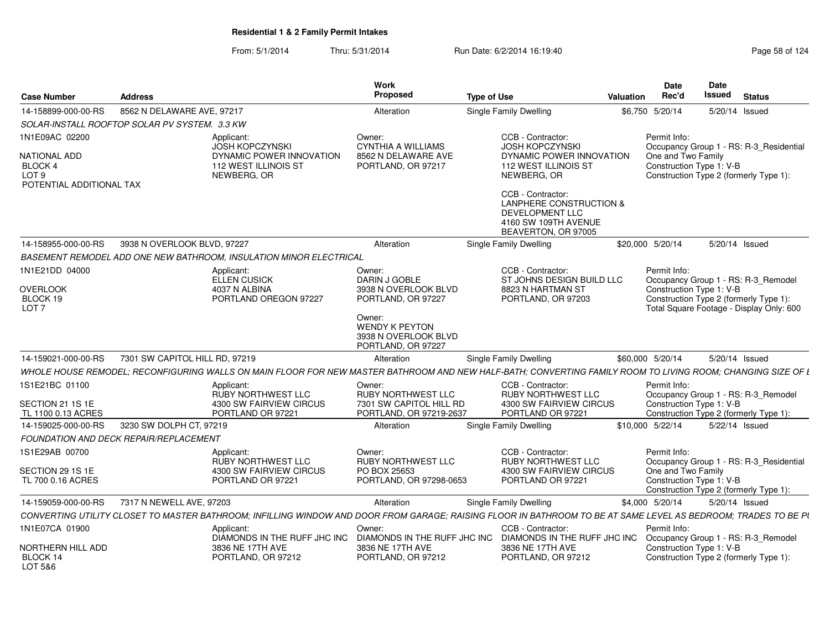| <b>Case Number</b>                                           | <b>Address</b>                                                                                                                                                                                | Work<br><b>Proposed</b>                                                | <b>Type of Use</b>                                                                                                        | Valuation        | Date<br>Date<br>Rec'd<br>Issued<br><b>Status</b>                                                                                    |
|--------------------------------------------------------------|-----------------------------------------------------------------------------------------------------------------------------------------------------------------------------------------------|------------------------------------------------------------------------|---------------------------------------------------------------------------------------------------------------------------|------------------|-------------------------------------------------------------------------------------------------------------------------------------|
| 14-158899-000-00-RS                                          | 8562 N DELAWARE AVE, 97217                                                                                                                                                                    | Alteration                                                             | <b>Single Family Dwelling</b>                                                                                             | \$6,750 5/20/14  | 5/20/14 Issued                                                                                                                      |
|                                                              | SOLAR-INSTALL ROOFTOP SOLAR PV SYSTEM. 3.3 KW                                                                                                                                                 |                                                                        |                                                                                                                           |                  |                                                                                                                                     |
| 1N1E09AC 02200                                               | Applicant:                                                                                                                                                                                    | Owner:                                                                 | CCB - Contractor:                                                                                                         |                  | Permit Info:                                                                                                                        |
| NATIONAL ADD<br>BLOCK 4<br>LOT 9<br>POTENTIAL ADDITIONAL TAX | <b>JOSH KOPCZYNSKI</b><br>DYNAMIC POWER INNOVATION<br>112 WEST ILLINOIS ST<br>NEWBERG, OR                                                                                                     | <b>CYNTHIA A WILLIAMS</b><br>8562 N DELAWARE AVE<br>PORTLAND, OR 97217 | <b>JOSH KOPCZYNSKI</b><br>DYNAMIC POWER INNOVATION<br>112 WEST ILLINOIS ST<br>NEWBERG, OR                                 |                  | Occupancy Group 1 - RS: R-3 Residential<br>One and Two Family<br>Construction Type 1: V-B<br>Construction Type 2 (formerly Type 1): |
|                                                              |                                                                                                                                                                                               |                                                                        | CCB - Contractor:<br><b>LANPHERE CONSTRUCTION &amp;</b><br>DEVELOPMENT LLC<br>4160 SW 109TH AVENUE<br>BEAVERTON, OR 97005 |                  |                                                                                                                                     |
|                                                              | 14-158955-000-00-RS 3938 N OVERLOOK BLVD, 97227                                                                                                                                               | Alteration                                                             | <b>Single Family Dwelling</b>                                                                                             | \$20,000 5/20/14 | 5/20/14 Issued                                                                                                                      |
|                                                              | BASEMENT REMODEL ADD ONE NEW BATHROOM, INSULATION MINOR ELECTRICAL                                                                                                                            |                                                                        |                                                                                                                           |                  |                                                                                                                                     |
| 1N1E21DD 04000                                               | Applicant:<br>ELLEN CUSICK                                                                                                                                                                    | Owner:<br>DARIN J GOBLE                                                | CCB - Contractor:<br>ST JOHNS DESIGN BUILD LLC                                                                            |                  | Permit Info:<br>Occupancy Group 1 - RS: R-3_Remodel                                                                                 |
| <b>OVERLOOK</b><br>BLOCK 19<br>LOT <sub>7</sub>              | 4037 N ALBINA<br>PORTLAND OREGON 97227                                                                                                                                                        | 3938 N OVERLOOK BLVD<br>PORTLAND, OR 97227                             | 8823 N HARTMAN ST<br>PORTLAND, OR 97203                                                                                   |                  | Construction Type 1: V-B<br>Construction Type 2 (formerly Type 1):<br>Total Square Footage - Display Only: 600                      |
|                                                              |                                                                                                                                                                                               | Owner:<br>WENDY K PEYTON<br>3938 N OVERLOOK BLVD<br>PORTLAND, OR 97227 |                                                                                                                           |                  |                                                                                                                                     |
| 14-159021-000-00-RS                                          | 7301 SW CAPITOL HILL RD, 97219<br>WHOLE HOUSE REMODEL; RECONFIGURING WALLS ON MAIN FLOOR FOR NEW MASTER BATHROOM AND NEW HALF-BATH; CONVERTING FAMILY ROOM TO LIVING ROOM; CHANGING SIZE OF I | Alteration                                                             | <b>Single Family Dwelling</b>                                                                                             | \$60,000 5/20/14 | 5/20/14 Issued                                                                                                                      |
| 1S1E21BC 01100                                               | Applicant:<br><b>RUBY NORTHWEST LLC</b>                                                                                                                                                       | Owner:<br>RUBY NORTHWEST LLC                                           | CCB - Contractor:<br><b>RUBY NORTHWEST LLC</b>                                                                            |                  | Permit Info:<br>Occupancy Group 1 - RS: R-3_Remodel                                                                                 |
| SECTION 21 1S 1E<br>TL 1100 0.13 ACRES                       | 4300 SW FAIRVIEW CIRCUS<br>PORTLAND OR 97221                                                                                                                                                  | 7301 SW CAPITOL HILL RD<br>PORTLAND, OR 97219-2637                     | 4300 SW FAIRVIEW CIRCUS<br>PORTLAND OR 97221                                                                              |                  | Construction Type 1: V-B<br>Construction Type 2 (formerly Type 1):                                                                  |
| 14-159025-000-00-RS                                          | 3230 SW DOLPH CT, 97219                                                                                                                                                                       | Alteration                                                             | <b>Single Family Dwelling</b>                                                                                             | \$10,000 5/22/14 | 5/22/14 Issued                                                                                                                      |
|                                                              | <b>FOUNDATION AND DECK REPAIR/REPLACEMENT</b>                                                                                                                                                 |                                                                        |                                                                                                                           |                  |                                                                                                                                     |
| 1S1E29AB 00700                                               | Applicant:<br><b>RUBY NORTHWEST LLC</b>                                                                                                                                                       | Owner:<br><b>RUBY NORTHWEST LLC</b>                                    | CCB - Contractor:<br>RUBY NORTHWEST LLC                                                                                   |                  | Permit Info:<br>Occupancy Group 1 - RS: R-3_Residential                                                                             |
| SECTION 29 1S 1E<br>TL 700 0.16 ACRES                        | 4300 SW FAIRVIEW CIRCUS<br>PORTLAND OR 97221                                                                                                                                                  | PO BOX 25653<br>PORTLAND, OR 97298-0653                                | 4300 SW FAIRVIEW CIRCUS<br>PORTLAND OR 97221                                                                              |                  | One and Two Family<br>Construction Type 1: V-B<br>Construction Type 2 (formerly Type 1):                                            |
|                                                              | 14-159059-000-00-RS 7317 N NEWELL AVE. 97203                                                                                                                                                  | Alteration                                                             | <b>Single Family Dwelling</b>                                                                                             | \$4,000 5/20/14  | 5/20/14 Issued                                                                                                                      |
|                                                              | CONVERTING UTILITY CLOSET TO MASTER BATHROOM; INFILLING WINDOW AND DOOR FROM GARAGE; RAISING FLOOR IN BATHROOM TO BE AT SAME LEVEL AS BEDROOM; TRADES TO BE PL                                |                                                                        |                                                                                                                           |                  |                                                                                                                                     |
| 1N1E07CA 01900                                               | Applicant:                                                                                                                                                                                    | Owner:<br>DIAMONDS IN THE RUFF JHC INC DIAMONDS IN THE RUFF JHC INC    | CCB - Contractor:                                                                                                         |                  | Permit Info:<br>DIAMONDS IN THE RUFF JHC INC Occupancy Group 1 - RS: R-3_Remodel                                                    |
| NORTHERN HILL ADD<br>BLOCK 14<br>LOT 5&6                     | 3836 NE 17TH AVE<br>PORTLAND, OR 97212                                                                                                                                                        | 3836 NE 17TH AVE<br>PORTLAND, OR 97212                                 | 3836 NE 17TH AVE<br>PORTLAND, OR 97212                                                                                    |                  | Construction Type 1: V-B<br>Construction Type 2 (formerly Type 1):                                                                  |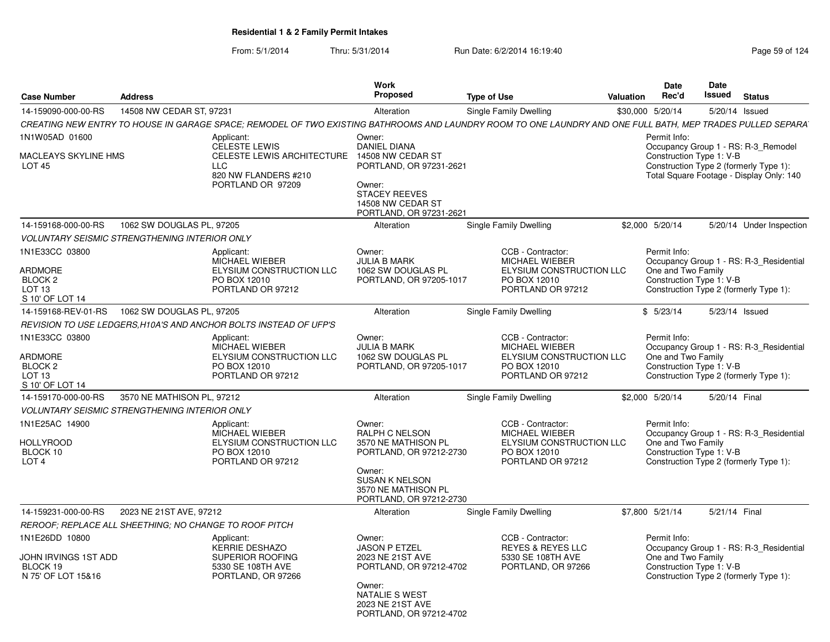| <b>Case Number</b>                                                                             | <b>Address</b>             |                                                                                                                                                             | <b>Work</b><br>Proposed                                                                                                                                                | <b>Type of Use</b>                                                                                          | Valuation | Date<br>Rec'd                                                  | Date<br><b>Issued</b> | <b>Status</b>                                                                                                             |
|------------------------------------------------------------------------------------------------|----------------------------|-------------------------------------------------------------------------------------------------------------------------------------------------------------|------------------------------------------------------------------------------------------------------------------------------------------------------------------------|-------------------------------------------------------------------------------------------------------------|-----------|----------------------------------------------------------------|-----------------------|---------------------------------------------------------------------------------------------------------------------------|
| 14-159090-000-00-RS                                                                            | 14508 NW CEDAR ST, 97231   |                                                                                                                                                             | Alteration                                                                                                                                                             | <b>Single Family Dwelling</b>                                                                               |           | \$30,000 5/20/14                                               |                       | 5/20/14 Issued                                                                                                            |
|                                                                                                |                            | CREATING NEW ENTRY TO HOUSE IN GARAGE SPACE; REMODEL OF TWO EXISTING BATHROOMS AND LAUNDRY ROOM TO ONE LAUNDRY AND ONE FULL BATH, MEP TRADES PULLED SEPARA' |                                                                                                                                                                        |                                                                                                             |           |                                                                |                       |                                                                                                                           |
| 1N1W05AD 01600<br><b>MACLEAYS SKYLINE HMS</b><br><b>LOT 45</b>                                 |                            | Applicant:<br><b>CELESTE LEWIS</b><br>CELESTE LEWIS ARCHITECTURE 14508 NW CEDAR ST<br><b>LLC</b><br>820 NW FLANDERS #210<br>PORTLAND OR 97209               | Owner:<br><b>DANIEL DIANA</b><br>PORTLAND, OR 97231-2621<br>Owner:<br><b>STACEY REEVES</b><br>14508 NW CEDAR ST<br>PORTLAND, OR 97231-2621                             |                                                                                                             |           | Permit Info:<br>Construction Type 1: V-B                       |                       | Occupancy Group 1 - RS: R-3 Remodel<br>Construction Type 2 (formerly Type 1):<br>Total Square Footage - Display Only: 140 |
| 14-159168-000-00-RS                                                                            | 1062 SW DOUGLAS PL, 97205  |                                                                                                                                                             | Alteration                                                                                                                                                             | <b>Single Family Dwelling</b>                                                                               |           | \$2.000 5/20/14                                                |                       | 5/20/14 Under Inspection                                                                                                  |
| <b>VOLUNTARY SEISMIC STRENGTHENING INTERIOR ONLY</b>                                           |                            |                                                                                                                                                             |                                                                                                                                                                        |                                                                                                             |           |                                                                |                       |                                                                                                                           |
| 1N1E33CC 03800<br><b>ARDMORE</b><br>BLOCK <sub>2</sub><br>LOT <sub>13</sub><br>S 10' OF LOT 14 |                            | Applicant:<br>MICHAEL WIEBER<br>ELYSIUM CONSTRUCTION LLC<br>PO BOX 12010<br>PORTLAND OR 97212                                                               | Owner:<br><b>JULIA B MARK</b><br>1062 SW DOUGLAS PL<br>PORTLAND, OR 97205-1017                                                                                         | CCB - Contractor:<br><b>MICHAEL WIEBER</b><br>ELYSIUM CONSTRUCTION LLC<br>PO BOX 12010<br>PORTLAND OR 97212 |           | Permit Info:<br>One and Two Family<br>Construction Type 1: V-B |                       | Occupancy Group 1 - RS: R-3 Residential<br>Construction Type 2 (formerly Type 1):                                         |
| 14-159168-REV-01-RS                                                                            | 1062 SW DOUGLAS PL, 97205  |                                                                                                                                                             | Alteration                                                                                                                                                             | Single Family Dwelling                                                                                      |           | \$5/23/14                                                      |                       | 5/23/14 Issued                                                                                                            |
|                                                                                                |                            | REVISION TO USE LEDGERS.H10A'S AND ANCHOR BOLTS INSTEAD OF UFP'S                                                                                            |                                                                                                                                                                        |                                                                                                             |           |                                                                |                       |                                                                                                                           |
| 1N1E33CC 03800<br><b>ARDMORE</b><br>BLOCK <sub>2</sub><br>LOT 13<br>S 10' OF LOT 14            |                            | Applicant:<br><b>MICHAEL WIEBER</b><br>ELYSIUM CONSTRUCTION LLC<br>PO BOX 12010<br>PORTLAND OR 97212                                                        | Owner:<br><b>JULIA B MARK</b><br>1062 SW DOUGLAS PL<br>PORTLAND, OR 97205-1017                                                                                         | CCB - Contractor:<br>MICHAEL WIEBER<br>ELYSIUM CONSTRUCTION LLC<br>PO BOX 12010<br>PORTLAND OR 97212        |           | Permit Info:<br>One and Two Family<br>Construction Type 1: V-B |                       | Occupancy Group 1 - RS: R-3_Residential<br>Construction Type 2 (formerly Type 1):                                         |
| 14-159170-000-00-RS                                                                            | 3570 NE MATHISON PL, 97212 |                                                                                                                                                             | Alteration                                                                                                                                                             | <b>Single Family Dwelling</b>                                                                               |           | \$2,000 5/20/14                                                | 5/20/14 Final         |                                                                                                                           |
| <b>VOLUNTARY SEISMIC STRENGTHENING INTERIOR ONLY</b>                                           |                            |                                                                                                                                                             |                                                                                                                                                                        |                                                                                                             |           |                                                                |                       |                                                                                                                           |
| 1N1E25AC 14900<br><b>HOLLYROOD</b><br>BLOCK 10<br>LOT <sub>4</sub>                             |                            | Applicant:<br>MICHAEL WIEBER<br>ELYSIUM CONSTRUCTION LLC<br>PO BOX 12010<br>PORTLAND OR 97212                                                               | Owner:<br><b>RALPH C NELSON</b><br>3570 NE MATHISON PL<br>PORTLAND, OR 97212-2730<br>Owner:<br><b>SUSAN K NELSON</b><br>3570 NE MATHISON PL<br>PORTLAND, OR 97212-2730 | CCB - Contractor:<br><b>MICHAEL WIEBER</b><br>ELYSIUM CONSTRUCTION LLC<br>PO BOX 12010<br>PORTLAND OR 97212 |           | Permit Info:<br>One and Two Family<br>Construction Type 1: V-B |                       | Occupancy Group 1 - RS: R-3_Residential<br>Construction Type 2 (formerly Type 1):                                         |
| 14-159231-000-00-RS                                                                            | 2023 NE 21ST AVE, 97212    |                                                                                                                                                             | Alteration                                                                                                                                                             | Single Family Dwelling                                                                                      |           | \$7,800 5/21/14                                                | 5/21/14 Final         |                                                                                                                           |
| REROOF; REPLACE ALL SHEETHING; NO CHANGE TO ROOF PITCH                                         |                            |                                                                                                                                                             |                                                                                                                                                                        |                                                                                                             |           |                                                                |                       |                                                                                                                           |
| 1N1E26DD 10800<br>JOHN IRVINGS 1ST ADD<br>BLOCK 19<br>N 75' OF LOT 15&16                       |                            | Applicant:<br><b>KERRIE DESHAZO</b><br>SUPERIOR ROOFING<br>5330 SE 108TH AVE<br>PORTLAND, OR 97266                                                          | Owner:<br><b>JASON P ETZEL</b><br>2023 NE 21ST AVE<br>PORTLAND, OR 97212-4702<br>Owner:<br>NATALIE S WEST<br>2023 NE 21ST AVE<br>PORTLAND, OR 97212-4702               | CCB - Contractor:<br><b>REYES &amp; REYES LLC</b><br>5330 SE 108TH AVE<br>PORTLAND, OR 97266                |           | Permit Info:<br>One and Two Family<br>Construction Type 1: V-B |                       | Occupancy Group 1 - RS: R-3_Residential<br>Construction Type 2 (formerly Type 1):                                         |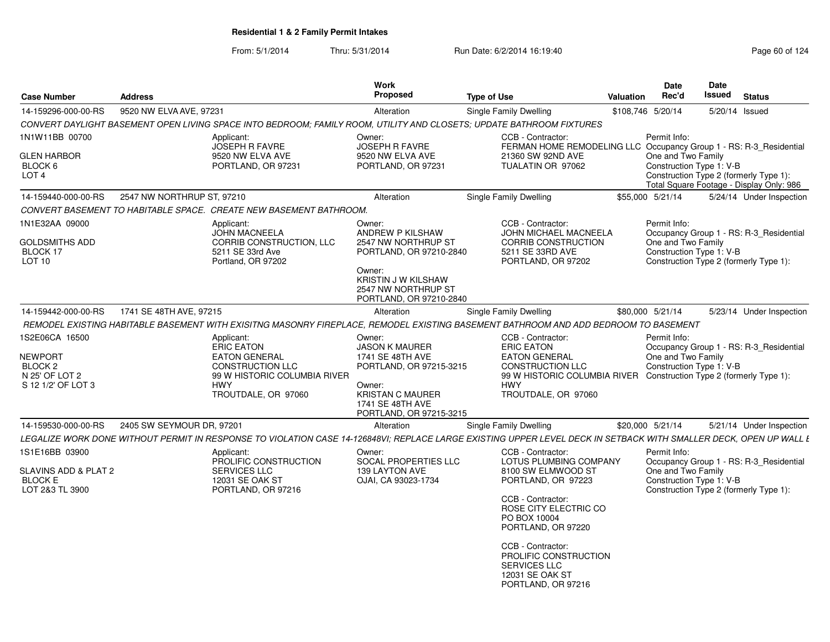|                                          |                                                |                                                                    | Work                                   |                                                                                                                                                                   | Date               | Date                                                               |
|------------------------------------------|------------------------------------------------|--------------------------------------------------------------------|----------------------------------------|-------------------------------------------------------------------------------------------------------------------------------------------------------------------|--------------------|--------------------------------------------------------------------|
| <b>Case Number</b>                       | <b>Address</b>                                 |                                                                    | Proposed                               | <b>Type of Use</b>                                                                                                                                                | Rec'd<br>Valuation | <b>Issued</b><br><b>Status</b>                                     |
| 14-159296-000-00-RS                      | 9520 NW ELVA AVE, 97231                        |                                                                    | Alteration                             | <b>Single Family Dwelling</b>                                                                                                                                     | \$108,746 5/20/14  | 5/20/14 Issued                                                     |
|                                          |                                                |                                                                    |                                        | CONVERT DAYLIGHT BASEMENT OPEN LIVING SPACE INTO BEDROOM; FAMILY ROOM, UTILITY AND CLOSETS; UPDATE BATHROOM FIXTURES                                              |                    |                                                                    |
| 1N1W11BB 00700                           |                                                | Applicant:                                                         | Owner:                                 | CCB - Contractor:                                                                                                                                                 | Permit Info:       |                                                                    |
|                                          |                                                | JOSEPH R FAVRE                                                     | <b>JOSEPH R FAVRE</b>                  | FERMAN HOME REMODELING LLC Occupancy Group 1 - RS: R-3_Residential                                                                                                |                    |                                                                    |
| <b>GLEN HARBOR</b><br>BLOCK <sub>6</sub> |                                                | 9520 NW ELVA AVE<br>PORTLAND, OR 97231                             | 9520 NW ELVA AVE<br>PORTLAND, OR 97231 | 21360 SW 92ND AVE<br>TUALATIN OR 97062                                                                                                                            | One and Two Family | Construction Type 1: V-B                                           |
| LOT <sub>4</sub>                         |                                                |                                                                    |                                        |                                                                                                                                                                   |                    | Construction Type 2 (formerly Type 1):                             |
|                                          |                                                |                                                                    |                                        |                                                                                                                                                                   |                    | Total Square Footage - Display Only: 986                           |
| 14-159440-000-00-RS                      | 2547 NW NORTHRUP ST, 97210                     |                                                                    | Alteration                             | <b>Single Family Dwelling</b>                                                                                                                                     | \$55,000 5/21/14   | 5/24/14 Under Inspection                                           |
|                                          |                                                | CONVERT BASEMENT TO HABITABLE SPACE. CREATE NEW BASEMENT BATHROOM. |                                        |                                                                                                                                                                   |                    |                                                                    |
| 1N1E32AA 09000                           |                                                | Applicant:                                                         | Owner:                                 | CCB - Contractor:                                                                                                                                                 | Permit Info:       |                                                                    |
|                                          |                                                | <b>JOHN MACNEELA</b>                                               | ANDREW P KILSHAW                       | JOHN MICHAEL MACNEELA                                                                                                                                             |                    | Occupancy Group 1 - RS: R-3 Residential                            |
| <b>GOLDSMITHS ADD</b>                    |                                                | CORRIB CONSTRUCTION, LLC                                           | 2547 NW NORTHRUP ST                    | <b>CORRIB CONSTRUCTION</b>                                                                                                                                        | One and Two Family |                                                                    |
| BLOCK 17                                 |                                                | 5211 SE 33rd Ave                                                   | PORTLAND, OR 97210-2840                | 5211 SE 33RD AVE                                                                                                                                                  |                    | Construction Type 1: V-B                                           |
| <b>LOT 10</b>                            |                                                | Portland, OR 97202                                                 | Owner:                                 | PORTLAND, OR 97202                                                                                                                                                |                    | Construction Type 2 (formerly Type 1):                             |
|                                          |                                                |                                                                    | KRISTIN J W KILSHAW                    |                                                                                                                                                                   |                    |                                                                    |
|                                          |                                                |                                                                    | 2547 NW NORTHRUP ST                    |                                                                                                                                                                   |                    |                                                                    |
|                                          |                                                |                                                                    | PORTLAND, OR 97210-2840                |                                                                                                                                                                   |                    |                                                                    |
|                                          | 14-159442-000-00-RS    1741 SE 48TH AVE, 97215 |                                                                    | Alteration                             | Single Family Dwelling                                                                                                                                            | \$80,000 5/21/14   | 5/23/14 Under Inspection                                           |
|                                          |                                                |                                                                    |                                        | REMODEL EXISTING HABITABLE BASEMENT WITH EXISITNG MASONRY FIREPLACE, REMODEL EXISTING BASEMENT BATHROOM AND ADD BEDROOM TO BASEMENT                               |                    |                                                                    |
| 1S2E06CA 16500                           |                                                | Applicant:                                                         | Owner:                                 | CCB - Contractor:                                                                                                                                                 | Permit Info:       |                                                                    |
|                                          |                                                | ERIC EATON                                                         | <b>JASON K MAURER</b>                  | <b>ERIC EATON</b>                                                                                                                                                 |                    | Occupancy Group 1 - RS: R-3_Residential                            |
| NEWPORT                                  |                                                | <b>EATON GENERAL</b>                                               | 1741 SE 48TH AVE                       | <b>EATON GENERAL</b>                                                                                                                                              | One and Two Family |                                                                    |
| BLOCK <sub>2</sub><br>N 25' OF LOT 2     |                                                | <b>CONSTRUCTION LLC</b><br>99 W HISTORIC COLUMBIA RIVER            | PORTLAND, OR 97215-3215                | <b>CONSTRUCTION LLC</b><br>99 W HISTORIC COLUMBIA RIVER Construction Type 2 (formerly Type 1):                                                                    |                    | Construction Type 1: V-B                                           |
| S 12 1/2' OF LOT 3                       |                                                | HWY                                                                | Owner:                                 | <b>HWY</b>                                                                                                                                                        |                    |                                                                    |
|                                          |                                                | TROUTDALE, OR 97060                                                | <b>KRISTAN C MAURER</b>                | TROUTDALE, OR 97060                                                                                                                                               |                    |                                                                    |
|                                          |                                                |                                                                    | 1741 SE 48TH AVE                       |                                                                                                                                                                   |                    |                                                                    |
|                                          |                                                |                                                                    | PORTLAND, OR 97215-3215                |                                                                                                                                                                   |                    |                                                                    |
|                                          | 14-159530-000-00-RS 2405 SW SEYMOUR DR, 97201  |                                                                    | Alteration                             | Single Family Dwelling                                                                                                                                            | \$20,000 5/21/14   | 5/21/14 Under Inspection                                           |
|                                          |                                                |                                                                    |                                        | LEGALIZE WORK DONE WITHOUT PERMIT IN RESPONSE TO VIOLATION CASE 14-126848VI; REPLACE LARGE EXISTING UPPER LEVEL DECK IN SETBACK WITH SMALLER DECK, OPEN UP WALL I |                    |                                                                    |
| 1S1E16BB 03900                           |                                                | Applicant:                                                         | Owner:                                 | CCB - Contractor:                                                                                                                                                 | Permit Info:       |                                                                    |
|                                          |                                                | PROLIFIC CONSTRUCTION                                              | <b>SOCAL PROPERTIES LLC</b>            | LOTUS PLUMBING COMPANY                                                                                                                                            |                    | Occupancy Group 1 - RS: R-3_Residential                            |
| SLAVINS ADD & PLAT 2                     |                                                | SERVICES LLC                                                       | 139 LAYTON AVE                         | 8100 SW ELMWOOD ST                                                                                                                                                | One and Two Family |                                                                    |
| <b>BLOCK E</b><br>LOT 2&3 TL 3900        |                                                | 12031 SE OAK ST<br>PORTLAND, OR 97216                              | OJAI, CA 93023-1734                    | PORTLAND, OR 97223                                                                                                                                                |                    | Construction Type 1: V-B<br>Construction Type 2 (formerly Type 1): |
|                                          |                                                |                                                                    |                                        | CCB - Contractor:                                                                                                                                                 |                    |                                                                    |
|                                          |                                                |                                                                    |                                        | ROSE CITY ELECTRIC CO                                                                                                                                             |                    |                                                                    |
|                                          |                                                |                                                                    |                                        | PO BOX 10004                                                                                                                                                      |                    |                                                                    |
|                                          |                                                |                                                                    |                                        | PORTLAND, OR 97220                                                                                                                                                |                    |                                                                    |
|                                          |                                                |                                                                    |                                        | CCB - Contractor:                                                                                                                                                 |                    |                                                                    |
|                                          |                                                |                                                                    |                                        | PROLIFIC CONSTRUCTION                                                                                                                                             |                    |                                                                    |
|                                          |                                                |                                                                    |                                        | <b>SERVICES LLC</b>                                                                                                                                               |                    |                                                                    |
|                                          |                                                |                                                                    |                                        | 12031 SE OAK ST                                                                                                                                                   |                    |                                                                    |
|                                          |                                                |                                                                    |                                        | PORTLAND, OR 97216                                                                                                                                                |                    |                                                                    |
|                                          |                                                |                                                                    |                                        |                                                                                                                                                                   |                    |                                                                    |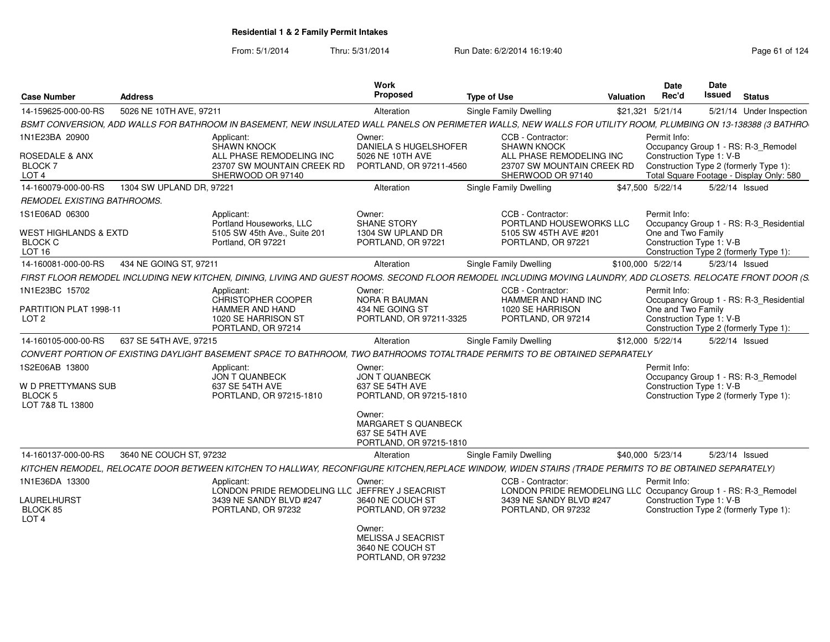| <b>Case Number</b>                                                             | <b>Address</b>           |                                                                                                                                                                | <b>Work</b><br>Proposed                                                                                                           | <b>Type of Use</b> |                                                                                                                                       | <b>Valuation</b>  | <b>Date</b><br>Rec'd                                           | <b>Date</b><br><b>Issued</b> | <b>Status</b>                                                                                                             |
|--------------------------------------------------------------------------------|--------------------------|----------------------------------------------------------------------------------------------------------------------------------------------------------------|-----------------------------------------------------------------------------------------------------------------------------------|--------------------|---------------------------------------------------------------------------------------------------------------------------------------|-------------------|----------------------------------------------------------------|------------------------------|---------------------------------------------------------------------------------------------------------------------------|
| 14-159625-000-00-RS                                                            | 5026 NE 10TH AVE, 97211  |                                                                                                                                                                | Alteration                                                                                                                        |                    | Single Family Dwelling                                                                                                                |                   | \$21,321 5/21/14                                               |                              | 5/21/14 Under Inspection                                                                                                  |
|                                                                                |                          | BSMT CONVERSION, ADD WALLS FOR BATHROOM IN BASEMENT, NEW INSULATED WALL PANELS ON PERIMETER WALLS, NEW WALLS FOR UTILITY ROOM, PLUMBING ON 13-138388 (3 BATHRO |                                                                                                                                   |                    |                                                                                                                                       |                   |                                                                |                              |                                                                                                                           |
| 1N1E23BA 20900<br>ROSEDALE & ANX<br>BLOCK 7<br>LOT <sub>4</sub>                |                          | Applicant:<br>SHAWN KNOCK<br>ALL PHASE REMODELING INC<br>23707 SW MOUNTAIN CREEK RD<br>SHERWOOD OR 97140                                                       | Owner:<br>DANIELA S HUGELSHOFER<br>5026 NE 10TH AVE<br>PORTLAND, OR 97211-4560                                                    |                    | CCB - Contractor:<br><b>SHAWN KNOCK</b><br>ALL PHASE REMODELING INC<br>23707 SW MOUNTAIN CREEK RD<br>SHERWOOD OR 97140                |                   | Permit Info:<br>Construction Type 1: V-B                       |                              | Occupancy Group 1 - RS: R-3_Remodel<br>Construction Type 2 (formerly Type 1):<br>Total Square Footage - Display Only: 580 |
| 14-160079-000-00-RS                                                            | 1304 SW UPLAND DR, 97221 |                                                                                                                                                                | Alteration                                                                                                                        |                    | Single Family Dwelling                                                                                                                |                   | \$47,500 5/22/14                                               | 5/22/14 Issued               |                                                                                                                           |
| REMODEL EXISTING BATHROOMS.                                                    |                          |                                                                                                                                                                |                                                                                                                                   |                    |                                                                                                                                       |                   |                                                                |                              |                                                                                                                           |
| 1S1E06AD 06300<br>WEST HIGHLANDS & EXTD<br><b>BLOCK C</b><br>LOT <sub>16</sub> |                          | Applicant:<br>Portland Houseworks, LLC<br>5105 SW 45th Ave., Suite 201<br>Portland, OR 97221                                                                   | Owner:<br><b>SHANE STORY</b><br>1304 SW UPLAND DR<br>PORTLAND, OR 97221                                                           |                    | CCB - Contractor:<br>PORTLAND HOUSEWORKS LLC<br>5105 SW 45TH AVE #201<br>PORTLAND, OR 97221                                           |                   | Permit Info:<br>One and Two Family<br>Construction Type 1: V-B |                              | Occupancy Group 1 - RS: R-3_Residential<br>Construction Type 2 (formerly Type 1):                                         |
| 14-160081-000-00-RS                                                            | 434 NE GOING ST, 97211   |                                                                                                                                                                | Alteration                                                                                                                        |                    | Single Family Dwelling                                                                                                                | \$100.000 5/22/14 |                                                                | 5/23/14 Issued               |                                                                                                                           |
|                                                                                |                          | FIRST FLOOR REMODEL INCLUDING NEW KITCHEN, DINING, LIVING AND GUEST ROOMS. SECOND FLOOR REMODEL INCLUDING MOVING LAUNDRY, ADD CLOSETS. RELOCATE FRONT DOOR (S. |                                                                                                                                   |                    |                                                                                                                                       |                   |                                                                |                              |                                                                                                                           |
| 1N1E23BC 15702<br>PARTITION PLAT 1998-11<br>LOT <sub>2</sub>                   |                          | Applicant:<br>CHRISTOPHER COOPER<br>HAMMER AND HAND<br>1020 SE HARRISON ST<br>PORTLAND, OR 97214                                                               | Owner:<br>NORA R BAUMAN<br>434 NE GOING ST<br>PORTLAND, OR 97211-3325                                                             |                    | CCB - Contractor:<br>HAMMER AND HAND INC<br>1020 SE HARRISON<br>PORTLAND, OR 97214                                                    |                   | Permit Info:<br>One and Two Family<br>Construction Type 1: V-B |                              | Occupancy Group 1 - RS: R-3_Residential<br>Construction Type 2 (formerly Type 1):                                         |
| 14-160105-000-00-RS                                                            | 637 SE 54TH AVE, 97215   |                                                                                                                                                                | Alteration                                                                                                                        |                    | <b>Single Family Dwelling</b>                                                                                                         |                   | \$12,000 5/22/14                                               | 5/22/14 Issued               |                                                                                                                           |
|                                                                                |                          | CONVERT PORTION OF EXISTING DAYLIGHT BASEMENT SPACE TO BATHROOM, TWO BATHROOMS TOTALTRADE PERMITS TO BE OBTAINED SEPARATELY                                    |                                                                                                                                   |                    |                                                                                                                                       |                   |                                                                |                              |                                                                                                                           |
| 1S2E06AB 13800<br>W D PRETTYMANS SUB<br>BLOCK 5<br>LOT 7&8 TL 13800            |                          | Applicant:<br><b>JON T QUANBECK</b><br>637 SE 54TH AVE<br>PORTLAND, OR 97215-1810                                                                              | Owner:<br><b>JON T QUANBECK</b><br>637 SE 54TH AVE<br>PORTLAND, OR 97215-1810<br>Owner:<br>MARGARET S QUANBECK<br>637 SE 54TH AVE |                    |                                                                                                                                       |                   | Permit Info:<br>Construction Type 1: V-B                       |                              | Occupancy Group 1 - RS: R-3_Remodel<br>Construction Type 2 (formerly Type 1):                                             |
|                                                                                |                          |                                                                                                                                                                | PORTLAND, OR 97215-1810                                                                                                           |                    |                                                                                                                                       |                   |                                                                |                              |                                                                                                                           |
| 14-160137-000-00-RS                                                            | 3640 NE COUCH ST, 97232  |                                                                                                                                                                | Alteration                                                                                                                        |                    | Single Family Dwelling                                                                                                                |                   | \$40,000 5/23/14                                               | 5/23/14 Issued               |                                                                                                                           |
|                                                                                |                          | KITCHEN REMODEL, RELOCATE DOOR BETWEEN KITCHEN TO HALLWAY, RECONFIGURE KITCHEN.REPLACE WINDOW, WIDEN STAIRS (TRADE PERMITS TO BE OBTAINED SEPARATELY)          |                                                                                                                                   |                    |                                                                                                                                       |                   |                                                                |                              |                                                                                                                           |
| 1N1E36DA 13300<br>LAURELHURST<br>BLOCK 85<br>LOT <sub>4</sub>                  |                          | Applicant:<br>LONDON PRIDE REMODELING LLC JEFFREY J SEACRIST<br>3439 NE SANDY BLVD #247<br>PORTLAND, OR 97232                                                  | Owner:<br>3640 NE COUCH ST<br>PORTLAND, OR 97232<br>Owner:                                                                        |                    | CCB - Contractor:<br>LONDON PRIDE REMODELING LLC Occupancy Group 1 - RS: R-3_Remodel<br>3439 NE SANDY BLVD #247<br>PORTLAND, OR 97232 |                   | Permit Info:<br>Construction Type 1: V-B                       |                              | Construction Type 2 (formerly Type 1):                                                                                    |
|                                                                                |                          |                                                                                                                                                                | MELISSA J SEACRIST<br>3640 NE COUCH ST<br>PORTLAND, OR 97232                                                                      |                    |                                                                                                                                       |                   |                                                                |                              |                                                                                                                           |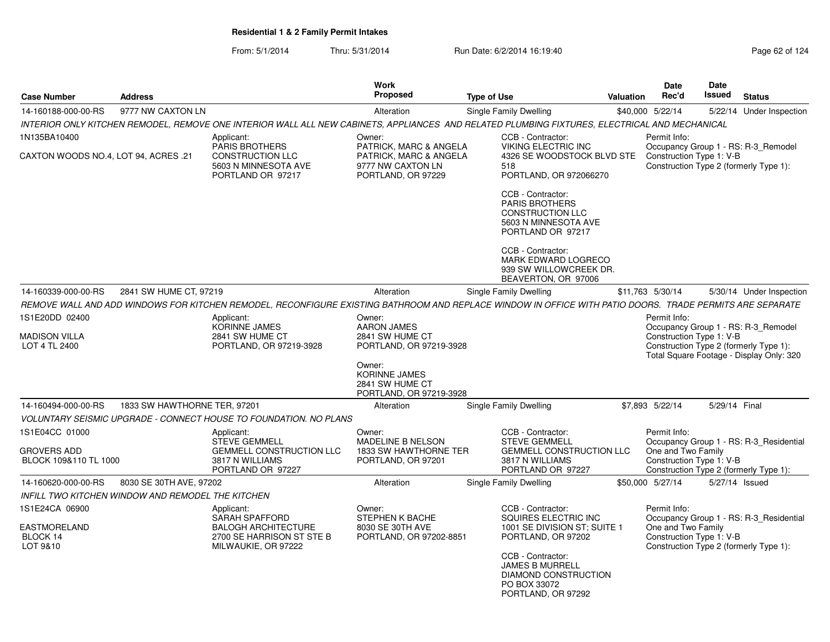| <b>Case Number</b><br><b>Address</b>                          |                                                   |                                                                                                                                                          | <b>Work</b><br>Proposed                                                                     | <b>Type of Use</b> |                                                                                                                                                                        | Valuation | <b>Date</b><br>Rec'd                                           | Date<br>Issued | <b>Status</b>                                                                                                             |
|---------------------------------------------------------------|---------------------------------------------------|----------------------------------------------------------------------------------------------------------------------------------------------------------|---------------------------------------------------------------------------------------------|--------------------|------------------------------------------------------------------------------------------------------------------------------------------------------------------------|-----------|----------------------------------------------------------------|----------------|---------------------------------------------------------------------------------------------------------------------------|
| 14-160188-000-00-RS                                           | 9777 NW CAXTON LN                                 |                                                                                                                                                          | Alteration                                                                                  |                    | <b>Single Family Dwelling</b>                                                                                                                                          |           | \$40,000 5/22/14                                               |                | 5/22/14 Under Inspection                                                                                                  |
|                                                               |                                                   | INTERIOR ONLY KITCHEN REMODEL, REMOVE ONE INTERIOR WALL ALL NEW CABINETS, APPLIANCES AND RELATED PLUMBING FIXTURES, ELECTRICAL AND MECHANICAL            |                                                                                             |                    |                                                                                                                                                                        |           |                                                                |                |                                                                                                                           |
| 1N135BA10400                                                  |                                                   | Applicant:                                                                                                                                               | Owner:                                                                                      |                    | CCB - Contractor:                                                                                                                                                      |           | Permit Info:                                                   |                |                                                                                                                           |
| CAXTON WOODS NO.4, LOT 94, ACRES .21                          |                                                   | <b>PARIS BROTHERS</b><br><b>CONSTRUCTION LLC</b><br>5603 N MINNESOTA AVE<br>PORTLAND OR 97217                                                            | PATRICK, MARC & ANGELA<br>PATRICK, MARC & ANGELA<br>9777 NW CAXTON LN<br>PORTLAND, OR 97229 |                    | <b>VIKING ELECTRIC INC</b><br>4326 SE WOODSTOCK BLVD STE<br>518<br>PORTLAND, OR 972066270                                                                              |           | Construction Type 1: V-B                                       |                | Occupancy Group 1 - RS: R-3_Remodel<br>Construction Type 2 (formerly Type 1):                                             |
|                                                               |                                                   |                                                                                                                                                          |                                                                                             |                    | CCB - Contractor:<br><b>PARIS BROTHERS</b><br><b>CONSTRUCTION LLC</b><br>5603 N MINNESOTA AVE<br>PORTLAND OR 97217                                                     |           |                                                                |                |                                                                                                                           |
|                                                               |                                                   |                                                                                                                                                          |                                                                                             |                    | CCB - Contractor:<br>MARK EDWARD LOGRECO<br>939 SW WILLOWCREEK DR.<br>BEAVERTON, OR 97006                                                                              |           |                                                                |                |                                                                                                                           |
| 14-160339-000-00-RS                                           | 2841 SW HUME CT, 97219                            |                                                                                                                                                          | Alteration                                                                                  |                    | Single Family Dwelling                                                                                                                                                 |           | \$11,763 5/30/14                                               |                | 5/30/14 Under Inspection                                                                                                  |
|                                                               |                                                   | REMOVE WALL AND ADD WINDOWS FOR KITCHEN REMODEL, RECONFIGURE EXISTING BATHROOM AND REPLACE WINDOW IN OFFICE WITH PATIO DOORS. TRADE PERMITS ARE SEPARATE |                                                                                             |                    |                                                                                                                                                                        |           |                                                                |                |                                                                                                                           |
| 1S1E20DD 02400                                                |                                                   | Applicant:                                                                                                                                               | Owner:                                                                                      |                    |                                                                                                                                                                        |           | Permit Info:                                                   |                |                                                                                                                           |
| <b>MADISON VILLA</b><br>LOT 4 TL 2400                         |                                                   | <b>KORINNE JAMES</b><br>2841 SW HUME CT<br>PORTLAND, OR 97219-3928                                                                                       | <b>AARON JAMES</b><br>2841 SW HUME CT<br>PORTLAND, OR 97219-3928                            |                    |                                                                                                                                                                        |           | Construction Type 1: V-B                                       |                | Occupancy Group 1 - RS: R-3_Remodel<br>Construction Type 2 (formerly Type 1):<br>Total Square Footage - Display Only: 320 |
|                                                               |                                                   |                                                                                                                                                          | Owner:<br><b>KORINNE JAMES</b><br>2841 SW HUME CT<br>PORTLAND, OR 97219-3928                |                    |                                                                                                                                                                        |           |                                                                |                |                                                                                                                           |
| 14-160494-000-00-RS                                           | 1833 SW HAWTHORNE TER, 97201                      |                                                                                                                                                          | Alteration                                                                                  |                    | <b>Single Family Dwelling</b>                                                                                                                                          |           | \$7,893 5/22/14                                                | 5/29/14 Final  |                                                                                                                           |
|                                                               |                                                   | VOLUNTARY SEISMIC UPGRADE - CONNECT HOUSE TO FOUNDATION. NO PLANS                                                                                        |                                                                                             |                    |                                                                                                                                                                        |           |                                                                |                |                                                                                                                           |
| 1S1E04CC 01000<br><b>GROVERS ADD</b><br>BLOCK 109&110 TL 1000 |                                                   | Applicant:<br><b>STEVE GEMMELL</b><br><b>GEMMELL CONSTRUCTION LLC</b><br>3817 N WILLIAMS<br>PORTLAND OR 97227                                            | Owner:<br>MADELINE B NELSON<br>1833 SW HAWTHORNE TER<br>PORTLAND, OR 97201                  |                    | CCB - Contractor:<br><b>STEVE GEMMELL</b><br><b>GEMMELL CONSTRUCTION LLC</b><br>3817 N WILLIAMS<br>PORTLAND OR 97227                                                   |           | Permit Info:<br>One and Two Family<br>Construction Type 1: V-B |                | Occupancy Group 1 - RS: R-3_Residential<br>Construction Type 2 (formerly Type 1):                                         |
| 14-160620-000-00-RS                                           | 8030 SE 30TH AVE, 97202                           |                                                                                                                                                          | Alteration                                                                                  |                    | Single Family Dwelling                                                                                                                                                 |           | \$50,000 5/27/14                                               | 5/27/14 Issued |                                                                                                                           |
|                                                               | INFILL TWO KITCHEN WINDOW AND REMODEL THE KITCHEN |                                                                                                                                                          |                                                                                             |                    |                                                                                                                                                                        |           |                                                                |                |                                                                                                                           |
| 1S1E24CA 06900<br><b>EASTMORELAND</b><br>BLOCK 14<br>LOT 9&10 |                                                   | Applicant:<br>SARAH SPAFFORD<br><b>BALOGH ARCHITECTURE</b><br>2700 SE HARRISON ST STE B<br>MILWAUKIE, OR 97222                                           | Owner:<br><b>STEPHEN K BACHE</b><br>8030 SE 30TH AVE<br>PORTLAND, OR 97202-8851             |                    | CCB - Contractor:<br>SQUIRES ELECTRIC INC<br>1001 SE DIVISION ST; SUITE 1<br>PORTLAND, OR 97202<br>CCB - Contractor:<br><b>JAMES B MURRELL</b><br>DIAMOND CONSTRUCTION |           | Permit Info:<br>One and Two Family<br>Construction Type 1: V-B |                | Occupancy Group 1 - RS: R-3_Residential<br>Construction Type 2 (formerly Type 1):                                         |
|                                                               |                                                   |                                                                                                                                                          |                                                                                             |                    | PO BOX 33072<br>PORTLAND, OR 97292                                                                                                                                     |           |                                                                |                |                                                                                                                           |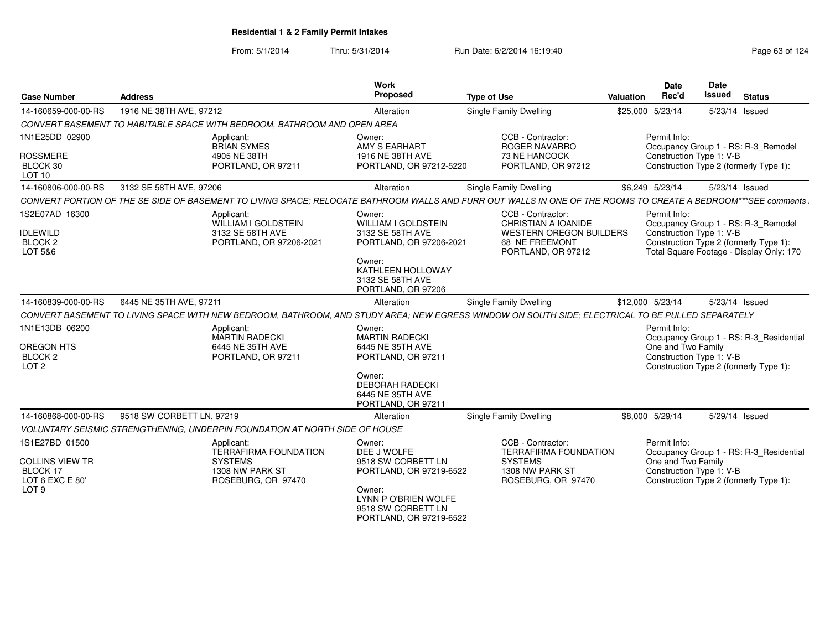From: 5/1/2014

Thru: 5/31/2014 Run Date: 6/2/2014 16:19:40

| <b>Case Number</b>                                                                          | <b>Address</b>                                                                                                                                                | <b>Work</b><br>Proposed                                                                                                                                      | <b>Type of Use</b>                                                                                                        | Valuation        | <b>Date</b><br>Rec'd                                           | Date<br><b>Issued</b> | <b>Status</b>                                                                                                             |
|---------------------------------------------------------------------------------------------|---------------------------------------------------------------------------------------------------------------------------------------------------------------|--------------------------------------------------------------------------------------------------------------------------------------------------------------|---------------------------------------------------------------------------------------------------------------------------|------------------|----------------------------------------------------------------|-----------------------|---------------------------------------------------------------------------------------------------------------------------|
| 14-160659-000-00-RS                                                                         | 1916 NE 38TH AVE, 97212                                                                                                                                       | Alteration                                                                                                                                                   | <b>Single Family Dwelling</b>                                                                                             | \$25,000 5/23/14 |                                                                |                       | 5/23/14 Issued                                                                                                            |
|                                                                                             | CONVERT BASEMENT TO HABITABLE SPACE WITH BEDROOM, BATHROOM AND OPEN AREA                                                                                      |                                                                                                                                                              |                                                                                                                           |                  |                                                                |                       |                                                                                                                           |
| 1N1E25DD 02900<br><b>ROSSMERE</b><br>BLOCK 30<br>LOT <sub>10</sub>                          | Applicant:<br><b>BRIAN SYMES</b><br>4905 NE 38TH<br>PORTLAND, OR 97211                                                                                        | Owner:<br>AMY S EARHART<br>1916 NE 38TH AVE<br>PORTLAND, OR 97212-5220                                                                                       | CCB - Contractor:<br><b>ROGER NAVARRO</b><br>73 NE HANCOCK<br>PORTLAND, OR 97212                                          |                  | Permit Info:<br>Construction Type 1: V-B                       |                       | Occupancy Group 1 - RS: R-3 Remodel<br>Construction Type 2 (formerly Type 1):                                             |
| 14-160806-000-00-RS                                                                         | 3132 SE 58TH AVE, 97206                                                                                                                                       | Alteration                                                                                                                                                   | Single Family Dwelling                                                                                                    |                  | \$6,249 5/23/14                                                |                       | 5/23/14 Issued                                                                                                            |
|                                                                                             | CONVERT PORTION OF THE SE SIDE OF BASEMENT TO LIVING SPACE: RELOCATE BATHROOM WALLS AND FURR OUT WALLS IN ONE OF THE ROOMS TO CREATE A BEDROOM***SEE comments |                                                                                                                                                              |                                                                                                                           |                  |                                                                |                       |                                                                                                                           |
| 1S2E07AD 16300<br><b>IDLEWILD</b><br>BLOCK <sub>2</sub><br>LOT 5&6                          | Applicant:<br>WILLIAM I GOLDSTEIN<br>3132 SE 58TH AVE<br>PORTLAND, OR 97206-2021                                                                              | Owner:<br><b>WILLIAM I GOLDSTEIN</b><br>3132 SE 58TH AVE<br>PORTLAND, OR 97206-2021<br>Owner:<br>KATHLEEN HOLLOWAY<br>3132 SE 58TH AVE<br>PORTLAND, OR 97206 | CCB - Contractor:<br><b>CHRISTIAN A IOANIDE</b><br><b>WESTERN OREGON BUILDERS</b><br>68 NE FREEMONT<br>PORTLAND, OR 97212 |                  | Permit Info:<br>Construction Type 1: V-B                       |                       | Occupancy Group 1 - RS: R-3_Remodel<br>Construction Type 2 (formerly Type 1):<br>Total Square Footage - Display Only: 170 |
| 14-160839-000-00-RS                                                                         | 6445 NE 35TH AVE, 97211                                                                                                                                       | Alteration                                                                                                                                                   | Single Family Dwelling                                                                                                    | \$12,000 5/23/14 |                                                                |                       | 5/23/14 Issued                                                                                                            |
|                                                                                             | CONVERT BASEMENT TO LIVING SPACE WITH NEW BEDROOM, BATHROOM, AND STUDY AREA: NEW EGRESS WINDOW ON SOUTH SIDE: ELECTRICAL TO BE PULLED SEPARATELY              |                                                                                                                                                              |                                                                                                                           |                  |                                                                |                       |                                                                                                                           |
| 1N1E13DB 06200<br>OREGON HTS<br>BLOCK 2<br>LOT <sub>2</sub>                                 | Applicant:<br><b>MARTIN RADECKI</b><br>6445 NE 35TH AVE<br>PORTLAND, OR 97211                                                                                 | Owner:<br><b>MARTIN RADECKI</b><br>6445 NE 35TH AVE<br>PORTLAND, OR 97211<br>Owner:<br><b>DEBORAH RADECKI</b><br>6445 NE 35TH AVE<br>PORTLAND, OR 97211      |                                                                                                                           |                  | Permit Info:<br>One and Two Family<br>Construction Type 1: V-B |                       | Occupancy Group 1 - RS: R-3_Residential<br>Construction Type 2 (formerly Type 1):                                         |
| 14-160868-000-00-RS                                                                         | 9518 SW CORBETT LN, 97219                                                                                                                                     | Alteration                                                                                                                                                   | Single Family Dwelling                                                                                                    |                  | \$8,000 5/29/14                                                |                       | 5/29/14 Issued                                                                                                            |
|                                                                                             | VOLUNTARY SEISMIC STRENGTHENING, UNDERPIN FOUNDATION AT NORTH SIDE OF HOUSE                                                                                   |                                                                                                                                                              |                                                                                                                           |                  |                                                                |                       |                                                                                                                           |
| 1S1E27BD 01500<br><b>COLLINS VIEW TR</b><br>BLOCK 17<br>LOT 6 EXC E 80'<br>LOT <sub>9</sub> | Applicant:<br><b>TERRAFIRMA FOUNDATION</b><br><b>SYSTEMS</b><br>1308 NW PARK ST<br>ROSEBURG, OR 97470                                                         | Owner:<br>DEE J WOLFE<br>9518 SW CORBETT LN<br>PORTLAND, OR 97219-6522<br>Owner:<br>LYNN P O'BRIEN WOLFE<br>9518 SW CORBETT LN<br>PORTLAND, OR 97219-6522    | CCB - Contractor:<br><b>TERRAFIRMA FOUNDATION</b><br><b>SYSTEMS</b><br>1308 NW PARK ST<br>ROSEBURG, OR 97470              |                  | Permit Info:<br>One and Two Family<br>Construction Type 1: V-B |                       | Occupancy Group 1 - RS: R-3_Residential<br>Construction Type 2 (formerly Type 1):                                         |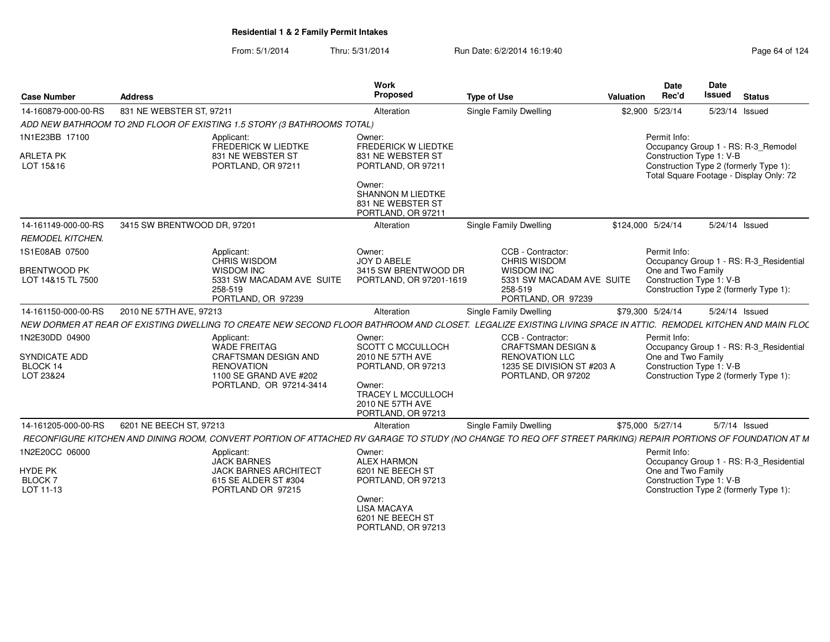| <b>Case Number</b>                       | <b>Address</b>              |                                                                                                                                                                | Work<br>Proposed                                                              | <b>Type of Use</b>                                                              | <b>Valuation</b> | Date<br>Rec'd                                  | Date<br><b>Issued</b> | <b>Status</b>                                                                     |
|------------------------------------------|-----------------------------|----------------------------------------------------------------------------------------------------------------------------------------------------------------|-------------------------------------------------------------------------------|---------------------------------------------------------------------------------|------------------|------------------------------------------------|-----------------------|-----------------------------------------------------------------------------------|
| 14-160879-000-00-RS                      | 831 NE WEBSTER ST, 97211    |                                                                                                                                                                | Alteration                                                                    | Single Family Dwelling                                                          |                  | \$2,900 5/23/14                                |                       | 5/23/14 Issued                                                                    |
|                                          |                             | ADD NEW BATHROOM TO 2ND FLOOR OF EXISTING 1.5 STORY (3 BATHROOMS TOTAL)                                                                                        |                                                                               |                                                                                 |                  |                                                |                       |                                                                                   |
| 1N1E23BB 17100                           |                             | Applicant:<br>FREDERICK W LIEDTKE                                                                                                                              | Owner:<br><b>FREDERICK W LIEDTKE</b>                                          |                                                                                 |                  | Permit Info:                                   |                       | Occupancy Group 1 - RS: R-3_Remodel                                               |
| <b>ARLETA PK</b><br>LOT 15&16            |                             | 831 NE WEBSTER ST<br>PORTLAND, OR 97211                                                                                                                        | 831 NE WEBSTER ST<br>PORTLAND, OR 97211                                       |                                                                                 |                  | Construction Type 1: V-B                       |                       | Construction Type 2 (formerly Type 1):<br>Total Square Footage - Display Only: 72 |
|                                          |                             |                                                                                                                                                                | Owner:<br><b>SHANNON M LIEDTKE</b><br>831 NE WEBSTER ST<br>PORTLAND, OR 97211 |                                                                                 |                  |                                                |                       |                                                                                   |
| 14-161149-000-00-RS                      | 3415 SW BRENTWOOD DR, 97201 |                                                                                                                                                                | Alteration                                                                    | Single Family Dwelling                                                          |                  | \$124,000 5/24/14                              |                       | 5/24/14 Issued                                                                    |
| <b>REMODEL KITCHEN.</b>                  |                             |                                                                                                                                                                |                                                                               |                                                                                 |                  |                                                |                       |                                                                                   |
| 1S1E08AB 07500                           |                             | Applicant:<br>CHRIS WISDOM                                                                                                                                     | Owner:<br>JOY D ABELE                                                         | CCB - Contractor:<br>CHRIS WISDOM                                               |                  | Permit Info:                                   |                       | Occupancy Group 1 - RS: R-3_Residential                                           |
| <b>BRENTWOOD PK</b><br>LOT 14&15 TL 7500 |                             | <b>WISDOM INC</b><br>5331 SW MACADAM AVE SUITE<br>258-519<br>PORTLAND, OR 97239                                                                                | 3415 SW BRENTWOOD DR<br>PORTLAND, OR 97201-1619                               | <b>WISDOM INC</b><br>5331 SW MACADAM AVE SUITE<br>258-519<br>PORTLAND, OR 97239 |                  | One and Two Family<br>Construction Type 1: V-B |                       | Construction Type 2 (formerly Type 1):                                            |
| 14-161150-000-00-RS                      | 2010 NE 57TH AVE, 97213     |                                                                                                                                                                | Alteration                                                                    | Single Family Dwelling                                                          |                  | \$79,300 5/24/14                               |                       | 5/24/14 Issued                                                                    |
|                                          |                             | NEW DORMER AT REAR OF EXISTING DWELLING TO CREATE NEW SECOND FLOOR BATHROOM AND CLOSET. LEGALIZE EXISTING LIVING SPACE IN ATTIC. REMODEL KITCHEN AND MAIN FLOC |                                                                               |                                                                                 |                  |                                                |                       |                                                                                   |
| 1N2E30DD 04900                           |                             | Applicant:                                                                                                                                                     | Owner:                                                                        | CCB - Contractor:                                                               |                  | Permit Info:                                   |                       |                                                                                   |
| <b>SYNDICATE ADD</b>                     |                             | <b>WADE FREITAG</b><br><b>CRAFTSMAN DESIGN AND</b>                                                                                                             | <b>SCOTT C MCCULLOCH</b><br>2010 NE 57TH AVE                                  | <b>CRAFTSMAN DESIGN &amp;</b><br><b>RENOVATION LLC</b>                          |                  | One and Two Family                             |                       | Occupancy Group 1 - RS: R-3_Residential                                           |
| BLOCK 14                                 |                             | <b>RENOVATION</b>                                                                                                                                              | PORTLAND, OR 97213                                                            | 1235 SE DIVISION ST #203 A                                                      |                  | Construction Type 1: V-B                       |                       |                                                                                   |
| LOT 23&24                                |                             | 1100 SE GRAND AVE #202                                                                                                                                         |                                                                               | PORTLAND, OR 97202                                                              |                  |                                                |                       | Construction Type 2 (formerly Type 1):                                            |
|                                          |                             | PORTLAND, OR 97214-3414                                                                                                                                        | Owner:<br>TRACEY L MCCULLOCH                                                  |                                                                                 |                  |                                                |                       |                                                                                   |
|                                          |                             |                                                                                                                                                                | 2010 NE 57TH AVE<br>PORTLAND, OR 97213                                        |                                                                                 |                  |                                                |                       |                                                                                   |
| 14-161205-000-00-RS                      | 6201 NE BEECH ST, 97213     |                                                                                                                                                                | Alteration                                                                    | Single Family Dwelling                                                          |                  | \$75,000 5/27/14                               |                       | 5/7/14 Issued                                                                     |
|                                          |                             | RECONFIGURE KITCHEN AND DINING ROOM, CONVERT PORTION OF ATTACHED RV GARAGE TO STUDY (NO CHANGE TO REQ OFF STREET PARKING) REPAIR PORTIONS OF FOUNDATION AT M   |                                                                               |                                                                                 |                  |                                                |                       |                                                                                   |
| 1N2E20CC 06000                           |                             | Applicant:                                                                                                                                                     | Owner:                                                                        |                                                                                 |                  | Permit Info:                                   |                       |                                                                                   |
| <b>HYDE PK</b>                           |                             | <b>JACK BARNES</b><br><b>JACK BARNES ARCHITECT</b>                                                                                                             | <b>ALEX HARMON</b><br>6201 NE BEECH ST                                        |                                                                                 |                  | One and Two Family                             |                       | Occupancy Group 1 - RS: R-3_Residential                                           |
| <b>BLOCK7</b>                            |                             | 615 SE ALDER ST #304                                                                                                                                           | PORTLAND, OR 97213                                                            |                                                                                 |                  | Construction Type 1: V-B                       |                       |                                                                                   |
| LOT 11-13                                |                             | PORTLAND OR 97215                                                                                                                                              |                                                                               |                                                                                 |                  |                                                |                       | Construction Type 2 (formerly Type 1):                                            |
|                                          |                             |                                                                                                                                                                | Owner:<br><b>LISA MACAYA</b><br>6201 NE BEECH ST                              |                                                                                 |                  |                                                |                       |                                                                                   |
|                                          |                             |                                                                                                                                                                | PORTLAND, OR 97213                                                            |                                                                                 |                  |                                                |                       |                                                                                   |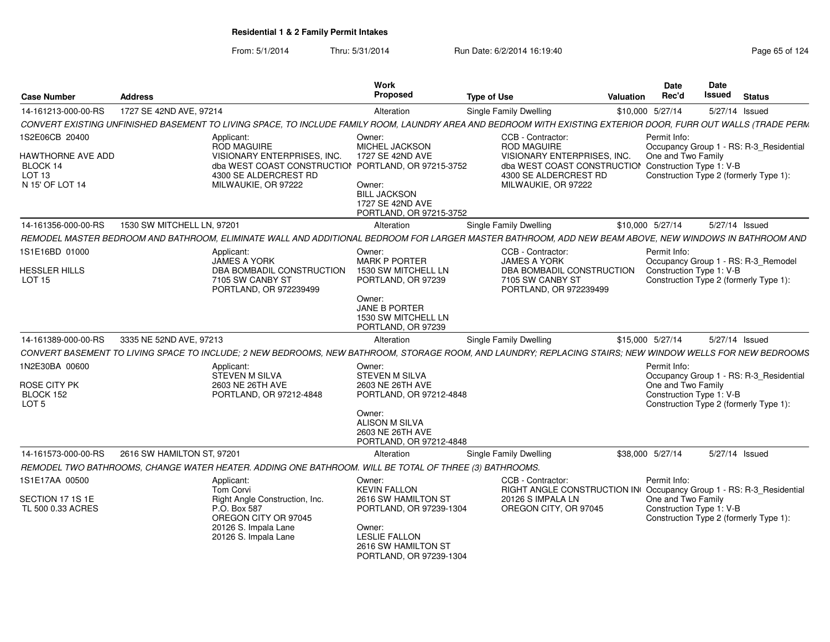| <b>Case Number</b>                                                    | <b>Address</b>             |                                                                                                                                                                | <b>Work</b><br><b>Proposed</b>                                                                   | <b>Type of Use</b>                                                                                                                  | Valuation        | <b>Date</b><br>Rec'd               | Date<br>Issued                                                      | <b>Status</b> |  |
|-----------------------------------------------------------------------|----------------------------|----------------------------------------------------------------------------------------------------------------------------------------------------------------|--------------------------------------------------------------------------------------------------|-------------------------------------------------------------------------------------------------------------------------------------|------------------|------------------------------------|---------------------------------------------------------------------|---------------|--|
| 14-161213-000-00-RS                                                   | 1727 SE 42ND AVE, 97214    |                                                                                                                                                                | Alteration                                                                                       | Single Family Dwelling                                                                                                              | \$10,000 5/27/14 |                                    | 5/27/14 Issued                                                      |               |  |
|                                                                       |                            | CONVERT EXISTING UNFINISHED BASEMENT TO LIVING SPACE, TO INCLUDE FAMILY ROOM, LAUNDRY AREA AND BEDROOM WITH EXISTING EXTERIOR DOOR, FURR OUT WALLS (TRADE PERM |                                                                                                  |                                                                                                                                     |                  |                                    |                                                                     |               |  |
| 1S2E06CB 20400                                                        |                            | Applicant:<br>ROD MAGUIRE                                                                                                                                      | Owner:<br>MICHEL JACKSON                                                                         | CCB - Contractor:<br><b>ROD MAGUIRE</b>                                                                                             |                  | Permit Info:                       | Occupancy Group 1 - RS: R-3_Residential                             |               |  |
| HAWTHORNE AVE ADD<br>BLOCK 14<br>LOT <sub>13</sub><br>N 15' OF LOT 14 |                            | VISIONARY ENTERPRISES, INC.<br>dba WEST COAST CONSTRUCTION PORTLAND, OR 97215-3752<br>4300 SE ALDERCREST RD<br>MILWAUKIE, OR 97222                             | 1727 SE 42ND AVE<br>Owner:<br><b>BILL JACKSON</b><br>1727 SE 42ND AVE<br>PORTLAND, OR 97215-3752 | VISIONARY ENTERPRISES. INC.<br>dba WEST COAST CONSTRUCTION Construction Type 1: V-B<br>4300 SE ALDERCREST RD<br>MILWAUKIE, OR 97222 |                  | One and Two Family                 | Construction Type 2 (formerly Type 1):                              |               |  |
| 14-161356-000-00-RS                                                   | 1530 SW MITCHELL LN, 97201 |                                                                                                                                                                | Alteration                                                                                       | Single Family Dwelling                                                                                                              | \$10,000 5/27/14 |                                    | 5/27/14 Issued                                                      |               |  |
|                                                                       |                            | REMODEL MASTER BEDROOM AND BATHROOM, ELIMINATE WALL AND ADDITIONAL BEDROOM FOR LARGER MASTER BATHROOM, ADD NEW BEAM ABOVE, NEW WINDOWS IN BATHROOM AND         |                                                                                                  |                                                                                                                                     |                  |                                    |                                                                     |               |  |
| 1S1E16BD 01000                                                        |                            | Applicant:<br><b>JAMES A YORK</b>                                                                                                                              | Owner:<br><b>MARK P PORTER</b>                                                                   | CCB - Contractor:<br><b>JAMES A YORK</b>                                                                                            |                  | Permit Info:                       | Occupancy Group 1 - RS: R-3_Remodel                                 |               |  |
| <b>HESSLER HILLS</b><br><b>LOT 15</b>                                 |                            | DBA BOMBADIL CONSTRUCTION<br>7105 SW CANBY ST<br>PORTLAND, OR 972239499                                                                                        | 1530 SW MITCHELL LN<br>PORTLAND, OR 97239                                                        | DBA BOMBADIL CONSTRUCTION<br>7105 SW CANBY ST<br>PORTLAND, OR 972239499                                                             |                  |                                    | Construction Type 1: V-B<br>Construction Type 2 (formerly Type 1):  |               |  |
|                                                                       |                            |                                                                                                                                                                | Owner:<br>JANE B PORTER<br>1530 SW MITCHELL LN<br>PORTLAND, OR 97239                             |                                                                                                                                     |                  |                                    |                                                                     |               |  |
| 14-161389-000-00-RS                                                   | 3335 NE 52ND AVE, 97213    |                                                                                                                                                                | Alteration                                                                                       | Single Family Dwelling                                                                                                              | \$15,000 5/27/14 |                                    | 5/27/14 Issued                                                      |               |  |
|                                                                       |                            | CONVERT BASEMENT TO LIVING SPACE TO INCLUDE: 2 NEW BEDROOMS. NEW BATHROOM. STORAGE ROOM. AND LAUNDRY: REPLACING STAIRS: NEW WINDOW WELLS FOR NEW BEDROOMS      |                                                                                                  |                                                                                                                                     |                  |                                    |                                                                     |               |  |
| 1N2E30BA 00600<br>ROSE CITY PK<br>BLOCK 152                           |                            | Applicant:<br>STEVEN M SILVA<br>2603 NE 26TH AVE<br>PORTLAND, OR 97212-4848                                                                                    | Owner:<br>STEVEN M SILVA<br>2603 NE 26TH AVE<br>PORTLAND, OR 97212-4848                          |                                                                                                                                     |                  | Permit Info:<br>One and Two Family | Occupancy Group 1 - RS: R-3_Residential<br>Construction Type 1: V-B |               |  |
| LOT <sub>5</sub>                                                      |                            |                                                                                                                                                                | Owner:<br>ALISON M SILVA<br>2603 NE 26TH AVE<br>PORTLAND, OR 97212-4848                          |                                                                                                                                     |                  |                                    | Construction Type 2 (formerly Type 1):                              |               |  |
| 14-161573-000-00-RS                                                   | 2616 SW HAMILTON ST, 97201 |                                                                                                                                                                | Alteration                                                                                       | Single Family Dwelling                                                                                                              | \$38,000 5/27/14 |                                    | 5/27/14 Issued                                                      |               |  |
|                                                                       |                            | REMODEL TWO BATHROOMS, CHANGE WATER HEATER. ADDING ONE BATHROOM. WILL BE TOTAL OF THREE (3) BATHROOMS.                                                         |                                                                                                  |                                                                                                                                     |                  |                                    |                                                                     |               |  |
| 1S1E17AA 00500                                                        |                            | Applicant:<br>Tom Corvi                                                                                                                                        | Owner:<br><b>KEVIN FALLON</b>                                                                    | CCB - Contractor:<br>RIGHT ANGLE CONSTRUCTION IN Occupancy Group 1 - RS: R-3_Residential                                            |                  | Permit Info:                       |                                                                     |               |  |
| SECTION 17 1S 1E<br>TL 500 0.33 ACRES                                 |                            | Right Angle Construction, Inc.<br>P.O. Box 587<br>OREGON CITY OR 97045<br>20126 S. Impala Lane                                                                 | 2616 SW HAMILTON ST<br>PORTLAND, OR 97239-1304<br>Owner:                                         | 20126 S IMPALA LN<br>OREGON CITY, OR 97045                                                                                          |                  | One and Two Family                 | Construction Type 1: V-B<br>Construction Type 2 (formerly Type 1):  |               |  |
|                                                                       |                            | 20126 S. Impala Lane                                                                                                                                           | <b>LESLIE FALLON</b><br>2616 SW HAMILTON ST<br>PORTLAND, OR 97239-1304                           |                                                                                                                                     |                  |                                    |                                                                     |               |  |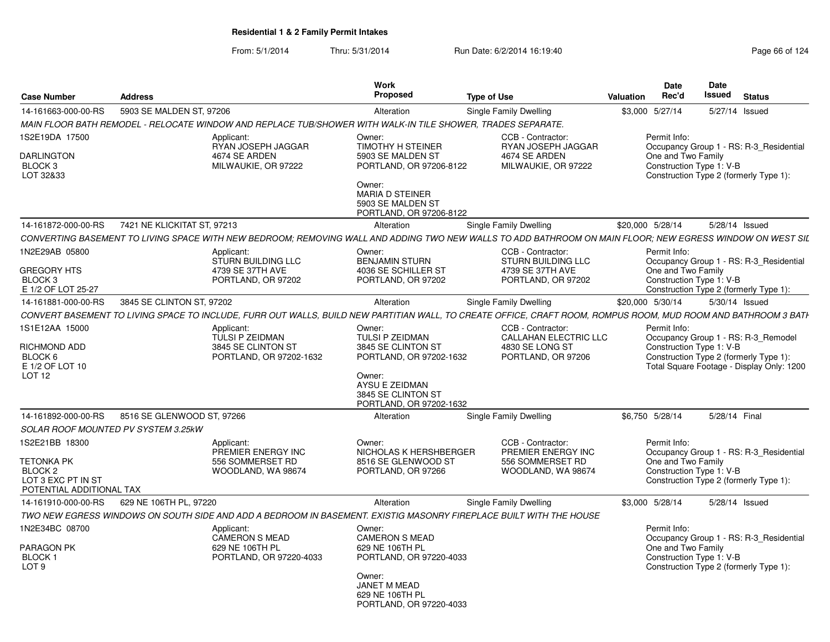| <b>Case Number</b>                                                                                          | <b>Address</b>              |                                                                                                             | Work<br>Proposed                                                                                                                                                       | <b>Type of Use</b>                                                                                                                                             | Valuation        | <b>Date</b><br>Rec'd                                           | Date<br>Issued | <b>Status</b>                                                                                                              |
|-------------------------------------------------------------------------------------------------------------|-----------------------------|-------------------------------------------------------------------------------------------------------------|------------------------------------------------------------------------------------------------------------------------------------------------------------------------|----------------------------------------------------------------------------------------------------------------------------------------------------------------|------------------|----------------------------------------------------------------|----------------|----------------------------------------------------------------------------------------------------------------------------|
| 14-161663-000-00-RS                                                                                         | 5903 SE MALDEN ST, 97206    |                                                                                                             | Alteration                                                                                                                                                             | Single Family Dwelling                                                                                                                                         |                  | \$3,000 5/27/14                                                |                | 5/27/14 Issued                                                                                                             |
|                                                                                                             |                             | MAIN FLOOR BATH REMODEL - RELOCATE WINDOW AND REPLACE TUB/SHOWER WITH WALK-IN TILE SHOWER, TRADES SEPARATE. |                                                                                                                                                                        |                                                                                                                                                                |                  |                                                                |                |                                                                                                                            |
| 1S2E19DA 17500<br><b>DARLINGTON</b><br>BLOCK <sub>3</sub><br>LOT 32&33                                      |                             | Applicant:<br>RYAN JOSEPH JAGGAR<br>4674 SE ARDEN<br>MILWAUKIE, OR 97222                                    | Owner:<br><b>TIMOTHY H STEINER</b><br>5903 SE MALDEN ST<br>PORTLAND, OR 97206-8122<br>Owner:<br><b>MARIA D STEINER</b><br>5903 SE MALDEN ST<br>PORTLAND, OR 97206-8122 | CCB - Contractor:<br>RYAN JOSEPH JAGGAR<br>4674 SE ARDEN<br>MILWAUKIE, OR 97222                                                                                |                  | Permit Info:<br>One and Two Family<br>Construction Type 1: V-B |                | Occupancy Group 1 - RS: R-3 Residential<br>Construction Type 2 (formerly Type 1):                                          |
| 14-161872-000-00-RS                                                                                         | 7421 NE KLICKITAT ST. 97213 |                                                                                                             | Alteration                                                                                                                                                             | Single Family Dwelling                                                                                                                                         | \$20,000 5/28/14 |                                                                |                | 5/28/14 Issued                                                                                                             |
|                                                                                                             |                             |                                                                                                             |                                                                                                                                                                        | CONVERTING BASEMENT TO LIVING SPACE WITH NEW BEDROOM: REMOVING WALL AND ADDING TWO NEW WALLS TO ADD BATHROOM ON MAIN FLOOR: NEW EGRESS WINDOW ON WEST SIL      |                  |                                                                |                |                                                                                                                            |
| 1N2E29AB 05800<br><b>GREGORY HTS</b><br>BLOCK <sub>3</sub><br>E 1/2 OF LOT 25-27                            |                             | Applicant:<br><b>STURN BUILDING LLC</b><br>4739 SE 37TH AVE<br>PORTLAND, OR 97202                           | Owner:<br><b>BENJAMIN STURN</b><br>4036 SE SCHILLER ST<br>PORTLAND, OR 97202                                                                                           | CCB - Contractor:<br><b>STURN BUILDING LLC</b><br>4739 SE 37TH AVE<br>PORTLAND, OR 97202                                                                       |                  | Permit Info:<br>One and Two Family<br>Construction Type 1: V-B |                | Occupancy Group 1 - RS: R-3_Residential<br>Construction Type 2 (formerly Type 1):                                          |
| 14-161881-000-00-RS                                                                                         | 3845 SE CLINTON ST, 97202   |                                                                                                             | Alteration                                                                                                                                                             | Single Family Dwelling                                                                                                                                         |                  | \$20,000 5/30/14                                               |                | 5/30/14 Issued                                                                                                             |
|                                                                                                             |                             |                                                                                                             |                                                                                                                                                                        | CONVERT BASEMENT TO LIVING SPACE TO INCLUDE, FURR OUT WALLS, BUILD NEW PARTITIAN WALL, TO CREATE OFFICE, CRAFT ROOM, ROMPUS ROOM, MUD ROOM AND BATHROOM 3 BATH |                  |                                                                |                |                                                                                                                            |
| 1S1E12AA 15000<br>RICHMOND ADD<br>BLOCK 6<br>E 1/2 OF LOT 10<br>LOT <sub>12</sub>                           |                             | Applicant:<br>TULSI P ZEIDMAN<br>3845 SE CLINTON ST<br>PORTLAND, OR 97202-1632                              | Owner:<br>TULSI P ZEIDMAN<br>3845 SE CLINTON ST<br>PORTLAND, OR 97202-1632<br>Owner:<br>AYSU E ZEIDMAN<br>3845 SE CLINTON ST<br>PORTLAND, OR 97202-1632                | CCB - Contractor:<br>CALLAHAN ELECTRIC LLC<br>4830 SE LONG ST<br>PORTLAND, OR 97206                                                                            |                  | Permit Info:<br>Construction Type 1: V-B                       |                | Occupancy Group 1 - RS: R-3_Remodel<br>Construction Type 2 (formerly Type 1):<br>Total Square Footage - Display Only: 1200 |
| 14-161892-000-00-RS                                                                                         | 8516 SE GLENWOOD ST, 97266  |                                                                                                             | Alteration                                                                                                                                                             | Single Family Dwelling                                                                                                                                         |                  | \$6,750 5/28/14                                                | 5/28/14 Final  |                                                                                                                            |
| <b>SOLAR ROOF MOUNTED PV SYSTEM 3.25kW</b>                                                                  |                             |                                                                                                             |                                                                                                                                                                        |                                                                                                                                                                |                  |                                                                |                |                                                                                                                            |
| 1S2E21BB 18300<br><b>TETONKA PK</b><br>BLOCK <sub>2</sub><br>LOT 3 EXC PT IN ST<br>POTENTIAL ADDITIONAL TAX |                             | Applicant:<br>PREMIER ENERGY INC<br>556 SOMMERSET RD<br>WOODLAND, WA 98674                                  | Owner:<br>NICHOLAS K HERSHBERGER<br>8516 SE GLENWOOD ST<br>PORTLAND, OR 97266                                                                                          | CCB - Contractor:<br>PREMIER ENERGY INC<br>556 SOMMERSET RD<br>WOODLAND, WA 98674                                                                              |                  | Permit Info:<br>One and Two Family<br>Construction Type 1: V-B |                | Occupancy Group 1 - RS: R-3 Residential<br>Construction Type 2 (formerly Type 1):                                          |
| 14-161910-000-00-RS                                                                                         | 629 NE 106TH PL, 97220      |                                                                                                             | Alteration                                                                                                                                                             | Single Family Dwelling                                                                                                                                         |                  | \$3,000 5/28/14                                                |                | 5/28/14 Issued                                                                                                             |
|                                                                                                             |                             |                                                                                                             |                                                                                                                                                                        | TWO NEW EGRESS WINDOWS ON SOUTH SIDE AND ADD A BEDROOM IN BASEMENT. EXISTIG MASONRY FIREPLACE BUILT WITH THE HOUSE                                             |                  |                                                                |                |                                                                                                                            |
| 1N2E34BC 08700<br>PARAGON PK<br><b>BLOCK1</b><br>LOT <sub>9</sub>                                           |                             | Applicant:<br>CAMERON S MEAD<br>629 NE 106TH PL<br>PORTLAND, OR 97220-4033                                  | Owner:<br><b>CAMERON S MEAD</b><br>629 NE 106TH PL<br>PORTLAND, OR 97220-4033<br>Owner:<br><b>JANET M MEAD</b><br>629 NE 106TH PL<br>PORTLAND, OR 97220-4033           |                                                                                                                                                                |                  | Permit Info:<br>One and Two Family<br>Construction Type 1: V-B |                | Occupancy Group 1 - RS: R-3_Residential<br>Construction Type 2 (formerly Type 1):                                          |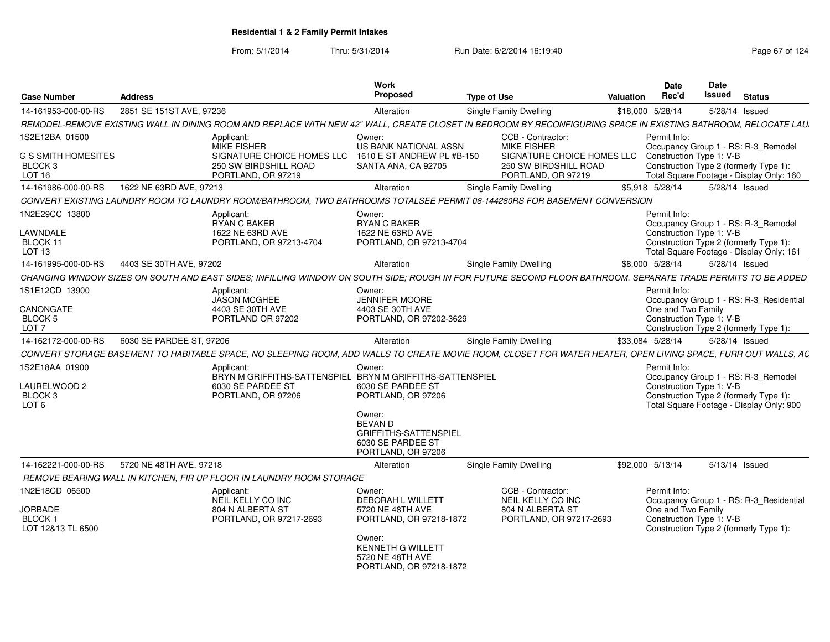| <b>Case Number</b>                                                  | <b>Address</b>                                                                                                                                                 | <b>Work</b><br>Proposed                                                                                        | <b>Type of Use</b>                                                    | Valuation        | <b>Date</b><br>Rec'd | Date<br>Issued                                                                                            | <b>Status</b>                            |
|---------------------------------------------------------------------|----------------------------------------------------------------------------------------------------------------------------------------------------------------|----------------------------------------------------------------------------------------------------------------|-----------------------------------------------------------------------|------------------|----------------------|-----------------------------------------------------------------------------------------------------------|------------------------------------------|
| 14-161953-000-00-RS                                                 | 2851 SE 151ST AVE, 97236                                                                                                                                       | Alteration                                                                                                     | <b>Single Family Dwelling</b>                                         | \$18,000 5/28/14 |                      | 5/28/14 Issued                                                                                            |                                          |
|                                                                     | REMODEL-REMOVE EXISTING WALL IN DINING ROOM AND REPLACE WITH NEW 42" WALL, CREATE CLOSET IN BEDROOM BY RECONFIGURING SPACE IN EXISTING BATHROOM, RELOCATE LAU. |                                                                                                                |                                                                       |                  |                      |                                                                                                           |                                          |
| 1S2E12BA 01500<br>G S SMITH HOMESITES                               | Applicant:<br><b>MIKE FISHER</b><br>SIGNATURE CHOICE HOMES LLC                                                                                                 | Owner:<br><b>US BANK NATIONAL ASSN</b><br>1610 E ST ANDREW PL #B-150                                           | CCB - Contractor:<br><b>MIKE FISHER</b><br>SIGNATURE CHOICE HOMES LLC |                  | Permit Info:         | Occupancy Group 1 - RS: R-3_Remodel<br>Construction Type 1: V-B                                           |                                          |
| BLOCK 3<br>LOT <sub>16</sub>                                        | 250 SW BIRDSHILL ROAD<br>PORTLAND, OR 97219                                                                                                                    | SANTA ANA, CA 92705                                                                                            | 250 SW BIRDSHILL ROAD<br>PORTLAND, OR 97219                           |                  |                      | Construction Type 2 (formerly Type 1):                                                                    | Total Square Footage - Display Only: 160 |
| 14-161986-000-00-RS                                                 | 1622 NE 63RD AVE, 97213                                                                                                                                        | Alteration                                                                                                     | <b>Single Family Dwelling</b>                                         | \$5.918 5/28/14  |                      | 5/28/14 Issued                                                                                            |                                          |
|                                                                     | CONVERT EXISTING LAUNDRY ROOM TO LAUNDRY ROOM/BATHROOM. TWO BATHROOMS TOTALSEE PERMIT 08-144280RS FOR BASEMENT CONVERSION                                      |                                                                                                                |                                                                       |                  |                      |                                                                                                           |                                          |
| 1N2E29CC 13800<br>LAWNDALE<br>BLOCK 11<br>LOT <sub>13</sub>         | Applicant:<br><b>RYAN C BAKER</b><br>1622 NE 63RD AVE<br>PORTLAND, OR 97213-4704                                                                               | Owner:<br><b>RYAN C BAKER</b><br>1622 NE 63RD AVE<br>PORTLAND, OR 97213-4704                                   |                                                                       |                  | Permit Info:         | Occupancy Group 1 - RS: R-3_Remodel<br>Construction Type 1: V-B<br>Construction Type 2 (formerly Type 1): | Total Square Footage - Display Only: 161 |
| 14-161995-000-00-RS                                                 | 4403 SE 30TH AVE, 97202                                                                                                                                        | Alteration                                                                                                     | Single Family Dwelling                                                | \$8,000 5/28/14  |                      | 5/28/14 Issued                                                                                            |                                          |
|                                                                     | CHANGING WINDOW SIZES ON SOUTH AND EAST SIDES: INFILLING WINDOW ON SOUTH SIDE: ROUGH IN FOR FUTURE SECOND FLOOR BATHROOM. SEPARATE TRADE PERMITS TO BE ADDED   |                                                                                                                |                                                                       |                  |                      |                                                                                                           |                                          |
| 1S1E12CD 13900                                                      | Applicant:<br><b>JASON MCGHEE</b>                                                                                                                              | Owner:<br><b>JENNIFER MOORE</b>                                                                                |                                                                       |                  | Permit Info:         |                                                                                                           | Occupancy Group 1 - RS: R-3 Residential  |
| CANONGATE<br>BLOCK 5<br>LOT <sub>7</sub>                            | 4403 SE 30TH AVE<br>PORTLAND OR 97202                                                                                                                          | 4403 SE 30TH AVE<br>PORTLAND, OR 97202-3629                                                                    |                                                                       |                  | One and Two Family   | Construction Type 1: V-B<br>Construction Type 2 (formerly Type 1):                                        |                                          |
| 14-162172-000-00-RS                                                 | 6030 SE PARDEE ST, 97206                                                                                                                                       | Alteration                                                                                                     | Single Family Dwelling                                                | \$33,084 5/28/14 |                      | 5/28/14 Issued                                                                                            |                                          |
|                                                                     | CONVERT STORAGE BASEMENT TO HABITABLE SPACE. NO SLEEPING ROOM. ADD WALLS TO CREATE MOVIE ROOM. CLOSET FOR WATER HEATER. OPEN LIVING SPACE. FURR OUT WALLS. AC  |                                                                                                                |                                                                       |                  |                      |                                                                                                           |                                          |
| 1S2E18AA 01900<br><b>AURELWOOD 2</b><br>BLOCK 3<br>LOT <sub>6</sub> | Applicant:<br>6030 SE PARDEE ST<br>PORTLAND, OR 97206                                                                                                          | Owner:<br>BRYN M GRIFFITHS-SATTENSPIEL BRYN M GRIFFITHS-SATTENSPIEL<br>6030 SE PARDEE ST<br>PORTLAND, OR 97206 |                                                                       |                  | Permit Info:         | Occupancy Group 1 - RS: R-3 Remodel<br>Construction Type 1: V-B<br>Construction Type 2 (formerly Type 1): | Total Square Footage - Display Only: 900 |
|                                                                     |                                                                                                                                                                | Owner:<br><b>BEVAN D</b><br><b>GRIFFITHS-SATTENSPIEL</b><br>6030 SE PARDEE ST<br>PORTLAND, OR 97206            |                                                                       |                  |                      |                                                                                                           |                                          |
| 14-162221-000-00-RS                                                 | 5720 NE 48TH AVE, 97218                                                                                                                                        | Alteration                                                                                                     | Single Family Dwelling                                                | \$92,000 5/13/14 |                      | 5/13/14 Issued                                                                                            |                                          |
|                                                                     | REMOVE BEARING WALL IN KITCHEN. FIR UP FLOOR IN LAUNDRY ROOM STORAGE                                                                                           |                                                                                                                |                                                                       |                  |                      |                                                                                                           |                                          |
| 1N2E18CD 06500                                                      | Applicant:<br>NEIL KELLY CO INC                                                                                                                                | Owner:<br><b>DEBORAH L WILLETT</b>                                                                             | CCB - Contractor:<br>NEIL KELLY CO INC                                |                  | Permit Info:         |                                                                                                           | Occupancy Group 1 - RS: R-3 Residential  |
| <b>JORBADE</b><br>BLOCK 1<br>LOT 12&13 TL 6500                      | 804 N ALBERTA ST<br>PORTLAND, OR 97217-2693                                                                                                                    | 5720 NE 48TH AVE<br>PORTLAND. OR 97218-1872                                                                    | 804 N ALBERTA ST<br>PORTLAND, OR 97217-2693                           |                  | One and Two Family   | Construction Type 1: V-B<br>Construction Type 2 (formerly Type 1):                                        |                                          |
|                                                                     |                                                                                                                                                                | Owner:<br><b>KENNETH G WILLETT</b><br>5720 NE 48TH AVE<br>PORTLAND, OR 97218-1872                              |                                                                       |                  |                      |                                                                                                           |                                          |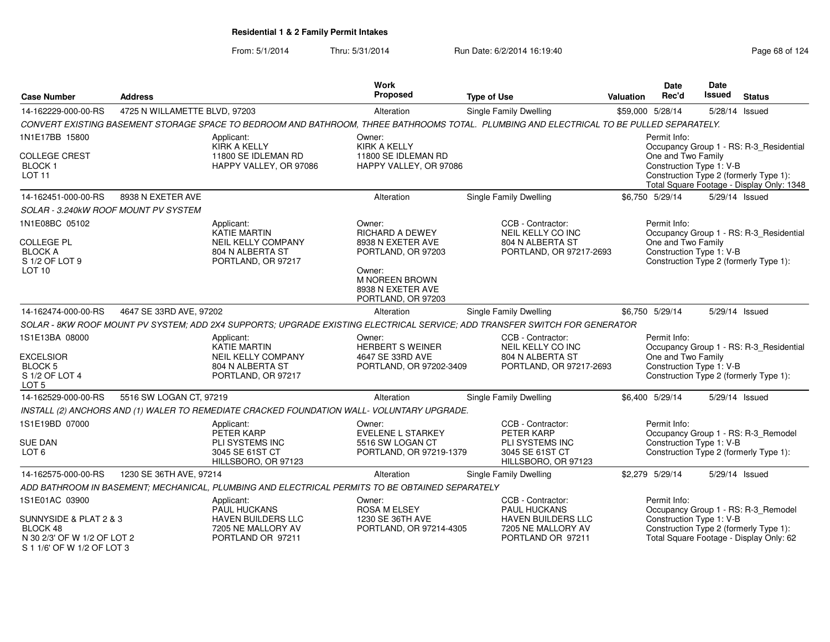From: 5/1/2014

Thru: 5/31/2014 Run Date: 6/2/2014 16:19:40

| 4725 N WILLAMETTE BLVD, 97203<br>Single Family Dwelling<br>14-162229-000-00-RS<br>Alteration<br>CONVERT EXISTING BASEMENT STORAGE SPACE TO BEDROOM AND BATHROOM, THREE BATHROOMS TOTAL. PLUMBING AND ELECTRICAL TO BE PULLED SEPARATELY.<br>1N1E17BB 15800<br>Applicant:<br>Owner:<br>KIRK A KELLY<br><b>KIRK A KELLY</b><br><b>COLLEGE CREST</b><br>11800 SE IDLEMAN RD<br>11800 SE IDLEMAN RD<br><b>BLOCK1</b><br>HAPPY VALLEY, OR 97086<br>HAPPY VALLEY, OR 97086<br><b>LOT 11</b><br>14-162451-000-00-RS<br>8938 N EXETER AVE<br>Single Family Dwelling<br>Alteration<br>SOLAR - 3.240kW ROOF MOUNT PV SYSTEM | \$59,000 5/28/14<br>5/28/14 Issued<br>Permit Info:<br>Occupancy Group 1 - RS: R-3_Residential<br>One and Two Family<br>Construction Type 1: V-B<br>Construction Type 2 (formerly Type 1):<br>Total Square Footage - Display Only: 1348<br>\$6,750 5/29/14<br>5/29/14 Issued<br>Permit Info:<br>Occupancy Group 1 - RS: R-3_Residential<br>One and Two Family<br>Construction Type 1: V-B |
|-------------------------------------------------------------------------------------------------------------------------------------------------------------------------------------------------------------------------------------------------------------------------------------------------------------------------------------------------------------------------------------------------------------------------------------------------------------------------------------------------------------------------------------------------------------------------------------------------------------------|------------------------------------------------------------------------------------------------------------------------------------------------------------------------------------------------------------------------------------------------------------------------------------------------------------------------------------------------------------------------------------------|
|                                                                                                                                                                                                                                                                                                                                                                                                                                                                                                                                                                                                                   |                                                                                                                                                                                                                                                                                                                                                                                          |
|                                                                                                                                                                                                                                                                                                                                                                                                                                                                                                                                                                                                                   |                                                                                                                                                                                                                                                                                                                                                                                          |
|                                                                                                                                                                                                                                                                                                                                                                                                                                                                                                                                                                                                                   |                                                                                                                                                                                                                                                                                                                                                                                          |
|                                                                                                                                                                                                                                                                                                                                                                                                                                                                                                                                                                                                                   |                                                                                                                                                                                                                                                                                                                                                                                          |
|                                                                                                                                                                                                                                                                                                                                                                                                                                                                                                                                                                                                                   |                                                                                                                                                                                                                                                                                                                                                                                          |
|                                                                                                                                                                                                                                                                                                                                                                                                                                                                                                                                                                                                                   |                                                                                                                                                                                                                                                                                                                                                                                          |
| 1N1E08BC 05102<br>CCB - Contractor:<br>Owner:<br>Applicant:<br><b>KATIE MARTIN</b><br><b>RICHARD A DEWEY</b><br>NEIL KELLY CO INC<br><b>COLLEGE PL</b><br>804 N ALBERTA ST<br>NEIL KELLY COMPANY<br>8938 N EXETER AVE                                                                                                                                                                                                                                                                                                                                                                                             |                                                                                                                                                                                                                                                                                                                                                                                          |
| <b>BLOCK A</b><br>804 N ALBERTA ST<br>PORTLAND, OR 97217-2693<br>PORTLAND, OR 97203<br>S 1/2 OF LOT 9<br>PORTLAND, OR 97217<br>LOT <sub>10</sub><br>Owner:<br><b>M NOREEN BROWN</b><br>8938 N EXETER AVE<br>PORTLAND, OR 97203                                                                                                                                                                                                                                                                                                                                                                                    | Construction Type 2 (formerly Type 1):                                                                                                                                                                                                                                                                                                                                                   |
| 4647 SE 33RD AVE, 97202<br>14-162474-000-00-RS<br><b>Single Family Dwelling</b><br>Alteration                                                                                                                                                                                                                                                                                                                                                                                                                                                                                                                     | \$6,750 5/29/14<br>5/29/14 Issued                                                                                                                                                                                                                                                                                                                                                        |
| SOLAR - 8KW ROOF MOUNT PV SYSTEM; ADD 2X4 SUPPORTS; UPGRADE EXISTING ELECTRICAL SERVICE; ADD TRANSFER SWITCH FOR GENERATOR                                                                                                                                                                                                                                                                                                                                                                                                                                                                                        |                                                                                                                                                                                                                                                                                                                                                                                          |
| CCB - Contractor:<br>1S1E13BA 08000<br>Applicant:<br>Owner:<br><b>KATIE MARTIN</b><br><b>HERBERT S WEINER</b><br>NEIL KELLY CO INC<br>804 N ALBERTA ST<br>EXCELSIOR<br>NEIL KELLY COMPANY<br>4647 SE 33RD AVE<br><b>BLOCK 5</b><br>804 N ALBERTA ST<br>PORTLAND, OR 97217-2693<br>PORTLAND, OR 97202-3409<br>S 1/2 OF LOT 4<br>PORTLAND, OR 97217                                                                                                                                                                                                                                                                 | Permit Info:<br>Occupancy Group 1 - RS: R-3_Residential<br>One and Two Family<br>Construction Type 1: V-B<br>Construction Type 2 (formerly Type 1):                                                                                                                                                                                                                                      |
| LOT <sub>5</sub>                                                                                                                                                                                                                                                                                                                                                                                                                                                                                                                                                                                                  |                                                                                                                                                                                                                                                                                                                                                                                          |
| 14-162529-000-00-RS<br>5516 SW LOGAN CT, 97219<br>Single Family Dwelling<br>Alteration                                                                                                                                                                                                                                                                                                                                                                                                                                                                                                                            | \$6,400 5/29/14<br>5/29/14 Issued                                                                                                                                                                                                                                                                                                                                                        |
| INSTALL (2) ANCHORS AND (1) WALER TO REMEDIATE CRACKED FOUNDATION WALL- VOLUNTARY UPGRADE.                                                                                                                                                                                                                                                                                                                                                                                                                                                                                                                        |                                                                                                                                                                                                                                                                                                                                                                                          |
| 1S1E19BD 07000<br>CCB - Contractor:<br>Applicant:<br>Owner:<br>PETER KARP<br><b>EVELENE L STARKEY</b><br>PETER KARP<br><b>SUE DAN</b><br>PLI SYSTEMS INC<br>PLI SYSTEMS INC<br>5516 SW LOGAN CT<br>LOT 6<br>3045 SE 61ST CT<br>PORTLAND, OR 97219-1379<br>3045 SE 61ST CT<br>HILLSBORO, OR 97123<br>HILLSBORO, OR 97123                                                                                                                                                                                                                                                                                           | Permit Info:<br>Occupancy Group 1 - RS: R-3_Remodel<br>Construction Type 1: V-B<br>Construction Type 2 (formerly Type 1):                                                                                                                                                                                                                                                                |
| 14-162575-000-00-RS<br>1230 SE 36TH AVE, 97214<br>Alteration<br>Single Family Dwelling                                                                                                                                                                                                                                                                                                                                                                                                                                                                                                                            | \$2,279 5/29/14<br>5/29/14 Issued                                                                                                                                                                                                                                                                                                                                                        |
| ADD BATHROOM IN BASEMENT; MECHANICAL, PLUMBING AND ELECTRICAL PERMITS TO BE OBTAINED SEPARATELY                                                                                                                                                                                                                                                                                                                                                                                                                                                                                                                   |                                                                                                                                                                                                                                                                                                                                                                                          |
| 1S1E01AC 03900<br>CCB - Contractor:<br>Applicant:<br>Owner:<br><b>PAUL HUCKANS</b><br><b>ROSA M ELSEY</b><br><b>PAUL HUCKANS</b><br>SUNNYSIDE & PLAT 2 & 3<br>HAVEN BUILDERS LLC<br>1230 SE 36TH AVE<br>HAVEN BUILDERS LLC<br>7205 NE MALLORY AV<br>BLOCK 48<br>PORTLAND, OR 97214-4305<br>7205 NE MALLORY AV<br>N 30 2/3' OF W 1/2 OF LOT 2<br>PORTLAND OR 97211<br>PORTLAND OR 97211<br>S 1 1/6' OF W 1/2 OF LOT 3                                                                                                                                                                                              | Permit Info:<br>Occupancy Group 1 - RS: R-3_Remodel<br>Construction Type 1: V-B<br>Construction Type 2 (formerly Type 1):<br>Total Square Footage - Display Only: 62                                                                                                                                                                                                                     |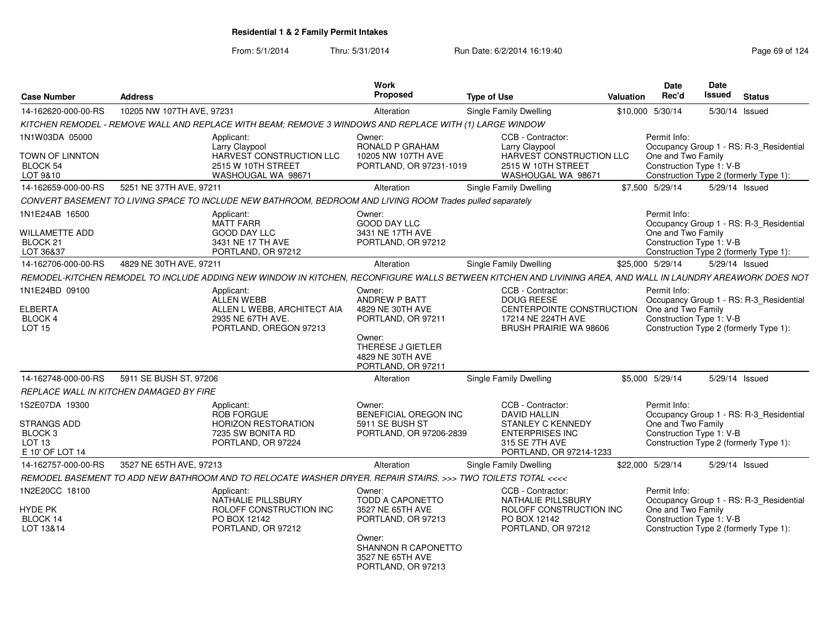| <b>Case Number</b>                                 | <b>Address</b>                                                                                                                                              | <b>Work</b><br>Proposed                                                 | <b>Type of Use</b>                                                                 | <b>Valuation</b> | <b>Date</b><br>Rec'd                                           | Date<br><b>Issued</b> | <b>Status</b>                                                                     |
|----------------------------------------------------|-------------------------------------------------------------------------------------------------------------------------------------------------------------|-------------------------------------------------------------------------|------------------------------------------------------------------------------------|------------------|----------------------------------------------------------------|-----------------------|-----------------------------------------------------------------------------------|
| 14-162620-000-00-RS                                | 10205 NW 107TH AVE, 97231                                                                                                                                   | Alteration                                                              | Single Family Dwelling                                                             |                  | \$10,000 5/30/14                                               |                       | 5/30/14 Issued                                                                    |
|                                                    | KITCHEN REMODEL - REMOVE WALL AND REPLACE WITH BEAM; REMOVE 3 WINDOWS AND REPLACE WITH (1) LARGE WINDOW                                                     |                                                                         |                                                                                    |                  |                                                                |                       |                                                                                   |
| 1N1W03DA 05000                                     | Applicant:<br>Larry Claypool                                                                                                                                | Owner:<br>RONALD P GRAHAM                                               | CCB - Contractor:<br>Larry Claypool                                                |                  | Permit Info:                                                   |                       | Occupancy Group 1 - RS: R-3_Residential                                           |
| TOWN OF LINNTON                                    | HARVEST CONSTRUCTION LLC                                                                                                                                    | 10205 NW 107TH AVE                                                      | HARVEST CONSTRUCTION LLC                                                           |                  | One and Two Family                                             |                       |                                                                                   |
| BLOCK 54                                           | 2515 W 10TH STREET                                                                                                                                          | PORTLAND, OR 97231-1019                                                 | 2515 W 10TH STREET                                                                 |                  | Construction Type 1: V-B                                       |                       |                                                                                   |
| LOT 9&10                                           | WASHOUGAL WA 98671                                                                                                                                          |                                                                         | WASHOUGAL WA 98671                                                                 |                  |                                                                |                       | Construction Type 2 (formerly Type 1):                                            |
| 14-162659-000-00-RS                                | 5251 NE 37TH AVE, 97211                                                                                                                                     | Alteration                                                              | Single Family Dwelling                                                             |                  | \$7,500 5/29/14                                                |                       | 5/29/14 Issued                                                                    |
|                                                    | CONVERT BASEMENT TO LIVING SPACE TO INCLUDE NEW BATHROOM, BEDROOM AND LIVING ROOM Trades pulled separately                                                  |                                                                         |                                                                                    |                  |                                                                |                       |                                                                                   |
| 1N1E24AB 16500                                     | Applicant:<br><b>MATT FARR</b>                                                                                                                              | Owner:<br><b>GOOD DAY LLC</b>                                           |                                                                                    |                  | Permit Info:                                                   |                       | Occupancy Group 1 - RS: R-3_Residential                                           |
| <b>WILLAMETTE ADD</b>                              | <b>GOOD DAY LLC</b>                                                                                                                                         | 3431 NE 17TH AVE                                                        |                                                                                    |                  | One and Two Family                                             |                       |                                                                                   |
| BLOCK <sub>21</sub>                                | 3431 NE 17 TH AVE                                                                                                                                           | PORTLAND, OR 97212                                                      |                                                                                    |                  | Construction Type 1: V-B                                       |                       |                                                                                   |
| LOT 36&37                                          | PORTLAND, OR 97212                                                                                                                                          |                                                                         |                                                                                    |                  |                                                                |                       | Construction Type 2 (formerly Type 1):                                            |
| 14-162706-000-00-RS                                | 4829 NE 30TH AVE, 97211                                                                                                                                     | Alteration                                                              | Single Family Dwelling                                                             |                  | \$25,000 5/29/14                                               |                       | 5/29/14 Issued                                                                    |
|                                                    | REMODEL-KITCHEN REMODEL TO INCLUDE ADDING NEW WINDOW IN KITCHEN, RECONFIGURE WALLS BETWEEN KITCHEN AND LIVINING AREA, AND WALL IN LAUNDRY AREAWORK DOES NOT |                                                                         |                                                                                    |                  |                                                                |                       |                                                                                   |
| 1N1E24BD 09100                                     | Applicant:<br><b>ALLEN WEBB</b>                                                                                                                             | Owner:<br>ANDREW P BATT                                                 | CCB - Contractor:<br><b>DOUG REESE</b>                                             |                  | Permit Info:                                                   |                       | Occupancy Group 1 - RS: R-3_Residential                                           |
| <b>ELBERTA</b>                                     | ALLEN L WEBB, ARCHITECT AIA                                                                                                                                 | 4829 NE 30TH AVE                                                        | CENTERPOINTE CONSTRUCTION                                                          |                  | One and Two Family                                             |                       |                                                                                   |
| BLOCK 4                                            | 2935 NE 67TH AVE.                                                                                                                                           | PORTLAND, OR 97211                                                      | 17214 NE 224TH AVE                                                                 |                  | Construction Type 1: V-B                                       |                       |                                                                                   |
| LOT <sub>15</sub>                                  | PORTLAND, OREGON 97213                                                                                                                                      | Owner:<br>THERESE J GIETLER<br>4829 NE 30TH AVE<br>PORTLAND, OR 97211   | BRUSH PRAIRIE WA 98606                                                             |                  |                                                                |                       | Construction Type 2 (formerly Type 1):                                            |
| 14-162748-000-00-RS                                | 5911 SE BUSH ST, 97206                                                                                                                                      | Alteration                                                              | Single Family Dwelling                                                             |                  | \$5,000 5/29/14                                                |                       | 5/29/14 Issued                                                                    |
|                                                    | REPLACE WALL IN KITCHEN DAMAGED BY FIRE                                                                                                                     |                                                                         |                                                                                    |                  |                                                                |                       |                                                                                   |
| 1S2E07DA 19300                                     | Applicant:<br><b>ROB FORGUE</b>                                                                                                                             | Owner:<br><b>BENEFICIAL OREGON INC</b>                                  | CCB - Contractor:<br><b>DAVID HALLIN</b>                                           |                  | Permit Info:                                                   |                       |                                                                                   |
| STRANGS ADD                                        | <b>HORIZON RESTORATION</b>                                                                                                                                  | 5911 SE BUSH ST                                                         | STANLEY C KENNEDY                                                                  |                  | One and Two Family                                             |                       | Occupancy Group 1 - RS: R-3 Residential                                           |
| BLOCK <sub>3</sub>                                 | 7235 SW BONITA RD                                                                                                                                           | PORTLAND, OR 97206-2839                                                 | <b>ENTERPRISES INC</b>                                                             |                  | Construction Type 1: V-B                                       |                       |                                                                                   |
| LOT 13                                             | PORTLAND, OR 97224                                                                                                                                          |                                                                         | 315 SE 7TH AVE                                                                     |                  |                                                                |                       | Construction Type 2 (formerly Type 1):                                            |
| E 10' OF LOT 14                                    |                                                                                                                                                             |                                                                         | PORTLAND, OR 97214-1233                                                            |                  |                                                                |                       |                                                                                   |
| 14-162757-000-00-RS                                | 3527 NE 65TH AVE, 97213                                                                                                                                     | Alteration                                                              | <b>Single Family Dwelling</b>                                                      |                  | \$22,000 5/29/14                                               |                       | 5/29/14 Issued                                                                    |
|                                                    | REMODEL BASEMENT TO ADD NEW BATHROOM AND TO RELOCATE WASHER DRYER. REPAIR STAIRS. >>> TWO TOILETS TOTAL <<<<                                                |                                                                         |                                                                                    |                  |                                                                |                       |                                                                                   |
| 1N2E20CC 18100<br>HYDE PK<br>BLOCK 14<br>LOT 13&14 | Applicant:<br>NATHALIE PILLSBURY<br>ROLOFF CONSTRUCTION INC<br>PO BOX 12142                                                                                 | Owner:<br>TODD A CAPONETTO<br>3527 NE 65TH AVE<br>PORTLAND, OR 97213    | CCB - Contractor:<br>NATHALIE PILLSBURY<br>ROLOFF CONSTRUCTION INC<br>PO BOX 12142 |                  | Permit Info:<br>One and Two Family<br>Construction Type 1: V-B |                       | Occupancy Group 1 - RS: R-3_Residential<br>Construction Type 2 (formerly Type 1): |
|                                                    | PORTLAND, OR 97212                                                                                                                                          | Owner:<br>SHANNON R CAPONETTO<br>3527 NE 65TH AVE<br>PORTLAND, OR 97213 | PORTLAND, OR 97212                                                                 |                  |                                                                |                       |                                                                                   |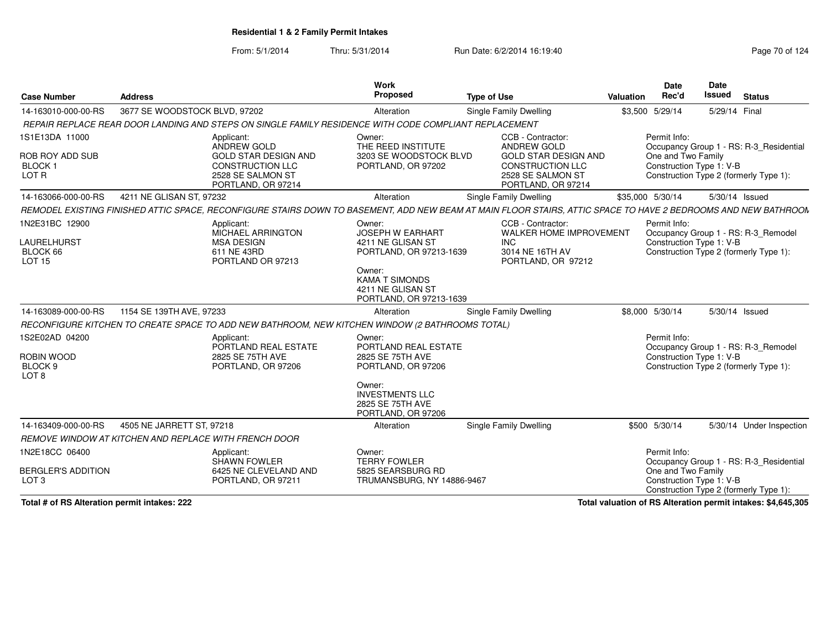From: 5/1/2014Thru: 5/31/2014 Run Date: 6/2/2014 16:19:40

| <b>Case Number</b>                                                     | <b>Address</b>                                                                                                                                                 | <b>Work</b><br>Proposed                                                                                                                                              | <b>Type of Use</b>                                                                                                                           | Valuation | <b>Date</b><br>Rec'd                                           | Date<br>Issued | <b>Status</b>                                                                     |
|------------------------------------------------------------------------|----------------------------------------------------------------------------------------------------------------------------------------------------------------|----------------------------------------------------------------------------------------------------------------------------------------------------------------------|----------------------------------------------------------------------------------------------------------------------------------------------|-----------|----------------------------------------------------------------|----------------|-----------------------------------------------------------------------------------|
| 14-163010-000-00-RS                                                    | 3677 SE WOODSTOCK BLVD, 97202                                                                                                                                  | Alteration                                                                                                                                                           | <b>Single Family Dwelling</b>                                                                                                                | \$3,500   | 5/29/14                                                        | 5/29/14 Final  |                                                                                   |
|                                                                        | REPAIR REPLACE REAR DOOR LANDING AND STEPS ON SINGLE FAMILY RESIDENCE WITH CODE COMPLIANT REPLACEMENT                                                          |                                                                                                                                                                      |                                                                                                                                              |           |                                                                |                |                                                                                   |
| 1S1E13DA 11000<br>ROB ROY ADD SUB<br>BLOCK <sub>1</sub><br>LOT R       | Applicant:<br>ANDREW GOLD<br><b>GOLD STAR DESIGN AND</b><br><b>CONSTRUCTION LLC</b><br>2528 SE SALMON ST<br>PORTLAND, OR 97214                                 | Owner:<br>THE REED INSTITUTE<br>3203 SE WOODSTOCK BLVD<br>PORTLAND, OR 97202                                                                                         | CCB - Contractor:<br><b>ANDREW GOLD</b><br><b>GOLD STAR DESIGN AND</b><br><b>CONSTRUCTION LLC</b><br>2528 SE SALMON ST<br>PORTLAND, OR 97214 |           | Permit Info:<br>One and Two Family<br>Construction Type 1: V-B |                | Occupancy Group 1 - RS: R-3_Residential<br>Construction Type 2 (formerly Type 1): |
| 14-163066-000-00-RS                                                    | 4211 NE GLISAN ST, 97232                                                                                                                                       | Alteration                                                                                                                                                           | Single Family Dwelling                                                                                                                       |           | \$35,000 5/30/14                                               | 5/30/14 Issued |                                                                                   |
|                                                                        | REMODEL EXISTING FINISHED ATTIC SPACE, RECONFIGURE STAIRS DOWN TO BASEMENT, ADD NEW BEAM AT MAIN FLOOR STAIRS, ATTIC SPACE TO HAVE 2 BEDROOMS AND NEW BATHROON |                                                                                                                                                                      |                                                                                                                                              |           |                                                                |                |                                                                                   |
| 1N2E31BC 12900<br>LAURELHURST<br>BLOCK 66<br><b>LOT 15</b>             | Applicant:<br>MICHAEL ARRINGTON<br><b>MSA DESIGN</b><br>611 NE 43RD<br>PORTLAND OR 97213                                                                       | Owner:<br><b>JOSEPH W EARHART</b><br>4211 NE GLISAN ST<br>PORTLAND, OR 97213-1639<br>Owner:<br><b>KAMA T SIMONDS</b><br>4211 NE GLISAN ST<br>PORTLAND, OR 97213-1639 | CCB - Contractor:<br>WALKER HOME IMPROVEMENT<br><b>INC</b><br>3014 NE 16TH AV<br>PORTLAND, OR 97212                                          |           | Permit Info:<br>Construction Type 1: V-B                       |                | Occupancy Group 1 - RS: R-3_Remodel<br>Construction Type 2 (formerly Type 1):     |
| 14-163089-000-00-RS                                                    | 1154 SE 139TH AVE, 97233                                                                                                                                       | Alteration                                                                                                                                                           | <b>Single Family Dwelling</b>                                                                                                                |           | \$8,000 5/30/14                                                |                | 5/30/14 Issued                                                                    |
|                                                                        | RECONFIGURE KITCHEN TO CREATE SPACE TO ADD NEW BATHROOM, NEW KITCHEN WINDOW (2 BATHROOMS TOTAL)                                                                |                                                                                                                                                                      |                                                                                                                                              |           |                                                                |                |                                                                                   |
| 1S2E02AD 04200<br>ROBIN WOOD<br>BLOCK <sub>9</sub><br>LOT <sub>8</sub> | Applicant:<br>PORTLAND REAL ESTATE<br>2825 SE 75TH AVE<br>PORTLAND, OR 97206                                                                                   | Owner:<br>PORTLAND REAL ESTATE<br>2825 SE 75TH AVE<br>PORTLAND, OR 97206<br>Owner:<br><b>INVESTMENTS LLC</b><br>2825 SE 75TH AVE<br>PORTLAND, OR 97206               |                                                                                                                                              |           | Permit Info:<br>Construction Type 1: V-B                       |                | Occupancy Group 1 - RS: R-3 Remodel<br>Construction Type 2 (formerly Type 1):     |
| 14-163409-000-00-RS                                                    | 4505 NE JARRETT ST, 97218                                                                                                                                      | Alteration                                                                                                                                                           | Single Family Dwelling                                                                                                                       |           | \$500 5/30/14                                                  |                | 5/30/14 Under Inspection                                                          |
|                                                                        | REMOVE WINDOW AT KITCHEN AND REPLACE WITH FRENCH DOOR                                                                                                          |                                                                                                                                                                      |                                                                                                                                              |           |                                                                |                |                                                                                   |
| 1N2E18CC 06400<br><b>BERGLER'S ADDITION</b><br>LOT <sub>3</sub>        | Applicant:<br>SHAWN FOWLER<br>6425 NE CLEVELAND AND<br>PORTLAND, OR 97211                                                                                      | Owner:<br><b>TERRY FOWLER</b><br>5825 SEARSBURG RD<br>TRUMANSBURG, NY 14886-9467                                                                                     |                                                                                                                                              |           | Permit Info:<br>One and Two Family<br>Construction Type 1: V-B |                | Occupancy Group 1 - RS: R-3_Residential                                           |
|                                                                        |                                                                                                                                                                |                                                                                                                                                                      |                                                                                                                                              |           |                                                                |                | Construction Type 2 (formerly Type 1):                                            |

**Total # of RS Alteration permit intakes: 222**

**Total valuation of RS Alteration permit intakes: \$4,645,305**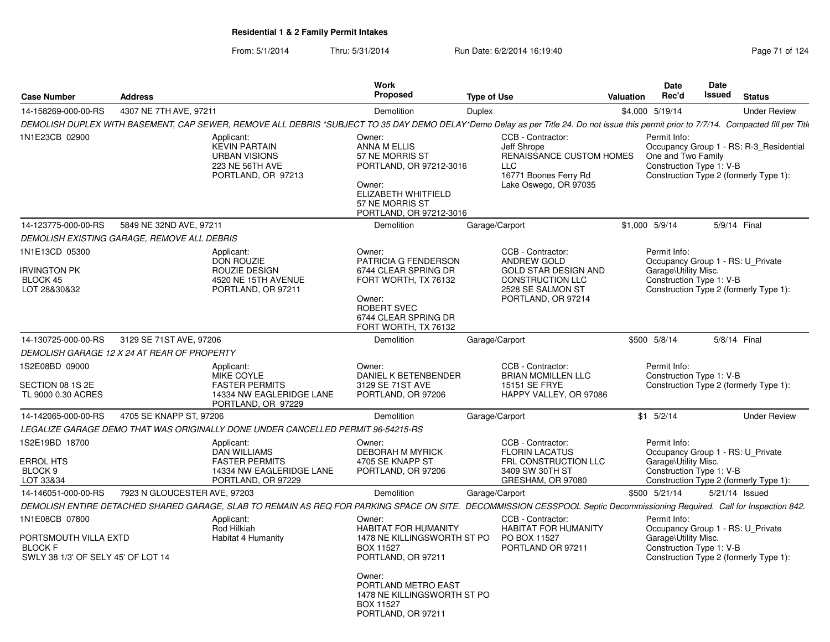| <b>Case Number</b>                                                            | <b>Address</b>                              |                                                                                                                                                                                          | Work<br><b>Proposed</b>                                                                                                                                 | <b>Type of Use</b>                                                                                                                    | Valuation | Date<br>Rec'd                                                    | <b>Date</b><br>Issued | <b>Status</b>                                                                     |
|-------------------------------------------------------------------------------|---------------------------------------------|------------------------------------------------------------------------------------------------------------------------------------------------------------------------------------------|---------------------------------------------------------------------------------------------------------------------------------------------------------|---------------------------------------------------------------------------------------------------------------------------------------|-----------|------------------------------------------------------------------|-----------------------|-----------------------------------------------------------------------------------|
| 14-158269-000-00-RS                                                           | 4307 NE 7TH AVE, 97211                      |                                                                                                                                                                                          | Demolition                                                                                                                                              | Duplex                                                                                                                                |           | \$4,000 5/19/14                                                  |                       | <b>Under Review</b>                                                               |
|                                                                               |                                             | DEMOLISH DUPLEX WITH BASEMENT, CAP SEWER, REMOVE ALL DEBRIS *SUBJECT TO 35 DAY DEMO DELAY*Demo Delay as per Title 24. Do not issue this permit prior to 7/7/14. Compacted fill per Title |                                                                                                                                                         |                                                                                                                                       |           |                                                                  |                       |                                                                                   |
| 1N1E23CB 02900                                                                |                                             | Applicant:<br><b>KEVIN PARTAIN</b><br><b>URBAN VISIONS</b><br>223 NE 56TH AVE<br>PORTLAND, OR 97213                                                                                      | Owner:<br>ANNA M ELLIS<br>57 NE MORRIS ST<br>PORTLAND, OR 97212-3016<br>Owner:<br>ELIZABETH WHITFIELD<br>57 NE MORRIS ST<br>PORTLAND, OR 97212-3016     | CCB - Contractor:<br>Jeff Shrope<br><b>RENAISSANCE CUSTOM HOMES</b><br>LLC<br>16771 Boones Ferry Rd<br>Lake Oswego, OR 97035          |           | Permit Info:<br>One and Two Family<br>Construction Type 1: V-B   |                       | Occupancy Group 1 - RS: R-3_Residential<br>Construction Type 2 (formerly Type 1): |
| 14-123775-000-00-RS                                                           | 5849 NE 32ND AVE, 97211                     |                                                                                                                                                                                          | Demolition                                                                                                                                              | Garage/Carport                                                                                                                        |           | \$1,000 5/9/14                                                   |                       | 5/9/14 Final                                                                      |
|                                                                               | DEMOLISH EXISTING GARAGE, REMOVE ALL DEBRIS |                                                                                                                                                                                          |                                                                                                                                                         |                                                                                                                                       |           |                                                                  |                       |                                                                                   |
| 1N1E13CD 05300<br><b>RVINGTON PK</b><br>BLOCK 45<br>LOT 28&30&32              |                                             | Applicant:<br><b>DON ROUZIE</b><br>ROUZIE DESIGN<br>4520 NE 15TH AVENUE<br>PORTLAND, OR 97211                                                                                            | Owner:<br>PATRICIA G FENDERSON<br>6744 CLEAR SPRING DR<br>FORT WORTH, TX 76132<br>Owner:<br>ROBERT SVEC<br>6744 CLEAR SPRING DR<br>FORT WORTH, TX 76132 | CCB - Contractor:<br>ANDREW GOLD<br><b>GOLD STAR DESIGN AND</b><br><b>CONSTRUCTION LLC</b><br>2528 SE SALMON ST<br>PORTLAND, OR 97214 |           | Permit Info:<br>Garage\Utility Misc.<br>Construction Type 1: V-B |                       | Occupancy Group 1 - RS: U_Private<br>Construction Type 2 (formerly Type 1):       |
| 14-130725-000-00-RS                                                           | 3129 SE 71ST AVE, 97206                     |                                                                                                                                                                                          | Demolition                                                                                                                                              | Garage/Carport                                                                                                                        |           | \$500 5/8/14                                                     |                       | 5/8/14 Final                                                                      |
|                                                                               | DEMOLISH GARAGE 12 X 24 AT REAR OF PROPERTY |                                                                                                                                                                                          |                                                                                                                                                         |                                                                                                                                       |           |                                                                  |                       |                                                                                   |
| 1S2E08BD 09000                                                                |                                             | Applicant:                                                                                                                                                                               | Owner:                                                                                                                                                  | CCB - Contractor:                                                                                                                     |           | Permit Info:                                                     |                       |                                                                                   |
| SECTION 08 1S 2E<br>TL 9000 0.30 ACRES                                        |                                             | MIKE COYLE<br><b>FASTER PERMITS</b><br>14334 NW EAGLERIDGE LANE<br>PORTLAND, OR 97229                                                                                                    | DANIEL K BETENBENDER<br>3129 SE 71ST AVE<br>PORTLAND, OR 97206                                                                                          | <b>BRIAN MCMILLEN LLC</b><br>15151 SE FRYE<br>HAPPY VALLEY, OR 97086                                                                  |           | Construction Type 1: V-B                                         |                       | Construction Type 2 (formerly Type 1):                                            |
| 14-142065-000-00-RS                                                           | 4705 SE KNAPP ST, 97206                     |                                                                                                                                                                                          | Demolition                                                                                                                                              | Garage/Carport                                                                                                                        |           | $$1$ $5/2/14$                                                    |                       | <b>Under Review</b>                                                               |
|                                                                               |                                             | LEGALIZE GARAGE DEMO THAT WAS ORIGINALLY DONE UNDER CANCELLED PERMIT 96-54215-RS                                                                                                         |                                                                                                                                                         |                                                                                                                                       |           |                                                                  |                       |                                                                                   |
| 1S2E19BD 18700<br>ERROL HTS<br>BLOCK 9<br>LOT 33&34                           |                                             | Applicant:<br><b>DAN WILLIAMS</b><br><b>FASTER PERMITS</b><br>14334 NW EAGLERIDGE LANE<br>PORTLAND, OR 97229                                                                             | Owner:<br><b>DEBORAH M MYRICK</b><br>4705 SE KNAPP ST<br>PORTLAND, OR 97206                                                                             | CCB - Contractor:<br><b>FLORIN LACATUS</b><br>FRL CONSTRUCTION LLC<br>3409 SW 30TH ST<br>GRESHAM, OR 97080                            |           | Permit Info:<br>Garage\Utility Misc.<br>Construction Type 1: V-B |                       | Occupancy Group 1 - RS: U_Private<br>Construction Type 2 (formerly Type 1):       |
| 14-146051-000-00-RS                                                           | 7923 N GLOUCESTER AVE, 97203                |                                                                                                                                                                                          | Demolition                                                                                                                                              | Garage/Carport                                                                                                                        |           | \$500 5/21/14                                                    |                       | 5/21/14 Issued                                                                    |
|                                                                               |                                             | DEMOLISH ENTIRE DETACHED SHARED GARAGE, SLAB TO REMAIN AS REQ FOR PARKING SPACE ON SITE. DECOMMISSION CESSPOOL Septic Decommissioning Required. Call for Inspection 842.                 |                                                                                                                                                         |                                                                                                                                       |           |                                                                  |                       |                                                                                   |
| 1N1E08CB 07800                                                                |                                             | Applicant:                                                                                                                                                                               | Owner:                                                                                                                                                  | CCB - Contractor:                                                                                                                     |           | Permit Info:                                                     |                       |                                                                                   |
| PORTSMOUTH VILLA EXTD<br><b>BLOCK F</b><br>SWLY 38 1/3' OF SELY 45' OF LOT 14 |                                             | <b>Rod Hilkiah</b><br>Habitat 4 Humanity                                                                                                                                                 | <b>HABITAT FOR HUMANITY</b><br>1478 NE KILLINGSWORTH ST PO<br><b>BOX 11527</b><br>PORTLAND, OR 97211<br>Owner:                                          | <b>HABITAT FOR HUMANITY</b><br>PO BOX 11527<br>PORTLAND OR 97211                                                                      |           | Garage\Utility Misc.<br>Construction Type 1: V-B                 |                       | Occupancy Group 1 - RS: U_Private<br>Construction Type 2 (formerly Type 1):       |
|                                                                               |                                             |                                                                                                                                                                                          | PORTLAND METRO EAST<br>1478 NE KILLINGSWORTH ST PO<br><b>BOX 11527</b><br>PORTLAND, OR 97211                                                            |                                                                                                                                       |           |                                                                  |                       |                                                                                   |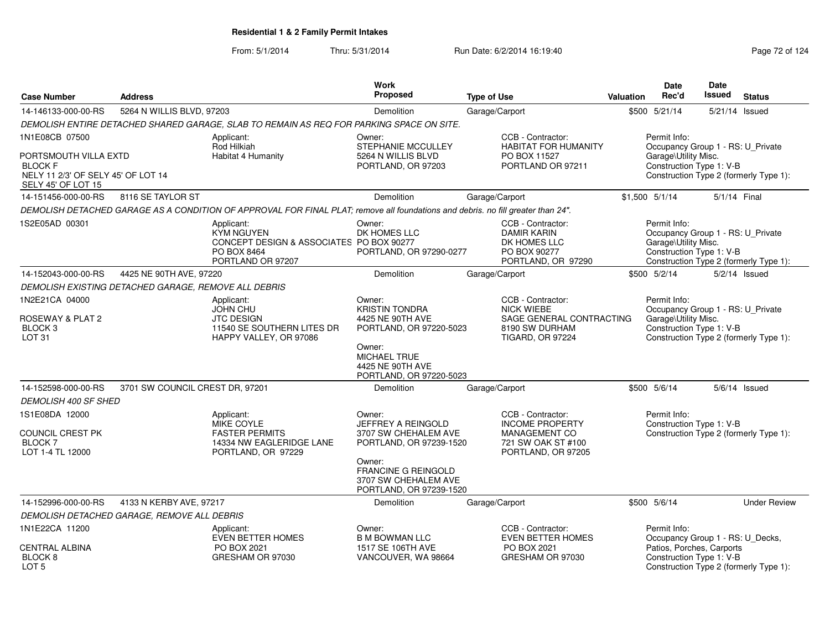|                                                                                                     | <b>Address</b>                                       |                                                                                                                                  | Work<br><b>Proposed</b>                                                                 |                                                                                               | <b>Valuation</b> | <b>Date</b><br>Rec'd                                                                                  | Date<br>Issued | <b>Status</b>                          |
|-----------------------------------------------------------------------------------------------------|------------------------------------------------------|----------------------------------------------------------------------------------------------------------------------------------|-----------------------------------------------------------------------------------------|-----------------------------------------------------------------------------------------------|------------------|-------------------------------------------------------------------------------------------------------|----------------|----------------------------------------|
| <b>Case Number</b>                                                                                  |                                                      |                                                                                                                                  |                                                                                         | <b>Type of Use</b>                                                                            |                  |                                                                                                       |                |                                        |
| 14-146133-000-00-RS                                                                                 | 5264 N WILLIS BLVD, 97203                            |                                                                                                                                  | Garage/Carport<br>Demolition                                                            |                                                                                               |                  | \$500 5/21/14                                                                                         |                | 5/21/14 Issued                         |
|                                                                                                     |                                                      | DEMOLISH ENTIRE DETACHED SHARED GARAGE, SLAB TO REMAIN AS REQ FOR PARKING SPACE ON SITE.                                         |                                                                                         |                                                                                               |                  |                                                                                                       |                |                                        |
| 1N1E08CB 07500                                                                                      |                                                      | Applicant:<br>Rod Hilkiah                                                                                                        | Owner:<br>STEPHANIE MCCULLEY                                                            | CCB - Contractor:<br><b>HABITAT FOR HUMANITY</b>                                              |                  | Permit Info:<br>Occupancy Group 1 - RS: U_Private                                                     |                |                                        |
| PORTSMOUTH VILLA EXTD<br><b>BLOCK F</b><br>NELY 11 2/3' OF SELY 45' OF LOT 14<br>SELY 45' OF LOT 15 |                                                      | Habitat 4 Humanity                                                                                                               | 5264 N WILLIS BLVD<br>PO BOX 11527<br>PORTLAND OR 97211<br>PORTLAND, OR 97203           |                                                                                               |                  | Garage\Utility Misc.<br>Construction Type 1: V-B<br>Construction Type 2 (formerly Type 1):            |                |                                        |
| 14-151456-000-00-RS                                                                                 | 8116 SE TAYLOR ST                                    |                                                                                                                                  | <b>Demolition</b>                                                                       | Garage/Carport                                                                                |                  | $$1.500$ $5/1/14$                                                                                     | 5/1/14 Final   |                                        |
|                                                                                                     |                                                      | DEMOLISH DETACHED GARAGE AS A CONDITION OF APPROVAL FOR FINAL PLAT; remove all foundations and debris, no fill greater than 24". |                                                                                         |                                                                                               |                  |                                                                                                       |                |                                        |
| 1S2E05AD 00301                                                                                      |                                                      | Applicant:<br><b>KYM NGUYEN</b><br>CONCEPT DESIGN & ASSOCIATES PO BOX 90277<br>PO BOX 8464<br>PORTLAND OR 97207                  | Owner:<br>DK HOMES LLC<br>PORTLAND, OR 97290-0277                                       | CCB - Contractor:<br><b>DAMIR KARIN</b><br>DK HOMES LLC<br>PO BOX 90277<br>PORTLAND, OR 97290 |                  | Permit Info:<br>Occupancy Group 1 - RS: U_Private<br>Garage\Utility Misc.<br>Construction Type 1: V-B |                | Construction Type 2 (formerly Type 1): |
| 14-152043-000-00-RS                                                                                 | 4425 NE 90TH AVE, 97220                              |                                                                                                                                  | <b>Demolition</b>                                                                       | Garage/Carport                                                                                |                  | \$500 5/2/14                                                                                          |                | $5/2/14$ Issued                        |
|                                                                                                     | DEMOLISH EXISTING DETACHED GARAGE, REMOVE ALL DEBRIS |                                                                                                                                  |                                                                                         |                                                                                               |                  |                                                                                                       |                |                                        |
| 1N2E21CA 04000                                                                                      |                                                      | Applicant:<br><b>JOHN CHU</b>                                                                                                    | Owner:<br><b>KRISTIN TONDRA</b>                                                         | CCB - Contractor:<br><b>NICK WIEBE</b>                                                        |                  | Permit Info:<br>Occupancy Group 1 - RS: U_Private                                                     |                |                                        |
| ROSEWAY & PLAT 2<br>BLOCK <sub>3</sub><br>LOT <sub>31</sub>                                         |                                                      | <b>JTC DESIGN</b><br>11540 SE SOUTHERN LITES DR<br>HAPPY VALLEY, OR 97086                                                        | 4425 NE 90TH AVE<br>PORTLAND, OR 97220-5023<br>Owner:                                   | SAGE GENERAL CONTRACTING<br>8190 SW DURHAM<br><b>TIGARD, OR 97224</b>                         |                  | Garage\Utility Misc.<br>Construction Type 1: V-B                                                      |                | Construction Type 2 (formerly Type 1): |
|                                                                                                     |                                                      |                                                                                                                                  | <b>MICHAEL TRUE</b><br>4425 NE 90TH AVE<br>PORTLAND, OR 97220-5023                      |                                                                                               |                  |                                                                                                       |                |                                        |
| 14-152598-000-00-RS                                                                                 | 3701 SW COUNCIL CREST DR, 97201                      |                                                                                                                                  | Demolition                                                                              | Garage/Carport                                                                                |                  | \$500 5/6/14                                                                                          |                | $5/6/14$ Issued                        |
| <b>DEMOLISH 400 SF SHED</b>                                                                         |                                                      |                                                                                                                                  |                                                                                         |                                                                                               |                  |                                                                                                       |                |                                        |
| 1S1E08DA 12000                                                                                      |                                                      | Applicant:<br>MIKE COYLE                                                                                                         | Owner:<br>JEFFREY A REINGOLD                                                            | CCB - Contractor:<br><b>INCOME PROPERTY</b>                                                   |                  | Permit Info:<br>Construction Type 1: V-B                                                              |                |                                        |
| COUNCIL CREST PK<br><b>BLOCK7</b><br>LOT 1-4 TL 12000                                               |                                                      | <b>FASTER PERMITS</b><br>14334 NW EAGLERIDGE LANE<br>PORTLAND, OR 97229                                                          | 3707 SW CHEHALEM AVE<br>PORTLAND, OR 97239-1520                                         | <b>MANAGEMENT CO</b><br>721 SW OAK ST #100<br>PORTLAND, OR 97205                              |                  |                                                                                                       |                | Construction Type 2 (formerly Type 1): |
|                                                                                                     |                                                      |                                                                                                                                  | Owner:<br><b>FRANCINE G REINGOLD</b><br>3707 SW CHEHALEM AVE<br>PORTLAND, OR 97239-1520 |                                                                                               |                  |                                                                                                       |                |                                        |
| 14-152996-000-00-RS                                                                                 | 4133 N KERBY AVE, 97217                              |                                                                                                                                  | Demolition                                                                              | Garage/Carport                                                                                |                  | \$500 5/6/14                                                                                          |                | <b>Under Review</b>                    |
|                                                                                                     | DEMOLISH DETACHED GARAGE, REMOVE ALL DEBRIS          |                                                                                                                                  |                                                                                         |                                                                                               |                  |                                                                                                       |                |                                        |
| 1N1E22CA 11200                                                                                      |                                                      | Applicant:<br><b>EVEN BETTER HOMES</b>                                                                                           | Owner:<br><b>B M BOWMAN LLC</b>                                                         | CCB - Contractor:<br><b>EVEN BETTER HOMES</b>                                                 |                  | Permit Info:<br>Occupancy Group 1 - RS: U_Decks,                                                      |                |                                        |
| <b>CENTRAL ALBINA</b><br>BLOCK <sub>8</sub><br>LOT <sub>5</sub>                                     |                                                      | PO BOX 2021<br>GRESHAM OR 97030                                                                                                  | 1517 SE 106TH AVE<br>VANCOUVER, WA 98664                                                | PO BOX 2021<br>GRESHAM OR 97030                                                               |                  | Patios, Porches, Carports<br>Construction Type 1: V-B                                                 |                | Construction Type 2 (formerly Type 1): |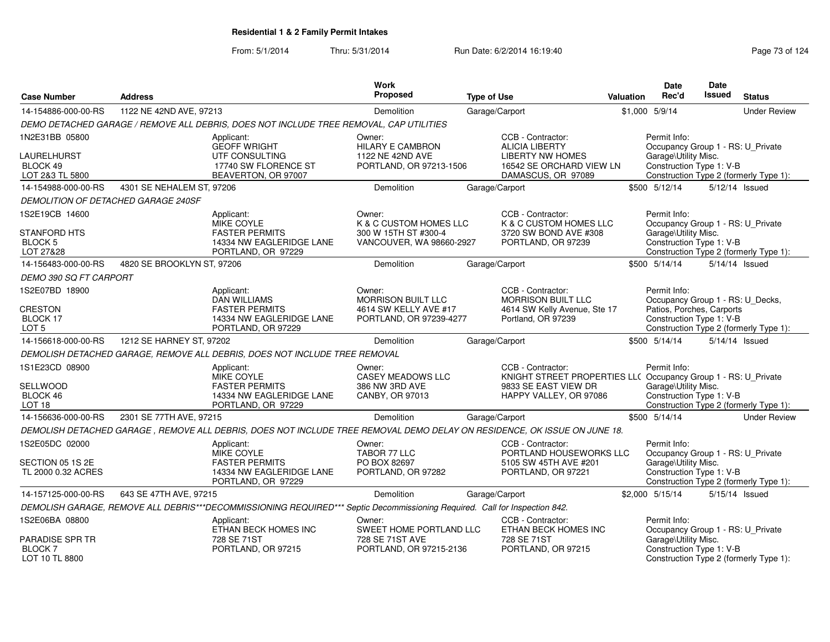| <b>Case Number</b>                    | <b>Address</b>             |                                                                                                                            | Work<br><b>Proposed</b>                          | <b>Type of Use</b> |                                                                | <b>Valuation</b> | <b>Date</b><br>Rec'd                                          | <b>Date</b><br><b>Issued</b> | <b>Status</b>                          |
|---------------------------------------|----------------------------|----------------------------------------------------------------------------------------------------------------------------|--------------------------------------------------|--------------------|----------------------------------------------------------------|------------------|---------------------------------------------------------------|------------------------------|----------------------------------------|
| 14-154886-000-00-RS                   | 1122 NE 42ND AVE, 97213    |                                                                                                                            | Demolition                                       |                    | Garage/Carport                                                 |                  | \$1,000 5/9/14                                                |                              | <b>Under Review</b>                    |
|                                       |                            |                                                                                                                            |                                                  |                    |                                                                |                  |                                                               |                              |                                        |
|                                       |                            | DEMO DETACHED GARAGE / REMOVE ALL DEBRIS, DOES NOT INCLUDE TREE REMOVAL, CAP UTILITIES                                     |                                                  |                    |                                                                |                  |                                                               |                              |                                        |
| 1N2E31BB 05800                        |                            | Applicant:<br><b>GEOFF WRIGHT</b>                                                                                          | Owner:<br><b>HILARY E CAMBRON</b>                |                    | CCB - Contractor:<br><b>ALICIA LIBERTY</b>                     |                  | Permit Info:<br>Occupancy Group 1 - RS: U_Private             |                              |                                        |
| LAURELHURST                           |                            | UTF CONSULTING                                                                                                             | 1122 NE 42ND AVE                                 |                    | <b>LIBERTY NW HOMES</b>                                        |                  | Garage\Utility Misc.                                          |                              |                                        |
| BLOCK 49<br>LOT 2&3 TL 5800           |                            | 17740 SW FLORENCE ST<br>BEAVERTON, OR 97007                                                                                | PORTLAND, OR 97213-1506                          |                    | 16542 SE ORCHARD VIEW LN<br>DAMASCUS, OR 97089                 |                  | Construction Type 1: V-B                                      |                              | Construction Type 2 (formerly Type 1): |
| 14-154988-000-00-RS                   | 4301 SE NEHALEM ST, 97206  |                                                                                                                            | Demolition                                       |                    | Garage/Carport                                                 |                  | \$500 5/12/14                                                 |                              | 5/12/14 Issued                         |
| DEMOLITION OF DETACHED GARAGE 240SF   |                            |                                                                                                                            |                                                  |                    |                                                                |                  |                                                               |                              |                                        |
| 1S2E19CB 14600                        |                            | Applicant:                                                                                                                 | Owner:                                           |                    | CCB - Contractor:                                              |                  | Permit Info:                                                  |                              |                                        |
|                                       |                            | <b>MIKE COYLE</b>                                                                                                          | K & C CUSTOM HOMES LLC                           |                    | K & C CUSTOM HOMES LLC                                         |                  | Occupancy Group 1 - RS: U_Private                             |                              |                                        |
| <b>STANFORD HTS</b><br><b>BLOCK 5</b> |                            | <b>FASTER PERMITS</b><br>14334 NW EAGLERIDGE LANE                                                                          | 300 W 15TH ST #300-4<br>VANCOUVER, WA 98660-2927 |                    | 3720 SW BOND AVE #308<br>PORTLAND, OR 97239                    |                  | Garage\Utility Misc.<br>Construction Type 1: V-B              |                              |                                        |
| LOT 27&28                             |                            | PORTLAND, OR 97229                                                                                                         |                                                  |                    |                                                                |                  |                                                               |                              | Construction Type 2 (formerly Type 1): |
| 14-156483-000-00-RS                   | 4820 SE BROOKLYN ST, 97206 |                                                                                                                            | Demolition                                       |                    | Garage/Carport                                                 |                  | \$500 5/14/14                                                 |                              | 5/14/14 Issued                         |
| DEMO 390 SQ FT CARPORT                |                            |                                                                                                                            |                                                  |                    |                                                                |                  |                                                               |                              |                                        |
| 1S2E07BD 18900                        |                            | Applicant:                                                                                                                 | Owner:                                           |                    | CCB - Contractor:                                              |                  | Permit Info:                                                  |                              |                                        |
| <b>CRESTON</b>                        |                            | <b>DAN WILLIAMS</b><br><b>FASTER PERMITS</b>                                                                               | MORRISON BUILT LLC<br>4614 SW KELLY AVE #17      |                    | MORRISON BUILT LLC<br>4614 SW Kelly Avenue, Ste 17             |                  | Occupancy Group 1 - RS: U_Decks,<br>Patios, Porches, Carports |                              |                                        |
| BLOCK 17                              |                            | 14334 NW EAGLERIDGE LANE                                                                                                   | PORTLAND, OR 97239-4277                          |                    | Portland, OR 97239                                             |                  | Construction Type 1: V-B                                      |                              |                                        |
| LOT <sub>5</sub>                      |                            | PORTLAND, OR 97229                                                                                                         |                                                  |                    |                                                                |                  |                                                               |                              | Construction Type 2 (formerly Type 1): |
| 14-156618-000-00-RS                   | 1212 SE HARNEY ST, 97202   |                                                                                                                            | Demolition                                       |                    | Garage/Carport                                                 |                  | \$500 5/14/14                                                 |                              | $5/14/14$ Issued                       |
|                                       |                            | DEMOLISH DETACHED GARAGE, REMOVE ALL DEBRIS, DOES NOT INCLUDE TREE REMOVAL                                                 |                                                  |                    |                                                                |                  |                                                               |                              |                                        |
| 1S1E23CD 08900                        |                            | Applicant:                                                                                                                 | Owner:                                           |                    | CCB - Contractor:                                              |                  | Permit Info:                                                  |                              |                                        |
|                                       |                            | <b>MIKE COYLE</b>                                                                                                          | <b>CASEY MEADOWS LLC</b>                         |                    | KNIGHT STREET PROPERTIES LL( Occupancy Group 1 - RS: U_Private |                  |                                                               |                              |                                        |
| SELLWOOD<br>BLOCK 46                  |                            | <b>FASTER PERMITS</b><br>14334 NW EAGLERIDGE LANE                                                                          | 386 NW 3RD AVE<br>CANBY, OR 97013                |                    | 9833 SE EAST VIEW DR<br>HAPPY VALLEY, OR 97086                 |                  | Garage\Utility Misc.<br>Construction Type 1: V-B              |                              |                                        |
| LOT <sub>18</sub>                     |                            | PORTLAND, OR 97229                                                                                                         |                                                  |                    |                                                                |                  |                                                               |                              | Construction Type 2 (formerly Type 1): |
| 14-156636-000-00-RS                   | 2301 SE 77TH AVE, 97215    |                                                                                                                            | Demolition                                       |                    | Garage/Carport                                                 |                  | \$500 5/14/14                                                 |                              | <b>Under Review</b>                    |
|                                       |                            | DEMOLISH DETACHED GARAGE, REMOVE ALL DEBRIS, DOES NOT INCLUDE TREE REMOVAL DEMO DELAY ON RESIDENCE, OK ISSUE ON JUNE 18.   |                                                  |                    |                                                                |                  |                                                               |                              |                                        |
| 1S2E05DC 02000                        |                            | Applicant:<br><b>MIKE COYLE</b>                                                                                            | Owner:<br>TABOR 77 LLC                           |                    | CCB - Contractor:<br>PORTLAND HOUSEWORKS LLC                   |                  | Permit Info:<br>Occupancy Group 1 - RS: U_Private             |                              |                                        |
| SECTION 05 1S 2E                      |                            | <b>FASTER PERMITS</b>                                                                                                      | PO BOX 82697                                     |                    | 5105 SW 45TH AVE #201                                          |                  | Garage\Utility Misc.                                          |                              |                                        |
| TL 2000 0.32 ACRES                    |                            | 14334 NW EAGLERIDGE LANE<br>PORTLAND, OR 97229                                                                             | PORTLAND, OR 97282                               |                    | PORTLAND, OR 97221                                             |                  | Construction Type 1: V-B                                      |                              | Construction Type 2 (formerly Type 1): |
| 14-157125-000-00-RS                   | 643 SE 47TH AVE, 97215     |                                                                                                                            | Demolition                                       |                    | Garage/Carport                                                 |                  | \$2,000 5/15/14                                               |                              | 5/15/14 Issued                         |
|                                       |                            | DEMOLISH GARAGE, REMOVE ALL DEBRIS***DECOMMISSIONING REQUIRED*** Septic Decommissioning Required. Call for Inspection 842. |                                                  |                    |                                                                |                  |                                                               |                              |                                        |
| 1S2E06BA 08800                        |                            | Applicant:                                                                                                                 | Owner:                                           |                    | CCB - Contractor:                                              |                  | Permit Info:                                                  |                              |                                        |
|                                       |                            | ETHAN BECK HOMES INC                                                                                                       | SWEET HOME PORTLAND LLC                          |                    | ETHAN BECK HOMES INC                                           |                  | Occupancy Group 1 - RS: U_Private                             |                              |                                        |
| <b>PARADISE SPR TR</b>                |                            | 728 SE 71ST                                                                                                                | 728 SE 71ST AVE                                  |                    | 728 SE 71ST                                                    |                  | Garage\Utility Misc.                                          |                              |                                        |
| <b>BLOCK7</b><br>LOT 10 TL 8800       |                            | PORTLAND, OR 97215                                                                                                         | PORTLAND, OR 97215-2136                          |                    | PORTLAND, OR 97215                                             |                  | Construction Type 1: V-B                                      |                              | Construction Type 2 (formerly Type 1): |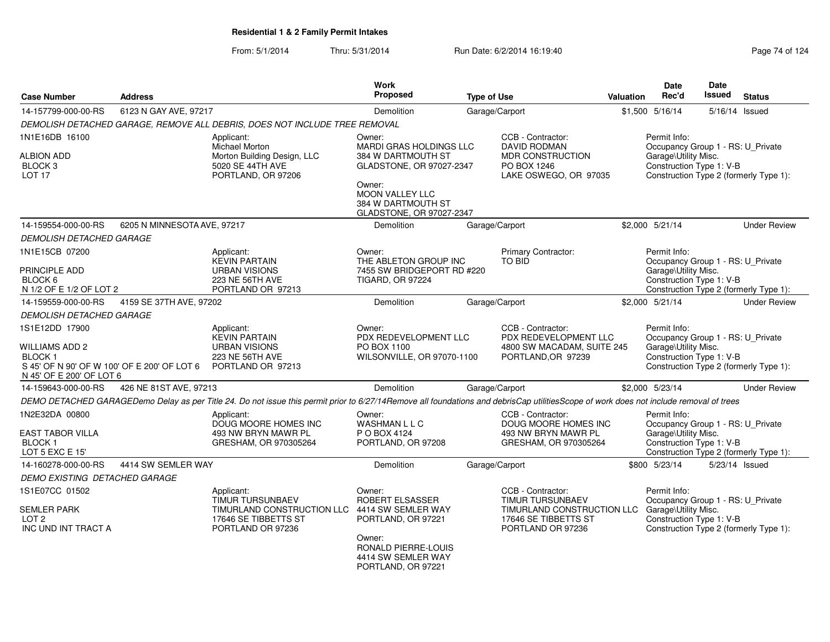| <b>Case Number</b>                                                                            | <b>Address</b>              |                                                                                                                                                                                        | <b>Work</b><br>Proposed                                                     | <b>Type of Use</b> |                                                                         | <b>Valuation</b> | Date<br>Rec'd                                     | Date<br><b>Issued</b> | <b>Status</b>                          |
|-----------------------------------------------------------------------------------------------|-----------------------------|----------------------------------------------------------------------------------------------------------------------------------------------------------------------------------------|-----------------------------------------------------------------------------|--------------------|-------------------------------------------------------------------------|------------------|---------------------------------------------------|-----------------------|----------------------------------------|
| 14-157799-000-00-RS                                                                           | 6123 N GAY AVE, 97217       |                                                                                                                                                                                        | Demolition                                                                  |                    | Garage/Carport                                                          |                  | \$1,500 5/16/14                                   |                       | 5/16/14 Issued                         |
|                                                                                               |                             | DEMOLISH DETACHED GARAGE, REMOVE ALL DEBRIS, DOES NOT INCLUDE TREE REMOVAL                                                                                                             |                                                                             |                    |                                                                         |                  |                                                   |                       |                                        |
| 1N1E16DB 16100                                                                                |                             | Applicant:<br>Michael Morton                                                                                                                                                           | Owner:<br>MARDI GRAS HOLDINGS LLC                                           |                    | CCB - Contractor:<br>DAVID RODMAN                                       |                  | Permit Info:<br>Occupancy Group 1 - RS: U_Private |                       |                                        |
| <b>ALBION ADD</b><br>BLOCK <sub>3</sub><br>LOT <sub>17</sub>                                  |                             | Morton Building Design, LLC<br>5020 SE 44TH AVE<br>PORTLAND, OR 97206                                                                                                                  | 384 W DARTMOUTH ST<br>GLADSTONE, OR 97027-2347                              |                    | MDR CONSTRUCTION<br>PO BOX 1246<br>LAKE OSWEGO, OR 97035                |                  | Garage\Utility Misc.<br>Construction Type 1: V-B  |                       | Construction Type 2 (formerly Type 1): |
|                                                                                               |                             |                                                                                                                                                                                        | Owner:<br>MOON VALLEY LLC<br>384 W DARTMOUTH ST<br>GLADSTONE, OR 97027-2347 |                    |                                                                         |                  |                                                   |                       |                                        |
| 14-159554-000-00-RS                                                                           | 6205 N MINNESOTA AVE, 97217 |                                                                                                                                                                                        | Demolition                                                                  |                    | Garage/Carport                                                          |                  | \$2,000 5/21/14                                   |                       | <b>Under Review</b>                    |
| <b>DEMOLISH DETACHED GARAGE</b>                                                               |                             |                                                                                                                                                                                        |                                                                             |                    |                                                                         |                  |                                                   |                       |                                        |
| 1N1E15CB 07200                                                                                |                             | Applicant:<br><b>KEVIN PARTAIN</b>                                                                                                                                                     | Owner:<br>THE ABLETON GROUP INC                                             |                    | Primary Contractor:<br><b>TO BID</b>                                    |                  | Permit Info:<br>Occupancy Group 1 - RS: U_Private |                       |                                        |
| PRINCIPLE ADD                                                                                 |                             | <b>URBAN VISIONS</b>                                                                                                                                                                   | 7455 SW BRIDGEPORT RD #220                                                  |                    |                                                                         |                  | Garage\Utility Misc.                              |                       |                                        |
| BLOCK 6<br>N 1/2 OF E 1/2 OF LOT 2                                                            |                             | 223 NE 56TH AVE<br>PORTLAND OR 97213                                                                                                                                                   | <b>TIGARD, OR 97224</b>                                                     |                    |                                                                         |                  | Construction Type 1: V-B                          |                       | Construction Type 2 (formerly Type 1): |
| 14-159559-000-00-RS                                                                           | 4159 SE 37TH AVE, 97202     |                                                                                                                                                                                        | Demolition                                                                  |                    | Garage/Carport                                                          |                  | \$2,000 5/21/14                                   |                       | <b>Under Review</b>                    |
| <b>DEMOLISH DETACHED GARAGE</b>                                                               |                             |                                                                                                                                                                                        |                                                                             |                    |                                                                         |                  |                                                   |                       |                                        |
| 1S1E12DD 17900                                                                                |                             | Applicant:                                                                                                                                                                             | Owner:                                                                      |                    | CCB - Contractor:                                                       |                  | Permit Info:                                      |                       |                                        |
|                                                                                               |                             | <b>KEVIN PARTAIN</b>                                                                                                                                                                   | PDX REDEVELOPMENT LLC                                                       |                    | PDX REDEVELOPMENT LLC                                                   |                  | Occupancy Group 1 - RS: U_Private                 |                       |                                        |
| WILLIAMS ADD 2                                                                                |                             | <b>URBAN VISIONS</b>                                                                                                                                                                   | PO BOX 1100                                                                 |                    | 4800 SW MACADAM, SUITE 245                                              |                  | Garage\Utility Misc.                              |                       |                                        |
| BLOCK <sub>1</sub><br>S 45' OF N 90' OF W 100' OF E 200' OF LOT 6<br>N 45' OF E 200' OF LOT 6 |                             | 223 NE 56TH AVE<br>PORTLAND OR 97213                                                                                                                                                   | WILSONVILLE, OR 97070-1100                                                  |                    | PORTLAND, OR 97239                                                      |                  | Construction Type 1: V-B                          |                       | Construction Type 2 (formerly Type 1): |
| 14-159643-000-00-RS                                                                           | 426 NE 81ST AVE, 97213      |                                                                                                                                                                                        | Demolition                                                                  |                    | Garage/Carport                                                          |                  | \$2,000 5/23/14                                   |                       | <b>Under Review</b>                    |
|                                                                                               |                             | DEMO DETACHED GARAGEDemo Delay as per Title 24. Do not issue this permit prior to 6/27/14Remove all foundations and debrisCap utilitiesScope of work does not include removal of trees |                                                                             |                    |                                                                         |                  |                                                   |                       |                                        |
| 1N2E32DA 00800                                                                                |                             | Applicant:<br>DOUG MOORE HOMES INC                                                                                                                                                     | Owner:<br>WASHMAN L L C                                                     |                    | CCB - Contractor:<br>DOUG MOORE HOMES INC                               |                  | Permit Info:<br>Occupancy Group 1 - RS: U_Private |                       |                                        |
| <b>EAST TABOR VILLA</b><br><b>BLOCK1</b><br>LOT 5 EXC E 15'                                   |                             | 493 NW BRYN MAWR PL<br>GRESHAM, OR 970305264                                                                                                                                           | P O BOX 4124<br>PORTLAND, OR 97208                                          |                    | 493 NW BRYN MAWR PL<br>GRESHAM, OR 970305264                            |                  | Garage\Utility Misc.<br>Construction Type 1: V-B  |                       | Construction Type 2 (formerly Type 1): |
| 14-160278-000-00-RS                                                                           | 4414 SW SEMLER WAY          |                                                                                                                                                                                        | Demolition                                                                  |                    | Garage/Carport                                                          |                  | \$800 5/23/14                                     |                       | 5/23/14 Issued                         |
| DEMO EXISTING DETACHED GARAGE                                                                 |                             |                                                                                                                                                                                        |                                                                             |                    |                                                                         |                  |                                                   |                       |                                        |
| 1S1E07CC 01502                                                                                |                             | Applicant:<br><b>TIMUR TURSUNBAEV</b>                                                                                                                                                  | Owner:<br>ROBERT ELSASSER                                                   |                    | CCB - Contractor:<br><b>TIMUR TURSUNBAEV</b>                            |                  | Permit Info:<br>Occupancy Group 1 - RS: U_Private |                       |                                        |
| <b>SEMLER PARK</b><br>LOT <sub>2</sub><br>INC UND INT TRACT A                                 |                             | TIMURLAND CONSTRUCTION LLC<br>17646 SE TIBBETTS ST<br>PORTLAND OR 97236                                                                                                                | 4414 SW SEMLER WAY<br>PORTLAND, OR 97221                                    |                    | TIMURLAND CONSTRUCTION LLC<br>17646 SE TIBBETTS ST<br>PORTLAND OR 97236 |                  | Garage\Utility Misc.<br>Construction Type 1: V-B  |                       | Construction Type 2 (formerly Type 1): |
|                                                                                               |                             |                                                                                                                                                                                        | Owner:<br>RONALD PIERRE-LOUIS<br>4414 SW SEMLER WAY<br>PORTLAND, OR 97221   |                    |                                                                         |                  |                                                   |                       |                                        |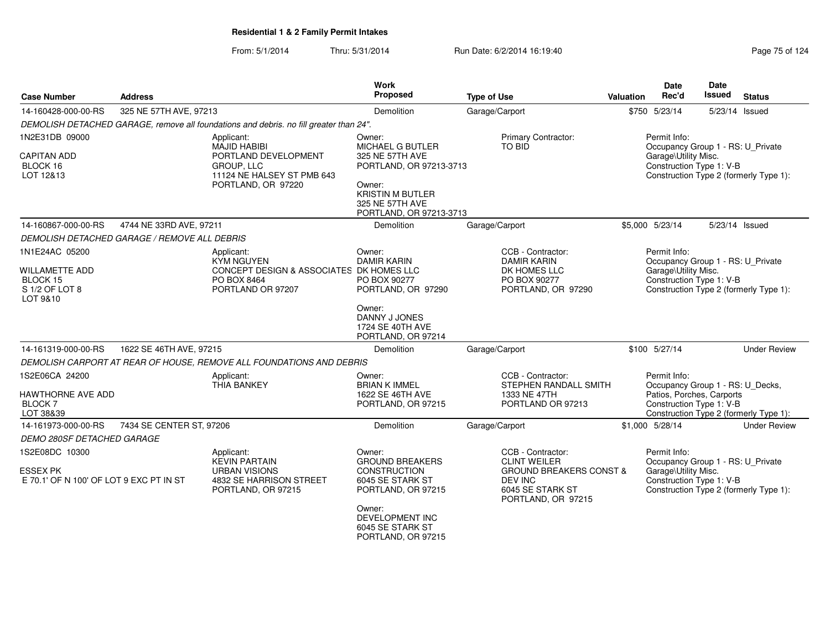| Page 75 of 124 |  |
|----------------|--|
|----------------|--|

| <b>Case Number</b>                                                                | <b>Address</b>                               |                                                                                                                             | <b>Work</b><br>Proposed                                                                                                                                            | <b>Type of Use</b>                                                                                                                         | <b>Valuation</b> | <b>Date</b><br>Rec'd                                                                                      | <b>Date</b><br>Issued | <b>Status</b>                          |
|-----------------------------------------------------------------------------------|----------------------------------------------|-----------------------------------------------------------------------------------------------------------------------------|--------------------------------------------------------------------------------------------------------------------------------------------------------------------|--------------------------------------------------------------------------------------------------------------------------------------------|------------------|-----------------------------------------------------------------------------------------------------------|-----------------------|----------------------------------------|
| 14-160428-000-00-RS                                                               |                                              | 325 NE 57TH AVE, 97213                                                                                                      |                                                                                                                                                                    | Garage/Carport                                                                                                                             |                  | \$750 5/23/14                                                                                             |                       | 5/23/14 Issued                         |
|                                                                                   |                                              | DEMOLISH DETACHED GARAGE, remove all foundations and debris. no fill greater than 24".                                      |                                                                                                                                                                    |                                                                                                                                            |                  |                                                                                                           |                       |                                        |
| 1N2E31DB 09000<br><b>CAPITAN ADD</b><br>BLOCK 16<br>LOT 12&13                     |                                              | Applicant:<br><b>MAJID HABIBI</b><br>PORTLAND DEVELOPMENT<br>GROUP, LLC<br>11124 NE HALSEY ST PMB 643<br>PORTLAND, OR 97220 | Owner:<br><b>MICHAEL G BUTLER</b><br>325 NE 57TH AVE<br>PORTLAND, OR 97213-3713<br>Owner:<br><b>KRISTIN M BUTLER</b><br>325 NE 57TH AVE<br>PORTLAND, OR 97213-3713 | Primary Contractor:<br>TO BID                                                                                                              |                  | Permit Info:<br>Occupancy Group 1 - RS: U Private<br>Garage\Utility Misc.<br>Construction Type 1: V-B     |                       | Construction Type 2 (formerly Type 1): |
| 14-160867-000-00-RS                                                               | 4744 NE 33RD AVE, 97211                      |                                                                                                                             | <b>Demolition</b>                                                                                                                                                  | Garage/Carport                                                                                                                             |                  | \$5,000 5/23/14                                                                                           |                       | 5/23/14 Issued                         |
|                                                                                   | DEMOLISH DETACHED GARAGE / REMOVE ALL DEBRIS |                                                                                                                             |                                                                                                                                                                    |                                                                                                                                            |                  |                                                                                                           |                       |                                        |
| 1N1E24AC 05200<br><b>WILLAMETTE ADD</b><br>BLOCK 15<br>S 1/2 OF LOT 8<br>LOT 9&10 |                                              | Applicant:<br><b>KYM NGUYEN</b><br>CONCEPT DESIGN & ASSOCIATES DK HOMES LLC<br>PO BOX 8464<br>PORTLAND OR 97207             | Owner:<br><b>DAMIR KARIN</b><br>PO BOX 90277<br>PORTLAND, OR 97290<br>Owner:                                                                                       | CCB - Contractor:<br><b>DAMIR KARIN</b><br>DK HOMES LLC<br>PO BOX 90277<br>PORTLAND, OR 97290                                              |                  | Permit Info:<br>Occupancy Group 1 - RS: U_Private<br>Garage\Utility Misc.<br>Construction Type 1: V-B     |                       | Construction Type 2 (formerly Type 1): |
|                                                                                   |                                              |                                                                                                                             | DANNY J JONES<br>1724 SE 40TH AVE<br>PORTLAND, OR 97214                                                                                                            |                                                                                                                                            |                  |                                                                                                           |                       |                                        |
| 14-161319-000-00-RS                                                               | 1622 SE 46TH AVE, 97215                      |                                                                                                                             | <b>Demolition</b>                                                                                                                                                  | Garage/Carport                                                                                                                             |                  | \$100 5/27/14                                                                                             |                       | <b>Under Review</b>                    |
|                                                                                   |                                              | DEMOLISH CARPORT AT REAR OF HOUSE, REMOVE ALL FOUNDATIONS AND DEBRIS                                                        |                                                                                                                                                                    |                                                                                                                                            |                  |                                                                                                           |                       |                                        |
| 1S2E06CA 24200<br>HAWTHORNE AVE ADD<br><b>BLOCK7</b><br>LOT 38&39                 |                                              | Applicant:<br><b>THIA BANKEY</b>                                                                                            | Owner:<br><b>BRIAN K IMMEL</b><br>1622 SE 46TH AVE<br>PORTLAND, OR 97215                                                                                           | CCB - Contractor:<br>STEPHEN RANDALL SMITH<br>1333 NE 47TH<br>PORTLAND OR 97213                                                            |                  | Permit Info:<br>Occupancy Group 1 - RS: U_Decks,<br>Patios, Porches, Carports<br>Construction Type 1: V-B |                       | Construction Type 2 (formerly Type 1): |
| 14-161973-000-00-RS                                                               | 7434 SE CENTER ST, 97206                     |                                                                                                                             | Demolition                                                                                                                                                         | Garage/Carport                                                                                                                             |                  | \$1,000 5/28/14                                                                                           |                       | <b>Under Review</b>                    |
| <b>DEMO 280SF DETACHED GARAGE</b>                                                 |                                              |                                                                                                                             |                                                                                                                                                                    |                                                                                                                                            |                  |                                                                                                           |                       |                                        |
| 1S2E08DC 10300<br><b>ESSEX PK</b><br>E 70.1' OF N 100' OF LOT 9 EXC PT IN ST      |                                              | Applicant:<br><b>KEVIN PARTAIN</b><br><b>URBAN VISIONS</b><br>4832 SE HARRISON STREET<br>PORTLAND, OR 97215                 | Owner:<br><b>GROUND BREAKERS</b><br>CONSTRUCTION<br>6045 SE STARK ST<br>PORTLAND, OR 97215                                                                         | CCB - Contractor:<br><b>CLINT WEILER</b><br><b>GROUND BREAKERS CONST &amp;</b><br><b>DEV INC</b><br>6045 SE STARK ST<br>PORTLAND, OR 97215 |                  | Permit Info:<br>Occupancy Group 1 - RS: U_Private<br>Garage\Utility Misc.<br>Construction Type 1: V-B     |                       | Construction Type 2 (formerly Type 1): |
|                                                                                   |                                              |                                                                                                                             | Owner:<br>DEVELOPMENT INC<br>6045 SE STARK ST<br>PORTLAND, OR 97215                                                                                                |                                                                                                                                            |                  |                                                                                                           |                       |                                        |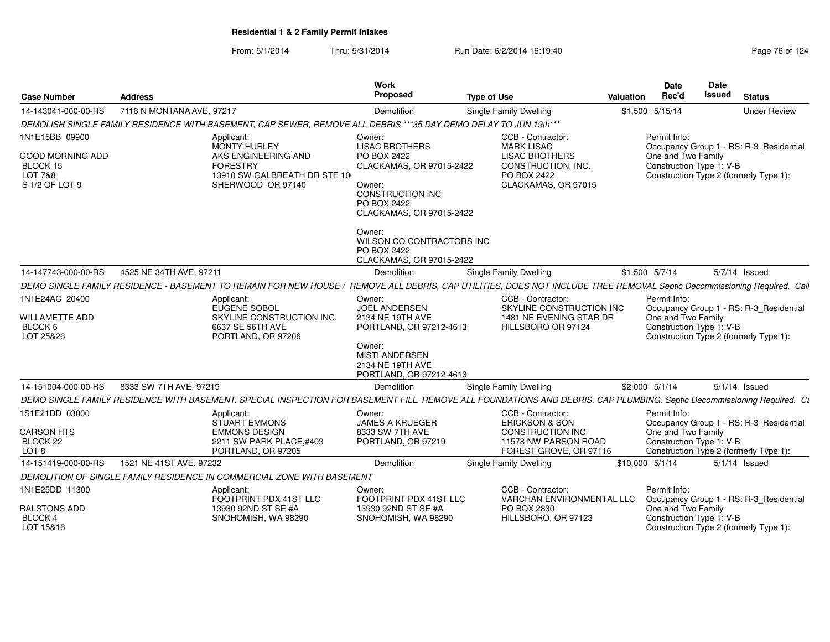From: 5/1/2014Thru: 5/31/2014 Run Date: 6/2/2014 16:19:40 Run Date: 6/2/2014 16:19:40

| <b>Case Number</b>                                                          | <b>Address</b>                                                                                                                                                         | <b>Work</b><br>Proposed                                                                                                                                         | <b>Type of Use</b>                                                                                    | Valuation       | Date<br>Rec'd                                                  | Date<br>Issued | <b>Status</b>                                                                     |
|-----------------------------------------------------------------------------|------------------------------------------------------------------------------------------------------------------------------------------------------------------------|-----------------------------------------------------------------------------------------------------------------------------------------------------------------|-------------------------------------------------------------------------------------------------------|-----------------|----------------------------------------------------------------|----------------|-----------------------------------------------------------------------------------|
| 14-143041-000-00-RS                                                         | 7116 N MONTANA AVE, 97217                                                                                                                                              | Demolition                                                                                                                                                      | Single Family Dwelling                                                                                |                 | \$1,500 5/15/14                                                |                | <b>Under Review</b>                                                               |
|                                                                             | DEMOLISH SINGLE FAMILY RESIDENCE WITH BASEMENT, CAP SEWER, REMOVE ALL DEBRIS ***35 DAY DEMO DELAY TO JUN 19th***                                                       |                                                                                                                                                                 |                                                                                                       |                 |                                                                |                |                                                                                   |
| 1N1E15BB 09900                                                              | Applicant:<br><b>MONTY HURLEY</b>                                                                                                                                      | Owner:<br><b>LISAC BROTHERS</b>                                                                                                                                 | CCB - Contractor:<br><b>MARK LISAC</b>                                                                |                 | Permit Info:                                                   |                | Occupancy Group 1 - RS: R-3_Residential                                           |
| <b>GOOD MORNING ADD</b><br>BLOCK 15<br><b>LOT 7&amp;8</b><br>S 1/2 OF LOT 9 | AKS ENGINEERING AND<br><b>FORESTRY</b><br>13910 SW GALBREATH DR STE 10<br>SHERWOOD OR 97140                                                                            | PO BOX 2422<br>CLACKAMAS, OR 97015-2422<br>Owner:<br>CONSTRUCTION INC<br>PO BOX 2422<br>CLACKAMAS, OR 97015-2422                                                | <b>LISAC BROTHERS</b><br>CONSTRUCTION, INC.<br>PO BOX 2422<br>CLACKAMAS, OR 97015                     |                 | One and Two Family<br>Construction Type 1: V-B                 |                | Construction Type 2 (formerly Type 1):                                            |
|                                                                             |                                                                                                                                                                        | Owner:<br>WILSON CO CONTRACTORS INC<br>PO BOX 2422<br>CLACKAMAS, OR 97015-2422                                                                                  |                                                                                                       |                 |                                                                |                |                                                                                   |
| 14-147743-000-00-RS                                                         | 4525 NE 34TH AVE, 97211                                                                                                                                                | Demolition                                                                                                                                                      | <b>Single Family Dwelling</b>                                                                         |                 | $$1,500$ $5/7/14$                                              |                | 5/7/14 Issued                                                                     |
|                                                                             | <b>DEMO SINGLE FAMILY RESIDENCE - BASEMENT TO REMAIN FOR NEW HOUSE /</b>                                                                                               |                                                                                                                                                                 | REMOVE ALL DEBRIS, CAP UTILITIES, DOES NOT INCLUDE TREE REMOVAL Septic Decommissioning Required. Call |                 |                                                                |                |                                                                                   |
| 1N1E24AC 20400<br><b>WILLAMETTE ADD</b><br>BLOCK 6<br>LOT 25&26             | Applicant:<br><b>EUGENE SOBOL</b><br>SKYLINE CONSTRUCTION INC.<br>6637 SE 56TH AVE<br>PORTLAND, OR 97206                                                               | Owner:<br><b>JOEL ANDERSEN</b><br>2134 NE 19TH AVE<br>PORTLAND, OR 97212-4613<br>Owner:<br><b>MISTI ANDERSEN</b><br>2134 NE 19TH AVE<br>PORTLAND, OR 97212-4613 | CCB - Contractor:<br>SKYLINE CONSTRUCTION INC<br>1481 NE EVENING STAR DR<br>HILLSBORO OR 97124        |                 | Permit Info:<br>One and Two Family<br>Construction Type 1: V-B |                | Occupancy Group 1 - RS: R-3_Residential<br>Construction Type 2 (formerly Type 1): |
| 14-151004-000-00-RS                                                         | 8333 SW 7TH AVE, 97219                                                                                                                                                 | <b>Demolition</b>                                                                                                                                               | Single Family Dwelling                                                                                |                 | \$2,000 5/1/14                                                 |                | $5/1/14$ Issued                                                                   |
|                                                                             | DEMO SINGLE FAMILY RESIDENCE WITH BASEMENT. SPECIAL INSPECTION FOR BASEMENT FILL. REMOVE ALL FOUNDATIONS AND DEBRIS. CAP PLUMBING. Septic Decommissioning Required. Ca |                                                                                                                                                                 |                                                                                                       |                 |                                                                |                |                                                                                   |
| 1S1E21DD 03000                                                              | Applicant:<br><b>STUART EMMONS</b>                                                                                                                                     | Owner:<br><b>JAMES A KRUEGER</b>                                                                                                                                | CCB - Contractor:<br><b>ERICKSON &amp; SON</b>                                                        |                 | Permit Info:                                                   |                | Occupancy Group 1 - RS: R-3 Residential                                           |
| <b>CARSON HTS</b><br>BLOCK <sub>22</sub><br>LOT <sub>8</sub>                | <b>EMMONS DESIGN</b><br>2211 SW PARK PLACE, #403<br>PORTLAND, OR 97205                                                                                                 | 8333 SW 7TH AVE<br>PORTLAND, OR 97219                                                                                                                           | <b>CONSTRUCTION INC</b><br>11578 NW PARSON ROAD<br>FOREST GROVE, OR 97116                             |                 | One and Two Family<br>Construction Type 1: V-B                 |                | Construction Type 2 (formerly Type 1):                                            |
| 14-151419-000-00-RS                                                         | 1521 NE 41ST AVE, 97232                                                                                                                                                | Demolition                                                                                                                                                      | <b>Single Family Dwelling</b>                                                                         | \$10,000 5/1/14 |                                                                |                | $5/1/14$ Issued                                                                   |
|                                                                             | DEMOLITION OF SINGLE FAMILY RESIDENCE IN COMMERCIAL ZONE WITH BASEMENT                                                                                                 |                                                                                                                                                                 |                                                                                                       |                 |                                                                |                |                                                                                   |
| 1N1E25DD 11300                                                              | Applicant:<br>FOOTPRINT PDX 41ST LLC                                                                                                                                   | Owner:<br>FOOTPRINT PDX 41ST LLC                                                                                                                                | CCB - Contractor:<br>VARCHAN ENVIRONMENTAL LLC                                                        |                 | Permit Info:                                                   |                | Occupancy Group 1 - RS: R-3_Residential                                           |
| RALSTONS ADD<br>BLOCK 4<br>LOT 15&16                                        | 13930 92ND ST SE #A<br>SNOHOMISH, WA 98290                                                                                                                             | 13930 92ND ST SE #A<br>SNOHOMISH, WA 98290                                                                                                                      | PO BOX 2830<br>HILLSBORO, OR 97123                                                                    |                 | One and Two Family<br>Construction Type 1: V-B                 |                | Construction Type 2 (formerly Type 1):                                            |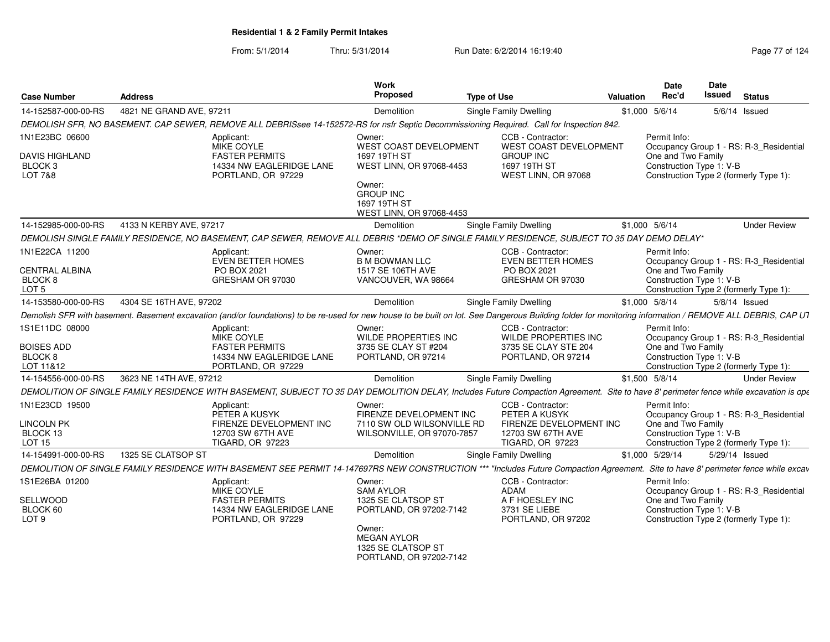| <b>Case Number</b>                                                     | <b>Address</b>                                                                   | Work<br><b>Proposed</b>                                                                                                                                                                                   | <b>Type of Use</b>                                                                                            | <b>Date</b><br>Rec'd<br>Valuation                              | <b>Date</b><br><b>Issued</b><br><b>Status</b>                                     |
|------------------------------------------------------------------------|----------------------------------------------------------------------------------|-----------------------------------------------------------------------------------------------------------------------------------------------------------------------------------------------------------|---------------------------------------------------------------------------------------------------------------|----------------------------------------------------------------|-----------------------------------------------------------------------------------|
| 14-152587-000-00-RS                                                    | 4821 NE GRAND AVE, 97211                                                         | Demolition                                                                                                                                                                                                | <b>Single Family Dwelling</b>                                                                                 | \$1,000 5/6/14                                                 | $5/6/14$ Issued                                                                   |
|                                                                        |                                                                                  | DEMOLISH SFR, NO BASEMENT. CAP SEWER, REMOVE ALL DEBRISsee 14-152572-RS for nsfr Septic Decommissioning Required. Call for Inspection 842.                                                                |                                                                                                               |                                                                |                                                                                   |
| 1N1E23BC 06600                                                         | Applicant:<br><b>MIKE COYLE</b>                                                  | Owner:<br>WEST COAST DEVELOPMENT                                                                                                                                                                          | CCB - Contractor:<br>WEST COAST DEVELOPMENT                                                                   | Permit Info:                                                   | Occupancy Group 1 - RS: R-3_Residential                                           |
| <b>DAVIS HIGHLAND</b><br>BLOCK <sub>3</sub><br>LOT 7&8                 | <b>FASTER PERMITS</b><br>PORTLAND, OR 97229                                      | 1697 19TH ST<br>14334 NW EAGLERIDGE LANE<br>WEST LINN, OR 97068-4453<br>Owner:<br><b>GROUP INC</b><br>1697 19TH ST<br>WEST LINN, OR 97068-4453                                                            | <b>GROUP INC</b><br>1697 19TH ST<br>WEST LINN, OR 97068                                                       | One and Two Family<br>Construction Type 1: V-B                 | Construction Type 2 (formerly Type 1):                                            |
| 14-152985-000-00-RS                                                    | 4133 N KERBY AVE, 97217                                                          | Demolition                                                                                                                                                                                                | <b>Single Family Dwelling</b>                                                                                 | \$1,000 5/6/14                                                 | <b>Under Review</b>                                                               |
|                                                                        |                                                                                  | DEMOLISH SINGLE FAMILY RESIDENCE, NO BASEMENT, CAP SEWER, REMOVE ALL DEBRIS *DEMO OF SINGLE FAMILY RESIDENCE, SUBJECT TO 35 DAY DEMO DELAY*                                                               |                                                                                                               |                                                                |                                                                                   |
| 1N1E22CA 11200<br><b>CENTRAL ALBINA</b><br>BLOCK 8<br>LOT <sub>5</sub> | Applicant:<br><b>EVEN BETTER HOMES</b><br><b>PO BOX 2021</b><br>GRESHAM OR 97030 | Owner:<br><b>B M BOWMAN LLC</b><br>1517 SE 106TH AVE<br>VANCOUVER, WA 98664                                                                                                                               | CCB - Contractor:<br><b>EVEN BETTER HOMES</b><br>PO BOX 2021<br>GRESHAM OR 97030                              | Permit Info:<br>One and Two Family<br>Construction Type 1: V-B | Occupancy Group 1 - RS: R-3_Residential<br>Construction Type 2 (formerly Type 1): |
| 14-153580-000-00-RS                                                    | 4304 SE 16TH AVE, 97202                                                          | <b>Demolition</b>                                                                                                                                                                                         | Single Family Dwelling                                                                                        | \$1,000 5/8/14                                                 | $5/8/14$ Issued                                                                   |
|                                                                        |                                                                                  | Demolish SFR with basement. Basement excavation (and/or foundations) to be re-used for new house to be built on lot. See Dangerous Building folder for monitoring information / REMOVE ALL DEBRIS, CAP UT |                                                                                                               |                                                                |                                                                                   |
| 1S1E11DC 08000<br><b>BOISES ADD</b><br>BLOCK <sub>8</sub><br>LOT 11&12 | Applicant:<br><b>MIKE COYLE</b><br><b>FASTER PERMITS</b><br>PORTLAND, OR 97229   | Owner:<br><b>WILDE PROPERTIES INC</b><br>3735 SE CLAY ST #204<br>14334 NW EAGLERIDGE LANE<br>PORTLAND, OR 97214                                                                                           | CCB - Contractor:<br>WILDE PROPERTIES INC<br>3735 SE CLAY STE 204<br>PORTLAND, OR 97214                       | Permit Info:<br>One and Two Family<br>Construction Type 1: V-B | Occupancy Group 1 - RS: R-3_Residential<br>Construction Type 2 (formerly Type 1): |
| 14-154556-000-00-RS                                                    | 3623 NE 14TH AVE, 97212                                                          | Demolition                                                                                                                                                                                                | Single Family Dwelling                                                                                        | \$1,500 5/8/14                                                 | <b>Under Review</b>                                                               |
|                                                                        |                                                                                  | DEMOLITION OF SINGLE FAMILY RESIDENCE WITH BASEMENT, SUBJECT TO 35 DAY DEMOLITION DELAY, Includes Future Compaction Agreement. Site to have 8' perimeter fence while excavation is ope                    |                                                                                                               |                                                                |                                                                                   |
| 1N1E23CD 19500<br><b>LINCOLN PK</b><br>BLOCK 13<br>LOT <sub>15</sub>   | Applicant:<br>PETER A KUSYK<br>12703 SW 67TH AVE<br><b>TIGARD, OR 97223</b>      | Owner:<br>FIRENZE DEVELOPMENT INC<br>FIRENZE DEVELOPMENT INC<br>7110 SW OLD WILSONVILLE RD<br>WILSONVILLE, OR 97070-7857                                                                                  | CCB - Contractor:<br>PETER A KUSYK<br>FIRENZE DEVELOPMENT INC<br>12703 SW 67TH AVE<br><b>TIGARD, OR 97223</b> | Permit Info:<br>One and Two Family<br>Construction Type 1: V-B | Occupancy Group 1 - RS: R-3 Residential<br>Construction Type 2 (formerly Type 1): |
| 14-154991-000-00-RS                                                    | 1325 SE CLATSOP ST                                                               | Demolition                                                                                                                                                                                                | Single Family Dwelling                                                                                        | \$1,000 5/29/14                                                | 5/29/14 Issued                                                                    |
|                                                                        |                                                                                  | DEMOLITION OF SINGLE FAMILY RESIDENCE WITH BASEMENT SEE PERMIT 14-147697RS NEW CONSTRUCTION *** "Includes Future Compaction Agreement.                                                                    |                                                                                                               |                                                                | Site to have 8' perimeter fence while excav                                       |
| 1S1E26BA 01200<br>SELLWOOD<br>BLOCK 60<br>LOT <sub>9</sub>             | Applicant:<br><b>MIKE COYLE</b><br><b>FASTER PERMITS</b><br>PORTLAND, OR 97229   | Owner:<br>SAM AYLOR<br>1325 SE CLATSOP ST<br>14334 NW EAGLERIDGE LANE<br>PORTLAND, OR 97202-7142<br>Owner:<br><b>MEGAN AYLOR</b>                                                                          | CCB - Contractor:<br>ADAM<br>A F HOESLEY INC<br>3731 SE LIEBE<br>PORTLAND, OR 97202                           | Permit Info:<br>One and Two Family<br>Construction Type 1: V-B | Occupancy Group 1 - RS: R-3_Residential<br>Construction Type 2 (formerly Type 1): |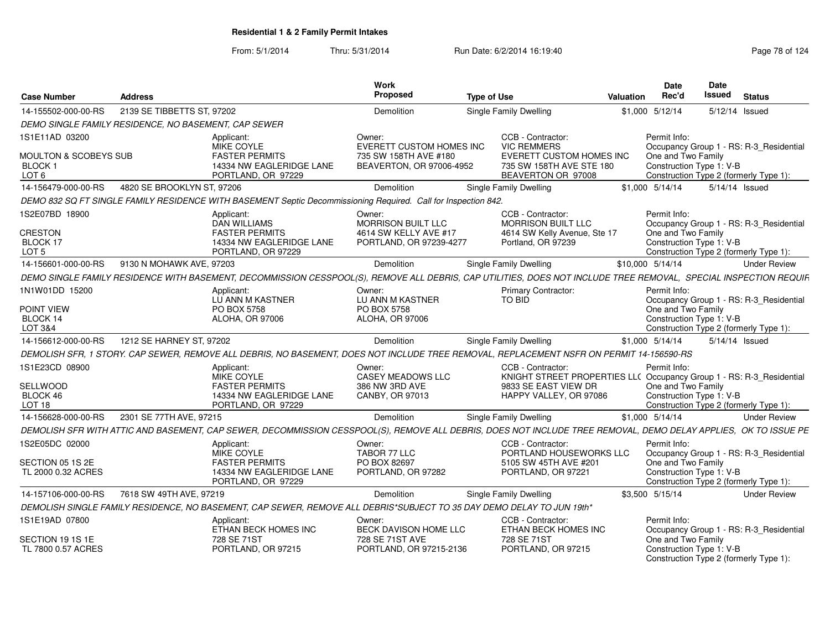| <b>Case Number</b>                                         | Address                                              |                                                                                                                                                                   | Work<br>Proposed                                                                 | <b>Type of Use</b> |                                                                                                         | <b>Valuation</b> | Date<br>Rec'd                                                  | <b>Date</b><br>Issued | <b>Status</b>                                                                     |
|------------------------------------------------------------|------------------------------------------------------|-------------------------------------------------------------------------------------------------------------------------------------------------------------------|----------------------------------------------------------------------------------|--------------------|---------------------------------------------------------------------------------------------------------|------------------|----------------------------------------------------------------|-----------------------|-----------------------------------------------------------------------------------|
| 14-155502-000-00-RS                                        | 2139 SE TIBBETTS ST, 97202                           |                                                                                                                                                                   | <b>Demolition</b>                                                                |                    | Single Family Dwelling                                                                                  |                  | \$1,000 5/12/14                                                |                       | 5/12/14 Issued                                                                    |
|                                                            | DEMO SINGLE FAMILY RESIDENCE, NO BASEMENT, CAP SEWER |                                                                                                                                                                   |                                                                                  |                    |                                                                                                         |                  |                                                                |                       |                                                                                   |
| 1S1E11AD 03200                                             |                                                      | Applicant:                                                                                                                                                        | Owner:                                                                           |                    | CCB - Contractor:                                                                                       |                  | Permit Info:                                                   |                       |                                                                                   |
| <b>MOULTON &amp; SCOBEYS SUB</b><br><b>BLOCK1</b><br>LOT 6 |                                                      | <b>MIKE COYLE</b><br><b>FASTER PERMITS</b><br>14334 NW EAGLERIDGE LANE<br>PORTLAND, OR 97229                                                                      | EVERETT CUSTOM HOMES INC<br>735 SW 158TH AVE #180<br>BEAVERTON, OR 97006-4952    |                    | <b>VIC REMMERS</b><br><b>EVERETT CUSTOM HOMES INC</b><br>735 SW 158TH AVE STE 180<br>BEAVERTON OR 97008 |                  | One and Two Family<br>Construction Type 1: V-B                 |                       | Occupancy Group 1 - RS: R-3_Residential<br>Construction Type 2 (formerly Type 1): |
| 14-156479-000-00-RS                                        | 4820 SE BROOKLYN ST, 97206                           |                                                                                                                                                                   | Demolition                                                                       |                    | Single Family Dwelling                                                                                  |                  | $$1.000$ $5/14/14$                                             |                       | 5/14/14 Issued                                                                    |
|                                                            |                                                      | DEMO 832 SQ FT SINGLE FAMILY RESIDENCE WITH BASEMENT Septic Decommissioning Required. Call for Inspection 842.                                                    |                                                                                  |                    |                                                                                                         |                  |                                                                |                       |                                                                                   |
| 1S2E07BD 18900<br>CRESTON<br>BLOCK 17<br>LOT <sub>5</sub>  |                                                      | Applicant:<br>DAN WILLIAMS<br><b>FASTER PERMITS</b><br>14334 NW EAGLERIDGE LANE<br>PORTLAND, OR 97229                                                             | Owner:<br>MORRISON BUILT LLC<br>4614 SW KELLY AVE #17<br>PORTLAND, OR 97239-4277 |                    | CCB - Contractor:<br>MORRISON BUILT LLC<br>4614 SW Kelly Avenue, Ste 17<br>Portland, OR 97239           |                  | Permit Info:<br>One and Two Family<br>Construction Type 1: V-B |                       | Occupancy Group 1 - RS: R-3_Residential<br>Construction Type 2 (formerly Type 1): |
| 14-156601-000-00-RS                                        | 9130 N MOHAWK AVE, 97203                             |                                                                                                                                                                   | Demolition                                                                       |                    | Single Family Dwelling                                                                                  |                  | \$10,000 5/14/14                                               |                       | <b>Under Review</b>                                                               |
|                                                            |                                                      | DEMO SINGLE FAMILY RESIDENCE WITH BASEMENT, DECOMMISSION CESSPOOL(S), REMOVE ALL DEBRIS, CAP UTILITIES, DOES NOT INCLUDE TREE REMOVAL, SPECIAL INSPECTION REQUIF. |                                                                                  |                    |                                                                                                         |                  |                                                                |                       |                                                                                   |
| 1N1W01DD 15200                                             |                                                      | Applicant:                                                                                                                                                        | Owner:                                                                           |                    | Primary Contractor:                                                                                     |                  | Permit Info:                                                   |                       |                                                                                   |
| POINT VIEW<br>BLOCK 14<br>LOT 3&4                          |                                                      | LU ANN M KASTNER<br>PO BOX 5758<br><b>ALOHA, OR 97006</b>                                                                                                         | LU ANN M KASTNER<br>PO BOX 5758<br><b>ALOHA, OR 97006</b>                        |                    | TO BID                                                                                                  |                  | One and Two Family<br>Construction Type 1: V-B                 |                       | Occupancy Group 1 - RS: R-3_Residential<br>Construction Type 2 (formerly Type 1): |
| 14-156612-000-00-RS                                        | 1212 SE HARNEY ST. 97202                             |                                                                                                                                                                   | Demolition                                                                       |                    | Single Family Dwelling                                                                                  |                  | \$1,000 5/14/14                                                |                       | $5/14/14$ Issued                                                                  |
|                                                            |                                                      | DEMOLISH SFR, 1 STORY. CAP SEWER, REMOVE ALL DEBRIS, NO BASEMENT, DOES NOT INCLUDE TREE REMOVAL, REPLACEMENT NSFR ON PERMIT 14-156590-RS                          |                                                                                  |                    |                                                                                                         |                  |                                                                |                       |                                                                                   |
| 1S1E23CD 08900                                             |                                                      | Applicant:<br><b>MIKE COYLE</b>                                                                                                                                   | Owner:<br>CASEY MEADOWS LLC                                                      |                    | CCB - Contractor:<br>KNIGHT STREET PROPERTIES LL( Occupancy Group 1 - RS: R-3_Residential               |                  | Permit Info:                                                   |                       |                                                                                   |
| <b>SELLWOOD</b><br>BLOCK 46<br>LOT <sub>18</sub>           |                                                      | <b>FASTER PERMITS</b><br>14334 NW EAGLERIDGE LANE<br>PORTLAND, OR 97229                                                                                           | 386 NW 3RD AVE<br>CANBY, OR 97013                                                |                    | 9833 SE EAST VIEW DR<br>HAPPY VALLEY, OR 97086                                                          |                  | One and Two Family<br>Construction Type 1: V-B                 |                       | Construction Type 2 (formerly Type 1):                                            |
| 14-156628-000-00-RS                                        | 2301 SE 77TH AVE, 97215                              |                                                                                                                                                                   | Demolition                                                                       |                    | Single Family Dwelling                                                                                  |                  | \$1,000 5/14/14                                                |                       | <b>Under Review</b>                                                               |
|                                                            |                                                      | DEMOLISH SFR WITH ATTIC AND BASEMENT, CAP SEWER, DECOMMISSION CESSPOOL(S), REMOVE ALL DEBRIS, DOES NOT INCLUDE TREE REMOVAL, DEMO DELAY APPLIES, OK TO ISSUE PE   |                                                                                  |                    |                                                                                                         |                  |                                                                |                       |                                                                                   |
| 1S2E05DC 02000                                             |                                                      | Applicant:                                                                                                                                                        | Owner:                                                                           |                    | CCB - Contractor:                                                                                       |                  | Permit Info:                                                   |                       |                                                                                   |
| SECTION 05 1S 2E<br>TL 2000 0.32 ACRES                     |                                                      | MIKE COYLE<br><b>FASTER PERMITS</b><br>14334 NW EAGLERIDGE LANE<br>PORTLAND, OR 97229                                                                             | TABOR 77 LLC<br>PO BOX 82697<br>PORTLAND, OR 97282                               |                    | PORTLAND HOUSEWORKS LLC<br>5105 SW 45TH AVE #201<br>PORTLAND, OR 97221                                  |                  | One and Two Family<br>Construction Type 1: V-B                 |                       | Occupancy Group 1 - RS: R-3_Residential<br>Construction Type 2 (formerly Type 1): |
| 14-157106-000-00-RS                                        | 7618 SW 49TH AVE, 97219                              |                                                                                                                                                                   | <b>Demolition</b>                                                                |                    | Single Family Dwelling                                                                                  |                  | \$3,500 5/15/14                                                |                       | <b>Under Review</b>                                                               |
|                                                            |                                                      | DEMOLISH SINGLE FAMILY RESIDENCE, NO BASEMENT, CAP SEWER, REMOVE ALL DEBRIS*SUBJECT TO 35 DAY DEMO DELAY TO JUN 19th*                                             |                                                                                  |                    |                                                                                                         |                  |                                                                |                       |                                                                                   |
| 1S1E19AD 07800                                             |                                                      | Applicant:<br>ETHAN BECK HOMES INC                                                                                                                                | Owner:<br><b>BECK DAVISON HOME LLC</b>                                           |                    | CCB - Contractor:<br>ETHAN BECK HOMES INC                                                               |                  | Permit Info:                                                   |                       | Occupancy Group 1 - RS: R-3 Residential                                           |
| SECTION 19 1S 1E<br>TL 7800 0.57 ACRES                     |                                                      | 728 SE 71ST<br>PORTLAND, OR 97215                                                                                                                                 | 728 SE 71ST AVE<br>PORTLAND, OR 97215-2136                                       |                    | 728 SE 71ST<br>PORTLAND, OR 97215                                                                       |                  | One and Two Family<br>Construction Type 1: V-B                 |                       | Construction Type 2 (formerly Type 1):                                            |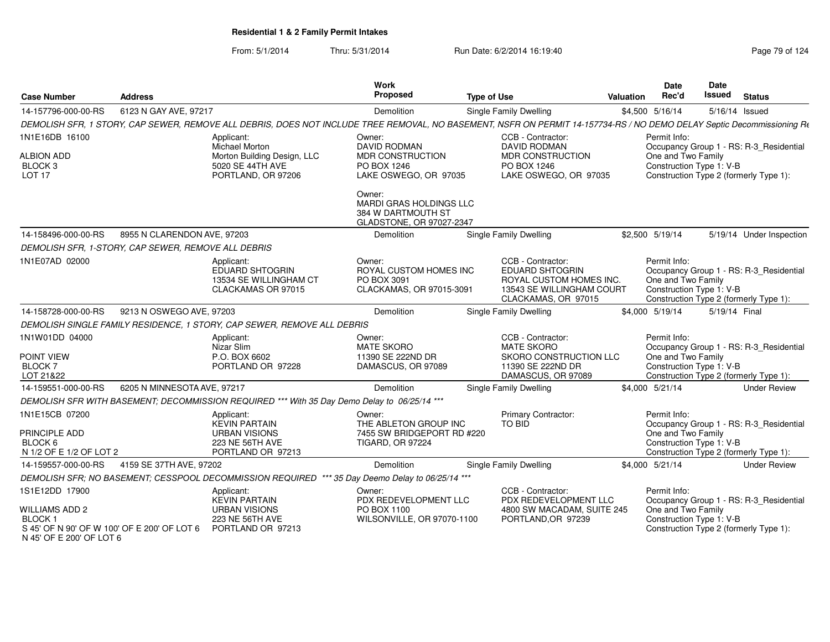From: 5/1/2014Thru: 5/31/2014 Run Date: 6/2/2014 16:19:40

| <b>Case Number</b>                                           | <b>Address</b>                                      |                                                                                                                                                                        | <b>Work</b><br>Proposed                                                             | <b>Type of Use</b> |                                                                                                                     | Valuation | <b>Date</b><br>Rec'd                                           | <b>Date</b><br>Issued | <b>Status</b>                                                                     |
|--------------------------------------------------------------|-----------------------------------------------------|------------------------------------------------------------------------------------------------------------------------------------------------------------------------|-------------------------------------------------------------------------------------|--------------------|---------------------------------------------------------------------------------------------------------------------|-----------|----------------------------------------------------------------|-----------------------|-----------------------------------------------------------------------------------|
| 14-157796-000-00-RS                                          | 6123 N GAY AVE, 97217                               |                                                                                                                                                                        | Demolition                                                                          |                    | <b>Single Family Dwelling</b>                                                                                       |           | \$4,500 5/16/14                                                | 5/16/14 Issued        |                                                                                   |
|                                                              |                                                     | DEMOLISH SFR, 1 STORY, CAP SEWER, REMOVE ALL DEBRIS, DOES NOT INCLUDE TREE REMOVAL, NO BASEMENT, NSFR ON PERMIT 14-157734-RS / NO DEMO DELAY Septic Decommissioning Rt |                                                                                     |                    |                                                                                                                     |           |                                                                |                       |                                                                                   |
| 1N1E16DB 16100                                               |                                                     | Applicant:<br>Michael Morton                                                                                                                                           | Owner:<br>DAVID RODMAN                                                              |                    | CCB - Contractor:<br><b>DAVID RODMAN</b>                                                                            |           | Permit Info:                                                   |                       | Occupancy Group 1 - RS: R-3_Residential                                           |
| <b>ALBION ADD</b><br>BLOCK <sub>3</sub><br>LOT <sub>17</sub> |                                                     | Morton Building Design, LLC<br>5020 SE 44TH AVE<br>PORTLAND, OR 97206                                                                                                  | <b>MDR CONSTRUCTION</b><br>PO BOX 1246<br>LAKE OSWEGO, OR 97035                     |                    | <b>MDR CONSTRUCTION</b><br>PO BOX 1246<br>LAKE OSWEGO, OR 97035                                                     |           | One and Two Family<br>Construction Type 1: V-B                 |                       | Construction Type 2 (formerly Type 1):                                            |
|                                                              |                                                     |                                                                                                                                                                        | Owner:<br>MARDI GRAS HOLDINGS LLC<br>384 W DARTMOUTH ST<br>GLADSTONE, OR 97027-2347 |                    |                                                                                                                     |           |                                                                |                       |                                                                                   |
| 14-158496-000-00-RS                                          | 8955 N CLARENDON AVE, 97203                         |                                                                                                                                                                        | Demolition                                                                          |                    | <b>Single Family Dwelling</b>                                                                                       |           | \$2,500 5/19/14                                                |                       | 5/19/14 Under Inspection                                                          |
|                                                              | DEMOLISH SFR, 1-STORY, CAP SEWER, REMOVE ALL DEBRIS |                                                                                                                                                                        |                                                                                     |                    |                                                                                                                     |           |                                                                |                       |                                                                                   |
| 1N1E07AD 02000                                               |                                                     | Applicant:<br>EDUARD SHTOGRIN<br>13534 SE WILLINGHAM CT<br>CLACKAMAS OR 97015                                                                                          | Owner:<br>ROYAL CUSTOM HOMES INC<br>PO BOX 3091<br>CLACKAMAS, OR 97015-3091         |                    | CCB - Contractor:<br>EDUARD SHTOGRIN<br>ROYAL CUSTOM HOMES INC.<br>13543 SE WILLINGHAM COURT<br>CLACKAMAS, OR 97015 |           | Permit Info:<br>One and Two Family<br>Construction Type 1: V-B |                       | Occupancy Group 1 - RS: R-3_Residential<br>Construction Type 2 (formerly Type 1): |
| 14-158728-000-00-RS                                          | 9213 N OSWEGO AVE, 97203                            |                                                                                                                                                                        | Demolition                                                                          |                    | <b>Single Family Dwelling</b>                                                                                       |           | \$4,000 5/19/14                                                | 5/19/14 Final         |                                                                                   |
|                                                              |                                                     | DEMOLISH SINGLE FAMILY RESIDENCE, 1 STORY, CAP SEWER, REMOVE ALL DEBRIS                                                                                                |                                                                                     |                    |                                                                                                                     |           |                                                                |                       |                                                                                   |
| 1N1W01DD 04000                                               |                                                     | Applicant:<br>Nizar Slim                                                                                                                                               | Owner:<br><b>MATE SKORO</b>                                                         |                    | CCB - Contractor:<br><b>MATE SKORO</b>                                                                              |           | Permit Info:                                                   |                       | Occupancy Group 1 - RS: R-3_Residential                                           |
| POINT VIEW                                                   |                                                     | P.O. BOX 6602                                                                                                                                                          | 11390 SE 222ND DR                                                                   |                    | SKORO CONSTRUCTION LLC                                                                                              |           | One and Two Family                                             |                       |                                                                                   |
| <b>BLOCK7</b><br>LOT 21&22                                   |                                                     | PORTLAND OR 97228                                                                                                                                                      | DAMASCUS, OR 97089                                                                  |                    | 11390 SE 222ND DR<br>DAMASCUS, OR 97089                                                                             |           | Construction Type 1: V-B                                       |                       | Construction Type 2 (formerly Type 1):                                            |
| 14-159551-000-00-RS                                          | 6205 N MINNESOTA AVE, 97217                         |                                                                                                                                                                        | Demolition                                                                          |                    | Single Family Dwelling                                                                                              |           | \$4,000 5/21/14                                                |                       | <b>Under Review</b>                                                               |
|                                                              |                                                     | DEMOLISH SFR WITH BASEMENT; DECOMMISSION REQUIRED *** With 35 Day Demo Delay to 06/25/14 ***                                                                           |                                                                                     |                    |                                                                                                                     |           |                                                                |                       |                                                                                   |
| 1N1E15CB 07200                                               |                                                     | Applicant:<br><b>KEVIN PARTAIN</b>                                                                                                                                     | Owner:<br>THE ABLETON GROUP INC                                                     |                    | Primary Contractor:<br>TO BID                                                                                       |           | Permit Info:                                                   |                       | Occupancy Group 1 - RS: R-3_Residential                                           |
| PRINCIPLE ADD                                                |                                                     | <b>URBAN VISIONS</b>                                                                                                                                                   | 7455 SW BRIDGEPORT RD #220                                                          |                    |                                                                                                                     |           | One and Two Family                                             |                       |                                                                                   |
| BLOCK 6                                                      |                                                     | 223 NE 56TH AVE                                                                                                                                                        | <b>TIGARD, OR 97224</b>                                                             |                    |                                                                                                                     |           | Construction Type 1: V-B                                       |                       |                                                                                   |
| N 1/2 OF E 1/2 OF LOT 2                                      |                                                     | PORTLAND OR 97213                                                                                                                                                      |                                                                                     |                    |                                                                                                                     |           |                                                                |                       | Construction Type 2 (formerly Type 1):                                            |
| 14-159557-000-00-RS                                          | 4159 SE 37TH AVE, 97202                             | DEMOLISH SFR; NO BASEMENT; CESSPOOL DECOMMISSION REQUIRED *** 35 Day Deemo Delay to 06/25/14 ***                                                                       | Demolition                                                                          |                    | Single Family Dwelling                                                                                              |           | \$4,000 5/21/14                                                |                       | <b>Under Review</b>                                                               |
| 1S1E12DD 17900                                               |                                                     | Applicant:                                                                                                                                                             | Owner:                                                                              |                    | CCB - Contractor:                                                                                                   |           | Permit Info:                                                   |                       |                                                                                   |
|                                                              |                                                     | <b>KEVIN PARTAIN</b>                                                                                                                                                   | PDX REDEVELOPMENT LLC                                                               |                    | PDX REDEVELOPMENT LLC                                                                                               |           |                                                                |                       | Occupancy Group 1 - RS: R-3_Residential                                           |
| <b>WILLIAMS ADD 2</b>                                        |                                                     | <b>URBAN VISIONS</b>                                                                                                                                                   | PO BOX 1100                                                                         |                    | 4800 SW MACADAM, SUITE 245                                                                                          |           | One and Two Family                                             |                       |                                                                                   |
| <b>BLOCK1</b><br>S 45' OF N 90' OF W 100' OF E 200' OF LOT 6 |                                                     | 223 NE 56TH AVE<br>PORTLAND OR 97213                                                                                                                                   | WILSONVILLE, OR 97070-1100                                                          |                    | PORTLAND, OR 97239                                                                                                  |           | Construction Type 1: V-B                                       |                       | Construction Type 2 (formerly Type 1):                                            |

N 45' OF E 200' OF LOT 6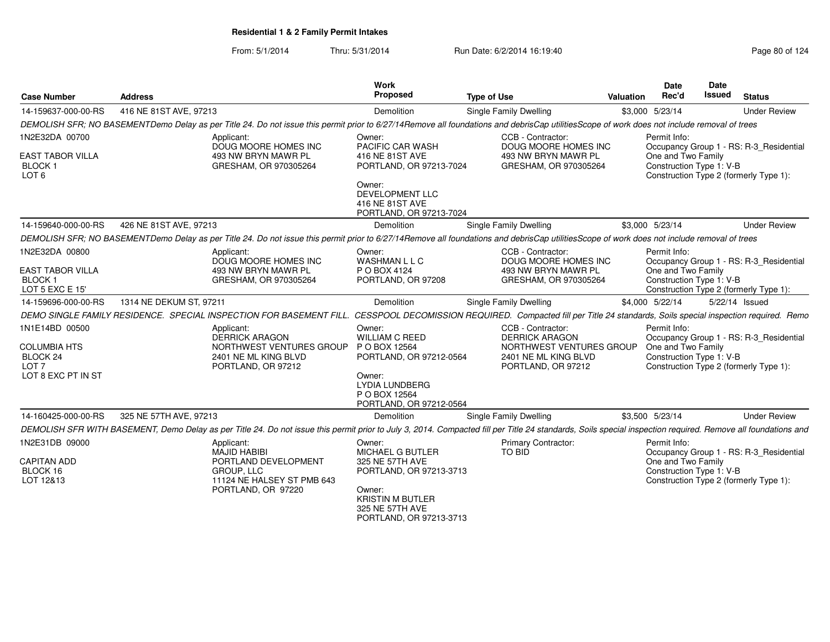| <b>Case Number</b>                                                                   | <b>Address</b>                                                                                                                                                                                               | Work<br>Proposed                                                                                                                                            | <b>Type of Use</b>                                                                                                   | <b>Valuation</b> | <b>Date</b><br>Rec'd                                           | Date<br>Issued | <b>Status</b>                                                                     |
|--------------------------------------------------------------------------------------|--------------------------------------------------------------------------------------------------------------------------------------------------------------------------------------------------------------|-------------------------------------------------------------------------------------------------------------------------------------------------------------|----------------------------------------------------------------------------------------------------------------------|------------------|----------------------------------------------------------------|----------------|-----------------------------------------------------------------------------------|
| 14-159637-000-00-RS                                                                  | 416 NE 81ST AVE, 97213                                                                                                                                                                                       | Demolition                                                                                                                                                  | <b>Single Family Dwelling</b>                                                                                        |                  | \$3,000 5/23/14                                                |                | <b>Under Review</b>                                                               |
|                                                                                      | DEMOLISH SFR; NO BASEMENTDemo Delay as per Title 24. Do not issue this permit prior to 6/27/14Remove all foundations and debrisCap utilitiesScope of work does not include removal of trees                  |                                                                                                                                                             |                                                                                                                      |                  |                                                                |                |                                                                                   |
| 1N2E32DA 00700<br>EAST TABOR VILLA<br><b>BLOCK1</b><br>LOT <sub>6</sub>              | Applicant:<br>DOUG MOORE HOMES INC<br>493 NW BRYN MAWR PL<br>GRESHAM, OR 970305264                                                                                                                           | Owner:<br>PACIFIC CAR WASH<br>416 NE 81ST AVE<br>PORTLAND, OR 97213-7024<br>Owner:<br>DEVELOPMENT LLC<br>416 NE 81ST AVE<br>PORTLAND, OR 97213-7024         | CCB - Contractor:<br>DOUG MOORE HOMES INC<br>493 NW BRYN MAWR PL<br>GRESHAM, OR 970305264                            |                  | Permit Info:<br>One and Two Family<br>Construction Type 1: V-B |                | Occupancy Group 1 - RS: R-3_Residential<br>Construction Type 2 (formerly Type 1): |
| 14-159640-000-00-RS                                                                  | 426 NE 81ST AVE, 97213                                                                                                                                                                                       | Demolition                                                                                                                                                  | Single Family Dwelling                                                                                               |                  | \$3,000 5/23/14                                                |                | <b>Under Review</b>                                                               |
|                                                                                      | DEMOLISH SFR; NO BASEMENTDemo Delay as per Title 24. Do not issue this permit prior to 6/27/14Remove all foundations and debrisCap utilitiesScope of work does not include removal of trees                  |                                                                                                                                                             |                                                                                                                      |                  |                                                                |                |                                                                                   |
| 1N2E32DA 00800<br>EAST TABOR VILLA<br>BLOCK <sub>1</sub><br>LOT 5 EXC E 15'          | Applicant:<br>DOUG MOORE HOMES INC<br>493 NW BRYN MAWR PL<br>GRESHAM, OR 970305264                                                                                                                           | Owner:<br><b>WASHMAN L L C</b><br>P O BOX 4124<br>PORTLAND, OR 97208                                                                                        | CCB - Contractor:<br>DOUG MOORE HOMES INC<br>493 NW BRYN MAWR PL<br>GRESHAM, OR 970305264                            |                  | Permit Info:<br>One and Two Family<br>Construction Type 1: V-B |                | Occupancy Group 1 - RS: R-3_Residential<br>Construction Type 2 (formerly Type 1): |
| 14-159696-000-00-RS                                                                  | 1314 NE DEKUM ST, 97211                                                                                                                                                                                      | Demolition                                                                                                                                                  | Single Family Dwelling                                                                                               |                  | \$4,000 5/22/14                                                |                | 5/22/14 Issued                                                                    |
|                                                                                      | DEMO SINGLE FAMILY RESIDENCE. SPECIAL INSPECTION FOR BASEMENT FILL.                                                                                                                                          |                                                                                                                                                             | CESSPOOL DECOMISSION REQUIRED. Compacted fill per Title 24 standards, Soils special inspection required. Remo        |                  |                                                                |                |                                                                                   |
| 1N1E14BD 00500<br>COLUMBIA HTS<br>BLOCK 24<br>LOT <sub>7</sub><br>LOT 8 EXC PT IN ST | Applicant:<br><b>DERRICK ARAGON</b><br>NORTHWEST VENTURES GROUP<br>2401 NE ML KING BLVD<br>PORTLAND, OR 97212                                                                                                | Owner:<br><b>WILLIAM C REED</b><br>P O BOX 12564<br>PORTLAND, OR 97212-0564<br>Owner:<br><b>LYDIA LUNDBERG</b><br>P O BOX 12564<br>PORTLAND, OR 97212-0564  | CCB - Contractor:<br><b>DERRICK ARAGON</b><br>NORTHWEST VENTURES GROUP<br>2401 NE ML KING BLVD<br>PORTLAND, OR 97212 |                  | Permit Info:<br>One and Two Family<br>Construction Type 1: V-B |                | Occupancy Group 1 - RS: R-3_Residential<br>Construction Type 2 (formerly Type 1): |
| 14-160425-000-00-RS                                                                  | 325 NE 57TH AVE, 97213                                                                                                                                                                                       | Demolition                                                                                                                                                  | Single Family Dwelling                                                                                               |                  | \$3,500 5/23/14                                                |                | <b>Under Review</b>                                                               |
|                                                                                      | DEMOLISH SFR WITH BASEMENT, Demo Delay as per Title 24. Do not issue this permit prior to July 3, 2014. Compacted fill per Title 24 standards, Soils special inspection required. Remove all foundations and |                                                                                                                                                             |                                                                                                                      |                  |                                                                |                |                                                                                   |
| 1N2E31DB 09000<br><b>CAPITAN ADD</b><br>BLOCK 16<br>LOT 12&13                        | Applicant:<br><b>MAJID HABIBI</b><br>PORTLAND DEVELOPMENT<br>GROUP, LLC<br>11124 NE HALSEY ST PMB 643<br>PORTLAND, OR 97220                                                                                  | Owner:<br>MICHAEL G BUTLER<br>325 NE 57TH AVE<br>PORTLAND, OR 97213-3713<br>Owner:<br><b>KRISTIN M BUTLER</b><br>325 NE 57TH AVE<br>PORTLAND, OR 97213-3713 | <b>Primary Contractor:</b><br><b>TO BID</b>                                                                          |                  | Permit Info:<br>One and Two Family<br>Construction Type 1: V-B |                | Occupancy Group 1 - RS: R-3 Residential<br>Construction Type 2 (formerly Type 1): |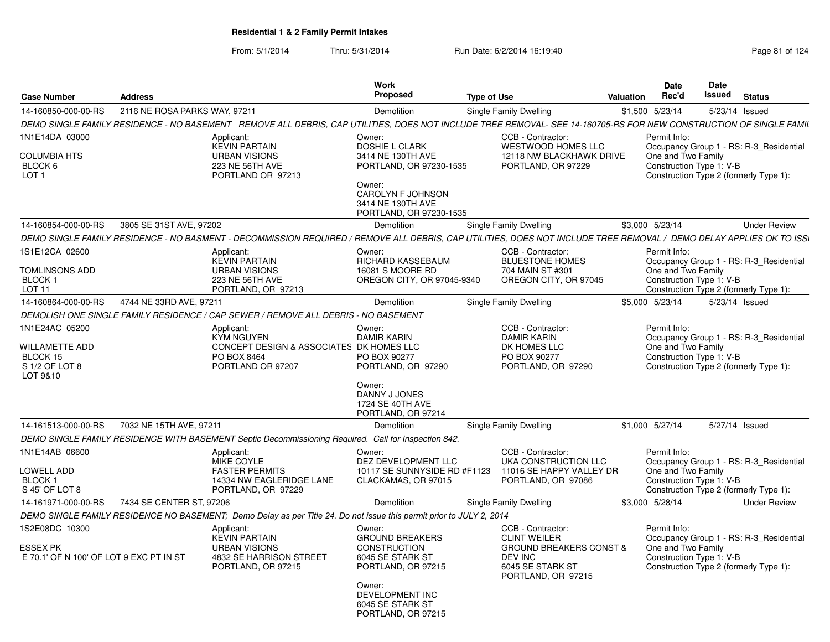| <b>Case Number</b>                                                                | <b>Address</b>                |                                                                                                                                                                     | <b>Work</b><br><b>Proposed</b>                                                                                                                                           | <b>Type of Use</b>                                                                                                                         | <b>Valuation</b> | Date<br>Rec'd                                                  | <b>Date</b><br>Issued | <b>Status</b>                                                                     |
|-----------------------------------------------------------------------------------|-------------------------------|---------------------------------------------------------------------------------------------------------------------------------------------------------------------|--------------------------------------------------------------------------------------------------------------------------------------------------------------------------|--------------------------------------------------------------------------------------------------------------------------------------------|------------------|----------------------------------------------------------------|-----------------------|-----------------------------------------------------------------------------------|
| 14-160850-000-00-RS                                                               | 2116 NE ROSA PARKS WAY, 97211 |                                                                                                                                                                     | Demolition                                                                                                                                                               | Single Family Dwelling                                                                                                                     |                  | \$1,500 5/23/14                                                |                       | 5/23/14 Issued                                                                    |
|                                                                                   |                               | DEMO SINGLE FAMILY RESIDENCE - NO BASEMENT   REMOVE ALL DEBRIS, CAP UTILITIES, DOES NOT INCLUDE TREE REMOVAL- SEE 14-160705-RS FOR NEW CONSTRUCTION OF SINGLE FAMIL |                                                                                                                                                                          |                                                                                                                                            |                  |                                                                |                       |                                                                                   |
| 1N1E14DA 03000<br><b>COLUMBIA HTS</b><br>BLOCK 6<br>LOT <sub>1</sub>              |                               | Applicant:<br><b>KEVIN PARTAIN</b><br><b>URBAN VISIONS</b><br>223 NE 56TH AVE<br>PORTLAND OR 97213                                                                  | Owner:<br>DOSHIE L CLARK<br>3414 NE 130TH AVE<br>PORTLAND, OR 97230-1535<br>Owner:<br>CAROLYN F JOHNSON<br>3414 NE 130TH AVE<br>PORTLAND, OR 97230-1535                  | CCB - Contractor:<br>WESTWOOD HOMES LLC<br>12118 NW BLACKHAWK DRIVE<br>PORTLAND, OR 97229                                                  |                  | Permit Info:<br>One and Two Family<br>Construction Type 1: V-B |                       | Occupancy Group 1 - RS: R-3 Residential<br>Construction Type 2 (formerly Type 1): |
| 14-160854-000-00-RS                                                               | 3805 SE 31ST AVE, 97202       |                                                                                                                                                                     | Demolition                                                                                                                                                               | Single Family Dwelling                                                                                                                     |                  | \$3,000 5/23/14                                                |                       | <b>Under Review</b>                                                               |
|                                                                                   |                               | DEMO SINGLE FAMILY RESIDENCE - NO BASMENT - DECOMMISSION REQUIRED / REMOVE ALL DEBRIS, CAP UTILITIES, DOES NOT INCLUDE TREE REMOVAL / DEMO DELAY APPLIES OK TO ISS  |                                                                                                                                                                          |                                                                                                                                            |                  |                                                                |                       |                                                                                   |
| 1S1E12CA 02600<br><b>TOMLINSONS ADD</b><br>BLOCK 1<br><b>LOT 11</b>               |                               | Applicant:<br><b>KEVIN PARTAIN</b><br><b>URBAN VISIONS</b><br>223 NE 56TH AVE<br>PORTLAND, OR 97213                                                                 | Owner:<br>RICHARD KASSEBAUM<br>16081 S MOORE RD<br>OREGON CITY, OR 97045-9340                                                                                            | CCB - Contractor:<br><b>BLUESTONE HOMES</b><br>704 MAIN ST #301<br>OREGON CITY, OR 97045                                                   |                  | Permit Info:<br>One and Two Family<br>Construction Type 1: V-B |                       | Occupancy Group 1 - RS: R-3_Residential<br>Construction Type 2 (formerly Type 1): |
| 14-160864-000-00-RS                                                               | 4744 NE 33RD AVE, 97211       |                                                                                                                                                                     | Demolition                                                                                                                                                               | Single Family Dwelling                                                                                                                     |                  | \$5.000 5/23/14                                                |                       | 5/23/14 Issued                                                                    |
|                                                                                   |                               | DEMOLISH ONE SINGLE FAMILY RESIDENCE / CAP SEWER / REMOVE ALL DEBRIS - NO BASEMENT                                                                                  |                                                                                                                                                                          |                                                                                                                                            |                  |                                                                |                       |                                                                                   |
| 1N1E24AC 05200<br><b>WILLAMETTE ADD</b><br>BLOCK 15<br>S 1/2 OF LOT 8<br>LOT 9&10 |                               | Applicant:<br><b>KYM NGUYEN</b><br>CONCEPT DESIGN & ASSOCIATES DK HOMES LLC<br>PO BOX 8464<br>PORTLAND OR 97207                                                     | Owner:<br><b>DAMIR KARIN</b><br>PO BOX 90277<br>PORTLAND, OR 97290<br>Owner:<br>DANNY J JONES<br>1724 SE 40TH AVE<br>PORTLAND, OR 97214                                  | CCB - Contractor:<br><b>DAMIR KARIN</b><br>DK HOMES LLC<br>PO BOX 90277<br>PORTLAND, OR 97290                                              |                  | Permit Info:<br>One and Two Family<br>Construction Type 1: V-B |                       | Occupancy Group 1 - RS: R-3_Residential<br>Construction Type 2 (formerly Type 1): |
| 14-161513-000-00-RS                                                               | 7032 NE 15TH AVE, 97211       |                                                                                                                                                                     | Demolition                                                                                                                                                               | <b>Single Family Dwelling</b>                                                                                                              |                  | \$1,000 5/27/14                                                |                       | 5/27/14 Issued                                                                    |
|                                                                                   |                               | DEMO SINGLE FAMILY RESIDENCE WITH BASEMENT Septic Decommissioning Required. Call for Inspection 842.                                                                |                                                                                                                                                                          |                                                                                                                                            |                  |                                                                |                       |                                                                                   |
| 1N1E14AB 06600<br>LOWELL ADD<br><b>BLOCK1</b><br>S 45' OF LOT 8                   |                               | Applicant:<br><b>MIKE COYLE</b><br><b>FASTER PERMITS</b><br>14334 NW EAGLERIDGE LANE<br>PORTLAND, OR 97229                                                          | Owner:<br>DEZ DEVELOPMENT LLC<br>10117 SE SUNNYSIDE RD #F1123<br>CLACKAMAS, OR 97015                                                                                     | CCB - Contractor:<br>UKA CONSTRUCTION LLC<br>11016 SE HAPPY VALLEY DR<br>PORTLAND, OR 97086                                                |                  | Permit Info:<br>One and Two Family<br>Construction Type 1: V-B |                       | Occupancy Group 1 - RS: R-3_Residential<br>Construction Type 2 (formerly Type 1): |
| 14-161971-000-00-RS                                                               | 7434 SE CENTER ST, 97206      |                                                                                                                                                                     | Demolition                                                                                                                                                               | Single Family Dwelling                                                                                                                     |                  | \$3,000 5/28/14                                                |                       | <b>Under Review</b>                                                               |
|                                                                                   |                               | DEMO SINGLE FAMILY RESIDENCE NO BASEMENT; Demo Delay as per Title 24. Do not issue this permit prior to JULY 2, 2014                                                |                                                                                                                                                                          |                                                                                                                                            |                  |                                                                |                       |                                                                                   |
| 1S2E08DC 10300<br><b>ESSEX PK</b><br>E 70.1' OF N 100' OF LOT 9 EXC PT IN ST      |                               | Applicant:<br><b>KEVIN PARTAIN</b><br><b>URBAN VISIONS</b><br>4832 SE HARRISON STREET<br>PORTLAND, OR 97215                                                         | Owner:<br><b>GROUND BREAKERS</b><br><b>CONSTRUCTION</b><br>6045 SE STARK ST<br>PORTLAND, OR 97215<br>Owner:<br>DEVELOPMENT INC<br>6045 SE STARK ST<br>PORTLAND, OR 97215 | CCB - Contractor:<br><b>CLINT WEILER</b><br><b>GROUND BREAKERS CONST &amp;</b><br><b>DEV INC</b><br>6045 SE STARK ST<br>PORTLAND, OR 97215 |                  | Permit Info:<br>One and Two Family<br>Construction Type 1: V-B |                       | Occupancy Group 1 - RS: R-3_Residential<br>Construction Type 2 (formerly Type 1): |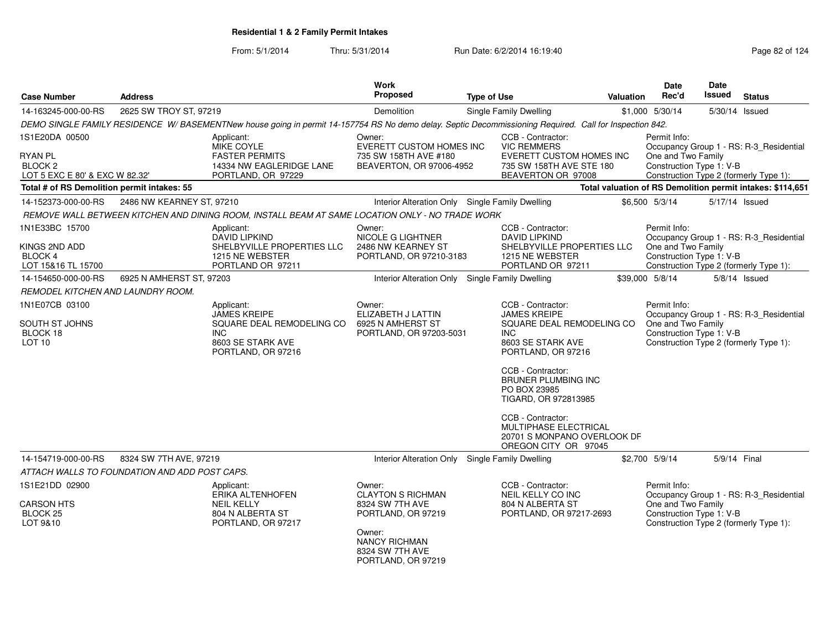| <b>Case Number</b>                                                      | <b>Address</b>                                |                                                                                                                                                        | Work<br><b>Proposed</b>                                                                                                                                | <b>Type of Use</b>                                                                                                                     | Valuation                                                                    | <b>Date</b><br>Rec'd                                           | <b>Date</b><br><b>Issued</b> | <b>Status</b>                                                                     |
|-------------------------------------------------------------------------|-----------------------------------------------|--------------------------------------------------------------------------------------------------------------------------------------------------------|--------------------------------------------------------------------------------------------------------------------------------------------------------|----------------------------------------------------------------------------------------------------------------------------------------|------------------------------------------------------------------------------|----------------------------------------------------------------|------------------------------|-----------------------------------------------------------------------------------|
| 14-163245-000-00-RS                                                     | 2625 SW TROY ST, 97219                        |                                                                                                                                                        | Demolition                                                                                                                                             | Single Family Dwelling                                                                                                                 |                                                                              | \$1,000 5/30/14                                                | 5/30/14 Issued               |                                                                                   |
|                                                                         |                                               | DEMO SINGLE FAMILY RESIDENCE W/BASEMENTNew house going in permit 14-157754 RS No demo delay. Septic Decommissioning Required. Call for Inspection 842. |                                                                                                                                                        |                                                                                                                                        |                                                                              |                                                                |                              |                                                                                   |
| 1S1E20DA 00500                                                          |                                               | Applicant:<br>MIKE COYLE                                                                                                                               | Owner:<br><b>EVERETT CUSTOM HOMES INC</b>                                                                                                              | CCB - Contractor:<br><b>VIC REMMERS</b>                                                                                                |                                                                              | Permit Info:                                                   |                              | Occupancy Group 1 - RS: R-3_Residential                                           |
| <b>RYAN PL</b><br>BLOCK <sub>2</sub><br>LOT 5 EXC E 80' & EXC W 82.32'  |                                               | <b>FASTER PERMITS</b><br>14334 NW EAGLERIDGE LANE<br>PORTLAND, OR 97229                                                                                | 735 SW 158TH AVE #180<br>BEAVERTON, OR 97006-4952                                                                                                      | BEAVERTON OR 97008                                                                                                                     | EVERETT CUSTOM HOMES INC<br>735 SW 158TH AVE STE 180                         | One and Two Family<br>Construction Type 1: V-B                 |                              | Construction Type 2 (formerly Type 1):                                            |
| Total # of RS Demolition permit intakes: 55                             |                                               |                                                                                                                                                        |                                                                                                                                                        |                                                                                                                                        | Total valuation of RS Demolition permit intakes: \$114,651                   |                                                                |                              |                                                                                   |
| 14-152373-000-00-RS                                                     | 2486 NW KEARNEY ST, 97210                     |                                                                                                                                                        |                                                                                                                                                        | Interior Alteration Only Single Family Dwelling                                                                                        |                                                                              | \$6,500 5/3/14                                                 | 5/17/14 Issued               |                                                                                   |
|                                                                         |                                               | REMOVE WALL BETWEEN KITCHEN AND DINING ROOM, INSTALL BEAM AT SAME LOCATION ONLY - NO TRADE WORK                                                        |                                                                                                                                                        |                                                                                                                                        |                                                                              |                                                                |                              |                                                                                   |
| 1N1E33BC 15700<br>KINGS 2ND ADD<br><b>BLOCK 4</b><br>LOT 15&16 TL 15700 |                                               | Applicant:<br><b>DAVID LIPKIND</b><br>SHELBYVILLE PROPERTIES LLC<br>1215 NE WEBSTER<br>PORTLAND OR 97211                                               | Owner:<br>NICOLE G LIGHTNER<br>2486 NW KEARNEY ST<br>PORTLAND, OR 97210-3183                                                                           | CCB - Contractor:<br><b>DAVID LIPKIND</b><br>1215 NE WEBSTER<br>PORTLAND OR 97211                                                      | SHELBYVILLE PROPERTIES LLC                                                   | Permit Info:<br>One and Two Family<br>Construction Type 1: V-B |                              | Occupancy Group 1 - RS: R-3_Residential<br>Construction Type 2 (formerly Type 1): |
| 14-154650-000-00-RS                                                     | 6925 N AMHERST ST, 97203                      |                                                                                                                                                        | Interior Alteration Only                                                                                                                               | Single Family Dwelling                                                                                                                 |                                                                              | \$39,000 5/8/14                                                |                              | $5/8/14$ Issued                                                                   |
| REMODEL KITCHEN AND LAUNDRY ROOM.                                       |                                               |                                                                                                                                                        |                                                                                                                                                        |                                                                                                                                        |                                                                              |                                                                |                              |                                                                                   |
| 1N1E07CB 03100<br>SOUTH ST JOHNS<br>BLOCK 18<br>LOT <sub>10</sub>       |                                               | Applicant:<br><b>JAMES KREIPE</b><br>SQUARE DEAL REMODELING CO<br><b>INC</b><br>8603 SE STARK AVE<br>PORTLAND, OR 97216                                | Owner:<br>ELIZABETH J LATTIN<br>6925 N AMHERST ST<br>PORTLAND, OR 97203-5031                                                                           | CCB - Contractor:<br><b>JAMES KREIPE</b><br><b>INC</b><br>8603 SE STARK AVE<br>PORTLAND, OR 97216<br>CCB - Contractor:<br>PO BOX 23985 | SQUARE DEAL REMODELING CO<br><b>BRUNER PLUMBING INC</b>                      | Permit Info:<br>One and Two Family<br>Construction Type 1: V-B |                              | Occupancy Group 1 - RS: R-3_Residential<br>Construction Type 2 (formerly Type 1): |
|                                                                         |                                               |                                                                                                                                                        |                                                                                                                                                        | TIGARD, OR 972813985<br>CCB - Contractor:                                                                                              | MULTIPHASE ELECTRICAL<br>20701 S MONPANO OVERLOOK DF<br>OREGON CITY OR 97045 |                                                                |                              |                                                                                   |
| 14-154719-000-00-RS                                                     | 8324 SW 7TH AVE, 97219                        |                                                                                                                                                        |                                                                                                                                                        | Interior Alteration Only Single Family Dwelling                                                                                        |                                                                              | \$2,700 5/9/14                                                 | 5/9/14 Final                 |                                                                                   |
|                                                                         | ATTACH WALLS TO FOUNDATION AND ADD POST CAPS. |                                                                                                                                                        |                                                                                                                                                        |                                                                                                                                        |                                                                              |                                                                |                              |                                                                                   |
| 1S1E21DD 02900<br><b>CARSON HTS</b><br><b>BLOCK 25</b><br>LOT 9&10      |                                               | Applicant:<br>ERIKA ALTENHOFEN<br><b>NEIL KELLY</b><br>804 N ALBERTA ST<br>PORTLAND, OR 97217                                                          | Owner:<br><b>CLAYTON S RICHMAN</b><br>8324 SW 7TH AVE<br>PORTLAND, OR 97219<br>Owner:<br><b>NANCY RICHMAN</b><br>8324 SW 7TH AVE<br>PORTLAND, OR 97219 | CCB - Contractor:<br>NEIL KELLY CO INC<br>804 N ALBERTA ST                                                                             | PORTLAND, OR 97217-2693                                                      | Permit Info:<br>One and Two Family<br>Construction Type 1: V-B |                              | Occupancy Group 1 - RS: R-3_Residential<br>Construction Type 2 (formerly Type 1): |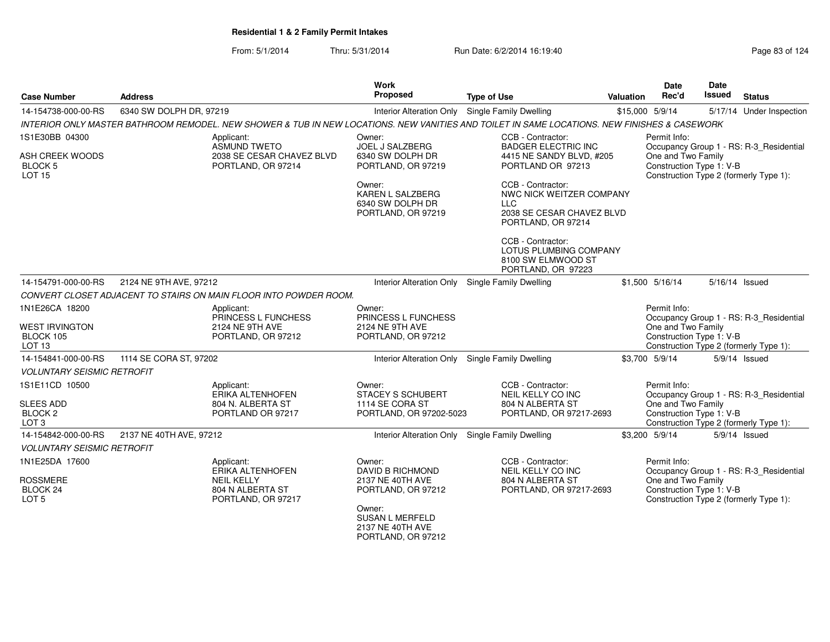From: 5/1/2014Thru: 5/31/2014 Run Date: 6/2/2014 16:19:40

| <b>Case Number</b>                                         | <b>Address</b>          |                                                                   | <b>Work</b><br>Proposed                                              | <b>Type of Use</b>                                                                                                                           | Valuation | Date<br>Rec'd                                  | Date<br>Issued | <b>Status</b>                           |
|------------------------------------------------------------|-------------------------|-------------------------------------------------------------------|----------------------------------------------------------------------|----------------------------------------------------------------------------------------------------------------------------------------------|-----------|------------------------------------------------|----------------|-----------------------------------------|
| 14-154738-000-00-RS                                        | 6340 SW DOLPH DR, 97219 |                                                                   |                                                                      | Interior Alteration Only Single Family Dwelling                                                                                              |           | \$15,000 5/9/14                                |                | 5/17/14 Under Inspection                |
|                                                            |                         |                                                                   |                                                                      | INTERIOR ONLY MASTER BATHROOM REMODEL. NEW SHOWER & TUB IN NEW LOCATIONS. NEW VANITIES AND TOILET IN SAME LOCATIONS. NEW FINISHES & CASEWORK |           |                                                |                |                                         |
| 1S1E30BB 04300                                             |                         | Applicant:<br><b>ASMUND TWETO</b>                                 | Owner:<br>JOEL J SALZBERG                                            | CCB - Contractor:<br><b>BADGER ELECTRIC INC</b>                                                                                              |           | Permit Info:                                   |                | Occupancy Group 1 - RS: R-3_Residential |
| ASH CREEK WOODS<br>BLOCK <sub>5</sub><br><b>LOT 15</b>     |                         | 2038 SE CESAR CHAVEZ BLVD<br>PORTLAND, OR 97214                   | 6340 SW DOLPH DR<br>PORTLAND, OR 97219                               | 4415 NE SANDY BLVD, #205<br>PORTLAND OR 97213                                                                                                |           | One and Two Family<br>Construction Type 1: V-B |                | Construction Type 2 (formerly Type 1):  |
|                                                            |                         |                                                                   | Owner:<br>KAREN L SALZBERG<br>6340 SW DOLPH DR<br>PORTLAND, OR 97219 | CCB - Contractor:<br>NWC NICK WEITZER COMPANY<br><b>LLC</b><br>2038 SE CESAR CHAVEZ BLVD<br>PORTLAND, OR 97214                               |           |                                                |                |                                         |
|                                                            |                         |                                                                   |                                                                      | CCB - Contractor:<br>LOTUS PLUMBING COMPANY<br>8100 SW ELMWOOD ST<br>PORTLAND, OR 97223                                                      |           |                                                |                |                                         |
| 14-154791-000-00-RS                                        | 2124 NE 9TH AVE, 97212  |                                                                   |                                                                      | Interior Alteration Only Single Family Dwelling                                                                                              |           | \$1,500 5/16/14                                |                | 5/16/14 Issued                          |
|                                                            |                         | CONVERT CLOSET ADJACENT TO STAIRS ON MAIN FLOOR INTO POWDER ROOM. |                                                                      |                                                                                                                                              |           |                                                |                |                                         |
| 1N1E26CA 18200<br><b>WEST IRVINGTON</b>                    |                         | Applicant:<br>PRINCESS L FUNCHESS<br>2124 NE 9TH AVE              | Owner:<br><b>PRINCESS L FUNCHESS</b><br>2124 NE 9TH AVE              |                                                                                                                                              |           | Permit Info:<br>One and Two Family             |                | Occupancy Group 1 - RS: R-3_Residential |
| BLOCK 105<br>LOT <sub>13</sub>                             |                         | PORTLAND, OR 97212                                                | PORTLAND, OR 97212                                                   |                                                                                                                                              |           | Construction Type 1: V-B                       |                | Construction Type 2 (formerly Type 1):  |
| 14-154841-000-00-RS                                        | 1114 SE CORA ST, 97202  |                                                                   | <b>Interior Alteration Only</b>                                      | Single Family Dwelling                                                                                                                       |           | \$3,700 5/9/14                                 |                | 5/9/14 Issued                           |
| <b>VOLUNTARY SEISMIC RETROFIT</b>                          |                         |                                                                   |                                                                      |                                                                                                                                              |           |                                                |                |                                         |
| 1S1E11CD 10500                                             |                         | Applicant:<br><b>ERIKA ALTENHOFEN</b>                             | Owner:<br><b>STACEY S SCHUBERT</b>                                   | CCB - Contractor:<br>NEIL KELLY CO INC                                                                                                       |           | Permit Info:                                   |                | Occupancy Group 1 - RS: R-3_Residential |
| <b>SLEES ADD</b><br>BLOCK <sub>2</sub><br>LOT <sub>3</sub> |                         | 804 N. ALBERTA ST<br>PORTLAND OR 97217                            | 1114 SE CORA ST<br>PORTLAND, OR 97202-5023                           | 804 N ALBERTA ST<br>PORTLAND, OR 97217-2693                                                                                                  |           | One and Two Family<br>Construction Type 1: V-B |                | Construction Type 2 (formerly Type 1):  |
| 14-154842-000-00-RS                                        | 2137 NE 40TH AVE, 97212 |                                                                   |                                                                      | Interior Alteration Only Single Family Dwelling                                                                                              |           | \$3,200 5/9/14                                 |                | 5/9/14 Issued                           |
| <b>VOLUNTARY SEISMIC RETROFIT</b>                          |                         |                                                                   |                                                                      |                                                                                                                                              |           |                                                |                |                                         |
| 1N1E25DA 17600                                             |                         | Applicant:<br><b>ERIKA ALTENHOFEN</b>                             | Owner:<br><b>DAVID B RICHMOND</b>                                    | CCB - Contractor:<br>NEIL KELLY CO INC                                                                                                       |           | Permit Info:                                   |                | Occupancy Group 1 - RS: R-3_Residential |
| <b>ROSSMERE</b><br>BLOCK 24<br>LOT <sub>5</sub>            |                         | <b>NEIL KELLY</b><br>804 N ALBERTA ST<br>PORTLAND, OR 97217       | 2137 NE 40TH AVE<br>PORTLAND, OR 97212                               | 804 N ALBERTA ST<br>PORTLAND, OR 97217-2693                                                                                                  |           | One and Two Family<br>Construction Type 1: V-B |                | Construction Type 2 (formerly Type 1):  |
|                                                            |                         |                                                                   | Owner:<br><b>SUSAN L MERFELD</b><br>2137 NE 40TH AVE                 |                                                                                                                                              |           |                                                |                |                                         |

2137 NE 40TH AVE PORTLAND, OR 97212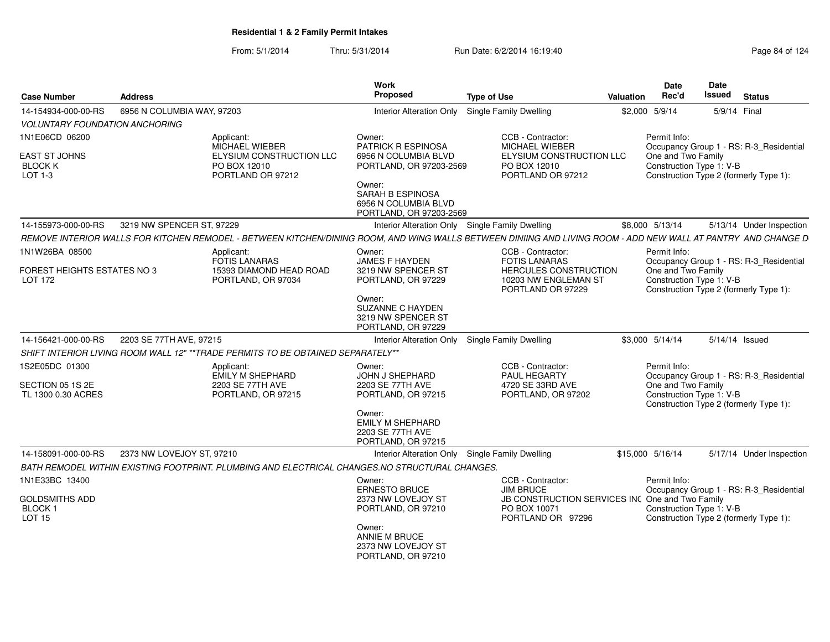|                                                             |                            |                                                                                                                                                               | Work                                                                                                              |                                                                             |                                                 | Date                                                                                                     | <b>Date</b>    |                                         |
|-------------------------------------------------------------|----------------------------|---------------------------------------------------------------------------------------------------------------------------------------------------------------|-------------------------------------------------------------------------------------------------------------------|-----------------------------------------------------------------------------|-------------------------------------------------|----------------------------------------------------------------------------------------------------------|----------------|-----------------------------------------|
| <b>Case Number</b>                                          | <b>Address</b>             |                                                                                                                                                               | Proposed                                                                                                          | <b>Type of Use</b>                                                          | Valuation                                       | Rec'd                                                                                                    | <b>Issued</b>  | <b>Status</b>                           |
| 14-154934-000-00-RS                                         | 6956 N COLUMBIA WAY, 97203 |                                                                                                                                                               | <b>Interior Alteration Only</b>                                                                                   | Single Family Dwelling                                                      |                                                 | \$2,000 5/9/14                                                                                           | 5/9/14 Final   |                                         |
| <b>VOLUNTARY FOUNDATION ANCHORING</b>                       |                            |                                                                                                                                                               |                                                                                                                   |                                                                             |                                                 |                                                                                                          |                |                                         |
| 1N1E06CD 06200                                              |                            | Applicant:                                                                                                                                                    | Owner:                                                                                                            | CCB - Contractor:                                                           |                                                 | Permit Info:                                                                                             |                |                                         |
| <b>EAST ST JOHNS</b><br><b>BLOCK K</b><br>LOT 1-3           |                            | MICHAEL WIEBER<br>ELYSIUM CONSTRUCTION LLC<br>PO BOX 12010<br>PORTLAND OR 97212                                                                               | <b>PATRICK R ESPINOSA</b><br>6956 N COLUMBIA BLVD<br>PORTLAND, OR 97203-2569<br>Owner:<br><b>SARAH B ESPINOSA</b> | <b>MICHAEL WIEBER</b><br>PO BOX 12010<br>PORTLAND OR 97212                  | <b>ELYSIUM CONSTRUCTION LLC</b>                 | One and Two Family<br>Construction Type 1: V-B<br>Construction Type 2 (formerly Type 1):                 |                | Occupancy Group 1 - RS: R-3_Residential |
|                                                             |                            |                                                                                                                                                               | 6956 N COLUMBIA BLVD<br>PORTLAND, OR 97203-2569                                                                   |                                                                             |                                                 |                                                                                                          |                |                                         |
| 14-155973-000-00-RS                                         | 3219 NW SPENCER ST, 97229  |                                                                                                                                                               |                                                                                                                   | Interior Alteration Only Single Family Dwelling                             |                                                 | \$8,000 5/13/14                                                                                          |                | 5/13/14 Under Inspection                |
|                                                             |                            | REMOVE INTERIOR WALLS FOR KITCHEN REMODEL - BETWEEN KITCHEN/DINING ROOM, AND WING WALLS BETWEEN DINIING AND LIVING ROOM - ADD NEW WALL AT PANTRY AND CHANGE D |                                                                                                                   |                                                                             |                                                 |                                                                                                          |                |                                         |
| 1N1W26BA 08500                                              |                            | Applicant:<br><b>FOTIS LANARAS</b>                                                                                                                            | Owner:<br><b>JAMES F HAYDEN</b>                                                                                   | CCB - Contractor:<br><b>FOTIS LANARAS</b>                                   |                                                 | Permit Info:                                                                                             |                | Occupancy Group 1 - RS: R-3_Residential |
| FOREST HEIGHTS ESTATES NO 3<br>LOT 172                      |                            | 15393 DIAMOND HEAD ROAD<br>PORTLAND, OR 97034                                                                                                                 | 3219 NW SPENCER ST<br>PORTLAND, OR 97229                                                                          | 10203 NW ENGLEMAN ST<br>PORTLAND OR 97229                                   | HERCULES CONSTRUCTION                           | One and Two Family<br>Construction Type 1: V-B<br>Construction Type 2 (formerly Type 1):                 |                |                                         |
|                                                             |                            |                                                                                                                                                               | Owner:<br>SUZANNE C HAYDEN<br>3219 NW SPENCER ST<br>PORTLAND, OR 97229                                            |                                                                             |                                                 |                                                                                                          |                |                                         |
| 14-156421-000-00-RS                                         | 2203 SE 77TH AVE, 97215    |                                                                                                                                                               | Interior Alteration Only                                                                                          | <b>Single Family Dwelling</b>                                               |                                                 | \$3.000 5/14/14                                                                                          | 5/14/14 Issued |                                         |
|                                                             |                            | SHIFT INTERIOR LIVING ROOM WALL 12" **TRADE PERMITS TO BE OBTAINED SEPARATELY**                                                                               |                                                                                                                   |                                                                             |                                                 |                                                                                                          |                |                                         |
| 1S2E05DC 01300<br>SECTION 05 1S 2E<br>TL 1300 0.30 ACRES    |                            | Applicant:<br>EMILY M SHEPHARD<br>2203 SE 77TH AVE<br>PORTLAND, OR 97215                                                                                      | Owner:<br>JOHN J SHEPHARD<br>2203 SE 77TH AVE<br>PORTLAND, OR 97215                                               | CCB - Contractor:<br>PAUL HEGARTY<br>4720 SE 33RD AVE<br>PORTLAND, OR 97202 |                                                 | Permit Info:<br>One and Two Family<br>Construction Type 1: V-B<br>Construction Type 2 (formerly Type 1): |                | Occupancy Group 1 - RS: R-3_Residential |
|                                                             |                            |                                                                                                                                                               | Owner:<br><b>EMILY M SHEPHARD</b><br>2203 SE 77TH AVE<br>PORTLAND, OR 97215                                       |                                                                             |                                                 |                                                                                                          |                |                                         |
| 14-158091-000-00-RS                                         | 2373 NW LOVEJOY ST, 97210  |                                                                                                                                                               |                                                                                                                   | Interior Alteration Only Single Family Dwelling                             |                                                 | \$15,000 5/16/14                                                                                         |                | 5/17/14 Under Inspection                |
|                                                             |                            | BATH REMODEL WITHIN EXISTING FOOTPRINT. PLUMBING AND ELECTRICAL CHANGES.NO STRUCTURAL CHANGES.                                                                |                                                                                                                   |                                                                             |                                                 |                                                                                                          |                |                                         |
| 1N1E33BC 13400                                              |                            |                                                                                                                                                               | Owner:<br><b>ERNESTO BRUCE</b>                                                                                    | CCB - Contractor:<br><b>JIM BRUCE</b>                                       |                                                 | Permit Info:                                                                                             |                | Occupancy Group 1 - RS: R-3_Residential |
| <b>GOLDSMITHS ADD</b><br><b>BLOCK1</b><br>LOT <sub>15</sub> |                            |                                                                                                                                                               | 2373 NW LOVEJOY ST<br>PORTLAND, OR 97210                                                                          | PO BOX 10071<br>PORTLAND OR 97296                                           | JB CONSTRUCTION SERVICES INC One and Two Family | Construction Type 1: V-B<br>Construction Type 2 (formerly Type 1):                                       |                |                                         |
|                                                             |                            |                                                                                                                                                               | Owner:<br>ANNIE M BRUCE<br>2373 NW LOVEJOY ST<br>PORTLAND, OR 97210                                               |                                                                             |                                                 |                                                                                                          |                |                                         |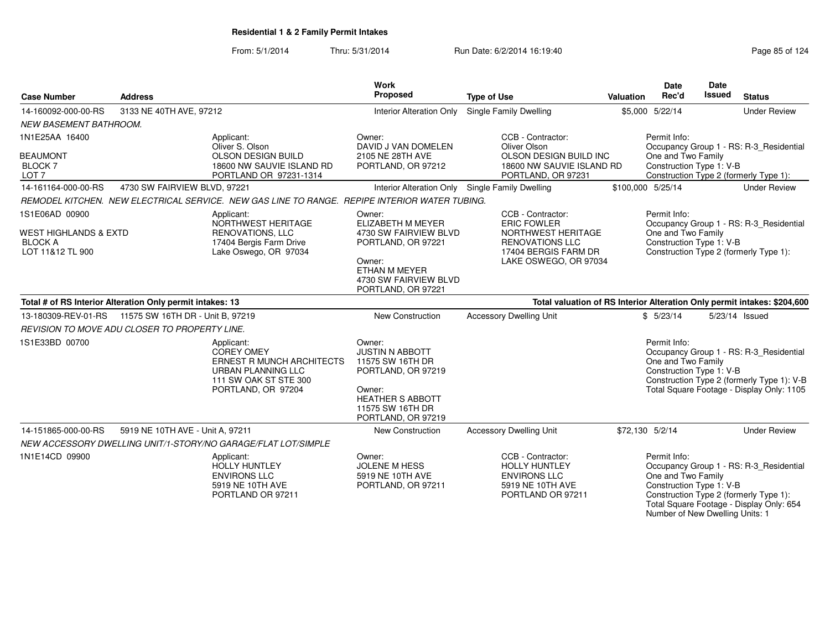| <b>Case Number</b>                                                                       | <b>Address</b>                                            |                                                                                                                                          | Work<br>Proposed                                                                                                                                          | <b>Type of Use</b>                                                                                                                       | <b>Valuation</b> | <b>Date</b><br>Rec'd                                                                                                                                | Date<br><b>Issued</b> | <b>Status</b>                                                                                                                      |
|------------------------------------------------------------------------------------------|-----------------------------------------------------------|------------------------------------------------------------------------------------------------------------------------------------------|-----------------------------------------------------------------------------------------------------------------------------------------------------------|------------------------------------------------------------------------------------------------------------------------------------------|------------------|-----------------------------------------------------------------------------------------------------------------------------------------------------|-----------------------|------------------------------------------------------------------------------------------------------------------------------------|
| 14-160092-000-00-RS                                                                      |                                                           |                                                                                                                                          |                                                                                                                                                           | Single Family Dwelling                                                                                                                   |                  | \$5,000 5/22/14                                                                                                                                     |                       | <b>Under Review</b>                                                                                                                |
| <b>NEW BASEMENT BATHROOM.</b>                                                            | 3133 NE 40TH AVE, 97212                                   |                                                                                                                                          | Interior Alteration Only                                                                                                                                  |                                                                                                                                          |                  |                                                                                                                                                     |                       |                                                                                                                                    |
| 1N1E25AA 16400<br><b>BEAUMONT</b><br><b>BLOCK7</b><br>LOT <sub>7</sub>                   |                                                           | Applicant:<br>Oliver S. Olson<br><b>OLSON DESIGN BUILD</b><br>18600 NW SAUVIE ISLAND RD<br>PORTLAND OR 97231-1314                        | Owner:<br>DAVID J VAN DOMELEN<br>2105 NE 28TH AVE<br>PORTLAND, OR 97212                                                                                   | CCB - Contractor:<br>Oliver Olson<br>OLSON DESIGN BUILD INC<br>18600 NW SAUVIE ISLAND RD<br>PORTLAND, OR 97231                           |                  | Permit Info:<br>Occupancy Group 1 - RS: R-3 Residential<br>One and Two Family<br>Construction Type 1: V-B<br>Construction Type 2 (formerly Type 1): |                       |                                                                                                                                    |
| 14-161164-000-00-RS                                                                      | 4730 SW FAIRVIEW BLVD, 97221                              |                                                                                                                                          |                                                                                                                                                           | Interior Alteration Only Single Family Dwelling                                                                                          |                  | \$100,000 5/25/14                                                                                                                                   |                       | <b>Under Review</b>                                                                                                                |
|                                                                                          |                                                           | REMODEL KITCHEN. NEW ELECTRICAL SERVICE. NEW GAS LINE TO RANGE. REPIPE INTERIOR WATER TUBING.                                            |                                                                                                                                                           |                                                                                                                                          |                  |                                                                                                                                                     |                       |                                                                                                                                    |
| 1S1E06AD 00900<br><b>WEST HIGHLANDS &amp; EXTD</b><br><b>BLOCK A</b><br>LOT 11&12 TL 900 |                                                           | Applicant:<br>NORTHWEST HERITAGE<br><b>RENOVATIONS, LLC</b><br>17404 Bergis Farm Drive<br>Lake Oswego, OR 97034                          | Owner:<br>ELIZABETH M MEYER<br>4730 SW FAIRVIEW BLVD<br>PORTLAND, OR 97221<br>Owner:<br>ETHAN M MEYER<br>4730 SW FAIRVIEW BLVD<br>PORTLAND, OR 97221      | CCB - Contractor:<br><b>ERIC FOWLER</b><br>NORTHWEST HERITAGE<br><b>RENOVATIONS LLC</b><br>17404 BERGIS FARM DR<br>LAKE OSWEGO, OR 97034 |                  | Permit Info:<br>One and Two Family<br>Construction Type 1: V-B                                                                                      |                       | Occupancy Group 1 - RS: R-3 Residential<br>Construction Type 2 (formerly Type 1):                                                  |
|                                                                                          | Total # of RS Interior Alteration Only permit intakes: 13 |                                                                                                                                          |                                                                                                                                                           | Total valuation of RS Interior Alteration Only permit intakes: \$204,600                                                                 |                  |                                                                                                                                                     |                       |                                                                                                                                    |
|                                                                                          | 13-180309-REV-01-RS    11575 SW 16TH DR - Unit B. 97219   |                                                                                                                                          | <b>New Construction</b>                                                                                                                                   | <b>Accessory Dwelling Unit</b>                                                                                                           |                  | \$5/23/14                                                                                                                                           |                       | 5/23/14 Issued                                                                                                                     |
|                                                                                          | REVISION TO MOVE ADU CLOSER TO PROPERTY LINE.             |                                                                                                                                          |                                                                                                                                                           |                                                                                                                                          |                  |                                                                                                                                                     |                       |                                                                                                                                    |
| 1S1E33BD 00700                                                                           |                                                           | Applicant:<br><b>COREY OMEY</b><br><b>ERNEST R MUNCH ARCHITECTS</b><br>URBAN PLANNING LLC<br>111 SW OAK ST STE 300<br>PORTLAND, OR 97204 | Owner:<br><b>JUSTIN N ABBOTT</b><br>11575 SW 16TH DR<br>PORTLAND, OR 97219<br>Owner:<br><b>HEATHER S ABBOTT</b><br>11575 SW 16TH DR<br>PORTLAND, OR 97219 |                                                                                                                                          |                  | Permit Info:<br>One and Two Family<br>Construction Type 1: V-B                                                                                      |                       | Occupancy Group 1 - RS: R-3_Residential<br>Construction Type 2 (formerly Type 1): V-B<br>Total Square Footage - Display Only: 1105 |
| 14-151865-000-00-RS                                                                      | 5919 NE 10TH AVE - Unit A, 97211                          |                                                                                                                                          | <b>New Construction</b>                                                                                                                                   | <b>Accessory Dwelling Unit</b>                                                                                                           | \$72,130 5/2/14  |                                                                                                                                                     |                       | <b>Under Review</b>                                                                                                                |
|                                                                                          |                                                           | NEW ACCESSORY DWELLING UNIT/1-STORY/NO GARAGE/FLAT LOT/SIMPLE                                                                            |                                                                                                                                                           |                                                                                                                                          |                  |                                                                                                                                                     |                       |                                                                                                                                    |
| 1N1E14CD 09900                                                                           |                                                           | Applicant:<br>HOLLY HUNTLEY<br><b>ENVIRONS LLC</b><br>5919 NE 10TH AVE<br>PORTLAND OR 97211                                              | Owner:<br><b>JOLENE M HESS</b><br>5919 NE 10TH AVE<br>PORTLAND, OR 97211                                                                                  | CCB - Contractor:<br><b>HOLLY HUNTLEY</b><br><b>ENVIRONS LLC</b><br>5919 NE 10TH AVE<br>PORTLAND OR 97211                                |                  | Permit Info:<br>One and Two Family<br>Construction Type 1: V-B<br>Number of New Dwelling Units: 1                                                   |                       | Occupancy Group 1 - RS: R-3 Residential<br>Construction Type 2 (formerly Type 1):<br>Total Square Footage - Display Only: 654      |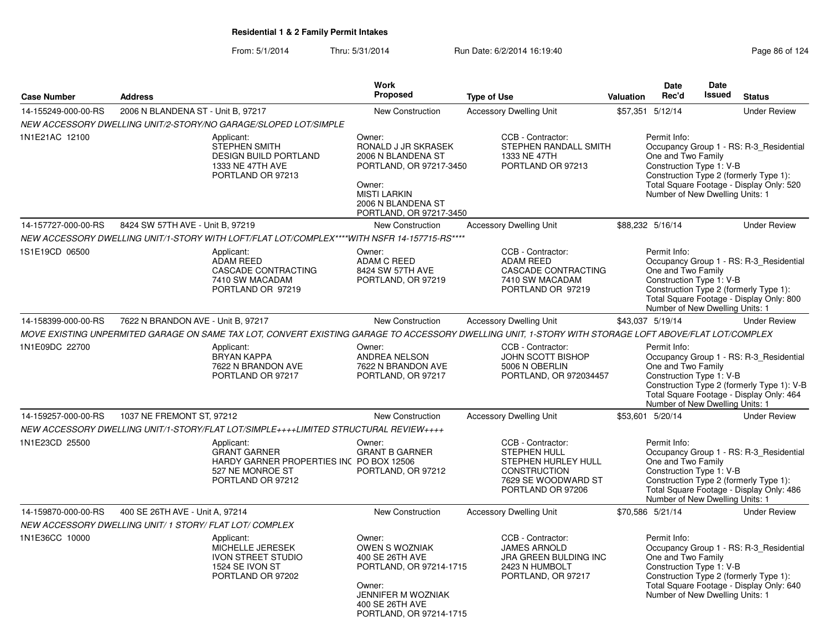|                     |                                                                                                                                                       |                                          | Work                                                                                                                                                             |                                                                                                                                    |                  | Date                                                                                              | <b>Date</b>   |                                                                                                                                   |
|---------------------|-------------------------------------------------------------------------------------------------------------------------------------------------------|------------------------------------------|------------------------------------------------------------------------------------------------------------------------------------------------------------------|------------------------------------------------------------------------------------------------------------------------------------|------------------|---------------------------------------------------------------------------------------------------|---------------|-----------------------------------------------------------------------------------------------------------------------------------|
| <b>Case Number</b>  | <b>Address</b>                                                                                                                                        |                                          | Proposed                                                                                                                                                         | <b>Type of Use</b>                                                                                                                 | <b>Valuation</b> | Rec'd                                                                                             | <b>Issued</b> | <b>Status</b>                                                                                                                     |
| 14-155249-000-00-RS | 2006 N BLANDENA ST - Unit B, 97217                                                                                                                    |                                          | New Construction                                                                                                                                                 | <b>Accessory Dwelling Unit</b>                                                                                                     |                  | \$57,351 5/12/14                                                                                  |               | <b>Under Review</b>                                                                                                               |
|                     | NEW ACCESSORY DWELLING UNIT/2-STORY/NO GARAGE/SLOPED LOT/SIMPLE                                                                                       |                                          |                                                                                                                                                                  |                                                                                                                                    |                  |                                                                                                   |               |                                                                                                                                   |
| 1N1E21AC 12100      | Applicant:<br><b>STEPHEN SMITH</b><br>1333 NE 47TH AVE<br>PORTLAND OR 97213                                                                           | <b>DESIGN BUILD PORTLAND</b>             | Owner:<br>RONALD J JR SKRASEK<br>2006 N BLANDENA ST<br>PORTLAND, OR 97217-3450<br>Owner:<br><b>MISTI LARKIN</b><br>2006 N BLANDENA ST<br>PORTLAND, OR 97217-3450 | CCB - Contractor:<br>STEPHEN RANDALL SMITH<br>1333 NE 47TH<br>PORTLAND OR 97213                                                    |                  | Permit Info:<br>One and Two Family<br>Construction Type 1: V-B<br>Number of New Dwelling Units: 1 |               | Occupancy Group 1 - RS: R-3_Residential<br>Construction Type 2 (formerly Type 1):<br>Total Square Footage - Display Only: 520     |
| 14-157727-000-00-RS | 8424 SW 57TH AVE - Unit B, 97219                                                                                                                      |                                          | New Construction                                                                                                                                                 | <b>Accessory Dwelling Unit</b>                                                                                                     |                  | \$88,232 5/16/14                                                                                  |               | <b>Under Review</b>                                                                                                               |
|                     | NEW ACCESSORY DWELLING UNIT/1-STORY WITH LOFT/FLAT LOT/COMPLEX****WITH NSFR 14-157715-RS****                                                          |                                          |                                                                                                                                                                  |                                                                                                                                    |                  |                                                                                                   |               |                                                                                                                                   |
| 1S1E19CD 06500      | Applicant:<br><b>ADAM REED</b><br>7410 SW MACADAM<br>PORTLAND OR 97219                                                                                | <b>CASCADE CONTRACTING</b>               | Owner:<br><b>ADAM C REED</b><br>8424 SW 57TH AVE<br>PORTLAND, OR 97219                                                                                           | CCB - Contractor:<br><b>ADAM REED</b><br><b>CASCADE CONTRACTING</b><br>7410 SW MACADAM<br>PORTLAND OR 97219                        |                  | Permit Info:<br>One and Two Family<br>Construction Type 1: V-B<br>Number of New Dwelling Units: 1 |               | Occupancy Group 1 - RS: R-3 Residential<br>Construction Type 2 (formerly Type 1):<br>Total Square Footage - Display Only: 800     |
| 14-158399-000-00-RS | 7622 N BRANDON AVE - Unit B, 97217                                                                                                                    |                                          | New Construction                                                                                                                                                 | <b>Accessory Dwelling Unit</b>                                                                                                     |                  | \$43,037 5/19/14                                                                                  |               | <b>Under Review</b>                                                                                                               |
|                     | MOVE EXISTING UNPERMITED GARAGE ON SAME TAX LOT, CONVERT EXISTING GARAGE TO ACCESSORY DWELLING UNIT, 1-STORY WITH STORAGE LOFT ABOVE/FLAT LOT/COMPLEX |                                          |                                                                                                                                                                  |                                                                                                                                    |                  |                                                                                                   |               |                                                                                                                                   |
| 1N1E09DC 22700      | Applicant:<br><b>BRYAN KAPPA</b><br>7622 N BRANDON AVE<br>PORTLAND OR 97217                                                                           |                                          | Owner:<br>ANDREA NELSON<br>7622 N BRANDON AVE<br>PORTLAND, OR 97217                                                                                              | CCB - Contractor:<br><b>JOHN SCOTT BISHOP</b><br>5006 N OBERLIN<br>PORTLAND, OR 972034457                                          |                  | Permit Info:<br>One and Two Family<br>Construction Type 1: V-B<br>Number of New Dwelling Units: 1 |               | Occupancy Group 1 - RS: R-3_Residential<br>Construction Type 2 (formerly Type 1): V-B<br>Total Square Footage - Display Only: 464 |
| 14-159257-000-00-RS | 1037 NE FREMONT ST, 97212                                                                                                                             |                                          | New Construction                                                                                                                                                 | <b>Accessory Dwelling Unit</b>                                                                                                     |                  | \$53,601 5/20/14                                                                                  |               | <b>Under Review</b>                                                                                                               |
|                     | NEW ACCESSORY DWELLING UNIT/1-STORY/FLAT LOT/SIMPLE++++LIMITED STRUCTURAL REVIEW++++                                                                  |                                          |                                                                                                                                                                  |                                                                                                                                    |                  |                                                                                                   |               |                                                                                                                                   |
| 1N1E23CD 25500      | Applicant:<br><b>GRANT GARNER</b><br>527 NE MONROE ST<br>PORTLAND OR 97212                                                                            | HARDY GARNER PROPERTIES INC PO BOX 12506 | Owner:<br><b>GRANT B GARNER</b><br>PORTLAND, OR 97212                                                                                                            | CCB - Contractor:<br><b>STEPHEN HULL</b><br>STEPHEN HURLEY HULL<br><b>CONSTRUCTION</b><br>7629 SE WOODWARD ST<br>PORTLAND OR 97206 |                  | Permit Info:<br>One and Two Family<br>Construction Type 1: V-B<br>Number of New Dwelling Units: 1 |               | Occupancy Group 1 - RS: R-3 Residential<br>Construction Type 2 (formerly Type 1):<br>Total Square Footage - Display Only: 486     |
| 14-159870-000-00-RS | 400 SE 26TH AVE - Unit A, 97214                                                                                                                       |                                          | New Construction                                                                                                                                                 | <b>Accessory Dwelling Unit</b>                                                                                                     |                  | \$70,586 5/21/14                                                                                  |               | <b>Under Review</b>                                                                                                               |
|                     | NEW ACCESSORY DWELLING UNIT/1 STORY/FLAT LOT/COMPLEX                                                                                                  |                                          |                                                                                                                                                                  |                                                                                                                                    |                  |                                                                                                   |               |                                                                                                                                   |
| 1N1E36CC 10000      | Applicant:<br>MICHELLE JERESEK<br><b>IVON STREET STUDIO</b><br>1524 SE IVON ST<br>PORTLAND OR 97202                                                   |                                          | Owner:<br><b>OWEN S WOZNIAK</b><br>400 SE 26TH AVE<br>PORTLAND, OR 97214-1715<br>Owner:<br>JENNIFER M WOZNIAK<br>400 SE 26TH AVE<br>PORTLAND, OR 97214-1715      | CCB - Contractor:<br><b>JAMES ARNOLD</b><br><b>JRA GREEN BULDING INC</b><br>2423 N HUMBOLT<br>PORTLAND, OR 97217                   |                  | Permit Info:<br>One and Two Family<br>Construction Type 1: V-B<br>Number of New Dwelling Units: 1 |               | Occupancy Group 1 - RS: R-3 Residential<br>Construction Type 2 (formerly Type 1):<br>Total Square Footage - Display Only: 640     |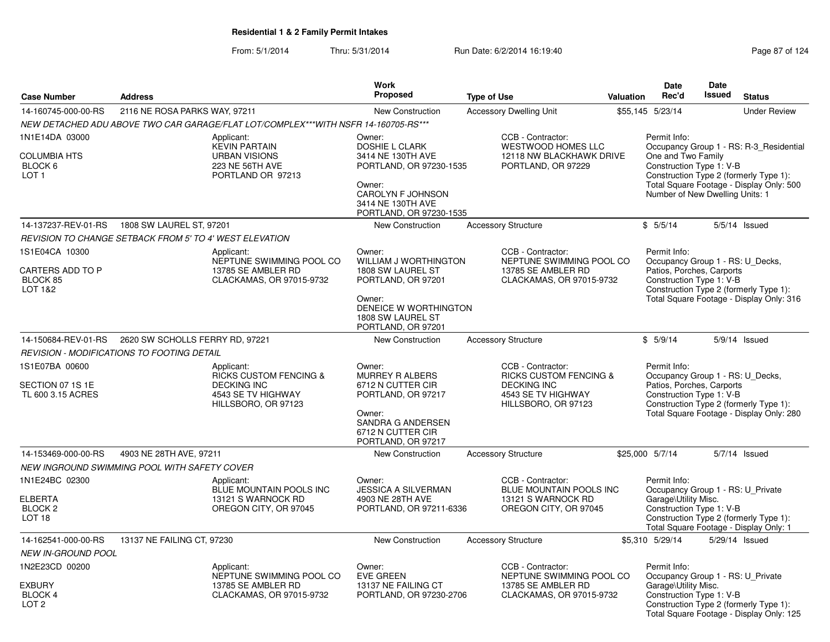|                                                                             |                                                                |                                                                                                                    | <b>Work</b>                                                                                                                                              |                                                                                                                           |           | <b>Date</b>                                                                                               | <b>Date</b>   |                                                                                                                               |
|-----------------------------------------------------------------------------|----------------------------------------------------------------|--------------------------------------------------------------------------------------------------------------------|----------------------------------------------------------------------------------------------------------------------------------------------------------|---------------------------------------------------------------------------------------------------------------------------|-----------|-----------------------------------------------------------------------------------------------------------|---------------|-------------------------------------------------------------------------------------------------------------------------------|
| <b>Case Number</b>                                                          | <b>Address</b>                                                 |                                                                                                                    | <b>Proposed</b>                                                                                                                                          | <b>Type of Use</b>                                                                                                        | Valuation | Rec'd                                                                                                     | <b>Issued</b> | <b>Status</b>                                                                                                                 |
| 14-160745-000-00-RS                                                         | 2116 NE ROSA PARKS WAY, 97211                                  |                                                                                                                    | New Construction                                                                                                                                         | <b>Accessory Dwelling Unit</b>                                                                                            |           | \$55,145 5/23/14                                                                                          |               | <b>Under Review</b>                                                                                                           |
|                                                                             |                                                                | NEW DETACHED ADU ABOVE TWO CAR GARAGE/FLAT LOT/COMPLEX***WITH NSFR 14-160705-RS***                                 |                                                                                                                                                          |                                                                                                                           |           |                                                                                                           |               |                                                                                                                               |
| 1N1E14DA 03000<br><b>COLUMBIA HTS</b><br>BLOCK 6<br>LOT <sub>1</sub>        |                                                                | Applicant:<br><b>KEVIN PARTAIN</b><br><b>URBAN VISIONS</b><br>223 NE 56TH AVE<br>PORTLAND OR 97213                 | Owner:<br>DOSHIE L CLARK<br>3414 NE 130TH AVE<br>PORTLAND, OR 97230-1535<br>Owner:<br>CAROLYN F JOHNSON<br>3414 NE 130TH AVE<br>PORTLAND, OR 97230-1535  | CCB - Contractor:<br>WESTWOOD HOMES LLC<br>12118 NW BLACKHAWK DRIVE<br>PORTLAND, OR 97229                                 |           | Permit Info:<br>One and Two Family<br>Construction Type 1: V-B<br>Number of New Dwelling Units: 1         |               | Occupancy Group 1 - RS: R-3_Residential<br>Construction Type 2 (formerly Type 1):<br>Total Square Footage - Display Only: 500 |
| 14-137237-REV-01-RS                                                         | 1808 SW LAUREL ST, 97201                                       |                                                                                                                    | <b>New Construction</b>                                                                                                                                  | <b>Accessory Structure</b>                                                                                                |           | \$5/5/14                                                                                                  |               | $5/5/14$ Issued                                                                                                               |
|                                                                             | <b>REVISION TO CHANGE SETBACK FROM 5' TO 4' WEST ELEVATION</b> |                                                                                                                    |                                                                                                                                                          |                                                                                                                           |           |                                                                                                           |               |                                                                                                                               |
| 1S1E04CA 10300<br>CARTERS ADD TO P<br>BLOCK 85<br>LOT 1&2                   |                                                                | Applicant:<br>NEPTUNE SWIMMING POOL CO<br>13785 SE AMBLER RD<br>CLACKAMAS, OR 97015-9732                           | Owner:<br>WILLIAM J WORTHINGTON<br>1808 SW LAUREL ST<br>PORTLAND, OR 97201<br>Owner:<br>DENEICE W WORTHINGTON<br>1808 SW LAUREL ST<br>PORTLAND, OR 97201 | CCB - Contractor:<br>NEPTUNE SWIMMING POOL CO<br>13785 SE AMBLER RD<br>CLACKAMAS, OR 97015-9732                           |           | Permit Info:<br>Occupancy Group 1 - RS: U_Decks,<br>Patios, Porches, Carports<br>Construction Type 1: V-B |               | Construction Type 2 (formerly Type 1):<br>Total Square Footage - Display Only: 316                                            |
| 14-150684-REV-01-RS                                                         | 2620 SW SCHOLLS FERRY RD, 97221                                |                                                                                                                    | New Construction                                                                                                                                         | <b>Accessory Structure</b>                                                                                                |           | \$5/9/14                                                                                                  |               | 5/9/14 Issued                                                                                                                 |
|                                                                             | <b>REVISION - MODIFICATIONS TO FOOTING DETAIL</b>              |                                                                                                                    |                                                                                                                                                          |                                                                                                                           |           |                                                                                                           |               |                                                                                                                               |
| 1S1E07BA 00600<br>SECTION 07 1S 1E<br>TL 600 3.15 ACRES                     |                                                                | Applicant:<br><b>RICKS CUSTOM FENCING &amp;</b><br><b>DECKING INC</b><br>4543 SE TV HIGHWAY<br>HILLSBORO, OR 97123 | Owner:<br><b>MURREY R ALBERS</b><br>6712 N CUTTER CIR<br>PORTLAND, OR 97217<br>Owner:<br>SANDRA G ANDERSEN<br>6712 N CUTTER CIR<br>PORTLAND, OR 97217    | CCB - Contractor:<br><b>RICKS CUSTOM FENCING &amp;</b><br><b>DECKING INC</b><br>4543 SE TV HIGHWAY<br>HILLSBORO, OR 97123 |           | Permit Info:<br>Occupancy Group 1 - RS: U_Decks,<br>Patios, Porches, Carports<br>Construction Type 1: V-B |               | Construction Type 2 (formerly Type 1):<br>Total Square Footage - Display Only: 280                                            |
| 14-153469-000-00-RS                                                         | 4903 NE 28TH AVE, 97211                                        |                                                                                                                    | <b>New Construction</b>                                                                                                                                  | <b>Accessory Structure</b>                                                                                                |           | \$25,000 5/7/14                                                                                           |               | 5/7/14 Issued                                                                                                                 |
|                                                                             | NEW INGROUND SWIMMING POOL WITH SAFETY COVER                   |                                                                                                                    |                                                                                                                                                          |                                                                                                                           |           |                                                                                                           |               |                                                                                                                               |
| 1N1E24BC 02300<br><b>ELBERTA</b><br>BLOCK <sub>2</sub><br>LOT <sub>18</sub> |                                                                | Applicant:<br>BLUE MOUNTAIN POOLS INC<br>13121 S WARNOCK RD<br>OREGON CITY, OR 97045                               | Owner:<br><b>JESSICA A SILVERMAN</b><br>4903 NE 28TH AVE<br>PORTLAND, OR 97211-6336                                                                      | CCB - Contractor:<br><b>BLUE MOUNTAIN POOLS INC</b><br>13121 S WARNOCK RD<br>OREGON CITY, OR 97045                        |           | Permit Info:<br>Occupancy Group 1 - RS: U_Private<br>Garage\Utility Misc.<br>Construction Type 1: V-B     |               | Construction Type 2 (formerly Type 1):<br>Total Square Footage - Display Only: 1                                              |
| 14-162541-000-00-RS                                                         | 13137 NE FAILING CT, 97230                                     |                                                                                                                    | New Construction                                                                                                                                         | <b>Accessory Structure</b>                                                                                                |           | \$5,310 5/29/14                                                                                           |               | 5/29/14 Issued                                                                                                                |
| NEW IN-GROUND POOL                                                          |                                                                |                                                                                                                    |                                                                                                                                                          |                                                                                                                           |           |                                                                                                           |               |                                                                                                                               |
| 1N2E23CD 00200<br><b>EXBURY</b><br><b>BLOCK4</b><br>LOT <sub>2</sub>        |                                                                | Applicant:<br>NEPTUNE SWIMMING POOL CO<br>13785 SE AMBLER RD<br>CLACKAMAS, OR 97015-9732                           | Owner:<br><b>EVE GREEN</b><br>13137 NE FAILING CT<br>PORTLAND, OR 97230-2706                                                                             | CCB - Contractor:<br>NEPTUNE SWIMMING POOL CO<br>13785 SE AMBLER RD<br>CLACKAMAS, OR 97015-9732                           |           | Permit Info:<br>Occupancy Group 1 - RS: U_Private<br>Garage\Utility Misc.<br>Construction Type 1: V-B     |               | Construction Type 2 (formerly Type 1):                                                                                        |
|                                                                             |                                                                |                                                                                                                    |                                                                                                                                                          |                                                                                                                           |           |                                                                                                           |               | Total Square Footage - Display Only: 125                                                                                      |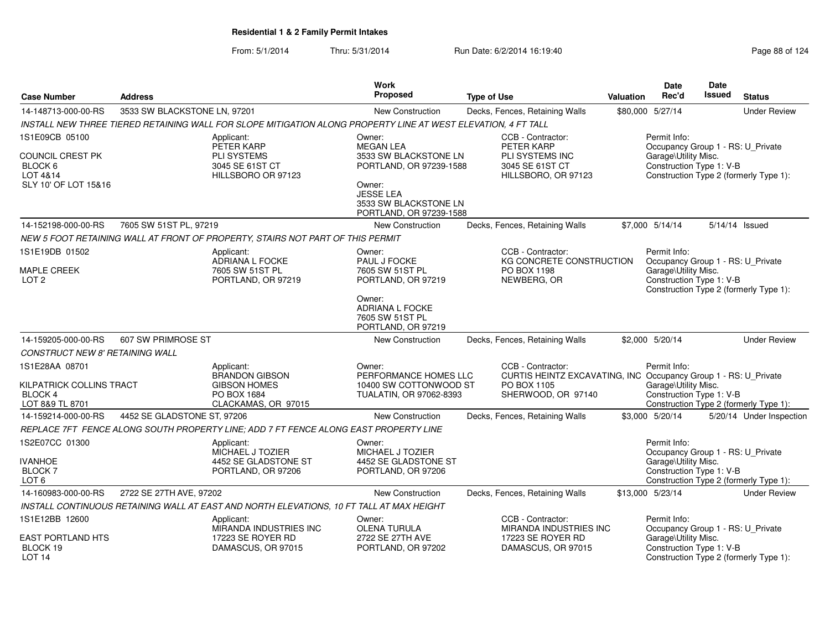|                                                               |                              |                                                                                                               | Work                                                                           |                                                                                                      |                  | <b>Date</b>                                                                           | Date                                   |                                        |
|---------------------------------------------------------------|------------------------------|---------------------------------------------------------------------------------------------------------------|--------------------------------------------------------------------------------|------------------------------------------------------------------------------------------------------|------------------|---------------------------------------------------------------------------------------|----------------------------------------|----------------------------------------|
| <b>Case Number</b>                                            | <b>Address</b>               |                                                                                                               | Proposed                                                                       | <b>Type of Use</b>                                                                                   | <b>Valuation</b> | Rec'd                                                                                 | <b>Issued</b>                          | <b>Status</b>                          |
| 14-148713-000-00-RS                                           | 3533 SW BLACKSTONE LN, 97201 |                                                                                                               | New Construction                                                               | Decks, Fences, Retaining Walls                                                                       |                  | \$80,000 5/27/14                                                                      |                                        | <b>Under Review</b>                    |
|                                                               |                              | INSTALL NEW THREE TIERED RETAINING WALL FOR SLOPE MITIGATION ALONG PROPERTY LINE AT WEST ELEVATION, 4 FT TALL |                                                                                |                                                                                                      |                  |                                                                                       |                                        |                                        |
| 1S1E09CB 05100                                                |                              | Applicant:<br>PETER KARP                                                                                      | Owner:<br><b>MEGAN LEA</b>                                                     | CCB - Contractor:<br>PETER KARP                                                                      |                  | Permit Info:<br>Occupancy Group 1 - RS: U_Private                                     |                                        |                                        |
| COUNCIL CREST PK<br>BLOCK 6<br>LOT 4&14                       |                              | <b>PLI SYSTEMS</b><br>3045 SE 61ST CT<br>HILLSBORO OR 97123                                                   | 3533 SW BLACKSTONE LN<br>PORTLAND, OR 97239-1588                               | PLI SYSTEMS INC<br>3045 SE 61ST CT<br>HILLSBORO, OR 97123                                            |                  | Garage\Utility Misc.<br>Construction Type 1: V-B                                      | Construction Type 2 (formerly Type 1): |                                        |
| SLY 10' OF LOT 15&16                                          |                              |                                                                                                               | Owner:<br><b>JESSE LEA</b><br>3533 SW BLACKSTONE LN<br>PORTLAND, OR 97239-1588 |                                                                                                      |                  |                                                                                       |                                        |                                        |
| 14-152198-000-00-RS                                           | 7605 SW 51ST PL, 97219       |                                                                                                               | New Construction                                                               | Decks, Fences, Retaining Walls                                                                       |                  | \$7,000 5/14/14                                                                       |                                        | 5/14/14 Issued                         |
|                                                               |                              | NEW 5 FOOT RETAINING WALL AT FRONT OF PROPERTY, STAIRS NOT PART OF THIS PERMIT                                |                                                                                |                                                                                                      |                  |                                                                                       |                                        |                                        |
| 1S1E19DB 01502                                                |                              | Applicant:<br>ADRIANA L FOCKE                                                                                 | Owner:<br>PAUL J FOCKE                                                         | CCB - Contractor:<br>KG CONCRETE CONSTRUCTION                                                        |                  | Permit Info:<br>Occupancy Group 1 - RS: U_Private                                     |                                        |                                        |
| MAPLE CREEK<br>LOT <sub>2</sub>                               |                              | 7605 SW 51ST PL<br>PORTLAND, OR 97219                                                                         | 7605 SW 51ST PL<br>PORTLAND, OR 97219                                          | PO BOX 1198<br>NEWBERG, OR                                                                           |                  | Garage\Utility Misc.<br>Construction Type 1: V-B                                      |                                        | Construction Type 2 (formerly Type 1): |
|                                                               |                              |                                                                                                               | Owner:<br>ADRIANA L FOCKE<br>7605 SW 51ST PL<br>PORTLAND, OR 97219             |                                                                                                      |                  |                                                                                       |                                        |                                        |
| 14-159205-000-00-RS                                           | 607 SW PRIMROSE ST           |                                                                                                               | New Construction                                                               | Decks, Fences, Retaining Walls                                                                       |                  | \$2,000 5/20/14                                                                       |                                        | <b>Under Review</b>                    |
| CONSTRUCT NEW 8' RETAINING WALL                               |                              |                                                                                                               |                                                                                |                                                                                                      |                  |                                                                                       |                                        |                                        |
| 1S1E28AA 08701                                                |                              | Applicant:                                                                                                    | Owner:                                                                         | CCB - Contractor:                                                                                    |                  | Permit Info:                                                                          |                                        |                                        |
| KILPATRICK COLLINS TRACT<br><b>BLOCK 4</b><br>LOT 8&9 TL 8701 |                              | <b>BRANDON GIBSON</b><br><b>GIBSON HOMES</b><br>PO BOX 1684<br>CLACKAMAS, OR 97015                            | PERFORMANCE HOMES LLC<br>10400 SW COTTONWOOD ST<br>TUALATIN, OR 97062-8393     | CURTIS HEINTZ EXCAVATING, INC Occupancy Group 1 - RS: U_Private<br>PO BOX 1105<br>SHERWOOD, OR 97140 |                  | Garage\Utility Misc.<br>Construction Type 1: V-B                                      |                                        | Construction Type 2 (formerly Type 1): |
| 14-159214-000-00-RS                                           | 4452 SE GLADSTONE ST, 97206  |                                                                                                               | New Construction                                                               | Decks, Fences, Retaining Walls                                                                       |                  | \$3,000 5/20/14                                                                       |                                        | 5/20/14 Under Inspection               |
|                                                               |                              | REPLACE 7FT FENCE ALONG SOUTH PROPERTY LINE: ADD 7 FT FENCE ALONG EAST PROPERTY LINE                          |                                                                                |                                                                                                      |                  |                                                                                       |                                        |                                        |
| 1S2E07CC 01300                                                |                              | Applicant:                                                                                                    | Owner:                                                                         |                                                                                                      |                  | Permit Info:                                                                          |                                        |                                        |
| <b>IVANHOE</b><br><b>BLOCK 7</b>                              |                              | MICHAEL J TOZIER<br>4452 SE GLADSTONE ST<br>PORTLAND, OR 97206                                                | MICHAEL J TOZIER<br>4452 SE GLADSTONE ST<br>PORTLAND, OR 97206                 |                                                                                                      |                  | Occupancy Group 1 - RS: U_Private<br>Garage\Utility Misc.<br>Construction Type 1: V-B |                                        |                                        |
| LOT <sub>6</sub>                                              |                              |                                                                                                               |                                                                                |                                                                                                      |                  |                                                                                       |                                        | Construction Type 2 (formerly Type 1): |
| 14-160983-000-00-RS                                           | 2722 SE 27TH AVE, 97202      |                                                                                                               | New Construction                                                               | Decks, Fences, Retaining Walls                                                                       |                  | \$13,000 5/23/14                                                                      |                                        | <b>Under Review</b>                    |
|                                                               |                              | INSTALL CONTINUOUS RETAINING WALL AT EAST AND NORTH ELEVATIONS, 10 FT TALL AT MAX HEIGHT                      |                                                                                |                                                                                                      |                  |                                                                                       |                                        |                                        |
| 1S1E12BB 12600                                                |                              | Applicant:<br>MIRANDA INDUSTRIES INC                                                                          | Owner:<br>OLENA TURULA                                                         | CCB - Contractor:<br>MIRANDA INDUSTRIES INC                                                          |                  | Permit Info:<br>Occupancy Group 1 - RS: U_Private                                     |                                        |                                        |
| <b>EAST PORTLAND HTS</b><br>BLOCK 19<br>LOT <sub>14</sub>     |                              | 17223 SE ROYER RD<br>DAMASCUS, OR 97015                                                                       | 2722 SE 27TH AVE<br>PORTLAND, OR 97202                                         | 17223 SE ROYER RD<br>DAMASCUS, OR 97015                                                              |                  | Garage\Utility Misc.<br>Construction Type 1: V-B                                      |                                        | Construction Type 2 (formerly Type 1): |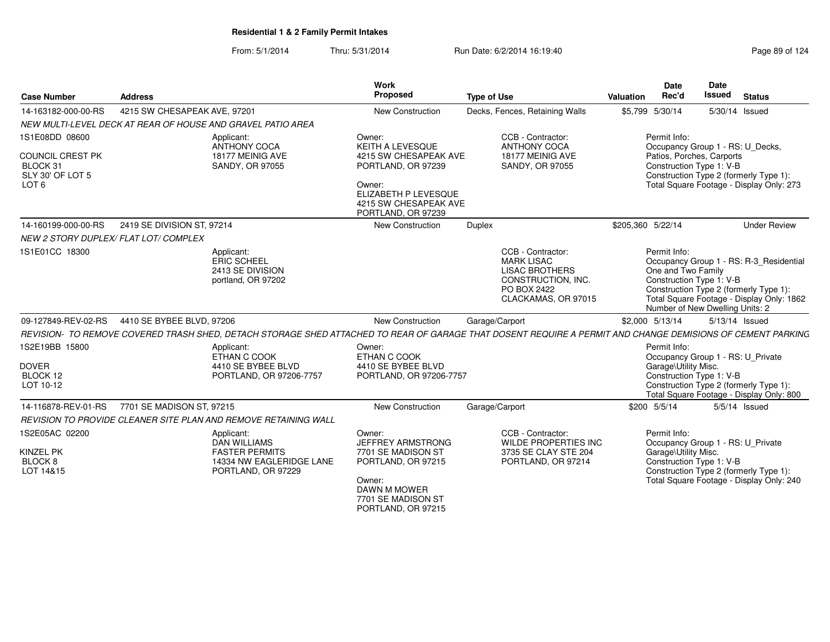| <b>Case Number</b>                                                                     | <b>Address</b>                                                                                                                                             | <b>Work</b><br>Proposed                                                                                                                                    | <b>Type of Use</b>                                                                                                          | Valuation         | Date<br>Rec'd                                                                                             | Date<br><b>Issued</b> | <b>Status</b>                                                                                                                  |
|----------------------------------------------------------------------------------------|------------------------------------------------------------------------------------------------------------------------------------------------------------|------------------------------------------------------------------------------------------------------------------------------------------------------------|-----------------------------------------------------------------------------------------------------------------------------|-------------------|-----------------------------------------------------------------------------------------------------------|-----------------------|--------------------------------------------------------------------------------------------------------------------------------|
| 14-163182-000-00-RS                                                                    | 4215 SW CHESAPEAK AVE, 97201                                                                                                                               | New Construction                                                                                                                                           | Decks, Fences, Retaining Walls                                                                                              |                   | \$5,799 5/30/14                                                                                           |                       | 5/30/14 Issued                                                                                                                 |
|                                                                                        | NEW MULTI-LEVEL DECK AT REAR OF HOUSE AND GRAVEL PATIO AREA                                                                                                |                                                                                                                                                            |                                                                                                                             |                   |                                                                                                           |                       |                                                                                                                                |
| 1S1E08DD 08600<br>COUNCIL CREST PK<br>BLOCK 31<br>SLY 30' OF LOT 5<br>LOT <sub>6</sub> | Applicant:<br>ANTHONY COCA<br>18177 MEINIG AVE<br>SANDY, OR 97055                                                                                          | Owner:<br>KEITH A LEVESQUE<br>4215 SW CHESAPEAK AVE<br>PORTLAND, OR 97239<br>Owner:<br>ELIZABETH P LEVESQUE<br>4215 SW CHESAPEAK AVE<br>PORTLAND, OR 97239 | CCB - Contractor:<br><b>ANTHONY COCA</b><br>18177 MEINIG AVE<br><b>SANDY, OR 97055</b>                                      |                   | Permit Info:<br>Occupancy Group 1 - RS: U Decks,<br>Patios, Porches, Carports<br>Construction Type 1: V-B |                       | Construction Type 2 (formerly Type 1):<br>Total Square Footage - Display Only: 273                                             |
| 14-160199-000-00-RS                                                                    | 2419 SE DIVISION ST, 97214                                                                                                                                 | New Construction                                                                                                                                           | Duplex                                                                                                                      | \$205,360 5/22/14 |                                                                                                           |                       | <b>Under Review</b>                                                                                                            |
|                                                                                        | NEW 2 STORY DUPLEX/ FLAT LOT/ COMPLEX                                                                                                                      |                                                                                                                                                            |                                                                                                                             |                   |                                                                                                           |                       |                                                                                                                                |
| 1S1E01CC 18300                                                                         | Applicant:<br>ERIC SCHEEL<br>2413 SE DIVISION<br>portland, OR 97202                                                                                        |                                                                                                                                                            | CCB - Contractor:<br><b>MARK LISAC</b><br><b>LISAC BROTHERS</b><br>CONSTRUCTION, INC.<br>PO BOX 2422<br>CLACKAMAS, OR 97015 |                   | Permit Info:<br>One and Two Family<br>Construction Type 1: V-B<br>Number of New Dwelling Units: 2         |                       | Occupancy Group 1 - RS: R-3_Residential<br>Construction Type 2 (formerly Type 1):<br>Total Square Footage - Display Only: 1862 |
|                                                                                        | 09-127849-REV-02-RS 4410 SE BYBEE BLVD, 97206                                                                                                              | New Construction                                                                                                                                           | Garage/Carport                                                                                                              |                   | \$2,000 5/13/14                                                                                           |                       | 5/13/14 Issued                                                                                                                 |
|                                                                                        | REVISION- TO REMOVE COVERED TRASH SHED, DETACH STORAGE SHED ATTACHED TO REAR OF GARAGE THAT DOSENT REQUIRE A PERMIT AND CHANGE DEMISIONS OF CEMENT PARKING |                                                                                                                                                            |                                                                                                                             |                   |                                                                                                           |                       |                                                                                                                                |
| 1S2E19BB 15800<br><b>DOVER</b><br>BLOCK 12<br>LOT 10-12                                | Applicant:<br>ETHAN C COOK<br>4410 SE BYBEE BLVD<br>PORTLAND, OR 97206-7757                                                                                | Owner:<br>ETHAN C COOK<br>4410 SE BYBEE BLVD<br>PORTLAND, OR 97206-7757                                                                                    |                                                                                                                             |                   | Permit Info:<br>Garage\Utility Misc.<br>Construction Type 1: V-B                                          |                       | Occupancy Group 1 - RS: U_Private<br>Construction Type 2 (formerly Type 1):<br>Total Square Footage - Display Only: 800        |
| 14-116878-REV-01-RS                                                                    | 7701 SE MADISON ST. 97215                                                                                                                                  | <b>New Construction</b>                                                                                                                                    | Garage/Carport                                                                                                              |                   | \$200 5/5/14                                                                                              |                       | 5/5/14 Issued                                                                                                                  |
|                                                                                        | REVISION TO PROVIDE CLEANER SITE PLAN AND REMOVE RETAINING WALL                                                                                            |                                                                                                                                                            |                                                                                                                             |                   |                                                                                                           |                       |                                                                                                                                |
| 1S2E05AC 02200<br>KINZEL PK<br>BLOCK 8<br>LOT 14&15                                    | Applicant:<br><b>DAN WILLIAMS</b><br><b>FASTER PERMITS</b><br>14334 NW EAGLERIDGE LANE<br>PORTLAND, OR 97229                                               | Owner:<br>JEFFREY ARMSTRONG<br>7701 SE MADISON ST<br>PORTLAND, OR 97215<br>Owner:<br>DAWN M MOWER<br>7701 SE MADISON ST<br>PORTLAND, OR 97215              | CCB - Contractor:<br>WILDE PROPERTIES INC<br>3735 SE CLAY STE 204<br>PORTLAND, OR 97214                                     |                   | Permit Info:<br>Garage\Utility Misc.<br>Construction Type 1: V-B                                          |                       | Occupancy Group 1 - RS: U_Private<br>Construction Type 2 (formerly Type 1):<br>Total Square Footage - Display Only: 240        |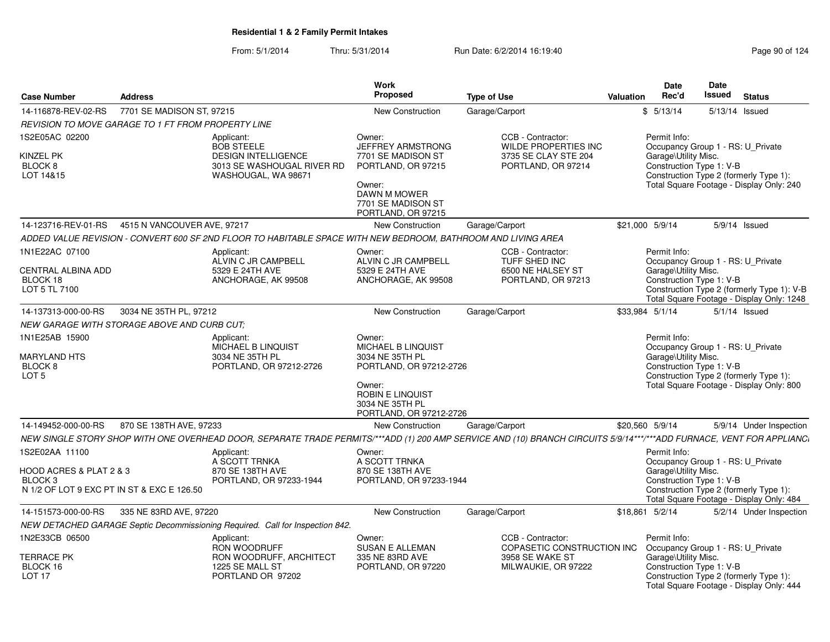| <b>Case Number</b>                                                                                            | <b>Address</b>                                                                                                                                                        | Work<br><b>Proposed</b>                                                                                                                                       | <b>Type of Use</b>                                                                             | Valuation | <b>Date</b><br>Rec'd                                                                                                                                                                             | Date<br>Issued | <b>Status</b>           |  |
|---------------------------------------------------------------------------------------------------------------|-----------------------------------------------------------------------------------------------------------------------------------------------------------------------|---------------------------------------------------------------------------------------------------------------------------------------------------------------|------------------------------------------------------------------------------------------------|-----------|--------------------------------------------------------------------------------------------------------------------------------------------------------------------------------------------------|----------------|-------------------------|--|
| 14-116878-REV-02-RS                                                                                           | 7701 SE MADISON ST, 97215                                                                                                                                             | New Construction                                                                                                                                              | Garage/Carport                                                                                 |           | \$5/13/14                                                                                                                                                                                        |                | 5/13/14 Issued          |  |
|                                                                                                               | <b>REVISION TO MOVE GARAGE TO 1 FT FROM PROPERTY LINE</b>                                                                                                             |                                                                                                                                                               |                                                                                                |           |                                                                                                                                                                                                  |                |                         |  |
| 1S2E05AC 02200<br>KINZEL PK<br>BLOCK <sub>8</sub><br>LOT 14&15                                                | Applicant:<br><b>BOB STEELE</b><br><b>DESIGN INTELLIGENCE</b><br>3013 SE WASHOUGAL RIVER RD<br>WASHOUGAL, WA 98671                                                    | Owner:<br><b>JEFFREY ARMSTRONG</b><br>7701 SE MADISON ST<br>PORTLAND, OR 97215<br>Owner:<br>DAWN M MOWER<br>7701 SE MADISON ST<br>PORTLAND, OR 97215          | CCB - Contractor:<br><b>WILDE PROPERTIES INC</b><br>3735 SE CLAY STE 204<br>PORTLAND, OR 97214 |           | Permit Info:<br>Occupancy Group 1 - RS: U Private<br>Garage\Utility Misc.<br>Construction Type 1: V-B<br>Construction Type 2 (formerly Type 1):<br>Total Square Footage - Display Only: 240      |                |                         |  |
|                                                                                                               | 14-123716-REV-01-RS  4515 N VANCOUVER AVE, 97217                                                                                                                      | <b>New Construction</b>                                                                                                                                       | Garage/Carport                                                                                 |           | \$21,000 5/9/14                                                                                                                                                                                  |                | 5/9/14 Issued           |  |
|                                                                                                               | ADDED VALUE REVISION - CONVERT 600 SF 2ND FLOOR TO HABITABLE SPACE WITH NEW BEDROOM, BATHROOM AND LIVING AREA                                                         |                                                                                                                                                               |                                                                                                |           |                                                                                                                                                                                                  |                |                         |  |
| 1N1E22AC 07100<br><b>CENTRAL ALBINA ADD</b><br>BLOCK 18<br>LOT 5 TL 7100                                      | Applicant:<br>ALVIN C JR CAMPBELL<br>5329 E 24TH AVE<br>ANCHORAGE, AK 99508                                                                                           | Owner:<br>ALVIN C JR CAMPBELL<br>5329 E 24TH AVE<br>ANCHORAGE, AK 99508                                                                                       | CCB - Contractor:<br><b>TUFF SHED INC</b><br>6500 NE HALSEY ST<br>PORTLAND, OR 97213           |           | Permit Info:<br>Occupancy Group 1 - RS: U Private<br>Garage\Utility Misc.<br>Construction Type 1: V-B<br>Construction Type 2 (formerly Type 1): V-B<br>Total Square Footage - Display Only: 1248 |                |                         |  |
| 14-137313-000-00-RS                                                                                           | 3034 NE 35TH PL, 97212                                                                                                                                                | <b>New Construction</b>                                                                                                                                       | Garage/Carport                                                                                 |           | \$33.984 5/1/14                                                                                                                                                                                  |                | $5/1/14$ Issued         |  |
|                                                                                                               | NEW GARAGE WITH STORAGE ABOVE AND CURB CUT;                                                                                                                           |                                                                                                                                                               |                                                                                                |           |                                                                                                                                                                                                  |                |                         |  |
| 1N1E25AB 15900<br><b>MARYLAND HTS</b><br>BLOCK <sub>8</sub><br>LOT 5                                          | Applicant:<br>MICHAEL B LINQUIST<br>3034 NE 35TH PL<br>PORTLAND, OR 97212-2726                                                                                        | Owner:<br>MICHAEL B LINQUIST<br>3034 NE 35TH PL<br>PORTLAND, OR 97212-2726<br>Owner:<br><b>ROBIN E LINQUIST</b><br>3034 NE 35TH PL<br>PORTLAND, OR 97212-2726 |                                                                                                |           | Permit Info:<br>Occupancy Group 1 - RS: U_Private<br>Garage\Utility Misc.<br>Construction Type 1: V-B<br>Construction Type 2 (formerly Type 1):<br>Total Square Footage - Display Only: 800      |                |                         |  |
| 14-149452-000-00-RS                                                                                           | 870 SE 138TH AVE, 97233                                                                                                                                               | <b>New Construction</b>                                                                                                                                       | Garage/Carport                                                                                 |           | \$20,560 5/9/14                                                                                                                                                                                  |                | 5/9/14 Under Inspection |  |
|                                                                                                               | NEW SINGLE STORY SHOP WITH ONE OVERHEAD DOOR, SEPARATE TRADE PERMITS/***ADD (1) 200 AMP SERVICE AND (10) BRANCH CIRCUITS 5/9/14***/***ADD FURNACE, VENT FOR APPLIANCI |                                                                                                                                                               |                                                                                                |           |                                                                                                                                                                                                  |                |                         |  |
| 1S2E02AA 11100<br>HOOD ACRES & PLAT 2 & 3<br>BLOCK <sub>3</sub><br>N 1/2 OF LOT 9 EXC PT IN ST & EXC E 126.50 | Applicant:<br>A SCOTT TRNKA<br>870 SE 138TH AVE<br>PORTLAND, OR 97233-1944                                                                                            | Owner:<br>A SCOTT TRNKA<br>870 SE 138TH AVE<br>PORTLAND, OR 97233-1944                                                                                        |                                                                                                |           | Permit Info:<br>Occupancy Group 1 - RS: U_Private<br>Garage\Utility Misc.<br>Construction Type 1: V-B<br>Construction Type 2 (formerly Type 1):<br>Total Square Footage - Display Only: 484      |                |                         |  |
| 14-151573-000-00-RS                                                                                           | 335 NE 83RD AVE, 97220                                                                                                                                                | New Construction                                                                                                                                              | Garage/Carport                                                                                 |           | \$18,861 5/2/14                                                                                                                                                                                  |                | 5/2/14 Under Inspection |  |
|                                                                                                               | NEW DETACHED GARAGE Septic Decommissioning Required. Call for Inspection 842.                                                                                         |                                                                                                                                                               |                                                                                                |           |                                                                                                                                                                                                  |                |                         |  |
| 1N2E33CB 06500<br><b>TERRACE PK</b><br>BLOCK 16<br>LOT <sub>17</sub>                                          | Applicant:<br><b>RON WOODRUFF</b><br>RON WOODRUFF, ARCHITECT<br>1225 SE MALL ST<br>PORTLAND OR 97202                                                                  | Owner:<br><b>SUSAN E ALLEMAN</b><br>335 NE 83RD AVE<br>PORTLAND, OR 97220                                                                                     | CCB - Contractor:<br>COPASETIC CONSTRUCTION INC<br>3958 SE WAKE ST<br>MILWAUKIE, OR 97222      |           | Permit Info:<br>Occupancy Group 1 - RS: U Private<br>Garage\Utility Misc.<br>Construction Type 1: V-B<br>Construction Type 2 (formerly Type 1):<br>Total Square Footage - Display Only: 444      |                |                         |  |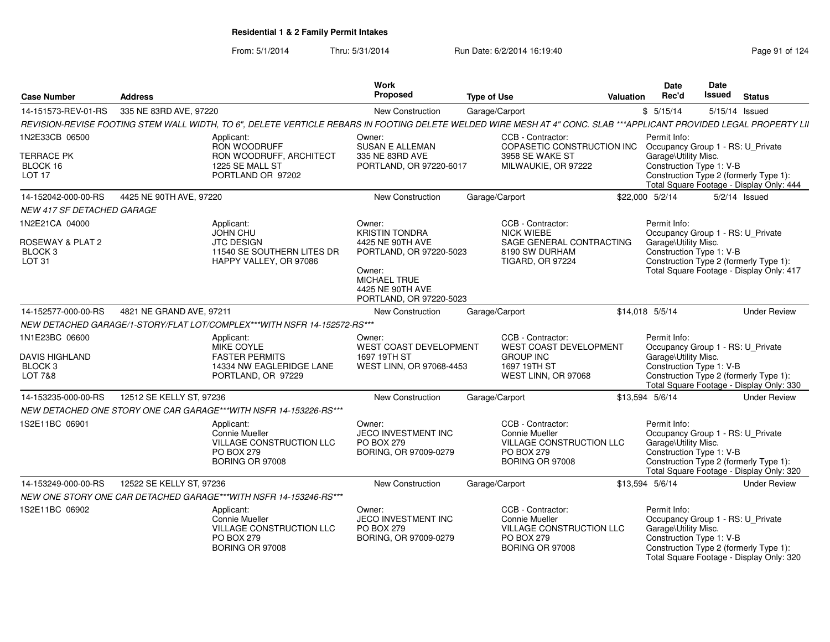| <b>Case Number</b>                                                       | <b>Address</b>                                                                                                                                                      | Work<br>Proposed                                                                    | <b>Type of Use</b>                                                                                             | <b>Valuation</b> | <b>Date</b><br>Rec'd                                                                                  | Date<br><b>Issued</b> | <b>Status</b>                                                                      |
|--------------------------------------------------------------------------|---------------------------------------------------------------------------------------------------------------------------------------------------------------------|-------------------------------------------------------------------------------------|----------------------------------------------------------------------------------------------------------------|------------------|-------------------------------------------------------------------------------------------------------|-----------------------|------------------------------------------------------------------------------------|
| 14-151573-REV-01-RS                                                      | 335 NE 83RD AVE, 97220                                                                                                                                              | New Construction                                                                    | Garage/Carport                                                                                                 |                  | \$5/15/14                                                                                             | 5/15/14 Issued        |                                                                                    |
|                                                                          | REVISION-REVISE FOOTING STEM WALL WIDTH, TO 6", DELETE VERTICLE REBARS IN FOOTING DELETE WELDED WIRE MESH AT 4" CONC. SLAB ***APPLICANT PROVIDED LEGAL PROPERTY LII |                                                                                     |                                                                                                                |                  |                                                                                                       |                       |                                                                                    |
| 1N2E33CB 06500                                                           | Applicant:<br>RON WOODRUFF                                                                                                                                          | Owner:<br><b>SUSAN E ALLEMAN</b>                                                    | CCB - Contractor:<br>COPASETIC CONSTRUCTION INC                                                                |                  | Permit Info:<br>Occupancy Group 1 - RS: U_Private                                                     |                       |                                                                                    |
| <b>TERRACE PK</b><br>BLOCK 16<br>LOT <sub>17</sub>                       | RON WOODRUFF, ARCHITECT<br>1225 SE MALL ST<br>PORTLAND OR 97202                                                                                                     | 335 NE 83RD AVE<br>PORTLAND, OR 97220-6017                                          | 3958 SE WAKE ST<br>MILWAUKIE, OR 97222                                                                         |                  | Garage\Utility Misc.<br>Construction Type 1: V-B                                                      |                       | Construction Type 2 (formerly Type 1):<br>Total Square Footage - Display Only: 444 |
| 14-152042-000-00-RS                                                      | 4425 NE 90TH AVE, 97220                                                                                                                                             | New Construction                                                                    | Garage/Carport                                                                                                 |                  | \$22,000 5/2/14                                                                                       |                       | $5/2/14$ Issued                                                                    |
| NEW 417 SF DETACHED GARAGE                                               |                                                                                                                                                                     |                                                                                     |                                                                                                                |                  |                                                                                                       |                       |                                                                                    |
| 1N2E21CA 04000<br>ROSEWAY & PLAT 2<br>BLOCK <sub>3</sub>                 | Applicant:<br><b>JOHN CHU</b><br><b>JTC DESIGN</b><br>11540 SE SOUTHERN LITES DR                                                                                    | Owner:<br><b>KRISTIN TONDRA</b><br>4425 NE 90TH AVE<br>PORTLAND, OR 97220-5023      | CCB - Contractor:<br>NICK WIEBE<br>SAGE GENERAL CONTRACTING<br>8190 SW DURHAM                                  |                  | Permit Info:<br>Occupancy Group 1 - RS: U_Private<br>Garage\Utility Misc.<br>Construction Type 1: V-B |                       |                                                                                    |
| LOT <sub>31</sub>                                                        | HAPPY VALLEY, OR 97086                                                                                                                                              | Owner:<br><b>MICHAEL TRUE</b><br>4425 NE 90TH AVE<br>PORTLAND, OR 97220-5023        | <b>TIGARD, OR 97224</b>                                                                                        |                  |                                                                                                       |                       | Construction Type 2 (formerly Type 1):<br>Total Square Footage - Display Only: 417 |
| 14-152577-000-00-RS                                                      | 4821 NE GRAND AVE, 97211                                                                                                                                            | New Construction                                                                    | Garage/Carport                                                                                                 |                  | \$14,018 5/5/14                                                                                       |                       | <b>Under Review</b>                                                                |
|                                                                          | NEW DETACHED GARAGE/1-STORY/FLAT LOT/COMPLEX***WITH NSFR 14-152572-RS***                                                                                            |                                                                                     |                                                                                                                |                  |                                                                                                       |                       |                                                                                    |
| 1N1E23BC 06600<br><b>DAVIS HIGHLAND</b><br>BLOCK <sub>3</sub><br>LOT 7&8 | Applicant:<br>MIKE COYLE<br><b>FASTER PERMITS</b><br>14334 NW EAGLERIDGE LANE<br>PORTLAND, OR 97229                                                                 | Owner:<br><b>WEST COAST DEVELOPMENT</b><br>1697 19TH ST<br>WEST LINN, OR 97068-4453 | CCB - Contractor:<br><b>WEST COAST DEVELOPMENT</b><br><b>GROUP INC</b><br>1697 19TH ST<br>WEST LINN, OR 97068  |                  | Permit Info:<br>Occupancy Group 1 - RS: U Private<br>Garage\Utility Misc.<br>Construction Type 1: V-B |                       | Construction Type 2 (formerly Type 1):<br>Total Square Footage - Display Only: 330 |
| 14-153235-000-00-RS                                                      | 12512 SE KELLY ST, 97236                                                                                                                                            | <b>New Construction</b>                                                             | Garage/Carport                                                                                                 |                  | \$13,594 5/6/14                                                                                       |                       | <b>Under Review</b>                                                                |
|                                                                          | NEW DETACHED ONE STORY ONE CAR GARAGE***WITH NSFR 14-153226-RS***                                                                                                   |                                                                                     |                                                                                                                |                  |                                                                                                       |                       |                                                                                    |
| 1S2E11BC 06901                                                           | Applicant:<br>Connie Mueller<br><b>VILLAGE CONSTRUCTION LLC</b><br><b>PO BOX 279</b><br><b>BORING OR 97008</b>                                                      | Owner:<br>JECO INVESTMENT INC<br><b>PO BOX 279</b><br>BORING, OR 97009-0279         | CCB - Contractor:<br>Connie Mueller<br>VILLAGE CONSTRUCTION LLC<br><b>PO BOX 279</b><br><b>BORING OR 97008</b> |                  | Permit Info:<br>Occupancy Group 1 - RS: U_Private<br>Garage\Utility Misc.<br>Construction Type 1: V-B |                       | Construction Type 2 (formerly Type 1):<br>Total Square Footage - Display Only: 320 |
| 14-153249-000-00-RS                                                      | 12522 SE KELLY ST, 97236                                                                                                                                            | <b>New Construction</b>                                                             | Garage/Carport                                                                                                 |                  | \$13,594 5/6/14                                                                                       |                       | <b>Under Review</b>                                                                |
|                                                                          | NEW ONE STORY ONE CAR DETACHED GARAGE***WITH NSFR 14-153246-RS***                                                                                                   |                                                                                     |                                                                                                                |                  |                                                                                                       |                       |                                                                                    |
| 1S2E11BC 06902                                                           | Applicant:<br>Connie Mueller<br>VILLAGE CONSTRUCTION LLC<br><b>PO BOX 279</b><br>BORING OR 97008                                                                    | Owner:<br>JECO INVESTMENT INC<br><b>PO BOX 279</b><br>BORING, OR 97009-0279         | CCB - Contractor:<br>Connie Mueller<br>VILLAGE CONSTRUCTION LLC<br>PO BOX 279<br>BORING OR 97008               |                  | Permit Info:<br>Occupancy Group 1 - RS: U Private<br>Garage\Utility Misc.<br>Construction Type 1: V-B |                       | Construction Type 2 (formerly Type 1):<br>Total Square Footage - Display Only: 320 |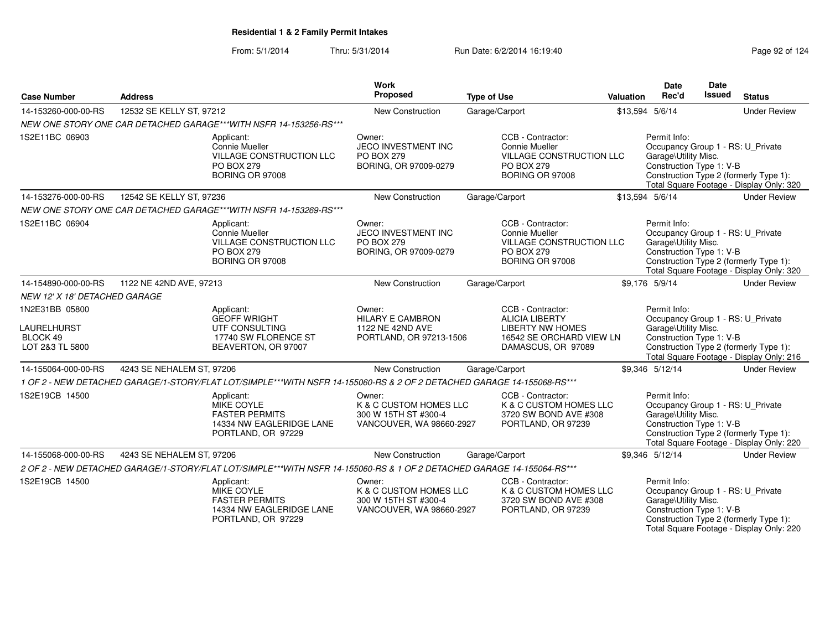| <b>Case Number</b>                                           | <b>Address</b>            |                                                                                                                        | <b>Work</b><br>Proposed                                                              | <b>Type of Use</b>                                                                                                      | <b>Valuation</b> | Date<br>Rec'd                                                                                         | Date<br>Issued | <b>Status</b>                                                                      |
|--------------------------------------------------------------|---------------------------|------------------------------------------------------------------------------------------------------------------------|--------------------------------------------------------------------------------------|-------------------------------------------------------------------------------------------------------------------------|------------------|-------------------------------------------------------------------------------------------------------|----------------|------------------------------------------------------------------------------------|
| 14-153260-000-00-RS                                          | 12532 SE KELLY ST, 97212  |                                                                                                                        | New Construction                                                                     | Garage/Carport                                                                                                          |                  | \$13,594 5/6/14                                                                                       |                | <b>Under Review</b>                                                                |
|                                                              |                           | NEW ONE STORY ONE CAR DETACHED GARAGE***WITH NSFR 14-153256-RS***                                                      |                                                                                      |                                                                                                                         |                  |                                                                                                       |                |                                                                                    |
| 1S2E11BC 06903                                               |                           | Applicant:<br>Connie Mueller<br>VILLAGE CONSTRUCTION LLC<br><b>PO BOX 279</b><br>BORING OR 97008                       | Owner:<br>JECO INVESTMENT INC<br><b>PO BOX 279</b><br>BORING, OR 97009-0279          | CCB - Contractor:<br>Connie Mueller<br>VILLAGE CONSTRUCTION LLC<br>PO BOX 279<br>BORING OR 97008                        |                  | Permit Info:<br>Occupancy Group 1 - RS: U_Private<br>Garage\Utility Misc.<br>Construction Type 1: V-B |                | Construction Type 2 (formerly Type 1):<br>Total Square Footage - Display Only: 320 |
| 14-153276-000-00-RS                                          | 12542 SE KELLY ST, 97236  |                                                                                                                        | New Construction                                                                     | Garage/Carport                                                                                                          |                  | \$13,594 5/6/14                                                                                       |                | <b>Under Review</b>                                                                |
|                                                              |                           | NEW ONE STORY ONE CAR DETACHED GARAGE***WITH NSFR 14-153269-RS***                                                      |                                                                                      |                                                                                                                         |                  |                                                                                                       |                |                                                                                    |
| 1S2E11BC 06904                                               |                           | Applicant:<br>Connie Mueller<br><b>VILLAGE CONSTRUCTION LLC</b><br><b>PO BOX 279</b><br>BORING OR 97008                | Owner:<br>JECO INVESTMENT INC<br>PO BOX 279<br>BORING, OR 97009-0279                 | CCB - Contractor:<br>Connie Mueller<br><b>VILLAGE CONSTRUCTION LLC</b><br>PO BOX 279<br><b>BORING OR 97008</b>          |                  | Permit Info:<br>Occupancy Group 1 - RS: U_Private<br>Garage\Utility Misc.<br>Construction Type 1: V-B |                | Construction Type 2 (formerly Type 1):<br>Total Square Footage - Display Only: 320 |
| 14-154890-000-00-RS                                          | 1122 NE 42ND AVE, 97213   |                                                                                                                        | New Construction                                                                     | Garage/Carport                                                                                                          |                  | \$9.176 5/9/14                                                                                        |                | <b>Under Review</b>                                                                |
| NEW 12' X 18' DETACHED GARAGE                                |                           |                                                                                                                        |                                                                                      |                                                                                                                         |                  |                                                                                                       |                |                                                                                    |
| 1N2E31BB 05800<br>LAURELHURST<br>BLOCK 49<br>LOT 2&3 TL 5800 |                           | Applicant:<br><b>GEOFF WRIGHT</b><br>UTF CONSULTING<br>17740 SW FLORENCE ST<br>BEAVERTON, OR 97007                     | Owner:<br><b>HILARY E CAMBRON</b><br>1122 NE 42ND AVE<br>PORTLAND, OR 97213-1506     | CCB - Contractor:<br><b>ALICIA LIBERTY</b><br><b>LIBERTY NW HOMES</b><br>16542 SE ORCHARD VIEW LN<br>DAMASCUS, OR 97089 |                  | Permit Info:<br>Occupancy Group 1 - RS: U Private<br>Garage\Utility Misc.<br>Construction Type 1: V-B |                | Construction Type 2 (formerly Type 1):<br>Total Square Footage - Display Only: 216 |
| 14-155064-000-00-RS                                          | 4243 SE NEHALEM ST, 97206 |                                                                                                                        | New Construction                                                                     | Garage/Carport                                                                                                          |                  | \$9.346 5/12/14                                                                                       |                | <b>Under Review</b>                                                                |
|                                                              |                           | 1 OF 2 - NEW DETACHED GARAGE/1-STORY/FLAT LOT/SIMPLE***WITH NSFR 14-155060-RS & 2 OF 2 DETACHED GARAGE 14-155068-RS*** |                                                                                      |                                                                                                                         |                  |                                                                                                       |                |                                                                                    |
| 1S2E19CB 14500                                               |                           | Applicant:<br><b>MIKE COYLE</b><br><b>FASTER PERMITS</b><br>14334 NW EAGLERIDGE LANE<br>PORTLAND, OR 97229             | Owner:<br>K & C CUSTOM HOMES LLC<br>300 W 15TH ST #300-4<br>VANCOUVER, WA 98660-2927 | CCB - Contractor:<br>K & C CUSTOM HOMES LLC<br>3720 SW BOND AVE #308<br>PORTLAND, OR 97239                              |                  | Permit Info:<br>Occupancy Group 1 - RS: U_Private<br>Garage\Utility Misc.<br>Construction Type 1: V-B |                | Construction Type 2 (formerly Type 1):<br>Total Square Footage - Display Only: 220 |
| 14-155068-000-00-RS                                          | 4243 SE NEHALEM ST, 97206 |                                                                                                                        | New Construction                                                                     | Garage/Carport                                                                                                          |                  | \$9,346 5/12/14                                                                                       |                | <b>Under Review</b>                                                                |
|                                                              |                           | 2 OF 2 - NEW DETACHED GARAGE/1-STORY/FLAT LOT/SIMPLE***WITH NSFR 14-155060-RS & 1 OF 2 DETACHED GARAGE 14-155064-RS*** |                                                                                      |                                                                                                                         |                  |                                                                                                       |                |                                                                                    |
| 1S2E19CB 14500                                               |                           | Applicant:<br><b>MIKE COYLE</b><br><b>FASTER PERMITS</b><br>14334 NW EAGLERIDGE LANE<br>PORTLAND, OR 97229             | Owner:<br>K & C CUSTOM HOMES LLC<br>300 W 15TH ST #300-4<br>VANCOUVER, WA 98660-2927 | CCB - Contractor:<br>K & C CUSTOM HOMES LLC<br>3720 SW BOND AVE #308<br>PORTLAND, OR 97239                              |                  | Permit Info:<br>Occupancy Group 1 - RS: U_Private<br>Garage\Utility Misc.<br>Construction Type 1: V-B |                | Construction Type 2 (formerly Type 1):<br>Total Square Footage - Display Only: 220 |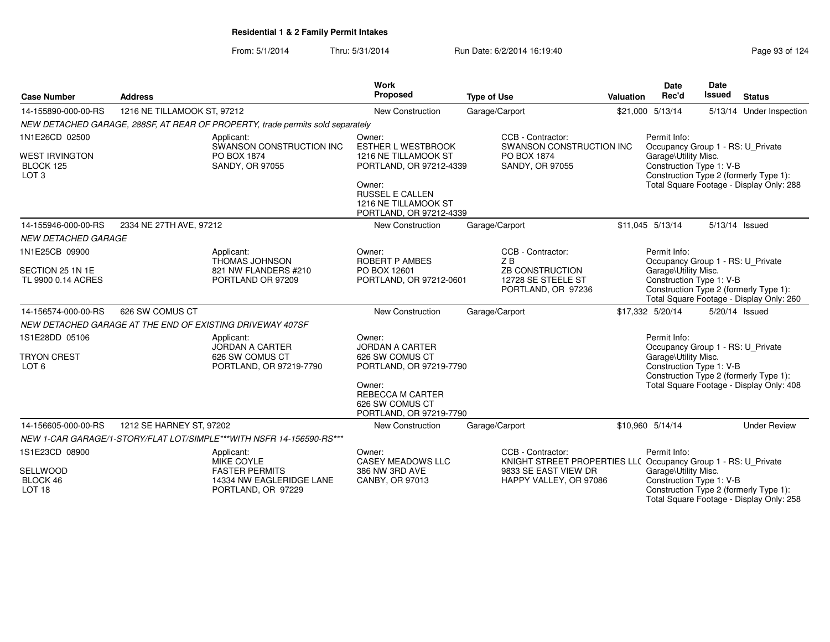| <b>Case Number</b>                                                       | <b>Address</b>              |                                                                                                     | Work<br>Proposed                                                                                                                                                              | <b>Type of Use</b>                                                                                                                    | Valuation | Date<br>Rec'd                                                                                         | <b>Date</b><br><b>Issued</b> | <b>Status</b>                                                                      |
|--------------------------------------------------------------------------|-----------------------------|-----------------------------------------------------------------------------------------------------|-------------------------------------------------------------------------------------------------------------------------------------------------------------------------------|---------------------------------------------------------------------------------------------------------------------------------------|-----------|-------------------------------------------------------------------------------------------------------|------------------------------|------------------------------------------------------------------------------------|
| 14-155890-000-00-RS                                                      | 1216 NE TILLAMOOK ST, 97212 |                                                                                                     | <b>New Construction</b>                                                                                                                                                       | Garage/Carport                                                                                                                        |           | \$21,000 5/13/14                                                                                      |                              | 5/13/14 Under Inspection                                                           |
|                                                                          |                             | NEW DETACHED GARAGE, 288SF, AT REAR OF PROPERTY, trade permits sold separately                      |                                                                                                                                                                               |                                                                                                                                       |           |                                                                                                       |                              |                                                                                    |
| 1N1E26CD 02500<br><b>WEST IRVINGTON</b><br>BLOCK 125<br>LOT <sub>3</sub> |                             | Applicant:<br>SWANSON CONSTRUCTION INC<br>PO BOX 1874<br>SANDY, OR 97055                            | Owner:<br><b>ESTHER L WESTBROOK</b><br>1216 NE TILLAMOOK ST<br>PORTLAND, OR 97212-4339<br>Owner:<br><b>RUSSEL E CALLEN</b><br>1216 NE TILLAMOOK ST<br>PORTLAND, OR 97212-4339 | CCB - Contractor:<br>SWANSON CONSTRUCTION INC<br>PO BOX 1874<br>SANDY, OR 97055                                                       |           | Permit Info:<br>Occupancy Group 1 - RS: U Private<br>Garage\Utility Misc.<br>Construction Type 1: V-B |                              | Construction Type 2 (formerly Type 1):<br>Total Square Footage - Display Only: 288 |
| 14-155946-000-00-RS                                                      | 2334 NE 27TH AVE, 97212     |                                                                                                     | New Construction                                                                                                                                                              | Garage/Carport                                                                                                                        |           | \$11,045 5/13/14                                                                                      | 5/13/14 Issued               |                                                                                    |
| <b>NEW DETACHED GARAGE</b>                                               |                             |                                                                                                     |                                                                                                                                                                               |                                                                                                                                       |           |                                                                                                       |                              |                                                                                    |
| 1N1E25CB 09900<br>SECTION 25 1N 1E<br>TL 9900 0.14 ACRES                 |                             | Applicant:<br><b>THOMAS JOHNSON</b><br>821 NW FLANDERS #210<br>PORTLAND OR 97209                    | Owner:<br><b>ROBERT P AMBES</b><br>PO BOX 12601<br>PORTLAND, OR 97212-0601                                                                                                    | CCB - Contractor:<br>ZB<br><b>ZB CONSTRUCTION</b><br>12728 SE STEELE ST<br>PORTLAND, OR 97236                                         |           | Permit Info:<br>Occupancy Group 1 - RS: U_Private<br>Garage\Utility Misc.<br>Construction Type 1: V-B |                              | Construction Type 2 (formerly Type 1):<br>Total Square Footage - Display Only: 260 |
| 14-156574-000-00-RS                                                      | 626 SW COMUS CT             |                                                                                                     | New Construction                                                                                                                                                              | Garage/Carport                                                                                                                        |           | \$17,332 5/20/14                                                                                      | 5/20/14 Issued               |                                                                                    |
|                                                                          |                             | NEW DETACHED GARAGE AT THE END OF EXISTING DRIVEWAY 407SF                                           |                                                                                                                                                                               |                                                                                                                                       |           |                                                                                                       |                              |                                                                                    |
| 1S1E28DD 05106<br><b>TRYON CREST</b><br>LOT <sub>6</sub>                 |                             | Applicant:<br><b>JORDAN A CARTER</b><br>626 SW COMUS CT<br>PORTLAND, OR 97219-7790                  | Owner:<br>JORDAN A CARTER<br>626 SW COMUS CT<br>PORTLAND, OR 97219-7790<br>Owner:<br>REBECCA M CARTER<br>626 SW COMUS CT<br>PORTLAND, OR 97219-7790                           |                                                                                                                                       |           | Permit Info:<br>Occupancy Group 1 - RS: U_Private<br>Garage\Utility Misc.<br>Construction Type 1: V-B |                              | Construction Type 2 (formerly Type 1):<br>Total Square Footage - Display Only: 408 |
| 14-156605-000-00-RS                                                      | 1212 SE HARNEY ST, 97202    |                                                                                                     | New Construction                                                                                                                                                              | Garage/Carport                                                                                                                        |           | \$10,960 5/14/14                                                                                      |                              | <b>Under Review</b>                                                                |
|                                                                          |                             | NEW 1-CAR GARAGE/1-STORY/FLAT LOT/SIMPLE***WITH NSFR 14-156590-RS***                                |                                                                                                                                                                               |                                                                                                                                       |           |                                                                                                       |                              |                                                                                    |
| 1S1E23CD 08900<br>SELLWOOD<br>BLOCK 46<br>LOT <sub>18</sub>              |                             | Applicant:<br>MIKE COYLE<br><b>FASTER PERMITS</b><br>14334 NW EAGLERIDGE LANE<br>PORTLAND, OR 97229 | Owner:<br><b>CASEY MEADOWS LLC</b><br>386 NW 3RD AVE<br>CANBY, OR 97013                                                                                                       | CCB - Contractor:<br>KNIGHT STREET PROPERTIES LL( Occupancy Group 1 - RS: U_Private<br>9833 SE EAST VIEW DR<br>HAPPY VALLEY, OR 97086 |           | Permit Info:<br>Garage\Utility Misc.<br>Construction Type 1: V-B                                      |                              | Construction Type 2 (formerly Type 1):<br>Total Square Footage - Display Only: 258 |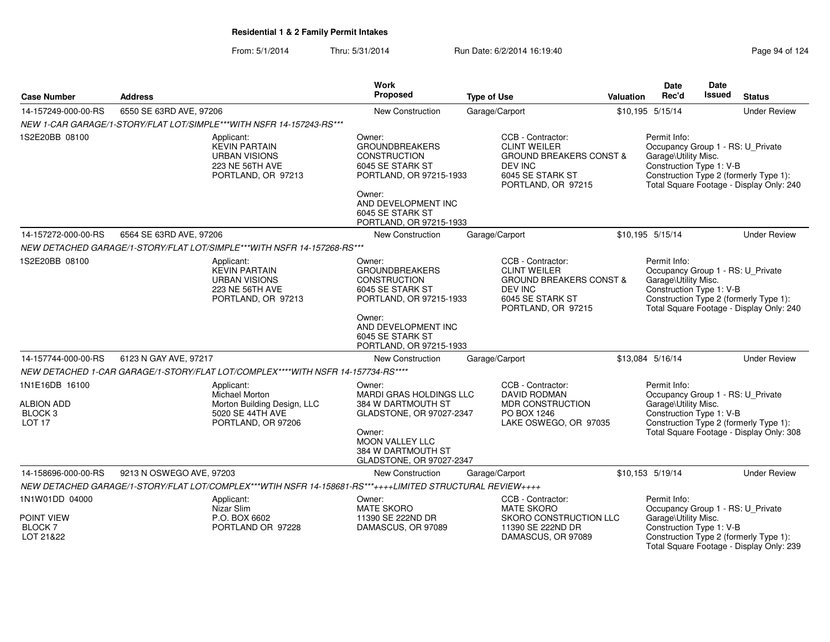|                                                                                |                                                                                                           | Work                                                                                                                                                                                  |                                                                                                                                            |                  | <b>Date</b>                                                                                           | Date   |                                                                                    |
|--------------------------------------------------------------------------------|-----------------------------------------------------------------------------------------------------------|---------------------------------------------------------------------------------------------------------------------------------------------------------------------------------------|--------------------------------------------------------------------------------------------------------------------------------------------|------------------|-------------------------------------------------------------------------------------------------------|--------|------------------------------------------------------------------------------------|
| <b>Case Number</b>                                                             | <b>Address</b>                                                                                            | Proposed                                                                                                                                                                              | <b>Type of Use</b>                                                                                                                         | <b>Valuation</b> | Rec'd                                                                                                 | Issued | <b>Status</b>                                                                      |
| 14-157249-000-00-RS                                                            | 6550 SE 63RD AVE, 97206                                                                                   | New Construction                                                                                                                                                                      | Garage/Carport                                                                                                                             |                  | \$10,195 5/15/14                                                                                      |        | <b>Under Review</b>                                                                |
|                                                                                | NEW 1-CAR GARAGE/1-STORY/FLAT LOT/SIMPLE***WITH NSFR 14-157243-RS***                                      |                                                                                                                                                                                       |                                                                                                                                            |                  |                                                                                                       |        |                                                                                    |
| 1S2E20BB 08100                                                                 | Applicant:<br><b>KEVIN PARTAIN</b><br><b>URBAN VISIONS</b><br>223 NE 56TH AVE<br>PORTLAND, OR 97213       | Owner:<br><b>GROUNDBREAKERS</b><br><b>CONSTRUCTION</b><br>6045 SE STARK ST<br>PORTLAND, OR 97215-1933<br>Owner:<br>AND DEVELOPMENT INC<br>6045 SE STARK ST<br>PORTLAND, OR 97215-1933 | CCB - Contractor:<br><b>CLINT WEILER</b><br><b>GROUND BREAKERS CONST &amp;</b><br><b>DEV INC</b><br>6045 SE STARK ST<br>PORTLAND, OR 97215 |                  | Permit Info:<br>Occupancy Group 1 - RS: U_Private<br>Garage\Utility Misc.<br>Construction Type 1: V-B |        | Construction Type 2 (formerly Type 1):<br>Total Square Footage - Display Only: 240 |
| 14-157272-000-00-RS                                                            | 6564 SE 63RD AVE, 97206                                                                                   | <b>New Construction</b>                                                                                                                                                               | Garage/Carport                                                                                                                             |                  | \$10,195 5/15/14                                                                                      |        | <b>Under Review</b>                                                                |
|                                                                                | NEW DETACHED GARAGE/1-STORY/FLAT LOT/SIMPLE***WITH NSFR 14-157268-RS***                                   |                                                                                                                                                                                       |                                                                                                                                            |                  |                                                                                                       |        |                                                                                    |
| 1S2E20BB 08100                                                                 | Applicant:<br><b>KEVIN PARTAIN</b><br><b>URBAN VISIONS</b><br>223 NE 56TH AVE<br>PORTLAND, OR 97213       | Owner:<br><b>GROUNDBREAKERS</b><br><b>CONSTRUCTION</b><br>6045 SE STARK ST<br>PORTLAND, OR 97215-1933<br>Owner:<br>AND DEVELOPMENT INC<br>6045 SE STARK ST<br>PORTLAND, OR 97215-1933 | CCB - Contractor:<br><b>CLINT WEILER</b><br><b>GROUND BREAKERS CONST &amp;</b><br><b>DEV INC</b><br>6045 SE STARK ST<br>PORTLAND, OR 97215 |                  | Permit Info:<br>Occupancy Group 1 - RS: U_Private<br>Garage\Utility Misc.<br>Construction Type 1: V-B |        | Construction Type 2 (formerly Type 1):<br>Total Square Footage - Display Only: 240 |
| 14-157744-000-00-RS                                                            | 6123 N GAY AVE, 97217                                                                                     | <b>New Construction</b>                                                                                                                                                               | Garage/Carport                                                                                                                             |                  | \$13,084 5/16/14                                                                                      |        | <b>Under Review</b>                                                                |
|                                                                                | NEW DETACHED 1-CAR GARAGE/1-STORY/FLAT LOT/COMPLEX****WITH NSFR 14-157734-RS****                          |                                                                                                                                                                                       |                                                                                                                                            |                  |                                                                                                       |        |                                                                                    |
| 1N1E16DB 16100<br><b>ALBION ADD</b><br>BLOCK <sub>3</sub><br>LOT <sub>17</sub> | Applicant:<br>Michael Morton<br>Morton Building Design, LLC<br>5020 SE 44TH AVE<br>PORTLAND, OR 97206     | Owner:<br><b>MARDI GRAS HOLDINGS LLC</b><br>384 W DARTMOUTH ST<br>GLADSTONE, OR 97027-2347<br>Owner:<br><b>MOON VALLEY LLC</b><br>384 W DARTMOUTH ST<br>GLADSTONE, OR 97027-2347      | CCB - Contractor:<br><b>DAVID RODMAN</b><br><b>MDR CONSTRUCTION</b><br>PO BOX 1246<br>LAKE OSWEGO, OR 97035                                |                  | Permit Info:<br>Occupancy Group 1 - RS: U_Private<br>Garage\Utility Misc.<br>Construction Type 1: V-B |        | Construction Type 2 (formerly Type 1):<br>Total Square Footage - Display Only: 308 |
| 14-158696-000-00-RS                                                            | 9213 N OSWEGO AVE, 97203                                                                                  | New Construction                                                                                                                                                                      | Garage/Carport                                                                                                                             |                  | \$10,153 5/19/14                                                                                      |        | <b>Under Review</b>                                                                |
|                                                                                | NEW DETACHED GARAGE/1-STORY/FLAT LOT/COMPLEX***WTIH NSFR 14-158681-RS***++++LIMITED STRUCTURAL REVIEW++++ |                                                                                                                                                                                       |                                                                                                                                            |                  |                                                                                                       |        |                                                                                    |
| 1N1W01DD 04000<br>POINT VIEW<br><b>BLOCK7</b><br>LOT 21&22                     | Applicant:<br>Nizar Slim<br>P.O. BOX 6602<br>PORTLAND OR 97228                                            | Owner:<br><b>MATE SKORO</b><br>11390 SE 222ND DR<br>DAMASCUS, OR 97089                                                                                                                | CCB - Contractor:<br><b>MATE SKORO</b><br>SKORO CONSTRUCTION LLC<br>11390 SE 222ND DR<br>DAMASCUS, OR 97089                                |                  | Permit Info:<br>Occupancy Group 1 - RS: U_Private<br>Garage\Utility Misc.<br>Construction Type 1: V-B |        | Construction Type 2 (formerly Type 1):<br>Total Square Footage - Display Only: 239 |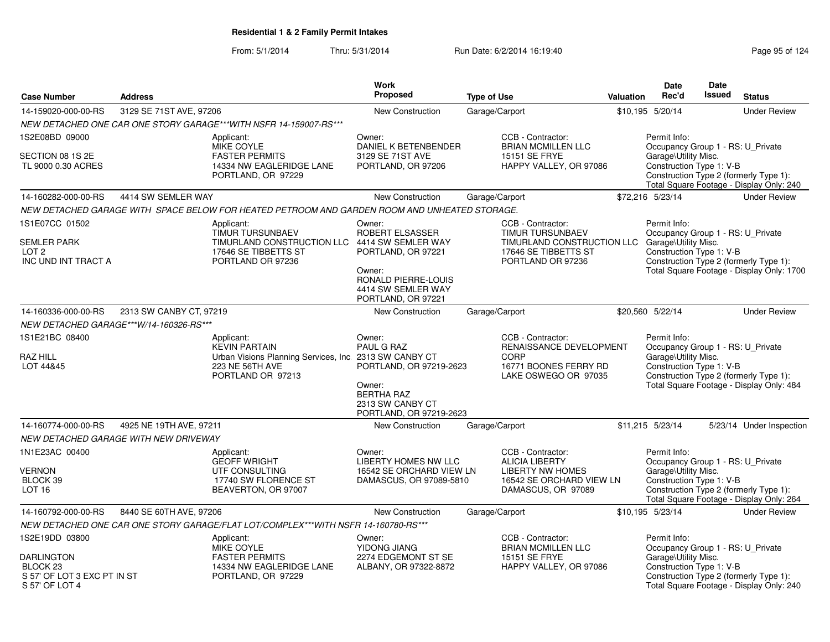|                                                                                    |                                         |                                                                                                                                      | <b>Work</b>                                                                                                                                                                                                                                                                |                    |                                                                                                                         |                                                                                     | Date                                                                                                  | <b>Date</b>                                                                        |                                                                                    |
|------------------------------------------------------------------------------------|-----------------------------------------|--------------------------------------------------------------------------------------------------------------------------------------|----------------------------------------------------------------------------------------------------------------------------------------------------------------------------------------------------------------------------------------------------------------------------|--------------------|-------------------------------------------------------------------------------------------------------------------------|-------------------------------------------------------------------------------------|-------------------------------------------------------------------------------------------------------|------------------------------------------------------------------------------------|------------------------------------------------------------------------------------|
| <b>Case Number</b>                                                                 | <b>Address</b>                          |                                                                                                                                      | Proposed                                                                                                                                                                                                                                                                   | <b>Type of Use</b> |                                                                                                                         | <b>Valuation</b>                                                                    | Rec'd                                                                                                 | Issued                                                                             | <b>Status</b>                                                                      |
| 14-159020-000-00-RS                                                                | 3129 SE 71ST AVE, 97206                 |                                                                                                                                      | <b>New Construction</b>                                                                                                                                                                                                                                                    | Garage/Carport     |                                                                                                                         |                                                                                     | \$10.195 5/20/14                                                                                      |                                                                                    | <b>Under Review</b>                                                                |
|                                                                                    |                                         | NEW DETACHED ONE CAR ONE STORY GARAGE***WITH NSFR 14-159007-RS***                                                                    |                                                                                                                                                                                                                                                                            |                    |                                                                                                                         |                                                                                     |                                                                                                       |                                                                                    |                                                                                    |
| 1S2E08BD 09000                                                                     |                                         | Applicant:                                                                                                                           | Owner:                                                                                                                                                                                                                                                                     |                    | CCB - Contractor:                                                                                                       |                                                                                     | Permit Info:                                                                                          |                                                                                    |                                                                                    |
| SECTION 08 1S 2E<br>TL 9000 0.30 ACRES                                             |                                         | MIKE COYLE<br><b>FASTER PERMITS</b><br>14334 NW EAGLERIDGE LANE<br>PORTLAND, OR 97229                                                | DANIEL K BETENBENDER<br>3129 SE 71ST AVE<br>PORTLAND, OR 97206                                                                                                                                                                                                             |                    | <b>BRIAN MCMILLEN LLC</b><br>15151 SE FRYE<br>HAPPY VALLEY, OR 97086                                                    |                                                                                     | Occupancy Group 1 - RS: U_Private<br>Garage\Utility Misc.<br>Construction Type 1: V-B                 | Construction Type 2 (formerly Type 1):<br>Total Square Footage - Display Only: 240 |                                                                                    |
| 14-160282-000-00-RS                                                                | 4414 SW SEMLER WAY                      |                                                                                                                                      | <b>New Construction</b>                                                                                                                                                                                                                                                    | Garage/Carport     |                                                                                                                         |                                                                                     | \$72,216 5/23/14                                                                                      |                                                                                    | <b>Under Review</b>                                                                |
|                                                                                    |                                         | NEW DETACHED GARAGE WITH SPACE BELOW FOR HEATED PETROOM AND GARDEN ROOM AND UNHEATED STORAGE.                                        |                                                                                                                                                                                                                                                                            |                    |                                                                                                                         |                                                                                     |                                                                                                       |                                                                                    |                                                                                    |
| 1S1E07CC 01502                                                                     |                                         | Applicant:                                                                                                                           | Owner:                                                                                                                                                                                                                                                                     |                    | CCB - Contractor:                                                                                                       |                                                                                     | Permit Info:                                                                                          |                                                                                    |                                                                                    |
| <b>SEMLER PARK</b><br>LOT <sub>2</sub><br>INC UND INT TRACT A                      |                                         | <b>TIMUR TURSUNBAEV</b><br>TIMURLAND CONSTRUCTION LLC<br>17646 SE TIBBETTS ST<br>PORTLAND OR 97236                                   | <b>ROBERT ELSASSER</b><br><b>TIMUR TURSUNBAEV</b><br>TIMURLAND CONSTRUCTION LLC Garage\Utility Misc.<br>4414 SW SEMLER WAY<br>PORTLAND, OR 97221<br>17646 SE TIBBETTS ST<br>PORTLAND OR 97236<br>Owner:<br>RONALD PIERRE-LOUIS<br>4414 SW SEMLER WAY<br>PORTLAND, OR 97221 |                    | Occupancy Group 1 - RS: U_Private<br>Construction Type 1: V-B                                                           | Construction Type 2 (formerly Type 1):<br>Total Square Footage - Display Only: 1700 |                                                                                                       |                                                                                    |                                                                                    |
| 14-160336-000-00-RS                                                                | 2313 SW CANBY CT, 97219                 |                                                                                                                                      | New Construction                                                                                                                                                                                                                                                           | Garage/Carport     |                                                                                                                         |                                                                                     | \$20,560 5/22/14                                                                                      |                                                                                    | <b>Under Review</b>                                                                |
|                                                                                    | NEW DETACHED GARAGE***W/14-160326-RS*** |                                                                                                                                      |                                                                                                                                                                                                                                                                            |                    |                                                                                                                         |                                                                                     |                                                                                                       |                                                                                    |                                                                                    |
| 1S1E21BC 08400<br><b>RAZ HILL</b><br>LOT 44&45                                     |                                         | Applicant:<br><b>KEVIN PARTAIN</b><br>Urban Visions Planning Services, Inc. 2313 SW CANBY CT<br>223 NE 56TH AVE<br>PORTLAND OR 97213 | Owner:<br>PAUL G RAZ<br>PORTLAND, OR 97219-2623<br>Owner:<br><b>BERTHA RAZ</b><br>2313 SW CANBY CT<br>PORTLAND, OR 97219-2623                                                                                                                                              |                    | CCB - Contractor:<br>RENAISSANCE DEVELOPMENT<br>CORP<br>16771 BOONES FERRY RD<br>LAKE OSWEGO OR 97035                   |                                                                                     | Permit Info:<br>Occupancy Group 1 - RS: U_Private<br>Garage\Utility Misc.<br>Construction Type 1: V-B |                                                                                    | Construction Type 2 (formerly Type 1):<br>Total Square Footage - Display Only: 484 |
| 14-160774-000-00-RS                                                                | 4925 NE 19TH AVE, 97211                 |                                                                                                                                      | New Construction                                                                                                                                                                                                                                                           | Garage/Carport     |                                                                                                                         |                                                                                     | \$11,215 5/23/14                                                                                      |                                                                                    | 5/23/14 Under Inspection                                                           |
|                                                                                    | NEW DETACHED GARAGE WITH NEW DRIVEWAY   |                                                                                                                                      |                                                                                                                                                                                                                                                                            |                    |                                                                                                                         |                                                                                     |                                                                                                       |                                                                                    |                                                                                    |
| 1N1E23AC 00400<br><b>VERNON</b><br>BLOCK 39<br>LOT <sub>16</sub>                   |                                         | Applicant:<br><b>GEOFF WRIGHT</b><br>UTF CONSULTING<br>17740 SW FLORENCE ST<br>BEAVERTON, OR 97007                                   | Owner:<br>LIBERTY HOMES NW LLC<br>16542 SE ORCHARD VIEW LN<br>DAMASCUS, OR 97089-5810                                                                                                                                                                                      |                    | CCB - Contractor:<br><b>ALICIA LIBERTY</b><br><b>LIBERTY NW HOMES</b><br>16542 SE ORCHARD VIEW LN<br>DAMASCUS, OR 97089 |                                                                                     | Permit Info:<br>Occupancy Group 1 - RS: U_Private<br>Garage\Utility Misc.<br>Construction Type 1: V-B |                                                                                    | Construction Type 2 (formerly Type 1):<br>Total Square Footage - Display Only: 264 |
| 14-160792-000-00-RS                                                                | 8440 SE 60TH AVE, 97206                 |                                                                                                                                      | New Construction                                                                                                                                                                                                                                                           | Garage/Carport     |                                                                                                                         |                                                                                     | \$10,195 5/23/14                                                                                      |                                                                                    | <b>Under Review</b>                                                                |
|                                                                                    |                                         | NEW DETACHED ONE CAR ONE STORY GARAGE/FLAT LOT/COMPLEX***WITH NSFR 14-160780-RS***                                                   |                                                                                                                                                                                                                                                                            |                    |                                                                                                                         |                                                                                     |                                                                                                       |                                                                                    |                                                                                    |
| 1S2E19DD 03800                                                                     |                                         | Applicant:<br><b>MIKE COYLE</b>                                                                                                      | Owner:<br>YIDONG JIANG                                                                                                                                                                                                                                                     |                    | CCB - Contractor:<br><b>BRIAN MCMILLEN LLC</b>                                                                          |                                                                                     | Permit Info:<br>Occupancy Group 1 - RS: U_Private                                                     |                                                                                    |                                                                                    |
| DARLINGTON<br>BLOCK <sub>23</sub><br>S 57' OF LOT 3 EXC PT IN ST<br>S 57' OF LOT 4 |                                         | <b>FASTER PERMITS</b><br>14334 NW EAGLERIDGE LANE<br>PORTLAND, OR 97229                                                              | 2274 EDGEMONT ST SE<br>ALBANY, OR 97322-8872                                                                                                                                                                                                                               |                    | 15151 SE FRYE<br>HAPPY VALLEY, OR 97086                                                                                 |                                                                                     | Garage\Utility Misc.<br>Construction Type 1: V-B                                                      |                                                                                    | Construction Type 2 (formerly Type 1):<br>Total Square Footage - Display Only: 240 |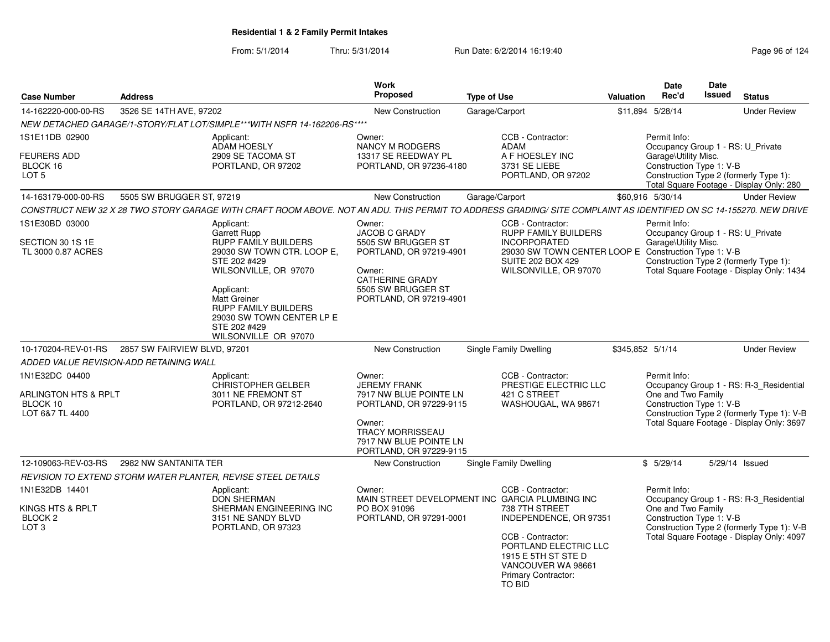| <b>Case Number</b>                                         | <b>Address</b>                                                                                                                                                                                                                | Work<br>Proposed                                                                                                                                                   | <b>Type of Use</b>                                                                                                       | Valuation | <b>Date</b><br>Rec'd                             | Date<br><b>Issued</b> | <b>Status</b>                                                                                                                      |
|------------------------------------------------------------|-------------------------------------------------------------------------------------------------------------------------------------------------------------------------------------------------------------------------------|--------------------------------------------------------------------------------------------------------------------------------------------------------------------|--------------------------------------------------------------------------------------------------------------------------|-----------|--------------------------------------------------|-----------------------|------------------------------------------------------------------------------------------------------------------------------------|
| 14-162220-000-00-RS                                        | 3526 SE 14TH AVE, 97202                                                                                                                                                                                                       | <b>New Construction</b>                                                                                                                                            | Garage/Carport                                                                                                           |           | \$11,894 5/28/14                                 |                       | <b>Under Review</b>                                                                                                                |
|                                                            | NEW DETACHED GARAGE/1-STORY/FLAT LOT/SIMPLE***WITH NSFR 14-162206-RS****                                                                                                                                                      |                                                                                                                                                                    |                                                                                                                          |           |                                                  |                       |                                                                                                                                    |
| 1S1E11DB 02900                                             | Applicant:<br>ADAM HOESLY                                                                                                                                                                                                     | Owner:<br><b>NANCY M RODGERS</b>                                                                                                                                   | CCB - Contractor:<br>ADAM                                                                                                |           | Permit Info:                                     |                       | Occupancy Group 1 - RS: U Private                                                                                                  |
| <b>FEURERS ADD</b><br>BLOCK 16<br>LOT <sub>5</sub>         | 2909 SE TACOMA ST<br>PORTLAND, OR 97202                                                                                                                                                                                       | 13317 SE REEDWAY PL<br>PORTLAND, OR 97236-4180                                                                                                                     | A F HOESLEY INC<br>3731 SE LIEBE<br>PORTLAND, OR 97202                                                                   |           | Garage\Utility Misc.<br>Construction Type 1: V-B |                       | Construction Type 2 (formerly Type 1):<br>Total Square Footage - Display Only: 280                                                 |
| 14-163179-000-00-RS                                        | 5505 SW BRUGGER ST, 97219                                                                                                                                                                                                     | <b>New Construction</b>                                                                                                                                            | Garage/Carport                                                                                                           |           | \$60,916 5/30/14                                 |                       | <b>Under Review</b>                                                                                                                |
|                                                            | CONSTRUCT NEW 32 X 28 TWO STORY GARAGE WITH CRAFT ROOM ABOVE. NOT AN ADU. THIS PERMIT TO ADDRESS GRADING/ SITE COMPLAINT AS IDENTIFIED ON SC 14-155270. NEW DRIVE                                                             |                                                                                                                                                                    |                                                                                                                          |           |                                                  |                       |                                                                                                                                    |
| 1S1E30BD 03000                                             | Applicant:<br><b>Garrett Rupp</b>                                                                                                                                                                                             | Owner:<br><b>JACOB C GRADY</b>                                                                                                                                     | CCB - Contractor:<br><b>RUPP FAMILY BUILDERS</b>                                                                         |           | Permit Info:                                     |                       | Occupancy Group 1 - RS: U_Private                                                                                                  |
| SECTION 30 1S 1E<br>TL 3000 0.87 ACRES                     | RUPP FAMILY BUILDERS<br>29030 SW TOWN CTR. LOOP E.<br>STE 202 #429<br>WILSONVILLE, OR 97070<br>Applicant:<br>Matt Greiner<br><b>RUPP FAMILY BUILDERS</b><br>29030 SW TOWN CENTER LP E<br>STE 202 #429<br>WILSONVILLE OR 97070 | 5505 SW BRUGGER ST<br>PORTLAND, OR 97219-4901<br>Owner:<br>CATHERINE GRADY<br>5505 SW BRUGGER ST<br>PORTLAND, OR 97219-4901                                        | <b>INCORPORATED</b><br>29030 SW TOWN CENTER LOOP E<br><b>SUITE 202 BOX 429</b><br>WILSONVILLE, OR 97070                  |           | Garage\Utility Misc.<br>Construction Type 1: V-B |                       | Construction Type 2 (formerly Type 1):<br>Total Square Footage - Display Only: 1434                                                |
|                                                            | 10-170204-REV-01-RS 2857 SW FAIRVIEW BLVD, 97201                                                                                                                                                                              | <b>New Construction</b>                                                                                                                                            | <b>Single Family Dwelling</b>                                                                                            |           | \$345.852 5/1/14                                 |                       | <b>Under Review</b>                                                                                                                |
|                                                            | ADDED VALUE REVISION-ADD RETAINING WALL                                                                                                                                                                                       |                                                                                                                                                                    |                                                                                                                          |           |                                                  |                       |                                                                                                                                    |
| 1N1E32DC 04400                                             | Applicant:                                                                                                                                                                                                                    | Owner:                                                                                                                                                             | CCB - Contractor:                                                                                                        |           | Permit Info:                                     |                       |                                                                                                                                    |
| ARLINGTON HTS & RPLT<br>BLOCK 10<br>LOT 6&7 TL 4400        | <b>CHRISTOPHER GELBER</b><br>3011 NE FREMONT ST<br>PORTLAND, OR 97212-2640                                                                                                                                                    | <b>JEREMY FRANK</b><br>7917 NW BLUE POINTE LN<br>PORTLAND, OR 97229-9115<br>Owner:<br><b>TRACY MORRISSEAU</b><br>7917 NW BLUE POINTE LN<br>PORTLAND, OR 97229-9115 | PRESTIGE ELECTRIC LLC<br>421 C STREET<br>WASHOUGAL, WA 98671                                                             |           | One and Two Family<br>Construction Type 1: V-B   |                       | Occupancy Group 1 - RS: R-3 Residential<br>Construction Type 2 (formerly Type 1): V-B<br>Total Square Footage - Display Only: 3697 |
| 12-109063-REV-03-RS                                        | 2982 NW SANTANITA TER                                                                                                                                                                                                         | New Construction                                                                                                                                                   | Single Family Dwelling                                                                                                   |           | \$5/29/14                                        |                       | 5/29/14 Issued                                                                                                                     |
|                                                            | REVISION TO EXTEND STORM WATER PLANTER, REVISE STEEL DETAILS                                                                                                                                                                  |                                                                                                                                                                    |                                                                                                                          |           |                                                  |                       |                                                                                                                                    |
| 1N1E32DB 14401                                             | Applicant:<br><b>DON SHERMAN</b>                                                                                                                                                                                              | Owner:                                                                                                                                                             | CCB - Contractor:<br>MAIN STREET DEVELOPMENT INC GARCIA PLUMBING INC                                                     |           | Permit Info:                                     |                       | Occupancy Group 1 - RS: R-3_Residential                                                                                            |
| KINGS HTS & RPLT<br>BLOCK <sub>2</sub><br>LOT <sub>3</sub> | SHERMAN ENGINEERING INC<br>3151 NE SANDY BLVD<br>PORTLAND, OR 97323                                                                                                                                                           | PO BOX 91096<br>PORTLAND, OR 97291-0001                                                                                                                            | 738 7TH STREET<br>INDEPENDENCE, OR 97351                                                                                 |           | One and Two Family<br>Construction Type 1: V-B   |                       | Construction Type 2 (formerly Type 1): V-B                                                                                         |
|                                                            |                                                                                                                                                                                                                               |                                                                                                                                                                    | CCB - Contractor:<br>PORTLAND ELECTRIC LLC<br>1915 E 5TH ST STE D<br>VANCOUVER WA 98661<br>Primary Contractor:<br>TO BID |           |                                                  |                       | Total Square Footage - Display Only: 4097                                                                                          |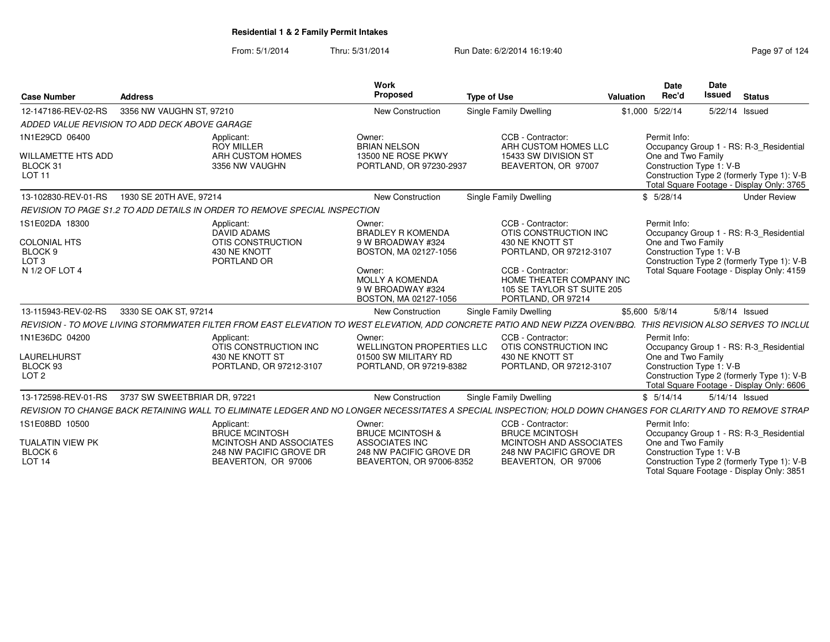| <b>Case Number</b>                                                                     | <b>Address</b>                                                                                                                                                    | Work<br>Proposed                                                                                                                          | <b>Type of Use</b>                                                                                                                                                      | Valuation | <b>Date</b><br>Rec'd | Date<br><b>Issued</b>                          | <b>Status</b>                                                                                                                      |  |
|----------------------------------------------------------------------------------------|-------------------------------------------------------------------------------------------------------------------------------------------------------------------|-------------------------------------------------------------------------------------------------------------------------------------------|-------------------------------------------------------------------------------------------------------------------------------------------------------------------------|-----------|----------------------|------------------------------------------------|------------------------------------------------------------------------------------------------------------------------------------|--|
| 12-147186-REV-02-RS                                                                    | 3356 NW VAUGHN ST, 97210                                                                                                                                          | <b>New Construction</b>                                                                                                                   | Single Family Dwelling                                                                                                                                                  |           | \$1,000 5/22/14      |                                                | 5/22/14 Issued                                                                                                                     |  |
|                                                                                        | ADDED VALUE REVISION TO ADD DECK ABOVE GARAGE                                                                                                                     |                                                                                                                                           |                                                                                                                                                                         |           |                      |                                                |                                                                                                                                    |  |
| 1N1E29CD 06400<br><b>WILLAMETTE HTS ADD</b><br>BLOCK 31<br><b>LOT 11</b>               | Applicant:<br><b>ROY MILLER</b><br>ARH CUSTOM HOMES<br>3356 NW VAUGHN                                                                                             | Owner:<br><b>BRIAN NELSON</b><br>13500 NE ROSE PKWY<br>PORTLAND, OR 97230-2937                                                            | CCB - Contractor:<br>ARH CUSTOM HOMES LLC<br>15433 SW DIVISION ST<br>BEAVERTON, OR 97007                                                                                |           | Permit Info:         | One and Two Family<br>Construction Type 1: V-B | Occupancy Group 1 - RS: R-3 Residential<br>Construction Type 2 (formerly Type 1): V-B<br>Total Square Footage - Display Only: 3765 |  |
| 13-102830-REV-01-RS                                                                    | 1930 SE 20TH AVE, 97214                                                                                                                                           | New Construction                                                                                                                          | Single Family Dwelling                                                                                                                                                  |           | \$5/28/14            |                                                | <b>Under Review</b>                                                                                                                |  |
|                                                                                        | REVISION TO PAGE S1.2 TO ADD DETAILS IN ORDER TO REMOVE SPECIAL INSPECTION                                                                                        |                                                                                                                                           |                                                                                                                                                                         |           |                      |                                                |                                                                                                                                    |  |
| 1S1E02DA 18300<br><b>COLONIAL HTS</b><br>BLOCK 9<br>LOT <sub>3</sub><br>N 1/2 OF LOT 4 | Applicant:<br>DAVID ADAMS<br>OTIS CONSTRUCTION<br>430 NE KNOTT<br>PORTLAND OR                                                                                     | Owner:<br><b>BRADLEY R KOMENDA</b><br>9 W BROADWAY #324<br>BOSTON, MA 02127-1056<br>Owner:<br><b>MOLLY A KOMENDA</b><br>9 W BROADWAY #324 | CCB - Contractor:<br>OTIS CONSTRUCTION INC<br>430 NE KNOTT ST<br>PORTLAND, OR 97212-3107<br>CCB - Contractor:<br>HOME THEATER COMPANY INC<br>105 SE TAYLOR ST SUITE 205 |           | Permit Info:         | One and Two Family<br>Construction Type 1: V-B | Occupancy Group 1 - RS: R-3_Residential<br>Construction Type 2 (formerly Type 1): V-B<br>Total Square Footage - Display Only: 4159 |  |
|                                                                                        |                                                                                                                                                                   | BOSTON, MA 02127-1056                                                                                                                     | PORTLAND, OR 97214                                                                                                                                                      |           |                      |                                                |                                                                                                                                    |  |
| 13-115943-REV-02-RS                                                                    | 3330 SE OAK ST, 97214                                                                                                                                             | <b>New Construction</b>                                                                                                                   | Single Family Dwelling                                                                                                                                                  |           | \$5,600 5/8/14       |                                                | $5/8/14$ Issued                                                                                                                    |  |
|                                                                                        | REVISION - TO MOVE LIVING STORMWATER FILTER FROM EAST ELEVATION TO WEST ELEVATION, ADD CONCRETE PATIO AND NEW PIZZA OVEN/BBQ. THIS REVISION ALSO SERVES TO INCLUL |                                                                                                                                           |                                                                                                                                                                         |           |                      |                                                |                                                                                                                                    |  |
| 1N1E36DC 04200<br><b>LAURELHURST</b><br>BLOCK 93<br>LOT <sub>2</sub>                   | Applicant:<br>OTIS CONSTRUCTION INC<br>430 NE KNOTT ST<br>PORTLAND, OR 97212-3107                                                                                 | Owner:<br><b>WELLINGTON PROPERTIES LLC</b><br>01500 SW MILITARY RD<br>PORTLAND, OR 97219-8382                                             | CCB - Contractor:<br>OTIS CONSTRUCTION INC<br>430 NE KNOTT ST<br>PORTLAND, OR 97212-3107                                                                                |           | Permit Info:         | One and Two Family<br>Construction Type 1: V-B | Occupancy Group 1 - RS: R-3 Residential<br>Construction Type 2 (formerly Type 1): V-B<br>Total Square Footage - Display Only: 6606 |  |
| 13-172598-REV-01-RS                                                                    | 3737 SW SWEETBRIAR DR. 97221                                                                                                                                      | <b>New Construction</b>                                                                                                                   | Single Family Dwelling                                                                                                                                                  |           | \$5/14/14            |                                                | 5/14/14 Issued                                                                                                                     |  |
|                                                                                        | REVISION TO CHANGE BACK RETAINING WALL TO ELIMINATE LEDGER AND NO LONGER NECESSITATES A SPECIAL INSPECTION; HOLD DOWN CHANGES FOR CLARITY AND TO REMOVE STRAP     |                                                                                                                                           |                                                                                                                                                                         |           |                      |                                                |                                                                                                                                    |  |
| 1S1E08BD 10500<br><b>TUALATIN VIEW PK</b><br>BLOCK 6<br>LOT <sub>14</sub>              | Applicant:<br><b>BRUCE MCINTOSH</b><br>MCINTOSH AND ASSOCIATES<br>248 NW PACIFIC GROVE DR<br>BEAVERTON, OR 97006                                                  | Owner:<br><b>BRUCE MCINTOSH &amp;</b><br>ASSOCIATES INC<br>248 NW PACIFIC GROVE DR<br>BEAVERTON, OR 97006-8352                            | CCB - Contractor:<br><b>BRUCE MCINTOSH</b><br>MCINTOSH AND ASSOCIATES<br>248 NW PACIFIC GROVE DR<br>BEAVERTON, OR 97006                                                 |           | Permit Info:         | One and Two Family<br>Construction Type 1: V-B | Occupancy Group 1 - RS: R-3 Residential<br>Construction Type 2 (formerly Type 1): V-B<br>Total Square Footage - Display Only: 3851 |  |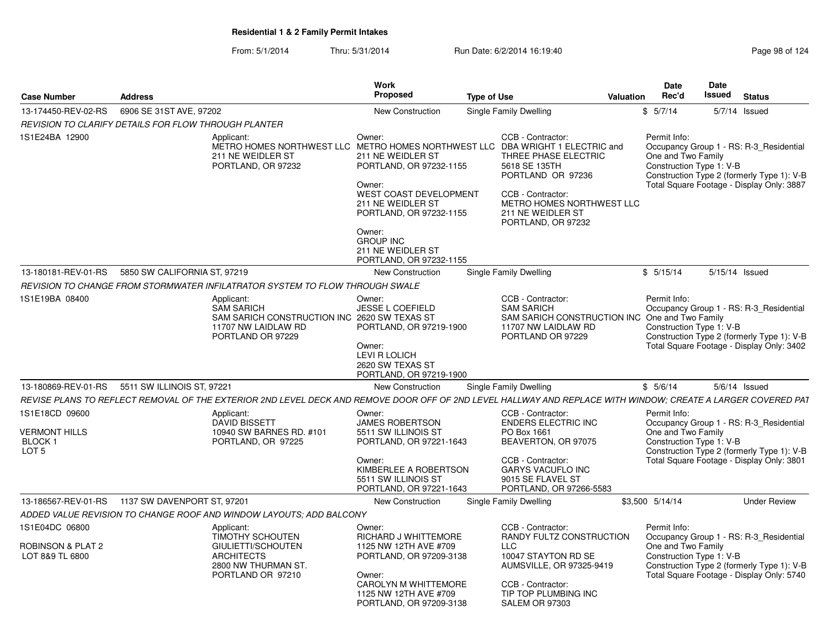| <b>Case Number</b>                                                               | <b>Address</b>                                                                                                                                               | Work<br>Proposed                                                                                                                                                         | <b>Type of Use</b>                                                                                                                                                                                                                                            | <b>Valuation</b> | <b>Date</b><br>Rec'd               | Date<br>Issued           | <b>Status</b>                                                                                                                      |
|----------------------------------------------------------------------------------|--------------------------------------------------------------------------------------------------------------------------------------------------------------|--------------------------------------------------------------------------------------------------------------------------------------------------------------------------|---------------------------------------------------------------------------------------------------------------------------------------------------------------------------------------------------------------------------------------------------------------|------------------|------------------------------------|--------------------------|------------------------------------------------------------------------------------------------------------------------------------|
| 13-174450-REV-02-RS                                                              | 6906 SE 31ST AVE, 97202                                                                                                                                      | New Construction                                                                                                                                                         | Single Family Dwelling                                                                                                                                                                                                                                        |                  | \$5/7/14                           |                          | $5/7/14$ Issued                                                                                                                    |
|                                                                                  | REVISION TO CLARIFY DETAILS FOR FLOW THROUGH PLANTER                                                                                                         |                                                                                                                                                                          |                                                                                                                                                                                                                                                               |                  |                                    |                          |                                                                                                                                    |
| 1S1E24BA 12900                                                                   | Applicant:<br>211 NE WEIDLER ST<br>PORTLAND, OR 97232                                                                                                        | Owner:<br>211 NE WEIDLER ST<br>PORTLAND, OR 97232-1155<br>Owner:<br>WEST COAST DEVELOPMENT<br>211 NE WEIDLER ST<br>PORTLAND, OR 97232-1155                               | CCB - Contractor:<br>METRO HOMES NORTHWEST LLC METRO HOMES NORTHWEST LLC DBA WRIGHT 1 ELECTRIC and<br>THREE PHASE ELECTRIC<br>5618 SE 135TH<br>PORTLAND OR 97236<br>CCB - Contractor:<br>METRO HOMES NORTHWEST LLC<br>211 NE WEIDLER ST<br>PORTLAND, OR 97232 |                  | Permit Info:<br>One and Two Family | Construction Type 1: V-B | Occupancy Group 1 - RS: R-3_Residential<br>Construction Type 2 (formerly Type 1): V-B<br>Total Square Footage - Display Only: 3887 |
|                                                                                  |                                                                                                                                                              | Owner:<br><b>GROUP INC</b><br>211 NE WEIDLER ST<br>PORTLAND, OR 97232-1155                                                                                               |                                                                                                                                                                                                                                                               |                  |                                    |                          |                                                                                                                                    |
|                                                                                  | 13-180181-REV-01-RS 5850 SW CALIFORNIA ST, 97219                                                                                                             | <b>New Construction</b>                                                                                                                                                  | Single Family Dwelling                                                                                                                                                                                                                                        |                  | \$5/15/14                          | 5/15/14 Issued           |                                                                                                                                    |
|                                                                                  | REVISION TO CHANGE FROM STORMWATER INFILATRATOR SYSTEM TO FLOW THROUGH SWALE                                                                                 |                                                                                                                                                                          |                                                                                                                                                                                                                                                               |                  |                                    |                          |                                                                                                                                    |
| 1S1E19BA 08400                                                                   | Applicant:<br><b>SAM SARICH</b><br>SAM SARICH CONSTRUCTION INC 2620 SW TEXAS ST<br>11707 NW LAIDLAW RD<br>PORTLAND OR 97229                                  | Owner:<br>JESSE L COEFIELD<br>PORTLAND, OR 97219-1900<br>Owner:<br>LEVI R LOLICH<br>2620 SW TEXAS ST<br>PORTLAND, OR 97219-1900                                          | CCB - Contractor:<br><b>SAM SARICH</b><br>SAM SARICH CONSTRUCTION INC One and Two Family<br>11707 NW LAIDLAW RD<br>PORTLAND OR 97229                                                                                                                          |                  | Permit Info:                       | Construction Type 1: V-B | Occupancy Group 1 - RS: R-3_Residential<br>Construction Type 2 (formerly Type 1): V-B<br>Total Square Footage - Display Only: 3402 |
|                                                                                  | 13-180869-REV-01-RS 5511 SW ILLINOIS ST, 97221                                                                                                               | New Construction                                                                                                                                                         | Single Family Dwelling                                                                                                                                                                                                                                        |                  | \$5/6/14                           |                          | $5/6/14$ Issued                                                                                                                    |
|                                                                                  | REVISE PLANS TO REFLECT REMOVAL OF THE EXTERIOR 2ND LEVEL DECK AND REMOVE DOOR OFF OF 2ND LEVEL HALLWAY AND REPLACE WITH WINDOW; CREATE A LARGER COVERED PAT |                                                                                                                                                                          |                                                                                                                                                                                                                                                               |                  |                                    |                          |                                                                                                                                    |
| 1S1E18CD 09600<br><b>VERMONT HILLS</b><br>BLOCK <sub>1</sub><br>LOT <sub>5</sub> | Applicant:<br><b>DAVID BISSETT</b><br>10940 SW BARNES RD, #101<br>PORTLAND, OR 97225                                                                         | Owner:<br><b>JAMES ROBERTSON</b><br>5511 SW ILLINOIS ST<br>PORTLAND, OR 97221-1643<br>Owner:<br>KIMBERLEE A ROBERTSON<br>5511 SW ILLINOIS ST<br>PORTLAND, OR 97221-1643  | CCB - Contractor:<br><b>ENDERS ELECTRIC INC</b><br>PO Box 1661<br>BEAVERTON, OR 97075<br>CCB - Contractor:<br>GARYS VACUFLO INC<br>9015 SE FLAVEL ST<br>PORTLAND, OR 97266-5583                                                                               |                  | Permit Info:<br>One and Two Family | Construction Type 1: V-B | Occupancy Group 1 - RS: R-3_Residential<br>Construction Type 2 (formerly Type 1): V-B<br>Total Square Footage - Display Only: 3801 |
|                                                                                  |                                                                                                                                                              | <b>New Construction</b>                                                                                                                                                  | Single Family Dwelling                                                                                                                                                                                                                                        |                  | \$3,500 5/14/14                    |                          | <b>Under Review</b>                                                                                                                |
|                                                                                  | ADDED VALUE REVISION TO CHANGE ROOF AND WINDOW LAYOUTS; ADD BALCONY                                                                                          |                                                                                                                                                                          |                                                                                                                                                                                                                                                               |                  |                                    |                          |                                                                                                                                    |
| 1S1E04DC 06800<br>ROBINSON & PLAT 2<br>LOT 8&9 TL 6800                           | Applicant:<br><b>TIMOTHY SCHOUTEN</b><br>GIULIETTI/SCHOUTEN<br><b>ARCHITECTS</b><br>2800 NW THURMAN ST.<br>PORTLAND OR 97210                                 | Owner:<br>RICHARD J WHITTEMORE<br>1125 NW 12TH AVE #709<br>PORTLAND, OR 97209-3138<br>Owner:<br>CAROLYN M WHITTEMORE<br>1125 NW 12TH AVE #709<br>PORTLAND, OR 97209-3138 | CCB - Contractor:<br>RANDY FULTZ CONSTRUCTION<br>LLC<br>10047 STAYTON RD SE<br>AUMSVILLE, OR 97325-9419<br>CCB - Contractor:<br>TIP TOP PLUMBING INC<br>SALEM OR 97303                                                                                        |                  | Permit Info:<br>One and Two Family | Construction Type 1: V-B | Occupancy Group 1 - RS: R-3_Residential<br>Construction Type 2 (formerly Type 1): V-B<br>Total Square Footage - Display Only: 5740 |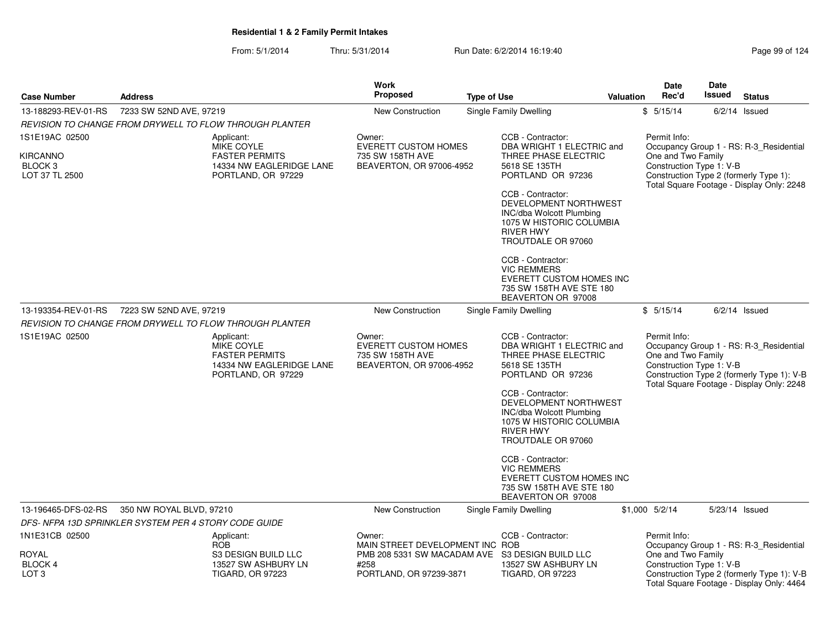|                                                         |                          |                                                                                                     | <b>Work</b>                                                                           |                    |                                                                                                                                              |                  | Date                                           | Date                     |                                                                                                                                    |
|---------------------------------------------------------|--------------------------|-----------------------------------------------------------------------------------------------------|---------------------------------------------------------------------------------------|--------------------|----------------------------------------------------------------------------------------------------------------------------------------------|------------------|------------------------------------------------|--------------------------|------------------------------------------------------------------------------------------------------------------------------------|
| <b>Case Number</b>                                      | <b>Address</b>           |                                                                                                     | <b>Proposed</b>                                                                       | <b>Type of Use</b> |                                                                                                                                              | <b>Valuation</b> | Rec'd                                          | Issued                   | <b>Status</b>                                                                                                                      |
| 13-188293-REV-01-RS                                     | 7233 SW 52ND AVE, 97219  |                                                                                                     | <b>New Construction</b>                                                               |                    | <b>Single Family Dwelling</b>                                                                                                                |                  | \$5/15/14                                      |                          | $6/2/14$ Issued                                                                                                                    |
|                                                         |                          | REVISION TO CHANGE FROM DRYWELL TO FLOW THROUGH PLANTER                                             |                                                                                       |                    |                                                                                                                                              |                  |                                                |                          |                                                                                                                                    |
| 1S1E19AC 02500                                          |                          | Applicant:<br>MIKE COYLE                                                                            | Owner:<br><b>EVERETT CUSTOM HOMES</b>                                                 |                    | CCB - Contractor:<br>DBA WRIGHT 1 ELECTRIC and                                                                                               |                  | Permit Info:                                   |                          | Occupancy Group 1 - RS: R-3_Residential                                                                                            |
| <b>KIRCANNO</b><br>BLOCK <sub>3</sub><br>LOT 37 TL 2500 |                          | <b>FASTER PERMITS</b><br>14334 NW EAGLERIDGE LANE<br>PORTLAND, OR 97229                             | 735 SW 158TH AVE<br>BEAVERTON, OR 97006-4952                                          |                    | THREE PHASE ELECTRIC<br>5618 SE 135TH<br>PORTLAND OR 97236                                                                                   |                  | One and Two Family<br>Construction Type 1: V-B |                          | Construction Type 2 (formerly Type 1):<br>Total Square Footage - Display Only: 2248                                                |
|                                                         |                          |                                                                                                     |                                                                                       |                    | CCB - Contractor:<br>DEVELOPMENT NORTHWEST<br>INC/dba Wolcott Plumbing<br>1075 W HISTORIC COLUMBIA<br><b>RIVER HWY</b><br>TROUTDALE OR 97060 |                  |                                                |                          |                                                                                                                                    |
|                                                         |                          |                                                                                                     |                                                                                       |                    | CCB - Contractor:<br><b>VIC REMMERS</b><br><b>EVERETT CUSTOM HOMES INC</b><br>735 SW 158TH AVE STE 180<br>BEAVERTON OR 97008                 |                  |                                                |                          |                                                                                                                                    |
| 13-193354-REV-01-RS                                     | 7223 SW 52ND AVE, 97219  |                                                                                                     | New Construction                                                                      |                    | Single Family Dwelling                                                                                                                       |                  | \$5/15/14                                      |                          | $6/2/14$ Issued                                                                                                                    |
|                                                         |                          | REVISION TO CHANGE FROM DRYWELL TO FLOW THROUGH PLANTER                                             |                                                                                       |                    |                                                                                                                                              |                  |                                                |                          |                                                                                                                                    |
| 1S1E19AC 02500                                          |                          | Applicant:<br>MIKE COYLE<br><b>FASTER PERMITS</b><br>14334 NW EAGLERIDGE LANE<br>PORTLAND, OR 97229 | Owner:<br><b>EVERETT CUSTOM HOMES</b><br>735 SW 158TH AVE<br>BEAVERTON, OR 97006-4952 |                    | CCB - Contractor:<br>DBA WRIGHT 1 ELECTRIC and<br>THREE PHASE ELECTRIC<br>5618 SE 135TH<br>PORTLAND OR 97236<br>CCB - Contractor:            |                  | Permit Info:<br>One and Two Family             | Construction Type 1: V-B | Occupancy Group 1 - RS: R-3_Residential<br>Construction Type 2 (formerly Type 1): V-B<br>Total Square Footage - Display Only: 2248 |
|                                                         |                          |                                                                                                     |                                                                                       |                    | DEVELOPMENT NORTHWEST<br><b>INC/dba Wolcott Plumbing</b><br>1075 W HISTORIC COLUMBIA<br><b>RIVER HWY</b><br>TROUTDALE OR 97060               |                  |                                                |                          |                                                                                                                                    |
|                                                         |                          |                                                                                                     |                                                                                       |                    | CCB - Contractor:<br><b>VIC REMMERS</b><br>EVERETT CUSTOM HOMES INC<br>735 SW 158TH AVE STE 180<br>BEAVERTON OR 97008                        |                  |                                                |                          |                                                                                                                                    |
| 13-196465-DFS-02-RS                                     | 350 NW ROYAL BLVD, 97210 |                                                                                                     | New Construction                                                                      |                    | <b>Single Family Dwelling</b>                                                                                                                |                  | \$1,000 5/2/14                                 |                          | 5/23/14 Issued                                                                                                                     |
| DFS-NFPA 13D SPRINKLER SYSTEM PER 4 STORY CODE GUIDE    |                          |                                                                                                     |                                                                                       |                    |                                                                                                                                              |                  |                                                |                          |                                                                                                                                    |
| 1N1E31CB 02500                                          |                          | Applicant:<br><b>ROB</b>                                                                            | Owner:<br>MAIN STREET DEVELOPMENT INC ROB                                             |                    | CCB - Contractor:                                                                                                                            |                  | Permit Info:                                   |                          | Occupancy Group 1 - RS: R-3_Residential                                                                                            |
| ROYAL<br><b>BLOCK4</b><br>LOT <sub>3</sub>              |                          | S3 DESIGN BUILD LLC<br>13527 SW ASHBURY LN<br><b>TIGARD, OR 97223</b>                               | PMB 208 5331 SW MACADAM AVE S3 DESIGN BUILD LLC<br>#258<br>PORTLAND, OR 97239-3871    |                    | 13527 SW ASHBURY LN<br><b>TIGARD, OR 97223</b>                                                                                               |                  | One and Two Family<br>Construction Type 1: V-B |                          | Construction Type 2 (formerly Type 1): V-B<br>Total Square Footage - Display Only: 4464                                            |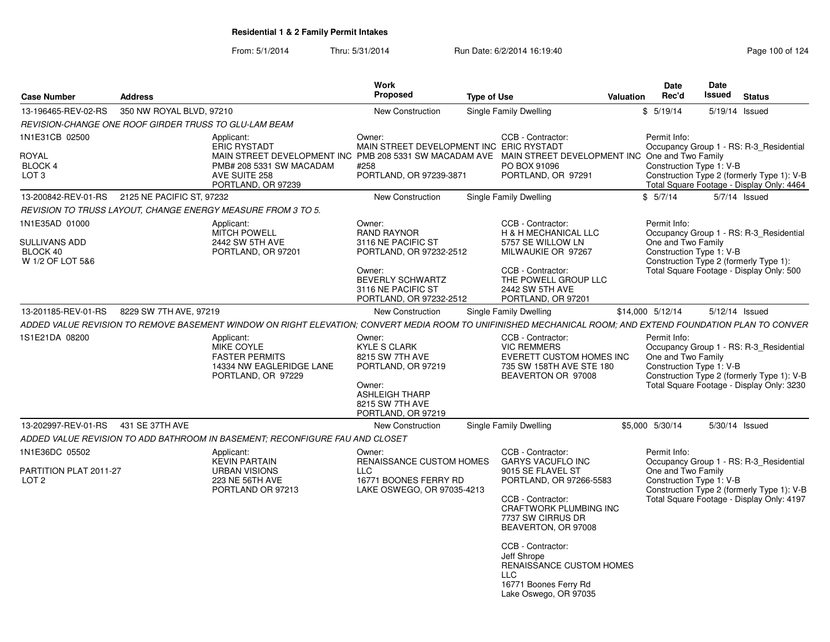| <b>Case Number</b>                                              | <b>Address</b>            |                                                                                                                                                                 | Work<br>Proposed                                                                                                                                      | <b>Type of Use</b> |                                                                                                                                                                                                                                                                                                                          | <b>Valuation</b> | <b>Date</b><br>Rec'd | Date<br>Issued                                                                                                                                                                                                                                                                                                                                                                                                                                                                                                                                                                                                                                                                                                                                                                                                                 | <b>Status</b> |
|-----------------------------------------------------------------|---------------------------|-----------------------------------------------------------------------------------------------------------------------------------------------------------------|-------------------------------------------------------------------------------------------------------------------------------------------------------|--------------------|--------------------------------------------------------------------------------------------------------------------------------------------------------------------------------------------------------------------------------------------------------------------------------------------------------------------------|------------------|----------------------|--------------------------------------------------------------------------------------------------------------------------------------------------------------------------------------------------------------------------------------------------------------------------------------------------------------------------------------------------------------------------------------------------------------------------------------------------------------------------------------------------------------------------------------------------------------------------------------------------------------------------------------------------------------------------------------------------------------------------------------------------------------------------------------------------------------------------------|---------------|
| 13-196465-REV-02-RS                                             | 350 NW ROYAL BLVD, 97210  |                                                                                                                                                                 | <b>New Construction</b>                                                                                                                               |                    | Single Family Dwelling                                                                                                                                                                                                                                                                                                   |                  | \$5/19/14            |                                                                                                                                                                                                                                                                                                                                                                                                                                                                                                                                                                                                                                                                                                                                                                                                                                |               |
| REVISION-CHANGE ONE ROOF GIRDER TRUSS TO GLU-LAM BEAM           |                           |                                                                                                                                                                 |                                                                                                                                                       |                    |                                                                                                                                                                                                                                                                                                                          |                  |                      | 5/19/14 Issued<br>Occupancy Group 1 - RS: R-3_Residential<br>One and Two Family<br>Construction Type 1: V-B<br>Construction Type 2 (formerly Type 1): V-B<br>Total Square Footage - Display Only: 4464<br>5/7/14 Issued<br>Occupancy Group 1 - RS: R-3 Residential<br>One and Two Family<br>Construction Type 1: V-B<br>Construction Type 2 (formerly Type 1):<br>Total Square Footage - Display Only: 500<br>5/12/14 Issued<br>Occupancy Group 1 - RS: R-3 Residential<br>One and Two Family<br>Construction Type 1: V-B<br>Construction Type 2 (formerly Type 1): V-B<br>Total Square Footage - Display Only: 3230<br>5/30/14 Issued<br>Occupancy Group 1 - RS: R-3 Residential<br>One and Two Family<br>Construction Type 1: V-B<br>Construction Type 2 (formerly Type 1): V-B<br>Total Square Footage - Display Only: 4197 |               |
| 1N1E31CB 02500<br>ROYAL<br><b>BLOCK 4</b><br>LOT <sub>3</sub>   |                           | Applicant:<br><b>ERIC RYSTADT</b><br>MAIN STREET DEVELOPMENT INC PMB 208 5331 SW MACADAM AVE<br>PMB# 208 5331 SW MACADAM<br>AVE SUITE 258<br>PORTLAND, OR 97239 | Owner:<br>MAIN STREET DEVELOPMENT INC ERIC RYSTADT<br>#258<br>PORTLAND, OR 97239-3871                                                                 |                    | CCB - Contractor:<br>MAIN STREET DEVELOPMENT INC<br>PO BOX 91096<br>PORTLAND, OR 97291                                                                                                                                                                                                                                   |                  | Permit Info:         |                                                                                                                                                                                                                                                                                                                                                                                                                                                                                                                                                                                                                                                                                                                                                                                                                                |               |
| 13-200842-REV-01-RS                                             | 2125 NE PACIFIC ST, 97232 |                                                                                                                                                                 | New Construction                                                                                                                                      |                    | Single Family Dwelling                                                                                                                                                                                                                                                                                                   |                  | \$5/7/14             |                                                                                                                                                                                                                                                                                                                                                                                                                                                                                                                                                                                                                                                                                                                                                                                                                                |               |
|                                                                 |                           | REVISION TO TRUSS LAYOUT, CHANGE ENERGY MEASURE FROM 3 TO 5.                                                                                                    |                                                                                                                                                       |                    |                                                                                                                                                                                                                                                                                                                          |                  |                      |                                                                                                                                                                                                                                                                                                                                                                                                                                                                                                                                                                                                                                                                                                                                                                                                                                |               |
| 1N1E35AD 01000<br>SULLIVANS ADD<br>BLOCK 40<br>W 1/2 OF LOT 5&6 |                           | Applicant:<br><b>MITCH POWELL</b><br>2442 SW 5TH AVE<br>PORTLAND, OR 97201                                                                                      | Owner:<br>RAND RAYNOR<br>3116 NE PACIFIC ST<br>PORTLAND, OR 97232-2512<br>Owner:<br>BEVERLY SCHWARTZ<br>3116 NE PACIFIC ST<br>PORTLAND, OR 97232-2512 |                    | CCB - Contractor:<br>H & H MECHANICAL LLC<br>5757 SE WILLOW LN<br>MILWAUKIE OR 97267<br>CCB - Contractor:<br>THE POWELL GROUP LLC<br>2442 SW 5TH AVE<br>PORTLAND, OR 97201                                                                                                                                               |                  | Permit Info:         |                                                                                                                                                                                                                                                                                                                                                                                                                                                                                                                                                                                                                                                                                                                                                                                                                                |               |
| 13-201185-REV-01-RS                                             | 8229 SW 7TH AVE, 97219    |                                                                                                                                                                 | New Construction                                                                                                                                      |                    | Single Family Dwelling                                                                                                                                                                                                                                                                                                   |                  | \$14,000 5/12/14     |                                                                                                                                                                                                                                                                                                                                                                                                                                                                                                                                                                                                                                                                                                                                                                                                                                |               |
|                                                                 |                           | ADDED VALUE REVISION TO REMOVE BASEMENT WINDOW ON RIGHT ELEVATION; CONVERT MEDIA ROOM TO UNIFINISHED MECHANICAL ROOM; AND EXTEND FOUNDATION PLAN TO CONVER      |                                                                                                                                                       |                    |                                                                                                                                                                                                                                                                                                                          |                  |                      |                                                                                                                                                                                                                                                                                                                                                                                                                                                                                                                                                                                                                                                                                                                                                                                                                                |               |
| 1S1E21DA 08200                                                  |                           | Applicant:<br><b>MIKE COYLE</b><br><b>FASTER PERMITS</b><br>14334 NW EAGLERIDGE LANE<br>PORTLAND, OR 97229                                                      | Owner:<br><b>KYLE S CLARK</b><br>8215 SW 7TH AVE<br>PORTLAND, OR 97219<br>Owner:<br><b>ASHLEIGH THARP</b><br>8215 SW 7TH AVE<br>PORTLAND, OR 97219    |                    | CCB - Contractor:<br><b>VIC REMMERS</b><br>EVERETT CUSTOM HOMES INC<br>735 SW 158TH AVE STE 180<br>BEAVERTON OR 97008                                                                                                                                                                                                    |                  | Permit Info:         |                                                                                                                                                                                                                                                                                                                                                                                                                                                                                                                                                                                                                                                                                                                                                                                                                                |               |
| 13-202997-REV-01-RS                                             | 431 SE 37TH AVE           |                                                                                                                                                                 | <b>New Construction</b>                                                                                                                               |                    | Single Family Dwelling                                                                                                                                                                                                                                                                                                   |                  | \$5,000 5/30/14      |                                                                                                                                                                                                                                                                                                                                                                                                                                                                                                                                                                                                                                                                                                                                                                                                                                |               |
|                                                                 |                           | ADDED VALUE REVISION TO ADD BATHROOM IN BASEMENT: RECONFIGURE FAU AND CLOSET                                                                                    |                                                                                                                                                       |                    |                                                                                                                                                                                                                                                                                                                          |                  |                      |                                                                                                                                                                                                                                                                                                                                                                                                                                                                                                                                                                                                                                                                                                                                                                                                                                |               |
| 1N1E36DC 05502<br>PARTITION PLAT 2011-27<br>LOT <sub>2</sub>    |                           | Applicant:<br><b>KEVIN PARTAIN</b><br><b>URBAN VISIONS</b><br>223 NE 56TH AVE<br>PORTLAND OR 97213                                                              | Owner:<br><b>RENAISSANCE CUSTOM HOMES</b><br><b>LLC</b><br>16771 BOONES FERRY RD<br>LAKE OSWEGO, OR 97035-4213                                        |                    | CCB - Contractor:<br><b>GARYS VACUFLO INC</b><br>9015 SE FLAVEL ST<br>PORTLAND, OR 97266-5583<br>CCB - Contractor:<br>CRAFTWORK PLUMBING INC<br>7737 SW CIRRUS DR<br>BEAVERTON, OR 97008<br>CCB - Contractor:<br>Jeff Shrope<br>RENAISSANCE CUSTOM HOMES<br><b>LLC</b><br>16771 Boones Ferry Rd<br>Lake Oswego, OR 97035 |                  | Permit Info:         |                                                                                                                                                                                                                                                                                                                                                                                                                                                                                                                                                                                                                                                                                                                                                                                                                                |               |
|                                                                 |                           |                                                                                                                                                                 |                                                                                                                                                       |                    |                                                                                                                                                                                                                                                                                                                          |                  |                      |                                                                                                                                                                                                                                                                                                                                                                                                                                                                                                                                                                                                                                                                                                                                                                                                                                |               |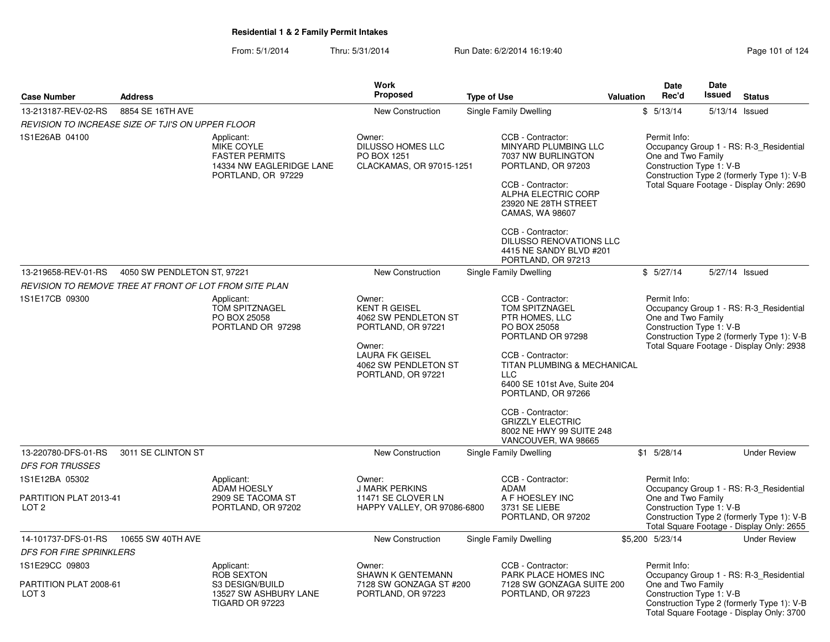|                                                              |                                                        |                                                                                                     | <b>Work</b>                                                                                                                                                    |                                                                                                                                                                                                                                                                                                                       |                  | <b>Date</b>                                                    | <b>Date</b>   |                                                                                                                                    |
|--------------------------------------------------------------|--------------------------------------------------------|-----------------------------------------------------------------------------------------------------|----------------------------------------------------------------------------------------------------------------------------------------------------------------|-----------------------------------------------------------------------------------------------------------------------------------------------------------------------------------------------------------------------------------------------------------------------------------------------------------------------|------------------|----------------------------------------------------------------|---------------|------------------------------------------------------------------------------------------------------------------------------------|
| <b>Case Number</b>                                           | <b>Address</b>                                         |                                                                                                     | <b>Proposed</b>                                                                                                                                                | <b>Type of Use</b>                                                                                                                                                                                                                                                                                                    | <b>Valuation</b> | Rec'd                                                          | <b>Issued</b> | <b>Status</b>                                                                                                                      |
| 13-213187-REV-02-RS                                          | 8854 SE 16TH AVE                                       |                                                                                                     | New Construction                                                                                                                                               | <b>Single Family Dwelling</b>                                                                                                                                                                                                                                                                                         |                  | \$5/13/14                                                      |               | 5/13/14 Issued                                                                                                                     |
|                                                              | REVISION TO INCREASE SIZE OF TJI'S ON UPPER FLOOR      |                                                                                                     |                                                                                                                                                                |                                                                                                                                                                                                                                                                                                                       |                  |                                                                |               |                                                                                                                                    |
| 1S1E26AB 04100                                               |                                                        | Applicant:<br>MIKE COYLE<br><b>FASTER PERMITS</b><br>14334 NW EAGLERIDGE LANE<br>PORTLAND, OR 97229 | Owner:<br>DILUSSO HOMES LLC<br>PO BOX 1251<br>CLACKAMAS, OR 97015-1251                                                                                         | CCB - Contractor:<br>MINYARD PLUMBING LLC<br>7037 NW BURLINGTON<br>PORTLAND, OR 97203<br>CCB - Contractor:<br>ALPHA ELECTRIC CORP<br>23920 NE 28TH STREET<br>CAMAS, WA 98607<br>CCB - Contractor:<br>DILUSSO RENOVATIONS LLC<br>4415 NE SANDY BLVD #201<br>PORTLAND, OR 97213                                         |                  | Permit Info:<br>One and Two Family<br>Construction Type 1: V-B |               | Occupancy Group 1 - RS: R-3_Residential<br>Construction Type 2 (formerly Type 1): V-B<br>Total Square Footage - Display Only: 2690 |
| 13-219658-REV-01-RS                                          | 4050 SW PENDLETON ST, 97221                            |                                                                                                     | New Construction                                                                                                                                               | Single Family Dwelling                                                                                                                                                                                                                                                                                                |                  | \$5/27/14                                                      |               | 5/27/14 Issued                                                                                                                     |
|                                                              | REVISION TO REMOVE TREE AT FRONT OF LOT FROM SITE PLAN |                                                                                                     |                                                                                                                                                                |                                                                                                                                                                                                                                                                                                                       |                  |                                                                |               |                                                                                                                                    |
| 1S1E17CB 09300                                               |                                                        | Applicant:<br><b>TOM SPITZNAGEL</b><br>PO BOX 25058<br>PORTLAND OR 97298                            | Owner:<br><b>KENT R GEISEL</b><br>4062 SW PENDLETON ST<br>PORTLAND, OR 97221<br>Owner:<br><b>LAURA FK GEISEL</b><br>4062 SW PENDLETON ST<br>PORTLAND, OR 97221 | CCB - Contractor:<br>TOM SPITZNAGEL<br>PTR HOMES, LLC<br>PO BOX 25058<br>PORTLAND OR 97298<br>CCB - Contractor:<br>TITAN PLUMBING & MECHANICAL<br><b>LLC</b><br>6400 SE 101st Ave, Suite 204<br>PORTLAND, OR 97266<br>CCB - Contractor:<br><b>GRIZZLY ELECTRIC</b><br>8002 NE HWY 99 SUITE 248<br>VANCOUVER, WA 98665 |                  | Permit Info:<br>One and Two Family<br>Construction Type 1: V-B |               | Occupancy Group 1 - RS: R-3_Residential<br>Construction Type 2 (formerly Type 1): V-B<br>Total Square Footage - Display Only: 2938 |
| 13-220780-DFS-01-RS                                          | 3011 SE CLINTON ST                                     |                                                                                                     | <b>New Construction</b>                                                                                                                                        | Single Family Dwelling                                                                                                                                                                                                                                                                                                |                  | $$1$ 5/28/14                                                   |               | <b>Under Review</b>                                                                                                                |
| <b>DFS FOR TRUSSES</b>                                       |                                                        |                                                                                                     |                                                                                                                                                                |                                                                                                                                                                                                                                                                                                                       |                  |                                                                |               |                                                                                                                                    |
| 1S1E12BA 05302<br>PARTITION PLAT 2013-41<br>LOT <sub>2</sub> |                                                        | Applicant:<br><b>ADAM HOESLY</b><br>2909 SE TACOMA ST<br>PORTLAND, OR 97202                         | Owner:<br><b>J MARK PERKINS</b><br>11471 SE CLOVER LN<br>HAPPY VALLEY, OR 97086-6800                                                                           | CCB - Contractor:<br><b>ADAM</b><br>A F HOESLEY INC<br>3731 SE LIEBE<br>PORTLAND, OR 97202                                                                                                                                                                                                                            |                  | Permit Info:<br>One and Two Family<br>Construction Type 1: V-B |               | Occupancy Group 1 - RS: R-3_Residential<br>Construction Type 2 (formerly Type 1): V-B<br>Total Square Footage - Display Only: 2655 |
| 14-101737-DFS-01-RS                                          | 10655 SW 40TH AVE                                      |                                                                                                     | <b>New Construction</b>                                                                                                                                        | Single Family Dwelling                                                                                                                                                                                                                                                                                                |                  | \$5,200 5/23/14                                                |               | <b>Under Review</b>                                                                                                                |
| <b>DFS FOR FIRE SPRINKLERS</b>                               |                                                        |                                                                                                     |                                                                                                                                                                |                                                                                                                                                                                                                                                                                                                       |                  |                                                                |               |                                                                                                                                    |
| 1S1E29CC 09803<br>PARTITION PLAT 2008-61<br>LOT <sub>3</sub> |                                                        | Applicant:<br><b>ROB SEXTON</b><br>S3 DESIGN/BUILD<br>13527 SW ASHBURY LANE<br>TIGARD OR 97223      | Owner:<br>SHAWN K GENTEMANN<br>7128 SW GONZAGA ST #200<br>PORTLAND, OR 97223                                                                                   | CCB - Contractor:<br>PARK PLACE HOMES INC<br>7128 SW GONZAGA SUITE 200<br>PORTLAND, OR 97223                                                                                                                                                                                                                          |                  | Permit Info:<br>One and Two Family<br>Construction Type 1: V-B |               | Occupancy Group 1 - RS: R-3 Residential<br>Construction Type 2 (formerly Type 1): V-B<br>Total Square Footage - Display Only: 3700 |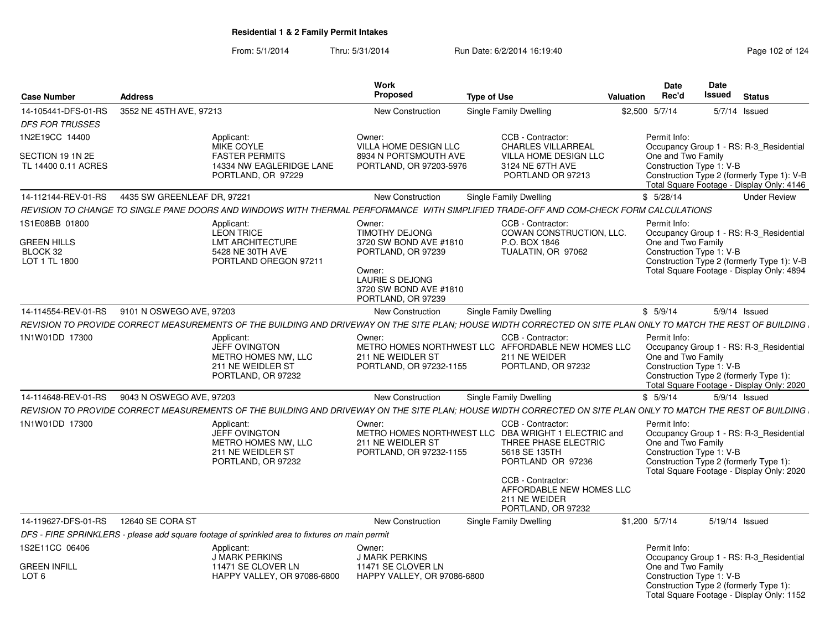| <b>Case Number</b>                                                | <b>Address</b>                                                                                          | Work<br><b>Proposed</b>                                                                                                                                       | <b>Type of Use</b>                                                                                                                     | <b>Valuation</b> | Date<br>Rec'd                                                  | Date<br>Issued  | <b>Status</b>                                                                                                                      |
|-------------------------------------------------------------------|---------------------------------------------------------------------------------------------------------|---------------------------------------------------------------------------------------------------------------------------------------------------------------|----------------------------------------------------------------------------------------------------------------------------------------|------------------|----------------------------------------------------------------|-----------------|------------------------------------------------------------------------------------------------------------------------------------|
| 14-105441-DFS-01-RS                                               | 3552 NE 45TH AVE, 97213                                                                                 | New Construction                                                                                                                                              | Single Family Dwelling                                                                                                                 | \$2,500 5/7/14   |                                                                | 5/7/14 Issued   |                                                                                                                                    |
| <b>DFS FOR TRUSSES</b>                                            |                                                                                                         |                                                                                                                                                               |                                                                                                                                        |                  |                                                                |                 |                                                                                                                                    |
| 1N2E19CC 14400                                                    | Applicant:<br>MIKE COYLE                                                                                | Owner:<br>VILLA HOME DESIGN LLC                                                                                                                               | CCB - Contractor:<br>CHARLES VILLARREAL                                                                                                |                  | Permit Info:                                                   |                 | Occupancy Group 1 - RS: R-3_Residential                                                                                            |
| SECTION 19 1N 2E<br>TL 14400 0.11 ACRES                           | <b>FASTER PERMITS</b><br>14334 NW EAGLERIDGE LANE<br>PORTLAND, OR 97229                                 | 8934 N PORTSMOUTH AVE<br>PORTLAND, OR 97203-5976                                                                                                              | <b>VILLA HOME DESIGN LLC</b><br>3124 NE 67TH AVE<br>PORTLAND OR 97213                                                                  |                  | One and Two Family<br>Construction Type 1: V-B                 |                 | Construction Type 2 (formerly Type 1): V-B<br>Total Square Footage - Display Only: 4146                                            |
| 14-112144-REV-01-RS                                               | 4435 SW GREENLEAF DR, 97221                                                                             | <b>New Construction</b>                                                                                                                                       | Single Family Dwelling                                                                                                                 |                  | \$5/28/14                                                      |                 | <b>Under Review</b>                                                                                                                |
|                                                                   |                                                                                                         | REVISION TO CHANGE TO SINGLE PANE DOORS AND WINDOWS WITH THERMAL PERFORMANCE WITH SIMPLIFIED TRADE-OFF AND COM-CHECK FORM CALCULATIONS                        |                                                                                                                                        |                  |                                                                |                 |                                                                                                                                    |
| 1S1E08BB 01800<br><b>GREEN HILLS</b><br>BLOCK 32<br>LOT 1 TL 1800 | Applicant:<br><b>LEON TRICE</b><br><b>LMT ARCHITECTURE</b><br>5428 NE 30TH AVE<br>PORTLAND OREGON 97211 | Owner:<br>TIMOTHY DEJONG<br>3720 SW BOND AVE #1810<br>PORTLAND, OR 97239<br>Owner:<br><b>LAURIE S DEJONG</b><br>3720 SW BOND AVE #1810                        | CCB - Contractor:<br>COWAN CONSTRUCTION, LLC.<br>P.O. BOX 1846<br>TUALATIN, OR 97062                                                   |                  | Permit Info:<br>One and Two Family<br>Construction Type 1: V-B |                 | Occupancy Group 1 - RS: R-3_Residential<br>Construction Type 2 (formerly Type 1): V-B<br>Total Square Footage - Display Only: 4894 |
|                                                                   |                                                                                                         | PORTLAND, OR 97239                                                                                                                                            |                                                                                                                                        |                  |                                                                |                 |                                                                                                                                    |
| 14-114554-REV-01-RS                                               | 9101 N OSWEGO AVE, 97203                                                                                | New Construction                                                                                                                                              | Single Family Dwelling                                                                                                                 |                  | \$5/9/14                                                       | $5/9/14$ Issued |                                                                                                                                    |
|                                                                   |                                                                                                         | REVISION TO PROVIDE CORRECT MEASUREMENTS OF THE BUILDING AND DRIVEWAY ON THE SITE PLAN; HOUSE WIDTH CORRECTED ON SITE PLAN ONLY TO MATCH THE REST OF BUILDING |                                                                                                                                        |                  |                                                                |                 |                                                                                                                                    |
| 1N1W01DD 17300                                                    | Applicant:<br><b>JEFF OVINGTON</b><br>METRO HOMES NW, LLC<br>211 NE WEIDLER ST<br>PORTLAND, OR 97232    | Owner:<br>211 NE WEIDLER ST<br>PORTLAND, OR 97232-1155                                                                                                        | CCB - Contractor:<br>METRO HOMES NORTHWEST LLC AFFORDABLE NEW HOMES LLC<br>211 NE WEIDER<br>PORTLAND, OR 97232                         |                  | Permit Info:<br>One and Two Family<br>Construction Type 1: V-B |                 | Occupancy Group 1 - RS: R-3 Residential<br>Construction Type 2 (formerly Type 1):<br>Total Square Footage - Display Only: 2020     |
| 14-114648-REV-01-RS                                               | 9043 N OSWEGO AVE, 97203                                                                                | <b>New Construction</b>                                                                                                                                       | <b>Single Family Dwelling</b>                                                                                                          |                  | \$5/9/14                                                       |                 | 5/9/14 Issued                                                                                                                      |
|                                                                   |                                                                                                         | REVISION TO PROVIDE CORRECT MEASUREMENTS OF THE BUILDING AND DRIVEWAY ON THE SITE PLAN; HOUSE WIDTH CORRECTED ON SITE PLAN ONLY TO MATCH THE REST OF BUILDING |                                                                                                                                        |                  |                                                                |                 |                                                                                                                                    |
| 1N1W01DD 17300                                                    | Applicant:<br><b>JEFF OVINGTON</b><br>METRO HOMES NW, LLC<br>211 NE WEIDLER ST<br>PORTLAND, OR 97232    | Owner:<br>211 NE WEIDLER ST<br>PORTLAND, OR 97232-1155                                                                                                        | CCB - Contractor:<br>METRO HOMES NORTHWEST LLC DBA WRIGHT 1 ELECTRIC and<br>THREE PHASE ELECTRIC<br>5618 SE 135TH<br>PORTLAND OR 97236 |                  | Permit Info:<br>One and Two Family<br>Construction Type 1: V-B |                 | Occupancy Group 1 - RS: R-3_Residential<br>Construction Type 2 (formerly Type 1):<br>Total Square Footage - Display Only: 2020     |
|                                                                   |                                                                                                         |                                                                                                                                                               | CCB - Contractor:<br>AFFORDABLE NEW HOMES LLC<br>211 NE WEIDER<br>PORTLAND, OR 97232                                                   |                  |                                                                |                 |                                                                                                                                    |
| 14-119627-DFS-01-RS                                               | 12640 SE CORA ST                                                                                        | <b>New Construction</b>                                                                                                                                       | <b>Single Family Dwelling</b>                                                                                                          | \$1,200 5/7/14   |                                                                | 5/19/14 Issued  |                                                                                                                                    |
|                                                                   | DFS - FIRE SPRINKLERS - please add square footage of sprinkled area to fixtures on main permit          |                                                                                                                                                               |                                                                                                                                        |                  |                                                                |                 |                                                                                                                                    |
| 1S2E11CC 06406                                                    | Applicant:<br><b>J MARK PERKINS</b>                                                                     | Owner:<br>J MARK PERKINS                                                                                                                                      |                                                                                                                                        |                  | Permit Info:                                                   |                 | Occupancy Group 1 - RS: R-3_Residential                                                                                            |
| <b>GREEN INFILL</b><br>LOT <sub>6</sub>                           | 11471 SE CLOVER LN<br>HAPPY VALLEY, OR 97086-6800                                                       | 11471 SE CLOVER LN<br>HAPPY VALLEY, OR 97086-6800                                                                                                             |                                                                                                                                        |                  | One and Two Family<br>Construction Type 1: V-B                 |                 | Construction Type 2 (formerly Type 1):<br>Total Square Footage - Display Only: 1152                                                |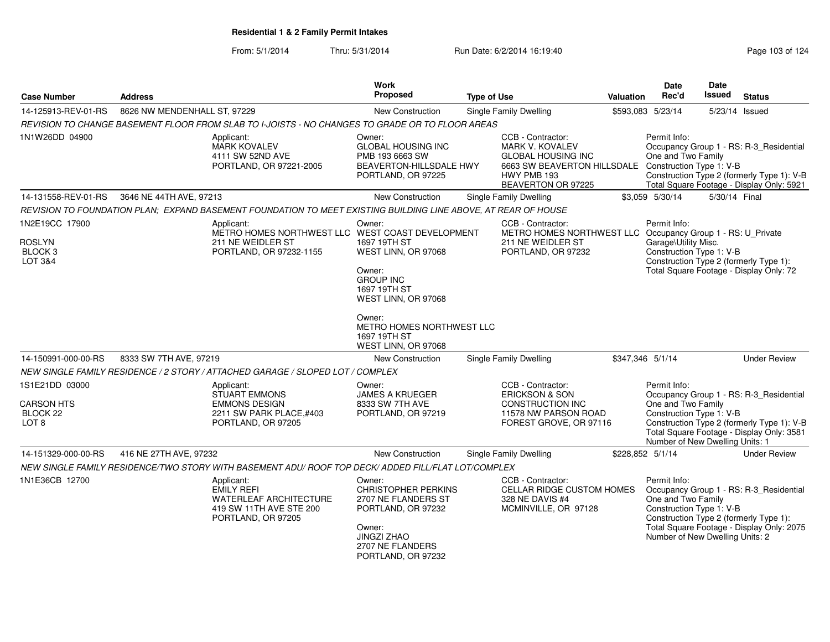| <b>Case Number</b><br><b>Address</b>                                |                              |                                                                                                                   | <b>Work</b><br>Proposed<br><b>Type of Use</b>                                                                                                                                                    |  |                                                                                                                                              | <b>Valuation</b> | <b>Date</b><br>Rec'd                                                                              | <b>Date</b><br>Issued | <b>Status</b>                                                                                                                      |
|---------------------------------------------------------------------|------------------------------|-------------------------------------------------------------------------------------------------------------------|--------------------------------------------------------------------------------------------------------------------------------------------------------------------------------------------------|--|----------------------------------------------------------------------------------------------------------------------------------------------|------------------|---------------------------------------------------------------------------------------------------|-----------------------|------------------------------------------------------------------------------------------------------------------------------------|
| 14-125913-REV-01-RS                                                 | 8626 NW MENDENHALL ST, 97229 |                                                                                                                   | <b>New Construction</b>                                                                                                                                                                          |  | <b>Single Family Dwelling</b>                                                                                                                |                  | \$593,083 5/23/14                                                                                 | 5/23/14 Issued        |                                                                                                                                    |
|                                                                     |                              | REVISION TO CHANGE BASEMENT FLOOR FROM SLAB TO I-JOISTS - NO CHANGES TO GRADE OR TO FLOOR AREAS                   |                                                                                                                                                                                                  |  |                                                                                                                                              |                  |                                                                                                   |                       |                                                                                                                                    |
| 1N1W26DD 04900                                                      |                              | Applicant:<br><b>MARK KOVALEV</b><br>4111 SW 52ND AVE<br>PORTLAND, OR 97221-2005                                  | Owner:<br><b>GLOBAL HOUSING INC</b><br>PMB 193 6663 SW<br>BEAVERTON-HILLSDALE HWY<br>PORTLAND, OR 97225                                                                                          |  | CCB - Contractor:<br><b>MARK V. KOVALEV</b><br><b>GLOBAL HOUSING INC</b><br>6663 SW BEAVERTON HILLSDALE<br>HWY PMB 193<br>BEAVERTON OR 97225 |                  | Permit Info:<br>One and Two Family<br>Construction Type 1: V-B                                    |                       | Occupancy Group 1 - RS: R-3 Residential<br>Construction Type 2 (formerly Type 1): V-B<br>Total Square Footage - Display Only: 5921 |
| 14-131558-REV-01-RS                                                 | 3646 NE 44TH AVE, 97213      |                                                                                                                   | <b>New Construction</b>                                                                                                                                                                          |  | Single Family Dwelling                                                                                                                       |                  | \$3.059 5/30/14                                                                                   | 5/30/14 Final         |                                                                                                                                    |
|                                                                     |                              | REVISION TO FOUNDATION PLAN; EXPAND BASEMENT FOUNDATION TO MEET EXISTING BUILDING LINE ABOVE, AT REAR OF HOUSE    |                                                                                                                                                                                                  |  |                                                                                                                                              |                  |                                                                                                   |                       |                                                                                                                                    |
| 1N2E19CC 17900<br><b>ROSLYN</b><br>BLOCK <sub>3</sub><br>LOT 3&4    |                              | Applicant:<br>METRO HOMES NORTHWEST LLC WEST COAST DEVELOPMENT<br>211 NE WEIDLER ST<br>PORTLAND, OR 97232-1155    | Owner:<br>1697 19TH ST<br>WEST LINN, OR 97068<br>Owner:<br><b>GROUP INC</b><br>1697 19TH ST<br>WEST LINN, OR 97068<br>Owner:<br>METRO HOMES NORTHWEST LLC<br>1697 19TH ST<br>WEST LINN, OR 97068 |  | CCB - Contractor:<br>METRO HOMES NORTHWEST LLC Occupancy Group 1 - RS: U_Private<br>211 NE WEIDLER ST<br>PORTLAND, OR 97232                  |                  | Permit Info:<br>Garage\Utility Misc.<br>Construction Type 1: V-B                                  |                       | Construction Type 2 (formerly Type 1):<br>Total Square Footage - Display Only: 72                                                  |
| 14-150991-000-00-RS                                                 | 8333 SW 7TH AVE, 97219       |                                                                                                                   | New Construction                                                                                                                                                                                 |  | <b>Single Family Dwelling</b>                                                                                                                | \$347,346 5/1/14 |                                                                                                   |                       | <b>Under Review</b>                                                                                                                |
|                                                                     |                              | NEW SINGLE FAMILY RESIDENCE / 2 STORY / ATTACHED GARAGE / SLOPED LOT / COMPLEX                                    |                                                                                                                                                                                                  |  |                                                                                                                                              |                  |                                                                                                   |                       |                                                                                                                                    |
| 1S1E21DD 03000<br><b>CARSON HTS</b><br>BLOCK 22<br>LOT <sub>8</sub> |                              | Applicant:<br><b>STUART EMMONS</b><br><b>EMMONS DESIGN</b><br>2211 SW PARK PLACE,#403<br>PORTLAND, OR 97205       | Owner:<br><b>JAMES A KRUEGER</b><br>8333 SW 7TH AVE<br>PORTLAND, OR 97219                                                                                                                        |  | CCB - Contractor:<br><b>ERICKSON &amp; SON</b><br>CONSTRUCTION INC<br>11578 NW PARSON ROAD<br>FOREST GROVE, OR 97116                         |                  | Permit Info:<br>One and Two Family<br>Construction Type 1: V-B<br>Number of New Dwelling Units: 1 |                       | Occupancy Group 1 - RS: R-3_Residential<br>Construction Type 2 (formerly Type 1): V-B<br>Total Square Footage - Display Only: 3581 |
| 14-151329-000-00-RS                                                 | 416 NE 27TH AVE, 97232       |                                                                                                                   | New Construction                                                                                                                                                                                 |  | Single Family Dwelling                                                                                                                       |                  | \$228,852 5/1/14                                                                                  |                       | <b>Under Review</b>                                                                                                                |
|                                                                     |                              | NEW SINGLE FAMILY RESIDENCE/TWO STORY WITH BASEMENT ADU/ ROOF TOP DECK/ ADDED FILL/FLAT LOT/COMPLEX               |                                                                                                                                                                                                  |  |                                                                                                                                              |                  |                                                                                                   |                       |                                                                                                                                    |
| 1N1E36CB 12700                                                      |                              | Applicant:<br><b>EMILY REFI</b><br><b>WATERLEAF ARCHITECTURE</b><br>419 SW 11TH AVE STE 200<br>PORTLAND, OR 97205 | Owner:<br><b>CHRISTOPHER PERKINS</b><br>2707 NE FLANDERS ST<br>PORTLAND, OR 97232<br>Owner:<br><b>JINGZI ZHAO</b><br>2707 NE FLANDERS<br>PORTLAND, OR 97232                                      |  | CCB - Contractor:<br>CELLAR RIDGE CUSTOM HOMES<br>328 NE DAVIS #4<br>MCMINVILLE, OR 97128                                                    |                  | Permit Info:<br>One and Two Family<br>Construction Type 1: V-B<br>Number of New Dwelling Units: 2 |                       | Occupancy Group 1 - RS: R-3_Residential<br>Construction Type 2 (formerly Type 1):<br>Total Square Footage - Display Only: 2075     |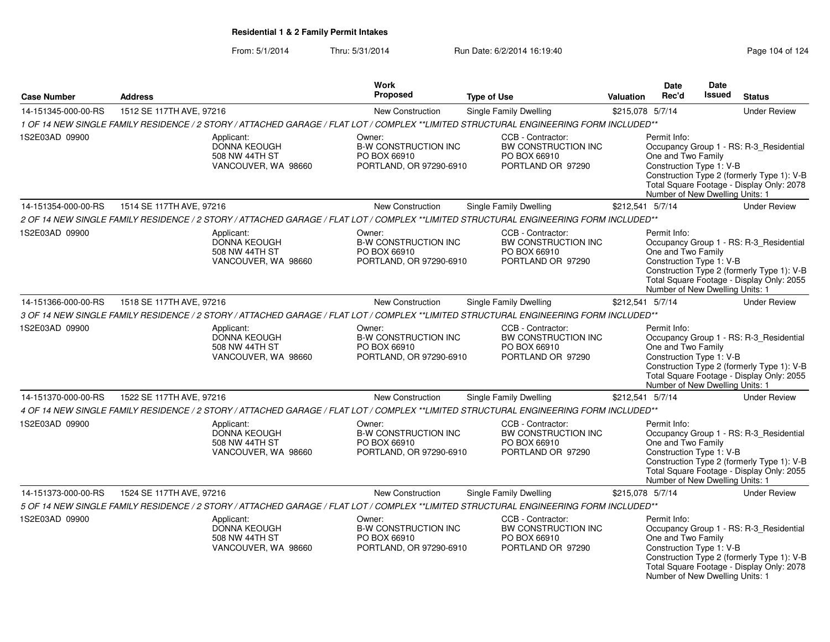|                     |                                                                                                                                       | <b>Work</b>                                                                      |                                                                               |                  | Date                                                                                              | Date          |                                                                                                                                    |
|---------------------|---------------------------------------------------------------------------------------------------------------------------------------|----------------------------------------------------------------------------------|-------------------------------------------------------------------------------|------------------|---------------------------------------------------------------------------------------------------|---------------|------------------------------------------------------------------------------------------------------------------------------------|
| <b>Case Number</b>  | <b>Address</b>                                                                                                                        | Proposed                                                                         | <b>Type of Use</b>                                                            | Valuation        | Rec'd                                                                                             | <b>Issued</b> | <b>Status</b>                                                                                                                      |
| 14-151345-000-00-RS | 1512 SE 117TH AVE, 97216                                                                                                              | New Construction                                                                 | <b>Single Family Dwelling</b>                                                 | \$215,078 5/7/14 |                                                                                                   |               | <b>Under Review</b>                                                                                                                |
|                     | 1 OF 14 NEW SINGLE FAMILY RESIDENCE / 2 STORY / ATTACHED GARAGE / FLAT LOT / COMPLEX **LIMITED STRUCTURAL ENGINEERING FORM INCLUDED** |                                                                                  |                                                                               |                  |                                                                                                   |               |                                                                                                                                    |
| 1S2E03AD 09900      | Applicant:<br>DONNA KEOUGH<br>508 NW 44TH ST<br>VANCOUVER, WA 98660                                                                   | Owner:<br><b>B-W CONSTRUCTION INC</b><br>PO BOX 66910<br>PORTLAND, OR 97290-6910 | CCB - Contractor:<br>BW CONSTRUCTION INC<br>PO BOX 66910<br>PORTLAND OR 97290 |                  | Permit Info:<br>One and Two Family<br>Construction Type 1: V-B<br>Number of New Dwelling Units: 1 |               | Occupancy Group 1 - RS: R-3_Residential<br>Construction Type 2 (formerly Type 1): V-B<br>Total Square Footage - Display Only: 2078 |
| 14-151354-000-00-RS | 1514 SE 117TH AVE, 97216                                                                                                              | New Construction                                                                 | Single Family Dwelling                                                        | \$212,541 5/7/14 |                                                                                                   |               | <b>Under Review</b>                                                                                                                |
|                     | 2 OF 14 NEW SINGLE FAMILY RESIDENCE / 2 STORY / ATTACHED GARAGE / FLAT LOT / COMPLEX **LIMITED STRUCTURAL ENGINEERING FORM INCLUDED** |                                                                                  |                                                                               |                  |                                                                                                   |               |                                                                                                                                    |
| 1S2E03AD 09900      | Applicant:<br>DONNA KEOUGH<br>508 NW 44TH ST<br>VANCOUVER, WA 98660                                                                   | Owner:<br><b>B-W CONSTRUCTION INC</b><br>PO BOX 66910<br>PORTLAND, OR 97290-6910 | CCB - Contractor:<br>BW CONSTRUCTION INC<br>PO BOX 66910<br>PORTLAND OR 97290 |                  | Permit Info:<br>One and Two Family<br>Construction Type 1: V-B<br>Number of New Dwelling Units: 1 |               | Occupancy Group 1 - RS: R-3_Residential<br>Construction Type 2 (formerly Type 1): V-B<br>Total Square Footage - Display Only: 2055 |
| 14-151366-000-00-RS | 1518 SE 117TH AVE, 97216                                                                                                              | New Construction                                                                 | <b>Single Family Dwelling</b>                                                 | \$212,541 5/7/14 |                                                                                                   |               | <b>Under Review</b>                                                                                                                |
|                     | 3 OF 14 NEW SINGLE FAMILY RESIDENCE / 2 STORY / ATTACHED GARAGE / FLAT LOT / COMPLEX **LIMITED STRUCTURAL ENGINEERING FORM INCLUDED** |                                                                                  |                                                                               |                  |                                                                                                   |               |                                                                                                                                    |
| 1S2E03AD 09900      | Applicant:<br>DONNA KEOUGH<br>508 NW 44TH ST<br>VANCOUVER, WA 98660                                                                   | Owner:<br><b>B-W CONSTRUCTION INC</b><br>PO BOX 66910<br>PORTLAND, OR 97290-6910 | CCB - Contractor:<br>BW CONSTRUCTION INC<br>PO BOX 66910<br>PORTLAND OR 97290 |                  | Permit Info:<br>One and Two Family<br>Construction Type 1: V-B<br>Number of New Dwelling Units: 1 |               | Occupancy Group 1 - RS: R-3_Residential<br>Construction Type 2 (formerly Type 1): V-B<br>Total Square Footage - Display Only: 2055 |
| 14-151370-000-00-RS | 1522 SE 117TH AVE, 97216                                                                                                              | New Construction                                                                 | Single Family Dwelling                                                        | \$212,541 5/7/14 |                                                                                                   |               | <b>Under Review</b>                                                                                                                |
|                     | 4 OF 14 NEW SINGLE FAMILY RESIDENCE / 2 STORY / ATTACHED GARAGE / FLAT LOT / COMPLEX **LIMITED STRUCTURAL ENGINEERING FORM INCLUDED** |                                                                                  |                                                                               |                  |                                                                                                   |               |                                                                                                                                    |
| 1S2E03AD 09900      | Applicant:<br>DONNA KEOUGH<br>508 NW 44TH ST<br>VANCOUVER, WA 98660                                                                   | Owner:<br><b>B-W CONSTRUCTION INC</b><br>PO BOX 66910<br>PORTLAND, OR 97290-6910 | CCB - Contractor:<br>BW CONSTRUCTION INC<br>PO BOX 66910<br>PORTLAND OR 97290 |                  | Permit Info:<br>One and Two Family<br>Construction Type 1: V-B<br>Number of New Dwelling Units: 1 |               | Occupancy Group 1 - RS: R-3_Residential<br>Construction Type 2 (formerly Type 1): V-B<br>Total Square Footage - Display Only: 2055 |
| 14-151373-000-00-RS | 1524 SE 117TH AVE, 97216                                                                                                              | <b>New Construction</b>                                                          | <b>Single Family Dwelling</b>                                                 | \$215,078 5/7/14 |                                                                                                   |               | <b>Under Review</b>                                                                                                                |
|                     | 5 OF 14 NEW SINGLE FAMILY RESIDENCE / 2 STORY / ATTACHED GARAGE / FLAT LOT / COMPLEX **LIMITED STRUCTURAL ENGINEERING FORM INCLUDED** |                                                                                  |                                                                               |                  |                                                                                                   |               |                                                                                                                                    |
| 1S2E03AD 09900      | Applicant:<br>DONNA KEOUGH<br>508 NW 44TH ST<br>VANCOUVER, WA 98660                                                                   | Owner:<br><b>B-W CONSTRUCTION INC</b><br>PO BOX 66910<br>PORTLAND, OR 97290-6910 | CCB - Contractor:<br>BW CONSTRUCTION INC<br>PO BOX 66910<br>PORTLAND OR 97290 |                  | Permit Info:<br>One and Two Family<br>Construction Type 1: V-B<br>Number of New Dwelling Units: 1 |               | Occupancy Group 1 - RS: R-3_Residential<br>Construction Type 2 (formerly Type 1): V-B<br>Total Square Footage - Display Only: 2078 |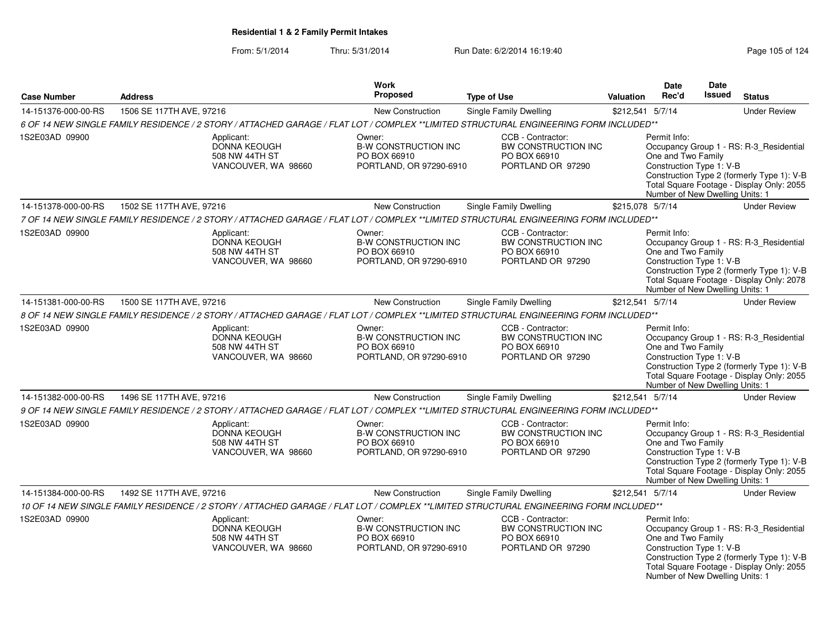| <b>Case Number</b>  | <b>Address</b>                                                                                                                         | Work<br>Proposed                                                                 | <b>Type of Use</b>                                                                   | Valuation        | <b>Date</b><br>Rec'd                                                                              | Date<br><b>Issued</b> | <b>Status</b>                                                                                                                      |
|---------------------|----------------------------------------------------------------------------------------------------------------------------------------|----------------------------------------------------------------------------------|--------------------------------------------------------------------------------------|------------------|---------------------------------------------------------------------------------------------------|-----------------------|------------------------------------------------------------------------------------------------------------------------------------|
| 14-151376-000-00-RS | 1506 SE 117TH AVE, 97216                                                                                                               | New Construction                                                                 | Single Family Dwelling                                                               | \$212,541 5/7/14 |                                                                                                   |                       | <b>Under Review</b>                                                                                                                |
|                     | 6 OF 14 NEW SINGLE FAMILY RESIDENCE / 2 STORY / ATTACHED GARAGE / FLAT LOT / COMPLEX **LIMITED STRUCTURAL ENGINEERING FORM INCLUDED**  |                                                                                  |                                                                                      |                  |                                                                                                   |                       |                                                                                                                                    |
| 1S2E03AD 09900      | Applicant:<br><b>DONNA KEOUGH</b><br>508 NW 44TH ST<br>VANCOUVER, WA 98660                                                             | Owner:<br><b>B-W CONSTRUCTION INC</b><br>PO BOX 66910<br>PORTLAND, OR 97290-6910 | CCB - Contractor:<br>BW CONSTRUCTION INC<br>PO BOX 66910<br>PORTLAND OR 97290        |                  | Permit Info:<br>One and Two Family<br>Construction Type 1: V-B<br>Number of New Dwelling Units: 1 |                       | Occupancy Group 1 - RS: R-3 Residential<br>Construction Type 2 (formerly Type 1): V-B<br>Total Square Footage - Display Only: 2055 |
| 14-151378-000-00-RS | 1502 SE 117TH AVE, 97216                                                                                                               | New Construction                                                                 | Single Family Dwelling                                                               | \$215,078 5/7/14 |                                                                                                   |                       | <b>Under Review</b>                                                                                                                |
|                     | 7 OF 14 NEW SINGLE FAMILY RESIDENCE / 2 STORY / ATTACHED GARAGE / FLAT LOT / COMPLEX **LIMITED STRUCTURAL ENGINEERING FORM INCLUDED**  |                                                                                  |                                                                                      |                  |                                                                                                   |                       |                                                                                                                                    |
| 1S2E03AD 09900      | Applicant:<br>DONNA KEOUGH<br>508 NW 44TH ST<br>VANCOUVER, WA 98660                                                                    | Owner:<br><b>B-W CONSTRUCTION INC</b><br>PO BOX 66910<br>PORTLAND, OR 97290-6910 | CCB - Contractor:<br>BW CONSTRUCTION INC<br>PO BOX 66910<br>PORTLAND OR 97290        |                  | Permit Info:<br>One and Two Family<br>Construction Type 1: V-B<br>Number of New Dwelling Units: 1 |                       | Occupancy Group 1 - RS: R-3_Residential<br>Construction Type 2 (formerly Type 1): V-B<br>Total Square Footage - Display Only: 2078 |
| 14-151381-000-00-RS | 1500 SE 117TH AVE, 97216                                                                                                               | New Construction                                                                 | <b>Single Family Dwelling</b>                                                        | \$212,541 5/7/14 |                                                                                                   |                       | <b>Under Review</b>                                                                                                                |
|                     | 8 OF 14 NEW SINGLE FAMILY RESIDENCE / 2 STORY / ATTACHED GARAGE / FLAT LOT / COMPLEX **LIMITED STRUCTURAL ENGINEERING FORM INCLUDED**  |                                                                                  |                                                                                      |                  |                                                                                                   |                       |                                                                                                                                    |
| 1S2E03AD 09900      | Applicant:<br>DONNA KEOUGH<br>508 NW 44TH ST<br>VANCOUVER, WA 98660                                                                    | Owner:<br><b>B-W CONSTRUCTION INC</b><br>PO BOX 66910<br>PORTLAND, OR 97290-6910 | CCB - Contractor:<br>BW CONSTRUCTION INC<br>PO BOX 66910<br>PORTLAND OR 97290        |                  | Permit Info:<br>One and Two Family<br>Construction Type 1: V-B<br>Number of New Dwelling Units: 1 |                       | Occupancy Group 1 - RS: R-3_Residential<br>Construction Type 2 (formerly Type 1): V-B<br>Total Square Footage - Display Only: 2055 |
| 14-151382-000-00-RS | 1496 SE 117TH AVE, 97216                                                                                                               | New Construction                                                                 | Single Family Dwelling                                                               | \$212,541 5/7/14 |                                                                                                   |                       | <b>Under Review</b>                                                                                                                |
|                     | 9 OF 14 NEW SINGLE FAMILY RESIDENCE / 2 STORY / ATTACHED GARAGE / FLAT LOT / COMPLEX **LIMITED STRUCTURAL ENGINEERING FORM INCLUDED**  |                                                                                  |                                                                                      |                  |                                                                                                   |                       |                                                                                                                                    |
| 1S2E03AD 09900      | Applicant:<br><b>DONNA KEOUGH</b><br>508 NW 44TH ST<br>VANCOUVER, WA 98660                                                             | Owner:<br><b>B-W CONSTRUCTION INC</b><br>PO BOX 66910<br>PORTLAND, OR 97290-6910 | CCB - Contractor:<br><b>BW CONSTRUCTION INC</b><br>PO BOX 66910<br>PORTLAND OR 97290 |                  | Permit Info:<br>One and Two Family<br>Construction Type 1: V-B<br>Number of New Dwelling Units: 1 |                       | Occupancy Group 1 - RS: R-3_Residential<br>Construction Type 2 (formerly Type 1): V-B<br>Total Square Footage - Display Only: 2055 |
| 14-151384-000-00-RS | 1492 SE 117TH AVE, 97216                                                                                                               | New Construction                                                                 | Single Family Dwelling                                                               | \$212,541 5/7/14 |                                                                                                   |                       | <b>Under Review</b>                                                                                                                |
|                     | 10 OF 14 NEW SINGLE FAMILY RESIDENCE / 2 STORY / ATTACHED GARAGE / FLAT LOT / COMPLEX **LIMITED STRUCTURAL ENGINEERING FORM INCLUDED** |                                                                                  |                                                                                      |                  |                                                                                                   |                       |                                                                                                                                    |
| 1S2E03AD 09900      | Applicant:<br><b>DONNA KEOUGH</b><br>508 NW 44TH ST<br>VANCOUVER, WA 98660                                                             | Owner:<br><b>B-W CONSTRUCTION INC</b><br>PO BOX 66910<br>PORTLAND, OR 97290-6910 | CCB - Contractor:<br>BW CONSTRUCTION INC<br>PO BOX 66910<br>PORTLAND OR 97290        |                  | Permit Info:<br>One and Two Family<br>Construction Type 1: V-B<br>Number of New Dwelling Units: 1 |                       | Occupancy Group 1 - RS: R-3_Residential<br>Construction Type 2 (formerly Type 1): V-B<br>Total Square Footage - Display Only: 2055 |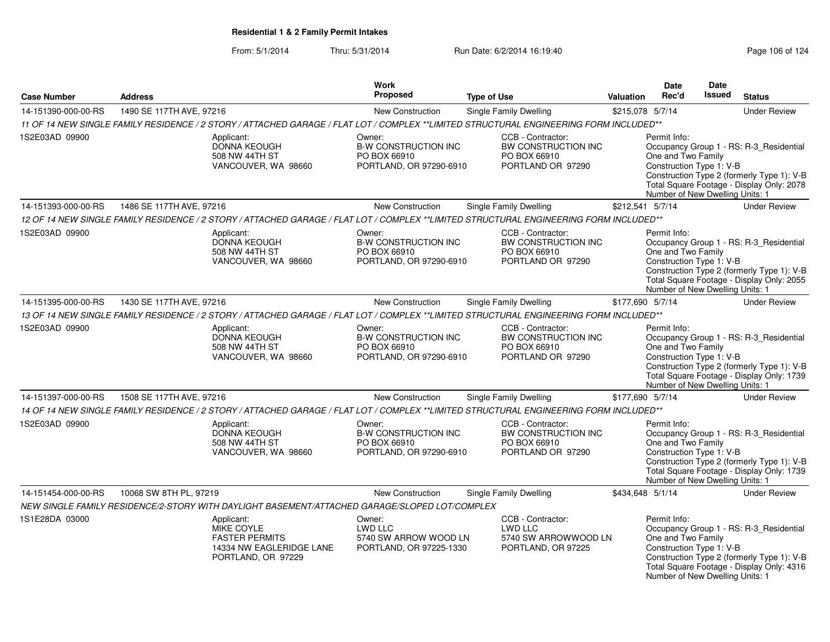| <b>Case Number</b>  | <b>Address</b>                                                                                                                         | Work<br>Proposed                                                                 | <b>Type of Use</b>                                                            | Valuation        | <b>Date</b><br>Rec'd                                                                              | <b>Date</b><br><b>Issued</b> | <b>Status</b>                                                                                                                      |
|---------------------|----------------------------------------------------------------------------------------------------------------------------------------|----------------------------------------------------------------------------------|-------------------------------------------------------------------------------|------------------|---------------------------------------------------------------------------------------------------|------------------------------|------------------------------------------------------------------------------------------------------------------------------------|
| 14-151390-000-00-RS | 1490 SE 117TH AVE, 97216                                                                                                               | New Construction                                                                 | <b>Single Family Dwelling</b>                                                 | \$215,078 5/7/14 |                                                                                                   |                              | <b>Under Review</b>                                                                                                                |
|                     | 11 OF 14 NEW SINGLE FAMILY RESIDENCE / 2 STORY / ATTACHED GARAGE / FLAT LOT / COMPLEX **LIMITED STRUCTURAL ENGINEERING FORM INCLUDED** |                                                                                  |                                                                               |                  |                                                                                                   |                              |                                                                                                                                    |
| 1S2E03AD 09900      | Applicant:<br>DONNA KEOUGH<br>508 NW 44TH ST<br>VANCOUVER, WA 98660                                                                    | Owner:<br><b>B-W CONSTRUCTION INC</b><br>PO BOX 66910<br>PORTLAND, OR 97290-6910 | CCB - Contractor:<br>BW CONSTRUCTION INC<br>PO BOX 66910<br>PORTLAND OR 97290 |                  | Permit Info:<br>One and Two Family<br>Construction Type 1: V-B<br>Number of New Dwelling Units: 1 |                              | Occupancy Group 1 - RS: R-3_Residential<br>Construction Type 2 (formerly Type 1): V-B<br>Total Square Footage - Display Only: 2078 |
| 14-151393-000-00-RS | 1486 SE 117TH AVE, 97216                                                                                                               | New Construction                                                                 | Single Family Dwelling                                                        | \$212,541 5/7/14 |                                                                                                   |                              | <b>Under Review</b>                                                                                                                |
|                     | 12 OF 14 NEW SINGLE FAMILY RESIDENCE / 2 STORY / ATTACHED GARAGE / FLAT LOT / COMPLEX **LIMITED STRUCTURAL ENGINEERING FORM INCLUDED** |                                                                                  |                                                                               |                  |                                                                                                   |                              |                                                                                                                                    |
| 1S2E03AD 09900      | Applicant:<br>DONNA KEOUGH<br>508 NW 44TH ST<br>VANCOUVER, WA 98660                                                                    | Owner:<br><b>B-W CONSTRUCTION INC</b><br>PO BOX 66910<br>PORTLAND, OR 97290-6910 | CCB - Contractor:<br>BW CONSTRUCTION INC<br>PO BOX 66910<br>PORTLAND OR 97290 |                  | Permit Info:<br>One and Two Family<br>Construction Type 1: V-B<br>Number of New Dwelling Units: 1 |                              | Occupancy Group 1 - RS: R-3_Residential<br>Construction Type 2 (formerly Type 1): V-B<br>Total Square Footage - Display Only: 2055 |
| 14-151395-000-00-RS | 1430 SE 117TH AVE, 97216                                                                                                               | New Construction                                                                 | <b>Single Family Dwelling</b>                                                 | \$177,690 5/7/14 |                                                                                                   |                              | <b>Under Review</b>                                                                                                                |
|                     | 13 OF 14 NEW SINGLE FAMILY RESIDENCE / 2 STORY / ATTACHED GARAGE / FLAT LOT / COMPLEX **LIMITED STRUCTURAL ENGINEERING FORM INCLUDED** |                                                                                  |                                                                               |                  |                                                                                                   |                              |                                                                                                                                    |
| 1S2E03AD 09900      | Applicant:<br>DONNA KEOUGH<br>508 NW 44TH ST<br>VANCOUVER, WA 98660                                                                    | Owner:<br><b>B-W CONSTRUCTION INC</b><br>PO BOX 66910<br>PORTLAND, OR 97290-6910 | CCB - Contractor:<br>BW CONSTRUCTION INC<br>PO BOX 66910<br>PORTLAND OR 97290 |                  | Permit Info:<br>One and Two Family<br>Construction Type 1: V-B<br>Number of New Dwelling Units: 1 |                              | Occupancy Group 1 - RS: R-3_Residential<br>Construction Type 2 (formerly Type 1): V-B<br>Total Square Footage - Display Only: 1739 |
| 14-151397-000-00-RS | 1508 SE 117TH AVE, 97216                                                                                                               | New Construction                                                                 | Single Family Dwelling                                                        | \$177,690 5/7/14 |                                                                                                   |                              | <b>Under Review</b>                                                                                                                |
|                     | 14 OF 14 NEW SINGLE FAMILY RESIDENCE / 2 STORY / ATTACHED GARAGE / FLAT LOT / COMPLEX **LIMITED STRUCTURAL ENGINEERING FORM INCLUDED** |                                                                                  |                                                                               |                  |                                                                                                   |                              |                                                                                                                                    |
| 1S2E03AD 09900      | Applicant:<br>DONNA KEOUGH<br>508 NW 44TH ST<br>VANCOUVER, WA 98660                                                                    | Owner:<br><b>B-W CONSTRUCTION INC</b><br>PO BOX 66910<br>PORTLAND, OR 97290-6910 | CCB - Contractor:<br>BW CONSTRUCTION INC<br>PO BOX 66910<br>PORTLAND OR 97290 |                  | Permit Info:<br>One and Two Family<br>Construction Type 1: V-B<br>Number of New Dwelling Units: 1 |                              | Occupancy Group 1 - RS: R-3_Residential<br>Construction Type 2 (formerly Type 1): V-B<br>Total Square Footage - Display Only: 1739 |
| 14-151454-000-00-RS | 10068 SW 8TH PL, 97219                                                                                                                 | New Construction                                                                 | <b>Single Family Dwelling</b>                                                 | \$434,648 5/1/14 |                                                                                                   |                              | <b>Under Review</b>                                                                                                                |
|                     | NEW SINGLE FAMILY RESIDENCE/2-STORY WITH DAYLIGHT BASEMENT/ATTACHED GARAGE/SLOPED LOT/COMPLEX                                          |                                                                                  |                                                                               |                  |                                                                                                   |                              |                                                                                                                                    |
| 1S1E28DA 03000      | Applicant:<br><b>MIKE COYLE</b><br><b>FASTER PERMITS</b><br>14334 NW EAGLERIDGE LANE<br>PORTLAND, OR 97229                             | Owner:<br>LWD LLC<br>5740 SW ARROW WOOD LN<br>PORTLAND, OR 97225-1330            | CCB - Contractor:<br>LWD LLC<br>5740 SW ARROWWOOD LN<br>PORTLAND, OR 97225    |                  | Permit Info:<br>One and Two Family<br>Construction Type 1: V-B<br>Number of New Dwelling Units: 1 |                              | Occupancy Group 1 - RS: R-3_Residential<br>Construction Type 2 (formerly Type 1): V-B<br>Total Square Footage - Display Only: 4316 |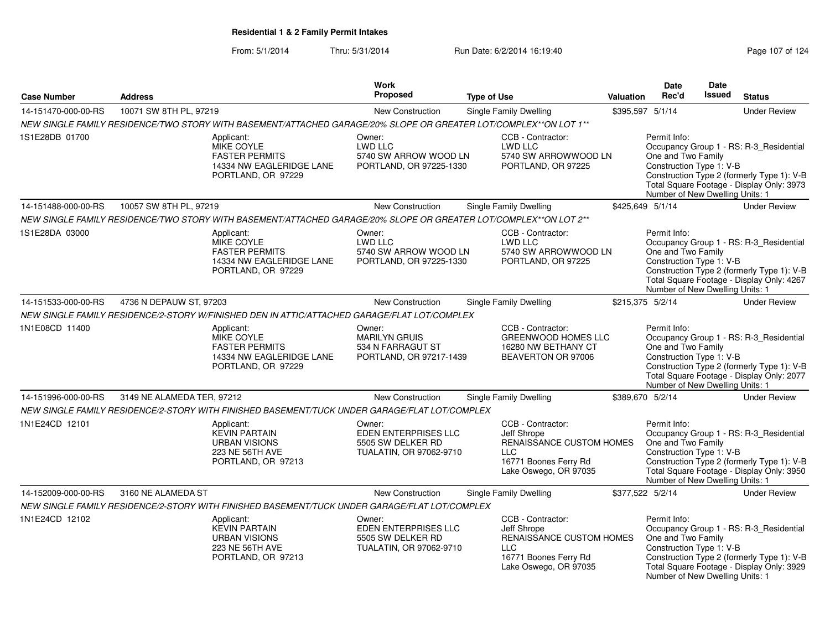| <b>Case Number</b>  | <b>Address</b>             |                                                                                                                  | <b>Work</b><br>Proposed                                                               | <b>Type of Use</b>                                                                                                           | Valuation | <b>Date</b><br>Rec'd                                                                              | <b>Date</b><br><b>Issued</b> | <b>Status</b>                                                                                                                      |
|---------------------|----------------------------|------------------------------------------------------------------------------------------------------------------|---------------------------------------------------------------------------------------|------------------------------------------------------------------------------------------------------------------------------|-----------|---------------------------------------------------------------------------------------------------|------------------------------|------------------------------------------------------------------------------------------------------------------------------------|
|                     |                            |                                                                                                                  |                                                                                       |                                                                                                                              |           |                                                                                                   |                              |                                                                                                                                    |
| 14-151470-000-00-RS | 10071 SW 8TH PL, 97219     |                                                                                                                  | New Construction                                                                      | Single Family Dwelling                                                                                                       |           | \$395,597 5/1/14                                                                                  |                              | <b>Under Review</b>                                                                                                                |
|                     |                            | NEW SINGLE FAMILY RESIDENCE/TWO STORY WITH BASEMENT/ATTACHED GARAGE/20% SLOPE OR GREATER LOT/COMPLEX**ON LOT 1** |                                                                                       |                                                                                                                              |           |                                                                                                   |                              |                                                                                                                                    |
| 1S1E28DB 01700      |                            | Applicant:<br><b>MIKE COYLE</b><br><b>FASTER PERMITS</b><br>14334 NW EAGLERIDGE LANE<br>PORTLAND, OR 97229       | Owner:<br><b>LWD LLC</b><br>5740 SW ARROW WOOD LN<br>PORTLAND, OR 97225-1330          | CCB - Contractor:<br>LWD LLC<br>5740 SW ARROWWOOD LN<br>PORTLAND, OR 97225                                                   |           | Permit Info:<br>One and Two Family<br>Construction Type 1: V-B<br>Number of New Dwelling Units: 1 |                              | Occupancy Group 1 - RS: R-3_Residential<br>Construction Type 2 (formerly Type 1): V-B<br>Total Square Footage - Display Only: 3973 |
| 14-151488-000-00-RS | 10057 SW 8TH PL, 97219     |                                                                                                                  | New Construction                                                                      | Single Family Dwelling                                                                                                       |           | \$425,649 5/1/14                                                                                  |                              | <b>Under Review</b>                                                                                                                |
|                     |                            | NEW SINGLE FAMILY RESIDENCE/TWO STORY WITH BASEMENT/ATTACHED GARAGE/20% SLOPE OR GREATER LOT/COMPLEX**ON LOT 2** |                                                                                       |                                                                                                                              |           |                                                                                                   |                              |                                                                                                                                    |
| 1S1E28DA 03000      |                            | Applicant:<br><b>MIKE COYLE</b><br><b>FASTER PERMITS</b><br>14334 NW EAGLERIDGE LANE<br>PORTLAND, OR 97229       | Owner:<br><b>LWD LLC</b><br>5740 SW ARROW WOOD LN<br>PORTLAND, OR 97225-1330          | CCB - Contractor:<br>LWD LLC<br>5740 SW ARROWWOOD LN<br>PORTLAND, OR 97225                                                   |           | Permit Info:<br>One and Two Family<br>Construction Type 1: V-B<br>Number of New Dwelling Units: 1 |                              | Occupancy Group 1 - RS: R-3_Residential<br>Construction Type 2 (formerly Type 1): V-B<br>Total Square Footage - Display Only: 4267 |
| 14-151533-000-00-RS | 4736 N DEPAUW ST, 97203    |                                                                                                                  | New Construction                                                                      | Single Family Dwelling                                                                                                       |           | \$215,375 5/2/14                                                                                  |                              | <b>Under Review</b>                                                                                                                |
|                     |                            | NEW SINGLE FAMILY RESIDENCE/2-STORY W/FINISHED DEN IN ATTIC/ATTACHED GARAGE/FLAT LOT/COMPLEX                     |                                                                                       |                                                                                                                              |           |                                                                                                   |                              |                                                                                                                                    |
| 1N1E08CD 11400      |                            | Applicant:<br><b>MIKE COYLE</b><br><b>FASTER PERMITS</b><br>14334 NW EAGLERIDGE LANE<br>PORTLAND, OR 97229       | Owner:<br><b>MARILYN GRUIS</b><br>534 N FARRAGUT ST<br>PORTLAND, OR 97217-1439        | CCB - Contractor:<br><b>GREENWOOD HOMES LLC</b><br>16280 NW BETHANY CT<br>BEAVERTON OR 97006                                 |           | Permit Info:<br>One and Two Family<br>Construction Type 1: V-B<br>Number of New Dwelling Units: 1 |                              | Occupancy Group 1 - RS: R-3_Residential<br>Construction Type 2 (formerly Type 1): V-B<br>Total Square Footage - Display Only: 2077 |
| 14-151996-000-00-RS | 3149 NE ALAMEDA TER, 97212 |                                                                                                                  | <b>New Construction</b>                                                               | Single Family Dwelling                                                                                                       |           | \$389,670 5/2/14                                                                                  |                              | <b>Under Review</b>                                                                                                                |
|                     |                            | NEW SINGLE FAMILY RESIDENCE/2-STORY WITH FINISHED BASEMENT/TUCK UNDER GARAGE/FLAT LOT/COMPLEX                    |                                                                                       |                                                                                                                              |           |                                                                                                   |                              |                                                                                                                                    |
| 1N1E24CD 12101      |                            | Applicant:<br><b>KEVIN PARTAIN</b><br>URBAN VISIONS<br><b>223 NE 56TH AVE</b><br>PORTLAND, OR 97213              | Owner:<br><b>EDEN ENTERPRISES LLC</b><br>5505 SW DELKER RD<br>TUALATIN, OR 97062-9710 | CCB - Contractor:<br>Jeff Shrope<br>RENAISSANCE CUSTOM HOMES<br><b>LLC</b><br>16771 Boones Ferry Rd<br>Lake Oswego, OR 97035 |           | Permit Info:<br>One and Two Family<br>Construction Type 1: V-B<br>Number of New Dwelling Units: 1 |                              | Occupancy Group 1 - RS: R-3_Residential<br>Construction Type 2 (formerly Type 1): V-B<br>Total Square Footage - Display Only: 3950 |
| 14-152009-000-00-RS | 3160 NE ALAMEDA ST         |                                                                                                                  | New Construction                                                                      | Single Family Dwelling                                                                                                       |           | \$377,522 5/2/14                                                                                  |                              | <b>Under Review</b>                                                                                                                |
|                     |                            | NEW SINGLE FAMILY RESIDENCE/2-STORY WITH FINISHED BASEMENT/TUCK UNDER GARAGE/FLAT LOT/COMPLEX                    |                                                                                       |                                                                                                                              |           |                                                                                                   |                              |                                                                                                                                    |
| 1N1E24CD 12102      |                            | Applicant:<br><b>KEVIN PARTAIN</b><br><b>URBAN VISIONS</b><br>223 NE 56TH AVE<br>PORTLAND, OR 97213              | Owner:<br>EDEN ENTERPRISES LLC<br>5505 SW DELKER RD<br>TUALATIN, OR 97062-9710        | CCB - Contractor:<br>Jeff Shrope<br>RENAISSANCE CUSTOM HOMES<br><b>LLC</b><br>16771 Boones Ferry Rd<br>Lake Oswego, OR 97035 |           | Permit Info:<br>One and Two Family<br>Construction Type 1: V-B<br>Number of New Dwelling Units: 1 |                              | Occupancy Group 1 - RS: R-3_Residential<br>Construction Type 2 (formerly Type 1): V-B<br>Total Square Footage - Display Only: 3929 |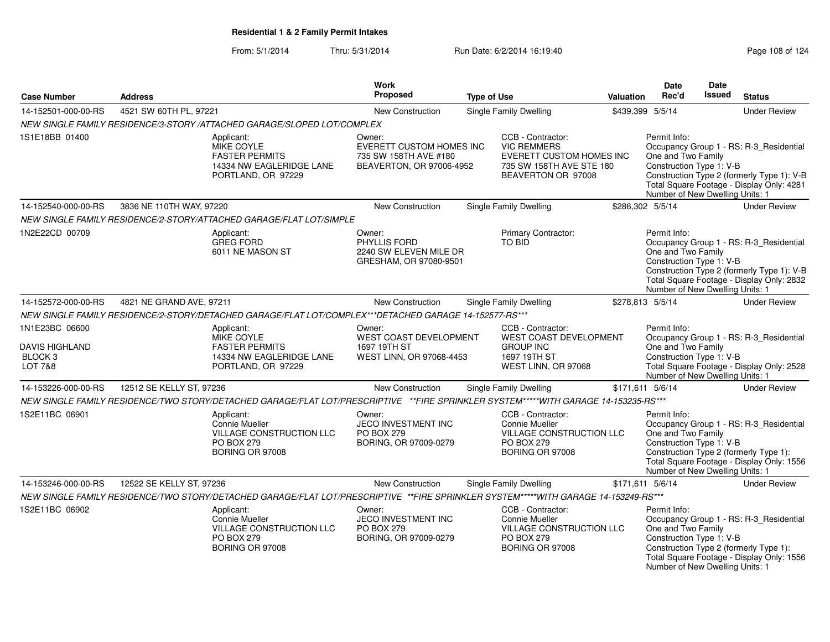| <b>Case Number</b>                                                | <b>Address</b>           |                                                                                                                                     | <b>Work</b><br><b>Proposed</b>                                                                                                                                                         |                                              |                                                                                                                       | <b>Valuation</b>                                                                                                                                                                          | <b>Date</b><br>Rec'd                                                                              | <b>Date</b><br>Issued | <b>Status</b>                                                                                                                      |
|-------------------------------------------------------------------|--------------------------|-------------------------------------------------------------------------------------------------------------------------------------|----------------------------------------------------------------------------------------------------------------------------------------------------------------------------------------|----------------------------------------------|-----------------------------------------------------------------------------------------------------------------------|-------------------------------------------------------------------------------------------------------------------------------------------------------------------------------------------|---------------------------------------------------------------------------------------------------|-----------------------|------------------------------------------------------------------------------------------------------------------------------------|
|                                                                   | 4521 SW 60TH PL, 97221   |                                                                                                                                     |                                                                                                                                                                                        | <b>Type of Use</b><br>Single Family Dwelling |                                                                                                                       |                                                                                                                                                                                           |                                                                                                   |                       |                                                                                                                                    |
| 14-152501-000-00-RS                                               |                          |                                                                                                                                     | New Construction                                                                                                                                                                       |                                              |                                                                                                                       |                                                                                                                                                                                           | \$439,399 5/5/14                                                                                  |                       | <b>Under Review</b>                                                                                                                |
|                                                                   |                          | NEW SINGLE FAMILY RESIDENCE/3-STORY /ATTACHED GARAGE/SLOPED LOT/COMPLEX                                                             |                                                                                                                                                                                        |                                              |                                                                                                                       |                                                                                                                                                                                           |                                                                                                   |                       |                                                                                                                                    |
| 1S1E18BB 01400                                                    |                          | Applicant:<br>MIKE COYLE<br><b>FASTER PERMITS</b><br>14334 NW EAGLERIDGE LANE<br>PORTLAND, OR 97229                                 | Owner:<br>EVERETT CUSTOM HOMES INC<br>735 SW 158TH AVE #180<br>BEAVERTON, OR 97006-4952                                                                                                |                                              | CCB - Contractor:<br><b>VIC REMMERS</b><br>EVERETT CUSTOM HOMES INC<br>735 SW 158TH AVE STE 180<br>BEAVERTON OR 97008 |                                                                                                                                                                                           | Permit Info:<br>One and Two Family<br>Construction Type 1: V-B<br>Number of New Dwelling Units: 1 |                       | Occupancy Group 1 - RS: R-3_Residential<br>Construction Type 2 (formerly Type 1): V-B<br>Total Square Footage - Display Only: 4281 |
| 14-152540-000-00-RS                                               | 3836 NE 110TH WAY, 97220 |                                                                                                                                     | <b>New Construction</b>                                                                                                                                                                |                                              | Single Family Dwelling                                                                                                |                                                                                                                                                                                           | \$286,302 5/5/14                                                                                  |                       | <b>Under Review</b>                                                                                                                |
|                                                                   |                          | NEW SINGLE FAMILY RESIDENCE/2-STORY/ATTACHED GARAGE/FLAT LOT/SIMPLE                                                                 |                                                                                                                                                                                        |                                              |                                                                                                                       |                                                                                                                                                                                           |                                                                                                   |                       |                                                                                                                                    |
| 1N2E22CD 00709                                                    |                          | Applicant:<br><b>GREG FORD</b><br>6011 NE MASON ST                                                                                  | Owner:<br>PHYLLIS FORD<br>2240 SW ELEVEN MILE DR<br>GRESHAM, OR 97080-9501                                                                                                             |                                              | Primary Contractor:<br>TO BID                                                                                         |                                                                                                                                                                                           | Permit Info:<br>One and Two Family<br>Construction Type 1: V-B<br>Number of New Dwelling Units: 1 |                       | Occupancy Group 1 - RS: R-3 Residential<br>Construction Type 2 (formerly Type 1): V-B<br>Total Square Footage - Display Only: 2832 |
| 14-152572-000-00-RS                                               | 4821 NE GRAND AVE, 97211 |                                                                                                                                     | New Construction                                                                                                                                                                       |                                              | Single Family Dwelling                                                                                                |                                                                                                                                                                                           | \$278,813 5/5/14                                                                                  |                       | <b>Under Review</b>                                                                                                                |
|                                                                   |                          | NEW SINGLE FAMILY RESIDENCE/2-STORY/DETACHED GARAGE/FLAT LOT/COMPLEX***DETACHED GARAGE 14-152577-RS***                              |                                                                                                                                                                                        |                                              |                                                                                                                       |                                                                                                                                                                                           |                                                                                                   |                       |                                                                                                                                    |
| 1N1E23BC 06600<br>DAVIS HIGHLAND<br>BLOCK <sub>3</sub><br>LOT 7&8 |                          | Applicant:<br><b>MIKE COYLE</b><br><b>FASTER PERMITS</b><br>14334 NW EAGLERIDGE LANE<br>PORTLAND, OR 97229                          | CCB - Contractor:<br>Owner:<br>WEST COAST DEVELOPMENT<br>WEST COAST DEVELOPMENT<br><b>GROUP INC</b><br>1697 19TH ST<br>WEST LINN, OR 97068-4453<br>1697 19TH ST<br>WEST LINN, OR 97068 |                                              |                                                                                                                       | Permit Info:<br>Occupancy Group 1 - RS: R-3_Residential<br>One and Two Family<br>Construction Type 1: V-B<br>Total Square Footage - Display Only: 2528<br>Number of New Dwelling Units: 1 |                                                                                                   |                       |                                                                                                                                    |
| 14-153226-000-00-RS                                               | 12512 SE KELLY ST, 97236 |                                                                                                                                     | New Construction                                                                                                                                                                       |                                              | Single Family Dwelling                                                                                                |                                                                                                                                                                                           | \$171,611 5/6/14                                                                                  |                       | <b>Under Review</b>                                                                                                                |
|                                                                   |                          | NEW SINGLE FAMILY RESIDENCE/TWO STORY/DETACHED GARAGE/FLAT LOT/PRESCRIPTIVE **FIRE SPRINKLER SYSTEM*****WITH GARAGE 14-153235-RS*** |                                                                                                                                                                                        |                                              |                                                                                                                       |                                                                                                                                                                                           |                                                                                                   |                       |                                                                                                                                    |
| 1S2E11BC 06901                                                    |                          | Applicant:<br>Connie Mueller<br><b>VILLAGE CONSTRUCTION LLC</b><br><b>PO BOX 279</b><br><b>BORING OR 97008</b>                      | Owner:<br>JECO INVESTMENT INC<br><b>PO BOX 279</b><br>BORING, OR 97009-0279                                                                                                            |                                              | CCB - Contractor:<br>Connie Mueller<br>VILLAGE CONSTRUCTION LLC<br><b>PO BOX 279</b><br>BORING OR 97008               |                                                                                                                                                                                           | Permit Info:<br>One and Two Family<br>Construction Type 1: V-B<br>Number of New Dwelling Units: 1 |                       | Occupancy Group 1 - RS: R-3_Residential<br>Construction Type 2 (formerly Type 1):<br>Total Square Footage - Display Only: 1556     |
| 14-153246-000-00-RS                                               | 12522 SE KELLY ST, 97236 |                                                                                                                                     | <b>New Construction</b>                                                                                                                                                                |                                              | Single Family Dwelling                                                                                                |                                                                                                                                                                                           | \$171,611 5/6/14                                                                                  |                       | <b>Under Review</b>                                                                                                                |
|                                                                   |                          | NEW SINGLE FAMILY RESIDENCE/TWO STORY/DETACHED GARAGE/FLAT LOT/PRESCRIPTIVE **FIRE SPRINKLER SYSTEM*****WITH GARAGE 14-153249-RS*** |                                                                                                                                                                                        |                                              |                                                                                                                       |                                                                                                                                                                                           |                                                                                                   |                       |                                                                                                                                    |
| 1S2E11BC 06902                                                    |                          | Applicant:<br>Connie Mueller<br>VILLAGE CONSTRUCTION LLC<br><b>PO BOX 279</b><br><b>BORING OR 97008</b>                             | Owner:<br>JECO INVESTMENT INC<br><b>PO BOX 279</b><br>BORING, OR 97009-0279                                                                                                            |                                              | CCB - Contractor:<br><b>Connie Mueller</b><br>VILLAGE CONSTRUCTION LLC<br><b>PO BOX 279</b><br><b>BORING OR 97008</b> |                                                                                                                                                                                           | Permit Info:<br>One and Two Family<br>Construction Type 1: V-B<br>Number of New Dwelling Units: 1 |                       | Occupancy Group 1 - RS: R-3_Residential<br>Construction Type 2 (formerly Type 1):<br>Total Square Footage - Display Only: 1556     |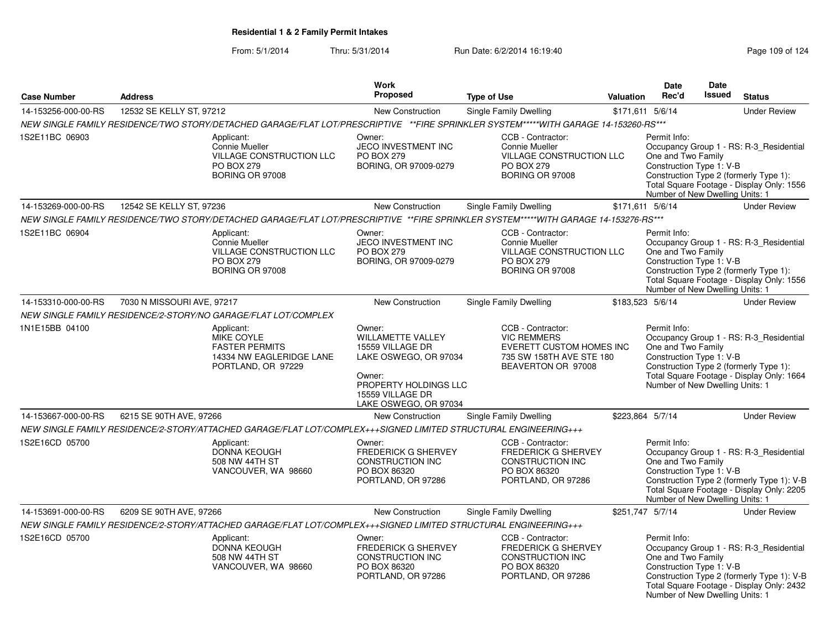From: 5/1/2014Thru: 5/31/2014 Run Date: 6/2/2014 16:19:40

Number of New Dwelling Units: 1

|                     |                            |                                                                                                                                     | Work                                                                                                                                                            |                                                                                                                       |           | <b>Date</b>                                                                                                                                                                                                                         | Date          |                                                                                                                                    |
|---------------------|----------------------------|-------------------------------------------------------------------------------------------------------------------------------------|-----------------------------------------------------------------------------------------------------------------------------------------------------------------|-----------------------------------------------------------------------------------------------------------------------|-----------|-------------------------------------------------------------------------------------------------------------------------------------------------------------------------------------------------------------------------------------|---------------|------------------------------------------------------------------------------------------------------------------------------------|
| <b>Case Number</b>  | <b>Address</b>             |                                                                                                                                     | <b>Proposed</b>                                                                                                                                                 | <b>Type of Use</b>                                                                                                    | Valuation | Rec'd                                                                                                                                                                                                                               | <b>Issued</b> | <b>Status</b>                                                                                                                      |
| 14-153256-000-00-RS | 12532 SE KELLY ST, 97212   |                                                                                                                                     | New Construction                                                                                                                                                | <b>Single Family Dwelling</b>                                                                                         |           | \$171,611 5/6/14                                                                                                                                                                                                                    |               | <b>Under Review</b>                                                                                                                |
|                     |                            | NEW SINGLE FAMILY RESIDENCE/TWO STORY/DETACHED GARAGE/FLAT LOT/PRESCRIPTIVE **FIRE SPRINKLER SYSTEM*****WITH GARAGE 14-153260-RS*** |                                                                                                                                                                 |                                                                                                                       |           |                                                                                                                                                                                                                                     |               |                                                                                                                                    |
| 1S2E11BC 06903      |                            | Applicant:<br>Connie Mueller<br>VILLAGE CONSTRUCTION LLC<br><b>PO BOX 279</b><br>BORING OR 97008                                    | Owner:<br><b>JECO INVESTMENT INC</b><br><b>PO BOX 279</b><br>BORING, OR 97009-0279                                                                              | CCB - Contractor:<br><b>Connie Mueller</b><br>VILLAGE CONSTRUCTION LLC<br>PO BOX 279<br>BORING OR 97008               |           | Permit Info:<br>One and Two Family<br>Construction Type 1: V-B<br>Number of New Dwelling Units: 1                                                                                                                                   |               | Occupancy Group 1 - RS: R-3 Residential<br>Construction Type 2 (formerly Type 1):<br>Total Square Footage - Display Only: 1556     |
| 14-153269-000-00-RS | 12542 SE KELLY ST, 97236   |                                                                                                                                     | New Construction                                                                                                                                                | <b>Single Family Dwelling</b>                                                                                         |           | \$171,611 5/6/14                                                                                                                                                                                                                    |               | <b>Under Review</b>                                                                                                                |
|                     |                            | NEW SINGLE FAMILY RESIDENCE/TWO STORY/DETACHED GARAGE/FLAT LOT/PRESCRIPTIVE **FIRE SPRINKLER SYSTEM*****WITH GARAGE 14-153276-RS*** |                                                                                                                                                                 |                                                                                                                       |           |                                                                                                                                                                                                                                     |               |                                                                                                                                    |
| 1S2E11BC 06904      |                            | Applicant:<br>Connie Mueller<br>VILLAGE CONSTRUCTION LLC<br><b>PO BOX 279</b><br>BORING OR 97008                                    | Owner:<br><b>JECO INVESTMENT INC</b><br><b>PO BOX 279</b><br>BORING, OR 97009-0279                                                                              | CCB - Contractor:<br><b>Connie Mueller</b><br>VILLAGE CONSTRUCTION LLC<br>PO BOX 279<br>BORING OR 97008               |           | Permit Info:<br>One and Two Family<br>Construction Type 1: V-B<br>Number of New Dwelling Units: 1                                                                                                                                   |               | Occupancy Group 1 - RS: R-3 Residential<br>Construction Type 2 (formerly Type 1):<br>Total Square Footage - Display Only: 1556     |
| 14-153310-000-00-RS | 7030 N MISSOURI AVE, 97217 |                                                                                                                                     | New Construction                                                                                                                                                | <b>Single Family Dwelling</b>                                                                                         |           | \$183,523 5/6/14                                                                                                                                                                                                                    |               | <b>Under Review</b>                                                                                                                |
|                     |                            | NEW SINGLE FAMILY RESIDENCE/2-STORY/NO GARAGE/FLAT LOT/COMPLEX                                                                      |                                                                                                                                                                 |                                                                                                                       |           |                                                                                                                                                                                                                                     |               |                                                                                                                                    |
| 1N1E15BB 04100      |                            | Applicant:<br><b>MIKE COYLE</b><br><b>FASTER PERMITS</b><br>14334 NW EAGLERIDGE LANE<br>PORTLAND, OR 97229                          | Owner:<br><b>WILLAMETTE VALLEY</b><br>15559 VILLAGE DR<br>LAKE OSWEGO, OR 97034<br>Owner:<br>PROPERTY HOLDINGS LLC<br>15559 VILLAGE DR<br>LAKE OSWEGO, OR 97034 | CCB - Contractor:<br><b>VIC REMMERS</b><br>EVERETT CUSTOM HOMES INC<br>735 SW 158TH AVE STE 180<br>BEAVERTON OR 97008 |           | Permit Info:<br>Occupancy Group 1 - RS: R-3_Residential<br>One and Two Family<br>Construction Type 1: V-B<br>Construction Type 2 (formerly Type 1):<br>Total Square Footage - Display Only: 1664<br>Number of New Dwelling Units: 1 |               |                                                                                                                                    |
| 14-153667-000-00-RS | 6215 SE 90TH AVE, 97266    |                                                                                                                                     | <b>New Construction</b>                                                                                                                                         | <b>Single Family Dwelling</b>                                                                                         |           | \$223,864 5/7/14                                                                                                                                                                                                                    |               | <b>Under Review</b>                                                                                                                |
|                     |                            | NEW SINGLE FAMILY RESIDENCE/2-STORY/ATTACHED GARAGE/FLAT LOT/COMPLEX+++SIGNED LIMITED STRUCTURAL ENGINEERING+++                     |                                                                                                                                                                 |                                                                                                                       |           |                                                                                                                                                                                                                                     |               |                                                                                                                                    |
| 1S2E16CD 05700      |                            | Applicant:<br><b>DONNA KEOUGH</b><br>508 NW 44TH ST<br>VANCOUVER, WA 98660                                                          | Owner:<br><b>FREDERICK G SHERVEY</b><br>CONSTRUCTION INC<br>PO BOX 86320<br>PORTLAND, OR 97286                                                                  | CCB - Contractor:<br><b>FREDERICK G SHERVEY</b><br><b>CONSTRUCTION INC</b><br>PO BOX 86320<br>PORTLAND, OR 97286      |           | Permit Info:<br>One and Two Family<br>Construction Type 1: V-B<br>Number of New Dwelling Units: 1                                                                                                                                   |               | Occupancy Group 1 - RS: R-3_Residential<br>Construction Type 2 (formerly Type 1): V-B<br>Total Square Footage - Display Only: 2205 |
| 14-153691-000-00-RS | 6209 SE 90TH AVE, 97266    |                                                                                                                                     | New Construction                                                                                                                                                | <b>Single Family Dwelling</b>                                                                                         |           | \$251,747 5/7/14                                                                                                                                                                                                                    |               | <b>Under Review</b>                                                                                                                |
|                     |                            | NEW SINGLE FAMILY RESIDENCE/2-STORY/ATTACHED GARAGE/FLAT LOT/COMPLEX+++SIGNED LIMITED STRUCTURAL ENGINEERING+++                     |                                                                                                                                                                 |                                                                                                                       |           |                                                                                                                                                                                                                                     |               |                                                                                                                                    |
| 1S2E16CD 05700      |                            | Applicant:<br><b>DONNA KEOUGH</b><br>508 NW 44TH ST<br>VANCOUVER, WA 98660                                                          | Owner:<br><b>FREDERICK G SHERVEY</b><br>CONSTRUCTION INC<br>PO BOX 86320<br>PORTLAND, OR 97286                                                                  | CCB - Contractor:<br><b>FREDERICK G SHERVEY</b><br>CONSTRUCTION INC<br>PO BOX 86320<br>PORTLAND, OR 97286             |           | Permit Info:<br>One and Two Family<br>Construction Type 1: V-B                                                                                                                                                                      |               | Occupancy Group 1 - RS: R-3_Residential<br>Construction Type 2 (formerly Type 1): V-B<br>Total Square Footage - Display Only: 2432 |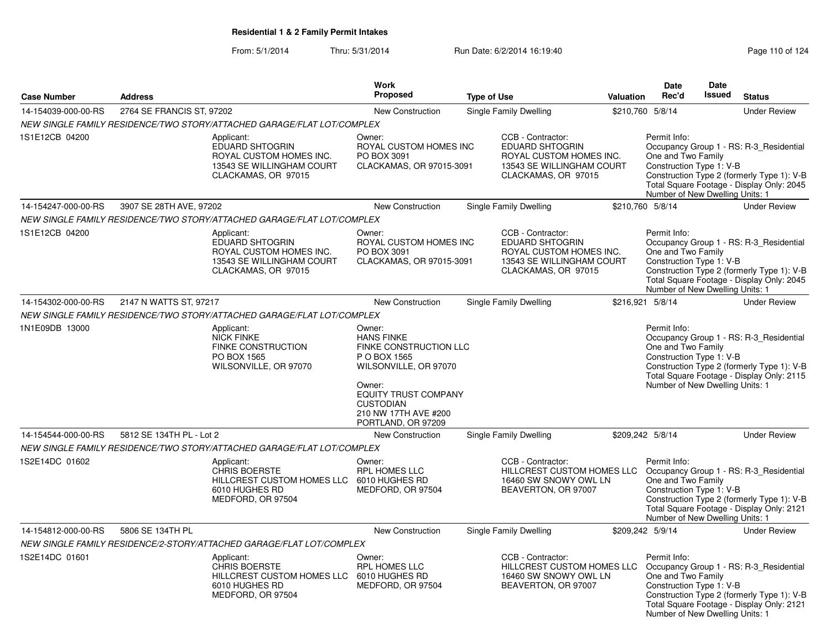|                     |                           |                                                                                                                | <b>Work</b>                                                                                             |                    |                                                                                                                                         |                  | Date                                                                                              | Date          |                                                                                                                                    |
|---------------------|---------------------------|----------------------------------------------------------------------------------------------------------------|---------------------------------------------------------------------------------------------------------|--------------------|-----------------------------------------------------------------------------------------------------------------------------------------|------------------|---------------------------------------------------------------------------------------------------|---------------|------------------------------------------------------------------------------------------------------------------------------------|
| <b>Case Number</b>  | <b>Address</b>            |                                                                                                                | <b>Proposed</b>                                                                                         | <b>Type of Use</b> |                                                                                                                                         | <b>Valuation</b> | Rec'd                                                                                             | <b>Issued</b> | <b>Status</b>                                                                                                                      |
| 14-154039-000-00-RS | 2764 SE FRANCIS ST, 97202 |                                                                                                                | New Construction                                                                                        |                    | Single Family Dwelling                                                                                                                  |                  | \$210,760 5/8/14                                                                                  |               | <b>Under Review</b>                                                                                                                |
|                     |                           | NEW SINGLE FAMILY RESIDENCE/TWO STORY/ATTACHED GARAGE/FLAT LOT/COMPLEX                                         |                                                                                                         |                    |                                                                                                                                         |                  |                                                                                                   |               |                                                                                                                                    |
| 1S1E12CB 04200      |                           | Applicant:<br>EDUARD SHTOGRIN<br>ROYAL CUSTOM HOMES INC.<br>13543 SE WILLINGHAM COURT<br>CLACKAMAS, OR 97015   | Owner:<br>ROYAL CUSTOM HOMES INC<br>PO BOX 3091<br>CLACKAMAS, OR 97015-3091                             |                    | CCB - Contractor:<br><b>EDUARD SHTOGRIN</b><br>ROYAL CUSTOM HOMES INC.<br>13543 SE WILLINGHAM COURT<br>CLACKAMAS, OR 97015              |                  | Permit Info:<br>One and Two Family<br>Construction Type 1: V-B<br>Number of New Dwelling Units: 1 |               | Occupancy Group 1 - RS: R-3_Residential<br>Construction Type 2 (formerly Type 1): V-B<br>Total Square Footage - Display Only: 2045 |
| 14-154247-000-00-RS | 3907 SE 28TH AVE, 97202   |                                                                                                                | New Construction                                                                                        |                    | Single Family Dwelling                                                                                                                  |                  | \$210,760 5/8/14                                                                                  |               | <b>Under Review</b>                                                                                                                |
|                     |                           | NEW SINGLE FAMILY RESIDENCE/TWO STORY/ATTACHED GARAGE/FLAT LOT/COMPLEX                                         |                                                                                                         |                    |                                                                                                                                         |                  |                                                                                                   |               |                                                                                                                                    |
| 1S1E12CB 04200      |                           | Applicant:<br>EDUARD SHTOGRIN<br>ROYAL CUSTOM HOMES INC.<br>13543 SE WILLINGHAM COURT<br>CLACKAMAS, OR 97015   | Owner:<br>ROYAL CUSTOM HOMES INC<br>PO BOX 3091<br>CLACKAMAS, OR 97015-3091                             |                    | CCB - Contractor:<br><b>EDUARD SHTOGRIN</b><br>ROYAL CUSTOM HOMES INC.<br>13543 SE WILLINGHAM COURT<br>CLACKAMAS, OR 97015              |                  | Permit Info:<br>One and Two Family<br>Construction Type 1: V-B<br>Number of New Dwelling Units: 1 |               | Occupancy Group 1 - RS: R-3_Residential<br>Construction Type 2 (formerly Type 1): V-B<br>Total Square Footage - Display Only: 2045 |
| 14-154302-000-00-RS | 2147 N WATTS ST, 97217    |                                                                                                                | New Construction                                                                                        |                    | Single Family Dwelling                                                                                                                  |                  | \$216,921 5/8/14                                                                                  |               | <b>Under Review</b>                                                                                                                |
|                     |                           | NEW SINGLE FAMILY RESIDENCE/TWO STORY/ATTACHED GARAGE/FLAT LOT/COMPLEX                                         |                                                                                                         |                    |                                                                                                                                         |                  |                                                                                                   |               |                                                                                                                                    |
| 1N1E09DB 13000      |                           | Applicant:<br><b>NICK FINKE</b><br><b>FINKE CONSTRUCTION</b><br>PO BOX 1565<br>WILSONVILLE, OR 97070           | Owner:<br><b>HANS FINKE</b><br>FINKE CONSTRUCTION LLC<br>P O BOX 1565<br>WILSONVILLE, OR 97070          |                    |                                                                                                                                         |                  | Permit Info:<br>One and Two Family<br>Construction Type 1: V-B                                    |               | Occupancy Group 1 - RS: R-3 Residential<br>Construction Type 2 (formerly Type 1): V-B<br>Total Square Footage - Display Only: 2115 |
|                     |                           |                                                                                                                | Owner:<br><b>EQUITY TRUST COMPANY</b><br><b>CUSTODIAN</b><br>210 NW 17TH AVE #200<br>PORTLAND, OR 97209 |                    |                                                                                                                                         |                  | Number of New Dwelling Units: 1                                                                   |               |                                                                                                                                    |
| 14-154544-000-00-RS | 5812 SE 134TH PL - Lot 2  |                                                                                                                | New Construction                                                                                        |                    | Single Family Dwelling                                                                                                                  |                  | \$209,242 5/8/14                                                                                  |               | <b>Under Review</b>                                                                                                                |
|                     |                           | NEW SINGLE FAMILY RESIDENCE/TWO STORY/ATTACHED GARAGE/FLAT LOT/COMPLEX                                         |                                                                                                         |                    |                                                                                                                                         |                  |                                                                                                   |               |                                                                                                                                    |
| 1S2E14DC 01602      |                           | Applicant:<br><b>CHRIS BOERSTE</b><br><b>HILLCREST CUSTOM HOMES LLC</b><br>6010 HUGHES RD<br>MEDFORD, OR 97504 | Owner:<br><b>RPL HOMES LLC</b><br>6010 HUGHES RD<br>MEDFORD, OR 97504                                   |                    | CCB - Contractor:<br>HILLCREST CUSTOM HOMES LLC<br>16460 SW SNOWY OWL LN<br>BEAVERTON, OR 97007                                         |                  | Permit Info:<br>One and Two Family<br>Construction Type 1: V-B<br>Number of New Dwelling Units: 1 |               | Occupancy Group 1 - RS: R-3_Residential<br>Construction Type 2 (formerly Type 1): V-B<br>Total Square Footage - Display Only: 2121 |
| 14-154812-000-00-RS | 5806 SE 134TH PL          |                                                                                                                | New Construction                                                                                        |                    | Single Family Dwelling                                                                                                                  |                  | \$209,242 5/9/14                                                                                  |               | <b>Under Review</b>                                                                                                                |
|                     |                           | NEW SINGLE FAMILY RESIDENCE/2-STORY/ATTACHED GARAGE/FLAT LOT/COMPLEX                                           |                                                                                                         |                    |                                                                                                                                         |                  |                                                                                                   |               |                                                                                                                                    |
| 1S2E14DC 01601      |                           | Applicant:<br><b>CHRIS BOERSTE</b><br>HILLCREST CUSTOM HOMES LLC<br>6010 HUGHES RD<br>MEDFORD, OR 97504        | Owner:<br><b>RPL HOMES LLC</b><br>6010 HUGHES RD<br>MEDFORD, OR 97504                                   |                    | CCB - Contractor:<br>HILLCREST CUSTOM HOMES LLC Occupancy Group 1 - RS: R-3_Residential<br>16460 SW SNOWY OWL LN<br>BEAVERTON, OR 97007 |                  | Permit Info:<br>One and Two Family<br>Construction Type 1: V-B<br>Number of New Dwelling Units: 1 |               | Construction Type 2 (formerly Type 1): V-B<br>Total Square Footage - Display Only: 2121                                            |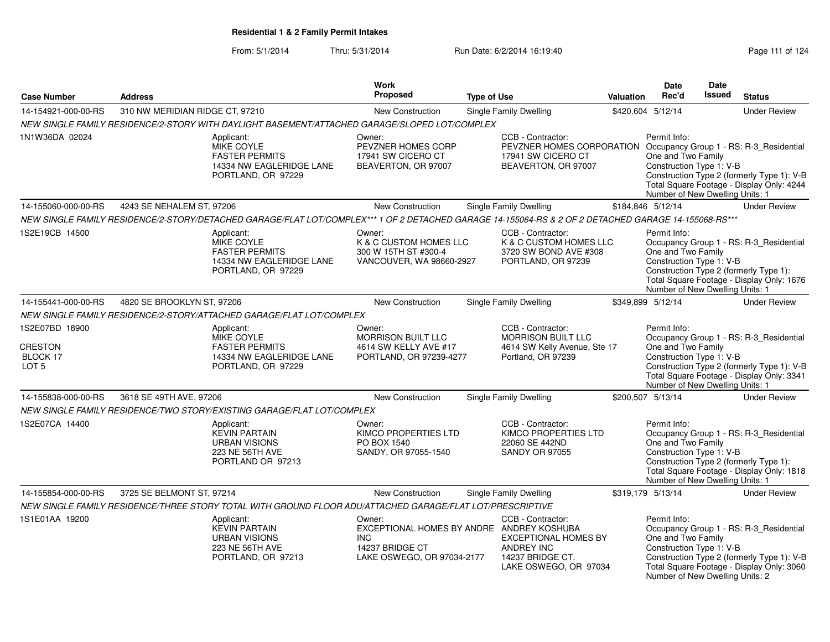| <b>Case Number</b>                                               | <b>Address</b>                  |                                                                                                                                                      | Work<br><b>Proposed</b>                                                                                            | <b>Type of Use</b> |                                                                                                                                     | <b>Valuation</b> | <b>Date</b><br>Rec'd                                                                              | <b>Date</b><br>Issued | <b>Status</b>                                                                                                                      |
|------------------------------------------------------------------|---------------------------------|------------------------------------------------------------------------------------------------------------------------------------------------------|--------------------------------------------------------------------------------------------------------------------|--------------------|-------------------------------------------------------------------------------------------------------------------------------------|------------------|---------------------------------------------------------------------------------------------------|-----------------------|------------------------------------------------------------------------------------------------------------------------------------|
| 14-154921-000-00-RS                                              | 310 NW MERIDIAN RIDGE CT, 97210 |                                                                                                                                                      | <b>New Construction</b>                                                                                            |                    | <b>Single Family Dwelling</b>                                                                                                       |                  | \$420,604 5/12/14                                                                                 |                       | <b>Under Review</b>                                                                                                                |
|                                                                  |                                 | NEW SINGLE FAMILY RESIDENCE/2-STORY WITH DAYLIGHT BASEMENT/ATTACHED GARAGE/SLOPED LOT/COMPLEX                                                        |                                                                                                                    |                    |                                                                                                                                     |                  |                                                                                                   |                       |                                                                                                                                    |
| 1N1W36DA 02024                                                   |                                 | Applicant:<br>MIKE COYLE<br><b>FASTER PERMITS</b><br>14334 NW EAGLERIDGE LANE<br>PORTLAND, OR 97229                                                  | Owner:<br>PEVZNER HOMES CORP<br>17941 SW CICERO CT<br>BEAVERTON, OR 97007                                          |                    | CCB - Contractor:<br>PEVZNER HOMES CORPORATION Occupancy Group 1 - RS: R-3_Residential<br>17941 SW CICERO CT<br>BEAVERTON, OR 97007 |                  | Permit Info:<br>One and Two Family<br>Construction Type 1: V-B<br>Number of New Dwelling Units: 1 |                       | Construction Type 2 (formerly Type 1): V-B<br>Total Square Footage - Display Only: 4244                                            |
| 14-155060-000-00-RS                                              | 4243 SE NEHALEM ST, 97206       |                                                                                                                                                      | New Construction                                                                                                   |                    | Single Family Dwelling                                                                                                              |                  | \$184,846 5/12/14                                                                                 |                       | <b>Under Review</b>                                                                                                                |
|                                                                  |                                 | NEW SINGLE FAMILY RESIDENCE/2-STORY/DETACHED GARAGE/FLAT LOT/COMPLEX*** 1 OF 2 DETACHED GARAGE 14-155064-RS & 2 OF 2 DETACHED GARAGE 14-155068-RS*** |                                                                                                                    |                    |                                                                                                                                     |                  |                                                                                                   |                       |                                                                                                                                    |
| 1S2E19CB 14500                                                   |                                 | Applicant:<br>MIKE COYLE<br><b>FASTER PERMITS</b><br>14334 NW EAGLERIDGE LANE<br>PORTLAND, OR 97229                                                  | Owner:<br>K & C CUSTOM HOMES LLC<br>300 W 15TH ST #300-4<br>VANCOUVER, WA 98660-2927                               |                    | CCB - Contractor:<br>K & C CUSTOM HOMES LLC<br>3720 SW BOND AVE #308<br>PORTLAND, OR 97239                                          |                  | Permit Info:<br>One and Two Family<br>Construction Type 1: V-B<br>Number of New Dwelling Units: 1 |                       | Occupancy Group 1 - RS: R-3_Residential<br>Construction Type 2 (formerly Type 1):<br>Total Square Footage - Display Only: 1676     |
| 14-155441-000-00-RS                                              | 4820 SE BROOKLYN ST, 97206      |                                                                                                                                                      | <b>New Construction</b>                                                                                            |                    | <b>Single Family Dwelling</b>                                                                                                       |                  | \$349,899 5/12/14                                                                                 |                       | <b>Under Review</b>                                                                                                                |
|                                                                  |                                 | NEW SINGLE FAMILY RESIDENCE/2-STORY/ATTACHED GARAGE/FLAT LOT/COMPLEX                                                                                 |                                                                                                                    |                    |                                                                                                                                     |                  |                                                                                                   |                       |                                                                                                                                    |
| 1S2E07BD 18900<br><b>CRESTON</b><br>BLOCK 17<br>LOT <sub>5</sub> |                                 | Applicant:<br><b>MIKE COYLE</b><br><b>FASTER PERMITS</b><br>14334 NW EAGLERIDGE LANE<br>PORTLAND, OR 97229                                           | Owner:<br>MORRISON BUILT LLC<br>4614 SW KELLY AVE #17<br>PORTLAND, OR 97239-4277                                   |                    | CCB - Contractor:<br><b>MORRISON BUILT LLC</b><br>4614 SW Kelly Avenue, Ste 17<br>Portland, OR 97239                                |                  | Permit Info:<br>One and Two Family<br>Construction Type 1: V-B<br>Number of New Dwelling Units: 1 |                       | Occupancy Group 1 - RS: R-3_Residential<br>Construction Type 2 (formerly Type 1): V-B<br>Total Square Footage - Display Only: 3341 |
| 14-155838-000-00-RS                                              | 3618 SE 49TH AVE, 97206         |                                                                                                                                                      | <b>New Construction</b>                                                                                            |                    | <b>Single Family Dwelling</b>                                                                                                       |                  | \$200,507 5/13/14                                                                                 |                       | <b>Under Review</b>                                                                                                                |
|                                                                  |                                 | NEW SINGLE FAMILY RESIDENCE/TWO STORY/EXISTING GARAGE/FLAT LOT/COMPLEX                                                                               |                                                                                                                    |                    |                                                                                                                                     |                  |                                                                                                   |                       |                                                                                                                                    |
| 1S2E07CA 14400                                                   |                                 | Applicant:<br><b>KEVIN PARTAIN</b><br><b>URBAN VISIONS</b><br>223 NE 56TH AVE<br>PORTLAND OR 97213                                                   | Owner:<br>KIMCO PROPERTIES LTD<br>PO BOX 1540<br>SANDY, OR 97055-1540                                              |                    | CCB - Contractor:<br>KIMCO PROPERTIES LTD<br>22060 SE 442ND<br><b>SANDY OR 97055</b>                                                |                  | Permit Info:<br>One and Two Family<br>Construction Type 1: V-B<br>Number of New Dwelling Units: 1 |                       | Occupancy Group 1 - RS: R-3_Residential<br>Construction Type 2 (formerly Type 1):<br>Total Square Footage - Display Only: 1818     |
| 14-155854-000-00-RS                                              | 3725 SE BELMONT ST, 97214       |                                                                                                                                                      | <b>New Construction</b>                                                                                            |                    | <b>Single Family Dwelling</b>                                                                                                       |                  | \$319,179 5/13/14                                                                                 |                       | <b>Under Review</b>                                                                                                                |
|                                                                  |                                 | NEW SINGLE FAMILY RESIDENCE/THREE STORY TOTAL WITH GROUND FLOOR ADU/ATTACHED GARAGE/FLAT LOT/PRESCRIPTIVE                                            |                                                                                                                    |                    |                                                                                                                                     |                  |                                                                                                   |                       |                                                                                                                                    |
| 1S1E01AA 19200                                                   |                                 | Applicant:<br><b>KEVIN PARTAIN</b><br><b>URBAN VISIONS</b><br>223 NE 56TH AVE<br>PORTLAND, OR 97213                                                  | Owner:<br>EXCEPTIONAL HOMES BY ANDRE ANDREY KOSHUBA<br><b>INC</b><br>14237 BRIDGE CT<br>LAKE OSWEGO, OR 97034-2177 |                    | CCB - Contractor:<br><b>EXCEPTIONAL HOMES BY</b><br>ANDREY INC<br>14237 BRIDGE CT.<br>LAKE OSWEGO, OR 97034                         |                  | Permit Info:<br>One and Two Family<br>Construction Type 1: V-B<br>Number of New Dwelling Units: 2 |                       | Occupancy Group 1 - RS: R-3_Residential<br>Construction Type 2 (formerly Type 1): V-B<br>Total Square Footage - Display Only: 3060 |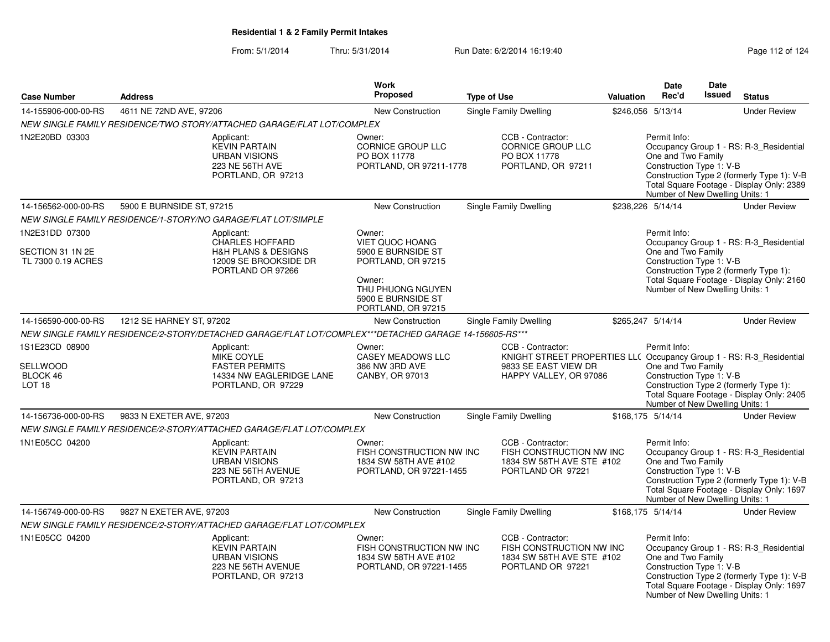|                                                             |                                                               |                                                                                                            | <b>Work</b>                                                                                   |                                                                                                                                             |           | <b>Date</b>                                                                                       | <b>Date</b> |                                                                                                                                    |
|-------------------------------------------------------------|---------------------------------------------------------------|------------------------------------------------------------------------------------------------------------|-----------------------------------------------------------------------------------------------|---------------------------------------------------------------------------------------------------------------------------------------------|-----------|---------------------------------------------------------------------------------------------------|-------------|------------------------------------------------------------------------------------------------------------------------------------|
| <b>Case Number</b>                                          | <b>Address</b>                                                |                                                                                                            | <b>Proposed</b>                                                                               | <b>Type of Use</b>                                                                                                                          | Valuation | Rec'd                                                                                             | Issued      | <b>Status</b>                                                                                                                      |
| 14-155906-000-00-RS                                         | 4611 NE 72ND AVE, 97206                                       |                                                                                                            | New Construction                                                                              | Single Family Dwelling                                                                                                                      |           | \$246,056 5/13/14                                                                                 |             | <b>Under Review</b>                                                                                                                |
|                                                             |                                                               | NEW SINGLE FAMILY RESIDENCE/TWO STORY/ATTACHED GARAGE/FLAT LOT/COMPLEX                                     |                                                                                               |                                                                                                                                             |           |                                                                                                   |             |                                                                                                                                    |
| 1N2E20BD 03303                                              |                                                               | Applicant:<br><b>KEVIN PARTAIN</b><br><b>URBAN VISIONS</b><br>223 NE 56TH AVE<br>PORTLAND, OR 97213        | Owner:<br><b>CORNICE GROUP LLC</b><br>PO BOX 11778<br>PORTLAND, OR 97211-1778                 | CCB - Contractor:<br><b>CORNICE GROUP LLC</b><br>PO BOX 11778<br>PORTLAND, OR 97211                                                         |           | Permit Info:<br>One and Two Family<br>Construction Type 1: V-B<br>Number of New Dwelling Units: 1 |             | Occupancy Group 1 - RS: R-3_Residential<br>Construction Type 2 (formerly Type 1): V-B<br>Total Square Footage - Display Only: 2389 |
| 14-156562-000-00-RS                                         | 5900 E BURNSIDE ST, 97215                                     |                                                                                                            | <b>New Construction</b>                                                                       | Single Family Dwelling                                                                                                                      |           | \$238,226 5/14/14                                                                                 |             | <b>Under Review</b>                                                                                                                |
|                                                             | NEW SINGLE FAMILY RESIDENCE/1-STORY/NO GARAGE/FLAT LOT/SIMPLE |                                                                                                            |                                                                                               |                                                                                                                                             |           |                                                                                                   |             |                                                                                                                                    |
| 1N2E31DD 07300<br>SECTION 31 1N 2E                          |                                                               | Applicant:<br><b>CHARLES HOFFARD</b><br><b>H&amp;H PLANS &amp; DESIGNS</b>                                 | Owner:<br><b>VIET QUOC HOANG</b><br>5900 E BURNSIDE ST                                        |                                                                                                                                             |           | Permit Info:<br>One and Two Family                                                                |             | Occupancy Group 1 - RS: R-3_Residential                                                                                            |
| TL 7300 0.19 ACRES                                          |                                                               | 12009 SE BROOKSIDE DR<br>PORTLAND OR 97266                                                                 | PORTLAND, OR 97215<br>Owner:<br>THU PHUONG NGUYEN<br>5900 E BURNSIDE ST<br>PORTLAND, OR 97215 |                                                                                                                                             |           | Construction Type 1: V-B<br>Number of New Dwelling Units: 1                                       |             | Construction Type 2 (formerly Type 1):<br>Total Square Footage - Display Only: 2160                                                |
| 14-156590-000-00-RS                                         | 1212 SE HARNEY ST, 97202                                      |                                                                                                            | <b>New Construction</b>                                                                       | Single Family Dwelling                                                                                                                      |           | \$265,247 5/14/14                                                                                 |             | <b>Under Review</b>                                                                                                                |
|                                                             |                                                               | NEW SINGLE FAMILY RESIDENCE/2-STORY/DETACHED GARAGE/FLAT LOT/COMPLEX***DETACHED GARAGE 14-156605-RS***     |                                                                                               |                                                                                                                                             |           |                                                                                                   |             |                                                                                                                                    |
| 1S1E23CD 08900<br>SELLWOOD<br>BLOCK 46<br>LOT <sub>18</sub> |                                                               | Applicant:<br><b>MIKE COYLE</b><br><b>FASTER PERMITS</b><br>14334 NW EAGLERIDGE LANE<br>PORTLAND, OR 97229 | Owner:<br><b>CASEY MEADOWS LLC</b><br>386 NW 3RD AVE<br>CANBY, OR 97013                       | CCB - Contractor:<br>KNIGHT STREET PROPERTIES LL( Occupancy Group 1 - RS: R-3_Residential<br>9833 SE EAST VIEW DR<br>HAPPY VALLEY, OR 97086 |           | Permit Info:<br>One and Two Family<br>Construction Type 1: V-B<br>Number of New Dwelling Units: 1 |             | Construction Type 2 (formerly Type 1):<br>Total Square Footage - Display Only: 2405                                                |
| 14-156736-000-00-RS                                         | 9833 N EXETER AVE, 97203                                      |                                                                                                            | New Construction                                                                              | <b>Single Family Dwelling</b>                                                                                                               |           | \$168,175 5/14/14                                                                                 |             | <b>Under Review</b>                                                                                                                |
|                                                             |                                                               | NEW SINGLE FAMILY RESIDENCE/2-STORY/ATTACHED GARAGE/FLAT LOT/COMPLEX                                       |                                                                                               |                                                                                                                                             |           |                                                                                                   |             |                                                                                                                                    |
| 1N1E05CC 04200                                              |                                                               | Applicant:<br><b>KEVIN PARTAIN</b><br><b>URBAN VISIONS</b><br>223 NE 56TH AVENUE<br>PORTLAND, OR 97213     | Owner:<br>FISH CONSTRUCTION NW INC<br>1834 SW 58TH AVE #102<br>PORTLAND, OR 97221-1455        | CCB - Contractor:<br>FISH CONSTRUCTION NW INC<br>1834 SW 58TH AVE STE #102<br>PORTLAND OR 97221                                             |           | Permit Info:<br>One and Two Family<br>Construction Type 1: V-B<br>Number of New Dwelling Units: 1 |             | Occupancy Group 1 - RS: R-3_Residential<br>Construction Type 2 (formerly Type 1): V-B<br>Total Square Footage - Display Only: 1697 |
| 14-156749-000-00-RS                                         | 9827 N EXETER AVE, 97203                                      |                                                                                                            | <b>New Construction</b>                                                                       | Single Family Dwelling                                                                                                                      |           | \$168,175 5/14/14                                                                                 |             | <b>Under Review</b>                                                                                                                |
|                                                             |                                                               | NEW SINGLE FAMILY RESIDENCE/2-STORY/ATTACHED GARAGE/FLAT LOT/COMPLEX                                       |                                                                                               |                                                                                                                                             |           |                                                                                                   |             |                                                                                                                                    |
| 1N1E05CC 04200                                              |                                                               | Applicant:<br><b>KEVIN PARTAIN</b><br><b>URBAN VISIONS</b><br>223 NE 56TH AVENUE<br>PORTLAND, OR 97213     | Owner:<br>FISH CONSTRUCTION NW INC<br>1834 SW 58TH AVE #102<br>PORTLAND, OR 97221-1455        | CCB - Contractor:<br>FISH CONSTRUCTION NW INC<br>1834 SW 58TH AVE STE #102<br>PORTLAND OR 97221                                             |           | Permit Info:<br>One and Two Family<br>Construction Type 1: V-B<br>Number of New Dwelling Units: 1 |             | Occupancy Group 1 - RS: R-3_Residential<br>Construction Type 2 (formerly Type 1): V-B<br>Total Square Footage - Display Only: 1697 |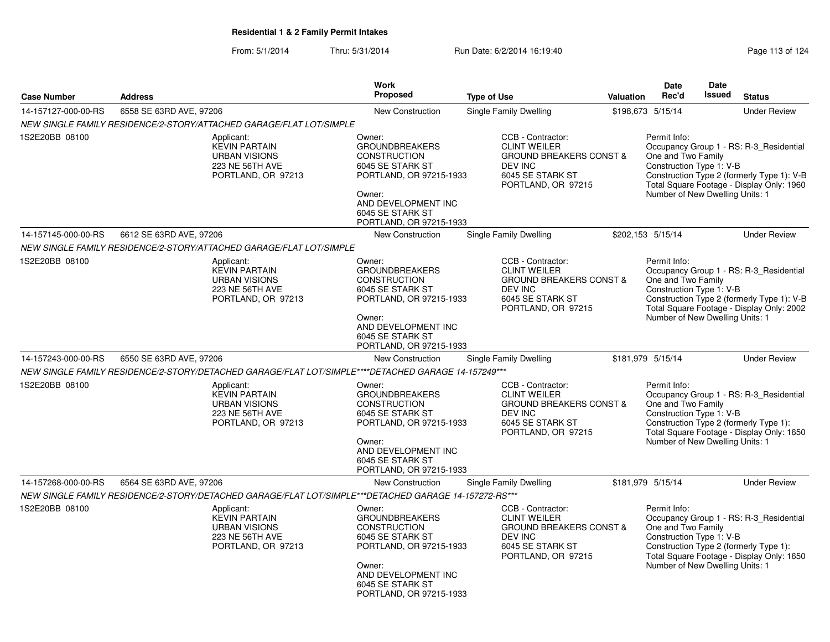|                     |                         |                                                                                                       | Work                                                                                                                                                                                  |                                                                                                                                     |                   | <b>Date</b>                                                                                       | Date   |                                                                                                                                    |
|---------------------|-------------------------|-------------------------------------------------------------------------------------------------------|---------------------------------------------------------------------------------------------------------------------------------------------------------------------------------------|-------------------------------------------------------------------------------------------------------------------------------------|-------------------|---------------------------------------------------------------------------------------------------|--------|------------------------------------------------------------------------------------------------------------------------------------|
| <b>Case Number</b>  | <b>Address</b>          |                                                                                                       | Proposed                                                                                                                                                                              | <b>Type of Use</b>                                                                                                                  | <b>Valuation</b>  | Rec'd                                                                                             | Issued | <b>Status</b>                                                                                                                      |
| 14-157127-000-00-RS | 6558 SE 63RD AVE, 97206 |                                                                                                       | <b>New Construction</b>                                                                                                                                                               | <b>Single Family Dwelling</b>                                                                                                       |                   | \$198,673 5/15/14                                                                                 |        | <b>Under Review</b>                                                                                                                |
|                     |                         | NEW SINGLE FAMILY RESIDENCE/2-STORY/ATTACHED GARAGE/FLAT LOT/SIMPLE                                   |                                                                                                                                                                                       |                                                                                                                                     |                   |                                                                                                   |        |                                                                                                                                    |
| 1S2E20BB 08100      |                         | Applicant:<br><b>KEVIN PARTAIN</b><br><b>URBAN VISIONS</b><br>223 NE 56TH AVE<br>PORTLAND, OR 97213   | Owner:<br><b>GROUNDBREAKERS</b><br><b>CONSTRUCTION</b><br>6045 SE STARK ST<br>PORTLAND, OR 97215-1933<br>Owner:<br>AND DEVELOPMENT INC<br>6045 SE STARK ST<br>PORTLAND, OR 97215-1933 | CCB - Contractor:<br><b>CLINT WEILER</b><br><b>GROUND BREAKERS CONST &amp;</b><br>DEV INC<br>6045 SE STARK ST<br>PORTLAND, OR 97215 |                   | Permit Info:<br>One and Two Family<br>Construction Type 1: V-B<br>Number of New Dwelling Units: 1 |        | Occupancy Group 1 - RS: R-3_Residential<br>Construction Type 2 (formerly Type 1): V-B<br>Total Square Footage - Display Only: 1960 |
| 14-157145-000-00-RS | 6612 SE 63RD AVE, 97206 |                                                                                                       | <b>New Construction</b>                                                                                                                                                               | <b>Single Family Dwelling</b>                                                                                                       |                   | \$202,153 5/15/14                                                                                 |        | <b>Under Review</b>                                                                                                                |
|                     |                         | NEW SINGLE FAMILY RESIDENCE/2-STORY/ATTACHED GARAGE/FLAT LOT/SIMPLE                                   |                                                                                                                                                                                       |                                                                                                                                     |                   |                                                                                                   |        |                                                                                                                                    |
| 1S2E20BB 08100      |                         | Applicant:<br><b>KEVIN PARTAIN</b><br><b>URBAN VISIONS</b><br>223 NE 56TH AVE<br>PORTLAND, OR 97213   | Owner:<br><b>GROUNDBREAKERS</b><br><b>CONSTRUCTION</b><br>6045 SE STARK ST<br>PORTLAND, OR 97215-1933<br>Owner:<br>AND DEVELOPMENT INC<br>6045 SE STARK ST<br>PORTLAND, OR 97215-1933 | CCB - Contractor:<br><b>CLINT WEILER</b><br><b>GROUND BREAKERS CONST &amp;</b><br>DEV INC<br>6045 SE STARK ST<br>PORTLAND, OR 97215 |                   | Permit Info:<br>One and Two Family<br>Construction Type 1: V-B<br>Number of New Dwelling Units: 1 |        | Occupancy Group 1 - RS: R-3 Residential<br>Construction Type 2 (formerly Type 1): V-B<br>Total Square Footage - Display Only: 2002 |
| 14-157243-000-00-RS | 6550 SE 63RD AVE, 97206 |                                                                                                       | <b>New Construction</b>                                                                                                                                                               | Single Family Dwelling                                                                                                              | \$181,979 5/15/14 |                                                                                                   |        | <b>Under Review</b>                                                                                                                |
|                     |                         | NEW SINGLE FAMILY RESIDENCE/2-STORY/DETACHED GARAGE/FLAT LOT/SIMPLE****DETACHED GARAGE 14-157249***   |                                                                                                                                                                                       |                                                                                                                                     |                   |                                                                                                   |        |                                                                                                                                    |
| 1S2E20BB 08100      |                         | Applicant:<br><b>KEVIN PARTAIN</b><br><b>URBAN VISIONS</b><br>223 NE 56TH AVE<br>PORTLAND, OR 97213   | Owner:<br><b>GROUNDBREAKERS</b><br><b>CONSTRUCTION</b><br>6045 SE STARK ST<br>PORTLAND, OR 97215-1933<br>Owner:<br>AND DEVELOPMENT INC<br>6045 SE STARK ST<br>PORTLAND, OR 97215-1933 | CCB - Contractor:<br><b>CLINT WEILER</b><br><b>GROUND BREAKERS CONST &amp;</b><br>DEV INC<br>6045 SE STARK ST<br>PORTLAND, OR 97215 |                   | Permit Info:<br>One and Two Family<br>Construction Type 1: V-B<br>Number of New Dwelling Units: 1 |        | Occupancy Group 1 - RS: R-3 Residential<br>Construction Type 2 (formerly Type 1):<br>Total Square Footage - Display Only: 1650     |
| 14-157268-000-00-RS | 6564 SE 63RD AVE, 97206 |                                                                                                       | <b>New Construction</b>                                                                                                                                                               | Single Family Dwelling                                                                                                              |                   | \$181,979 5/15/14                                                                                 |        | <b>Under Review</b>                                                                                                                |
|                     |                         | NEW SINGLE FAMILY RESIDENCE/2-STORY/DETACHED GARAGE/FLAT LOT/SIMPLE***DETACHED GARAGE 14-157272-RS*** |                                                                                                                                                                                       |                                                                                                                                     |                   |                                                                                                   |        |                                                                                                                                    |
| 1S2E20BB 08100      |                         | Applicant:<br><b>KEVIN PARTAIN</b><br><b>URBAN VISIONS</b><br>223 NE 56TH AVE<br>PORTLAND, OR 97213   | Owner:<br><b>GROUNDBREAKERS</b><br><b>CONSTRUCTION</b><br>6045 SE STARK ST<br>PORTLAND, OR 97215-1933<br>Owner:<br>AND DEVELOPMENT INC<br>6045 SE STARK ST<br>PORTLAND, OR 97215-1933 | CCB - Contractor:<br><b>CLINT WEILER</b><br><b>GROUND BREAKERS CONST &amp;</b><br>DEV INC<br>6045 SE STARK ST<br>PORTLAND, OR 97215 |                   | Permit Info:<br>One and Two Family<br>Construction Type 1: V-B<br>Number of New Dwelling Units: 1 |        | Occupancy Group 1 - RS: R-3_Residential<br>Construction Type 2 (formerly Type 1):<br>Total Square Footage - Display Only: 1650     |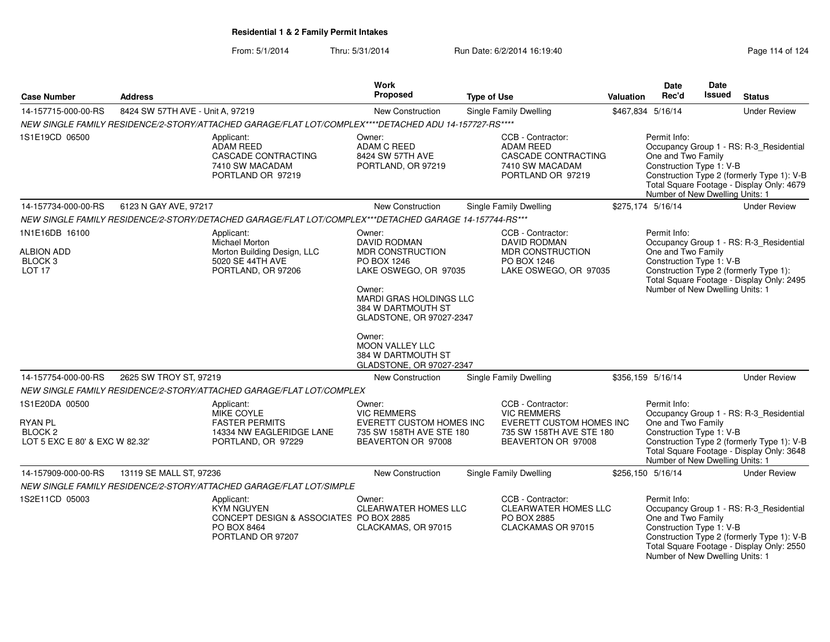From: 5/1/2014Thru: 5/31/2014 Run Date: 6/2/2014 16:19:40 Rege 114 of 124

| <b>Case Number</b>                                                                       | <b>Address</b>                   |                                                                                                                | <b>Work</b><br>Proposed                                                                                                                                                                                                                        | <b>Type of Use</b>                                                                                                    | Valuation | <b>Date</b><br>Rec'd                                                                              | <b>Date</b><br><b>Issued</b> | <b>Status</b>                                                                                                                      |
|------------------------------------------------------------------------------------------|----------------------------------|----------------------------------------------------------------------------------------------------------------|------------------------------------------------------------------------------------------------------------------------------------------------------------------------------------------------------------------------------------------------|-----------------------------------------------------------------------------------------------------------------------|-----------|---------------------------------------------------------------------------------------------------|------------------------------|------------------------------------------------------------------------------------------------------------------------------------|
| 14-157715-000-00-RS                                                                      | 8424 SW 57TH AVE - Unit A, 97219 |                                                                                                                | <b>New Construction</b>                                                                                                                                                                                                                        | Single Family Dwelling                                                                                                |           | \$467,834 5/16/14                                                                                 |                              | <b>Under Review</b>                                                                                                                |
|                                                                                          |                                  | NEW SINGLE FAMILY RESIDENCE/2-STORY/ATTACHED GARAGE/FLAT LOT/COMPLEX****DETACHED ADU 14-157727-RS****          |                                                                                                                                                                                                                                                |                                                                                                                       |           |                                                                                                   |                              |                                                                                                                                    |
| 1S1E19CD 06500                                                                           |                                  | Applicant:<br><b>ADAM REED</b><br>CASCADE CONTRACTING<br>7410 SW MACADAM<br>PORTLAND OR 97219                  | Owner:<br>ADAM C REED<br>8424 SW 57TH AVE<br>PORTLAND, OR 97219                                                                                                                                                                                | CCB - Contractor:<br><b>ADAM REED</b><br>CASCADE CONTRACTING<br>7410 SW MACADAM<br>PORTLAND OR 97219                  |           | Permit Info:<br>One and Two Family<br>Construction Type 1: V-B<br>Number of New Dwelling Units: 1 |                              | Occupancy Group 1 - RS: R-3_Residential<br>Construction Type 2 (formerly Type 1): V-B<br>Total Square Footage - Display Only: 4679 |
| 14-157734-000-00-RS                                                                      | 6123 N GAY AVE, 97217            |                                                                                                                | New Construction                                                                                                                                                                                                                               | Single Family Dwelling                                                                                                |           | \$275,174 5/16/14                                                                                 |                              | <b>Under Review</b>                                                                                                                |
|                                                                                          |                                  | NEW SINGLE FAMILY RESIDENCE/2-STORY/DETACHED GARAGE/FLAT LOT/COMPLEX***DETACHED GARAGE 14-157744-RS***         |                                                                                                                                                                                                                                                |                                                                                                                       |           |                                                                                                   |                              |                                                                                                                                    |
| 1N1E16DB 16100                                                                           |                                  | Applicant:                                                                                                     | Owner:                                                                                                                                                                                                                                         | CCB - Contractor:                                                                                                     |           | Permit Info:                                                                                      |                              |                                                                                                                                    |
| <b>ALBION ADD</b><br>BLOCK <sub>3</sub><br>LOT 17                                        |                                  | Michael Morton<br>Morton Building Design, LLC<br>5020 SE 44TH AVE<br>PORTLAND, OR 97206                        | <b>DAVID RODMAN</b><br><b>MDR CONSTRUCTION</b><br>PO BOX 1246<br>LAKE OSWEGO, OR 97035<br>Owner:<br><b>MARDI GRAS HOLDINGS LLC</b><br>384 W DARTMOUTH ST<br>GLADSTONE, OR 97027-2347<br>Owner:<br><b>MOON VALLEY LLC</b><br>384 W DARTMOUTH ST | DAVID RODMAN<br><b>MDR CONSTRUCTION</b><br>PO BOX 1246<br>LAKE OSWEGO, OR 97035                                       |           | One and Two Family<br>Construction Type 1: V-B<br>Number of New Dwelling Units: 1                 |                              | Occupancy Group 1 - RS: R-3_Residential<br>Construction Type 2 (formerly Type 1):<br>Total Square Footage - Display Only: 2495     |
|                                                                                          |                                  |                                                                                                                | GLADSTONE, OR 97027-2347                                                                                                                                                                                                                       |                                                                                                                       |           |                                                                                                   |                              |                                                                                                                                    |
| 14-157754-000-00-RS                                                                      | 2625 SW TROY ST, 97219           |                                                                                                                | <b>New Construction</b>                                                                                                                                                                                                                        | Single Family Dwelling                                                                                                |           | \$356,159 5/16/14                                                                                 |                              | <b>Under Review</b>                                                                                                                |
|                                                                                          |                                  | NEW SINGLE FAMILY RESIDENCE/2-STORY/ATTACHED GARAGE/FLAT LOT/COMPLEX                                           |                                                                                                                                                                                                                                                |                                                                                                                       |           |                                                                                                   |                              |                                                                                                                                    |
| 1S1E20DA 00500<br><b>RYAN PL</b><br>BLOCK <sub>2</sub><br>LOT 5 EXC E 80' & EXC W 82.32' |                                  | Applicant:<br>MIKE COYLE<br><b>FASTER PERMITS</b><br>14334 NW EAGLERIDGE LANE<br>PORTLAND, OR 97229            | Owner:<br><b>VIC REMMERS</b><br>EVERETT CUSTOM HOMES INC<br>735 SW 158TH AVE STE 180<br>BEAVERTON OR 97008                                                                                                                                     | CCB - Contractor:<br><b>VIC REMMERS</b><br>EVERETT CUSTOM HOMES INC<br>735 SW 158TH AVE STE 180<br>BEAVERTON OR 97008 |           | Permit Info:<br>One and Two Family<br>Construction Type 1: V-B<br>Number of New Dwelling Units: 1 |                              | Occupancy Group 1 - RS: R-3_Residential<br>Construction Type 2 (formerly Type 1): V-B<br>Total Square Footage - Display Only: 3648 |
| 14-157909-000-00-RS                                                                      | 13119 SE MALL ST, 97236          |                                                                                                                | New Construction                                                                                                                                                                                                                               | Single Family Dwelling                                                                                                |           | \$256,150 5/16/14                                                                                 |                              | <b>Under Review</b>                                                                                                                |
|                                                                                          |                                  | NEW SINGLE FAMILY RESIDENCE/2-STORY/ATTACHED GARAGE/FLAT LOT/SIMPLE                                            |                                                                                                                                                                                                                                                |                                                                                                                       |           |                                                                                                   |                              |                                                                                                                                    |
| 1S2E11CD 05003                                                                           |                                  | Applicant:<br><b>KYM NGUYEN</b><br>CONCEPT DESIGN & ASSOCIATES PO BOX 2885<br>PO BOX 8464<br>PORTLAND OR 97207 | Owner:<br><b>CLEARWATER HOMES LLC</b><br>CLACKAMAS, OR 97015                                                                                                                                                                                   | CCB - Contractor:<br><b>CLEARWATER HOMES LLC</b><br>PO BOX 2885<br>CLACKAMAS OR 97015                                 |           | Permit Info:<br>One and Two Family<br>Construction Type 1: V-B<br>Number of New Dwelling Units: 1 |                              | Occupancy Group 1 - RS: R-3_Residential<br>Construction Type 2 (formerly Type 1): V-B<br>Total Square Footage - Display Only: 2550 |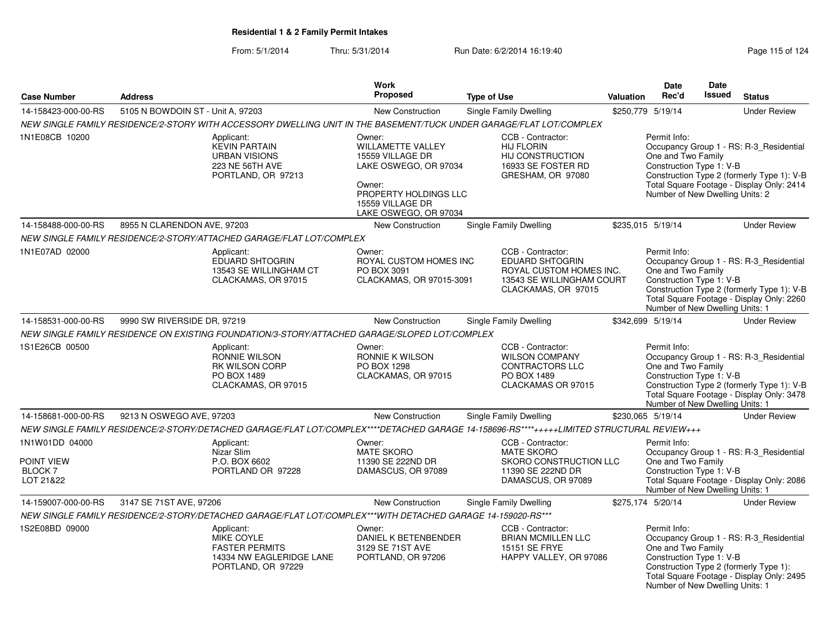|                                                            |                                                                                                                                           | <b>Work</b>                                                                                                                                                     |                                                                                                                            |           | Date                                                                                              | <b>Date</b> |                                                                                                                                    |
|------------------------------------------------------------|-------------------------------------------------------------------------------------------------------------------------------------------|-----------------------------------------------------------------------------------------------------------------------------------------------------------------|----------------------------------------------------------------------------------------------------------------------------|-----------|---------------------------------------------------------------------------------------------------|-------------|------------------------------------------------------------------------------------------------------------------------------------|
| <b>Case Number</b>                                         | <b>Address</b>                                                                                                                            | <b>Proposed</b>                                                                                                                                                 | <b>Type of Use</b>                                                                                                         | Valuation | Rec'd                                                                                             | Issued      | <b>Status</b>                                                                                                                      |
| 14-158423-000-00-RS                                        | 5105 N BOWDOIN ST - Unit A, 97203                                                                                                         | New Construction                                                                                                                                                | <b>Single Family Dwelling</b>                                                                                              |           | \$250.779 5/19/14                                                                                 |             | <b>Under Review</b>                                                                                                                |
|                                                            | NEW SINGLE FAMILY RESIDENCE/2-STORY WITH ACCESSORY DWELLING UNIT IN THE BASEMENT/TUCK UNDER GARAGE/FLAT LOT/COMPLEX                       |                                                                                                                                                                 |                                                                                                                            |           |                                                                                                   |             |                                                                                                                                    |
| 1N1E08CB 10200                                             | Applicant:<br><b>KEVIN PARTAIN</b><br><b>URBAN VISIONS</b><br>223 NE 56TH AVE<br>PORTLAND, OR 97213                                       | Owner:<br><b>WILLAMETTE VALLEY</b><br>15559 VILLAGE DR<br>LAKE OSWEGO, OR 97034<br>Owner:<br>PROPERTY HOLDINGS LLC<br>15559 VILLAGE DR<br>LAKE OSWEGO, OR 97034 | CCB - Contractor:<br><b>HIJ FLORIN</b><br>HIJ CONSTRUCTION<br>16933 SE FOSTER RD<br>GRESHAM, OR 97080                      |           | Permit Info:<br>One and Two Family<br>Construction Type 1: V-B<br>Number of New Dwelling Units: 2 |             | Occupancy Group 1 - RS: R-3 Residential<br>Construction Type 2 (formerly Type 1): V-B<br>Total Square Footage - Display Only: 2414 |
| 14-158488-000-00-RS                                        | 8955 N CLARENDON AVE, 97203                                                                                                               | <b>New Construction</b>                                                                                                                                         | Single Family Dwelling                                                                                                     |           | \$235,015 5/19/14                                                                                 |             | <b>Under Review</b>                                                                                                                |
|                                                            | NEW SINGLE FAMILY RESIDENCE/2-STORY/ATTACHED GARAGE/FLAT LOT/COMPLEX                                                                      |                                                                                                                                                                 |                                                                                                                            |           |                                                                                                   |             |                                                                                                                                    |
| 1N1E07AD 02000                                             | Applicant:<br>EDUARD SHTOGRIN<br>13543 SE WILLINGHAM CT<br>CLACKAMAS, OR 97015                                                            | Owner:<br>ROYAL CUSTOM HOMES INC<br>PO BOX 3091<br>CLACKAMAS, OR 97015-3091                                                                                     | CCB - Contractor:<br><b>EDUARD SHTOGRIN</b><br>ROYAL CUSTOM HOMES INC.<br>13543 SE WILLINGHAM COURT<br>CLACKAMAS, OR 97015 |           | Permit Info:<br>One and Two Family<br>Construction Type 1: V-B<br>Number of New Dwelling Units: 1 |             | Occupancy Group 1 - RS: R-3_Residential<br>Construction Type 2 (formerly Type 1): V-B<br>Total Square Footage - Display Only: 2260 |
| 14-158531-000-00-RS                                        | 9990 SW RIVERSIDE DR, 97219                                                                                                               | <b>New Construction</b>                                                                                                                                         | Single Family Dwelling                                                                                                     |           | \$342,699 5/19/14                                                                                 |             | <b>Under Review</b>                                                                                                                |
|                                                            | NEW SINGLE FAMILY RESIDENCE ON EXISTING FOUNDATION/3-STORY/ATTACHED GARAGE/SLOPED LOT/COMPLEX                                             |                                                                                                                                                                 |                                                                                                                            |           |                                                                                                   |             |                                                                                                                                    |
| 1S1E26CB 00500                                             | Applicant:<br><b>RONNIE WILSON</b><br><b>RK WILSON CORP</b><br>PO BOX 1489<br>CLACKAMAS, OR 97015                                         | Owner:<br>RONNIE K WILSON<br>PO BOX 1298<br>CLACKAMAS, OR 97015                                                                                                 | CCB - Contractor:<br><b>WILSON COMPANY</b><br>CONTRACTORS LLC<br>PO BOX 1489<br>CLACKAMAS OR 97015                         |           | Permit Info:<br>One and Two Family<br>Construction Type 1: V-B<br>Number of New Dwelling Units: 1 |             | Occupancy Group 1 - RS: R-3_Residential<br>Construction Type 2 (formerly Type 1): V-B<br>Total Square Footage - Display Only: 3478 |
| 14-158681-000-00-RS                                        | 9213 N OSWEGO AVE, 97203                                                                                                                  | <b>New Construction</b>                                                                                                                                         | Single Family Dwelling                                                                                                     |           | \$230,065 5/19/14                                                                                 |             | <b>Under Review</b>                                                                                                                |
|                                                            | NEW SINGLE FAMILY RESIDENCE/2-STORY/DETACHED GARAGE/FLAT LOT/COMPLEX****DETACHED GARAGE 14-158696-RS****+++++LIMITED STRUCTURAL REVIEW+++ |                                                                                                                                                                 |                                                                                                                            |           |                                                                                                   |             |                                                                                                                                    |
| 1N1W01DD 04000<br>POINT VIEW<br><b>BLOCK7</b><br>LOT 21&22 | Applicant:<br>Nizar Slim<br>P.O. BOX 6602<br>PORTLAND OR 97228                                                                            | Owner:<br><b>MATE SKORO</b><br>11390 SE 222ND DR<br>DAMASCUS, OR 97089                                                                                          | CCB - Contractor:<br><b>MATE SKORO</b><br>SKORO CONSTRUCTION LLC<br>11390 SE 222ND DR<br>DAMASCUS, OR 97089                |           | Permit Info:<br>One and Two Family<br>Construction Type 1: V-B<br>Number of New Dwelling Units: 1 |             | Occupancy Group 1 - RS: R-3_Residential<br>Total Square Footage - Display Only: 2086                                               |
| 14-159007-000-00-RS                                        | 3147 SE 71ST AVE, 97206                                                                                                                   | New Construction                                                                                                                                                | Single Family Dwelling                                                                                                     |           | \$275,174 5/20/14                                                                                 |             | <b>Under Review</b>                                                                                                                |
|                                                            | NEW SINGLE FAMILY RESIDENCE/2-STORY/DETACHED GARAGE/FLAT LOT/COMPLEX***WITH DETACHED GARAGE 14-159020-RS***                               |                                                                                                                                                                 |                                                                                                                            |           |                                                                                                   |             |                                                                                                                                    |
| 1S2E08BD 09000                                             | Applicant:<br><b>MIKE COYLE</b><br><b>FASTER PERMITS</b><br>14334 NW EAGLERIDGE LANE<br>PORTLAND, OR 97229                                | Owner:<br>DANIEL K BETENBENDER<br>3129 SE 71ST AVE<br>PORTLAND, OR 97206                                                                                        | CCB - Contractor:<br><b>BRIAN MCMILLEN LLC</b><br>15151 SE FRYE<br>HAPPY VALLEY, OR 97086                                  |           | Permit Info:<br>One and Two Family<br>Construction Type 1: V-B<br>Number of New Dwelling Units: 1 |             | Occupancy Group 1 - RS: R-3 Residential<br>Construction Type 2 (formerly Type 1):<br>Total Square Footage - Display Only: 2495     |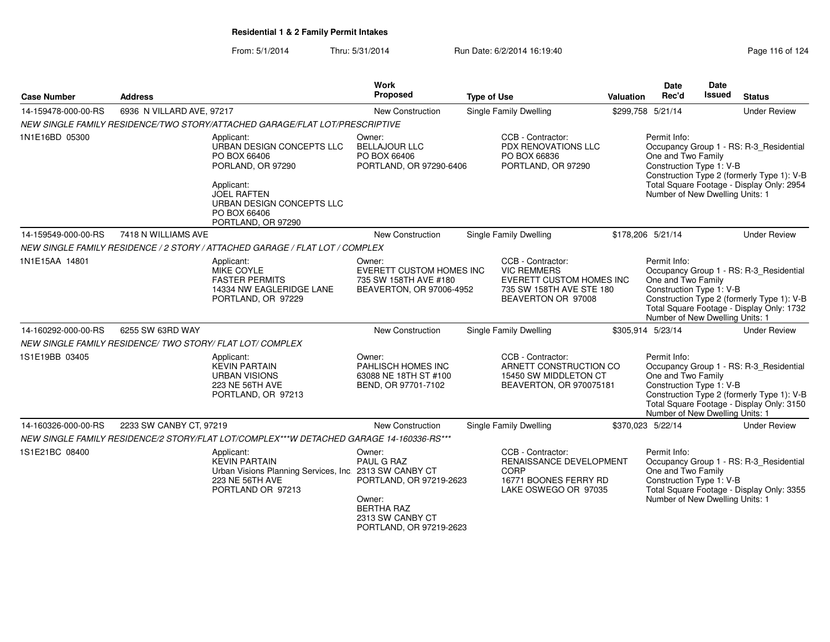| <b>Case Number</b>  | <b>Address</b>            |                                                                                                                                                                                     | Work<br>Proposed                                                                                                              | <b>Type of Use</b> |                                                                                                                       | <b>Valuation</b> | <b>Date</b><br>Rec'd                                                                              | <b>Date</b><br><b>Issued</b> | <b>Status</b>                                                                                                                      |
|---------------------|---------------------------|-------------------------------------------------------------------------------------------------------------------------------------------------------------------------------------|-------------------------------------------------------------------------------------------------------------------------------|--------------------|-----------------------------------------------------------------------------------------------------------------------|------------------|---------------------------------------------------------------------------------------------------|------------------------------|------------------------------------------------------------------------------------------------------------------------------------|
| 14-159478-000-00-RS | 6936 N VILLARD AVE, 97217 |                                                                                                                                                                                     | New Construction                                                                                                              |                    | <b>Single Family Dwelling</b>                                                                                         |                  | \$299,758 5/21/14                                                                                 |                              | <b>Under Review</b>                                                                                                                |
|                     |                           | NEW SINGLE FAMILY RESIDENCE/TWO STORY/ATTACHED GARAGE/FLAT LOT/PRESCRIPTIVE                                                                                                         |                                                                                                                               |                    |                                                                                                                       |                  |                                                                                                   |                              |                                                                                                                                    |
| 1N1E16BD 05300      |                           | Applicant:<br>URBAN DESIGN CONCEPTS LLC<br>PO BOX 66406<br>PORLAND, OR 97290<br>Applicant:<br><b>JOEL RAFTEN</b><br>URBAN DESIGN CONCEPTS LLC<br>PO BOX 66406<br>PORTLAND, OR 97290 | Owner:<br><b>BELLAJOUR LLC</b><br>PO BOX 66406<br>PORTLAND, OR 97290-6406                                                     |                    | CCB - Contractor:<br><b>PDX RENOVATIONS LLC</b><br>PO BOX 66836<br>PORTLAND, OR 97290                                 |                  | Permit Info:<br>One and Two Family<br>Construction Type 1: V-B<br>Number of New Dwelling Units: 1 |                              | Occupancy Group 1 - RS: R-3_Residential<br>Construction Type 2 (formerly Type 1): V-B<br>Total Square Footage - Display Only: 2954 |
| 14-159549-000-00-RS | 7418 N WILLIAMS AVE       |                                                                                                                                                                                     | New Construction                                                                                                              |                    | <b>Single Family Dwelling</b>                                                                                         |                  | \$178,206 5/21/14                                                                                 |                              | <b>Under Review</b>                                                                                                                |
|                     |                           | NEW SINGLE FAMILY RESIDENCE / 2 STORY / ATTACHED GARAGE / FLAT LOT / COMPLEX                                                                                                        |                                                                                                                               |                    |                                                                                                                       |                  |                                                                                                   |                              |                                                                                                                                    |
| 1N1E15AA 14801      |                           | Applicant:<br>MIKE COYLE<br><b>FASTER PERMITS</b><br>14334 NW EAGLERIDGE LANE<br>PORTLAND, OR 97229                                                                                 | Owner:<br><b>EVERETT CUSTOM HOMES INC</b><br>735 SW 158TH AVE #180<br>BEAVERTON, OR 97006-4952                                |                    | CCB - Contractor:<br><b>VIC REMMERS</b><br>EVERETT CUSTOM HOMES INC<br>735 SW 158TH AVE STE 180<br>BEAVERTON OR 97008 |                  | Permit Info:<br>One and Two Family<br>Construction Type 1: V-B<br>Number of New Dwelling Units: 1 |                              | Occupancy Group 1 - RS: R-3 Residential<br>Construction Type 2 (formerly Type 1): V-B<br>Total Square Footage - Display Only: 1732 |
| 14-160292-000-00-RS | 6255 SW 63RD WAY          |                                                                                                                                                                                     | New Construction                                                                                                              |                    | <b>Single Family Dwelling</b>                                                                                         |                  | \$305,914 5/23/14                                                                                 |                              | <b>Under Review</b>                                                                                                                |
|                     |                           | NEW SINGLE FAMILY RESIDENCE/ TWO STORY/ FLAT LOT/ COMPLEX                                                                                                                           |                                                                                                                               |                    |                                                                                                                       |                  |                                                                                                   |                              |                                                                                                                                    |
| 1S1E19BB 03405      |                           | Applicant:<br><b>KEVIN PARTAIN</b><br><b>URBAN VISIONS</b><br>223 NE 56TH AVE<br>PORTLAND, OR 97213                                                                                 | Owner:<br>PAHLISCH HOMES INC<br>63088 NE 18TH ST #100<br>BEND, OR 97701-7102                                                  |                    | CCB - Contractor:<br>ARNETT CONSTRUCTION CO<br>15450 SW MIDDLETON CT<br>BEAVERTON, OR 970075181                       |                  | Permit Info:<br>One and Two Family<br>Construction Type 1: V-B<br>Number of New Dwelling Units: 1 |                              | Occupancy Group 1 - RS: R-3_Residential<br>Construction Type 2 (formerly Type 1): V-B<br>Total Square Footage - Display Only: 3150 |
| 14-160326-000-00-RS | 2233 SW CANBY CT, 97219   |                                                                                                                                                                                     | <b>New Construction</b>                                                                                                       |                    | <b>Single Family Dwelling</b>                                                                                         |                  | \$370,023 5/22/14                                                                                 |                              | <b>Under Review</b>                                                                                                                |
|                     |                           | NEW SINGLE FAMILY RESIDENCE/2 STORY/FLAT LOT/COMPLEX***W DETACHED GARAGE 14-160336-RS***                                                                                            |                                                                                                                               |                    |                                                                                                                       |                  |                                                                                                   |                              |                                                                                                                                    |
| 1S1E21BC 08400      |                           | Applicant:<br><b>KEVIN PARTAIN</b><br>Urban Visions Planning Services, Inc. 2313 SW CANBY CT<br>223 NE 56TH AVE<br>PORTLAND OR 97213                                                | Owner:<br>PAUL G RAZ<br>PORTLAND, OR 97219-2623<br>Owner:<br><b>BERTHA RAZ</b><br>2313 SW CANBY CT<br>PORTLAND, OR 97219-2623 |                    | CCB - Contractor:<br>RENAISSANCE DEVELOPMENT<br>CORP<br>16771 BOONES FERRY RD<br>LAKE OSWEGO OR 97035                 |                  | Permit Info:<br>One and Two Family<br>Construction Type 1: V-B<br>Number of New Dwelling Units: 1 |                              | Occupancy Group 1 - RS: R-3_Residential<br>Total Square Footage - Display Only: 3355                                               |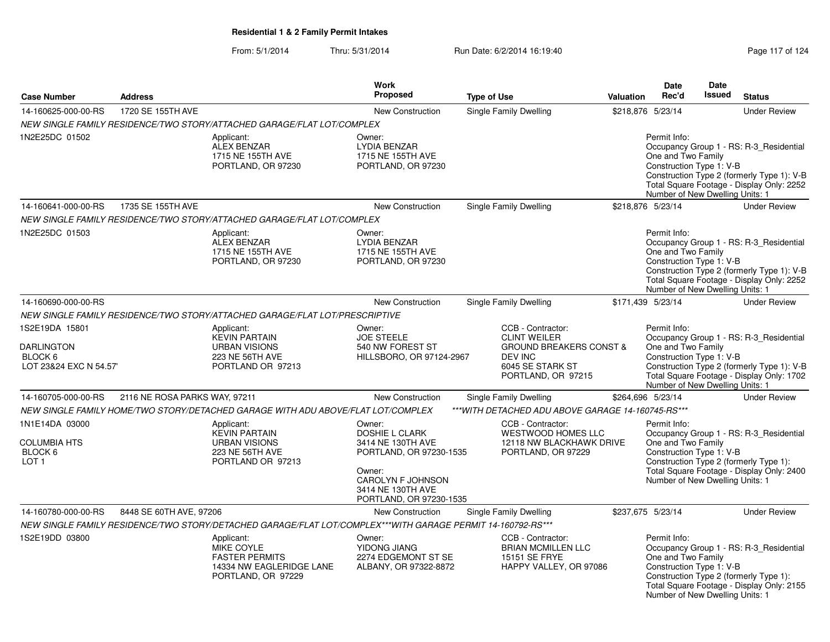### From: 5/1/2014Thru: 5/31/2014 Run Date: 6/2/2014 16:19:40 Rege 117 of 124

|                                                                          |                               |                                                                                                             | <b>Work</b>                                                                                                                                                    |                    |                                                                                                                                     |                                                                                                                                                                                                                                         | <b>Date</b>                                                                                       | Date          |                                                                                                                                    |
|--------------------------------------------------------------------------|-------------------------------|-------------------------------------------------------------------------------------------------------------|----------------------------------------------------------------------------------------------------------------------------------------------------------------|--------------------|-------------------------------------------------------------------------------------------------------------------------------------|-----------------------------------------------------------------------------------------------------------------------------------------------------------------------------------------------------------------------------------------|---------------------------------------------------------------------------------------------------|---------------|------------------------------------------------------------------------------------------------------------------------------------|
| <b>Case Number</b>                                                       | <b>Address</b>                |                                                                                                             | Proposed                                                                                                                                                       | <b>Type of Use</b> |                                                                                                                                     | <b>Valuation</b>                                                                                                                                                                                                                        | Rec'd                                                                                             | <b>Issued</b> | <b>Status</b>                                                                                                                      |
| 14-160625-000-00-RS                                                      | 1720 SE 155TH AVE             |                                                                                                             | New Construction                                                                                                                                               |                    | Single Family Dwelling                                                                                                              | \$218,876 5/23/14                                                                                                                                                                                                                       |                                                                                                   |               | <b>Under Review</b>                                                                                                                |
|                                                                          |                               | NEW SINGLE FAMILY RESIDENCE/TWO STORY/ATTACHED GARAGE/FLAT LOT/COMPLEX                                      |                                                                                                                                                                |                    |                                                                                                                                     |                                                                                                                                                                                                                                         |                                                                                                   |               |                                                                                                                                    |
| 1N2E25DC 01502                                                           |                               | Applicant:<br><b>ALEX BENZAR</b><br>1715 NE 155TH AVE<br>PORTLAND, OR 97230                                 | Owner:<br><b>LYDIA BENZAR</b><br>1715 NE 155TH AVE<br>PORTLAND, OR 97230                                                                                       |                    |                                                                                                                                     |                                                                                                                                                                                                                                         | Permit Info:<br>One and Two Family<br>Construction Type 1: V-B<br>Number of New Dwelling Units: 1 |               | Occupancy Group 1 - RS: R-3 Residential<br>Construction Type 2 (formerly Type 1): V-B<br>Total Square Footage - Display Only: 2252 |
| 14-160641-000-00-RS                                                      | 1735 SE 155TH AVE             |                                                                                                             | New Construction                                                                                                                                               |                    | Single Family Dwelling                                                                                                              | \$218,876 5/23/14                                                                                                                                                                                                                       |                                                                                                   |               | <b>Under Review</b>                                                                                                                |
|                                                                          |                               | NEW SINGLE FAMILY RESIDENCE/TWO STORY/ATTACHED GARAGE/FLAT LOT/COMPLEX                                      |                                                                                                                                                                |                    |                                                                                                                                     |                                                                                                                                                                                                                                         |                                                                                                   |               |                                                                                                                                    |
| 1N2E25DC 01503                                                           |                               | Applicant:<br>ALEX BENZAR<br>1715 NE 155TH AVE<br>PORTLAND, OR 97230                                        | Owner:<br><b>LYDIA BENZAR</b><br>1715 NE 155TH AVE<br>PORTLAND, OR 97230                                                                                       |                    |                                                                                                                                     |                                                                                                                                                                                                                                         | Permit Info:<br>One and Two Family<br>Construction Type 1: V-B<br>Number of New Dwelling Units: 1 |               | Occupancy Group 1 - RS: R-3_Residential<br>Construction Type 2 (formerly Type 1): V-B<br>Total Square Footage - Display Only: 2252 |
| 14-160690-000-00-RS                                                      |                               |                                                                                                             | New Construction                                                                                                                                               |                    | <b>Single Family Dwelling</b>                                                                                                       | \$171,439 5/23/14                                                                                                                                                                                                                       |                                                                                                   |               | <b>Under Review</b>                                                                                                                |
|                                                                          |                               | NEW SINGLE FAMILY RESIDENCE/TWO STORY/ATTACHED GARAGE/FLAT LOT/PRESCRIPTIVE                                 |                                                                                                                                                                |                    |                                                                                                                                     |                                                                                                                                                                                                                                         |                                                                                                   |               |                                                                                                                                    |
| 1S2E19DA 15801<br><b>DARLINGTON</b><br>BLOCK 6<br>LOT 23&24 EXC N 54.57' |                               | Applicant:<br><b>KEVIN PARTAIN</b><br>URBAN VISIONS<br><b>223 NE 56TH AVE</b><br>PORTLAND OR 97213          | Owner:<br><b>JOE STEELE</b><br>540 NW FOREST ST<br>HILLSBORO, OR 97124-2967                                                                                    |                    | CCB - Contractor:<br><b>CLINT WEILER</b><br><b>GROUND BREAKERS CONST &amp;</b><br>DEV INC<br>6045 SE STARK ST<br>PORTLAND, OR 97215 | Permit Info:<br>Occupancy Group 1 - RS: R-3_Residential<br>One and Two Family<br>Construction Type 1: V-B<br>Construction Type 2 (formerly Type 1): V-B<br>Total Square Footage - Display Only: 1702<br>Number of New Dwelling Units: 1 |                                                                                                   |               |                                                                                                                                    |
| 14-160705-000-00-RS                                                      | 2116 NE ROSA PARKS WAY, 97211 |                                                                                                             | New Construction                                                                                                                                               |                    | Single Family Dwelling                                                                                                              | \$264,696 5/23/14                                                                                                                                                                                                                       |                                                                                                   |               | <b>Under Review</b>                                                                                                                |
|                                                                          |                               | NEW SINGLE FAMILY HOME/TWO STORY/DETACHED GARAGE WITH ADU ABOVE/FLAT LOT/COMPLEX                            |                                                                                                                                                                |                    | *** WITH DETACHED ADU ABOVE GARAGE 14-160745-RS***                                                                                  |                                                                                                                                                                                                                                         |                                                                                                   |               |                                                                                                                                    |
| 1N1E14DA 03000<br><b>COLUMBIA HTS</b><br>BLOCK 6<br>LOT <sub>1</sub>     |                               | Applicant:<br><b>KEVIN PARTAIN</b><br><b>URBAN VISIONS</b><br>223 NE 56TH AVE<br>PORTLAND OR 97213          | Owner:<br><b>DOSHIE L CLARK</b><br>3414 NE 130TH AVE<br>PORTLAND, OR 97230-1535<br>Owner:<br>CAROLYN F JOHNSON<br>3414 NE 130TH AVE<br>PORTLAND, OR 97230-1535 |                    | CCB - Contractor:<br><b>WESTWOOD HOMES LLC</b><br>12118 NW BLACKHAWK DRIVE<br>PORTLAND, OR 97229                                    |                                                                                                                                                                                                                                         | Permit Info:<br>One and Two Family<br>Construction Type 1: V-B<br>Number of New Dwelling Units: 1 |               | Occupancy Group 1 - RS: R-3_Residential<br>Construction Type 2 (formerly Type 1):<br>Total Square Footage - Display Only: 2400     |
| 14-160780-000-00-RS                                                      | 8448 SE 60TH AVE, 97206       |                                                                                                             | New Construction                                                                                                                                               |                    | Single Family Dwelling                                                                                                              | \$237,675 5/23/14                                                                                                                                                                                                                       |                                                                                                   |               | <b>Under Review</b>                                                                                                                |
|                                                                          |                               | NEW SINGLE FAMILY RESIDENCE/TWO STORY/DETACHED GARAGE/FLAT LOT/COMPLEX***WITH GARAGE PERMIT 14-160792-RS*** |                                                                                                                                                                |                    |                                                                                                                                     |                                                                                                                                                                                                                                         |                                                                                                   |               |                                                                                                                                    |
| 1S2E19DD 03800                                                           |                               | Applicant:<br>MIKE COYLE<br><b>FASTER PERMITS</b><br>14334 NW EAGLERIDGE LANE<br>PORTLAND, OR 97229         | Owner:<br>YIDONG JIANG<br>2274 EDGEMONT ST SE<br>ALBANY, OR 97322-8872                                                                                         |                    | CCB - Contractor:<br><b>BRIAN MCMILLEN LLC</b><br><b>15151 SE FRYE</b><br>HAPPY VALLEY, OR 97086                                    |                                                                                                                                                                                                                                         | Permit Info:<br>One and Two Family<br>Construction Type 1: V-B<br>Number of New Dwelling Units: 1 |               | Occupancy Group 1 - RS: R-3_Residential<br>Construction Type 2 (formerly Type 1):<br>Total Square Footage - Display Only: 2155     |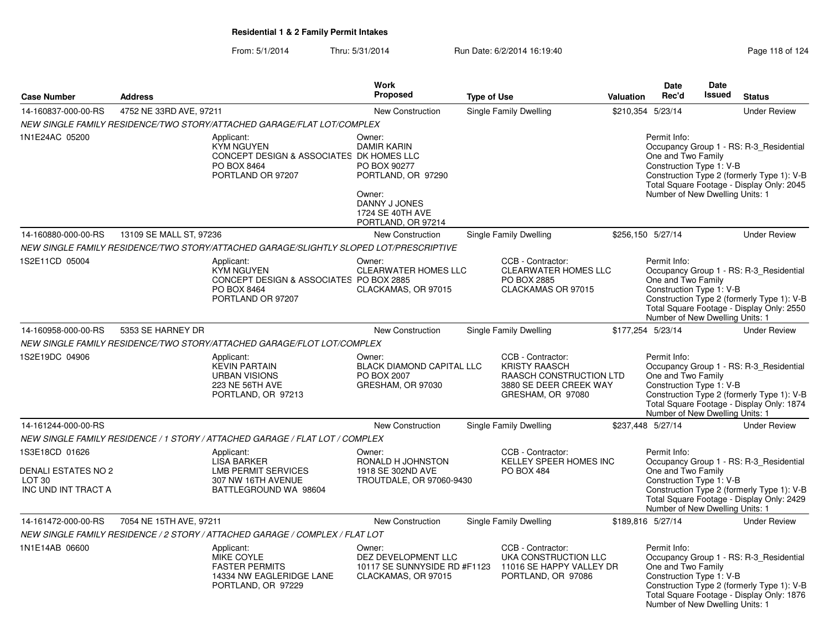|                                                                                          |                         |                                                                                                                 | <b>Work</b>                                                                                                                             |                    |                                                                                                                     |           | <b>Date</b>                                                                                       | <b>Date</b>   |                                                                                                                                    |
|------------------------------------------------------------------------------------------|-------------------------|-----------------------------------------------------------------------------------------------------------------|-----------------------------------------------------------------------------------------------------------------------------------------|--------------------|---------------------------------------------------------------------------------------------------------------------|-----------|---------------------------------------------------------------------------------------------------|---------------|------------------------------------------------------------------------------------------------------------------------------------|
| <b>Case Number</b>                                                                       | <b>Address</b>          |                                                                                                                 | Proposed                                                                                                                                | <b>Type of Use</b> |                                                                                                                     | Valuation | Rec'd                                                                                             | <b>Issued</b> | <b>Status</b>                                                                                                                      |
| 14-160837-000-00-RS                                                                      | 4752 NE 33RD AVE, 97211 |                                                                                                                 | <b>New Construction</b>                                                                                                                 |                    | Single Family Dwelling                                                                                              |           | \$210,354 5/23/14                                                                                 |               | <b>Under Review</b>                                                                                                                |
|                                                                                          |                         | NEW SINGLE FAMILY RESIDENCE/TWO STORY/ATTACHED GARAGE/FLAT LOT/COMPLEX                                          |                                                                                                                                         |                    |                                                                                                                     |           |                                                                                                   |               |                                                                                                                                    |
| 1N1E24AC 05200                                                                           |                         | Applicant:<br><b>KYM NGUYEN</b><br>CONCEPT DESIGN & ASSOCIATES DK HOMES LLC<br>PO BOX 8464<br>PORTLAND OR 97207 | Owner:<br><b>DAMIR KARIN</b><br>PO BOX 90277<br>PORTLAND, OR 97290<br>Owner:<br>DANNY J JONES<br>1724 SE 40TH AVE<br>PORTLAND, OR 97214 |                    |                                                                                                                     |           | Permit Info:<br>One and Two Family<br>Construction Type 1: V-B<br>Number of New Dwelling Units: 1 |               | Occupancy Group 1 - RS: R-3 Residential<br>Construction Type 2 (formerly Type 1): V-B<br>Total Square Footage - Display Only: 2045 |
| 14-160880-000-00-RS                                                                      | 13109 SE MALL ST, 97236 |                                                                                                                 | <b>New Construction</b>                                                                                                                 |                    | Single Family Dwelling                                                                                              |           | \$256,150 5/27/14                                                                                 |               | <b>Under Review</b>                                                                                                                |
|                                                                                          |                         | NEW SINGLE FAMILY RESIDENCE/TWO STORY/ATTACHED GARAGE/SLIGHTLY SLOPED LOT/PRESCRIPTIVE                          |                                                                                                                                         |                    |                                                                                                                     |           |                                                                                                   |               |                                                                                                                                    |
| 1S2E11CD 05004                                                                           |                         | Applicant:<br><b>KYM NGUYEN</b><br>CONCEPT DESIGN & ASSOCIATES PO BOX 2885<br>PO BOX 8464<br>PORTLAND OR 97207  | Owner:<br>CLEARWATER HOMES LLC<br>CLACKAMAS, OR 97015                                                                                   |                    | CCB - Contractor:<br><b>CLEARWATER HOMES LLC</b><br>PO BOX 2885<br>CLACKAMAS OR 97015                               |           | Permit Info:<br>One and Two Family<br>Construction Type 1: V-B<br>Number of New Dwelling Units: 1 |               | Occupancy Group 1 - RS: R-3_Residential<br>Construction Type 2 (formerly Type 1): V-B<br>Total Square Footage - Display Only: 2550 |
| 14-160958-000-00-RS                                                                      | 5353 SE HARNEY DR       |                                                                                                                 | New Construction                                                                                                                        |                    | Single Family Dwelling                                                                                              |           | \$177,254 5/23/14                                                                                 |               | <b>Under Review</b>                                                                                                                |
|                                                                                          |                         | NEW SINGLE FAMILY RESIDENCE/TWO STORY/ATTACHED GARAGE/FLOT LOT/COMPLEX                                          |                                                                                                                                         |                    |                                                                                                                     |           |                                                                                                   |               |                                                                                                                                    |
| 1S2E19DC 04906                                                                           |                         | Applicant:<br><b>KEVIN PARTAIN</b><br><b>URBAN VISIONS</b><br>223 NE 56TH AVE<br>PORTLAND, OR 97213             | Owner:<br><b>BLACK DIAMOND CAPITAL LLC</b><br>PO BOX 2007<br>GRESHAM, OR 97030                                                          |                    | CCB - Contractor:<br><b>KRISTY RAASCH</b><br>RAASCH CONSTRUCTION LTD<br>3880 SE DEER CREEK WAY<br>GRESHAM, OR 97080 |           | Permit Info:<br>One and Two Family<br>Construction Type 1: V-B<br>Number of New Dwelling Units: 1 |               | Occupancy Group 1 - RS: R-3 Residential<br>Construction Type 2 (formerly Type 1): V-B<br>Total Square Footage - Display Only: 1874 |
| 14-161244-000-00-RS                                                                      |                         |                                                                                                                 | New Construction                                                                                                                        |                    | Single Family Dwelling                                                                                              |           | \$237,448 5/27/14                                                                                 |               | <b>Under Review</b>                                                                                                                |
|                                                                                          |                         | NEW SINGLE FAMILY RESIDENCE / 1 STORY / ATTACHED GARAGE / FLAT LOT / COMPLEX                                    |                                                                                                                                         |                    |                                                                                                                     |           |                                                                                                   |               |                                                                                                                                    |
| 1S3E18CD 01626<br><b>DENALI ESTATES NO 2</b><br>LOT <sub>30</sub><br>INC UND INT TRACT A |                         | Applicant:<br><b>LISA BARKER</b><br><b>LMB PERMIT SERVICES</b><br>307 NW 16TH AVENUE<br>BATTLEGROUND WA 98604   | Owner:<br>RONALD H JOHNSTON<br>1918 SE 302ND AVE<br>TROUTDALE, OR 97060-9430                                                            |                    | CCB - Contractor:<br>KELLEY SPEER HOMES INC<br><b>PO BOX 484</b>                                                    |           | Permit Info:<br>One and Two Family<br>Construction Type 1: V-B<br>Number of New Dwelling Units: 1 |               | Occupancy Group 1 - RS: R-3_Residential<br>Construction Type 2 (formerly Type 1): V-B<br>Total Square Footage - Display Only: 2429 |
| 14-161472-000-00-RS                                                                      | 7054 NE 15TH AVE, 97211 |                                                                                                                 | New Construction                                                                                                                        |                    | Single Family Dwelling                                                                                              |           | \$189,816 5/27/14                                                                                 |               | <b>Under Review</b>                                                                                                                |
|                                                                                          |                         | NEW SINGLE FAMILY RESIDENCE / 2 STORY / ATTACHED GARAGE / COMPLEX / FLAT LOT                                    |                                                                                                                                         |                    |                                                                                                                     |           |                                                                                                   |               |                                                                                                                                    |
| 1N1E14AB 06600                                                                           |                         | Applicant:<br>MIKE COYLE<br><b>FASTER PERMITS</b><br>14334 NW EAGLERIDGE LANE<br>PORTLAND, OR 97229             | Owner:<br>DEZ DEVELOPMENT LLC<br>10117 SE SUNNYSIDE RD #F1123<br>CLACKAMAS, OR 97015                                                    |                    | CCB - Contractor:<br>UKA CONSTRUCTION LLC<br>11016 SE HAPPY VALLEY DR<br>PORTLAND, OR 97086                         |           | Permit Info:<br>One and Two Family<br>Construction Type 1: V-B<br>Number of New Dwelling Units: 1 |               | Occupancy Group 1 - RS: R-3 Residential<br>Construction Type 2 (formerly Type 1): V-B<br>Total Square Footage - Display Only: 1876 |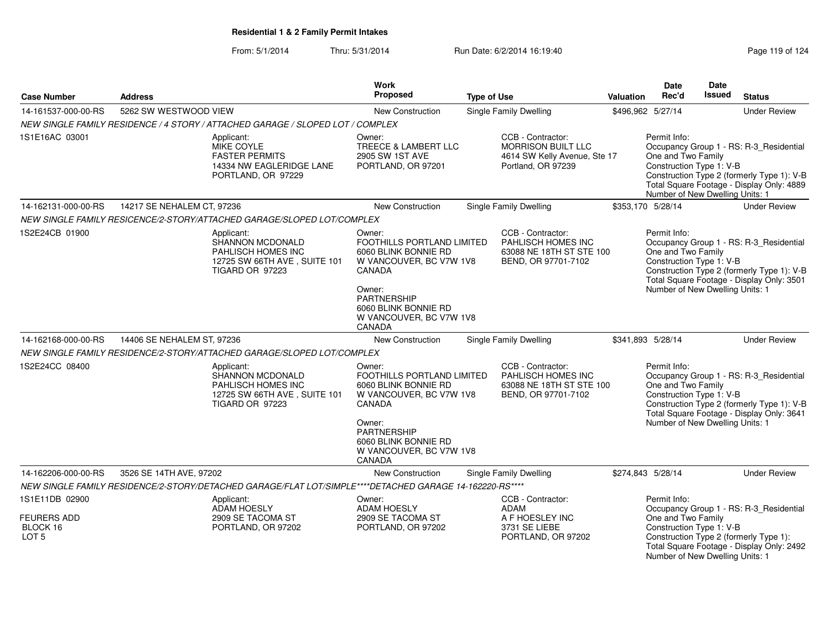| <b>Case Number</b>                                                   | <b>Address</b>                                                                                                 | Work<br>Proposed                                                                                                                                                                               | <b>Type of Use</b>                                                                                   | <b>Valuation</b>  | Date<br>Rec'd                                                                                     | Date<br><b>Issued</b> | <b>Status</b>                                                                                                                      |
|----------------------------------------------------------------------|----------------------------------------------------------------------------------------------------------------|------------------------------------------------------------------------------------------------------------------------------------------------------------------------------------------------|------------------------------------------------------------------------------------------------------|-------------------|---------------------------------------------------------------------------------------------------|-----------------------|------------------------------------------------------------------------------------------------------------------------------------|
| 14-161537-000-00-RS                                                  | 5262 SW WESTWOOD VIEW                                                                                          | New Construction                                                                                                                                                                               | Single Family Dwelling                                                                               |                   | \$496,962 5/27/14                                                                                 |                       | <b>Under Review</b>                                                                                                                |
|                                                                      | NEW SINGLE FAMILY RESIDENCE / 4 STORY / ATTACHED GARAGE / SLOPED LOT / COMPLEX                                 |                                                                                                                                                                                                |                                                                                                      |                   |                                                                                                   |                       |                                                                                                                                    |
| 1S1E16AC 03001                                                       | Applicant:<br><b>MIKE COYLE</b><br><b>FASTER PERMITS</b><br>14334 NW EAGLERIDGE LANE<br>PORTLAND, OR 97229     | Owner:<br>TREECE & LAMBERT LLC<br>2905 SW 1ST AVE<br>PORTLAND, OR 97201                                                                                                                        | CCB - Contractor:<br><b>MORRISON BUILT LLC</b><br>4614 SW Kelly Avenue, Ste 17<br>Portland, OR 97239 |                   | Permit Info:<br>One and Two Family<br>Construction Type 1: V-B<br>Number of New Dwelling Units: 1 |                       | Occupancy Group 1 - RS: R-3_Residential<br>Construction Type 2 (formerly Type 1): V-B<br>Total Square Footage - Display Only: 4889 |
| 14-162131-000-00-RS                                                  | 14217 SE NEHALEM CT, 97236                                                                                     | New Construction                                                                                                                                                                               | <b>Single Family Dwelling</b>                                                                        |                   | \$353,170 5/28/14                                                                                 |                       | <b>Under Review</b>                                                                                                                |
|                                                                      | NEW SINGLE FAMILY RESICENCE/2-STORY/ATTACHED GARAGE/SLOPED LOT/COMPLEX                                         |                                                                                                                                                                                                |                                                                                                      |                   |                                                                                                   |                       |                                                                                                                                    |
| 1S2E24CB 01900                                                       | Applicant:<br>SHANNON MCDONALD<br>PAHLISCH HOMES INC<br>12725 SW 66TH AVE, SUITE 101<br><b>TIGARD OR 97223</b> | Owner:<br>FOOTHILLS PORTLAND LIMITED<br>6060 BLINK BONNIE RD<br>W VANCOUVER, BC V7W 1V8<br>CANADA<br>Owner:<br>PARTNERSHIP<br>6060 BLINK BONNIE RD<br>W VANCOUVER, BC V7W 1V8<br>CANADA        | CCB - Contractor:<br>PAHLISCH HOMES INC<br>63088 NE 18TH ST STE 100<br>BEND, OR 97701-7102           |                   | Permit Info:<br>One and Two Family<br>Construction Type 1: V-B<br>Number of New Dwelling Units: 1 |                       | Occupancy Group 1 - RS: R-3_Residential<br>Construction Type 2 (formerly Type 1): V-B<br>Total Square Footage - Display Only: 3501 |
| 14-162168-000-00-RS                                                  | 14406 SE NEHALEM ST, 97236                                                                                     | New Construction                                                                                                                                                                               | Single Family Dwelling                                                                               |                   | \$341.893 5/28/14                                                                                 |                       | <b>Under Review</b>                                                                                                                |
|                                                                      | NEW SINGLE FAMILY RESIDENCE/2-STORY/ATTACHED GARAGE/SLOPED LOT/COMPLEX                                         |                                                                                                                                                                                                |                                                                                                      |                   |                                                                                                   |                       |                                                                                                                                    |
| 1S2E24CC 08400                                                       | Applicant:<br>SHANNON MCDONALD<br>PAHLISCH HOMES INC<br>12725 SW 66TH AVE, SUITE 101<br>TIGARD OR 97223        | Owner:<br>FOOTHILLS PORTLAND LIMITED<br>6060 BLINK BONNIE RD<br>W VANCOUVER, BC V7W 1V8<br>CANADA<br>Owner:<br><b>PARTNERSHIP</b><br>6060 BLINK BONNIE RD<br>W VANCOUVER, BC V7W 1V8<br>CANADA | CCB - Contractor:<br>PAHLISCH HOMES INC<br>63088 NE 18TH ST STE 100<br>BEND, OR 97701-7102           |                   | Permit Info:<br>One and Two Family<br>Construction Type 1: V-B<br>Number of New Dwelling Units: 1 |                       | Occupancy Group 1 - RS: R-3_Residential<br>Construction Type 2 (formerly Type 1): V-B<br>Total Square Footage - Display Only: 3641 |
| 14-162206-000-00-RS                                                  | 3526 SE 14TH AVE, 97202                                                                                        | New Construction                                                                                                                                                                               | Single Family Dwelling                                                                               | \$274,843 5/28/14 |                                                                                                   |                       | <b>Under Review</b>                                                                                                                |
|                                                                      | NEW SINGLE FAMILY RESIDENCE/2-STORY/DETACHED GARAGE/FLAT LOT/SIMPLE****DETACHED GARAGE 14-162220-RS****        |                                                                                                                                                                                                |                                                                                                      |                   |                                                                                                   |                       |                                                                                                                                    |
| 1S1E11DB 02900<br><b>FEURERS ADD</b><br>BLOCK 16<br>LOT <sub>5</sub> | Applicant:<br><b>ADAM HOESLY</b><br>2909 SE TACOMA ST<br>PORTLAND, OR 97202                                    | Owner:<br>ADAM HOESLY<br>2909 SE TACOMA ST<br>PORTLAND, OR 97202                                                                                                                               | CCB - Contractor:<br><b>ADAM</b><br>A F HOESLEY INC<br>3731 SE LIEBE<br>PORTLAND, OR 97202           |                   | Permit Info:<br>One and Two Family<br>Construction Type 1: V-B<br>Number of New Dwelling Units: 1 |                       | Occupancy Group 1 - RS: R-3_Residential<br>Construction Type 2 (formerly Type 1):<br>Total Square Footage - Display Only: 2492     |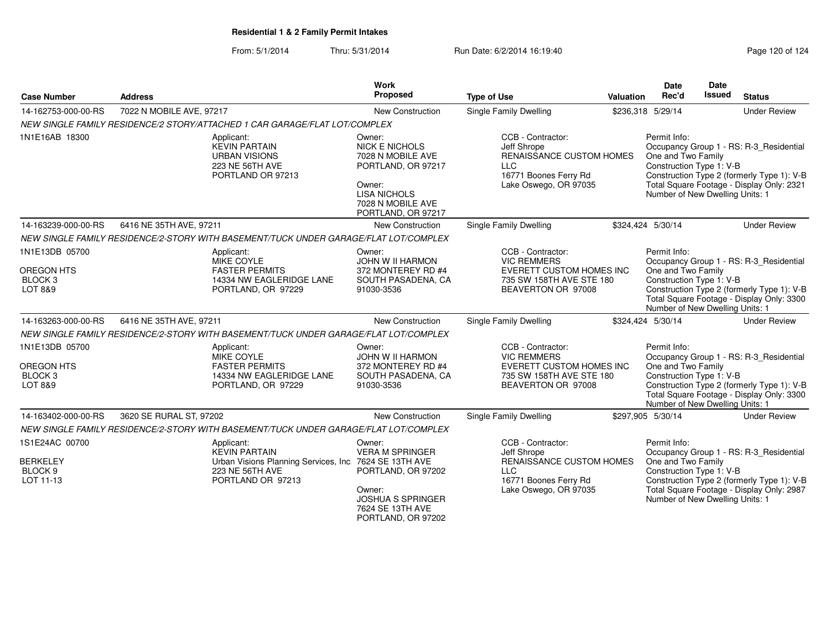From: 5/1/2014Thru: 5/31/2014 Run Date: 6/2/2014 16:19:40 Research 20 of 124

| <b>Case Number</b>                                                   | <b>Address</b>                                                                                                                       | Work<br>Proposed                                                                                                                                       | <b>Type of Use</b>                                                                                                           | Valuation | <b>Date</b><br>Rec'd                                                                              | <b>Date</b><br>Issued | <b>Status</b>                                                                                                                      |
|----------------------------------------------------------------------|--------------------------------------------------------------------------------------------------------------------------------------|--------------------------------------------------------------------------------------------------------------------------------------------------------|------------------------------------------------------------------------------------------------------------------------------|-----------|---------------------------------------------------------------------------------------------------|-----------------------|------------------------------------------------------------------------------------------------------------------------------------|
| 14-162753-000-00-RS                                                  | 7022 N MOBILE AVE, 97217                                                                                                             | New Construction                                                                                                                                       | <b>Single Family Dwelling</b>                                                                                                |           | \$236,318 5/29/14                                                                                 |                       | <b>Under Review</b>                                                                                                                |
|                                                                      | NEW SINGLE FAMILY RESIDENCE/2 STORY/ATTACHED 1 CAR GARAGE/FLAT LOT/COMPLEX                                                           |                                                                                                                                                        |                                                                                                                              |           |                                                                                                   |                       |                                                                                                                                    |
| 1N1E16AB 18300                                                       | Applicant:<br><b>KEVIN PARTAIN</b><br><b>URBAN VISIONS</b><br>223 NE 56TH AVE<br>PORTLAND OR 97213                                   | Owner:<br><b>NICK E NICHOLS</b><br>7028 N MOBILE AVE<br>PORTLAND, OR 97217<br>Owner:<br><b>LISA NICHOLS</b><br>7028 N MOBILE AVE<br>PORTLAND, OR 97217 | CCB - Contractor:<br>Jeff Shrope<br>RENAISSANCE CUSTOM HOMES<br><b>LLC</b><br>16771 Boones Ferry Rd<br>Lake Oswego, OR 97035 |           | Permit Info:<br>One and Two Family<br>Construction Type 1: V-B<br>Number of New Dwelling Units: 1 |                       | Occupancy Group 1 - RS: R-3_Residential<br>Construction Type 2 (formerly Type 1): V-B<br>Total Square Footage - Display Only: 2321 |
| 14-163239-000-00-RS                                                  | 6416 NE 35TH AVE, 97211                                                                                                              | New Construction                                                                                                                                       | <b>Single Family Dwelling</b>                                                                                                |           | \$324,424 5/30/14                                                                                 |                       | <b>Under Review</b>                                                                                                                |
|                                                                      | NEW SINGLE FAMILY RESIDENCE/2-STORY WITH BASEMENT/TUCK UNDER GARAGE/FLAT LOT/COMPLEX                                                 |                                                                                                                                                        |                                                                                                                              |           |                                                                                                   |                       |                                                                                                                                    |
| 1N1E13DB 05700<br>OREGON HTS<br>BLOCK <sub>3</sub><br>LOT 8&9        | Applicant:<br>MIKE COYLE<br><b>FASTER PERMITS</b><br>14334 NW EAGLERIDGE LANE<br>PORTLAND, OR 97229                                  | Owner:<br>JOHN W II HARMON<br>372 MONTEREY RD #4<br>SOUTH PASADENA, CA<br>91030-3536                                                                   | CCB - Contractor:<br><b>VIC REMMERS</b><br><b>EVERETT CUSTOM HOMES INC</b><br>735 SW 158TH AVE STE 180<br>BEAVERTON OR 97008 |           | Permit Info:<br>One and Two Family<br>Construction Type 1: V-B<br>Number of New Dwelling Units: 1 |                       | Occupancy Group 1 - RS: R-3_Residential<br>Construction Type 2 (formerly Type 1): V-B<br>Total Square Footage - Display Only: 3300 |
| 14-163263-000-00-RS                                                  | 6416 NE 35TH AVE, 97211                                                                                                              | <b>New Construction</b>                                                                                                                                | Single Family Dwelling                                                                                                       |           | \$324,424 5/30/14                                                                                 |                       | <b>Under Review</b>                                                                                                                |
|                                                                      | NEW SINGLE FAMILY RESIDENCE/2-STORY WITH BASEMENT/TUCK UNDER GARAGE/FLAT LOT/COMPLEX                                                 |                                                                                                                                                        |                                                                                                                              |           |                                                                                                   |                       |                                                                                                                                    |
| 1N1E13DB 05700<br>OREGON HTS<br>BLOCK <sub>3</sub><br>LOT 8&9        | Applicant:<br>MIKE COYLE<br><b>FASTER PERMITS</b><br>14334 NW EAGLERIDGE LANE<br>PORTLAND, OR 97229                                  | Owner:<br><b>JOHN W II HARMON</b><br>372 MONTEREY RD #4<br>SOUTH PASADENA, CA<br>91030-3536                                                            | CCB - Contractor:<br><b>VIC REMMERS</b><br>EVERETT CUSTOM HOMES INC<br>735 SW 158TH AVE STE 180<br>BEAVERTON OR 97008        |           | Permit Info:<br>One and Two Family<br>Construction Type 1: V-B<br>Number of New Dwelling Units: 1 |                       | Occupancy Group 1 - RS: R-3_Residential<br>Construction Type 2 (formerly Type 1): V-B<br>Total Square Footage - Display Only: 3300 |
| 14-163402-000-00-RS                                                  | 3620 SE RURAL ST, 97202                                                                                                              | New Construction                                                                                                                                       | Single Family Dwelling                                                                                                       |           | \$297,905 5/30/14                                                                                 |                       | <b>Under Review</b>                                                                                                                |
|                                                                      | NEW SINGLE FAMILY RESIDENCE/2-STORY WITH BASEMENT/TUCK UNDER GARAGE/FLAT LOT/COMPLEX                                                 |                                                                                                                                                        |                                                                                                                              |           |                                                                                                   |                       |                                                                                                                                    |
| 1S1E24AC 00700<br><b>BERKELEY</b><br>BLOCK <sub>9</sub><br>LOT 11-13 | Applicant:<br><b>KEVIN PARTAIN</b><br>Urban Visions Planning Services, Inc. 7624 SE 13TH AVE<br>223 NE 56TH AVE<br>PORTLAND OR 97213 | Owner:<br><b>VERA M SPRINGER</b><br>PORTLAND, OR 97202<br>Owner:<br><b>JOSHUA S SPRINGER</b><br>7624 SE 13TH AVE<br>PORTLAND, OR 97202                 | CCB - Contractor:<br>Jeff Shrope<br>RENAISSANCE CUSTOM HOMES<br><b>LLC</b><br>16771 Boones Ferry Rd<br>Lake Oswego, OR 97035 |           | Permit Info:<br>One and Two Family<br>Construction Type 1: V-B<br>Number of New Dwelling Units: 1 |                       | Occupancy Group 1 - RS: R-3_Residential<br>Construction Type 2 (formerly Type 1): V-B<br>Total Square Footage - Display Only: 2987 |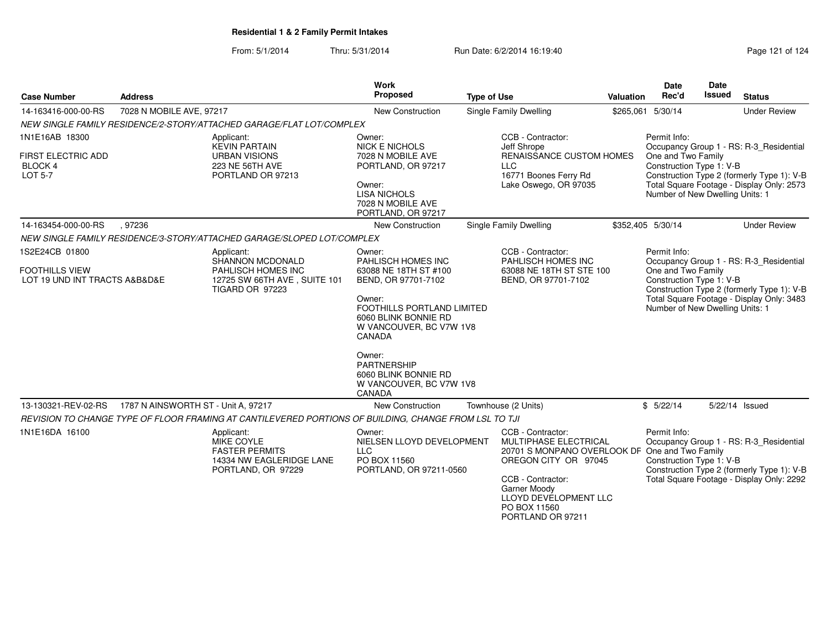| <b>Case Number</b>                                            | <b>Address</b>                                                                                             |                                                                                                       | Work<br>Proposed                                                                                         | <b>Type of Use</b>                                                                                                          |                                                                                                        | Valuation | <b>Date</b><br>Rec'd                                                                                                              | <b>Date</b><br>Issued | <b>Status</b>                             |  |
|---------------------------------------------------------------|------------------------------------------------------------------------------------------------------------|-------------------------------------------------------------------------------------------------------|----------------------------------------------------------------------------------------------------------|-----------------------------------------------------------------------------------------------------------------------------|--------------------------------------------------------------------------------------------------------|-----------|-----------------------------------------------------------------------------------------------------------------------------------|-----------------------|-------------------------------------------|--|
| 14-163416-000-00-RS                                           | 7028 N MOBILE AVE, 97217                                                                                   |                                                                                                       | New Construction                                                                                         | Single Family Dwelling                                                                                                      |                                                                                                        |           | \$265,061 5/30/14                                                                                                                 |                       | <b>Under Review</b>                       |  |
|                                                               |                                                                                                            | NEW SINGLE FAMILY RESIDENCE/2-STORY/ATTACHED GARAGE/FLAT LOT/COMPLEX                                  |                                                                                                          |                                                                                                                             |                                                                                                        |           |                                                                                                                                   |                       |                                           |  |
| 1N1E16AB 18300                                                |                                                                                                            | Applicant:<br><b>KEVIN PARTAIN</b>                                                                    | Owner:<br><b>NICK E NICHOLS</b>                                                                          |                                                                                                                             | CCB - Contractor:<br>Jeff Shrope                                                                       |           | Permit Info:                                                                                                                      |                       | Occupancy Group 1 - RS: R-3_Residential   |  |
| <b>FIRST ELECTRIC ADD</b><br><b>BLOCK 4</b><br><b>LOT 5-7</b> |                                                                                                            | <b>URBAN VISIONS</b><br>223 NE 56TH AVE<br>PORTLAND OR 97213                                          | 7028 N MOBILE AVE<br>PORTLAND, OR 97217                                                                  |                                                                                                                             | RENAISSANCE CUSTOM HOMES<br><b>LLC</b><br>16771 Boones Ferry Rd                                        |           | One and Two Family<br>Construction Type 1: V-B<br>Construction Type 2 (formerly Type 1): V-B                                      |                       |                                           |  |
|                                                               |                                                                                                            |                                                                                                       | Owner:<br><b>LISA NICHOLS</b><br>7028 N MOBILE AVE<br>PORTLAND, OR 97217                                 |                                                                                                                             | Lake Oswego, OR 97035                                                                                  |           | Total Square Footage - Display Only: 2573<br>Number of New Dwelling Units: 1                                                      |                       |                                           |  |
| 14-163454-000-00-RS                                           | .97236                                                                                                     |                                                                                                       | <b>New Construction</b>                                                                                  |                                                                                                                             | Single Family Dwelling                                                                                 |           | \$352,405 5/30/14                                                                                                                 |                       | <b>Under Review</b>                       |  |
|                                                               |                                                                                                            | NEW SINGLE FAMILY RESIDENCE/3-STORY/ATTACHED GARAGE/SLOPED LOT/COMPLEX                                |                                                                                                          |                                                                                                                             |                                                                                                        |           |                                                                                                                                   |                       |                                           |  |
| 1S2E24CB 01800                                                |                                                                                                            | Applicant:<br>SHANNON MCDONALD                                                                        | Owner:<br>PAHLISCH HOMES INC                                                                             |                                                                                                                             | CCB - Contractor:<br>PAHLISCH HOMES INC                                                                |           | Permit Info:                                                                                                                      |                       | Occupancy Group 1 - RS: R-3_Residential   |  |
| <b>FOOTHILLS VIEW</b><br>LOT 19 UND INT TRACTS A&B&D&E        |                                                                                                            | PAHLISCH HOMES INC<br>12725 SW 66TH AVE, SUITE 101<br><b>TIGARD OR 97223</b>                          | 63088 NE 18TH ST #100<br>BEND, OR 97701-7102                                                             |                                                                                                                             | 63088 NE 18TH ST STE 100<br>BEND, OR 97701-7102                                                        |           | One and Two Family<br>Construction Type 1: V-B<br>Construction Type 2 (formerly Type 1): V-B                                      |                       |                                           |  |
|                                                               |                                                                                                            |                                                                                                       | Owner:<br><b>FOOTHILLS PORTLAND LIMITED</b><br>6060 BLINK BONNIE RD<br>W VANCOUVER, BC V7W 1V8<br>CANADA |                                                                                                                             |                                                                                                        |           | Total Square Footage - Display Only: 3483<br>Number of New Dwelling Units: 1                                                      |                       |                                           |  |
|                                                               |                                                                                                            |                                                                                                       | Owner:<br><b>PARTNERSHIP</b><br>6060 BLINK BONNIE RD<br>W VANCOUVER, BC V7W 1V8<br>CANADA                |                                                                                                                             |                                                                                                        |           |                                                                                                                                   |                       |                                           |  |
| 13-130321-REV-02-RS                                           | 1787 N AINSWORTH ST - Unit A, 97217                                                                        |                                                                                                       | <b>New Construction</b>                                                                                  |                                                                                                                             | Townhouse (2 Units)                                                                                    |           | \$5/22/14                                                                                                                         |                       | 5/22/14 Issued                            |  |
|                                                               |                                                                                                            | REVISION TO CHANGE TYPE OF FLOOR FRAMING AT CANTILEVERED PORTIONS OF BUILDING, CHANGE FROM LSL TO TJI |                                                                                                          |                                                                                                                             |                                                                                                        |           |                                                                                                                                   |                       |                                           |  |
| 1N1E16DA 16100                                                | Applicant:<br><b>MIKE COYLE</b><br><b>FASTER PERMITS</b><br>14334 NW EAGLERIDGE LANE<br>PORTLAND, OR 97229 |                                                                                                       | Owner:<br>NIELSEN LLOYD DEVELOPMENT<br><b>LLC</b><br>PO BOX 11560<br>PORTLAND, OR 97211-0560             | CCB - Contractor:<br><b>MULTIPHASE ELECTRICAL</b><br>20701 S MONPANO OVERLOOK DF One and Two Family<br>OREGON CITY OR 97045 |                                                                                                        |           | Permit Info:<br>Occupancy Group 1 - RS: R-3_Residential<br>Construction Type 1: V-B<br>Construction Type 2 (formerly Type 1): V-B |                       |                                           |  |
|                                                               |                                                                                                            |                                                                                                       |                                                                                                          |                                                                                                                             | CCB - Contractor:<br><b>Garner Moody</b><br>LLOYD DEVELOPMENT LLC<br>PO BOX 11560<br>PORTLAND OR 97211 |           |                                                                                                                                   |                       | Total Square Footage - Display Only: 2292 |  |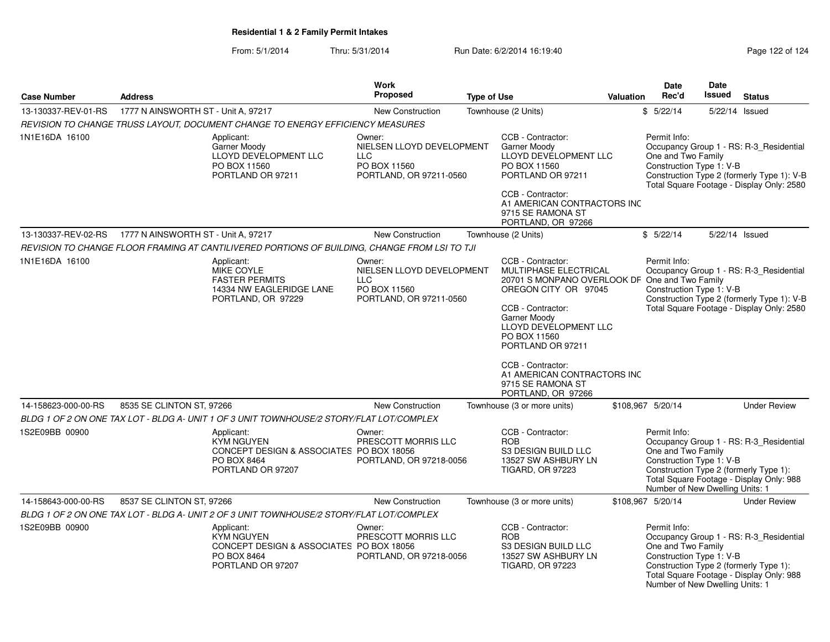| <b>Case Number</b>  | <b>Address</b>                      |                                                                                                                 | Work<br>Proposed                                                                             | <b>Type of Use</b> |                                                                                                                                                                                                                                                                             | <b>Valuation</b> | <b>Date</b><br>Rec'd                                                                              | Date<br><b>Issued</b> | <b>Status</b>                                                                                                                      |
|---------------------|-------------------------------------|-----------------------------------------------------------------------------------------------------------------|----------------------------------------------------------------------------------------------|--------------------|-----------------------------------------------------------------------------------------------------------------------------------------------------------------------------------------------------------------------------------------------------------------------------|------------------|---------------------------------------------------------------------------------------------------|-----------------------|------------------------------------------------------------------------------------------------------------------------------------|
| 13-130337-REV-01-RS | 1777 N AINSWORTH ST - Unit A, 97217 |                                                                                                                 | New Construction                                                                             |                    | Townhouse (2 Units)                                                                                                                                                                                                                                                         |                  | \$5/22/14                                                                                         |                       | 5/22/14 Issued                                                                                                                     |
|                     |                                     | REVISION TO CHANGE TRUSS LAYOUT, DOCUMENT CHANGE TO ENERGY EFFICIENCY MEASURES                                  |                                                                                              |                    |                                                                                                                                                                                                                                                                             |                  |                                                                                                   |                       |                                                                                                                                    |
| 1N1E16DA 16100      |                                     | Applicant:<br>Garner Moody<br>LLOYD DEVÉLOPMENT LLC<br>PO BOX 11560<br>PORTLAND OR 97211                        | Owner:<br>NIELSEN LLOYD DEVELOPMENT<br><b>LLC</b><br>PO BOX 11560<br>PORTLAND, OR 97211-0560 |                    | CCB - Contractor:<br>Garner Moody<br>LLOYD DEVELOPMENT LLC<br>PO BOX 11560<br>PORTLAND OR 97211<br>CCB - Contractor:                                                                                                                                                        |                  | Permit Info:<br>One and Two Family<br>Construction Type 1: V-B                                    |                       | Occupancy Group 1 - RS: R-3_Residential<br>Construction Type 2 (formerly Type 1): V-B<br>Total Square Footage - Display Only: 2580 |
|                     |                                     |                                                                                                                 |                                                                                              |                    | A1 AMERICAN CONTRACTORS INC<br>9715 SE RAMONA ST<br>PORTLAND, OR 97266                                                                                                                                                                                                      |                  |                                                                                                   |                       |                                                                                                                                    |
| 13-130337-REV-02-RS | 1777 N AINSWORTH ST - Unit A, 97217 |                                                                                                                 | <b>New Construction</b>                                                                      |                    | Townhouse (2 Units)                                                                                                                                                                                                                                                         |                  | \$5/22/14                                                                                         |                       | 5/22/14 Issued                                                                                                                     |
|                     |                                     | REVISION TO CHANGE FLOOR FRAMING AT CANTILIVERED PORTIONS OF BUILDING, CHANGE FROM LSI TO TJI                   |                                                                                              |                    |                                                                                                                                                                                                                                                                             |                  |                                                                                                   |                       |                                                                                                                                    |
| 1N1E16DA 16100      |                                     | Applicant:<br>MIKE COYLE<br><b>FASTER PERMITS</b><br>14334 NW EAGLERIDGE LANE<br>PORTLAND, OR 97229             | Owner:<br>NIELSEN LLOYD DEVELOPMENT<br><b>LLC</b><br>PO BOX 11560<br>PORTLAND, OR 97211-0560 |                    | CCB - Contractor:<br>MULTIPHASE ELECTRICAL<br>20701 S MONPANO OVERLOOK DF One and Two Family<br>OREGON CITY OR 97045<br>CCB - Contractor:<br>Garner Moody<br>LLOYD DEVÉLOPMENT LLC<br>PO BOX 11560<br>PORTLAND OR 97211<br>CCB - Contractor:<br>A1 AMERICAN CONTRACTORS INC |                  | Permit Info:<br>Construction Type 1: V-B                                                          |                       | Occupancy Group 1 - RS: R-3_Residential<br>Construction Type 2 (formerly Type 1): V-B<br>Total Square Footage - Display Only: 2580 |
|                     |                                     |                                                                                                                 |                                                                                              |                    | 9715 SE RAMONA ST                                                                                                                                                                                                                                                           |                  |                                                                                                   |                       |                                                                                                                                    |
| 14-158623-000-00-RS | 8535 SE CLINTON ST, 97266           |                                                                                                                 | New Construction                                                                             |                    | PORTLAND, OR 97266<br>Townhouse (3 or more units)                                                                                                                                                                                                                           |                  | \$108,967 5/20/14                                                                                 |                       | <b>Under Review</b>                                                                                                                |
|                     |                                     | BLDG 1 OF 2 ON ONE TAX LOT - BLDG A- UNIT 1 OF 3 UNIT TOWNHOUSE/2 STORY/FLAT LOT/COMPLEX                        |                                                                                              |                    |                                                                                                                                                                                                                                                                             |                  |                                                                                                   |                       |                                                                                                                                    |
| 1S2E09BB 00900      |                                     | Applicant:<br><b>KYM NGUYEN</b><br>CONCEPT DESIGN & ASSOCIATES PO BOX 18056<br>PO BOX 8464<br>PORTLAND OR 97207 | Owner:<br>PRESCOTT MORRIS LLC<br>PORTLAND, OR 97218-0056                                     |                    | CCB - Contractor:<br><b>ROB</b><br>S3 DESIGN BUILD LLC<br>13527 SW ASHBURY LN<br><b>TIGARD, OR 97223</b>                                                                                                                                                                    |                  | Permit Info:<br>One and Two Family<br>Construction Type 1: V-B<br>Number of New Dwelling Units: 1 |                       | Occupancy Group 1 - RS: R-3_Residential<br>Construction Type 2 (formerly Type 1):<br>Total Square Footage - Display Only: 988      |
| 14-158643-000-00-RS | 8537 SE CLINTON ST, 97266           |                                                                                                                 | New Construction                                                                             |                    | Townhouse (3 or more units)                                                                                                                                                                                                                                                 |                  | \$108,967 5/20/14                                                                                 |                       | <b>Under Review</b>                                                                                                                |
|                     |                                     | BLDG 1 OF 2 ON ONE TAX LOT - BLDG A- UNIT 2 OF 3 UNIT TOWNHOUSE/2 STORY/FLAT LOT/COMPLEX                        |                                                                                              |                    |                                                                                                                                                                                                                                                                             |                  |                                                                                                   |                       |                                                                                                                                    |
| 1S2E09BB 00900      |                                     | Applicant:<br><b>KYM NGUYEN</b><br>CONCEPT DESIGN & ASSOCIATES PO BOX 18056<br>PO BOX 8464<br>PORTLAND OR 97207 | Owner:<br>PRESCOTT MORRIS LLC<br>PORTLAND, OR 97218-0056                                     |                    | CCB - Contractor:<br><b>ROB</b><br>S3 DESIGN BUILD LLC<br>13527 SW ASHBURY LN<br><b>TIGARD, OR 97223</b>                                                                                                                                                                    |                  | Permit Info:<br>One and Two Family<br>Construction Type 1: V-B<br>Number of New Dwelling Units: 1 |                       | Occupancy Group 1 - RS: R-3_Residential<br>Construction Type 2 (formerly Type 1):<br>Total Square Footage - Display Only: 988      |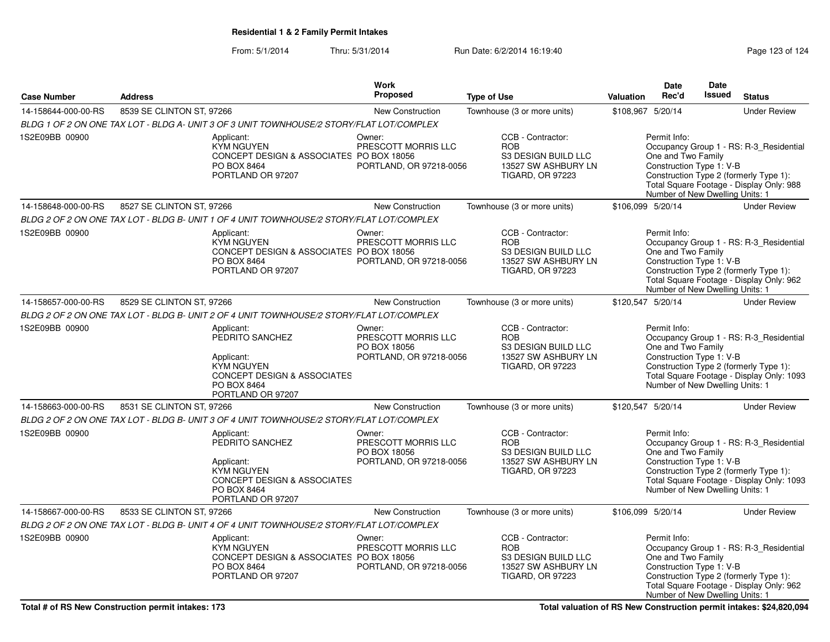### From: 5/1/2014Thru: 5/31/2014 Run Date: 6/2/2014 16:19:40

|                     |                           |                                                                                                                                                | Work                                                                     |                                                                                                          |                   | Date                                                                                              | <b>Date</b> |                                                                                                                                |
|---------------------|---------------------------|------------------------------------------------------------------------------------------------------------------------------------------------|--------------------------------------------------------------------------|----------------------------------------------------------------------------------------------------------|-------------------|---------------------------------------------------------------------------------------------------|-------------|--------------------------------------------------------------------------------------------------------------------------------|
| <b>Case Number</b>  | <b>Address</b>            |                                                                                                                                                | <b>Proposed</b>                                                          | <b>Type of Use</b>                                                                                       | Valuation         | Rec'd                                                                                             | Issued      | <b>Status</b>                                                                                                                  |
| 14-158644-000-00-RS | 8539 SE CLINTON ST, 97266 |                                                                                                                                                | <b>New Construction</b>                                                  | Townhouse (3 or more units)                                                                              | \$108,967 5/20/14 |                                                                                                   |             | <b>Under Review</b>                                                                                                            |
|                     |                           | BLDG 1 OF 2 ON ONE TAX LOT - BLDG A- UNIT 3 OF 3 UNIT TOWNHOUSE/2 STORY/FLAT LOT/COMPLEX                                                       |                                                                          |                                                                                                          |                   |                                                                                                   |             |                                                                                                                                |
| 1S2E09BB 00900      |                           | Applicant:<br><b>KYM NGUYEN</b><br>CONCEPT DESIGN & ASSOCIATES PO BOX 18056<br>PO BOX 8464<br>PORTLAND OR 97207                                | Owner:<br>PRESCOTT MORRIS LLC<br>PORTLAND, OR 97218-0056                 | CCB - Contractor:<br><b>ROB</b><br>S3 DESIGN BUILD LLC<br>13527 SW ASHBURY LN<br><b>TIGARD, OR 97223</b> |                   | Permit Info:<br>One and Two Family<br>Construction Type 1: V-B<br>Number of New Dwelling Units: 1 |             | Occupancy Group 1 - RS: R-3_Residential<br>Construction Type 2 (formerly Type 1):<br>Total Square Footage - Display Only: 988  |
| 14-158648-000-00-RS | 8527 SE CLINTON ST, 97266 |                                                                                                                                                | <b>New Construction</b>                                                  | Townhouse (3 or more units)                                                                              | \$106,099 5/20/14 |                                                                                                   |             | <b>Under Review</b>                                                                                                            |
|                     |                           | BLDG 2 OF 2 ON ONE TAX LOT - BLDG B- UNIT 1 OF 4 UNIT TOWNHOUSE/2 STORY/FLAT LOT/COMPLEX                                                       |                                                                          |                                                                                                          |                   |                                                                                                   |             |                                                                                                                                |
| 1S2E09BB 00900      |                           | Applicant:<br><b>KYM NGUYEN</b><br>CONCEPT DESIGN & ASSOCIATES PO BOX 18056<br>PO BOX 8464<br>PORTLAND OR 97207                                | Owner:<br>PRESCOTT MORRIS LLC<br>PORTLAND, OR 97218-0056                 | CCB - Contractor:<br><b>ROB</b><br>S3 DESIGN BUILD LLC<br>13527 SW ASHBURY LN<br><b>TIGARD, OR 97223</b> |                   | Permit Info:<br>One and Two Family<br>Construction Type 1: V-B<br>Number of New Dwelling Units: 1 |             | Occupancy Group 1 - RS: R-3_Residential<br>Construction Type 2 (formerly Type 1):<br>Total Square Footage - Display Only: 962  |
| 14-158657-000-00-RS | 8529 SE CLINTON ST, 97266 |                                                                                                                                                | New Construction                                                         | Townhouse (3 or more units)                                                                              | \$120,547 5/20/14 |                                                                                                   |             | <b>Under Review</b>                                                                                                            |
|                     |                           | BLDG 2 OF 2 ON ONE TAX LOT - BLDG B- UNIT 2 OF 4 UNIT TOWNHOUSE/2 STORY/FLAT LOT/COMPLEX                                                       |                                                                          |                                                                                                          |                   |                                                                                                   |             |                                                                                                                                |
| 1S2E09BB 00900      |                           | Applicant:<br>PEDRITO SANCHEZ<br>Applicant:<br>KYM NGUYEN<br>CONCEPT DESIGN & ASSOCIATES<br>PO BOX 8464<br>PORTLAND OR 97207                   | Owner:<br>PRESCOTT MORRIS LLC<br>PO BOX 18056<br>PORTLAND, OR 97218-0056 | CCB - Contractor:<br><b>ROB</b><br>S3 DESIGN BUILD LLC<br>13527 SW ASHBURY LN<br><b>TIGARD, OR 97223</b> |                   | Permit Info:<br>One and Two Family<br>Construction Type 1: V-B<br>Number of New Dwelling Units: 1 |             | Occupancy Group 1 - RS: R-3_Residential<br>Construction Type 2 (formerly Type 1):<br>Total Square Footage - Display Only: 1093 |
| 14-158663-000-00-RS | 8531 SE CLINTON ST, 97266 |                                                                                                                                                | New Construction                                                         | Townhouse (3 or more units)                                                                              | \$120,547 5/20/14 |                                                                                                   |             | <b>Under Review</b>                                                                                                            |
|                     |                           | BLDG 2 OF 2 ON ONE TAX LOT - BLDG B- UNIT 3 OF 4 UNIT TOWNHOUSE/2 STORY/FLAT LOT/COMPLEX                                                       |                                                                          |                                                                                                          |                   |                                                                                                   |             |                                                                                                                                |
| 1S2E09BB 00900      |                           | Applicant:<br>PEDRITO SANCHEZ<br>Applicant:<br><b>KYM NGUYEN</b><br><b>CONCEPT DESIGN &amp; ASSOCIATES</b><br>PO BOX 8464<br>PORTLAND OR 97207 | Owner:<br>PRESCOTT MORRIS LLC<br>PO BOX 18056<br>PORTLAND, OR 97218-0056 | CCB - Contractor:<br><b>ROB</b><br>S3 DESIGN BUILD LLC<br>13527 SW ASHBURY LN<br><b>TIGARD, OR 97223</b> |                   | Permit Info:<br>One and Two Family<br>Construction Type 1: V-B<br>Number of New Dwelling Units: 1 |             | Occupancy Group 1 - RS: R-3_Residential<br>Construction Type 2 (formerly Type 1):<br>Total Square Footage - Display Only: 1093 |
| 14-158667-000-00-RS | 8533 SE CLINTON ST, 97266 |                                                                                                                                                | <b>New Construction</b>                                                  | Townhouse (3 or more units)                                                                              | \$106,099 5/20/14 |                                                                                                   |             | <b>Under Review</b>                                                                                                            |
|                     |                           | BLDG 2 OF 2 ON ONE TAX LOT - BLDG B- UNIT 4 OF 4 UNIT TOWNHOUSE/2 STORY/FLAT LOT/COMPLEX                                                       |                                                                          |                                                                                                          |                   |                                                                                                   |             |                                                                                                                                |
| 1S2E09BB 00900      |                           | Applicant:<br><b>KYM NGUYEN</b><br>CONCEPT DESIGN & ASSOCIATES PO BOX 18056<br>PO BOX 8464<br>PORTLAND OR 97207                                | Owner:<br>PRESCOTT MORRIS LLC<br>PORTLAND, OR 97218-0056                 | CCB - Contractor:<br><b>ROB</b><br>S3 DESIGN BUILD LLC<br>13527 SW ASHBURY LN<br><b>TIGARD, OR 97223</b> |                   | Permit Info:<br>One and Two Family<br>Construction Type 1: V-B<br>Number of New Dwelling Units: 1 |             | Occupancy Group 1 - RS: R-3_Residential<br>Construction Type 2 (formerly Type 1):<br>Total Square Footage - Display Only: 962  |

**Total valuation of RS New Construction permit intakes: \$24,820,094**